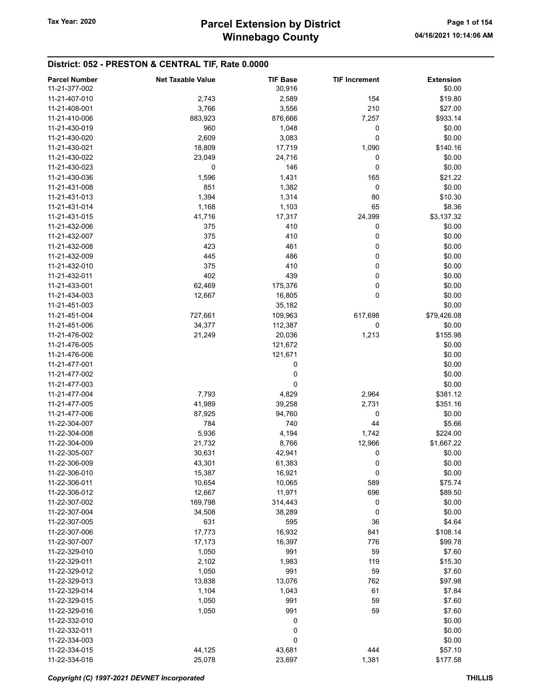# District: 052 - PRESTON & CENTRAL TIF, Rate 0.0000

| <b>Parcel Number</b> | <b>Net Taxable Value</b> | <b>TIF Base</b> | <b>TIF Increment</b> | <b>Extension</b> |
|----------------------|--------------------------|-----------------|----------------------|------------------|
| 11-21-377-002        |                          | 30,916          |                      | \$0.00           |
| 11-21-407-010        | 2,743                    | 2,589           | 154                  | \$19.80          |
| 11-21-408-001        | 3,766                    | 3,556           | 210                  | \$27.00          |
| 11-21-410-006        | 883,923                  | 876,666         | 7,257                | \$933.14         |
| 11-21-430-019        | 960                      | 1,048           | 0                    | \$0.00           |
| 11-21-430-020        | 2,609                    | 3,083           | 0                    | \$0.00           |
| 11-21-430-021        | 18,809                   | 17,719          | 1,090                | \$140.16         |
| 11-21-430-022        | 23,049                   | 24,716          | 0                    | \$0.00           |
| 11-21-430-023        | 0                        | 146             | 0                    | \$0.00           |
| 11-21-430-036        | 1,596                    | 1,431           | 165                  | \$21.22          |
| 11-21-431-008        | 851                      | 1,382           | 0                    | \$0.00           |
| 11-21-431-013        | 1,394                    | 1,314           | 80                   | \$10.30          |
| 11-21-431-014        | 1,168                    | 1,103           | 65                   | \$8.36           |
| 11-21-431-015        | 41,716                   | 17,317          | 24,399               | \$3,137.32       |
| 11-21-432-006        | 375                      | 410             | 0                    | \$0.00           |
| 11-21-432-007        | 375                      | 410             | 0                    | \$0.00           |
| 11-21-432-008        | 423                      | 461             | 0                    | \$0.00           |
| 11-21-432-009        | 445                      | 486             | 0                    | \$0.00           |
| 11-21-432-010        | 375                      | 410             | 0                    | \$0.00           |
| 11-21-432-011        | 402                      | 439             | 0                    | \$0.00           |
| 11-21-433-001        | 62,469                   | 175,376         | 0                    | \$0.00           |
| 11-21-434-003        | 12,667                   | 16,805          | 0                    | \$0.00           |
| 11-21-451-003        |                          | 35,182          |                      | \$0.00           |
| 11-21-451-004        | 727,661                  | 109,963         | 617,698              | \$79,426.08      |
| 11-21-451-006        | 34,377                   | 112,387         | 0                    | \$0.00           |
| 11-21-476-002        | 21,249                   | 20,036          | 1,213                | \$155.98         |
| 11-21-476-005        |                          | 121,672         |                      | \$0.00           |
| 11-21-476-006        |                          | 121,671         |                      | \$0.00           |
| 11-21-477-001        |                          | 0               |                      | \$0.00           |
| 11-21-477-002        |                          | 0               |                      | \$0.00           |
| 11-21-477-003        |                          | 0               |                      | \$0.00           |
| 11-21-477-004        | 7,793                    | 4,829           | 2,964                | \$381.12         |
| 11-21-477-005        | 41,989                   | 39,258          | 2,731                | \$351.16         |
| 11-21-477-006        | 87,925                   | 94,760          | 0                    | \$0.00           |
| 11-22-304-007        | 784                      | 740             | 44                   | \$5.66           |
| 11-22-304-008        | 5,936                    | 4,194           | 1,742                | \$224.00         |
| 11-22-304-009        | 21,732                   | 8,766           | 12,966               | \$1,667.22       |
| 11-22-305-007        | 30,631                   | 42,941          | 0                    | \$0.00           |
| 11-22-306-009        | 43,301                   | 61,383          | 0                    | \$0.00           |
| 11-22-306-010        | 15,387                   | 16,921          | 0                    | \$0.00           |
| 11-22-306-011        | 10,654                   | 10,065          | 589                  | \$75.74          |
| 11-22-306-012        | 12,667                   | 11,971          | 696                  | \$89.50          |
| 11-22-307-002        | 169,798                  | 314,443         | 0                    | \$0.00           |
| 11-22-307-004        | 34,508                   | 38,289          | 0                    | \$0.00           |
| 11-22-307-005        | 631                      | 595             | 36                   | \$4.64           |
| 11-22-307-006        | 17,773                   | 16,932          | 841                  | \$108.14         |
| 11-22-307-007        | 17,173                   | 16,397          | 776                  | \$99.78          |
| 11-22-329-010        | 1,050                    | 991             | 59                   | \$7.60           |
| 11-22-329-011        | 2,102                    | 1,983           | 119                  | \$15.30          |
| 11-22-329-012        | 1,050                    | 991             | 59                   | \$7.60           |
| 11-22-329-013        | 13,838                   | 13,076          | 762                  | \$97.98          |
| 11-22-329-014        | 1,104                    | 1,043           | 61                   | \$7.84           |
| 11-22-329-015        | 1,050                    | 991             | 59                   | \$7.60           |
| 11-22-329-016        | 1,050                    | 991             | 59                   | \$7.60           |
| 11-22-332-010        |                          | 0               |                      | \$0.00           |
| 11-22-332-011        |                          | 0               |                      | \$0.00           |
| 11-22-334-003        |                          | 0               |                      | \$0.00           |
| 11-22-334-015        | 44,125                   | 43,681          | 444                  | \$57.10          |
| 11-22-334-016        | 25,078                   | 23,697          | 1,381                | \$177.58         |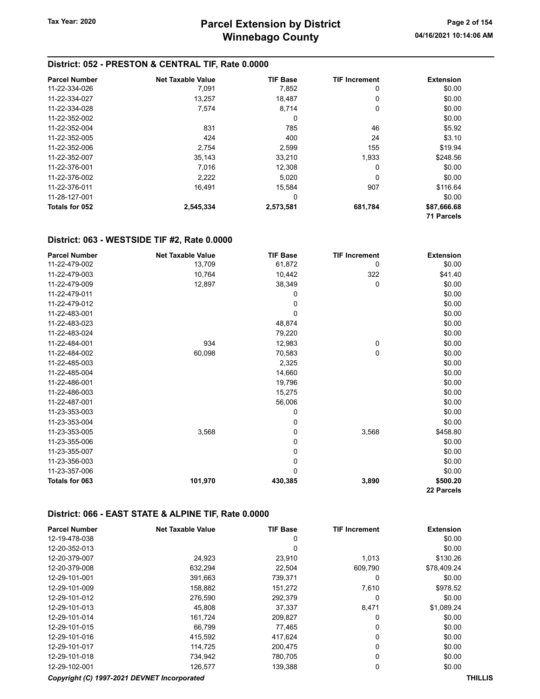#### District: 052 - PRESTON & CENTRAL TIF, Rate 0.0000

| <b>Parcel Number</b> | <b>Net Taxable Value</b> | <b>TIF Base</b> | <b>TIF Increment</b> | <b>Extension</b>  |
|----------------------|--------------------------|-----------------|----------------------|-------------------|
| 11-22-334-026        | 7,091                    | 7,852           | 0                    | \$0.00            |
| 11-22-334-027        | 13,257                   | 18,487          | 0                    | \$0.00            |
| 11-22-334-028        | 7,574                    | 8,714           | 0                    | \$0.00            |
| 11-22-352-002        |                          | 0               |                      | \$0.00            |
| 11-22-352-004        | 831                      | 785             | 46                   | \$5.92            |
| 11-22-352-005        | 424                      | 400             | 24                   | \$3.10            |
| 11-22-352-006        | 2,754                    | 2,599           | 155                  | \$19.94           |
| 11-22-352-007        | 35,143                   | 33,210          | 1,933                | \$248.56          |
| 11-22-376-001        | 7,016                    | 12,308          | 0                    | \$0.00            |
| 11-22-376-002        | 2,222                    | 5,020           | 0                    | \$0.00            |
| 11-22-376-011        | 16,491                   | 15.584          | 907                  | \$116.64          |
| 11-28-127-001        |                          | 0               |                      | \$0.00            |
| Totals for 052       | 2,545,334                | 2,573,581       | 681,784              | \$87,666.68       |
|                      |                          |                 |                      | <b>71 Parcels</b> |

#### District: 063 - WESTSIDE TIF #2, Rate 0.0000

| <b>Parcel Number</b> | <b>Net Taxable Value</b> | <b>TIF Base</b> | <b>TIF Increment</b> | <b>Extension</b> |
|----------------------|--------------------------|-----------------|----------------------|------------------|
| 11-22-479-002        | 13,709                   | 61,872          | 0                    | \$0.00           |
| 11-22-479-003        | 10,764                   | 10,442          | 322                  | \$41.40          |
| 11-22-479-009        | 12,897                   | 38,349          | 0                    | \$0.00           |
| 11-22-479-011        |                          | 0               |                      | \$0.00           |
| 11-22-479-012        |                          | 0               |                      | \$0.00           |
| 11-22-483-001        |                          | 0               |                      | \$0.00           |
| 11-22-483-023        |                          | 48,874          |                      | \$0.00           |
| 11-22-483-024        |                          | 79,220          |                      | \$0.00           |
| 11-22-484-001        | 934                      | 12,983          | 0                    | \$0.00           |
| 11-22-484-002        | 60,098                   | 70,583          | 0                    | \$0.00           |
| 11-22-485-003        |                          | 2,325           |                      | \$0.00           |
| 11-22-485-004        |                          | 14,660          |                      | \$0.00           |
| 11-22-486-001        |                          | 19,796          |                      | \$0.00           |
| 11-22-486-003        |                          | 15,275          |                      | \$0.00           |
| 11-22-487-001        |                          | 56,006          |                      | \$0.00           |
| 11-23-353-003        |                          | 0               |                      | \$0.00           |
| 11-23-353-004        |                          | 0               |                      | \$0.00           |
| 11-23-353-005        | 3,568                    | 0               | 3,568                | \$458.80         |
| 11-23-355-006        |                          | 0               |                      | \$0.00           |
| 11-23-355-007        |                          | 0               |                      | \$0.00           |
| 11-23-356-003        |                          | 0               |                      | \$0.00           |
| 11-23-357-006        |                          | 0               |                      | \$0.00           |
| Totals for 063       | 101,970                  | 430,385         | 3,890                | \$500.20         |
|                      |                          |                 |                      | 22 Parcels       |

#### District: 066 - EAST STATE & ALPINE TIF, Rate 0.0000

| <b>Parcel Number</b>                        | <b>Net Taxable Value</b> | <b>TIF Base</b> | <b>TIF Increment</b> | <b>Extension</b> |
|---------------------------------------------|--------------------------|-----------------|----------------------|------------------|
| 12-19-478-038                               |                          | 0               |                      | \$0.00           |
| 12-20-352-013                               |                          | 0               |                      | \$0.00           |
| 12-20-379-007                               | 24,923                   | 23,910          | 1,013                | \$130.26         |
| 12-20-379-008                               | 632,294                  | 22,504          | 609,790              | \$78,409.24      |
| 12-29-101-001                               | 391,663                  | 739,371         | 0                    | \$0.00           |
| 12-29-101-009                               | 158,882                  | 151,272         | 7,610                | \$978.52         |
| 12-29-101-012                               | 276,590                  | 292,379         | 0                    | \$0.00           |
| 12-29-101-013                               | 45.808                   | 37,337          | 8,471                | \$1,089.24       |
| 12-29-101-014                               | 161,724                  | 209,827         | 0                    | \$0.00           |
| 12-29-101-015                               | 66.799                   | 77,465          | 0                    | \$0.00           |
| 12-29-101-016                               | 415,592                  | 417,624         | 0                    | \$0.00           |
| 12-29-101-017                               | 114.725                  | 200.475         | 0                    | \$0.00           |
| 12-29-101-018                               | 734,942                  | 780,705         | 0                    | \$0.00           |
| 12-29-102-001                               | 126,577                  | 139,388         | 0                    | \$0.00           |
| Copyright (C) 1997-2021 DEVNET Incorporated |                          |                 |                      | <b>THILLIS</b>   |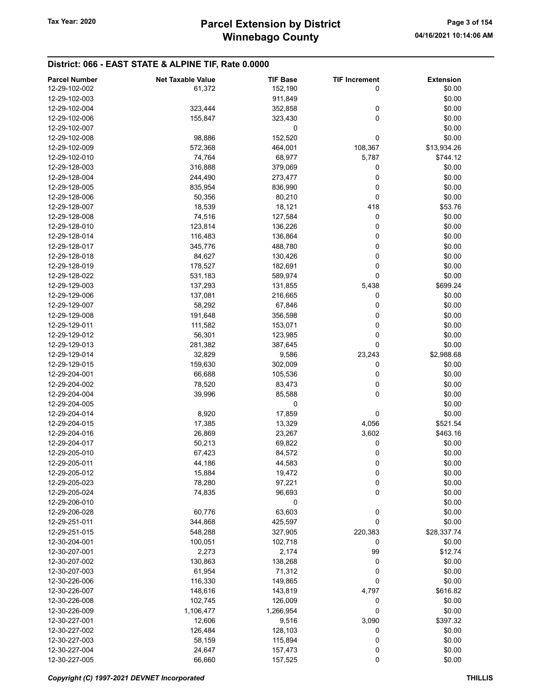#### District: 066 - EAST STATE & ALPINE TIF, Rate 0.0000

| <b>Parcel Number</b> | <b>Net Taxable Value</b> | <b>TIF Base</b> | <b>TIF Increment</b> | <b>Extension</b> |
|----------------------|--------------------------|-----------------|----------------------|------------------|
| 12-29-102-002        | 61,372                   | 152,190         | 0                    | \$0.00           |
| 12-29-102-003        |                          | 911,849         |                      | \$0.00           |
| 12-29-102-004        | 323,444                  | 352,858         | 0                    | \$0.00           |
| 12-29-102-006        | 155,847                  | 323,430         | $\mathbf 0$          | \$0.00           |
| 12-29-102-007        |                          | 0               |                      | \$0.00           |
| 12-29-102-008        | 98,886                   | 152,520         | 0                    | \$0.00           |
| 12-29-102-009        | 572,368                  | 464,001         | 108,367              | \$13,934.26      |
| 12-29-102-010        | 74,764                   | 68,977          | 5,787                | \$744.12         |
| 12-29-128-003        | 316,888                  | 379,069         | 0                    | \$0.00           |
| 12-29-128-004        | 244,490                  | 273,477         | 0                    | \$0.00           |
| 12-29-128-005        | 835,954                  | 836,990         | 0                    | \$0.00           |
| 12-29-128-006        | 50,356                   | 80,210          | 0                    | \$0.00           |
| 12-29-128-007        | 18,539                   | 18,121          | 418                  | \$53.76          |
| 12-29-128-008        | 74,516                   | 127,584         | 0                    | \$0.00           |
| 12-29-128-010        | 123,814                  | 136,226         | 0                    | \$0.00           |
| 12-29-128-014        | 116,483                  | 136,864         | 0                    | \$0.00           |
| 12-29-128-017        | 345,776                  | 488,780         | 0                    | \$0.00           |
| 12-29-128-018        | 84,627                   | 130,426         | 0                    | \$0.00           |
| 12-29-128-019        | 178,527                  | 182,691         | 0                    | \$0.00           |
| 12-29-128-022        | 531,183                  | 589,974         | 0                    | \$0.00           |
| 12-29-129-003        | 137,293                  | 131,855         | 5,438                | \$699.24         |
| 12-29-129-006        | 137,081                  | 216,665         | 0                    | \$0.00           |
| 12-29-129-007        | 58,292                   | 67,846          | 0                    | \$0.00           |
| 12-29-129-008        | 191,648                  | 356,598         | 0                    | \$0.00           |
| 12-29-129-011        | 111,582                  | 153,071         | 0                    | \$0.00           |
| 12-29-129-012        | 56,301                   | 123,985         | $\mathbf 0$          | \$0.00           |
| 12-29-129-013        | 281,382                  | 387,645         | 0                    | \$0.00           |
| 12-29-129-014        | 32,829                   | 9,586           | 23,243               | \$2,988.68       |
| 12-29-129-015        | 159,630                  | 302,009         | 0                    | \$0.00           |
| 12-29-204-001        | 66,688                   | 105,536         | 0                    | \$0.00           |
| 12-29-204-002        | 78,520                   | 83,473          | 0                    | \$0.00           |
| 12-29-204-004        | 39,996                   | 85,588          | $\mathbf 0$          | \$0.00           |
| 12-29-204-005        |                          | 0               |                      | \$0.00           |
| 12-29-204-014        | 8,920                    | 17,859          | 0                    | \$0.00           |
| 12-29-204-015        | 17,385                   | 13,329          | 4,056                | \$521.54         |
| 12-29-204-016        | 26,869                   | 23,267          | 3,602                | \$463.16         |
| 12-29-204-017        | 50,213                   | 69,822          | 0                    | \$0.00           |
| 12-29-205-010        | 67,423                   | 84,572          | 0                    | \$0.00           |
| 12-29-205-011        | 44,186                   | 44,583          | 0                    | \$0.00           |
| 12-29-205-012        | 15,884                   | 19,472          | 0                    | \$0.00           |
| 12-29-205-023        | 78,280                   | 97,221          | 0                    | \$0.00           |
| 12-29-205-024        | 74,835                   | 96,693          | 0                    | \$0.00           |
| 12-29-206-010        |                          | 0               |                      | \$0.00           |
| 12-29-206-028        | 60,776                   | 63,603          | 0                    | \$0.00           |
| 12-29-251-011        | 344,868                  | 425,597         | 0                    | \$0.00           |
| 12-29-251-015        | 548,288                  | 327,905         | 220,383              | \$28,337.74      |
| 12-30-204-001        | 100,051                  | 102,718         | 0                    | \$0.00           |
| 12-30-207-001        | 2,273                    | 2,174           | 99                   | \$12.74          |
| 12-30-207-002        | 130,863                  | 138,268         | 0                    | \$0.00           |
| 12-30-207-003        | 61,954                   | 71,312          | 0                    | \$0.00           |
| 12-30-226-006        | 116,330                  | 149,865         | 0                    | \$0.00           |
| 12-30-226-007        | 148,616                  | 143,819         | 4,797                | \$616.82         |
| 12-30-226-008        | 102,745                  | 126,009         | 0                    | \$0.00           |
| 12-30-226-009        | 1,106,477                | 1,266,954       | 0                    | \$0.00           |
| 12-30-227-001        | 12,606                   | 9,516           | 3,090                | \$397.32         |
| 12-30-227-002        | 126,484                  | 128,103         | 0                    | \$0.00           |
| 12-30-227-003        | 58,159                   | 115,894         | 0                    | \$0.00           |
| 12-30-227-004        | 24,647                   | 157,473         | 0                    | \$0.00           |
| 12-30-227-005        | 66,660                   | 157,525         | 0                    | \$0.00           |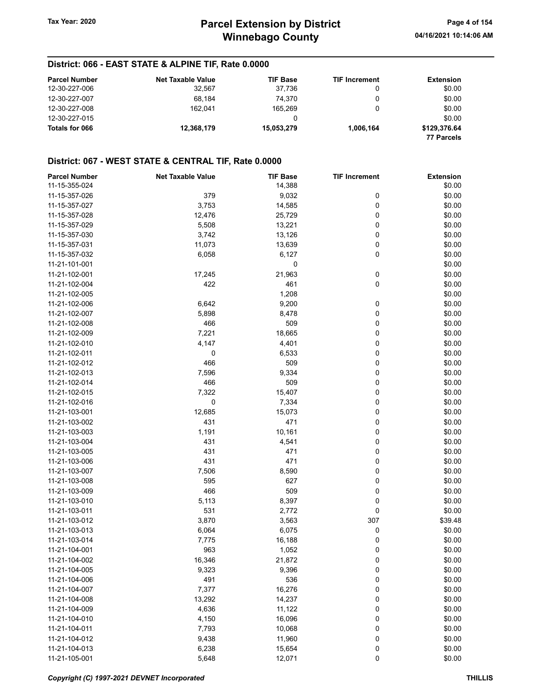#### District: 066 - EAST STATE & ALPINE TIF, Rate 0.0000

| <b>Parcel Number</b> | <b>Net Taxable Value</b> | <b>TIF Base</b> | <b>TIF Increment</b> | Extension    |
|----------------------|--------------------------|-----------------|----------------------|--------------|
| 12-30-227-006        | 32,567                   | 37.736          |                      | \$0.00       |
| 12-30-227-007        | 68.184                   | 74.370          |                      | \$0.00       |
| 12-30-227-008        | 162.041                  | 165.269         | 0                    | \$0.00       |
| 12-30-227-015        |                          | 0               |                      | \$0.00       |
| Totals for 066       | 12,368,179               | 15,053,279      | 1,006,164            | \$129,376.64 |
|                      |                          |                 |                      | 77 Parcels   |

| <b>Parcel Number</b>           | <b>Net Taxable Value</b> | <b>TIF Base</b> | <b>TIF Increment</b> | <b>Extension</b> |
|--------------------------------|--------------------------|-----------------|----------------------|------------------|
| 11-15-355-024                  |                          | 14,388          |                      | \$0.00           |
| 11-15-357-026                  | 379                      | 9,032           | 0                    | \$0.00           |
| 11-15-357-027                  | 3,753                    | 14,585          | 0                    | \$0.00           |
| 11-15-357-028                  | 12,476                   | 25,729          | 0                    | \$0.00           |
| 11-15-357-029                  | 5,508                    | 13,221          | 0                    | \$0.00           |
| 11-15-357-030                  | 3,742                    | 13,126          | 0                    | \$0.00           |
| 11-15-357-031                  | 11,073                   | 13,639          | 0                    | \$0.00           |
| 11-15-357-032                  | 6,058                    | 6,127           | 0                    | \$0.00           |
| 11-21-101-001                  |                          | 0               |                      | \$0.00           |
| 11-21-102-001                  | 17,245                   | 21,963          | 0                    | \$0.00           |
| 11-21-102-004                  | 422                      | 461             | 0                    | \$0.00           |
| 11-21-102-005                  |                          | 1,208           |                      | \$0.00           |
| 11-21-102-006                  | 6,642                    | 9,200           | 0                    | \$0.00           |
| 11-21-102-007                  | 5,898                    | 8,478           | 0                    | \$0.00           |
| 11-21-102-008                  | 466                      | 509             | 0                    | \$0.00           |
| 11-21-102-009                  | 7,221                    | 18,665          | 0                    | \$0.00           |
| 11-21-102-010                  | 4,147                    | 4,401           | 0                    | \$0.00           |
| 11-21-102-011                  | 0                        | 6,533           | 0                    | \$0.00           |
| 11-21-102-012                  | 466                      | 509             | 0                    | \$0.00           |
| 11-21-102-013                  | 7,596                    | 9,334           | 0                    | \$0.00           |
| 11-21-102-014                  | 466                      | 509             | 0                    | \$0.00           |
| 11-21-102-015                  | 7,322                    | 15,407          | 0                    | \$0.00           |
| 11-21-102-016                  | 0                        | 7,334           | 0                    | \$0.00           |
| 11-21-103-001                  | 12,685                   | 15,073          | 0                    | \$0.00           |
| 11-21-103-002                  | 431                      | 471             | 0                    | \$0.00           |
| 11-21-103-003                  | 1,191                    | 10,161          | 0                    | \$0.00           |
| 11-21-103-004                  | 431                      | 4,541           | 0                    | \$0.00           |
| 11-21-103-005                  | 431                      | 471             | 0                    | \$0.00           |
| 11-21-103-006                  | 431                      | 471             | 0                    | \$0.00           |
|                                |                          |                 |                      | \$0.00           |
| 11-21-103-007<br>11-21-103-008 | 7,506<br>595             | 8,590<br>627    | 0<br>0               | \$0.00           |
|                                |                          |                 |                      |                  |
| 11-21-103-009                  | 466                      | 509             | 0                    | \$0.00           |
| 11-21-103-010                  | 5,113                    | 8,397           | 0                    | \$0.00           |
| 11-21-103-011                  | 531                      | 2,772           | 0                    | \$0.00           |
| 11-21-103-012                  | 3,870                    | 3,563           | 307                  | \$39.48          |
| 11-21-103-013                  | 6,064                    | 6,075           | 0                    | \$0.00           |
| 11-21-103-014                  | 7,775                    | 16,188          | 0                    | \$0.00           |
| 11-21-104-001                  | 963                      | 1,052           | 0                    | \$0.00           |
| 11-21-104-002                  | 16,346                   | 21,872          | 0                    | \$0.00           |
| 11-21-104-005                  | 9,323                    | 9,396           | 0                    | \$0.00           |
| 11-21-104-006                  | 491                      | 536             | $\bf{0}$             | \$0.00           |
| 11-21-104-007                  | 7,377                    | 16,276          | $\pmb{0}$            | \$0.00           |
| 11-21-104-008                  | 13,292                   | 14,237          | 0                    | \$0.00           |
| 11-21-104-009                  | 4,636                    | 11,122          | 0                    | \$0.00           |
| 11-21-104-010                  | 4,150                    | 16,096          | 0                    | \$0.00           |
| 11-21-104-011                  | 7,793                    | 10,068          | 0                    | \$0.00           |
| 11-21-104-012                  | 9,438                    | 11,960          | 0                    | \$0.00           |
| 11-21-104-013                  | 6,238                    | 15,654          | 0                    | \$0.00           |
| 11-21-105-001                  | 5,648                    | 12,071          | 0                    | \$0.00           |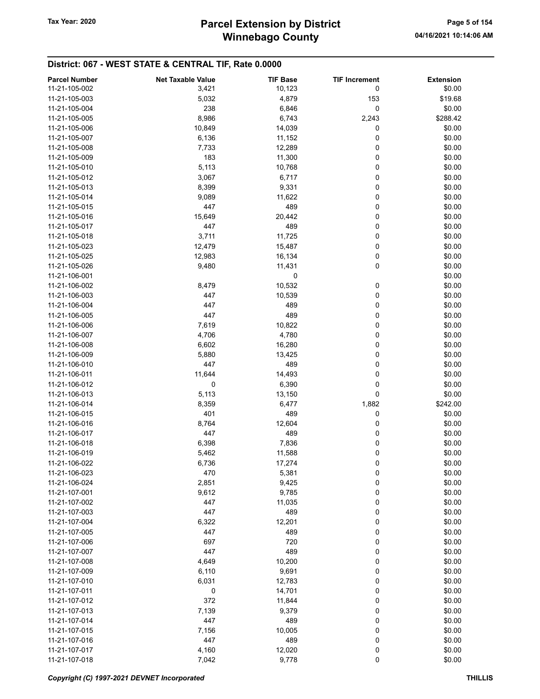# Winnebago County Tax Year: 2020 **Parcel Extension by District** Page 5 of 154

| <b>Parcel Number</b> | <b>Net Taxable Value</b> | <b>TIF Base</b> | <b>TIF Increment</b> | <b>Extension</b> |
|----------------------|--------------------------|-----------------|----------------------|------------------|
| 11-21-105-002        | 3,421                    | 10,123          | 0                    | \$0.00           |
| 11-21-105-003        | 5,032                    | 4,879           | 153                  | \$19.68          |
| 11-21-105-004        | 238                      | 6,846           | 0                    | \$0.00           |
|                      |                          |                 |                      |                  |
| 11-21-105-005        | 8,986                    | 6,743           | 2,243                | \$288.42         |
| 11-21-105-006        | 10,849                   | 14,039          | 0                    | \$0.00           |
| 11-21-105-007        | 6,136                    | 11,152          | 0                    | \$0.00           |
| 11-21-105-008        | 7,733                    | 12,289          | 0                    | \$0.00           |
| 11-21-105-009        | 183                      | 11,300          | 0                    | \$0.00           |
| 11-21-105-010        | 5,113                    | 10,768          | 0                    | \$0.00           |
| 11-21-105-012        | 3,067                    | 6,717           | 0                    | \$0.00           |
| 11-21-105-013        | 8,399                    | 9,331           | 0                    | \$0.00           |
| 11-21-105-014        | 9,089                    | 11,622          | 0                    | \$0.00           |
| 11-21-105-015        | 447                      | 489             | 0                    | \$0.00           |
| 11-21-105-016        | 15,649                   | 20,442          | 0                    | \$0.00           |
| 11-21-105-017        | 447                      | 489             | 0                    | \$0.00           |
| 11-21-105-018        | 3,711                    | 11,725          | 0                    | \$0.00           |
| 11-21-105-023        | 12,479                   | 15,487          | 0                    | \$0.00           |
| 11-21-105-025        | 12,983                   | 16,134          | 0                    | \$0.00           |
| 11-21-105-026        | 9,480                    | 11,431          | 0                    | \$0.00           |
| 11-21-106-001        |                          | 0               |                      | \$0.00           |
| 11-21-106-002        | 8,479                    | 10,532          | 0                    | \$0.00           |
| 11-21-106-003        | 447                      | 10,539          | 0                    | \$0.00           |
| 11-21-106-004        | 447                      | 489             | 0                    | \$0.00           |
| 11-21-106-005        | 447                      | 489             | 0                    | \$0.00           |
| 11-21-106-006        | 7,619                    | 10,822          | 0                    | \$0.00           |
| 11-21-106-007        | 4,706                    | 4,780           | 0                    | \$0.00           |
| 11-21-106-008        | 6,602                    | 16,280          | 0                    | \$0.00           |
| 11-21-106-009        | 5,880                    | 13,425          | 0                    | \$0.00           |
| 11-21-106-010        | 447                      | 489             | 0                    | \$0.00           |
| 11-21-106-011        | 11,644                   | 14,493          | 0                    | \$0.00           |
| 11-21-106-012        | 0                        | 6,390           | 0                    | \$0.00           |
| 11-21-106-013        | 5,113                    | 13,150          | 0                    | \$0.00           |
| 11-21-106-014        |                          |                 |                      | \$242.00         |
|                      | 8,359                    | 6,477           | 1,882                |                  |
| 11-21-106-015        | 401                      | 489             | 0                    | \$0.00           |
| 11-21-106-016        | 8,764                    | 12,604          | 0                    | \$0.00           |
| 11-21-106-017        | 447                      | 489             | 0                    | \$0.00           |
| 11-21-106-018        | 6,398                    | 7,836           | 0                    | \$0.00           |
| 11-21-106-019        | 5,462                    | 11,588          | 0                    | \$0.00           |
| 11-21-106-022        | 6,736                    | 17,274          | 0                    | \$0.00           |
| 11-21-106-023        | 470                      | 5,381           | 0                    | \$0.00           |
| 11-21-106-024        | 2,851                    | 9,425           | 0                    | \$0.00           |
| 11-21-107-001        | 9,612                    | 9,785           | 0                    | \$0.00           |
| 11-21-107-002        | 447                      | 11,035          | 0                    | \$0.00           |
| 11-21-107-003        | 447                      | 489             | 0                    | \$0.00           |
| 11-21-107-004        | 6,322                    | 12,201          | 0                    | \$0.00           |
| 11-21-107-005        | 447                      | 489             | 0                    | \$0.00           |
| 11-21-107-006        | 697                      | 720             | 0                    | \$0.00           |
| 11-21-107-007        | 447                      | 489             | 0                    | \$0.00           |
| 11-21-107-008        | 4,649                    | 10,200          | 0                    | \$0.00           |
| 11-21-107-009        | 6,110                    | 9,691           | 0                    | \$0.00           |
| 11-21-107-010        | 6,031                    | 12,783          | 0                    | \$0.00           |
| 11-21-107-011        | 0                        | 14,701          | 0                    | \$0.00           |
| 11-21-107-012        | 372                      | 11,844          | 0                    | \$0.00           |
| 11-21-107-013        | 7,139                    | 9,379           | 0                    | \$0.00           |
| 11-21-107-014        | 447                      | 489             | 0                    | \$0.00           |
| 11-21-107-015        | 7,156                    | 10,005          | 0                    | \$0.00           |
| 11-21-107-016        | 447                      | 489             | 0                    | \$0.00           |
| 11-21-107-017        | 4,160                    | 12,020          | 0                    | \$0.00           |
| 11-21-107-018        | 7,042                    | 9,778           | 0                    | \$0.00           |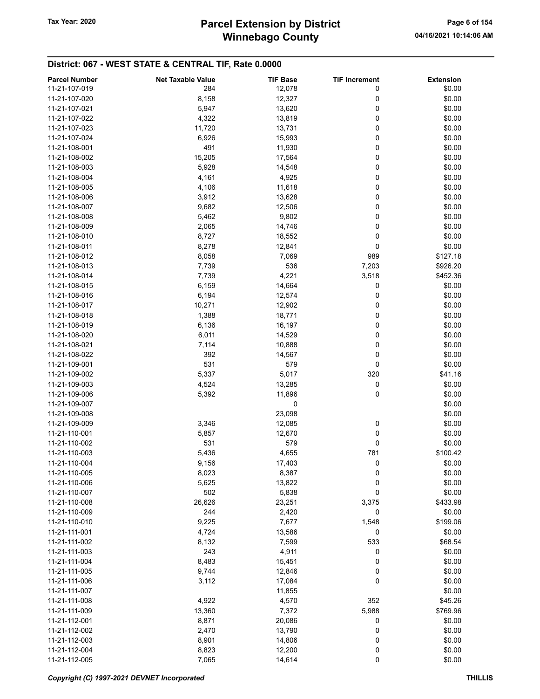# Winnebago County Tax Year: 2020 **Parcel Extension by District** Page 6 of 154

| <b>Parcel Number</b> | <b>Net Taxable Value</b> | <b>TIF Base</b> | <b>TIF Increment</b> | <b>Extension</b> |
|----------------------|--------------------------|-----------------|----------------------|------------------|
| 11-21-107-019        | 284                      | 12,078          | 0                    | \$0.00           |
| 11-21-107-020        | 8,158                    | 12,327          | 0                    | \$0.00           |
|                      |                          |                 |                      |                  |
| 11-21-107-021        | 5,947                    | 13,620          | 0                    | \$0.00           |
| 11-21-107-022        | 4,322                    | 13,819          | 0                    | \$0.00           |
| 11-21-107-023        | 11,720                   | 13,731          | 0                    | \$0.00           |
| 11-21-107-024        | 6,926                    | 15,993          | 0                    | \$0.00           |
| 11-21-108-001        | 491                      | 11,930          | 0                    | \$0.00           |
| 11-21-108-002        | 15,205                   | 17,564          | 0                    | \$0.00           |
| 11-21-108-003        | 5,928                    | 14,548          | 0                    | \$0.00           |
| 11-21-108-004        | 4,161                    | 4,925           | 0                    | \$0.00           |
| 11-21-108-005        | 4,106                    | 11,618          | 0                    | \$0.00           |
| 11-21-108-006        | 3,912                    | 13,628          | 0                    | \$0.00           |
| 11-21-108-007        | 9,682                    | 12,506          | 0                    | \$0.00           |
| 11-21-108-008        | 5,462                    | 9,802           | 0                    | \$0.00           |
| 11-21-108-009        |                          |                 | 0                    | \$0.00           |
|                      | 2,065                    | 14,746          |                      |                  |
| 11-21-108-010        | 8,727                    | 18,552          | 0                    | \$0.00           |
| 11-21-108-011        | 8,278                    | 12,841          | 0                    | \$0.00           |
| 11-21-108-012        | 8,058                    | 7,069           | 989                  | \$127.18         |
| 11-21-108-013        | 7,739                    | 536             | 7,203                | \$926.20         |
| 11-21-108-014        | 7,739                    | 4,221           | 3,518                | \$452.36         |
| 11-21-108-015        | 6,159                    | 14,664          | 0                    | \$0.00           |
| 11-21-108-016        | 6,194                    | 12,574          | 0                    | \$0.00           |
| 11-21-108-017        | 10,271                   | 12,902          | 0                    | \$0.00           |
| 11-21-108-018        | 1,388                    | 18,771          | 0                    | \$0.00           |
| 11-21-108-019        | 6,136                    | 16,197          | 0                    | \$0.00           |
| 11-21-108-020        |                          |                 | 0                    | \$0.00           |
|                      | 6,011                    | 14,529          |                      |                  |
| 11-21-108-021        | 7,114                    | 10,888          | 0                    | \$0.00           |
| 11-21-108-022        | 392                      | 14,567          | 0                    | \$0.00           |
| 11-21-109-001        | 531                      | 579             | 0                    | \$0.00           |
| 11-21-109-002        | 5,337                    | 5,017           | 320                  | \$41.16          |
| 11-21-109-003        | 4,524                    | 13,285          | 0                    | \$0.00           |
| 11-21-109-006        | 5,392                    | 11,896          | 0                    | \$0.00           |
| 11-21-109-007        |                          | 0               |                      | \$0.00           |
| 11-21-109-008        |                          | 23,098          |                      | \$0.00           |
| 11-21-109-009        | 3,346                    | 12,085          | 0                    | \$0.00           |
| 11-21-110-001        | 5,857                    | 12,670          | 0                    | \$0.00           |
| 11-21-110-002        | 531                      | 579             | 0                    | \$0.00           |
| 11-21-110-003        | 5,436                    | 4,655           | 781                  | \$100.42         |
|                      |                          |                 | 0                    | \$0.00           |
| 11-21-110-004        | 9,156                    | 17,403          |                      |                  |
| 11-21-110-005        | 8,023                    | 8,387           | 0                    | \$0.00           |
| 11-21-110-006        | 5,625                    | 13,822          | 0                    | \$0.00           |
| 11-21-110-007        | 502                      | 5,838           | 0                    | \$0.00           |
| 11-21-110-008        | 26,626                   | 23,251          | 3,375                | \$433.98         |
| 11-21-110-009        | 244                      | 2,420           | 0                    | \$0.00           |
| 11-21-110-010        | 9,225                    | 7,677           | 1,548                | \$199.06         |
| 11-21-111-001        | 4,724                    | 13,586          | 0                    | \$0.00           |
| 11-21-111-002        | 8,132                    | 7,599           | 533                  | \$68.54          |
| 11-21-111-003        | 243                      | 4,911           | 0                    | \$0.00           |
| 11-21-111-004        | 8,483                    | 15,451          | 0                    | \$0.00           |
| 11-21-111-005        | 9,744                    | 12,846          | 0                    | \$0.00           |
| 11-21-111-006        | 3,112                    | 17,084          | 0                    | \$0.00           |
| 11-21-111-007        |                          | 11,855          |                      | \$0.00           |
|                      |                          |                 | 352                  | \$45.26          |
| 11-21-111-008        | 4,922                    | 4,570           |                      |                  |
| 11-21-111-009        | 13,360                   | 7,372           | 5,988                | \$769.96         |
| 11-21-112-001        | 8,871                    | 20,086          | 0                    | \$0.00           |
| 11-21-112-002        | 2,470                    | 13,790          | 0                    | \$0.00           |
| 11-21-112-003        | 8,901                    | 14,806          | 0                    | \$0.00           |
| 11-21-112-004        | 8,823                    | 12,200          | 0                    | \$0.00           |
| 11-21-112-005        | 7,065                    | 14,614          | 0                    | \$0.00           |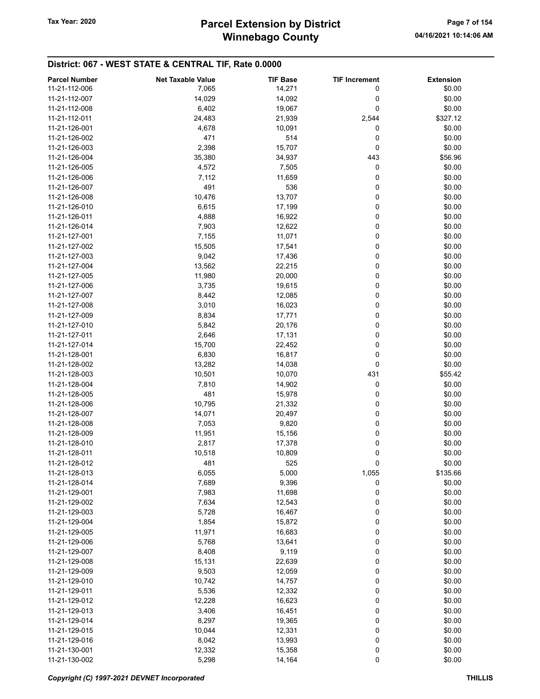# Winnebago County Tax Year: 2020 **Parcel Extension by District** Page 7 of 154

| <b>Parcel Number</b> | <b>Net Taxable Value</b> | <b>TIF Base</b> | <b>TIF Increment</b> | <b>Extension</b> |
|----------------------|--------------------------|-----------------|----------------------|------------------|
| 11-21-112-006        | 7,065                    | 14,271          | 0                    | \$0.00           |
|                      |                          |                 |                      |                  |
| 11-21-112-007        | 14,029                   | 14,092          | 0                    | \$0.00           |
| 11-21-112-008        | 6,402                    | 19,067          | 0                    | \$0.00           |
| 11-21-112-011        | 24,483                   | 21,939          | 2,544                | \$327.12         |
| 11-21-126-001        | 4,678                    | 10,091          | 0                    | \$0.00           |
| 11-21-126-002        | 471                      | 514             | 0                    | \$0.00           |
| 11-21-126-003        | 2,398                    | 15,707          | 0                    | \$0.00           |
| 11-21-126-004        | 35,380                   | 34,937          | 443                  | \$56.96          |
| 11-21-126-005        | 4,572                    | 7,505           | 0                    | \$0.00           |
| 11-21-126-006        | 7,112                    | 11,659          | 0                    | \$0.00           |
| 11-21-126-007        | 491                      | 536             | 0                    | \$0.00           |
| 11-21-126-008        | 10,476                   | 13,707          | 0                    | \$0.00           |
| 11-21-126-010        | 6,615                    |                 | 0                    | \$0.00           |
|                      |                          | 17,199          |                      |                  |
| 11-21-126-011        | 4,888                    | 16,922          | 0                    | \$0.00           |
| 11-21-126-014        | 7,903                    | 12,622          | 0                    | \$0.00           |
| 11-21-127-001        | 7,155                    | 11,071          | 0                    | \$0.00           |
| 11-21-127-002        | 15,505                   | 17,541          | 0                    | \$0.00           |
| 11-21-127-003        | 9,042                    | 17,436          | 0                    | \$0.00           |
| 11-21-127-004        | 13,562                   | 22,215          | 0                    | \$0.00           |
| 11-21-127-005        | 11,980                   | 20,000          | 0                    | \$0.00           |
| 11-21-127-006        | 3,735                    | 19,615          | 0                    | \$0.00           |
| 11-21-127-007        | 8,442                    | 12,085          | 0                    | \$0.00           |
| 11-21-127-008        | 3,010                    | 16,023          | 0                    | \$0.00           |
| 11-21-127-009        | 8,834                    | 17,771          | 0                    | \$0.00           |
|                      |                          |                 |                      |                  |
| 11-21-127-010        | 5,842                    | 20,176          | 0                    | \$0.00           |
| 11-21-127-011        | 2,646                    | 17,131          | 0                    | \$0.00           |
| 11-21-127-014        | 15,700                   | 22,452          | 0                    | \$0.00           |
| 11-21-128-001        | 6,830                    | 16,817          | 0                    | \$0.00           |
| 11-21-128-002        | 13,282                   | 14,038          | 0                    | \$0.00           |
| 11-21-128-003        | 10,501                   | 10,070          | 431                  | \$55.42          |
| 11-21-128-004        | 7,810                    | 14,902          | 0                    | \$0.00           |
| 11-21-128-005        | 481                      | 15,978          | 0                    | \$0.00           |
| 11-21-128-006        | 10,795                   | 21,332          | 0                    | \$0.00           |
| 11-21-128-007        | 14,071                   | 20,497          | 0                    | \$0.00           |
| 11-21-128-008        | 7,053                    | 9,820           | 0                    | \$0.00           |
| 11-21-128-009        | 11,951                   | 15,156          | 0                    | \$0.00           |
| 11-21-128-010        | 2,817                    | 17,378          | 0                    | \$0.00           |
| 11-21-128-011        |                          |                 |                      |                  |
|                      | 10,518                   | 10,809          | 0                    | \$0.00           |
| 11-21-128-012        | 481                      | 525             | 0                    | \$0.00           |
| 11-21-128-013        | 6,055                    | 5,000           | 1,055                | \$135.66         |
| 11-21-128-014        | 7,689                    | 9,396           | 0                    | \$0.00           |
| 11-21-129-001        | 7,983                    | 11,698          | 0                    | \$0.00           |
| 11-21-129-002        | 7,634                    | 12,543          | 0                    | \$0.00           |
| 11-21-129-003        | 5,728                    | 16,467          | 0                    | \$0.00           |
| 11-21-129-004        | 1,854                    | 15,872          | 0                    | \$0.00           |
| 11-21-129-005        | 11,971                   | 16,683          | 0                    | \$0.00           |
| 11-21-129-006        | 5,768                    | 13,641          | 0                    | \$0.00           |
| 11-21-129-007        | 8,408                    | 9,119           | 0                    | \$0.00           |
| 11-21-129-008        | 15,131                   | 22,639          | 0                    | \$0.00           |
|                      |                          |                 |                      |                  |
| 11-21-129-009        | 9,503                    | 12,059          | 0                    | \$0.00           |
| 11-21-129-010        | 10,742                   | 14,757          | 0                    | \$0.00           |
| 11-21-129-011        | 5,536                    | 12,332          | 0                    | \$0.00           |
| 11-21-129-012        | 12,228                   | 16,623          | 0                    | \$0.00           |
| 11-21-129-013        | 3,406                    | 16,451          | 0                    | \$0.00           |
| 11-21-129-014        | 8,297                    | 19,365          | 0                    | \$0.00           |
| 11-21-129-015        | 10,044                   | 12,331          | 0                    | \$0.00           |
| 11-21-129-016        | 8,042                    | 13,993          | 0                    | \$0.00           |
| 11-21-130-001        | 12,332                   | 15,358          | 0                    | \$0.00           |
| 11-21-130-002        | 5,298                    | 14,164          | 0                    | \$0.00           |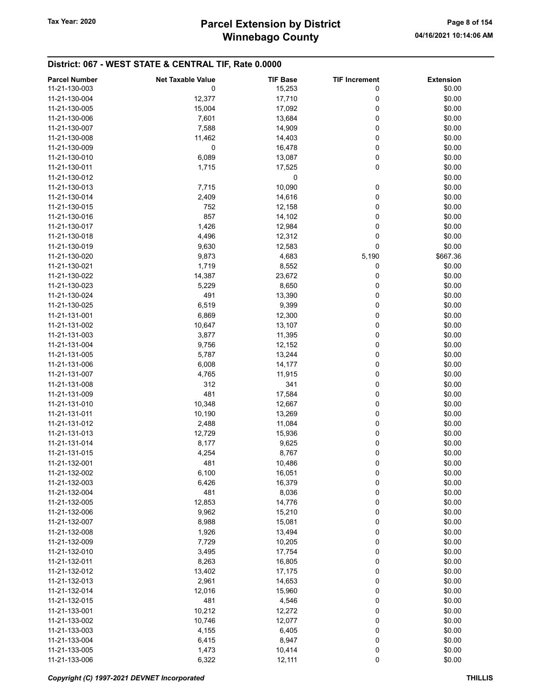# Winnebago County Tax Year: 2020 **Parcel Extension by District** Page 8 of 154

| <b>Parcel Number</b> | <b>Net Taxable Value</b> | <b>TIF Base</b> | <b>TIF Increment</b> | <b>Extension</b> |
|----------------------|--------------------------|-----------------|----------------------|------------------|
| 11-21-130-003        | 0                        | 15,253          | 0                    | \$0.00           |
| 11-21-130-004        | 12,377                   | 17,710          | 0                    | \$0.00           |
| 11-21-130-005        | 15,004                   | 17,092          | 0                    | \$0.00           |
| 11-21-130-006        |                          |                 | 0                    | \$0.00           |
|                      | 7,601                    | 13,684          |                      |                  |
| 11-21-130-007        | 7,588                    | 14,909          | 0                    | \$0.00           |
| 11-21-130-008        | 11,462                   | 14,403          | 0                    | \$0.00           |
| 11-21-130-009        | 0                        | 16,478          | 0                    | \$0.00           |
| 11-21-130-010        | 6,089                    | 13,087          | 0                    | \$0.00           |
| 11-21-130-011        | 1,715                    | 17,525          | 0                    | \$0.00           |
| 11-21-130-012        |                          | 0               |                      | \$0.00           |
| 11-21-130-013        | 7,715                    | 10,090          | 0                    | \$0.00           |
| 11-21-130-014        | 2,409                    | 14,616          | 0                    | \$0.00           |
| 11-21-130-015        | 752                      | 12,158          | 0                    | \$0.00           |
| 11-21-130-016        | 857                      | 14,102          | 0                    | \$0.00           |
| 11-21-130-017        | 1,426                    | 12,984          | 0                    | \$0.00           |
| 11-21-130-018        | 4,496                    | 12,312          | 0                    | \$0.00           |
| 11-21-130-019        | 9,630                    | 12,583          | 0                    | \$0.00           |
| 11-21-130-020        | 9,873                    | 4,683           | 5,190                | \$667.36         |
| 11-21-130-021        | 1,719                    | 8,552           | 0                    | \$0.00           |
| 11-21-130-022        | 14,387                   | 23,672          | 0                    | \$0.00           |
|                      |                          |                 |                      |                  |
| 11-21-130-023        | 5,229                    | 8,650           | 0                    | \$0.00           |
| 11-21-130-024        | 491                      | 13,390          | 0                    | \$0.00           |
| 11-21-130-025        | 6,519                    | 9,399           | 0                    | \$0.00           |
| 11-21-131-001        | 6,869                    | 12,300          | 0                    | \$0.00           |
| 11-21-131-002        | 10,647                   | 13,107          | 0                    | \$0.00           |
| 11-21-131-003        | 3,877                    | 11,395          | 0                    | \$0.00           |
| 11-21-131-004        | 9,756                    | 12,152          | 0                    | \$0.00           |
| 11-21-131-005        | 5,787                    | 13,244          | 0                    | \$0.00           |
| 11-21-131-006        | 6,008                    | 14,177          | 0                    | \$0.00           |
| 11-21-131-007        | 4,765                    | 11,915          | 0                    | \$0.00           |
| 11-21-131-008        | 312                      | 341             | 0                    | \$0.00           |
| 11-21-131-009        | 481                      | 17,584          | 0                    | \$0.00           |
| 11-21-131-010        | 10,348                   | 12,667          | 0                    | \$0.00           |
| 11-21-131-011        | 10,190                   | 13,269          | 0                    | \$0.00           |
| 11-21-131-012        | 2,488                    | 11,084          | 0                    | \$0.00           |
| 11-21-131-013        | 12,729                   | 15,936          | 0                    | \$0.00           |
| 11-21-131-014        | 8,177                    | 9,625           | 0                    | \$0.00           |
|                      |                          |                 |                      |                  |
| 11-21-131-015        | 4,254                    | 8,767           | 0                    | \$0.00           |
| 11-21-132-001        | 481                      | 10,486          | 0                    | \$0.00           |
| 11-21-132-002        | 6,100                    | 16,051          | 0                    | \$0.00           |
| 11-21-132-003        | 6,426                    | 16,379          | 0                    | \$0.00           |
| 11-21-132-004        | 481                      | 8,036           | 0                    | \$0.00           |
| 11-21-132-005        | 12,853                   | 14,776          | 0                    | \$0.00           |
| 11-21-132-006        | 9,962                    | 15,210          | 0                    | \$0.00           |
| 11-21-132-007        | 8,988                    | 15,081          | 0                    | \$0.00           |
| 11-21-132-008        | 1,926                    | 13,494          | 0                    | \$0.00           |
| 11-21-132-009        | 7,729                    | 10,205          | 0                    | \$0.00           |
| 11-21-132-010        | 3,495                    | 17,754          | 0                    | \$0.00           |
| 11-21-132-011        | 8,263                    | 16,805          | 0                    | \$0.00           |
| 11-21-132-012        | 13,402                   | 17,175          | 0                    | \$0.00           |
| 11-21-132-013        | 2,961                    | 14,653          | 0                    | \$0.00           |
| 11-21-132-014        | 12,016                   | 15,960          | 0                    | \$0.00           |
| 11-21-132-015        | 481                      | 4,546           | 0                    | \$0.00           |
| 11-21-133-001        | 10,212                   |                 | 0                    | \$0.00           |
|                      |                          | 12,272          |                      |                  |
| 11-21-133-002        | 10,746                   | 12,077          | 0                    | \$0.00           |
| 11-21-133-003        | 4,155                    | 6,405           | 0                    | \$0.00           |
| 11-21-133-004        | 6,415                    | 8,947           | 0                    | \$0.00           |
| 11-21-133-005        | 1,473                    | 10,414          | $\mathbf 0$          | \$0.00           |
| 11-21-133-006        | 6,322                    | 12,111          | $\pmb{0}$            | \$0.00           |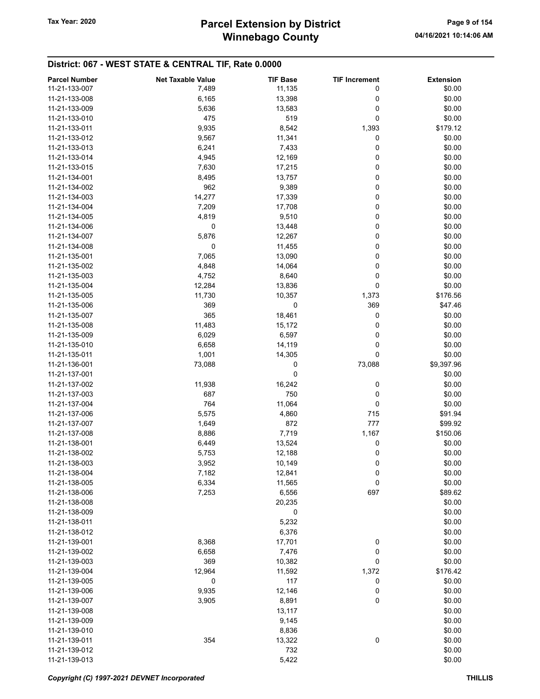| <b>Parcel Number</b> | <b>Net Taxable Value</b> | <b>TIF Base</b> | <b>TIF Increment</b> | <b>Extension</b> |
|----------------------|--------------------------|-----------------|----------------------|------------------|
| 11-21-133-007        | 7,489                    | 11,135          | 0                    | \$0.00           |
| 11-21-133-008        | 6,165                    | 13,398          | 0                    | \$0.00           |
|                      |                          |                 | 0                    | \$0.00           |
| 11-21-133-009        | 5,636                    | 13,583          |                      |                  |
| 11-21-133-010        | 475                      | 519             | 0                    | \$0.00           |
| 11-21-133-011        | 9,935                    | 8,542           | 1,393                | \$179.12         |
| 11-21-133-012        | 9,567                    | 11,341          | 0                    | \$0.00           |
| 11-21-133-013        | 6,241                    | 7,433           | 0                    | \$0.00           |
| 11-21-133-014        | 4,945                    | 12,169          | 0                    | \$0.00           |
| 11-21-133-015        | 7,630                    | 17,215          | 0                    | \$0.00           |
| 11-21-134-001        | 8,495                    | 13,757          | 0                    | \$0.00           |
| 11-21-134-002        | 962                      | 9,389           | 0                    | \$0.00           |
| 11-21-134-003        | 14,277                   | 17,339          | 0                    | \$0.00           |
| 11-21-134-004        | 7,209                    | 17,708          | 0                    | \$0.00           |
| 11-21-134-005        | 4,819                    | 9,510           | 0                    | \$0.00           |
| 11-21-134-006        | 0                        |                 | 0                    | \$0.00           |
|                      |                          | 13,448          |                      |                  |
| 11-21-134-007        | 5,876                    | 12,267          | 0                    | \$0.00           |
| 11-21-134-008        | 0                        | 11,455          | 0                    | \$0.00           |
| 11-21-135-001        | 7,065                    | 13,090          | 0                    | \$0.00           |
| 11-21-135-002        | 4,848                    | 14,064          | 0                    | \$0.00           |
| 11-21-135-003        | 4,752                    | 8,640           | 0                    | \$0.00           |
| 11-21-135-004        | 12,284                   | 13,836          | 0                    | \$0.00           |
| 11-21-135-005        | 11,730                   | 10,357          | 1,373                | \$176.56         |
| 11-21-135-006        | 369                      | 0               | 369                  | \$47.46          |
| 11-21-135-007        | 365                      | 18,461          | 0                    | \$0.00           |
| 11-21-135-008        | 11,483                   | 15,172          | 0                    | \$0.00           |
| 11-21-135-009        | 6,029                    | 6,597           | 0                    | \$0.00           |
| 11-21-135-010        | 6,658                    | 14,119          | 0                    | \$0.00           |
| 11-21-135-011        |                          |                 | 0                    | \$0.00           |
|                      | 1,001                    | 14,305          |                      |                  |
| 11-21-136-001        | 73,088                   | 0               | 73,088               | \$9,397.96       |
| 11-21-137-001        |                          | 0               |                      | \$0.00           |
| 11-21-137-002        | 11,938                   | 16,242          | 0                    | \$0.00           |
| 11-21-137-003        | 687                      | 750             | 0                    | \$0.00           |
| 11-21-137-004        | 764                      | 11,064          | 0                    | \$0.00           |
| 11-21-137-006        | 5,575                    | 4,860           | 715                  | \$91.94          |
| 11-21-137-007        | 1,649                    | 872             | 777                  | \$99.92          |
| 11-21-137-008        | 8,886                    | 7,719           | 1,167                | \$150.06         |
| 11-21-138-001        | 6,449                    | 13,524          | $\bf{0}$             | \$0.00           |
| 11-21-138-002        | 5,753                    | 12,188          | 0                    | \$0.00           |
| 11-21-138-003        | 3,952                    | 10,149          | 0                    | \$0.00           |
| 11-21-138-004        | 7,182                    | 12,841          | 0                    | \$0.00           |
| 11-21-138-005        | 6,334                    | 11,565          | 0                    | \$0.00           |
| 11-21-138-006        |                          |                 | 697                  |                  |
|                      | 7,253                    | 6,556           |                      | \$89.62          |
| 11-21-138-008        |                          | 20,235          |                      | \$0.00           |
| 11-21-138-009        |                          | 0               |                      | \$0.00           |
| 11-21-138-011        |                          | 5,232           |                      | \$0.00           |
| 11-21-138-012        |                          | 6,376           |                      | \$0.00           |
| 11-21-139-001        | 8,368                    | 17,701          | 0                    | \$0.00           |
| 11-21-139-002        | 6,658                    | 7,476           | 0                    | \$0.00           |
| 11-21-139-003        | 369                      | 10,382          | 0                    | \$0.00           |
| 11-21-139-004        | 12,964                   | 11,592          | 1,372                | \$176.42         |
| 11-21-139-005        | 0                        | 117             | 0                    | \$0.00           |
| 11-21-139-006        | 9,935                    | 12,146          | 0                    | \$0.00           |
| 11-21-139-007        | 3,905                    | 8,891           | 0                    | \$0.00           |
| 11-21-139-008        |                          | 13,117          |                      | \$0.00           |
| 11-21-139-009        |                          | 9,145           |                      | \$0.00           |
| 11-21-139-010        |                          | 8,836           |                      | \$0.00           |
| 11-21-139-011        | 354                      | 13,322          | 0                    | \$0.00           |
|                      |                          |                 |                      |                  |
| 11-21-139-012        |                          | 732             |                      | \$0.00           |
| 11-21-139-013        |                          | 5,422           |                      | \$0.00           |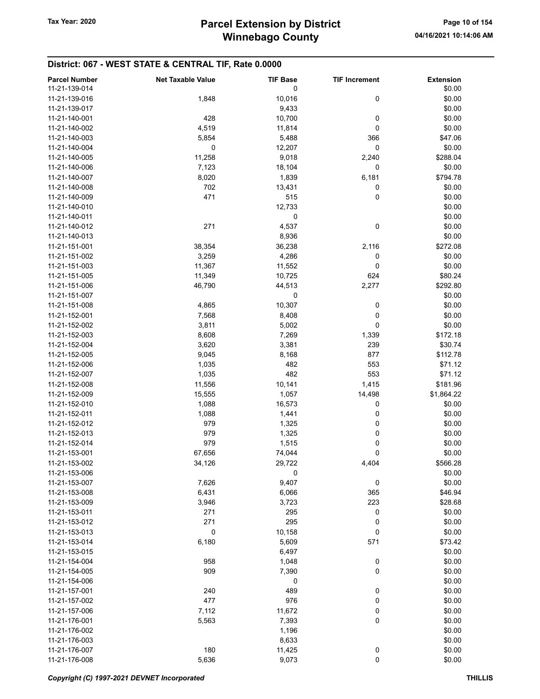| <b>Parcel Number</b><br>11-21-139-014 | <b>Net Taxable Value</b> | <b>TIF Base</b><br>0 | <b>TIF Increment</b> | <b>Extension</b><br>\$0.00 |
|---------------------------------------|--------------------------|----------------------|----------------------|----------------------------|
| 11-21-139-016                         | 1,848                    | 10,016               | 0                    | \$0.00                     |
| 11-21-139-017                         |                          | 9,433                |                      | \$0.00                     |
| 11-21-140-001                         | 428                      | 10,700               | 0                    | \$0.00                     |
| 11-21-140-002                         | 4,519                    | 11,814               | 0                    | \$0.00                     |
| 11-21-140-003                         | 5,854                    | 5,488                | 366                  | \$47.06                    |
| 11-21-140-004                         | 0                        | 12,207               | 0                    | \$0.00                     |
| 11-21-140-005                         | 11,258                   | 9,018                | 2,240                | \$288.04                   |
| 11-21-140-006                         | 7,123                    | 18,104               | 0                    | \$0.00                     |
| 11-21-140-007                         | 8,020                    | 1,839                | 6,181                | \$794.78                   |
| 11-21-140-008                         | 702                      | 13,431               | 0                    | \$0.00                     |
| 11-21-140-009                         | 471                      | 515                  | 0                    | \$0.00                     |
| 11-21-140-010                         |                          | 12,733               |                      | \$0.00                     |
| 11-21-140-011                         |                          | 0                    |                      | \$0.00                     |
| 11-21-140-012                         | 271                      | 4,537                | 0                    | \$0.00                     |
|                                       |                          |                      |                      | \$0.00                     |
| 11-21-140-013<br>11-21-151-001        |                          | 8,936                | 2,116                | \$272.08                   |
|                                       | 38,354                   | 36,238               |                      |                            |
| 11-21-151-002                         | 3,259                    | 4,286                | 0                    | \$0.00                     |
| 11-21-151-003                         | 11,367                   | 11,552               | 0                    | \$0.00                     |
| 11-21-151-005                         | 11,349                   | 10,725               | 624                  | \$80.24                    |
| 11-21-151-006                         | 46,790                   | 44,513               | 2,277                | \$292.80                   |
| 11-21-151-007                         |                          | 0                    |                      | \$0.00                     |
| 11-21-151-008                         | 4,865                    | 10,307               | 0                    | \$0.00                     |
| 11-21-152-001                         | 7,568                    | 8,408                | 0                    | \$0.00                     |
| 11-21-152-002                         | 3,811                    | 5,002                | 0                    | \$0.00                     |
| 11-21-152-003                         | 8,608                    | 7,269                | 1,339                | \$172.18                   |
| 11-21-152-004                         | 3,620                    | 3,381                | 239                  | \$30.74                    |
| 11-21-152-005                         | 9,045                    | 8,168                | 877                  | \$112.78                   |
| 11-21-152-006                         | 1,035                    | 482                  | 553                  | \$71.12                    |
| 11-21-152-007                         | 1,035                    | 482                  | 553                  | \$71.12                    |
| 11-21-152-008                         | 11,556                   | 10,141               | 1,415                | \$181.96                   |
| 11-21-152-009                         | 15,555                   | 1,057                | 14,498               | \$1,864.22                 |
| 11-21-152-010                         | 1,088                    | 16,573               | 0                    | \$0.00                     |
| 11-21-152-011                         | 1,088                    | 1,441                | 0                    | \$0.00                     |
| 11-21-152-012                         | 979                      | 1,325                | 0                    | \$0.00                     |
| 11-21-152-013                         | 979                      | 1,325                | 0                    | \$0.00                     |
| 11-21-152-014                         | 979                      | 1,515                | 0                    | \$0.00                     |
| 11-21-153-001                         | 67,656                   | 74,044               | 0                    | \$0.00                     |
| 11-21-153-002                         | 34,126                   | 29,722               | 4,404                | \$566.28                   |
| 11-21-153-006                         |                          | 0                    |                      | \$0.00                     |
| 11-21-153-007                         | 7,626                    | 9,407                | 0                    | \$0.00                     |
| 11-21-153-008                         | 6,431                    | 6,066                | 365                  | \$46.94                    |
| 11-21-153-009                         | 3,946                    | 3,723                | 223                  | \$28.68                    |
| 11-21-153-011                         | 271                      | 295                  | 0                    | \$0.00                     |
| 11-21-153-012                         | 271                      | 295                  | 0                    | \$0.00                     |
| 11-21-153-013                         | 0                        | 10,158               | 0                    | \$0.00                     |
| 11-21-153-014                         | 6,180                    | 5,609                | 571                  | \$73.42                    |
| 11-21-153-015                         |                          | 6,497                |                      | \$0.00                     |
| 11-21-154-004                         | 958                      | 1,048                | 0                    | \$0.00                     |
| 11-21-154-005                         | 909                      | 7,390                | 0                    | \$0.00                     |
| 11-21-154-006                         |                          | 0                    |                      | \$0.00                     |
| 11-21-157-001                         | 240                      | 489                  | 0                    | \$0.00                     |
| 11-21-157-002                         | 477                      | 976                  | 0                    | \$0.00                     |
| 11-21-157-006                         | 7,112                    | 11,672               | 0                    | \$0.00                     |
| 11-21-176-001                         | 5,563                    | 7,393                | 0                    | \$0.00                     |
| 11-21-176-002                         |                          | 1,196                |                      | \$0.00                     |
| 11-21-176-003                         |                          | 8,633                |                      | \$0.00                     |
| 11-21-176-007                         | 180                      | 11,425               | 0                    | \$0.00                     |
| 11-21-176-008                         | 5,636                    | 9,073                | $\mathbf 0$          | \$0.00                     |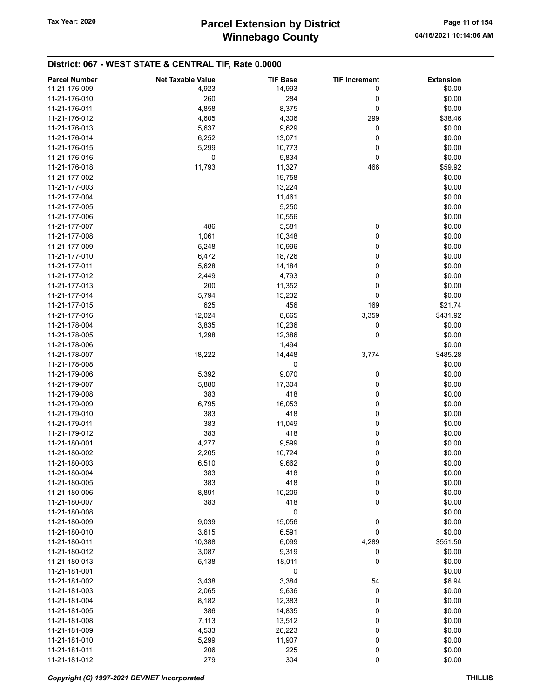| <b>Parcel Number</b> | <b>Net Taxable Value</b> | <b>TIF Base</b> | <b>TIF Increment</b> | <b>Extension</b> |
|----------------------|--------------------------|-----------------|----------------------|------------------|
| 11-21-176-009        | 4,923                    | 14,993          | 0                    | \$0.00           |
| 11-21-176-010        | 260                      | 284             | 0                    | \$0.00           |
|                      |                          |                 |                      |                  |
| 11-21-176-011        | 4,858                    | 8,375           | 0                    | \$0.00           |
| 11-21-176-012        | 4,605                    | 4,306           | 299                  | \$38.46          |
| 11-21-176-013        | 5,637                    | 9,629           | 0                    | \$0.00           |
| 11-21-176-014        | 6,252                    | 13,071          | 0                    | \$0.00           |
| 11-21-176-015        | 5,299                    | 10,773          | 0                    | \$0.00           |
| 11-21-176-016        | $\mathbf 0$              | 9,834           | 0                    | \$0.00           |
| 11-21-176-018        | 11,793                   | 11,327          | 466                  | \$59.92          |
| 11-21-177-002        |                          | 19,758          |                      | \$0.00           |
| 11-21-177-003        |                          | 13,224          |                      | \$0.00           |
|                      |                          |                 |                      | \$0.00           |
| 11-21-177-004        |                          | 11,461          |                      |                  |
| 11-21-177-005        |                          | 5,250           |                      | \$0.00           |
| 11-21-177-006        |                          | 10,556          |                      | \$0.00           |
| 11-21-177-007        | 486                      | 5,581           | 0                    | \$0.00           |
| 11-21-177-008        | 1,061                    | 10,348          | 0                    | \$0.00           |
| 11-21-177-009        | 5,248                    | 10,996          | 0                    | \$0.00           |
| 11-21-177-010        | 6,472                    | 18,726          | 0                    | \$0.00           |
| 11-21-177-011        | 5,628                    | 14,184          | 0                    | \$0.00           |
| 11-21-177-012        | 2,449                    | 4,793           | 0                    | \$0.00           |
| 11-21-177-013        | 200                      | 11,352          | 0                    | \$0.00           |
|                      |                          |                 |                      |                  |
| 11-21-177-014        | 5,794                    | 15,232          | 0                    | \$0.00           |
| 11-21-177-015        | 625                      | 456             | 169                  | \$21.74          |
| 11-21-177-016        | 12,024                   | 8,665           | 3,359                | \$431.92         |
| 11-21-178-004        | 3,835                    | 10,236          | 0                    | \$0.00           |
| 11-21-178-005        | 1,298                    | 12,386          | 0                    | \$0.00           |
| 11-21-178-006        |                          | 1,494           |                      | \$0.00           |
| 11-21-178-007        | 18,222                   | 14,448          | 3,774                | \$485.28         |
| 11-21-178-008        |                          | 0               |                      | \$0.00           |
| 11-21-179-006        | 5,392                    | 9,070           | 0                    | \$0.00           |
| 11-21-179-007        | 5,880                    | 17,304          | 0                    | \$0.00           |
|                      |                          |                 |                      |                  |
| 11-21-179-008        | 383                      | 418             | 0                    | \$0.00           |
| 11-21-179-009        | 6,795                    | 16,053          | 0                    | \$0.00           |
| 11-21-179-010        | 383                      | 418             | 0                    | \$0.00           |
| 11-21-179-011        | 383                      | 11,049          | 0                    | \$0.00           |
| 11-21-179-012        | 383                      | 418             | 0                    | \$0.00           |
| 11-21-180-001        | 4,277                    | 9,599           | 0                    | \$0.00           |
| 11-21-180-002        | 2,205                    | 10,724          | 0                    | \$0.00           |
| 11-21-180-003        | 6,510                    | 9,662           | 0                    | \$0.00           |
| 11-21-180-004        | 383                      | 418             | 0                    | \$0.00           |
| 11-21-180-005        | 383                      | 418             | 0                    | \$0.00           |
| 11-21-180-006        |                          | 10,209          |                      | \$0.00           |
|                      | 8,891                    |                 | 0                    |                  |
| 11-21-180-007        | 383                      | 418             | 0                    | \$0.00           |
| 11-21-180-008        |                          | 0               |                      | \$0.00           |
| 11-21-180-009        | 9,039                    | 15,056          | 0                    | \$0.00           |
| 11-21-180-010        | 3,615                    | 6,591           | 0                    | \$0.00           |
| 11-21-180-011        | 10,388                   | 6,099           | 4,289                | \$551.50         |
| 11-21-180-012        | 3,087                    | 9,319           | 0                    | \$0.00           |
| 11-21-180-013        | 5,138                    | 18,011          | 0                    | \$0.00           |
| 11-21-181-001        |                          | 0               |                      | \$0.00           |
| 11-21-181-002        | 3,438                    | 3,384           | 54                   | \$6.94           |
| 11-21-181-003        |                          | 9,636           |                      | \$0.00           |
|                      | 2,065                    |                 | 0                    |                  |
| 11-21-181-004        | 8,182                    | 12,383          | 0                    | \$0.00           |
| 11-21-181-005        | 386                      | 14,835          | 0                    | \$0.00           |
| 11-21-181-008        | 7,113                    | 13,512          | 0                    | \$0.00           |
| 11-21-181-009        | 4,533                    | 20,223          | 0                    | \$0.00           |
| 11-21-181-010        | 5,299                    | 11,907          | 0                    | \$0.00           |
| 11-21-181-011        | 206                      | 225             | 0                    | \$0.00           |
| 11-21-181-012        | 279                      | 304             | 0                    | \$0.00           |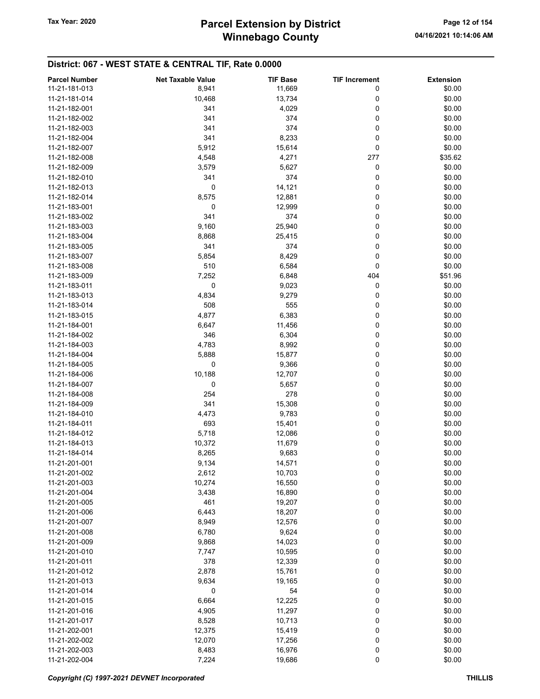# Winnebago County Tax Year: 2020 **Parcel Extension by District** Page 12 of 154

| <b>Parcel Number</b> | <b>Net Taxable Value</b> | <b>TIF Base</b> | <b>TIF Increment</b> | <b>Extension</b> |
|----------------------|--------------------------|-----------------|----------------------|------------------|
| 11-21-181-013        | 8,941                    | 11,669          | 0                    | \$0.00           |
| 11-21-181-014        | 10,468                   | 13,734          | 0                    | \$0.00           |
| 11-21-182-001        | 341                      |                 | 0                    |                  |
|                      |                          | 4,029           |                      | \$0.00           |
| 11-21-182-002        | 341                      | 374             | 0                    | \$0.00           |
| 11-21-182-003        | 341                      | 374             | 0                    | \$0.00           |
| 11-21-182-004        | 341                      | 8,233           | 0                    | \$0.00           |
| 11-21-182-007        | 5,912                    | 15,614          | 0                    | \$0.00           |
| 11-21-182-008        | 4,548                    | 4,271           | 277                  | \$35.62          |
| 11-21-182-009        | 3,579                    | 5,627           | 0                    | \$0.00           |
| 11-21-182-010        | 341                      | 374             | 0                    | \$0.00           |
| 11-21-182-013        | 0                        | 14,121          | 0                    | \$0.00           |
| 11-21-182-014        | 8,575                    | 12,881          | 0                    | \$0.00           |
| 11-21-183-001        | 0                        | 12,999          | 0                    | \$0.00           |
| 11-21-183-002        | 341                      | 374             | 0                    | \$0.00           |
| 11-21-183-003        | 9,160                    | 25,940          | 0                    | \$0.00           |
| 11-21-183-004        | 8,868                    | 25,415          | 0                    | \$0.00           |
| 11-21-183-005        | 341                      | 374             | 0                    |                  |
|                      |                          |                 |                      | \$0.00           |
| 11-21-183-007        | 5,854                    | 8,429           | 0                    | \$0.00           |
| 11-21-183-008        | 510                      | 6,584           | 0                    | \$0.00           |
| 11-21-183-009        | 7,252                    | 6,848           | 404                  | \$51.96          |
| 11-21-183-011        | 0                        | 9,023           | 0                    | \$0.00           |
| 11-21-183-013        | 4,834                    | 9,279           | 0                    | \$0.00           |
| 11-21-183-014        | 508                      | 555             | 0                    | \$0.00           |
| 11-21-183-015        | 4,877                    | 6,383           | 0                    | \$0.00           |
| 11-21-184-001        | 6,647                    | 11,456          | 0                    | \$0.00           |
| 11-21-184-002        | 346                      | 6,304           | 0                    | \$0.00           |
| 11-21-184-003        | 4,783                    | 8,992           | 0                    | \$0.00           |
| 11-21-184-004        | 5,888                    | 15,877          | 0                    | \$0.00           |
| 11-21-184-005        | 0                        | 9,366           | 0                    | \$0.00           |
| 11-21-184-006        | 10,188                   | 12,707          | 0                    | \$0.00           |
| 11-21-184-007        | 0                        | 5,657           | 0                    | \$0.00           |
| 11-21-184-008        | 254                      | 278             | 0                    |                  |
|                      |                          |                 |                      | \$0.00           |
| 11-21-184-009        | 341                      | 15,308          | 0                    | \$0.00           |
| 11-21-184-010        | 4,473                    | 9,783           | 0                    | \$0.00           |
| 11-21-184-011        | 693                      | 15,401          | 0                    | \$0.00           |
| 11-21-184-012        | 5,718                    | 12,086          | 0                    | \$0.00           |
| 11-21-184-013        | 10,372                   | 11,679          | 0                    | \$0.00           |
| 11-21-184-014        | 8,265                    | 9,683           | 0                    | \$0.00           |
| 11-21-201-001        | 9,134                    | 14,571          | 0                    | \$0.00           |
| 11-21-201-002        | 2,612                    | 10,703          | 0                    | \$0.00           |
| 11-21-201-003        | 10,274                   | 16,550          | 0                    | \$0.00           |
| 11-21-201-004        | 3,438                    | 16,890          | 0                    | \$0.00           |
| 11-21-201-005        | 461                      | 19,207          | 0                    | \$0.00           |
| 11-21-201-006        | 6,443                    | 18,207          | 0                    | \$0.00           |
| 11-21-201-007        | 8,949                    | 12,576          | 0                    | \$0.00           |
| 11-21-201-008        | 6,780                    | 9,624           | 0                    | \$0.00           |
|                      |                          |                 |                      |                  |
| 11-21-201-009        | 9,868                    | 14,023          | 0                    | \$0.00           |
| 11-21-201-010        | 7,747                    | 10,595          | 0                    | \$0.00           |
| 11-21-201-011        | 378                      | 12,339          | 0                    | \$0.00           |
| 11-21-201-012        | 2,878                    | 15,761          | 0                    | \$0.00           |
| 11-21-201-013        | 9,634                    | 19,165          | 0                    | \$0.00           |
| 11-21-201-014        | 0                        | 54              | 0                    | \$0.00           |
| 11-21-201-015        | 6,664                    | 12,225          | 0                    | \$0.00           |
| 11-21-201-016        | 4,905                    | 11,297          | 0                    | \$0.00           |
| 11-21-201-017        | 8,528                    | 10,713          | 0                    | \$0.00           |
| 11-21-202-001        | 12,375                   | 15,419          | 0                    | \$0.00           |
| 11-21-202-002        | 12,070                   | 17,256          | 0                    | \$0.00           |
| 11-21-202-003        | 8,483                    | 16,976          | 0                    | \$0.00           |
| 11-21-202-004        | 7,224                    | 19,686          | $\mathbf 0$          | \$0.00           |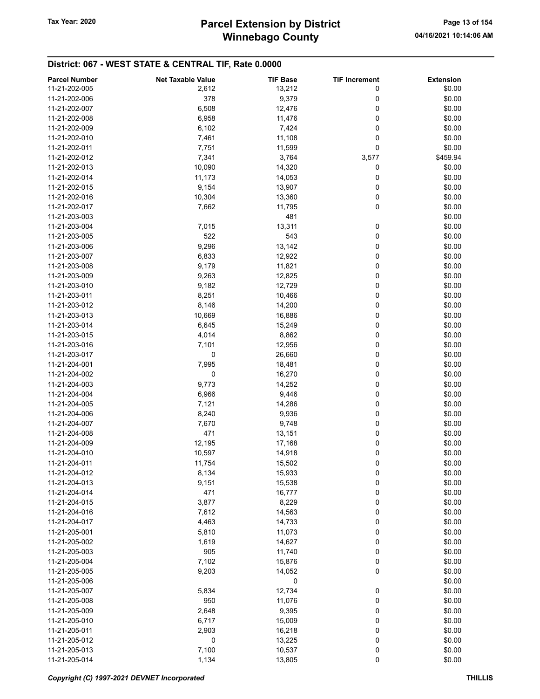| <b>Parcel Number</b> | <b>Net Taxable Value</b> | <b>TIF Base</b> | <b>TIF Increment</b> | <b>Extension</b> |
|----------------------|--------------------------|-----------------|----------------------|------------------|
| 11-21-202-005        | 2,612                    | 13,212          | 0                    | \$0.00           |
| 11-21-202-006        | 378                      | 9,379           | 0                    | \$0.00           |
| 11-21-202-007        | 6,508                    | 12,476          | 0                    | \$0.00           |
| 11-21-202-008        | 6,958                    | 11,476          | 0                    | \$0.00           |
| 11-21-202-009        | 6,102                    | 7,424           | 0                    | \$0.00           |
| 11-21-202-010        |                          |                 |                      |                  |
|                      | 7,461                    | 11,108          | 0                    | \$0.00           |
| 11-21-202-011        | 7,751                    | 11,599          | 0                    | \$0.00           |
| 11-21-202-012        | 7,341                    | 3,764           | 3,577                | \$459.94         |
| 11-21-202-013        | 10,090                   | 14,320          | 0                    | \$0.00           |
| 11-21-202-014        | 11,173                   | 14,053          | 0                    | \$0.00           |
| 11-21-202-015        | 9,154                    | 13,907          | 0                    | \$0.00           |
| 11-21-202-016        | 10,304                   | 13,360          | 0                    | \$0.00           |
| 11-21-202-017        | 7,662                    | 11,795          | 0                    | \$0.00           |
| 11-21-203-003        |                          | 481             |                      | \$0.00           |
| 11-21-203-004        | 7,015                    | 13,311          | 0                    | \$0.00           |
| 11-21-203-005        | 522                      | 543             | 0                    | \$0.00           |
| 11-21-203-006        | 9,296                    | 13,142          | 0                    | \$0.00           |
| 11-21-203-007        | 6,833                    | 12,922          | 0                    | \$0.00           |
| 11-21-203-008        | 9,179                    | 11,821          | 0                    | \$0.00           |
| 11-21-203-009        | 9,263                    | 12,825          | 0                    | \$0.00           |
| 11-21-203-010        | 9,182                    | 12,729          | 0                    | \$0.00           |
| 11-21-203-011        | 8,251                    | 10,466          | 0                    | \$0.00           |
| 11-21-203-012        | 8,146                    | 14,200          | 0                    | \$0.00           |
| 11-21-203-013        | 10,669                   | 16,886          | 0                    | \$0.00           |
| 11-21-203-014        | 6,645                    | 15,249          | 0                    | \$0.00           |
| 11-21-203-015        | 4,014                    | 8,862           | 0                    | \$0.00           |
| 11-21-203-016        | 7,101                    | 12,956          | 0                    | \$0.00           |
| 11-21-203-017        | 0                        | 26,660          | 0                    | \$0.00           |
| 11-21-204-001        | 7,995                    | 18,481          | 0                    | \$0.00           |
| 11-21-204-002        | 0                        | 16,270          | 0                    | \$0.00           |
| 11-21-204-003        | 9,773                    | 14,252          | 0                    | \$0.00           |
|                      |                          |                 | 0                    | \$0.00           |
| 11-21-204-004        | 6,966                    | 9,446           |                      |                  |
| 11-21-204-005        | 7,121                    | 14,286          | 0                    | \$0.00           |
| 11-21-204-006        | 8,240                    | 9,936           | 0                    | \$0.00           |
| 11-21-204-007        | 7,670                    | 9,748           | 0                    | \$0.00           |
| 11-21-204-008        | 471                      | 13,151          | 0                    | \$0.00           |
| 11-21-204-009        | 12,195                   | 17,168          | 0                    | \$0.00           |
| 11-21-204-010        | 10,597                   | 14,918          | 0                    | \$0.00           |
| 11-21-204-011        | 11,754                   | 15,502          | 0                    | \$0.00           |
| 11-21-204-012        | 8,134                    | 15,933          | 0                    | \$0.00           |
| 11-21-204-013        | 9,151                    | 15,538          | 0                    | \$0.00           |
| 11-21-204-014        | 471                      | 16,777          | 0                    | \$0.00           |
| 11-21-204-015        | 3,877                    | 8,229           | 0                    | \$0.00           |
| 11-21-204-016        | 7,612                    | 14,563          | 0                    | \$0.00           |
| 11-21-204-017        | 4,463                    | 14,733          | 0                    | \$0.00           |
| 11-21-205-001        | 5,810                    | 11,073          | 0                    | \$0.00           |
| 11-21-205-002        | 1,619                    | 14,627          | 0                    | \$0.00           |
| 11-21-205-003        | 905                      | 11,740          | 0                    | \$0.00           |
| 11-21-205-004        | 7,102                    | 15,876          | 0                    | \$0.00           |
| 11-21-205-005        | 9,203                    | 14,052          | 0                    | \$0.00           |
| 11-21-205-006        |                          | 0               |                      | \$0.00           |
| 11-21-205-007        | 5,834                    | 12,734          | 0                    | \$0.00           |
| 11-21-205-008        | 950                      | 11,076          | 0                    | \$0.00           |
| 11-21-205-009        | 2,648                    | 9,395           | 0                    | \$0.00           |
| 11-21-205-010        | 6,717                    | 15,009          | 0                    | \$0.00           |
| 11-21-205-011        | 2,903                    | 16,218          | 0                    | \$0.00           |
| 11-21-205-012        | 0                        | 13,225          | 0                    | \$0.00           |
| 11-21-205-013        | 7,100                    | 10,537          | 0                    | \$0.00           |
| 11-21-205-014        | 1,134                    | 13,805          | 0                    | \$0.00           |
|                      |                          |                 |                      |                  |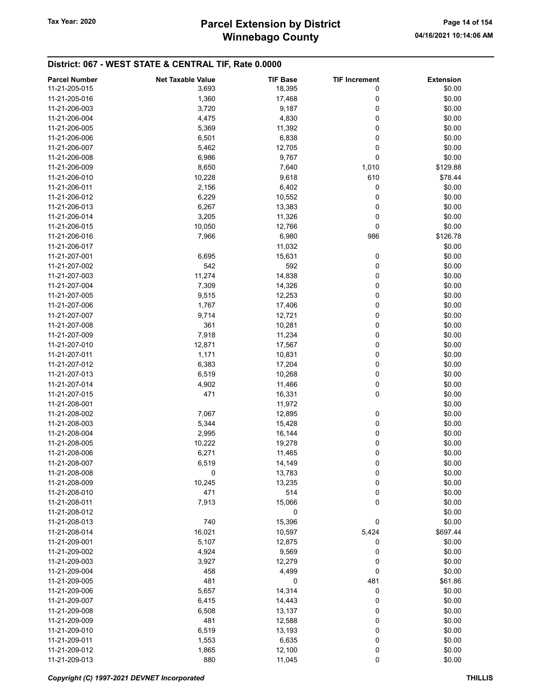# Winnebago County Tax Year: 2020 **Parcel Extension by District** Page 14 of 154

| <b>Parcel Number</b> | <b>Net Taxable Value</b> | <b>TIF Base</b> | <b>TIF Increment</b> | <b>Extension</b> |
|----------------------|--------------------------|-----------------|----------------------|------------------|
| 11-21-205-015        | 3,693                    | 18,395          | 0                    | \$0.00           |
| 11-21-205-016        | 1,360                    | 17,468          | 0                    | \$0.00           |
| 11-21-206-003        | 3,720                    | 9,187           | 0                    | \$0.00           |
| 11-21-206-004        | 4,475                    | 4,830           | 0                    | \$0.00           |
| 11-21-206-005        | 5,369                    | 11,392          | 0                    | \$0.00           |
| 11-21-206-006        |                          |                 | 0                    | \$0.00           |
|                      | 6,501                    | 6,838           | 0                    |                  |
| 11-21-206-007        | 5,462                    | 12,705          |                      | \$0.00           |
| 11-21-206-008        | 6,986                    | 9,767           | 0                    | \$0.00           |
| 11-21-206-009        | 8,650                    | 7,640           | 1,010                | \$129.88         |
| 11-21-206-010        | 10,228                   | 9,618           | 610                  | \$78.44          |
| 11-21-206-011        | 2,156                    | 6,402           | 0                    | \$0.00           |
| 11-21-206-012        | 6,229                    | 10,552          | 0                    | \$0.00           |
| 11-21-206-013        | 6,267                    | 13,383          | 0                    | \$0.00           |
| 11-21-206-014        | 3,205                    | 11,326          | 0                    | \$0.00           |
| 11-21-206-015        | 10,050                   | 12,766          | 0                    | \$0.00           |
| 11-21-206-016        | 7,966                    | 6,980           | 986                  | \$126.78         |
| 11-21-206-017        |                          | 11,032          |                      | \$0.00           |
| 11-21-207-001        | 6,695                    | 15,631          | 0                    | \$0.00           |
| 11-21-207-002        | 542                      | 592             | 0                    | \$0.00           |
| 11-21-207-003        | 11,274                   | 14,838          | 0                    | \$0.00           |
| 11-21-207-004        | 7,309                    | 14,326          | 0                    | \$0.00           |
| 11-21-207-005        | 9,515                    | 12,253          | 0                    | \$0.00           |
| 11-21-207-006        | 1,767                    | 17,406          | 0                    | \$0.00           |
| 11-21-207-007        | 9,714                    | 12,721          | 0                    | \$0.00           |
| 11-21-207-008        | 361                      | 10,281          | 0                    | \$0.00           |
| 11-21-207-009        | 7,918                    | 11,234          | 0                    | \$0.00           |
| 11-21-207-010        | 12,871                   | 17,567          | 0                    | \$0.00           |
| 11-21-207-011        | 1,171                    | 10,831          | 0                    | \$0.00           |
| 11-21-207-012        | 6,383                    | 17,204          | 0                    | \$0.00           |
| 11-21-207-013        | 6,519                    | 10,268          | 0                    | \$0.00           |
| 11-21-207-014        | 4,902                    | 11,466          | 0                    | \$0.00           |
| 11-21-207-015        | 471                      | 16,331          | 0                    | \$0.00           |
| 11-21-208-001        |                          | 11,972          |                      | \$0.00           |
| 11-21-208-002        |                          |                 | 0                    | \$0.00           |
|                      | 7,067                    | 12,895          |                      |                  |
| 11-21-208-003        | 5,344                    | 15,428          | 0                    | \$0.00           |
| 11-21-208-004        | 2,995                    | 16,144          | 0                    | \$0.00           |
| 11-21-208-005        | 10,222                   | 19,278          | 0                    | \$0.00           |
| 11-21-208-006        | 6,271                    | 11,465          | 0                    | \$0.00           |
| 11-21-208-007        | 6,519                    | 14,149          | 0                    | \$0.00           |
| 11-21-208-008        | 0                        | 13,783          | 0                    | \$0.00           |
| 11-21-208-009        | 10,245                   | 13,235          | 0                    | \$0.00           |
| 11-21-208-010        | 471                      | 514             | 0                    | \$0.00           |
| 11-21-208-011        | 7,913                    | 15,066          | 0                    | \$0.00           |
| 11-21-208-012        |                          | 0               |                      | \$0.00           |
| 11-21-208-013        | 740                      | 15,396          | 0                    | \$0.00           |
| 11-21-208-014        | 16,021                   | 10,597          | 5,424                | \$697.44         |
| 11-21-209-001        | 5,107                    | 12,875          | 0                    | \$0.00           |
| 11-21-209-002        | 4,924                    | 9,569           | 0                    | \$0.00           |
| 11-21-209-003        | 3,927                    | 12,279          | 0                    | \$0.00           |
| 11-21-209-004        | 458                      | 4,499           | 0                    | \$0.00           |
| 11-21-209-005        | 481                      | 0               | 481                  | \$61.86          |
| 11-21-209-006        | 5,657                    | 14,314          | 0                    | \$0.00           |
| 11-21-209-007        | 6,415                    | 14,443          | 0                    | \$0.00           |
| 11-21-209-008        | 6,508                    | 13,137          | 0                    | \$0.00           |
| 11-21-209-009        | 481                      | 12,588          | 0                    | \$0.00           |
| 11-21-209-010        | 6,519                    | 13,193          | 0                    | \$0.00           |
| 11-21-209-011        | 1,553                    | 6,635           | 0                    | \$0.00           |
| 11-21-209-012        | 1,865                    | 12,100          | 0                    | \$0.00           |
| 11-21-209-013        | 880                      | 11,045          | 0                    | \$0.00           |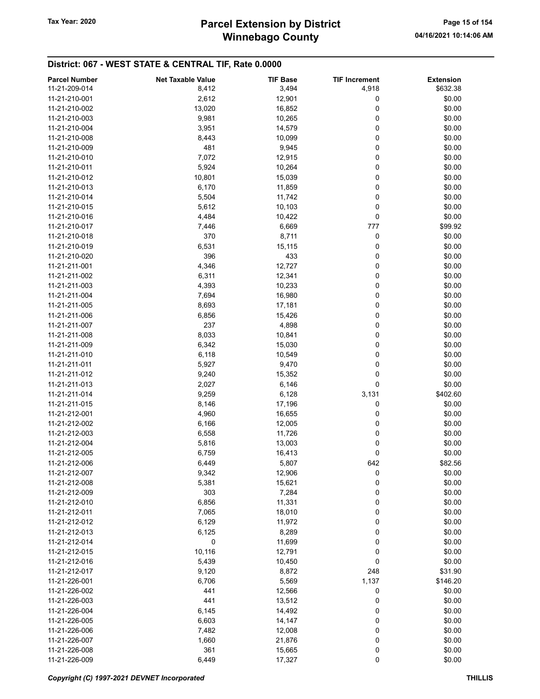# Winnebago County Tax Year: 2020 **Parcel Extension by District** Page 15 of 154

| <b>Parcel Number</b> | <b>Net Taxable Value</b> | <b>TIF Base</b> | <b>TIF Increment</b> | <b>Extension</b> |
|----------------------|--------------------------|-----------------|----------------------|------------------|
| 11-21-209-014        | 8,412                    | 3,494           | 4,918                | \$632.38         |
| 11-21-210-001        | 2,612                    | 12,901          | 0                    | \$0.00           |
| 11-21-210-002        | 13,020                   | 16,852          | 0                    | \$0.00           |
| 11-21-210-003        | 9,981                    | 10,265          | 0                    | \$0.00           |
| 11-21-210-004        |                          |                 | 0                    | \$0.00           |
|                      | 3,951                    | 14,579          |                      |                  |
| 11-21-210-008        | 8,443                    | 10,099          | 0                    | \$0.00           |
| 11-21-210-009        | 481                      | 9,945           | 0                    | \$0.00           |
| 11-21-210-010        | 7,072                    | 12,915          | 0                    | \$0.00           |
| 11-21-210-011        | 5,924                    | 10,264          | 0                    | \$0.00           |
| 11-21-210-012        | 10,801                   | 15,039          | 0                    | \$0.00           |
| 11-21-210-013        | 6,170                    | 11,859          | 0                    | \$0.00           |
| 11-21-210-014        | 5,504                    | 11,742          | 0                    | \$0.00           |
| 11-21-210-015        | 5,612                    | 10,103          | 0                    | \$0.00           |
| 11-21-210-016        | 4,484                    | 10,422          | 0                    | \$0.00           |
| 11-21-210-017        | 7,446                    | 6,669           | 777                  | \$99.92          |
| 11-21-210-018        | 370                      | 8,711           | 0                    | \$0.00           |
| 11-21-210-019        | 6,531                    | 15,115          | 0                    | \$0.00           |
| 11-21-210-020        | 396                      | 433             | 0                    | \$0.00           |
| 11-21-211-001        | 4,346                    | 12,727          | 0                    | \$0.00           |
| 11-21-211-002        | 6,311                    | 12,341          | 0                    | \$0.00           |
| 11-21-211-003        | 4,393                    | 10,233          | 0                    | \$0.00           |
| 11-21-211-004        | 7,694                    | 16,980          | 0                    | \$0.00           |
| 11-21-211-005        | 8,693                    | 17,181          | 0                    | \$0.00           |
| 11-21-211-006        | 6,856                    | 15,426          | 0                    | \$0.00           |
| 11-21-211-007        | 237                      | 4,898           | 0                    | \$0.00           |
| 11-21-211-008        | 8,033                    | 10,841          | 0                    | \$0.00           |
| 11-21-211-009        | 6,342                    | 15,030          | 0                    | \$0.00           |
| 11-21-211-010        |                          |                 | 0                    |                  |
|                      | 6,118                    | 10,549          | 0                    | \$0.00           |
| 11-21-211-011        | 5,927                    | 9,470           |                      | \$0.00           |
| 11-21-211-012        | 9,240                    | 15,352          | 0                    | \$0.00           |
| 11-21-211-013        | 2,027                    | 6,146           | 0                    | \$0.00           |
| 11-21-211-014        | 9,259                    | 6,128           | 3,131                | \$402.60         |
| 11-21-211-015        | 8,146                    | 17,196          | 0                    | \$0.00           |
| 11-21-212-001        | 4,960                    | 16,655          | 0                    | \$0.00           |
| 11-21-212-002        | 6,166                    | 12,005          | 0                    | \$0.00           |
| 11-21-212-003        | 6,558                    | 11,726          | 0                    | \$0.00           |
| 11-21-212-004        | 5,816                    | 13,003          | 0                    | \$0.00           |
| 11-21-212-005        | 6,759                    | 16,413          | 0                    | \$0.00           |
| 11-21-212-006        | 6,449                    | 5,807           | 642                  | \$82.56          |
| 11-21-212-007        | 9,342                    | 12,906          | 0                    | \$0.00           |
| 11-21-212-008        | 5,381                    | 15,621          | 0                    | \$0.00           |
| 11-21-212-009        | 303                      | 7,284           | 0                    | \$0.00           |
| 11-21-212-010        | 6,856                    | 11,331          | 0                    | \$0.00           |
| 11-21-212-011        | 7,065                    | 18,010          | 0                    | \$0.00           |
| 11-21-212-012        | 6,129                    | 11,972          | 0                    | \$0.00           |
| 11-21-212-013        | 6,125                    | 8,289           | 0                    | \$0.00           |
| 11-21-212-014        | 0                        | 11,699          | 0                    | \$0.00           |
| 11-21-212-015        | 10,116                   | 12,791          | 0                    | \$0.00           |
| 11-21-212-016        | 5,439                    | 10,450          | 0                    | \$0.00           |
| 11-21-212-017        | 9,120                    | 8,872           | 248                  | \$31.90          |
| 11-21-226-001        | 6,706                    | 5,569           | 1,137                | \$146.20         |
| 11-21-226-002        | 441                      | 12,566          | 0                    | \$0.00           |
| 11-21-226-003        | 441                      | 13,512          | 0                    | \$0.00           |
| 11-21-226-004        | 6,145                    | 14,492          | 0                    | \$0.00           |
| 11-21-226-005        |                          |                 |                      | \$0.00           |
|                      | 6,603                    | 14,147          | 0                    |                  |
| 11-21-226-006        | 7,482                    | 12,008          | 0                    | \$0.00           |
| 11-21-226-007        | 1,660                    | 21,876          | 0                    | \$0.00           |
| 11-21-226-008        | 361                      | 15,665          | 0                    | \$0.00           |
| 11-21-226-009        | 6,449                    | 17,327          | 0                    | \$0.00           |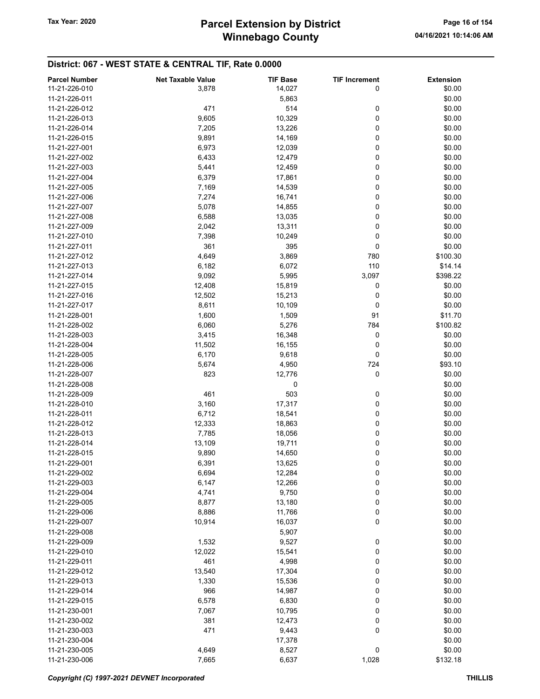| 11-21-226-010<br>14,027<br>3,878<br>0<br>\$0.00<br>\$0.00<br>11-21-226-011<br>5,863<br>514<br>11-21-226-012<br>471<br>0<br>\$0.00<br>10,329<br>0<br>\$0.00<br>11-21-226-013<br>9,605<br>0<br>\$0.00<br>11-21-226-014<br>7,205<br>13,226<br>0<br>\$0.00<br>11-21-226-015<br>9,891<br>14,169<br>0<br>6,973<br>12,039<br>\$0.00<br>11-21-227-001<br>11-21-227-002<br>6,433<br>0<br>\$0.00<br>12,479<br>0<br>11-21-227-003<br>5,441<br>12,459<br>\$0.00<br>0<br>11-21-227-004<br>6,379<br>17,861<br>\$0.00<br>0<br>14,539<br>\$0.00<br>11-21-227-005<br>7,169<br>0<br>11-21-227-006<br>7,274<br>16,741<br>\$0.00<br>\$0.00<br>11-21-227-007<br>5,078<br>14,855<br>0<br>\$0.00<br>11-21-227-008<br>6,588<br>13,035<br>0<br>0<br>\$0.00<br>11-21-227-009<br>13,311<br>2,042<br>0<br>11-21-227-010<br>7,398<br>10,249<br>\$0.00<br>361<br>395<br>0<br>\$0.00<br>11-21-227-011<br>3,869<br>\$100.30<br>11-21-227-012<br>4,649<br>780<br>6,072<br>110<br>\$14.14<br>11-21-227-013<br>6,182<br>11-21-227-014<br>9,092<br>5,995<br>3,097<br>\$398.22<br>11-21-227-015<br>12,408<br>15,819<br>0<br>\$0.00<br>12,502<br>0<br>\$0.00<br>11-21-227-016<br>15,213<br>8,611<br>11-21-227-017<br>10,109<br>0<br>\$0.00<br>11-21-228-001<br>1,600<br>1,509<br>91<br>\$11.70<br>11-21-228-002<br>6,060<br>5,276<br>784<br>\$100.82<br>11-21-228-003<br>3,415<br>16,348<br>0<br>\$0.00<br>0<br>11-21-228-004<br>11,502<br>16,155<br>\$0.00<br>11-21-228-005<br>6,170<br>9,618<br>0<br>\$0.00<br>5,674<br>724<br>\$93.10<br>11-21-228-006<br>4,950<br>0<br>11-21-228-007<br>823<br>12,776<br>\$0.00<br>\$0.00<br>11-21-228-008<br>0<br>11-21-228-009<br>461<br>503<br>0<br>\$0.00<br>11-21-228-010<br>3,160<br>17,317<br>0<br>\$0.00<br>\$0.00<br>11-21-228-011<br>6,712<br>18,541<br>0<br>12,333<br>\$0.00<br>11-21-228-012<br>18,863<br>0<br>7,785<br>0<br>\$0.00<br>11-21-228-013<br>18,056<br>11-21-228-014<br>13,109<br>19,711<br>0<br>\$0.00<br>0<br>11-21-228-015<br>9,890<br>14,650<br>\$0.00<br>0<br>\$0.00<br>11-21-229-001<br>6,391<br>13,625<br>\$0.00<br>11-21-229-002<br>6,694<br>0<br>12,284<br>0<br>\$0.00<br>11-21-229-003<br>6,147<br>12,266<br>\$0.00<br>11-21-229-004<br>4,741<br>9,750<br>0<br>11-21-229-005<br>8,877<br>13,180<br>0<br>\$0.00<br>0<br>11-21-229-006<br>8,886<br>11,766<br>\$0.00<br>0<br>11-21-229-007<br>10,914<br>16,037<br>\$0.00<br>11-21-229-008<br>5,907<br>\$0.00<br>11-21-229-009<br>1,532<br>9,527<br>0<br>\$0.00<br>0<br>\$0.00<br>11-21-229-010<br>12,022<br>15,541<br>11-21-229-011<br>461<br>4,998<br>0<br>\$0.00<br>11-21-229-012<br>13,540<br>17,304<br>0<br>\$0.00<br>\$0.00<br>11-21-229-013<br>1,330<br>15,536<br>0<br>0<br>\$0.00<br>11-21-229-014<br>966<br>14,987<br>0<br>11-21-229-015<br>6,578<br>6,830<br>\$0.00<br>0<br>7,067<br>10,795<br>\$0.00<br>11-21-230-001<br>\$0.00<br>11-21-230-002<br>381<br>12,473<br>0<br>0<br>11-21-230-003<br>471<br>9,443<br>\$0.00<br>11-21-230-004<br>\$0.00<br>17,378<br>4,649<br>0<br>11-21-230-005<br>8,527<br>\$0.00<br>1,028<br>11-21-230-006<br>7,665<br>6,637<br>\$132.18 | <b>Parcel Number</b> | <b>Net Taxable Value</b> | <b>TIF Base</b> | <b>TIF Increment</b> | <b>Extension</b> |
|-------------------------------------------------------------------------------------------------------------------------------------------------------------------------------------------------------------------------------------------------------------------------------------------------------------------------------------------------------------------------------------------------------------------------------------------------------------------------------------------------------------------------------------------------------------------------------------------------------------------------------------------------------------------------------------------------------------------------------------------------------------------------------------------------------------------------------------------------------------------------------------------------------------------------------------------------------------------------------------------------------------------------------------------------------------------------------------------------------------------------------------------------------------------------------------------------------------------------------------------------------------------------------------------------------------------------------------------------------------------------------------------------------------------------------------------------------------------------------------------------------------------------------------------------------------------------------------------------------------------------------------------------------------------------------------------------------------------------------------------------------------------------------------------------------------------------------------------------------------------------------------------------------------------------------------------------------------------------------------------------------------------------------------------------------------------------------------------------------------------------------------------------------------------------------------------------------------------------------------------------------------------------------------------------------------------------------------------------------------------------------------------------------------------------------------------------------------------------------------------------------------------------------------------------------------------------------------------------------------------------------------------------------------------------------------------------------------------------------------------------------------------------------------------------------------------------------------------------------------------------------------------------------------------------------------------------------------------------------------------------------------------------------------------------------------|----------------------|--------------------------|-----------------|----------------------|------------------|
|                                                                                                                                                                                                                                                                                                                                                                                                                                                                                                                                                                                                                                                                                                                                                                                                                                                                                                                                                                                                                                                                                                                                                                                                                                                                                                                                                                                                                                                                                                                                                                                                                                                                                                                                                                                                                                                                                                                                                                                                                                                                                                                                                                                                                                                                                                                                                                                                                                                                                                                                                                                                                                                                                                                                                                                                                                                                                                                                                                                                                                                             |                      |                          |                 |                      |                  |
|                                                                                                                                                                                                                                                                                                                                                                                                                                                                                                                                                                                                                                                                                                                                                                                                                                                                                                                                                                                                                                                                                                                                                                                                                                                                                                                                                                                                                                                                                                                                                                                                                                                                                                                                                                                                                                                                                                                                                                                                                                                                                                                                                                                                                                                                                                                                                                                                                                                                                                                                                                                                                                                                                                                                                                                                                                                                                                                                                                                                                                                             |                      |                          |                 |                      |                  |
|                                                                                                                                                                                                                                                                                                                                                                                                                                                                                                                                                                                                                                                                                                                                                                                                                                                                                                                                                                                                                                                                                                                                                                                                                                                                                                                                                                                                                                                                                                                                                                                                                                                                                                                                                                                                                                                                                                                                                                                                                                                                                                                                                                                                                                                                                                                                                                                                                                                                                                                                                                                                                                                                                                                                                                                                                                                                                                                                                                                                                                                             |                      |                          |                 |                      |                  |
|                                                                                                                                                                                                                                                                                                                                                                                                                                                                                                                                                                                                                                                                                                                                                                                                                                                                                                                                                                                                                                                                                                                                                                                                                                                                                                                                                                                                                                                                                                                                                                                                                                                                                                                                                                                                                                                                                                                                                                                                                                                                                                                                                                                                                                                                                                                                                                                                                                                                                                                                                                                                                                                                                                                                                                                                                                                                                                                                                                                                                                                             |                      |                          |                 |                      |                  |
|                                                                                                                                                                                                                                                                                                                                                                                                                                                                                                                                                                                                                                                                                                                                                                                                                                                                                                                                                                                                                                                                                                                                                                                                                                                                                                                                                                                                                                                                                                                                                                                                                                                                                                                                                                                                                                                                                                                                                                                                                                                                                                                                                                                                                                                                                                                                                                                                                                                                                                                                                                                                                                                                                                                                                                                                                                                                                                                                                                                                                                                             |                      |                          |                 |                      |                  |
|                                                                                                                                                                                                                                                                                                                                                                                                                                                                                                                                                                                                                                                                                                                                                                                                                                                                                                                                                                                                                                                                                                                                                                                                                                                                                                                                                                                                                                                                                                                                                                                                                                                                                                                                                                                                                                                                                                                                                                                                                                                                                                                                                                                                                                                                                                                                                                                                                                                                                                                                                                                                                                                                                                                                                                                                                                                                                                                                                                                                                                                             |                      |                          |                 |                      |                  |
|                                                                                                                                                                                                                                                                                                                                                                                                                                                                                                                                                                                                                                                                                                                                                                                                                                                                                                                                                                                                                                                                                                                                                                                                                                                                                                                                                                                                                                                                                                                                                                                                                                                                                                                                                                                                                                                                                                                                                                                                                                                                                                                                                                                                                                                                                                                                                                                                                                                                                                                                                                                                                                                                                                                                                                                                                                                                                                                                                                                                                                                             |                      |                          |                 |                      |                  |
|                                                                                                                                                                                                                                                                                                                                                                                                                                                                                                                                                                                                                                                                                                                                                                                                                                                                                                                                                                                                                                                                                                                                                                                                                                                                                                                                                                                                                                                                                                                                                                                                                                                                                                                                                                                                                                                                                                                                                                                                                                                                                                                                                                                                                                                                                                                                                                                                                                                                                                                                                                                                                                                                                                                                                                                                                                                                                                                                                                                                                                                             |                      |                          |                 |                      |                  |
|                                                                                                                                                                                                                                                                                                                                                                                                                                                                                                                                                                                                                                                                                                                                                                                                                                                                                                                                                                                                                                                                                                                                                                                                                                                                                                                                                                                                                                                                                                                                                                                                                                                                                                                                                                                                                                                                                                                                                                                                                                                                                                                                                                                                                                                                                                                                                                                                                                                                                                                                                                                                                                                                                                                                                                                                                                                                                                                                                                                                                                                             |                      |                          |                 |                      |                  |
|                                                                                                                                                                                                                                                                                                                                                                                                                                                                                                                                                                                                                                                                                                                                                                                                                                                                                                                                                                                                                                                                                                                                                                                                                                                                                                                                                                                                                                                                                                                                                                                                                                                                                                                                                                                                                                                                                                                                                                                                                                                                                                                                                                                                                                                                                                                                                                                                                                                                                                                                                                                                                                                                                                                                                                                                                                                                                                                                                                                                                                                             |                      |                          |                 |                      |                  |
|                                                                                                                                                                                                                                                                                                                                                                                                                                                                                                                                                                                                                                                                                                                                                                                                                                                                                                                                                                                                                                                                                                                                                                                                                                                                                                                                                                                                                                                                                                                                                                                                                                                                                                                                                                                                                                                                                                                                                                                                                                                                                                                                                                                                                                                                                                                                                                                                                                                                                                                                                                                                                                                                                                                                                                                                                                                                                                                                                                                                                                                             |                      |                          |                 |                      |                  |
|                                                                                                                                                                                                                                                                                                                                                                                                                                                                                                                                                                                                                                                                                                                                                                                                                                                                                                                                                                                                                                                                                                                                                                                                                                                                                                                                                                                                                                                                                                                                                                                                                                                                                                                                                                                                                                                                                                                                                                                                                                                                                                                                                                                                                                                                                                                                                                                                                                                                                                                                                                                                                                                                                                                                                                                                                                                                                                                                                                                                                                                             |                      |                          |                 |                      |                  |
|                                                                                                                                                                                                                                                                                                                                                                                                                                                                                                                                                                                                                                                                                                                                                                                                                                                                                                                                                                                                                                                                                                                                                                                                                                                                                                                                                                                                                                                                                                                                                                                                                                                                                                                                                                                                                                                                                                                                                                                                                                                                                                                                                                                                                                                                                                                                                                                                                                                                                                                                                                                                                                                                                                                                                                                                                                                                                                                                                                                                                                                             |                      |                          |                 |                      |                  |
|                                                                                                                                                                                                                                                                                                                                                                                                                                                                                                                                                                                                                                                                                                                                                                                                                                                                                                                                                                                                                                                                                                                                                                                                                                                                                                                                                                                                                                                                                                                                                                                                                                                                                                                                                                                                                                                                                                                                                                                                                                                                                                                                                                                                                                                                                                                                                                                                                                                                                                                                                                                                                                                                                                                                                                                                                                                                                                                                                                                                                                                             |                      |                          |                 |                      |                  |
|                                                                                                                                                                                                                                                                                                                                                                                                                                                                                                                                                                                                                                                                                                                                                                                                                                                                                                                                                                                                                                                                                                                                                                                                                                                                                                                                                                                                                                                                                                                                                                                                                                                                                                                                                                                                                                                                                                                                                                                                                                                                                                                                                                                                                                                                                                                                                                                                                                                                                                                                                                                                                                                                                                                                                                                                                                                                                                                                                                                                                                                             |                      |                          |                 |                      |                  |
|                                                                                                                                                                                                                                                                                                                                                                                                                                                                                                                                                                                                                                                                                                                                                                                                                                                                                                                                                                                                                                                                                                                                                                                                                                                                                                                                                                                                                                                                                                                                                                                                                                                                                                                                                                                                                                                                                                                                                                                                                                                                                                                                                                                                                                                                                                                                                                                                                                                                                                                                                                                                                                                                                                                                                                                                                                                                                                                                                                                                                                                             |                      |                          |                 |                      |                  |
|                                                                                                                                                                                                                                                                                                                                                                                                                                                                                                                                                                                                                                                                                                                                                                                                                                                                                                                                                                                                                                                                                                                                                                                                                                                                                                                                                                                                                                                                                                                                                                                                                                                                                                                                                                                                                                                                                                                                                                                                                                                                                                                                                                                                                                                                                                                                                                                                                                                                                                                                                                                                                                                                                                                                                                                                                                                                                                                                                                                                                                                             |                      |                          |                 |                      |                  |
|                                                                                                                                                                                                                                                                                                                                                                                                                                                                                                                                                                                                                                                                                                                                                                                                                                                                                                                                                                                                                                                                                                                                                                                                                                                                                                                                                                                                                                                                                                                                                                                                                                                                                                                                                                                                                                                                                                                                                                                                                                                                                                                                                                                                                                                                                                                                                                                                                                                                                                                                                                                                                                                                                                                                                                                                                                                                                                                                                                                                                                                             |                      |                          |                 |                      |                  |
|                                                                                                                                                                                                                                                                                                                                                                                                                                                                                                                                                                                                                                                                                                                                                                                                                                                                                                                                                                                                                                                                                                                                                                                                                                                                                                                                                                                                                                                                                                                                                                                                                                                                                                                                                                                                                                                                                                                                                                                                                                                                                                                                                                                                                                                                                                                                                                                                                                                                                                                                                                                                                                                                                                                                                                                                                                                                                                                                                                                                                                                             |                      |                          |                 |                      |                  |
|                                                                                                                                                                                                                                                                                                                                                                                                                                                                                                                                                                                                                                                                                                                                                                                                                                                                                                                                                                                                                                                                                                                                                                                                                                                                                                                                                                                                                                                                                                                                                                                                                                                                                                                                                                                                                                                                                                                                                                                                                                                                                                                                                                                                                                                                                                                                                                                                                                                                                                                                                                                                                                                                                                                                                                                                                                                                                                                                                                                                                                                             |                      |                          |                 |                      |                  |
|                                                                                                                                                                                                                                                                                                                                                                                                                                                                                                                                                                                                                                                                                                                                                                                                                                                                                                                                                                                                                                                                                                                                                                                                                                                                                                                                                                                                                                                                                                                                                                                                                                                                                                                                                                                                                                                                                                                                                                                                                                                                                                                                                                                                                                                                                                                                                                                                                                                                                                                                                                                                                                                                                                                                                                                                                                                                                                                                                                                                                                                             |                      |                          |                 |                      |                  |
|                                                                                                                                                                                                                                                                                                                                                                                                                                                                                                                                                                                                                                                                                                                                                                                                                                                                                                                                                                                                                                                                                                                                                                                                                                                                                                                                                                                                                                                                                                                                                                                                                                                                                                                                                                                                                                                                                                                                                                                                                                                                                                                                                                                                                                                                                                                                                                                                                                                                                                                                                                                                                                                                                                                                                                                                                                                                                                                                                                                                                                                             |                      |                          |                 |                      |                  |
|                                                                                                                                                                                                                                                                                                                                                                                                                                                                                                                                                                                                                                                                                                                                                                                                                                                                                                                                                                                                                                                                                                                                                                                                                                                                                                                                                                                                                                                                                                                                                                                                                                                                                                                                                                                                                                                                                                                                                                                                                                                                                                                                                                                                                                                                                                                                                                                                                                                                                                                                                                                                                                                                                                                                                                                                                                                                                                                                                                                                                                                             |                      |                          |                 |                      |                  |
|                                                                                                                                                                                                                                                                                                                                                                                                                                                                                                                                                                                                                                                                                                                                                                                                                                                                                                                                                                                                                                                                                                                                                                                                                                                                                                                                                                                                                                                                                                                                                                                                                                                                                                                                                                                                                                                                                                                                                                                                                                                                                                                                                                                                                                                                                                                                                                                                                                                                                                                                                                                                                                                                                                                                                                                                                                                                                                                                                                                                                                                             |                      |                          |                 |                      |                  |
|                                                                                                                                                                                                                                                                                                                                                                                                                                                                                                                                                                                                                                                                                                                                                                                                                                                                                                                                                                                                                                                                                                                                                                                                                                                                                                                                                                                                                                                                                                                                                                                                                                                                                                                                                                                                                                                                                                                                                                                                                                                                                                                                                                                                                                                                                                                                                                                                                                                                                                                                                                                                                                                                                                                                                                                                                                                                                                                                                                                                                                                             |                      |                          |                 |                      |                  |
|                                                                                                                                                                                                                                                                                                                                                                                                                                                                                                                                                                                                                                                                                                                                                                                                                                                                                                                                                                                                                                                                                                                                                                                                                                                                                                                                                                                                                                                                                                                                                                                                                                                                                                                                                                                                                                                                                                                                                                                                                                                                                                                                                                                                                                                                                                                                                                                                                                                                                                                                                                                                                                                                                                                                                                                                                                                                                                                                                                                                                                                             |                      |                          |                 |                      |                  |
|                                                                                                                                                                                                                                                                                                                                                                                                                                                                                                                                                                                                                                                                                                                                                                                                                                                                                                                                                                                                                                                                                                                                                                                                                                                                                                                                                                                                                                                                                                                                                                                                                                                                                                                                                                                                                                                                                                                                                                                                                                                                                                                                                                                                                                                                                                                                                                                                                                                                                                                                                                                                                                                                                                                                                                                                                                                                                                                                                                                                                                                             |                      |                          |                 |                      |                  |
|                                                                                                                                                                                                                                                                                                                                                                                                                                                                                                                                                                                                                                                                                                                                                                                                                                                                                                                                                                                                                                                                                                                                                                                                                                                                                                                                                                                                                                                                                                                                                                                                                                                                                                                                                                                                                                                                                                                                                                                                                                                                                                                                                                                                                                                                                                                                                                                                                                                                                                                                                                                                                                                                                                                                                                                                                                                                                                                                                                                                                                                             |                      |                          |                 |                      |                  |
|                                                                                                                                                                                                                                                                                                                                                                                                                                                                                                                                                                                                                                                                                                                                                                                                                                                                                                                                                                                                                                                                                                                                                                                                                                                                                                                                                                                                                                                                                                                                                                                                                                                                                                                                                                                                                                                                                                                                                                                                                                                                                                                                                                                                                                                                                                                                                                                                                                                                                                                                                                                                                                                                                                                                                                                                                                                                                                                                                                                                                                                             |                      |                          |                 |                      |                  |
|                                                                                                                                                                                                                                                                                                                                                                                                                                                                                                                                                                                                                                                                                                                                                                                                                                                                                                                                                                                                                                                                                                                                                                                                                                                                                                                                                                                                                                                                                                                                                                                                                                                                                                                                                                                                                                                                                                                                                                                                                                                                                                                                                                                                                                                                                                                                                                                                                                                                                                                                                                                                                                                                                                                                                                                                                                                                                                                                                                                                                                                             |                      |                          |                 |                      |                  |
|                                                                                                                                                                                                                                                                                                                                                                                                                                                                                                                                                                                                                                                                                                                                                                                                                                                                                                                                                                                                                                                                                                                                                                                                                                                                                                                                                                                                                                                                                                                                                                                                                                                                                                                                                                                                                                                                                                                                                                                                                                                                                                                                                                                                                                                                                                                                                                                                                                                                                                                                                                                                                                                                                                                                                                                                                                                                                                                                                                                                                                                             |                      |                          |                 |                      |                  |
|                                                                                                                                                                                                                                                                                                                                                                                                                                                                                                                                                                                                                                                                                                                                                                                                                                                                                                                                                                                                                                                                                                                                                                                                                                                                                                                                                                                                                                                                                                                                                                                                                                                                                                                                                                                                                                                                                                                                                                                                                                                                                                                                                                                                                                                                                                                                                                                                                                                                                                                                                                                                                                                                                                                                                                                                                                                                                                                                                                                                                                                             |                      |                          |                 |                      |                  |
|                                                                                                                                                                                                                                                                                                                                                                                                                                                                                                                                                                                                                                                                                                                                                                                                                                                                                                                                                                                                                                                                                                                                                                                                                                                                                                                                                                                                                                                                                                                                                                                                                                                                                                                                                                                                                                                                                                                                                                                                                                                                                                                                                                                                                                                                                                                                                                                                                                                                                                                                                                                                                                                                                                                                                                                                                                                                                                                                                                                                                                                             |                      |                          |                 |                      |                  |
|                                                                                                                                                                                                                                                                                                                                                                                                                                                                                                                                                                                                                                                                                                                                                                                                                                                                                                                                                                                                                                                                                                                                                                                                                                                                                                                                                                                                                                                                                                                                                                                                                                                                                                                                                                                                                                                                                                                                                                                                                                                                                                                                                                                                                                                                                                                                                                                                                                                                                                                                                                                                                                                                                                                                                                                                                                                                                                                                                                                                                                                             |                      |                          |                 |                      |                  |
|                                                                                                                                                                                                                                                                                                                                                                                                                                                                                                                                                                                                                                                                                                                                                                                                                                                                                                                                                                                                                                                                                                                                                                                                                                                                                                                                                                                                                                                                                                                                                                                                                                                                                                                                                                                                                                                                                                                                                                                                                                                                                                                                                                                                                                                                                                                                                                                                                                                                                                                                                                                                                                                                                                                                                                                                                                                                                                                                                                                                                                                             |                      |                          |                 |                      |                  |
|                                                                                                                                                                                                                                                                                                                                                                                                                                                                                                                                                                                                                                                                                                                                                                                                                                                                                                                                                                                                                                                                                                                                                                                                                                                                                                                                                                                                                                                                                                                                                                                                                                                                                                                                                                                                                                                                                                                                                                                                                                                                                                                                                                                                                                                                                                                                                                                                                                                                                                                                                                                                                                                                                                                                                                                                                                                                                                                                                                                                                                                             |                      |                          |                 |                      |                  |
|                                                                                                                                                                                                                                                                                                                                                                                                                                                                                                                                                                                                                                                                                                                                                                                                                                                                                                                                                                                                                                                                                                                                                                                                                                                                                                                                                                                                                                                                                                                                                                                                                                                                                                                                                                                                                                                                                                                                                                                                                                                                                                                                                                                                                                                                                                                                                                                                                                                                                                                                                                                                                                                                                                                                                                                                                                                                                                                                                                                                                                                             |                      |                          |                 |                      |                  |
|                                                                                                                                                                                                                                                                                                                                                                                                                                                                                                                                                                                                                                                                                                                                                                                                                                                                                                                                                                                                                                                                                                                                                                                                                                                                                                                                                                                                                                                                                                                                                                                                                                                                                                                                                                                                                                                                                                                                                                                                                                                                                                                                                                                                                                                                                                                                                                                                                                                                                                                                                                                                                                                                                                                                                                                                                                                                                                                                                                                                                                                             |                      |                          |                 |                      |                  |
|                                                                                                                                                                                                                                                                                                                                                                                                                                                                                                                                                                                                                                                                                                                                                                                                                                                                                                                                                                                                                                                                                                                                                                                                                                                                                                                                                                                                                                                                                                                                                                                                                                                                                                                                                                                                                                                                                                                                                                                                                                                                                                                                                                                                                                                                                                                                                                                                                                                                                                                                                                                                                                                                                                                                                                                                                                                                                                                                                                                                                                                             |                      |                          |                 |                      |                  |
|                                                                                                                                                                                                                                                                                                                                                                                                                                                                                                                                                                                                                                                                                                                                                                                                                                                                                                                                                                                                                                                                                                                                                                                                                                                                                                                                                                                                                                                                                                                                                                                                                                                                                                                                                                                                                                                                                                                                                                                                                                                                                                                                                                                                                                                                                                                                                                                                                                                                                                                                                                                                                                                                                                                                                                                                                                                                                                                                                                                                                                                             |                      |                          |                 |                      |                  |
|                                                                                                                                                                                                                                                                                                                                                                                                                                                                                                                                                                                                                                                                                                                                                                                                                                                                                                                                                                                                                                                                                                                                                                                                                                                                                                                                                                                                                                                                                                                                                                                                                                                                                                                                                                                                                                                                                                                                                                                                                                                                                                                                                                                                                                                                                                                                                                                                                                                                                                                                                                                                                                                                                                                                                                                                                                                                                                                                                                                                                                                             |                      |                          |                 |                      |                  |
|                                                                                                                                                                                                                                                                                                                                                                                                                                                                                                                                                                                                                                                                                                                                                                                                                                                                                                                                                                                                                                                                                                                                                                                                                                                                                                                                                                                                                                                                                                                                                                                                                                                                                                                                                                                                                                                                                                                                                                                                                                                                                                                                                                                                                                                                                                                                                                                                                                                                                                                                                                                                                                                                                                                                                                                                                                                                                                                                                                                                                                                             |                      |                          |                 |                      |                  |
|                                                                                                                                                                                                                                                                                                                                                                                                                                                                                                                                                                                                                                                                                                                                                                                                                                                                                                                                                                                                                                                                                                                                                                                                                                                                                                                                                                                                                                                                                                                                                                                                                                                                                                                                                                                                                                                                                                                                                                                                                                                                                                                                                                                                                                                                                                                                                                                                                                                                                                                                                                                                                                                                                                                                                                                                                                                                                                                                                                                                                                                             |                      |                          |                 |                      |                  |
|                                                                                                                                                                                                                                                                                                                                                                                                                                                                                                                                                                                                                                                                                                                                                                                                                                                                                                                                                                                                                                                                                                                                                                                                                                                                                                                                                                                                                                                                                                                                                                                                                                                                                                                                                                                                                                                                                                                                                                                                                                                                                                                                                                                                                                                                                                                                                                                                                                                                                                                                                                                                                                                                                                                                                                                                                                                                                                                                                                                                                                                             |                      |                          |                 |                      |                  |
|                                                                                                                                                                                                                                                                                                                                                                                                                                                                                                                                                                                                                                                                                                                                                                                                                                                                                                                                                                                                                                                                                                                                                                                                                                                                                                                                                                                                                                                                                                                                                                                                                                                                                                                                                                                                                                                                                                                                                                                                                                                                                                                                                                                                                                                                                                                                                                                                                                                                                                                                                                                                                                                                                                                                                                                                                                                                                                                                                                                                                                                             |                      |                          |                 |                      |                  |
|                                                                                                                                                                                                                                                                                                                                                                                                                                                                                                                                                                                                                                                                                                                                                                                                                                                                                                                                                                                                                                                                                                                                                                                                                                                                                                                                                                                                                                                                                                                                                                                                                                                                                                                                                                                                                                                                                                                                                                                                                                                                                                                                                                                                                                                                                                                                                                                                                                                                                                                                                                                                                                                                                                                                                                                                                                                                                                                                                                                                                                                             |                      |                          |                 |                      |                  |
|                                                                                                                                                                                                                                                                                                                                                                                                                                                                                                                                                                                                                                                                                                                                                                                                                                                                                                                                                                                                                                                                                                                                                                                                                                                                                                                                                                                                                                                                                                                                                                                                                                                                                                                                                                                                                                                                                                                                                                                                                                                                                                                                                                                                                                                                                                                                                                                                                                                                                                                                                                                                                                                                                                                                                                                                                                                                                                                                                                                                                                                             |                      |                          |                 |                      |                  |
|                                                                                                                                                                                                                                                                                                                                                                                                                                                                                                                                                                                                                                                                                                                                                                                                                                                                                                                                                                                                                                                                                                                                                                                                                                                                                                                                                                                                                                                                                                                                                                                                                                                                                                                                                                                                                                                                                                                                                                                                                                                                                                                                                                                                                                                                                                                                                                                                                                                                                                                                                                                                                                                                                                                                                                                                                                                                                                                                                                                                                                                             |                      |                          |                 |                      |                  |
|                                                                                                                                                                                                                                                                                                                                                                                                                                                                                                                                                                                                                                                                                                                                                                                                                                                                                                                                                                                                                                                                                                                                                                                                                                                                                                                                                                                                                                                                                                                                                                                                                                                                                                                                                                                                                                                                                                                                                                                                                                                                                                                                                                                                                                                                                                                                                                                                                                                                                                                                                                                                                                                                                                                                                                                                                                                                                                                                                                                                                                                             |                      |                          |                 |                      |                  |
|                                                                                                                                                                                                                                                                                                                                                                                                                                                                                                                                                                                                                                                                                                                                                                                                                                                                                                                                                                                                                                                                                                                                                                                                                                                                                                                                                                                                                                                                                                                                                                                                                                                                                                                                                                                                                                                                                                                                                                                                                                                                                                                                                                                                                                                                                                                                                                                                                                                                                                                                                                                                                                                                                                                                                                                                                                                                                                                                                                                                                                                             |                      |                          |                 |                      |                  |
|                                                                                                                                                                                                                                                                                                                                                                                                                                                                                                                                                                                                                                                                                                                                                                                                                                                                                                                                                                                                                                                                                                                                                                                                                                                                                                                                                                                                                                                                                                                                                                                                                                                                                                                                                                                                                                                                                                                                                                                                                                                                                                                                                                                                                                                                                                                                                                                                                                                                                                                                                                                                                                                                                                                                                                                                                                                                                                                                                                                                                                                             |                      |                          |                 |                      |                  |
|                                                                                                                                                                                                                                                                                                                                                                                                                                                                                                                                                                                                                                                                                                                                                                                                                                                                                                                                                                                                                                                                                                                                                                                                                                                                                                                                                                                                                                                                                                                                                                                                                                                                                                                                                                                                                                                                                                                                                                                                                                                                                                                                                                                                                                                                                                                                                                                                                                                                                                                                                                                                                                                                                                                                                                                                                                                                                                                                                                                                                                                             |                      |                          |                 |                      |                  |
|                                                                                                                                                                                                                                                                                                                                                                                                                                                                                                                                                                                                                                                                                                                                                                                                                                                                                                                                                                                                                                                                                                                                                                                                                                                                                                                                                                                                                                                                                                                                                                                                                                                                                                                                                                                                                                                                                                                                                                                                                                                                                                                                                                                                                                                                                                                                                                                                                                                                                                                                                                                                                                                                                                                                                                                                                                                                                                                                                                                                                                                             |                      |                          |                 |                      |                  |
|                                                                                                                                                                                                                                                                                                                                                                                                                                                                                                                                                                                                                                                                                                                                                                                                                                                                                                                                                                                                                                                                                                                                                                                                                                                                                                                                                                                                                                                                                                                                                                                                                                                                                                                                                                                                                                                                                                                                                                                                                                                                                                                                                                                                                                                                                                                                                                                                                                                                                                                                                                                                                                                                                                                                                                                                                                                                                                                                                                                                                                                             |                      |                          |                 |                      |                  |
|                                                                                                                                                                                                                                                                                                                                                                                                                                                                                                                                                                                                                                                                                                                                                                                                                                                                                                                                                                                                                                                                                                                                                                                                                                                                                                                                                                                                                                                                                                                                                                                                                                                                                                                                                                                                                                                                                                                                                                                                                                                                                                                                                                                                                                                                                                                                                                                                                                                                                                                                                                                                                                                                                                                                                                                                                                                                                                                                                                                                                                                             |                      |                          |                 |                      |                  |
|                                                                                                                                                                                                                                                                                                                                                                                                                                                                                                                                                                                                                                                                                                                                                                                                                                                                                                                                                                                                                                                                                                                                                                                                                                                                                                                                                                                                                                                                                                                                                                                                                                                                                                                                                                                                                                                                                                                                                                                                                                                                                                                                                                                                                                                                                                                                                                                                                                                                                                                                                                                                                                                                                                                                                                                                                                                                                                                                                                                                                                                             |                      |                          |                 |                      |                  |
|                                                                                                                                                                                                                                                                                                                                                                                                                                                                                                                                                                                                                                                                                                                                                                                                                                                                                                                                                                                                                                                                                                                                                                                                                                                                                                                                                                                                                                                                                                                                                                                                                                                                                                                                                                                                                                                                                                                                                                                                                                                                                                                                                                                                                                                                                                                                                                                                                                                                                                                                                                                                                                                                                                                                                                                                                                                                                                                                                                                                                                                             |                      |                          |                 |                      |                  |
|                                                                                                                                                                                                                                                                                                                                                                                                                                                                                                                                                                                                                                                                                                                                                                                                                                                                                                                                                                                                                                                                                                                                                                                                                                                                                                                                                                                                                                                                                                                                                                                                                                                                                                                                                                                                                                                                                                                                                                                                                                                                                                                                                                                                                                                                                                                                                                                                                                                                                                                                                                                                                                                                                                                                                                                                                                                                                                                                                                                                                                                             |                      |                          |                 |                      |                  |
|                                                                                                                                                                                                                                                                                                                                                                                                                                                                                                                                                                                                                                                                                                                                                                                                                                                                                                                                                                                                                                                                                                                                                                                                                                                                                                                                                                                                                                                                                                                                                                                                                                                                                                                                                                                                                                                                                                                                                                                                                                                                                                                                                                                                                                                                                                                                                                                                                                                                                                                                                                                                                                                                                                                                                                                                                                                                                                                                                                                                                                                             |                      |                          |                 |                      |                  |
|                                                                                                                                                                                                                                                                                                                                                                                                                                                                                                                                                                                                                                                                                                                                                                                                                                                                                                                                                                                                                                                                                                                                                                                                                                                                                                                                                                                                                                                                                                                                                                                                                                                                                                                                                                                                                                                                                                                                                                                                                                                                                                                                                                                                                                                                                                                                                                                                                                                                                                                                                                                                                                                                                                                                                                                                                                                                                                                                                                                                                                                             |                      |                          |                 |                      |                  |
|                                                                                                                                                                                                                                                                                                                                                                                                                                                                                                                                                                                                                                                                                                                                                                                                                                                                                                                                                                                                                                                                                                                                                                                                                                                                                                                                                                                                                                                                                                                                                                                                                                                                                                                                                                                                                                                                                                                                                                                                                                                                                                                                                                                                                                                                                                                                                                                                                                                                                                                                                                                                                                                                                                                                                                                                                                                                                                                                                                                                                                                             |                      |                          |                 |                      |                  |
|                                                                                                                                                                                                                                                                                                                                                                                                                                                                                                                                                                                                                                                                                                                                                                                                                                                                                                                                                                                                                                                                                                                                                                                                                                                                                                                                                                                                                                                                                                                                                                                                                                                                                                                                                                                                                                                                                                                                                                                                                                                                                                                                                                                                                                                                                                                                                                                                                                                                                                                                                                                                                                                                                                                                                                                                                                                                                                                                                                                                                                                             |                      |                          |                 |                      |                  |
|                                                                                                                                                                                                                                                                                                                                                                                                                                                                                                                                                                                                                                                                                                                                                                                                                                                                                                                                                                                                                                                                                                                                                                                                                                                                                                                                                                                                                                                                                                                                                                                                                                                                                                                                                                                                                                                                                                                                                                                                                                                                                                                                                                                                                                                                                                                                                                                                                                                                                                                                                                                                                                                                                                                                                                                                                                                                                                                                                                                                                                                             |                      |                          |                 |                      |                  |
|                                                                                                                                                                                                                                                                                                                                                                                                                                                                                                                                                                                                                                                                                                                                                                                                                                                                                                                                                                                                                                                                                                                                                                                                                                                                                                                                                                                                                                                                                                                                                                                                                                                                                                                                                                                                                                                                                                                                                                                                                                                                                                                                                                                                                                                                                                                                                                                                                                                                                                                                                                                                                                                                                                                                                                                                                                                                                                                                                                                                                                                             |                      |                          |                 |                      |                  |
|                                                                                                                                                                                                                                                                                                                                                                                                                                                                                                                                                                                                                                                                                                                                                                                                                                                                                                                                                                                                                                                                                                                                                                                                                                                                                                                                                                                                                                                                                                                                                                                                                                                                                                                                                                                                                                                                                                                                                                                                                                                                                                                                                                                                                                                                                                                                                                                                                                                                                                                                                                                                                                                                                                                                                                                                                                                                                                                                                                                                                                                             |                      |                          |                 |                      |                  |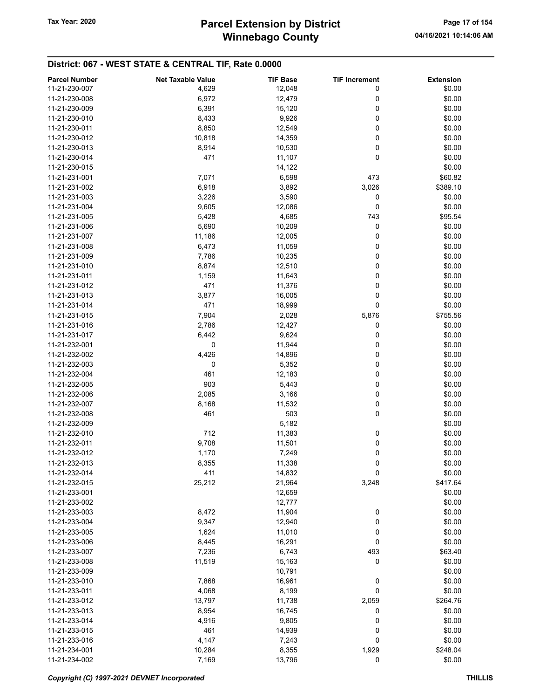# Winnebago County Tax Year: 2020 **Parcel Extension by District** Page 17 of 154

| <b>Parcel Number</b> | <b>Net Taxable Value</b> | <b>TIF Base</b> | <b>TIF Increment</b> | <b>Extension</b> |
|----------------------|--------------------------|-----------------|----------------------|------------------|
| 11-21-230-007        | 4,629                    | 12,048          | 0                    | \$0.00           |
| 11-21-230-008        | 6,972                    | 12,479          | 0                    | \$0.00           |
| 11-21-230-009        |                          |                 | 0                    |                  |
|                      | 6,391                    | 15,120          |                      | \$0.00           |
| 11-21-230-010        | 8,433                    | 9,926           | 0                    | \$0.00           |
| 11-21-230-011        | 8,850                    | 12,549          | 0                    | \$0.00           |
| 11-21-230-012        | 10,818                   | 14,359          | 0                    | \$0.00           |
| 11-21-230-013        | 8,914                    | 10,530          | 0                    | \$0.00           |
| 11-21-230-014        | 471                      | 11,107          | 0                    | \$0.00           |
| 11-21-230-015        |                          | 14,122          |                      | \$0.00           |
| 11-21-231-001        | 7,071                    | 6,598           | 473                  | \$60.82          |
| 11-21-231-002        | 6,918                    | 3,892           | 3,026                | \$389.10         |
| 11-21-231-003        | 3,226                    | 3,590           | 0                    | \$0.00           |
| 11-21-231-004        | 9,605                    | 12,086          | 0                    | \$0.00           |
| 11-21-231-005        |                          |                 |                      | \$95.54          |
|                      | 5,428                    | 4,685           | 743                  |                  |
| 11-21-231-006        | 5,690                    | 10,209          | 0                    | \$0.00           |
| 11-21-231-007        | 11,186                   | 12,005          | 0                    | \$0.00           |
| 11-21-231-008        | 6,473                    | 11,059          | 0                    | \$0.00           |
| 11-21-231-009        | 7,786                    | 10,235          | 0                    | \$0.00           |
| 11-21-231-010        | 8,874                    | 12,510          | 0                    | \$0.00           |
| 11-21-231-011        | 1,159                    | 11,643          | 0                    | \$0.00           |
| 11-21-231-012        | 471                      | 11,376          | 0                    | \$0.00           |
| 11-21-231-013        | 3,877                    | 16,005          | 0                    | \$0.00           |
| 11-21-231-014        | 471                      | 18,999          | 0                    | \$0.00           |
| 11-21-231-015        | 7,904                    | 2,028           | 5,876                | \$755.56         |
|                      |                          |                 |                      |                  |
| 11-21-231-016        | 2,786                    | 12,427          | 0                    | \$0.00           |
| 11-21-231-017        | 6,442                    | 9,624           | 0                    | \$0.00           |
| 11-21-232-001        | 0                        | 11,944          | 0                    | \$0.00           |
| 11-21-232-002        | 4,426                    | 14,896          | 0                    | \$0.00           |
| 11-21-232-003        | 0                        | 5,352           | 0                    | \$0.00           |
| 11-21-232-004        | 461                      | 12,183          | 0                    | \$0.00           |
| 11-21-232-005        | 903                      | 5,443           | 0                    | \$0.00           |
| 11-21-232-006        | 2,085                    | 3,166           | 0                    | \$0.00           |
| 11-21-232-007        | 8,168                    | 11,532          | 0                    | \$0.00           |
| 11-21-232-008        | 461                      | 503             | 0                    | \$0.00           |
| 11-21-232-009        |                          | 5,182           |                      | \$0.00           |
| 11-21-232-010        | 712                      | 11,383          | 0                    | \$0.00           |
| 11-21-232-011        |                          |                 |                      |                  |
|                      | 9,708                    | 11,501          | 0                    | \$0.00           |
| 11-21-232-012        | 1,170                    | 7,249           | $\mathbf 0$          | \$0.00           |
| 11-21-232-013        | 8,355                    | 11,338          | 0                    | \$0.00           |
| 11-21-232-014        | 411                      | 14,832          | $\pmb{0}$            | \$0.00           |
| 11-21-232-015        | 25,212                   | 21,964          | 3,248                | \$417.64         |
| 11-21-233-001        |                          | 12,659          |                      | \$0.00           |
| 11-21-233-002        |                          | 12,777          |                      | \$0.00           |
| 11-21-233-003        | 8,472                    | 11,904          | 0                    | \$0.00           |
| 11-21-233-004        | 9,347                    | 12,940          | 0                    | \$0.00           |
| 11-21-233-005        | 1,624                    | 11,010          | 0                    | \$0.00           |
| 11-21-233-006        | 8,445                    | 16,291          | 0                    | \$0.00           |
| 11-21-233-007        | 7,236                    | 6,743           | 493                  | \$63.40          |
|                      |                          |                 | 0                    |                  |
| 11-21-233-008        | 11,519                   | 15,163          |                      | \$0.00           |
| 11-21-233-009        |                          | 10,791          |                      | \$0.00           |
| 11-21-233-010        | 7,868                    | 16,961          | 0                    | \$0.00           |
| 11-21-233-011        | 4,068                    | 8,199           | 0                    | \$0.00           |
| 11-21-233-012        | 13,797                   | 11,738          | 2,059                | \$264.76         |
| 11-21-233-013        | 8,954                    | 16,745          | 0                    | \$0.00           |
| 11-21-233-014        | 4,916                    | 9,805           | 0                    | \$0.00           |
| 11-21-233-015        | 461                      | 14,939          | 0                    | \$0.00           |
| 11-21-233-016        | 4,147                    | 7,243           | 0                    | \$0.00           |
| 11-21-234-001        | 10,284                   | 8,355           | 1,929                | \$248.04         |
| 11-21-234-002        | 7,169                    | 13,796          | 0                    | \$0.00           |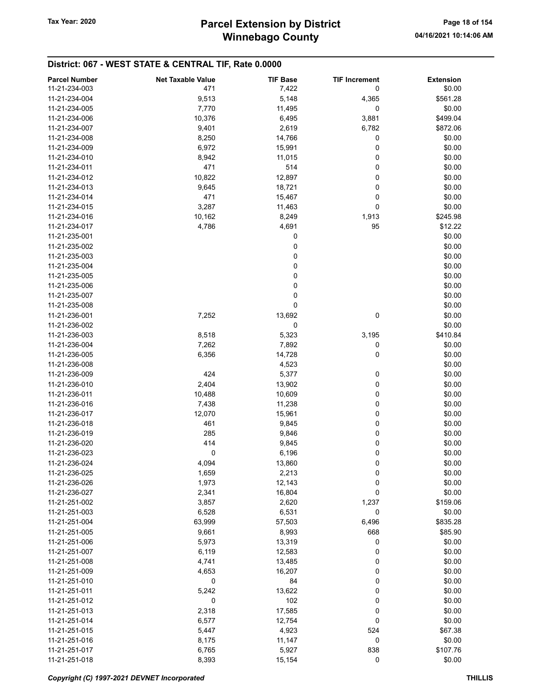# Winnebago County Tax Year: 2020 **Parcel Extension by District** Page 18 of 154

| <b>Parcel Number</b> | <b>Net Taxable Value</b> | <b>TIF Base</b> | <b>TIF Increment</b> | <b>Extension</b> |
|----------------------|--------------------------|-----------------|----------------------|------------------|
| 11-21-234-003        | 471                      | 7,422           | 0                    | \$0.00           |
| 11-21-234-004        | 9,513                    | 5,148           | 4,365                | \$561.28         |
| 11-21-234-005        | 7,770                    | 11,495          | 0                    | \$0.00           |
| 11-21-234-006        | 10,376                   | 6,495           | 3,881                | \$499.04         |
| 11-21-234-007        | 9,401                    | 2,619           | 6,782                | \$872.06         |
| 11-21-234-008        | 8,250                    | 14,766          | 0                    | \$0.00           |
| 11-21-234-009        | 6,972                    | 15,991          | 0                    | \$0.00           |
| 11-21-234-010        | 8,942                    | 11,015          | 0                    | \$0.00           |
| 11-21-234-011        | 471                      | 514             | 0                    | \$0.00           |
| 11-21-234-012        | 10,822                   | 12,897          | 0                    | \$0.00           |
| 11-21-234-013        | 9,645                    | 18,721          | 0                    | \$0.00           |
| 11-21-234-014        | 471                      | 15,467          | 0                    | \$0.00           |
| 11-21-234-015        | 3,287                    | 11,463          | 0                    | \$0.00           |
| 11-21-234-016        | 10,162                   | 8,249           | 1,913                | \$245.98         |
| 11-21-234-017        | 4,786                    | 4,691           | 95                   | \$12.22          |
| 11-21-235-001        |                          | 0               |                      | \$0.00           |
| 11-21-235-002        |                          | 0               |                      | \$0.00           |
| 11-21-235-003        |                          | 0               |                      | \$0.00           |
| 11-21-235-004        |                          | 0               |                      | \$0.00           |
| 11-21-235-005        |                          | 0               |                      | \$0.00           |
| 11-21-235-006        |                          | 0               |                      | \$0.00           |
| 11-21-235-007        |                          | 0               |                      | \$0.00           |
| 11-21-235-008        |                          | 0               |                      | \$0.00           |
| 11-21-236-001        | 7,252                    | 13,692          | 0                    | \$0.00           |
| 11-21-236-002        |                          | 0               |                      | \$0.00           |
| 11-21-236-003        | 8,518                    | 5,323           | 3,195                | \$410.84         |
| 11-21-236-004        | 7,262                    | 7,892           | 0                    | \$0.00           |
| 11-21-236-005        | 6,356                    | 14,728          | 0                    | \$0.00           |
| 11-21-236-008        |                          | 4,523           |                      | \$0.00           |
| 11-21-236-009        | 424                      | 5,377           | 0                    | \$0.00           |
| 11-21-236-010        | 2,404                    | 13,902          | 0                    | \$0.00           |
| 11-21-236-011        | 10,488                   | 10,609          | 0                    | \$0.00           |
| 11-21-236-016        | 7,438                    | 11,238          | 0                    | \$0.00           |
| 11-21-236-017        | 12,070                   | 15,961          | 0                    | \$0.00           |
| 11-21-236-018        | 461                      | 9,845           | 0                    | \$0.00           |
| 11-21-236-019        | 285                      | 9,846           | 0                    | \$0.00           |
| 11-21-236-020        | 414                      | 9,845           | 0                    | \$0.00           |
| 11-21-236-023        | 0                        | 6,196           | $\mathbf 0$          | \$0.00           |
| 11-21-236-024        | 4,094                    | 13,860          | 0                    | \$0.00           |
| 11-21-236-025        | 1,659                    | 2,213           | 0                    | \$0.00           |
| 11-21-236-026        | 1,973                    | 12,143          | 0                    | \$0.00           |
| 11-21-236-027        | 2,341                    | 16,804          | 0                    | \$0.00           |
| 11-21-251-002        | 3,857                    | 2,620           | 1,237                | \$159.06         |
| 11-21-251-003        | 6,528                    | 6,531           | 0                    | \$0.00           |
| 11-21-251-004        | 63,999                   | 57,503          | 6,496                | \$835.28         |
| 11-21-251-005        | 9,661                    | 8,993           | 668                  | \$85.90          |
| 11-21-251-006        | 5,973                    | 13,319          | 0                    | \$0.00           |
| 11-21-251-007        | 6,119                    | 12,583          | 0                    | \$0.00           |
| 11-21-251-008        | 4,741                    | 13,485          | 0                    | \$0.00           |
| 11-21-251-009        | 4,653                    | 16,207          | 0                    | \$0.00           |
| 11-21-251-010        | 0                        | 84              | 0                    | \$0.00           |
| 11-21-251-011        | 5,242                    | 13,622          | 0                    | \$0.00           |
| 11-21-251-012        | 0                        | 102             | 0                    | \$0.00           |
| 11-21-251-013        | 2,318                    | 17,585          | 0                    | \$0.00           |
| 11-21-251-014        | 6,577                    | 12,754          | 0                    | \$0.00           |
| 11-21-251-015        | 5,447                    | 4,923           | 524                  | \$67.38          |
| 11-21-251-016        | 8,175                    | 11,147          | 0                    | \$0.00           |
| 11-21-251-017        | 6,765                    | 5,927           | 838                  | \$107.76         |
| 11-21-251-018        | 8,393                    | 15,154          | 0                    | \$0.00           |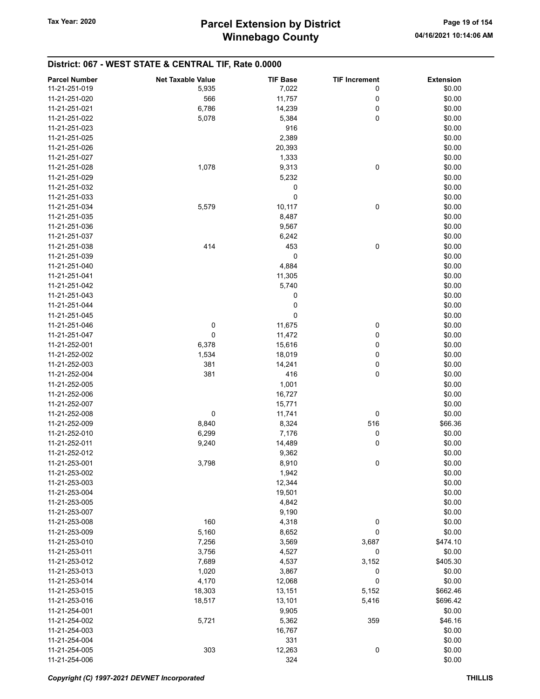| <b>Parcel Number</b> | <b>Net Taxable Value</b> | <b>TIF Base</b> | <b>TIF Increment</b> | <b>Extension</b> |
|----------------------|--------------------------|-----------------|----------------------|------------------|
| 11-21-251-019        | 5,935                    | 7,022           | 0                    | \$0.00           |
| 11-21-251-020        | 566                      | 11,757          | 0                    | \$0.00           |
| 11-21-251-021        | 6,786                    | 14,239          | 0                    | \$0.00           |
| 11-21-251-022        | 5,078                    | 5,384           | 0                    | \$0.00           |
| 11-21-251-023        |                          | 916             |                      | \$0.00           |
| 11-21-251-025        |                          | 2,389           |                      | \$0.00           |
| 11-21-251-026        |                          | 20,393          |                      | \$0.00           |
| 11-21-251-027        |                          | 1,333           |                      | \$0.00           |
| 11-21-251-028        | 1,078                    | 9,313           | 0                    | \$0.00           |
| 11-21-251-029        |                          | 5,232           |                      | \$0.00           |
| 11-21-251-032        |                          | 0               |                      | \$0.00           |
| 11-21-251-033        |                          | 0               |                      | \$0.00           |
| 11-21-251-034        | 5,579                    | 10,117          | 0                    | \$0.00           |
| 11-21-251-035        |                          | 8,487           |                      | \$0.00           |
| 11-21-251-036        |                          | 9,567           |                      | \$0.00           |
| 11-21-251-037        |                          | 6,242           |                      | \$0.00           |
| 11-21-251-038        | 414                      | 453             | 0                    | \$0.00           |
| 11-21-251-039        |                          | 0               |                      | \$0.00           |
| 11-21-251-040        |                          | 4,884           |                      | \$0.00           |
| 11-21-251-041        |                          | 11,305          |                      | \$0.00           |
| 11-21-251-042        |                          | 5,740           |                      | \$0.00           |
| 11-21-251-043        |                          | 0               |                      | \$0.00           |
| 11-21-251-044        |                          | 0               |                      | \$0.00           |
| 11-21-251-045        |                          | 0               |                      | \$0.00           |
| 11-21-251-046        | 0                        | 11,675          | 0                    | \$0.00           |
| 11-21-251-047        | 0                        | 11,472          | 0                    | \$0.00           |
| 11-21-252-001        | 6,378                    | 15,616          | 0                    | \$0.00           |
| 11-21-252-002        | 1,534                    | 18,019          | 0                    | \$0.00           |
| 11-21-252-003        | 381                      | 14,241          | 0                    | \$0.00           |
| 11-21-252-004        | 381                      | 416             | 0                    | \$0.00           |
| 11-21-252-005        |                          | 1,001           |                      | \$0.00           |
| 11-21-252-006        |                          | 16,727          |                      | \$0.00           |
| 11-21-252-007        |                          | 15,771          |                      | \$0.00           |
| 11-21-252-008        | 0                        | 11,741          | 0                    | \$0.00           |
| 11-21-252-009        | 8,840                    | 8,324           | 516                  | \$66.36          |
| 11-21-252-010        | 6,299                    | 7,176           | 0                    | \$0.00           |
| 11-21-252-011        | 9,240                    | 14,489          | 0                    | \$0.00           |
| 11-21-252-012        |                          | 9,362           |                      | \$0.00           |
| 11-21-253-001        | 3,798                    | 8,910           | 0                    | \$0.00           |
| 11-21-253-002        |                          | 1,942           |                      | \$0.00           |
| 11-21-253-003        |                          | 12,344          |                      | \$0.00           |
| 11-21-253-004        |                          | 19,501          |                      | \$0.00           |
| 11-21-253-005        |                          | 4,842           |                      | \$0.00           |
| 11-21-253-007        |                          | 9,190           |                      | \$0.00           |
| 11-21-253-008        | 160                      | 4,318           | 0                    | \$0.00           |
| 11-21-253-009        | 5,160                    | 8,652           | 0                    | \$0.00           |
| 11-21-253-010        | 7,256                    | 3,569           | 3,687                | \$474.10         |
| 11-21-253-011        | 3,756                    | 4,527           | 0                    | \$0.00           |
| 11-21-253-012        | 7,689                    | 4,537           | 3,152                | \$405.30         |
| 11-21-253-013        | 1,020                    | 3,867           | 0                    | \$0.00           |
| 11-21-253-014        | 4,170                    | 12,068          | 0                    | \$0.00           |
| 11-21-253-015        | 18,303                   | 13,151          | 5,152                | \$662.46         |
| 11-21-253-016        | 18,517                   | 13,101          | 5,416                | \$696.42         |
| 11-21-254-001        |                          | 9,905           |                      | \$0.00           |
| 11-21-254-002        | 5,721                    | 5,362           | 359                  | \$46.16          |
| 11-21-254-003        |                          | 16,767          |                      | \$0.00           |
| 11-21-254-004        |                          | 331             |                      | \$0.00           |
| 11-21-254-005        | 303                      | 12,263          | 0                    | \$0.00           |
| 11-21-254-006        |                          | 324             |                      | \$0.00           |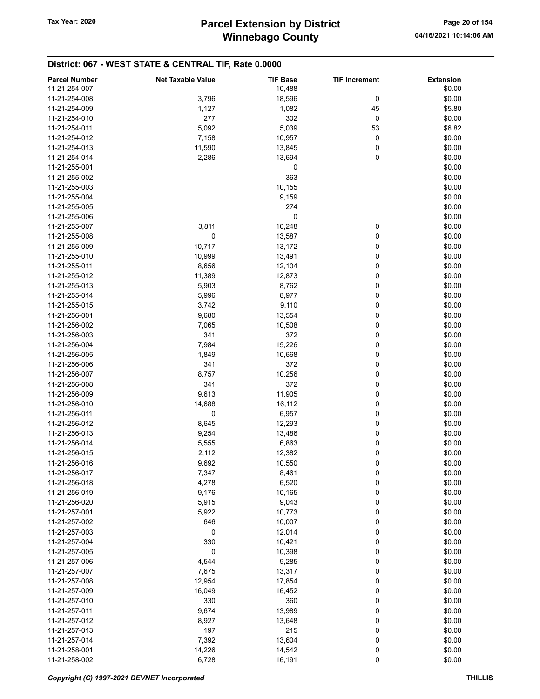| <b>Parcel Number</b> | <b>Net Taxable Value</b> | <b>TIF Base</b> | <b>TIF Increment</b> | <b>Extension</b> |
|----------------------|--------------------------|-----------------|----------------------|------------------|
| 11-21-254-007        |                          | 10,488          |                      | \$0.00           |
|                      |                          |                 |                      |                  |
| 11-21-254-008        | 3,796                    | 18,596          | 0                    | \$0.00           |
| 11-21-254-009        | 1,127                    | 1,082           | 45                   | \$5.80           |
| 11-21-254-010        | 277                      | 302             | 0                    | \$0.00           |
| 11-21-254-011        | 5,092                    | 5,039           | 53                   | \$6.82           |
| 11-21-254-012        | 7,158                    | 10,957          | 0                    | \$0.00           |
| 11-21-254-013        | 11,590                   | 13,845          | 0                    | \$0.00           |
| 11-21-254-014        | 2,286                    | 13,694          | 0                    | \$0.00           |
| 11-21-255-001        |                          | 0               |                      | \$0.00           |
| 11-21-255-002        |                          |                 |                      |                  |
|                      |                          | 363             |                      | \$0.00           |
| 11-21-255-003        |                          | 10,155          |                      | \$0.00           |
| 11-21-255-004        |                          | 9,159           |                      | \$0.00           |
| 11-21-255-005        |                          | 274             |                      | \$0.00           |
| 11-21-255-006        |                          | 0               |                      | \$0.00           |
| 11-21-255-007        | 3,811                    | 10,248          | 0                    | \$0.00           |
| 11-21-255-008        | 0                        | 13,587          | 0                    | \$0.00           |
| 11-21-255-009        | 10,717                   | 13,172          | 0                    | \$0.00           |
| 11-21-255-010        | 10,999                   | 13,491          | 0                    | \$0.00           |
| 11-21-255-011        | 8,656                    | 12,104          | 0                    | \$0.00           |
| 11-21-255-012        |                          |                 | 0                    |                  |
|                      | 11,389                   | 12,873          |                      | \$0.00           |
| 11-21-255-013        | 5,903                    | 8,762           | 0                    | \$0.00           |
| 11-21-255-014        | 5,996                    | 8,977           | 0                    | \$0.00           |
| 11-21-255-015        | 3,742                    | 9,110           | 0                    | \$0.00           |
| 11-21-256-001        | 9,680                    | 13,554          | 0                    | \$0.00           |
| 11-21-256-002        | 7,065                    | 10,508          | 0                    | \$0.00           |
| 11-21-256-003        | 341                      | 372             | 0                    | \$0.00           |
| 11-21-256-004        | 7,984                    | 15,226          | 0                    | \$0.00           |
| 11-21-256-005        | 1,849                    | 10,668          | 0                    | \$0.00           |
| 11-21-256-006        | 341                      | 372             | 0                    | \$0.00           |
| 11-21-256-007        | 8,757                    | 10,256          | 0                    | \$0.00           |
|                      |                          |                 |                      |                  |
| 11-21-256-008        | 341                      | 372             | 0                    | \$0.00           |
| 11-21-256-009        | 9,613                    | 11,905          | 0                    | \$0.00           |
| 11-21-256-010        | 14,688                   | 16,112          | 0                    | \$0.00           |
| 11-21-256-011        | 0                        | 6,957           | 0                    | \$0.00           |
| 11-21-256-012        | 8,645                    | 12,293          | 0                    | \$0.00           |
| 11-21-256-013        | 9,254                    | 13,486          | 0                    | \$0.00           |
| 11-21-256-014        | 5,555                    | 6,863           | 0                    | \$0.00           |
| 11-21-256-015        | 2,112                    | 12,382          | 0                    | \$0.00           |
| 11-21-256-016        | 9,692                    | 10,550          | 0                    | \$0.00           |
| 11-21-256-017        | 7,347                    | 8,461           | 0                    | \$0.00           |
| 11-21-256-018        | 4,278                    | 6,520           | 0                    | \$0.00           |
|                      |                          |                 |                      |                  |
| 11-21-256-019        | 9,176                    | 10,165          | 0                    | \$0.00           |
| 11-21-256-020        | 5,915                    | 9,043           | 0                    | \$0.00           |
| 11-21-257-001        | 5,922                    | 10,773          | 0                    | \$0.00           |
| 11-21-257-002        | 646                      | 10,007          | 0                    | \$0.00           |
| 11-21-257-003        | 0                        | 12,014          | 0                    | \$0.00           |
| 11-21-257-004        | 330                      | 10,421          | 0                    | \$0.00           |
| 11-21-257-005        | 0                        | 10,398          | 0                    | \$0.00           |
| 11-21-257-006        | 4,544                    | 9,285           | 0                    | \$0.00           |
| 11-21-257-007        | 7,675                    | 13,317          | 0                    | \$0.00           |
| 11-21-257-008        | 12,954                   | 17,854          | 0                    | \$0.00           |
|                      |                          |                 |                      |                  |
| 11-21-257-009        | 16,049                   | 16,452          | 0                    | \$0.00           |
| 11-21-257-010        | 330                      | 360             | 0                    | \$0.00           |
| 11-21-257-011        | 9,674                    | 13,989          | 0                    | \$0.00           |
| 11-21-257-012        | 8,927                    | 13,648          | 0                    | \$0.00           |
| 11-21-257-013        | 197                      | 215             | 0                    | \$0.00           |
| 11-21-257-014        | 7,392                    | 13,604          | 0                    | \$0.00           |
| 11-21-258-001        | 14,226                   | 14,542          | 0                    | \$0.00           |
| 11-21-258-002        | 6,728                    | 16,191          | 0                    | \$0.00           |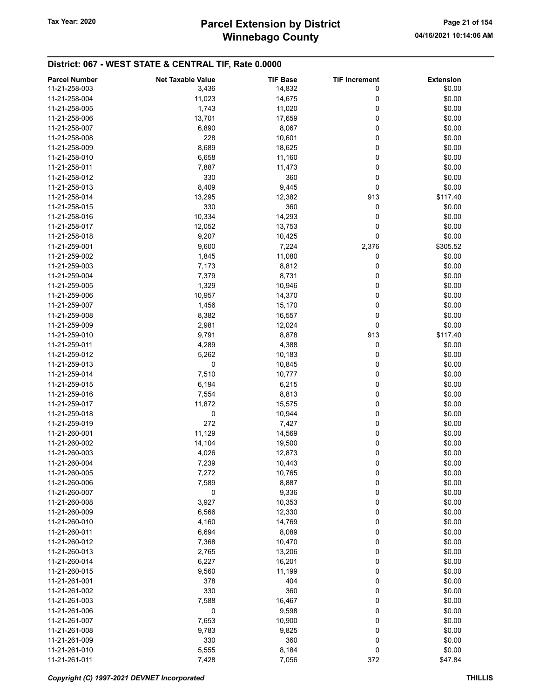# Winnebago County Tax Year: 2020 **Parcel Extension by District** Page 21 of 154

| <b>Parcel Number</b> | <b>Net Taxable Value</b> | <b>TIF Base</b> | <b>TIF Increment</b> | <b>Extension</b> |
|----------------------|--------------------------|-----------------|----------------------|------------------|
| 11-21-258-003        | 3,436                    | 14,832          | 0                    | \$0.00           |
| 11-21-258-004        | 11,023                   | 14,675          | 0                    | \$0.00           |
| 11-21-258-005        | 1,743                    | 11,020          | 0                    | \$0.00           |
| 11-21-258-006        | 13,701                   | 17,659          | 0                    | \$0.00           |
| 11-21-258-007        |                          |                 | 0                    | \$0.00           |
|                      | 6,890                    | 8,067           |                      |                  |
| 11-21-258-008        | 228                      | 10,601          | 0                    | \$0.00           |
| 11-21-258-009        | 8,689                    | 18,625          | 0                    | \$0.00           |
| 11-21-258-010        | 6,658                    | 11,160          | 0                    | \$0.00           |
| 11-21-258-011        | 7,887                    | 11,473          | 0                    | \$0.00           |
| 11-21-258-012        | 330                      | 360             | 0                    | \$0.00           |
| 11-21-258-013        | 8,409                    | 9,445           | 0                    | \$0.00           |
| 11-21-258-014        | 13,295                   | 12,382          | 913                  | \$117.40         |
| 11-21-258-015        | 330                      | 360             | 0                    | \$0.00           |
| 11-21-258-016        | 10,334                   | 14,293          | 0                    | \$0.00           |
| 11-21-258-017        | 12,052                   | 13,753          | 0                    | \$0.00           |
| 11-21-258-018        | 9,207                    | 10,425          | 0                    | \$0.00           |
| 11-21-259-001        | 9,600                    | 7,224           | 2,376                | \$305.52         |
| 11-21-259-002        | 1,845                    | 11,080          | 0                    | \$0.00           |
| 11-21-259-003        | 7,173                    | 8,812           | 0                    | \$0.00           |
| 11-21-259-004        | 7,379                    | 8,731           | 0                    | \$0.00           |
| 11-21-259-005        | 1,329                    | 10,946          | 0                    | \$0.00           |
| 11-21-259-006        | 10,957                   | 14,370          | 0                    | \$0.00           |
| 11-21-259-007        | 1,456                    | 15,170          | 0                    | \$0.00           |
| 11-21-259-008        | 8,382                    | 16,557          | 0                    | \$0.00           |
| 11-21-259-009        | 2,981                    | 12,024          | 0                    | \$0.00           |
| 11-21-259-010        | 9,791                    | 8,878           | 913                  | \$117.40         |
| 11-21-259-011        | 4,289                    | 4,388           | 0                    | \$0.00           |
|                      |                          | 10,183          | 0                    |                  |
| 11-21-259-012        | 5,262                    |                 |                      | \$0.00           |
| 11-21-259-013        | 0                        | 10,845          | 0                    | \$0.00           |
| 11-21-259-014        | 7,510                    | 10,777          | 0                    | \$0.00           |
| 11-21-259-015        | 6,194                    | 6,215           | 0                    | \$0.00           |
| 11-21-259-016        | 7,554                    | 8,813           | 0                    | \$0.00           |
| 11-21-259-017        | 11,872                   | 15,575          | 0                    | \$0.00           |
| 11-21-259-018        | 0                        | 10,944          | 0                    | \$0.00           |
| 11-21-259-019        | 272                      | 7,427           | 0                    | \$0.00           |
| 11-21-260-001        | 11,129                   | 14,569          | 0                    | \$0.00           |
| 11-21-260-002        | 14,104                   | 19,500          | 0                    | \$0.00           |
| 11-21-260-003        | 4,026                    | 12,873          | 0                    | \$0.00           |
| 11-21-260-004        | 7,239                    | 10,443          | 0                    | \$0.00           |
| 11-21-260-005        | 7,272                    | 10,765          | 0                    | \$0.00           |
| 11-21-260-006        | 7,589                    | 8,887           | 0                    | \$0.00           |
| 11-21-260-007        | 0                        | 9,336           | 0                    | \$0.00           |
| 11-21-260-008        | 3,927                    | 10,353          | 0                    | \$0.00           |
| 11-21-260-009        | 6,566                    | 12,330          | 0                    | \$0.00           |
| 11-21-260-010        | 4,160                    | 14,769          | 0                    | \$0.00           |
| 11-21-260-011        | 6,694                    | 8,089           | 0                    | \$0.00           |
| 11-21-260-012        | 7,368                    | 10,470          | 0                    | \$0.00           |
| 11-21-260-013        | 2,765                    | 13,206          | 0                    | \$0.00           |
| 11-21-260-014        | 6,227                    | 16,201          | 0                    | \$0.00           |
| 11-21-260-015        | 9,560                    | 11,199          | 0                    | \$0.00           |
| 11-21-261-001        | 378                      | 404             | 0                    | \$0.00           |
| 11-21-261-002        | 330                      | 360             | 0                    | \$0.00           |
| 11-21-261-003        | 7,588                    | 16,467          | 0                    | \$0.00           |
| 11-21-261-006        | 0                        | 9,598           | 0                    | \$0.00           |
| 11-21-261-007        |                          |                 |                      |                  |
|                      | 7,653                    | 10,900          | 0                    | \$0.00           |
| 11-21-261-008        | 9,783                    | 9,825           | 0                    | \$0.00           |
| 11-21-261-009        | 330                      | 360             | 0                    | \$0.00           |
| 11-21-261-010        | 5,555                    | 8,184           | 0                    | \$0.00           |
| 11-21-261-011        | 7,428                    | 7,056           | 372                  | \$47.84          |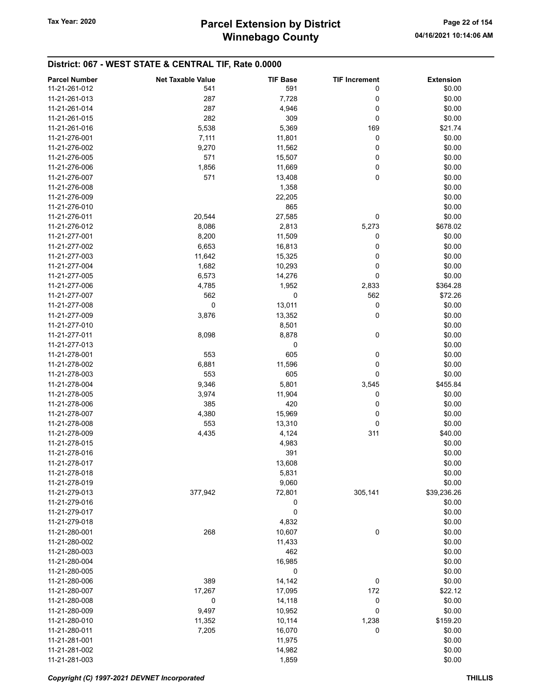| <b>Parcel Number</b> | <b>Net Taxable Value</b> | <b>TIF Base</b> | <b>TIF Increment</b> | <b>Extension</b> |
|----------------------|--------------------------|-----------------|----------------------|------------------|
| 11-21-261-012        | 541                      | 591             | 0                    | \$0.00           |
| 11-21-261-013        | 287                      | 7,728           | 0                    | \$0.00           |
| 11-21-261-014        | 287                      | 4,946           | 0                    | \$0.00           |
| 11-21-261-015        | 282                      | 309             | 0                    | \$0.00           |
| 11-21-261-016        | 5,538                    |                 |                      | \$21.74          |
|                      |                          | 5,369           | 169                  |                  |
| 11-21-276-001        | 7,111                    | 11,801          | 0                    | \$0.00           |
| 11-21-276-002        | 9,270                    | 11,562          | 0                    | \$0.00           |
| 11-21-276-005        | 571                      | 15,507          | 0                    | \$0.00           |
| 11-21-276-006        | 1,856                    | 11,669          | 0                    | \$0.00           |
| 11-21-276-007        | 571                      | 13,408          | 0                    | \$0.00           |
| 11-21-276-008        |                          | 1,358           |                      | \$0.00           |
| 11-21-276-009        |                          | 22,205          |                      | \$0.00           |
| 11-21-276-010        |                          | 865             |                      | \$0.00           |
| 11-21-276-011        | 20,544                   | 27,585          | 0                    | \$0.00           |
| 11-21-276-012        | 8,086                    | 2,813           | 5,273                | \$678.02         |
| 11-21-277-001        | 8,200                    | 11,509          | 0                    | \$0.00           |
| 11-21-277-002        | 6,653                    | 16,813          | 0                    | \$0.00           |
| 11-21-277-003        | 11,642                   | 15,325          | 0                    | \$0.00           |
| 11-21-277-004        | 1,682                    | 10,293          | 0                    | \$0.00           |
| 11-21-277-005        |                          |                 | 0                    |                  |
|                      | 6,573                    | 14,276          |                      | \$0.00           |
| 11-21-277-006        | 4,785                    | 1,952           | 2,833                | \$364.28         |
| 11-21-277-007        | 562                      | 0               | 562                  | \$72.26          |
| 11-21-277-008        | 0                        | 13,011          | 0                    | \$0.00           |
| 11-21-277-009        | 3,876                    | 13,352          | 0                    | \$0.00           |
| 11-21-277-010        |                          | 8,501           |                      | \$0.00           |
| 11-21-277-011        | 8,098                    | 8,878           | 0                    | \$0.00           |
| 11-21-277-013        |                          | 0               |                      | \$0.00           |
| 11-21-278-001        | 553                      | 605             | 0                    | \$0.00           |
| 11-21-278-002        | 6,881                    | 11,596          | 0                    | \$0.00           |
| 11-21-278-003        | 553                      | 605             | 0                    | \$0.00           |
| 11-21-278-004        | 9,346                    | 5,801           | 3,545                | \$455.84         |
| 11-21-278-005        | 3,974                    | 11,904          | 0                    | \$0.00           |
| 11-21-278-006        | 385                      | 420             | 0                    | \$0.00           |
| 11-21-278-007        | 4,380                    | 15,969          | 0                    | \$0.00           |
| 11-21-278-008        | 553                      | 13,310          | 0                    | \$0.00           |
| 11-21-278-009        | 4,435                    | 4,124           | 311                  | \$40.00          |
|                      |                          |                 |                      |                  |
| 11-21-278-015        |                          | 4,983           |                      | \$0.00           |
| 11-21-278-016        |                          | 391             |                      | \$0.00           |
| 11-21-278-017        |                          | 13,608          |                      | \$0.00           |
| 11-21-278-018        |                          | 5,831           |                      | \$0.00           |
| 11-21-278-019        |                          | 9,060           |                      | \$0.00           |
| 11-21-279-013        | 377,942                  | 72,801          | 305,141              | \$39,236.26      |
| 11-21-279-016        |                          | 0               |                      | \$0.00           |
| 11-21-279-017        |                          | 0               |                      | \$0.00           |
| 11-21-279-018        |                          | 4,832           |                      | \$0.00           |
| 11-21-280-001        | 268                      | 10,607          | 0                    | \$0.00           |
| 11-21-280-002        |                          | 11,433          |                      | \$0.00           |
| 11-21-280-003        |                          | 462             |                      | \$0.00           |
| 11-21-280-004        |                          | 16,985          |                      | \$0.00           |
| 11-21-280-005        |                          | 0               |                      | \$0.00           |
| 11-21-280-006        | 389                      | 14,142          | 0                    | \$0.00           |
| 11-21-280-007        | 17,267                   | 17,095          | 172                  | \$22.12          |
| 11-21-280-008        | 0                        | 14,118          | 0                    | \$0.00           |
| 11-21-280-009        | 9,497                    |                 | 0                    | \$0.00           |
|                      |                          | 10,952          |                      |                  |
| 11-21-280-010        | 11,352                   | 10,114          | 1,238                | \$159.20         |
| 11-21-280-011        | 7,205                    | 16,070          | 0                    | \$0.00           |
| 11-21-281-001        |                          | 11,975          |                      | \$0.00           |
| 11-21-281-002        |                          | 14,982          |                      | \$0.00           |
| 11-21-281-003        |                          | 1,859           |                      | \$0.00           |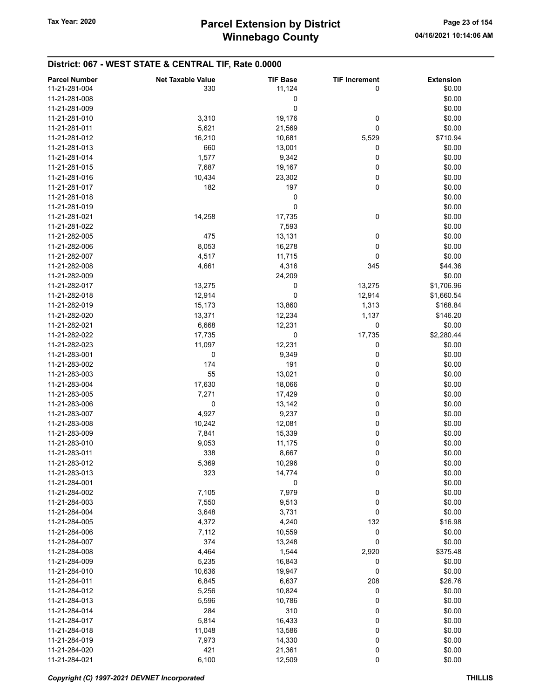| <b>Parcel Number</b> | <b>Net Taxable Value</b> | <b>TIF Base</b> | <b>TIF Increment</b> | <b>Extension</b> |
|----------------------|--------------------------|-----------------|----------------------|------------------|
| 11-21-281-004        | 330                      | 11,124          | $\mathbf 0$          | \$0.00           |
| 11-21-281-008        |                          |                 |                      | \$0.00           |
|                      |                          | 0               |                      |                  |
| 11-21-281-009        |                          | 0               |                      | \$0.00           |
| 11-21-281-010        | 3,310                    | 19,176          | 0                    | \$0.00           |
| 11-21-281-011        | 5,621                    | 21,569          | 0                    | \$0.00           |
| 11-21-281-012        | 16,210                   | 10,681          | 5,529                | \$710.94         |
| 11-21-281-013        | 660                      | 13,001          | 0                    | \$0.00           |
| 11-21-281-014        | 1,577                    | 9,342           | 0                    | \$0.00           |
| 11-21-281-015        | 7,687                    | 19,167          | 0                    | \$0.00           |
| 11-21-281-016        | 10,434                   | 23,302          | 0                    | \$0.00           |
| 11-21-281-017        | 182                      | 197             | 0                    | \$0.00           |
| 11-21-281-018        |                          | 0               |                      | \$0.00           |
| 11-21-281-019        |                          | 0               |                      | \$0.00           |
| 11-21-281-021        |                          |                 | 0                    | \$0.00           |
|                      | 14,258                   | 17,735          |                      |                  |
| 11-21-281-022        |                          | 7,593           |                      | \$0.00           |
| 11-21-282-005        | 475                      | 13,131          | 0                    | \$0.00           |
| 11-21-282-006        | 8,053                    | 16,278          | 0                    | \$0.00           |
| 11-21-282-007        | 4,517                    | 11,715          | 0                    | \$0.00           |
| 11-21-282-008        | 4,661                    | 4,316           | 345                  | \$44.36          |
| 11-21-282-009        |                          | 24,209          |                      | \$0.00           |
| 11-21-282-017        | 13,275                   | 0               | 13,275               | \$1,706.96       |
| 11-21-282-018        | 12,914                   | 0               | 12,914               | \$1,660.54       |
| 11-21-282-019        | 15,173                   | 13,860          | 1,313                | \$168.84         |
| 11-21-282-020        | 13,371                   | 12,234          | 1,137                | \$146.20         |
| 11-21-282-021        | 6,668                    | 12,231          | 0                    | \$0.00           |
|                      |                          |                 |                      |                  |
| 11-21-282-022        | 17,735                   | 0               | 17,735               | \$2,280.44       |
| 11-21-282-023        | 11,097                   | 12,231          | 0                    | \$0.00           |
| 11-21-283-001        | 0                        | 9,349           | 0                    | \$0.00           |
| 11-21-283-002        | 174                      | 191             | 0                    | \$0.00           |
| 11-21-283-003        | 55                       | 13,021          | 0                    | \$0.00           |
| 11-21-283-004        | 17,630                   | 18,066          | 0                    | \$0.00           |
| 11-21-283-005        | 7,271                    | 17,429          | 0                    | \$0.00           |
| 11-21-283-006        | 0                        | 13,142          | 0                    | \$0.00           |
| 11-21-283-007        | 4,927                    | 9,237           | 0                    | \$0.00           |
| 11-21-283-008        | 10,242                   | 12,081          | 0                    | \$0.00           |
| 11-21-283-009        | 7,841                    | 15,339          | 0                    | \$0.00           |
| 11-21-283-010        | 9,053                    | 11,175          | 0                    | \$0.00           |
| 11-21-283-011        | 338                      |                 |                      | \$0.00           |
|                      |                          | 8,667           | 0                    |                  |
| 11-21-283-012        | 5,369                    | 10,296          | 0                    | \$0.00           |
| 11-21-283-013        | 323                      | 14,774          | 0                    | \$0.00           |
| 11-21-284-001        |                          | 0               |                      | \$0.00           |
| 11-21-284-002        | 7,105                    | 7,979           | 0                    | \$0.00           |
| 11-21-284-003        | 7,550                    | 9,513           | 0                    | \$0.00           |
| 11-21-284-004        | 3,648                    | 3,731           | 0                    | \$0.00           |
| 11-21-284-005        | 4,372                    | 4,240           | 132                  | \$16.98          |
| 11-21-284-006        | 7,112                    | 10,559          | 0                    | \$0.00           |
| 11-21-284-007        | 374                      | 13,248          | 0                    | \$0.00           |
| 11-21-284-008        | 4,464                    | 1,544           | 2,920                | \$375.48         |
| 11-21-284-009        | 5,235                    | 16,843          | 0                    | \$0.00           |
| 11-21-284-010        | 10,636                   | 19,947          | 0                    | \$0.00           |
| 11-21-284-011        | 6,845                    |                 | 208                  | \$26.76          |
|                      |                          | 6,637           |                      |                  |
| 11-21-284-012        | 5,256                    | 10,824          | 0                    | \$0.00           |
| 11-21-284-013        | 5,596                    | 10,786          | 0                    | \$0.00           |
| 11-21-284-014        | 284                      | 310             | 0                    | \$0.00           |
| 11-21-284-017        | 5,814                    | 16,433          | 0                    | \$0.00           |
| 11-21-284-018        | 11,048                   | 13,586          | 0                    | \$0.00           |
| 11-21-284-019        | 7,973                    | 14,330          | 0                    | \$0.00           |
| 11-21-284-020        | 421                      | 21,361          | 0                    | \$0.00           |
| 11-21-284-021        | 6,100                    | 12,509          | 0                    | \$0.00           |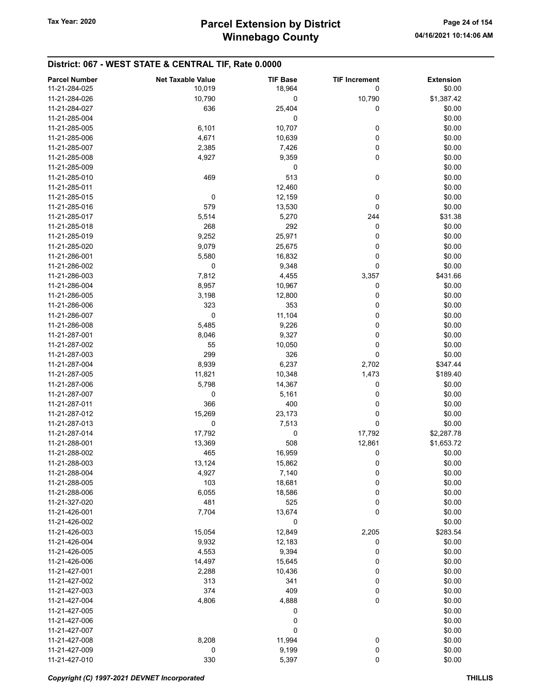| <b>Parcel Number</b>           | <b>Net Taxable Value</b> | <b>TIF Base</b> | <b>TIF Increment</b> | <b>Extension</b> |
|--------------------------------|--------------------------|-----------------|----------------------|------------------|
| 11-21-284-025                  | 10,019                   | 18,964          | 0                    | \$0.00           |
| 11-21-284-026                  | 10,790                   | 0               | 10,790               | \$1,387.42       |
| 11-21-284-027                  | 636                      | 25,404          | 0                    | \$0.00           |
| 11-21-285-004                  |                          | 0               |                      | \$0.00           |
| 11-21-285-005                  | 6,101                    | 10,707          | 0                    | \$0.00           |
| 11-21-285-006                  | 4,671                    | 10,639          | 0                    | \$0.00           |
| 11-21-285-007                  | 2,385                    | 7,426           | 0                    | \$0.00           |
| 11-21-285-008                  | 4,927                    | 9,359           | 0                    | \$0.00           |
| 11-21-285-009                  |                          | 0               |                      | \$0.00           |
| 11-21-285-010                  | 469                      | 513             | 0                    | \$0.00           |
| 11-21-285-011                  |                          | 12,460          |                      | \$0.00           |
| 11-21-285-015                  | 0                        | 12,159          | 0                    | \$0.00           |
| 11-21-285-016                  | 579                      | 13,530          | 0                    | \$0.00           |
| 11-21-285-017                  | 5,514                    | 5,270           | 244                  | \$31.38          |
| 11-21-285-018                  | 268                      | 292             | 0                    | \$0.00           |
| 11-21-285-019                  | 9,252                    | 25,971          | 0                    | \$0.00           |
| 11-21-285-020                  | 9,079                    | 25,675          | 0                    | \$0.00           |
| 11-21-286-001                  | 5,580                    | 16,832          | 0                    | \$0.00           |
| 11-21-286-002                  | 0                        | 9,348           | 0                    | \$0.00           |
| 11-21-286-003                  | 7,812                    | 4,455           | 3,357                | \$431.66         |
| 11-21-286-004                  | 8,957                    | 10,967          | 0                    | \$0.00           |
| 11-21-286-005                  | 3,198                    | 12,800          | 0                    | \$0.00           |
| 11-21-286-006                  | 323                      | 353             | 0                    | \$0.00           |
| 11-21-286-007                  | 0                        | 11,104          | 0                    | \$0.00           |
| 11-21-286-008                  | 5,485                    | 9,226           | 0                    | \$0.00           |
| 11-21-287-001                  | 8,046                    | 9,327           | 0                    | \$0.00           |
| 11-21-287-002                  | 55                       | 10,050          | 0                    | \$0.00           |
| 11-21-287-003                  | 299                      | 326             | 0                    | \$0.00           |
| 11-21-287-004                  | 8,939                    | 6,237           | 2,702                | \$347.44         |
| 11-21-287-005                  | 11,821                   | 10,348          | 1,473                | \$189.40         |
| 11-21-287-006                  | 5,798                    |                 |                      |                  |
|                                | 0                        | 14,367          | 0<br>0               | \$0.00           |
| 11-21-287-007                  |                          | 5,161           |                      | \$0.00           |
| 11-21-287-011                  | 366                      | 400             | 0                    | \$0.00           |
| 11-21-287-012                  | 15,269                   | 23,173          | 0                    | \$0.00           |
| 11-21-287-013                  | 0                        | 7,513           | 0                    | \$0.00           |
| 11-21-287-014                  | 17,792                   | 0               | 17,792               | \$2,287.78       |
| 11-21-288-001                  | 13,369                   | 508             | 12,861               | \$1,653.72       |
| 11-21-288-002<br>11-21-288-003 | 465                      | 16,959          | 0                    | \$0.00           |
|                                | 13,124                   | 15,862          | 0                    | \$0.00           |
| 11-21-288-004                  | 4,927                    | 7,140           | 0                    | \$0.00           |
| 11-21-288-005<br>11-21-288-006 | 103                      | 18,681          | 0                    | \$0.00           |
|                                | 6,055                    | 18,586          | 0                    | \$0.00           |
| 11-21-327-020                  | 481                      | 525             | 0                    | \$0.00           |
| 11-21-426-001<br>11-21-426-002 | 7,704                    | 13,674          | 0                    | \$0.00           |
| 11-21-426-003                  |                          | 0               |                      | \$0.00           |
|                                | 15,054                   | 12,849          | 2,205                | \$283.54         |
| 11-21-426-004                  | 9,932                    | 12,183          | 0                    | \$0.00           |
| 11-21-426-005<br>11-21-426-006 | 4,553                    | 9,394           | 0                    | \$0.00           |
|                                | 14,497                   | 15,645          | 0                    | \$0.00           |
| 11-21-427-001                  | 2,288                    | 10,436          | 0                    | \$0.00           |
| 11-21-427-002                  | 313                      | 341             | 0                    | \$0.00           |
| 11-21-427-003                  | 374                      | 409             | 0                    | \$0.00           |
| 11-21-427-004                  | 4,806                    | 4,888           | 0                    | \$0.00           |
| 11-21-427-005                  |                          | 0               |                      | \$0.00           |
| 11-21-427-006                  |                          | 0               |                      | \$0.00           |
| 11-21-427-007                  |                          | 0               |                      | \$0.00           |
| 11-21-427-008                  | 8,208                    | 11,994          | 0                    | \$0.00           |
| 11-21-427-009                  | 0                        | 9,199           | 0                    | \$0.00           |
| 11-21-427-010                  | 330                      | 5,397           | 0                    | \$0.00           |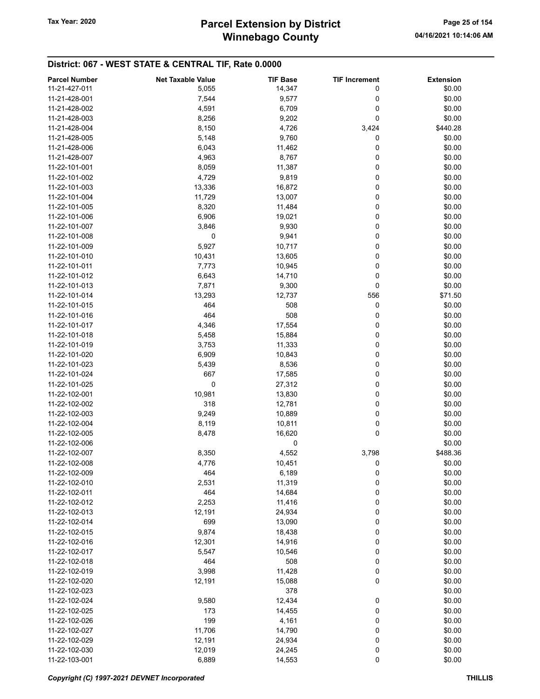# Winnebago County Tax Year: 2020 **Parcel Extension by District** Page 25 of 154

| <b>Parcel Number</b> | <b>Net Taxable Value</b> | <b>TIF Base</b> | <b>TIF Increment</b> | <b>Extension</b> |
|----------------------|--------------------------|-----------------|----------------------|------------------|
| 11-21-427-011        | 5,055                    | 14,347          | 0                    | \$0.00           |
| 11-21-428-001        | 7,544                    | 9,577           | 0                    | \$0.00           |
| 11-21-428-002        | 4,591                    | 6,709           | 0                    | \$0.00           |
| 11-21-428-003        | 8,256                    | 9,202           | 0                    | \$0.00           |
|                      |                          |                 |                      |                  |
| 11-21-428-004        | 8,150                    | 4,726           | 3,424                | \$440.28         |
| 11-21-428-005        | 5,148                    | 9,760           | 0                    | \$0.00           |
| 11-21-428-006        | 6,043                    | 11,462          | 0                    | \$0.00           |
| 11-21-428-007        | 4,963                    | 8,767           | 0                    | \$0.00           |
| 11-22-101-001        | 8,059                    | 11,387          | 0                    | \$0.00           |
| 11-22-101-002        | 4,729                    | 9,819           | 0                    | \$0.00           |
| 11-22-101-003        | 13,336                   | 16,872          | 0                    | \$0.00           |
| 11-22-101-004        | 11,729                   | 13,007          | 0                    | \$0.00           |
| 11-22-101-005        | 8,320                    | 11,484          | 0                    | \$0.00           |
| 11-22-101-006        | 6,906                    | 19,021          | 0                    | \$0.00           |
| 11-22-101-007        | 3,846                    | 9,930           | 0                    | \$0.00           |
| 11-22-101-008        | 0                        | 9,941           | 0                    | \$0.00           |
| 11-22-101-009        | 5,927                    | 10,717          | 0                    | \$0.00           |
| 11-22-101-010        | 10,431                   | 13,605          | 0                    | \$0.00           |
| 11-22-101-011        | 7,773                    | 10,945          | 0                    | \$0.00           |
| 11-22-101-012        | 6,643                    | 14,710          | 0                    | \$0.00           |
|                      |                          |                 | 0                    |                  |
| 11-22-101-013        | 7,871                    | 9,300           |                      | \$0.00           |
| 11-22-101-014        | 13,293                   | 12,737          | 556                  | \$71.50          |
| 11-22-101-015        | 464                      | 508             | 0                    | \$0.00           |
| 11-22-101-016        | 464                      | 508             | 0                    | \$0.00           |
| 11-22-101-017        | 4,346                    | 17,554          | 0                    | \$0.00           |
| 11-22-101-018        | 5,458                    | 15,884          | 0                    | \$0.00           |
| 11-22-101-019        | 3,753                    | 11,333          | 0                    | \$0.00           |
| 11-22-101-020        | 6,909                    | 10,843          | 0                    | \$0.00           |
| 11-22-101-023        | 5,439                    | 8,536           | 0                    | \$0.00           |
| 11-22-101-024        | 667                      | 17,585          | 0                    | \$0.00           |
| 11-22-101-025        | 0                        | 27,312          | 0                    | \$0.00           |
| 11-22-102-001        | 10,981                   | 13,830          | 0                    | \$0.00           |
| 11-22-102-002        | 318                      | 12,781          | 0                    | \$0.00           |
| 11-22-102-003        | 9,249                    | 10,889          | 0                    | \$0.00           |
| 11-22-102-004        | 8,119                    | 10,811          | 0                    | \$0.00           |
| 11-22-102-005        | 8,478                    | 16,620          | 0                    | \$0.00           |
| 11-22-102-006        |                          | 0               |                      | \$0.00           |
| 11-22-102-007        | 8,350                    | 4,552           | 3,798                | \$488.36         |
|                      |                          |                 | 0                    |                  |
| 11-22-102-008        | 4,776                    | 10,451          |                      | \$0.00           |
| 11-22-102-009        | 464                      | 6,189           | 0                    | \$0.00           |
| 11-22-102-010        | 2,531                    | 11,319          | 0                    | \$0.00           |
| 11-22-102-011        | 464                      | 14,684          | 0                    | \$0.00           |
| 11-22-102-012        | 2,253                    | 11,416          | 0                    | \$0.00           |
| 11-22-102-013        | 12,191                   | 24,934          | 0                    | \$0.00           |
| 11-22-102-014        | 699                      | 13,090          | 0                    | \$0.00           |
| 11-22-102-015        | 9,874                    | 18,438          | 0                    | \$0.00           |
| 11-22-102-016        | 12,301                   | 14,916          | 0                    | \$0.00           |
| 11-22-102-017        | 5,547                    | 10,546          | 0                    | \$0.00           |
| 11-22-102-018        | 464                      | 508             | 0                    | \$0.00           |
| 11-22-102-019        | 3,998                    | 11,428          | 0                    | \$0.00           |
| 11-22-102-020        | 12,191                   | 15,088          | 0                    | \$0.00           |
| 11-22-102-023        |                          | 378             |                      | \$0.00           |
| 11-22-102-024        | 9,580                    | 12,434          | 0                    | \$0.00           |
| 11-22-102-025        | 173                      | 14,455          | 0                    | \$0.00           |
| 11-22-102-026        | 199                      |                 |                      | \$0.00           |
|                      |                          | 4,161           | 0                    |                  |
| 11-22-102-027        | 11,706                   | 14,790          | 0                    | \$0.00           |
| 11-22-102-029        | 12,191                   | 24,934          | 0                    | \$0.00           |
| 11-22-102-030        | 12,019                   | 24,245          | 0                    | \$0.00           |
| 11-22-103-001        | 6,889                    | 14,553          | $\pmb{0}$            | \$0.00           |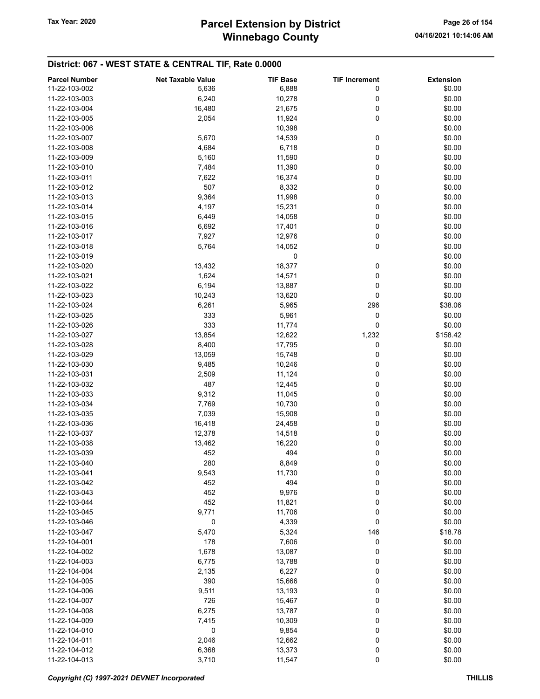| <b>Parcel Number</b> | <b>Net Taxable Value</b> | <b>TIF Base</b> | <b>TIF Increment</b> | <b>Extension</b> |
|----------------------|--------------------------|-----------------|----------------------|------------------|
|                      |                          |                 |                      |                  |
| 11-22-103-002        | 5,636                    | 6,888           | 0                    | \$0.00           |
| 11-22-103-003        | 6,240                    | 10,278          | 0                    | \$0.00           |
| 11-22-103-004        | 16,480                   | 21,675          | 0                    | \$0.00           |
| 11-22-103-005        | 2,054                    | 11,924          | 0                    | \$0.00           |
| 11-22-103-006        |                          | 10,398          |                      | \$0.00           |
| 11-22-103-007        | 5,670                    | 14,539          | 0                    | \$0.00           |
| 11-22-103-008        | 4,684                    | 6,718           | 0                    | \$0.00           |
| 11-22-103-009        | 5,160                    | 11,590          | 0                    | \$0.00           |
| 11-22-103-010        | 7,484                    | 11,390          | 0                    | \$0.00           |
|                      |                          |                 |                      |                  |
| 11-22-103-011        | 7,622                    | 16,374          | 0                    | \$0.00           |
| 11-22-103-012        | 507                      | 8,332           | 0                    | \$0.00           |
| 11-22-103-013        | 9,364                    | 11,998          | 0                    | \$0.00           |
| 11-22-103-014        | 4,197                    | 15,231          | 0                    | \$0.00           |
| 11-22-103-015        | 6,449                    | 14,058          | 0                    | \$0.00           |
| 11-22-103-016        | 6,692                    | 17,401          | 0                    | \$0.00           |
| 11-22-103-017        | 7,927                    | 12,976          | 0                    | \$0.00           |
| 11-22-103-018        | 5,764                    | 14,052          | 0                    | \$0.00           |
| 11-22-103-019        |                          | 0               |                      | \$0.00           |
| 11-22-103-020        | 13,432                   | 18,377          | 0                    | \$0.00           |
|                      |                          |                 |                      |                  |
| 11-22-103-021        | 1,624                    | 14,571          | 0                    | \$0.00           |
| 11-22-103-022        | 6,194                    | 13,887          | 0                    | \$0.00           |
| 11-22-103-023        | 10,243                   | 13,620          | 0                    | \$0.00           |
| 11-22-103-024        | 6,261                    | 5,965           | 296                  | \$38.06          |
| 11-22-103-025        | 333                      | 5,961           | 0                    | \$0.00           |
| 11-22-103-026        | 333                      | 11,774          | 0                    | \$0.00           |
| 11-22-103-027        | 13,854                   | 12,622          | 1,232                | \$158.42         |
| 11-22-103-028        | 8,400                    | 17,795          | 0                    | \$0.00           |
| 11-22-103-029        | 13,059                   | 15,748          | 0                    | \$0.00           |
| 11-22-103-030        | 9,485                    | 10,246          | 0                    | \$0.00           |
|                      |                          |                 |                      |                  |
| 11-22-103-031        | 2,509                    | 11,124          | 0                    | \$0.00           |
| 11-22-103-032        | 487                      | 12,445          | 0                    | \$0.00           |
| 11-22-103-033        | 9,312                    | 11,045          | 0                    | \$0.00           |
| 11-22-103-034        | 7,769                    | 10,730          | 0                    | \$0.00           |
| 11-22-103-035        | 7,039                    | 15,908          | 0                    | \$0.00           |
| 11-22-103-036        | 16,418                   | 24,458          | 0                    | \$0.00           |
| 11-22-103-037        | 12,378                   | 14,518          | 0                    | \$0.00           |
| 11-22-103-038        | 13,462                   | 16,220          | 0                    | \$0.00           |
| 11-22-103-039        | 452                      | 494             | 0                    | \$0.00           |
| 11-22-103-040        | 280                      | 8,849           | 0                    | \$0.00           |
|                      |                          |                 |                      |                  |
| 11-22-103-041        | 9,543                    | 11,730          | 0                    | \$0.00           |
| 11-22-103-042        | 452                      | 494             | 0                    | \$0.00           |
| 11-22-103-043        | 452                      | 9,976           | 0                    | \$0.00           |
| 11-22-103-044        | 452                      | 11,821          | 0                    | \$0.00           |
| 11-22-103-045        | 9,771                    | 11,706          | 0                    | \$0.00           |
| 11-22-103-046        | 0                        | 4,339           | 0                    | \$0.00           |
| 11-22-103-047        | 5,470                    | 5,324           | 146                  | \$18.78          |
| 11-22-104-001        | 178                      | 7,606           | 0                    | \$0.00           |
| 11-22-104-002        | 1,678                    | 13,087          | 0                    | \$0.00           |
| 11-22-104-003        | 6,775                    | 13,788          | 0                    | \$0.00           |
|                      |                          |                 |                      |                  |
| 11-22-104-004        | 2,135                    | 6,227           | 0                    | \$0.00           |
| 11-22-104-005        | 390                      | 15,666          | 0                    | \$0.00           |
| 11-22-104-006        | 9,511                    | 13,193          | 0                    | \$0.00           |
| 11-22-104-007        | 726                      | 15,467          | 0                    | \$0.00           |
| 11-22-104-008        | 6,275                    | 13,787          | 0                    | \$0.00           |
| 11-22-104-009        | 7,415                    | 10,309          | 0                    | \$0.00           |
| 11-22-104-010        | 0                        | 9,854           | 0                    | \$0.00           |
| 11-22-104-011        | 2,046                    | 12,662          | 0                    | \$0.00           |
| 11-22-104-012        | 6,368                    | 13,373          | 0                    | \$0.00           |
| 11-22-104-013        | 3,710                    |                 | $\pmb{0}$            | \$0.00           |
|                      |                          | 11,547          |                      |                  |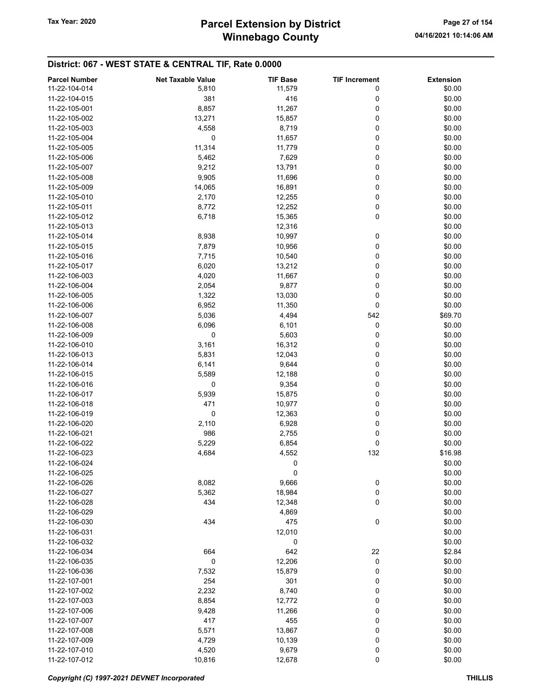| <b>Parcel Number</b> | <b>Net Taxable Value</b> | <b>TIF Base</b> | <b>TIF Increment</b> | <b>Extension</b> |
|----------------------|--------------------------|-----------------|----------------------|------------------|
| 11-22-104-014        | 5,810                    | 11,579          | 0                    | \$0.00           |
| 11-22-104-015        | 381                      | 416             | 0                    | \$0.00           |
| 11-22-105-001        | 8,857                    | 11,267          | 0                    | \$0.00           |
| 11-22-105-002        | 13,271                   | 15,857          | 0                    | \$0.00           |
|                      |                          |                 |                      |                  |
| 11-22-105-003        | 4,558                    | 8,719           | 0                    | \$0.00           |
| 11-22-105-004        | 0                        | 11,657          | 0                    | \$0.00           |
| 11-22-105-005        | 11,314                   | 11,779          | 0                    | \$0.00           |
| 11-22-105-006        | 5,462                    | 7,629           | 0                    | \$0.00           |
| 11-22-105-007        | 9,212                    | 13,791          | 0                    | \$0.00           |
| 11-22-105-008        | 9,905                    | 11,696          | 0                    | \$0.00           |
| 11-22-105-009        | 14,065                   | 16,891          | 0                    | \$0.00           |
| 11-22-105-010        | 2,170                    | 12,255          | 0                    | \$0.00           |
| 11-22-105-011        | 8,772                    | 12,252          | 0                    | \$0.00           |
| 11-22-105-012        | 6,718                    | 15,365          | 0                    | \$0.00           |
| 11-22-105-013        |                          | 12,316          |                      | \$0.00           |
| 11-22-105-014        | 8,938                    | 10,997          | 0                    | \$0.00           |
| 11-22-105-015        | 7,879                    | 10,956          | 0                    | \$0.00           |
| 11-22-105-016        | 7,715                    | 10,540          | 0                    | \$0.00           |
| 11-22-105-017        | 6,020                    |                 | 0                    | \$0.00           |
|                      |                          | 13,212          |                      |                  |
| 11-22-106-003        | 4,020                    | 11,667          | 0                    | \$0.00           |
| 11-22-106-004        | 2,054                    | 9,877           | 0                    | \$0.00           |
| 11-22-106-005        | 1,322                    | 13,030          | 0                    | \$0.00           |
| 11-22-106-006        | 6,952                    | 11,350          | 0                    | \$0.00           |
| 11-22-106-007        | 5,036                    | 4,494           | 542                  | \$69.70          |
| 11-22-106-008        | 6,096                    | 6,101           | 0                    | \$0.00           |
| 11-22-106-009        | 0                        | 5,603           | 0                    | \$0.00           |
| 11-22-106-010        | 3,161                    | 16,312          | 0                    | \$0.00           |
| 11-22-106-013        | 5,831                    | 12,043          | 0                    | \$0.00           |
| 11-22-106-014        | 6,141                    | 9,644           | 0                    | \$0.00           |
| 11-22-106-015        | 5,589                    | 12,188          | 0                    | \$0.00           |
| 11-22-106-016        | 0                        | 9,354           | 0                    | \$0.00           |
| 11-22-106-017        | 5,939                    | 15,875          | 0                    | \$0.00           |
| 11-22-106-018        | 471                      | 10,977          | 0                    | \$0.00           |
| 11-22-106-019        | 0                        | 12,363          | 0                    | \$0.00           |
| 11-22-106-020        | 2,110                    | 6,928           | 0                    | \$0.00           |
|                      | 986                      |                 | 0                    |                  |
| 11-22-106-021        |                          | 2,755           |                      | \$0.00           |
| 11-22-106-022        | 5,229                    | 6,854           | 0                    | \$0.00           |
| 11-22-106-023        | 4,684                    | 4,552           | 132                  | \$16.98          |
| 11-22-106-024        |                          | 0               |                      | \$0.00           |
| 11-22-106-025        |                          | 0               |                      | \$0.00           |
| 11-22-106-026        | 8,082                    | 9,666           | 0                    | \$0.00           |
| 11-22-106-027        | 5,362                    | 18,984          | 0                    | \$0.00           |
| 11-22-106-028        | 434                      | 12,348          | 0                    | \$0.00           |
| 11-22-106-029        |                          | 4,869           |                      | \$0.00           |
| 11-22-106-030        | 434                      | 475             | $\pmb{0}$            | \$0.00           |
| 11-22-106-031        |                          | 12,010          |                      | \$0.00           |
| 11-22-106-032        |                          | 0               |                      | \$0.00           |
| 11-22-106-034        | 664                      | 642             | 22                   | \$2.84           |
| 11-22-106-035        | 0                        | 12,206          | 0                    | \$0.00           |
| 11-22-106-036        | 7,532                    | 15,879          | 0                    | \$0.00           |
| 11-22-107-001        | 254                      | 301             | 0                    | \$0.00           |
|                      |                          |                 |                      |                  |
| 11-22-107-002        | 2,232                    | 8,740           | 0                    | \$0.00           |
| 11-22-107-003        | 8,854                    | 12,772          | 0                    | \$0.00           |
| 11-22-107-006        | 9,428                    | 11,266          | 0                    | \$0.00           |
| 11-22-107-007        | 417                      | 455             | 0                    | \$0.00           |
| 11-22-107-008        | 5,571                    | 13,867          | 0                    | \$0.00           |
| 11-22-107-009        | 4,729                    | 10,139          | 0                    | \$0.00           |
| 11-22-107-010        | 4,520                    | 9,679           | 0                    | \$0.00           |
| 11-22-107-012        | 10,816                   | 12,678          | $\pmb{0}$            | \$0.00           |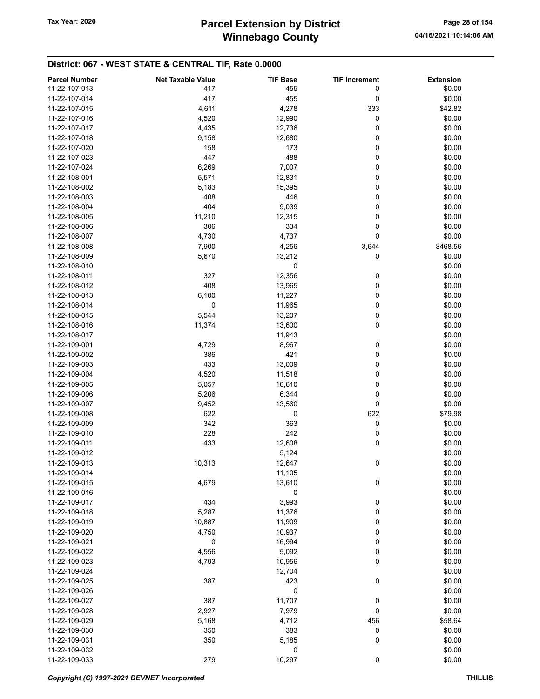| <b>Parcel Number</b> | <b>Net Taxable Value</b> | <b>TIF Base</b> | <b>TIF Increment</b> | <b>Extension</b> |
|----------------------|--------------------------|-----------------|----------------------|------------------|
| 11-22-107-013        | 417                      | 455             | 0                    | \$0.00           |
| 11-22-107-014        | 417                      | 455             | 0                    | \$0.00           |
| 11-22-107-015        | 4,611                    | 4,278           | 333                  | \$42.82          |
| 11-22-107-016        | 4,520                    | 12,990          | 0                    | \$0.00           |
| 11-22-107-017        | 4,435                    | 12,736          | 0                    | \$0.00           |
| 11-22-107-018        | 9,158                    | 12,680          | 0                    | \$0.00           |
| 11-22-107-020        | 158                      | 173             | 0                    | \$0.00           |
|                      |                          |                 |                      |                  |
| 11-22-107-023        | 447                      | 488             | 0                    | \$0.00           |
| 11-22-107-024        | 6,269                    | 7,007           | 0                    | \$0.00           |
| 11-22-108-001        | 5,571                    | 12,831          | 0                    | \$0.00           |
| 11-22-108-002        | 5,183                    | 15,395          | 0                    | \$0.00           |
| 11-22-108-003        | 408                      | 446             | 0                    | \$0.00           |
| 11-22-108-004        | 404                      | 9,039           | 0                    | \$0.00           |
| 11-22-108-005        | 11,210                   | 12,315          | 0                    | \$0.00           |
| 11-22-108-006        | 306                      | 334             | 0                    | \$0.00           |
| 11-22-108-007        | 4,730                    | 4,737           | 0                    | \$0.00           |
| 11-22-108-008        | 7,900                    | 4,256           | 3,644                | \$468.56         |
| 11-22-108-009        | 5,670                    | 13,212          | 0                    | \$0.00           |
| 11-22-108-010        |                          | 0               |                      | \$0.00           |
| 11-22-108-011        | 327                      | 12,356          | 0                    | \$0.00           |
| 11-22-108-012        | 408                      | 13,965          | 0                    | \$0.00           |
| 11-22-108-013        | 6,100                    | 11,227          | 0                    | \$0.00           |
| 11-22-108-014        | 0                        | 11,965          | 0                    | \$0.00           |
| 11-22-108-015        | 5,544                    | 13,207          | 0                    | \$0.00           |
| 11-22-108-016        | 11,374                   | 13,600          | 0                    | \$0.00           |
| 11-22-108-017        |                          | 11,943          |                      | \$0.00           |
| 11-22-109-001        | 4,729                    | 8,967           | 0                    | \$0.00           |
| 11-22-109-002        | 386                      | 421             | 0                    | \$0.00           |
| 11-22-109-003        | 433                      | 13,009          | 0                    | \$0.00           |
| 11-22-109-004        | 4,520                    | 11,518          | 0                    | \$0.00           |
| 11-22-109-005        | 5,057                    | 10,610          | 0                    | \$0.00           |
| 11-22-109-006        | 5,206                    | 6,344           | 0                    | \$0.00           |
| 11-22-109-007        |                          | 13,560          | 0                    | \$0.00           |
| 11-22-109-008        | 9,452<br>622             |                 | 622                  |                  |
|                      |                          | 0               |                      | \$79.98          |
| 11-22-109-009        | 342                      | 363             | 0                    | \$0.00           |
| 11-22-109-010        | 228                      | 242             | 0                    | \$0.00           |
| 11-22-109-011        | 433                      | 12,608          | 0                    | \$0.00           |
| 11-22-109-012        |                          | 5,124           |                      | \$0.00           |
| 11-22-109-013        | 10,313                   | 12,647          | 0                    | \$0.00           |
| 11-22-109-014        |                          | 11,105          |                      | \$0.00           |
| 11-22-109-015        | 4,679                    | 13,610          | 0                    | \$0.00           |
| 11-22-109-016        |                          | 0               |                      | \$0.00           |
| 11-22-109-017        | 434                      | 3,993           | 0                    | \$0.00           |
| 11-22-109-018        | 5,287                    | 11,376          | 0                    | \$0.00           |
| 11-22-109-019        | 10,887                   | 11,909          | 0                    | \$0.00           |
| 11-22-109-020        | 4,750                    | 10,937          | 0                    | \$0.00           |
| 11-22-109-021        | 0                        | 16,994          | 0                    | \$0.00           |
| 11-22-109-022        | 4,556                    | 5,092           | 0                    | \$0.00           |
| 11-22-109-023        | 4,793                    | 10,956          | 0                    | \$0.00           |
| 11-22-109-024        |                          | 12,704          |                      | \$0.00           |
| 11-22-109-025        | 387                      | 423             | $\pmb{0}$            | \$0.00           |
| 11-22-109-026        |                          | 0               |                      | \$0.00           |
| 11-22-109-027        | 387                      | 11,707          | 0                    | \$0.00           |
| 11-22-109-028        | 2,927                    | 7,979           | 0                    | \$0.00           |
| 11-22-109-029        | 5,168                    | 4,712           | 456                  | \$58.64          |
| 11-22-109-030        | 350                      | 383             | 0                    | \$0.00           |
| 11-22-109-031        | 350                      | 5,185           | 0                    | \$0.00           |
| 11-22-109-032        |                          | 0               |                      | \$0.00           |
| 11-22-109-033        | 279                      | 10,297          | 0                    | \$0.00           |
|                      |                          |                 |                      |                  |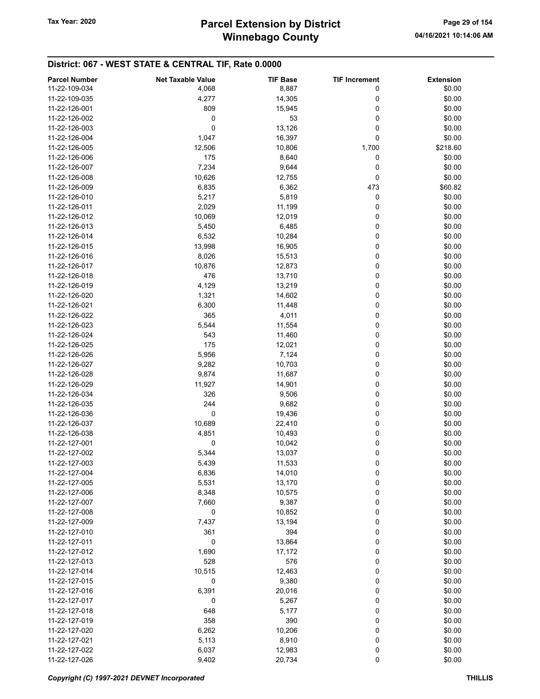# Winnebago County Tax Year: 2020 **Parcel Extension by District** Page 29 of 154

| <b>Parcel Number</b> | <b>Net Taxable Value</b> | <b>TIF Base</b> | <b>TIF Increment</b> | <b>Extension</b> |
|----------------------|--------------------------|-----------------|----------------------|------------------|
| 11-22-109-034        | 4,068                    | 8,887           | 0                    | \$0.00           |
| 11-22-109-035        | 4,277                    | 14,305          | 0                    | \$0.00           |
|                      |                          |                 |                      |                  |
| 11-22-126-001        | 809                      | 15,945          | 0                    | \$0.00           |
| 11-22-126-002        | 0                        | 53              | 0                    | \$0.00           |
| 11-22-126-003        | $\mathbf 0$              | 13,126          | 0                    | \$0.00           |
| 11-22-126-004        | 1,047                    | 16,397          | 0                    | \$0.00           |
| 11-22-126-005        | 12,506                   | 10,806          | 1,700                | \$218.60         |
| 11-22-126-006        | 175                      | 8,640           | 0                    | \$0.00           |
| 11-22-126-007        | 7,234                    | 9,644           | 0                    | \$0.00           |
| 11-22-126-008        | 10,626                   | 12,755          | 0                    | \$0.00           |
| 11-22-126-009        | 6,835                    | 6,362           | 473                  | \$60.82          |
| 11-22-126-010        | 5,217                    | 5,819           | 0                    | \$0.00           |
|                      |                          |                 |                      |                  |
| 11-22-126-011        | 2,029                    | 11,199          | 0                    | \$0.00           |
| 11-22-126-012        | 10,069                   | 12,019          | 0                    | \$0.00           |
| 11-22-126-013        | 5,450                    | 6,485           | 0                    | \$0.00           |
| 11-22-126-014        | 6,532                    | 10,284          | 0                    | \$0.00           |
| 11-22-126-015        | 13,998                   | 16,905          | 0                    | \$0.00           |
| 11-22-126-016        | 8,026                    | 15,513          | 0                    | \$0.00           |
| 11-22-126-017        | 10,876                   | 12,873          | 0                    | \$0.00           |
| 11-22-126-018        | 476                      | 13,710          | 0                    | \$0.00           |
| 11-22-126-019        | 4,129                    | 13,219          | 0                    | \$0.00           |
| 11-22-126-020        |                          |                 | 0                    | \$0.00           |
|                      | 1,321                    | 14,602          |                      |                  |
| 11-22-126-021        | 6,300                    | 11,448          | 0                    | \$0.00           |
| 11-22-126-022        | 365                      | 4,011           | 0                    | \$0.00           |
| 11-22-126-023        | 5,544                    | 11,554          | 0                    | \$0.00           |
| 11-22-126-024        | 543                      | 11,460          | 0                    | \$0.00           |
| 11-22-126-025        | 175                      | 12,021          | 0                    | \$0.00           |
| 11-22-126-026        | 5,956                    | 7,124           | 0                    | \$0.00           |
| 11-22-126-027        | 9,282                    | 10,703          | 0                    | \$0.00           |
| 11-22-126-028        | 9,874                    | 11,687          | 0                    | \$0.00           |
| 11-22-126-029        | 11,927                   | 14,901          | 0                    | \$0.00           |
| 11-22-126-034        | 326                      | 9,506           | 0                    | \$0.00           |
| 11-22-126-035        | 244                      |                 | 0                    | \$0.00           |
|                      |                          | 9,682           |                      |                  |
| 11-22-126-036        | 0                        | 19,436          | 0                    | \$0.00           |
| 11-22-126-037        | 10,689                   | 22,410          | 0                    | \$0.00           |
| 11-22-126-038        | 4,851                    | 10,493          | 0                    | \$0.00           |
| 11-22-127-001        | 0                        | 10,042          | 0                    | \$0.00           |
| 11-22-127-002        | 5,344                    | 13,037          | 0                    | \$0.00           |
| 11-22-127-003        | 5,439                    | 11,533          | 0                    | \$0.00           |
| 11-22-127-004        | 6,836                    | 14,010          | 0                    | \$0.00           |
| 11-22-127-005        | 5,531                    | 13,170          | 0                    | \$0.00           |
| 11-22-127-006        | 8,348                    | 10,575          | 0                    | \$0.00           |
| 11-22-127-007        | 7,660                    | 9,387           | 0                    | \$0.00           |
| 11-22-127-008        |                          |                 |                      |                  |
|                      | 0                        | 10,852          | 0                    | \$0.00           |
| 11-22-127-009        | 7,437                    | 13,194          | 0                    | \$0.00           |
| 11-22-127-010        | 361                      | 394             | 0                    | \$0.00           |
| 11-22-127-011        | 0                        | 13,864          | 0                    | \$0.00           |
| 11-22-127-012        | 1,690                    | 17,172          | 0                    | \$0.00           |
| 11-22-127-013        | 528                      | 576             | 0                    | \$0.00           |
| 11-22-127-014        | 10,515                   | 12,463          | 0                    | \$0.00           |
| 11-22-127-015        | 0                        | 9,380           | 0                    | \$0.00           |
| 11-22-127-016        | 6,391                    | 20,016          | 0                    | \$0.00           |
| 11-22-127-017        | 0                        | 5,267           | 0                    | \$0.00           |
| 11-22-127-018        | 648                      | 5,177           | 0                    | \$0.00           |
| 11-22-127-019        | 358                      | 390             | 0                    | \$0.00           |
|                      |                          |                 |                      |                  |
| 11-22-127-020        | 6,262                    | 10,206          | 0                    | \$0.00           |
| 11-22-127-021        | 5,113                    | 8,910           | 0                    | \$0.00           |
| 11-22-127-022        | 6,037                    | 12,983          | 0                    | \$0.00           |
| 11-22-127-026        | 9,402                    | 20,734          | $\pmb{0}$            | \$0.00           |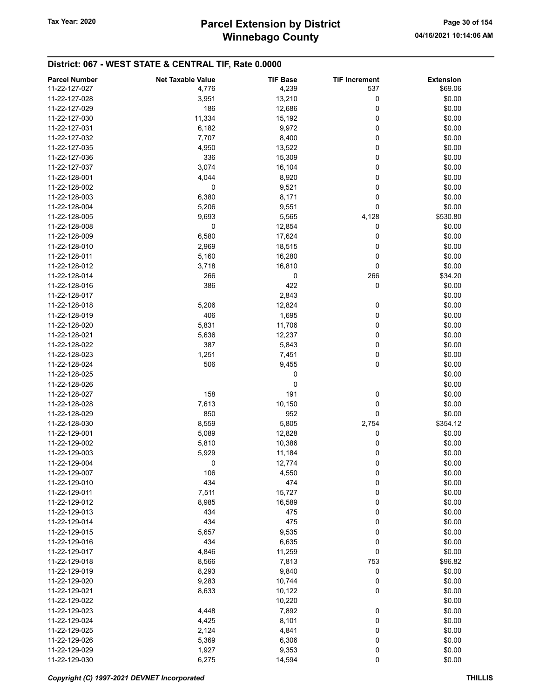# Winnebago County Tax Year: 2020 **Parcel Extension by District** Page 30 of 154

| <b>Parcel Number</b> | <b>Net Taxable Value</b> | <b>TIF Base</b> | <b>TIF Increment</b> | <b>Extension</b> |
|----------------------|--------------------------|-----------------|----------------------|------------------|
| 11-22-127-027        | 4,776                    | 4,239           | 537                  | \$69.06          |
| 11-22-127-028        | 3,951                    | 13,210          | 0                    | \$0.00           |
| 11-22-127-029        | 186                      | 12,686          | 0                    | \$0.00           |
| 11-22-127-030        | 11,334                   | 15,192          | 0                    | \$0.00           |
| 11-22-127-031        | 6,182                    | 9,972           | 0                    | \$0.00           |
| 11-22-127-032        | 7,707                    | 8,400           | 0                    | \$0.00           |
| 11-22-127-035        | 4,950                    | 13,522          | 0                    | \$0.00           |
| 11-22-127-036        | 336                      |                 | 0                    | \$0.00           |
|                      |                          | 15,309          |                      |                  |
| 11-22-127-037        | 3,074                    | 16,104          | 0                    | \$0.00           |
| 11-22-128-001        | 4,044                    | 8,920           | 0                    | \$0.00           |
| 11-22-128-002        | 0                        | 9,521           | 0                    | \$0.00           |
| 11-22-128-003        | 6,380                    | 8,171           | 0                    | \$0.00           |
| 11-22-128-004        | 5,206                    | 9,551           | 0                    | \$0.00           |
| 11-22-128-005        | 9,693                    | 5,565           | 4,128                | \$530.80         |
| 11-22-128-008        | 0                        | 12,854          | 0                    | \$0.00           |
| 11-22-128-009        | 6,580                    | 17,624          | 0                    | \$0.00           |
| 11-22-128-010        | 2,969                    | 18,515          | 0                    | \$0.00           |
| 11-22-128-011        | 5,160                    | 16,280          | 0                    | \$0.00           |
| 11-22-128-012        | 3,718                    | 16,810          | 0                    | \$0.00           |
| 11-22-128-014        | 266                      | 0               | 266                  | \$34.20          |
| 11-22-128-016        | 386                      | 422             | 0                    | \$0.00           |
| 11-22-128-017        |                          | 2,843           |                      | \$0.00           |
| 11-22-128-018        | 5,206                    | 12,824          | 0                    | \$0.00           |
| 11-22-128-019        | 406                      | 1,695           | 0                    | \$0.00           |
| 11-22-128-020        | 5,831                    | 11,706          | 0                    | \$0.00           |
| 11-22-128-021        | 5,636                    | 12,237          | 0                    | \$0.00           |
| 11-22-128-022        | 387                      | 5,843           | 0                    | \$0.00           |
| 11-22-128-023        | 1,251                    | 7,451           | 0                    | \$0.00           |
| 11-22-128-024        | 506                      | 9,455           | 0                    | \$0.00           |
| 11-22-128-025        |                          | 0               |                      | \$0.00           |
| 11-22-128-026        |                          | 0               |                      | \$0.00           |
| 11-22-128-027        | 158                      | 191             | 0                    | \$0.00           |
| 11-22-128-028        | 7,613                    | 10,150          | 0                    | \$0.00           |
| 11-22-128-029        | 850                      | 952             | 0                    | \$0.00           |
| 11-22-128-030        | 8,559                    | 5,805           | 2,754                | \$354.12         |
| 11-22-129-001        | 5,089                    | 12,828          | 0                    | \$0.00           |
|                      |                          |                 |                      |                  |
| 11-22-129-002        | 5,810                    | 10,386          | 0                    | \$0.00           |
| 11-22-129-003        | 5,929                    | 11,184          | 0                    | \$0.00           |
| 11-22-129-004        | 0                        | 12,774          | 0                    | \$0.00           |
| 11-22-129-007        | 106                      | 4,550           | 0                    | \$0.00           |
| 11-22-129-010        | 434                      | 474             | 0                    | \$0.00           |
| 11-22-129-011        | 7,511                    | 15,727          | 0                    | \$0.00           |
| 11-22-129-012        | 8,985                    | 16,589          | 0                    | \$0.00           |
| 11-22-129-013        | 434                      | 475             | 0                    | \$0.00           |
| 11-22-129-014        | 434                      | 475             | 0                    | \$0.00           |
| 11-22-129-015        | 5,657                    | 9,535           | 0                    | \$0.00           |
| 11-22-129-016        | 434                      | 6,635           | 0                    | \$0.00           |
| 11-22-129-017        | 4,846                    | 11,259          | 0                    | \$0.00           |
| 11-22-129-018        | 8,566                    | 7,813           | 753                  | \$96.82          |
| 11-22-129-019        | 8,293                    | 9,840           | 0                    | \$0.00           |
| 11-22-129-020        | 9,283                    | 10,744          | 0                    | \$0.00           |
| 11-22-129-021        | 8,633                    | 10,122          | 0                    | \$0.00           |
| 11-22-129-022        |                          | 10,220          |                      | \$0.00           |
| 11-22-129-023        | 4,448                    | 7,892           | 0                    | \$0.00           |
| 11-22-129-024        | 4,425                    | 8,101           | 0                    | \$0.00           |
| 11-22-129-025        | 2,124                    | 4,841           | 0                    | \$0.00           |
| 11-22-129-026        | 5,369                    | 6,306           | 0                    | \$0.00           |
| 11-22-129-029        | 1,927                    | 9,353           | 0                    | \$0.00           |
| 11-22-129-030        | 6,275                    | 14,594          | 0                    | \$0.00           |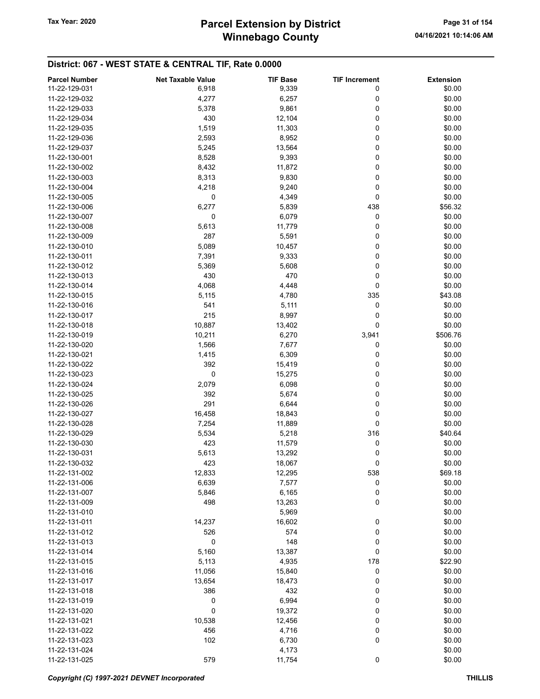# Winnebago County Tax Year: 2020 **Parcel Extension by District** Page 31 of 154

| <b>Parcel Number</b> | <b>Net Taxable Value</b> | <b>TIF Base</b> | <b>TIF Increment</b> | <b>Extension</b> |
|----------------------|--------------------------|-----------------|----------------------|------------------|
| 11-22-129-031        | 6,918                    | 9,339           | 0                    | \$0.00           |
| 11-22-129-032        | 4,277                    | 6,257           | 0                    | \$0.00           |
| 11-22-129-033        | 5,378                    | 9,861           | 0                    | \$0.00           |
| 11-22-129-034        | 430                      | 12,104          | 0                    | \$0.00           |
| 11-22-129-035        |                          |                 | 0                    | \$0.00           |
|                      | 1,519                    | 11,303          |                      |                  |
| 11-22-129-036        | 2,593                    | 8,952           | 0                    | \$0.00           |
| 11-22-129-037        | 5,245                    | 13,564          | 0                    | \$0.00           |
| 11-22-130-001        | 8,528                    | 9,393           | 0                    | \$0.00           |
| 11-22-130-002        | 8,432                    | 11,872          | 0                    | \$0.00           |
| 11-22-130-003        | 8,313                    | 9,830           | 0                    | \$0.00           |
| 11-22-130-004        | 4,218                    | 9,240           | 0                    | \$0.00           |
| 11-22-130-005        | 0                        | 4,349           | 0                    | \$0.00           |
| 11-22-130-006        | 6,277                    | 5,839           | 438                  | \$56.32          |
| 11-22-130-007        | 0                        | 6,079           | 0                    | \$0.00           |
| 11-22-130-008        | 5,613                    | 11,779          | 0                    | \$0.00           |
| 11-22-130-009        | 287                      | 5,591           | 0                    | \$0.00           |
| 11-22-130-010        | 5,089                    | 10,457          | 0                    | \$0.00           |
| 11-22-130-011        | 7,391                    | 9,333           | 0                    | \$0.00           |
| 11-22-130-012        | 5,369                    | 5,608           | 0                    | \$0.00           |
|                      |                          |                 |                      |                  |
| 11-22-130-013        | 430                      | 470             | 0                    | \$0.00           |
| 11-22-130-014        | 4,068                    | 4,448           | 0                    | \$0.00           |
| 11-22-130-015        | 5,115                    | 4,780           | 335                  | \$43.08          |
| 11-22-130-016        | 541                      | 5,111           | 0                    | \$0.00           |
| 11-22-130-017        | 215                      | 8,997           | 0                    | \$0.00           |
| 11-22-130-018        | 10,887                   | 13,402          | 0                    | \$0.00           |
| 11-22-130-019        | 10,211                   | 6,270           | 3,941                | \$506.76         |
| 11-22-130-020        | 1,566                    | 7,677           | 0                    | \$0.00           |
| 11-22-130-021        | 1,415                    | 6,309           | 0                    | \$0.00           |
| 11-22-130-022        | 392                      | 15,419          | 0                    | \$0.00           |
| 11-22-130-023        | $\pmb{0}$                | 15,275          | 0                    | \$0.00           |
| 11-22-130-024        | 2,079                    | 6,098           | 0                    | \$0.00           |
| 11-22-130-025        | 392                      | 5,674           | 0                    | \$0.00           |
| 11-22-130-026        | 291                      | 6,644           | 0                    | \$0.00           |
| 11-22-130-027        | 16,458                   | 18,843          | 0                    | \$0.00           |
|                      |                          |                 |                      |                  |
| 11-22-130-028        | 7,254                    | 11,889          | 0                    | \$0.00           |
| 11-22-130-029        | 5,534                    | 5,218           | 316                  | \$40.64          |
| 11-22-130-030        | 423                      | 11,579          | 0                    | \$0.00           |
| 11-22-130-031        | 5,613                    | 13,292          | 0                    | \$0.00           |
| 11-22-130-032        | 423                      | 18,067          | 0                    | \$0.00           |
| 11-22-131-002        | 12,833                   | 12,295          | 538                  | \$69.18          |
| 11-22-131-006        | 6,639                    | 7,577           | 0                    | \$0.00           |
| 11-22-131-007        | 5,846                    | 6,165           | 0                    | \$0.00           |
| 11-22-131-009        | 498                      | 13,263          | 0                    | \$0.00           |
| 11-22-131-010        |                          | 5,969           |                      | \$0.00           |
| 11-22-131-011        | 14,237                   | 16,602          | 0                    | \$0.00           |
| 11-22-131-012        | 526                      | 574             | 0                    | \$0.00           |
| 11-22-131-013        | 0                        | 148             | 0                    | \$0.00           |
| 11-22-131-014        | 5,160                    | 13,387          | 0                    | \$0.00           |
| 11-22-131-015        | 5,113                    | 4,935           | 178                  | \$22.90          |
|                      |                          |                 |                      |                  |
| 11-22-131-016        | 11,056                   | 15,840          | 0                    | \$0.00           |
| 11-22-131-017        | 13,654                   | 18,473          | 0                    | \$0.00           |
| 11-22-131-018        | 386                      | 432             | 0                    | \$0.00           |
| 11-22-131-019        | 0                        | 6,994           | 0                    | \$0.00           |
| 11-22-131-020        | $\pmb{0}$                | 19,372          | 0                    | \$0.00           |
| 11-22-131-021        | 10,538                   | 12,456          | 0                    | \$0.00           |
| 11-22-131-022        | 456                      | 4,716           | 0                    | \$0.00           |
| 11-22-131-023        | 102                      | 6,730           | 0                    | \$0.00           |
| 11-22-131-024        |                          | 4,173           |                      | \$0.00           |
| 11-22-131-025        | 579                      | 11,754          | 0                    | \$0.00           |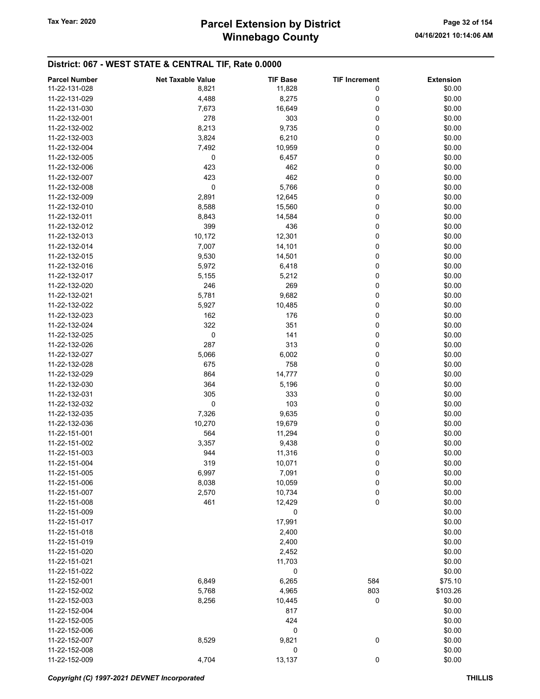# Winnebago County Tax Year: 2020 **Parcel Extension by District** Page 32 of 154

| <b>Parcel Number</b> | <b>Net Taxable Value</b> | <b>TIF Base</b> | <b>TIF Increment</b> | <b>Extension</b> |
|----------------------|--------------------------|-----------------|----------------------|------------------|
| 11-22-131-028        | 8,821                    | 11,828          | 0                    | \$0.00           |
| 11-22-131-029        | 4,488                    | 8,275           | 0                    | \$0.00           |
| 11-22-131-030        | 7,673                    | 16,649          | 0                    | \$0.00           |
| 11-22-132-001        | 278                      | 303             | 0                    | \$0.00           |
| 11-22-132-002        | 8,213                    | 9,735           | 0                    | \$0.00           |
|                      |                          |                 |                      |                  |
| 11-22-132-003        | 3,824                    | 6,210           | 0                    | \$0.00           |
| 11-22-132-004        | 7,492                    | 10,959          | 0                    | \$0.00           |
| 11-22-132-005        | 0                        | 6,457           | 0                    | \$0.00           |
| 11-22-132-006        | 423                      | 462             | 0                    | \$0.00           |
| 11-22-132-007        | 423                      | 462             | 0                    | \$0.00           |
| 11-22-132-008        | 0                        | 5,766           | 0                    | \$0.00           |
| 11-22-132-009        | 2,891                    | 12,645          | 0                    | \$0.00           |
| 11-22-132-010        | 8,588                    | 15,560          | 0                    | \$0.00           |
| 11-22-132-011        | 8,843                    | 14,584          | 0                    | \$0.00           |
| 11-22-132-012        | 399                      | 436             | 0                    | \$0.00           |
| 11-22-132-013        | 10,172                   | 12,301          | 0                    | \$0.00           |
| 11-22-132-014        | 7,007                    | 14,101          | 0                    | \$0.00           |
| 11-22-132-015        | 9,530                    | 14,501          | 0                    | \$0.00           |
| 11-22-132-016        | 5,972                    | 6,418           | 0                    | \$0.00           |
| 11-22-132-017        | 5,155                    | 5,212           | 0                    | \$0.00           |
|                      |                          |                 |                      |                  |
| 11-22-132-020        | 246                      | 269             | 0                    | \$0.00           |
| 11-22-132-021        | 5,781                    | 9,682           | 0                    | \$0.00           |
| 11-22-132-022        | 5,927                    | 10,485          | 0                    | \$0.00           |
| 11-22-132-023        | 162                      | 176             | 0                    | \$0.00           |
| 11-22-132-024        | 322                      | 351             | 0                    | \$0.00           |
| 11-22-132-025        | 0                        | 141             | 0                    | \$0.00           |
| 11-22-132-026        | 287                      | 313             | 0                    | \$0.00           |
| 11-22-132-027        | 5,066                    | 6,002           | 0                    | \$0.00           |
| 11-22-132-028        | 675                      | 758             | 0                    | \$0.00           |
| 11-22-132-029        | 864                      | 14,777          | 0                    | \$0.00           |
| 11-22-132-030        | 364                      | 5,196           | 0                    | \$0.00           |
| 11-22-132-031        | 305                      | 333             | 0                    | \$0.00           |
| 11-22-132-032        | 0                        | 103             | 0                    | \$0.00           |
| 11-22-132-035        | 7,326                    | 9,635           | 0                    | \$0.00           |
| 11-22-132-036        | 10,270                   | 19,679          | 0                    | \$0.00           |
| 11-22-151-001        | 564                      | 11,294          | 0                    | \$0.00           |
| 11-22-151-002        | 3,357                    | 9,438           | 0                    | \$0.00           |
|                      |                          |                 |                      |                  |
| 11-22-151-003        | 944                      | 11,316          | 0                    | \$0.00           |
| 11-22-151-004        | 319                      | 10,071          | 0                    | \$0.00           |
| 11-22-151-005        | 6,997                    | 7,091           | 0                    | \$0.00           |
| 11-22-151-006        | 8,038                    | 10,059          | 0                    | \$0.00           |
| 11-22-151-007        | 2,570                    | 10,734          | 0                    | \$0.00           |
| 11-22-151-008        | 461                      | 12,429          | 0                    | \$0.00           |
| 11-22-151-009        |                          | 0               |                      | \$0.00           |
| 11-22-151-017        |                          | 17,991          |                      | \$0.00           |
| 11-22-151-018        |                          | 2,400           |                      | \$0.00           |
| 11-22-151-019        |                          | 2,400           |                      | \$0.00           |
| 11-22-151-020        |                          | 2,452           |                      | \$0.00           |
| 11-22-151-021        |                          | 11,703          |                      | \$0.00           |
| 11-22-151-022        |                          | 0               |                      | \$0.00           |
| 11-22-152-001        | 6,849                    | 6,265           | 584                  | \$75.10          |
| 11-22-152-002        | 5,768                    | 4,965           | 803                  | \$103.26         |
| 11-22-152-003        | 8,256                    | 10,445          | 0                    | \$0.00           |
| 11-22-152-004        |                          | 817             |                      | \$0.00           |
|                      |                          |                 |                      |                  |
| 11-22-152-005        |                          | 424             |                      | \$0.00           |
| 11-22-152-006        |                          | 0               |                      | \$0.00           |
| 11-22-152-007        | 8,529                    | 9,821           | 0                    | \$0.00           |
| 11-22-152-008        |                          | 0               |                      | \$0.00           |
| 11-22-152-009        | 4,704                    | 13,137          | $\pmb{0}$            | \$0.00           |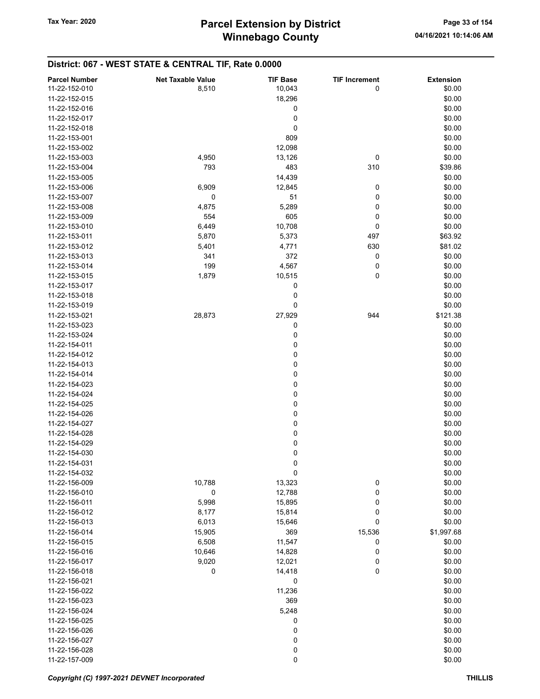#### District: 067 - WEST STATE & CENTRAL TIF, Rate 0.0000 Parcel Number **Net Taxable Value** TIF Base TIF Increment Extension 11-22-152-010 **8,510** 8,510 10,043 0 \$0.00 11-22-152-015 18,296 \$0.00  $11-22-152-016$  \$0.00  $11-22-152-017$  \$0.00  $11-22-152-018$  \$0.00  $11-22-153-001$  \$0.00 11-22-153-002 12,098 \$0.00 11-22-153-003 4,950 13,126 0 \$0.00 11-22-153-004 **539.86** 310 11-22-153-005 \$0.00 11-22-153-006 6,909 12,845 0 \$0.00 11-22-153-007 0 51 0 \$0.00 11-22-153-008 **4,875** 5,289 0 \$0.00 11-22-153-009 554 605 0 \$0.00 11-22-153-010 6,449 10,708 0 \$0.00 11-22-153-011 5,870 5,373 497 \$63.92 11-22-153-012 **5,401** 5,401 **11-22-153-012** 581.02 11-22-153-013 **301** 341 372 0 \$0.00 11-22-153-014 199 4,567 0 \$0.00 11-22-153-015 1,879 10,515 0 \$0.00  $11-22-153-017$  \$0.00  $11-22-153-018$  \$0.00  $11-22-153-019$  \$0.00 11-22-153-021 28,873 27,929 944 \$121.38  $11-22-153-023$  \$0.00  $11-22-153-024$  \$0.00  $11-22-154-011$  \$0.00  $11-22-154-012$  \$0.00  $11-22-154-013$  \$0.00  $11-22-154-014$  \$0.00  $11-22-154-023$  \$0.00  $11-22-154-024$  \$0.00  $11-22-154-025$  \$0.00  $11-22-154-026$  \$0.00  $11-22-154-027$  \$0.00  $11-22-154-028$  \$0.00  $11-22-154-029$  \$0.00  $11-22-154-030$  \$0.00  $11-22-154-031$  \$0.00  $11-22-154-032$  \$0.00 11-22-156-009 10,788 13,323 0 \$0.00 11-22-156-010 0 12,788 0 \$0.00 11-22-156-011 **5,998** 5,998 15,895 0 \$0.00 11-22-156-012 8,177 15,814 0 \$0.00 11-22-156-013 6,013 15,646 0 \$0.00 11-22-156-014 15,905 369 15,536 \$1,997.68 11-22-156-015 6,508 6,508 11,547 0 \$0.00 11-22-156-016 10,646 14,828 0 \$0.00 11-22-156-017 9,020 12,021 0 \$0.00 11-22-156-018 **0** 0 14,418 0 \$0.00  $11-22-156-021$  \$0.00 11-22-156-022 11,236 \$0.00 11-22-156-023 369 \$0.00 11-22-156-024 \$0.00  $11-22-156-025$  \$0.00  $11-22-156-026$  \$0.00 11-22-156-027 0 \$0.00 11-22-156-028 0 \$0.00  $11-22-157-009$  \$0.00

#### Copyright (C) 1997-2021 DEVNET Incorporated **THILLIS**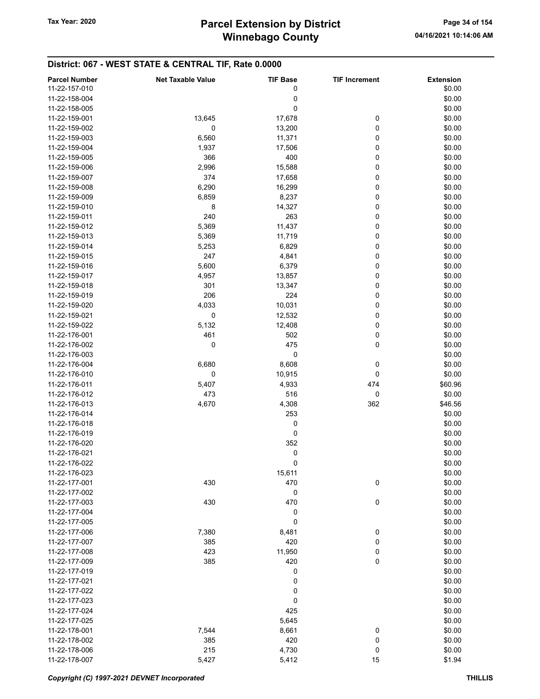# Winnebago County Tax Year: 2020 **Parcel Extension by District** Page 34 of 154

| <b>Parcel Number</b> | <b>Net Taxable Value</b> | <b>TIF Base</b> | <b>TIF Increment</b> | <b>Extension</b> |
|----------------------|--------------------------|-----------------|----------------------|------------------|
| 11-22-157-010        |                          | 0               |                      | \$0.00           |
| 11-22-158-004        |                          | 0               |                      | \$0.00           |
|                      |                          | 0               |                      |                  |
| 11-22-158-005        |                          |                 |                      | \$0.00           |
| 11-22-159-001        | 13,645                   | 17,678          | 0                    | \$0.00           |
| 11-22-159-002        | 0                        | 13,200          | 0                    | \$0.00           |
| 11-22-159-003        | 6,560                    | 11,371          | 0                    | \$0.00           |
| 11-22-159-004        | 1,937                    | 17,506          | 0                    | \$0.00           |
| 11-22-159-005        | 366                      | 400             | 0                    | \$0.00           |
| 11-22-159-006        | 2,996                    | 15,588          | 0                    | \$0.00           |
| 11-22-159-007        | 374                      | 17,658          | 0                    | \$0.00           |
| 11-22-159-008        | 6,290                    | 16,299          | 0                    | \$0.00           |
| 11-22-159-009        | 6,859                    | 8,237           | 0                    | \$0.00           |
| 11-22-159-010        | 8                        | 14,327          | 0                    | \$0.00           |
| 11-22-159-011        | 240                      | 263             | 0                    | \$0.00           |
| 11-22-159-012        | 5,369                    | 11,437          | 0                    | \$0.00           |
| 11-22-159-013        | 5,369                    | 11,719          | 0                    | \$0.00           |
| 11-22-159-014        |                          |                 | 0                    |                  |
|                      | 5,253                    | 6,829           |                      | \$0.00           |
| 11-22-159-015        | 247                      | 4,841           | 0                    | \$0.00           |
| 11-22-159-016        | 5,600                    | 6,379           | 0                    | \$0.00           |
| 11-22-159-017        | 4,957                    | 13,857          | 0                    | \$0.00           |
| 11-22-159-018        | 301                      | 13,347          | 0                    | \$0.00           |
| 11-22-159-019        | 206                      | 224             | 0                    | \$0.00           |
| 11-22-159-020        | 4,033                    | 10,031          | 0                    | \$0.00           |
| 11-22-159-021        | 0                        | 12,532          | 0                    | \$0.00           |
| 11-22-159-022        | 5,132                    | 12,408          | 0                    | \$0.00           |
| 11-22-176-001        | 461                      | 502             | 0                    | \$0.00           |
| 11-22-176-002        | 0                        | 475             | 0                    | \$0.00           |
| 11-22-176-003        |                          | 0               |                      | \$0.00           |
| 11-22-176-004        | 6,680                    | 8,608           | 0                    | \$0.00           |
| 11-22-176-010        | 0                        | 10,915          | 0                    | \$0.00           |
| 11-22-176-011        |                          |                 | 474                  | \$60.96          |
|                      | 5,407                    | 4,933           |                      |                  |
| 11-22-176-012        | 473                      | 516             | 0                    | \$0.00           |
| 11-22-176-013        | 4,670                    | 4,308           | 362                  | \$46.56          |
| 11-22-176-014        |                          | 253             |                      | \$0.00           |
| 11-22-176-018        |                          | 0               |                      | \$0.00           |
| 11-22-176-019        |                          | 0               |                      | \$0.00           |
| 11-22-176-020        |                          | 352             |                      | \$0.00           |
| 11-22-176-021        |                          | 0               |                      | \$0.00           |
| 11-22-176-022        |                          | 0               |                      | \$0.00           |
| 11-22-176-023        |                          | 15,611          |                      | \$0.00           |
| 11-22-177-001        | 430                      | 470             | 0                    | \$0.00           |
| 11-22-177-002        |                          | 0               |                      | \$0.00           |
| 11-22-177-003        | 430                      | 470             | 0                    | \$0.00           |
| 11-22-177-004        |                          | 0               |                      | \$0.00           |
| 11-22-177-005        |                          | 0               |                      | \$0.00           |
| 11-22-177-006        | 7,380                    | 8,481           | 0                    | \$0.00           |
|                      |                          |                 |                      |                  |
| 11-22-177-007        | 385                      | 420             | 0                    | \$0.00           |
| 11-22-177-008        | 423                      | 11,950          | 0                    | \$0.00           |
| 11-22-177-009        | 385                      | 420             | 0                    | \$0.00           |
| 11-22-177-019        |                          | 0               |                      | \$0.00           |
| 11-22-177-021        |                          | 0               |                      | \$0.00           |
| 11-22-177-022        |                          | 0               |                      | \$0.00           |
| 11-22-177-023        |                          | 0               |                      | \$0.00           |
| 11-22-177-024        |                          | 425             |                      | \$0.00           |
| 11-22-177-025        |                          | 5,645           |                      | \$0.00           |
| 11-22-178-001        | 7,544                    | 8,661           | 0                    | \$0.00           |
| 11-22-178-002        | 385                      | 420             | 0                    | \$0.00           |
| 11-22-178-006        | 215                      | 4,730           | 0                    | \$0.00           |
| 11-22-178-007        | 5,427                    | 5,412           | 15                   | \$1.94           |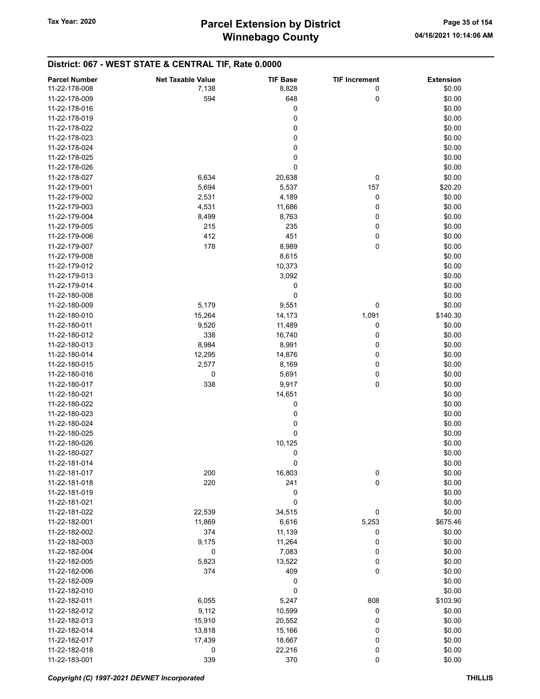| <b>Parcel Number</b> | <b>Net Taxable Value</b> | <b>TIF Base</b> | <b>TIF Increment</b> | <b>Extension</b> |
|----------------------|--------------------------|-----------------|----------------------|------------------|
| 11-22-178-008        | 7,138                    | 8,828           | 0                    | \$0.00           |
|                      |                          |                 |                      |                  |
| 11-22-178-009        | 594                      | 648             | 0                    | \$0.00           |
| 11-22-178-016        |                          | 0               |                      | \$0.00           |
| 11-22-178-019        |                          | 0               |                      | \$0.00           |
| 11-22-178-022        |                          | 0               |                      | \$0.00           |
| 11-22-178-023        |                          | 0               |                      | \$0.00           |
| 11-22-178-024        |                          | 0               |                      | \$0.00           |
| 11-22-178-025        |                          | 0               |                      | \$0.00           |
| 11-22-178-026        |                          | 0               |                      | \$0.00           |
| 11-22-178-027        | 6,634                    | 20,638          | 0                    | \$0.00           |
| 11-22-179-001        | 5,694                    | 5,537           | 157                  | \$20.20          |
| 11-22-179-002        | 2,531                    | 4,189           | 0                    | \$0.00           |
| 11-22-179-003        | 4,531                    | 11,686          | 0                    | \$0.00           |
| 11-22-179-004        | 8,499                    | 8,763           | 0                    | \$0.00           |
| 11-22-179-005        | 215                      | 235             | 0                    | \$0.00           |
| 11-22-179-006        | 412                      | 451             | 0                    | \$0.00           |
| 11-22-179-007        | 178                      | 8,989           | 0                    | \$0.00           |
| 11-22-179-008        |                          | 8,615           |                      | \$0.00           |
| 11-22-179-012        |                          | 10,373          |                      | \$0.00           |
| 11-22-179-013        |                          | 3,092           |                      | \$0.00           |
| 11-22-179-014        |                          | 0               |                      | \$0.00           |
| 11-22-180-008        |                          | 0               |                      | \$0.00           |
| 11-22-180-009        | 5,179                    | 9,551           | 0                    | \$0.00           |
| 11-22-180-010        | 15,264                   | 14,173          | 1,091                | \$140.30         |
| 11-22-180-011        | 9,520                    | 11,489          | 0                    | \$0.00           |
| 11-22-180-012        | 338                      | 16,740          | 0                    | \$0.00           |
| 11-22-180-013        | 8,984                    | 8,991           | 0                    | \$0.00           |
| 11-22-180-014        | 12,295                   | 14,876          | 0                    | \$0.00           |
| 11-22-180-015        | 2,577                    | 8,169           | 0                    | \$0.00           |
| 11-22-180-016        | 0                        | 5,691           | 0                    | \$0.00           |
| 11-22-180-017        | 338                      | 9,917           | 0                    | \$0.00           |
| 11-22-180-021        |                          | 14,651          |                      | \$0.00           |
| 11-22-180-022        |                          | 0               |                      | \$0.00           |
| 11-22-180-023        |                          | 0               |                      | \$0.00           |
| 11-22-180-024        |                          | 0               |                      | \$0.00           |
| 11-22-180-025        |                          | 0               |                      | \$0.00           |
| 11-22-180-026        |                          | 10,125          |                      | \$0.00           |
| 11-22-180-027        |                          | 0               |                      | \$0.00           |
| 11-22-181-014        |                          | 0               |                      | \$0.00           |
| 11-22-181-017        | 200                      | 16,803          | 0                    | \$0.00           |
| 11-22-181-018        | 220                      | 241             | 0                    | \$0.00           |
| 11-22-181-019        |                          | 0               |                      | \$0.00           |
| 11-22-181-021        |                          | 0               |                      | \$0.00           |
| 11-22-181-022        | 22,539                   | 34,515          | 0                    | \$0.00           |
| 11-22-182-001        | 11,869                   | 6,616           | 5,253                | \$675.46         |
| 11-22-182-002        | 374                      | 11,139          | 0                    | \$0.00           |
| 11-22-182-003        | 9,175                    | 11,264          | 0                    | \$0.00           |
| 11-22-182-004        | 0                        | 7,083           | 0                    | \$0.00           |
| 11-22-182-005        | 5,823                    | 13,522          | 0                    | \$0.00           |
| 11-22-182-006        | 374                      | 409             | 0                    | \$0.00           |
| 11-22-182-009        |                          | 0               |                      | \$0.00           |
| 11-22-182-010        |                          | 0               |                      | \$0.00           |
| 11-22-182-011        | 6,055                    | 5,247           | 808                  | \$103.90         |
| 11-22-182-012        | 9,112                    | 10,599          | 0                    | \$0.00           |
| 11-22-182-013        | 15,910                   | 20,552          | 0                    | \$0.00           |
| 11-22-182-014        | 13,818                   | 15,166          | 0                    | \$0.00           |
| 11-22-182-017        | 17,439                   | 18,667          | 0                    | \$0.00           |
| 11-22-182-018        |                          |                 |                      | \$0.00           |
|                      | 0                        | 22,216          | 0                    |                  |
| 11-22-183-001        | 339                      | 370             | 0                    | \$0.00           |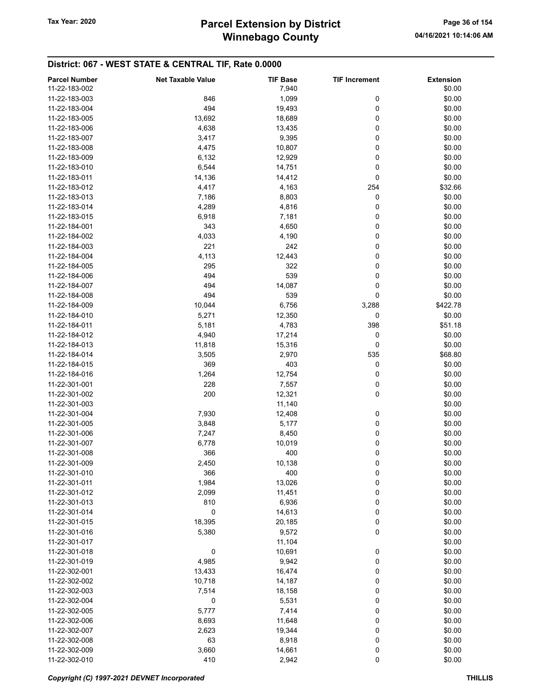# Winnebago County Tax Year: 2020 **Parcel Extension by District** Page 36 of 154

| <b>Parcel Number</b> | <b>Net Taxable Value</b> | <b>TIF Base</b> | <b>TIF Increment</b> | <b>Extension</b> |
|----------------------|--------------------------|-----------------|----------------------|------------------|
| 11-22-183-002        |                          | 7,940           |                      | \$0.00           |
| 11-22-183-003        | 846                      | 1,099           | 0                    | \$0.00           |
|                      |                          |                 |                      |                  |
| 11-22-183-004        | 494                      | 19,493          | 0                    | \$0.00           |
| 11-22-183-005        | 13,692                   | 18,689          | 0                    | \$0.00           |
| 11-22-183-006        | 4,638                    | 13,435          | 0                    | \$0.00           |
| 11-22-183-007        | 3,417                    | 9,395           | 0                    | \$0.00           |
| 11-22-183-008        | 4,475                    | 10,807          | 0                    | \$0.00           |
| 11-22-183-009        | 6,132                    | 12,929          | 0                    | \$0.00           |
| 11-22-183-010        | 6,544                    | 14,751          | 0                    | \$0.00           |
| 11-22-183-011        | 14,136                   | 14,412          | 0                    | \$0.00           |
| 11-22-183-012        | 4,417                    | 4,163           | 254                  | \$32.66          |
| 11-22-183-013        | 7,186                    | 8,803           | 0                    | \$0.00           |
| 11-22-183-014        | 4,289                    | 4,816           | 0                    | \$0.00           |
|                      |                          |                 |                      |                  |
| 11-22-183-015        | 6,918                    | 7,181           | 0                    | \$0.00           |
| 11-22-184-001        | 343                      | 4,650           | 0                    | \$0.00           |
| 11-22-184-002        | 4,033                    | 4,190           | 0                    | \$0.00           |
| 11-22-184-003        | 221                      | 242             | 0                    | \$0.00           |
| 11-22-184-004        | 4,113                    | 12,443          | 0                    | \$0.00           |
| 11-22-184-005        | 295                      | 322             | 0                    | \$0.00           |
| 11-22-184-006        | 494                      | 539             | 0                    | \$0.00           |
| 11-22-184-007        | 494                      | 14,087          | 0                    | \$0.00           |
| 11-22-184-008        | 494                      | 539             | 0                    | \$0.00           |
| 11-22-184-009        | 10,044                   | 6,756           | 3,288                | \$422.78         |
| 11-22-184-010        | 5,271                    | 12,350          | 0                    | \$0.00           |
| 11-22-184-011        |                          |                 | 398                  |                  |
|                      | 5,181                    | 4,783           |                      | \$51.18          |
| 11-22-184-012        | 4,940                    | 17,214          | 0                    | \$0.00           |
| 11-22-184-013        | 11,818                   | 15,316          | 0                    | \$0.00           |
| 11-22-184-014        | 3,505                    | 2,970           | 535                  | \$68.80          |
| 11-22-184-015        | 369                      | 403             | 0                    | \$0.00           |
| 11-22-184-016        | 1,264                    | 12,754          | 0                    | \$0.00           |
| 11-22-301-001        | 228                      | 7,557           | 0                    | \$0.00           |
| 11-22-301-002        | 200                      | 12,321          | 0                    | \$0.00           |
| 11-22-301-003        |                          | 11,140          |                      | \$0.00           |
| 11-22-301-004        | 7,930                    | 12,408          | 0                    | \$0.00           |
| 11-22-301-005        | 3,848                    | 5,177           | 0                    | \$0.00           |
| 11-22-301-006        | 7,247                    | 8,450           | 0                    | \$0.00           |
| 11-22-301-007        | 6,778                    | 10,019          | 0                    | \$0.00           |
|                      |                          |                 |                      |                  |
| 11-22-301-008        | 366                      | 400             | 0                    | \$0.00           |
| 11-22-301-009        | 2,450                    | 10,138          | 0                    | \$0.00           |
| 11-22-301-010        | 366                      | 400             | 0                    | \$0.00           |
| 11-22-301-011        | 1,984                    | 13,026          | 0                    | \$0.00           |
| 11-22-301-012        | 2,099                    | 11,451          | 0                    | \$0.00           |
| 11-22-301-013        | 810                      | 6,936           | 0                    | \$0.00           |
| 11-22-301-014        | 0                        | 14,613          | 0                    | \$0.00           |
| 11-22-301-015        | 18,395                   | 20,185          | 0                    | \$0.00           |
| 11-22-301-016        | 5,380                    | 9,572           | 0                    | \$0.00           |
| 11-22-301-017        |                          | 11,104          |                      | \$0.00           |
| 11-22-301-018        | 0                        | 10,691          | 0                    | \$0.00           |
| 11-22-301-019        | 4,985                    | 9,942           | 0                    | \$0.00           |
| 11-22-302-001        |                          |                 |                      | \$0.00           |
|                      | 13,433                   | 16,474          | 0                    |                  |
| 11-22-302-002        | 10,718                   | 14,187          | 0                    | \$0.00           |
| 11-22-302-003        | 7,514                    | 18,158          | 0                    | \$0.00           |
| 11-22-302-004        | 0                        | 5,531           | 0                    | \$0.00           |
| 11-22-302-005        | 5,777                    | 7,414           | 0                    | \$0.00           |
| 11-22-302-006        | 8,693                    | 11,648          | 0                    | \$0.00           |
| 11-22-302-007        | 2,623                    | 19,344          | 0                    | \$0.00           |
| 11-22-302-008        | 63                       | 8,918           | 0                    | \$0.00           |
| 11-22-302-009        | 3,660                    | 14,661          | 0                    | \$0.00           |
| 11-22-302-010        | 410                      | 2,942           | $\pmb{0}$            | \$0.00           |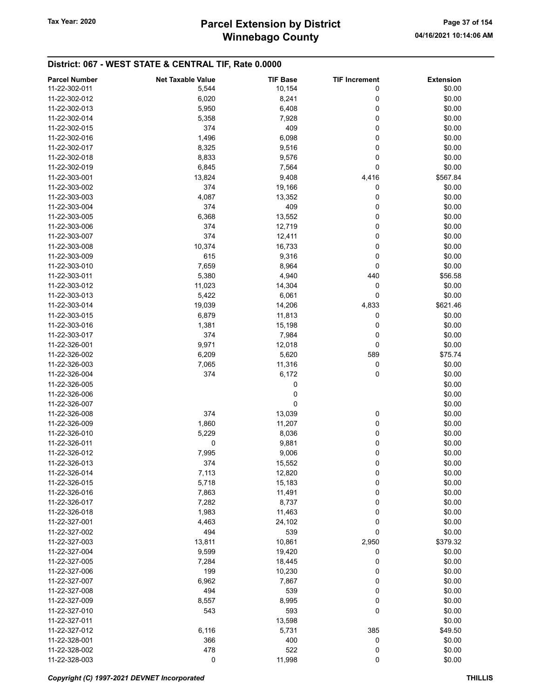# Winnebago County Tax Year: 2020 **Parcel Extension by District** Page 37 of 154

# District: 067 - WEST STATE & CENTRAL TIF, Rate 0.0000

| <b>Parcel Number</b> | <b>Net Taxable Value</b> | <b>TIF Base</b> | <b>TIF Increment</b> | <b>Extension</b> |
|----------------------|--------------------------|-----------------|----------------------|------------------|
| 11-22-302-011        | 5,544                    | 10,154          | 0                    | \$0.00           |
| 11-22-302-012        | 6,020                    | 8,241           | 0                    | \$0.00           |
| 11-22-302-013        | 5,950                    | 6,408           | 0                    | \$0.00           |
| 11-22-302-014        | 5,358                    | 7,928           | 0                    | \$0.00           |
| 11-22-302-015        | 374                      | 409             | 0                    | \$0.00           |
|                      |                          |                 |                      |                  |
| 11-22-302-016        | 1,496                    | 6,098           | 0                    | \$0.00           |
| 11-22-302-017        | 8,325                    | 9,516           | 0                    | \$0.00           |
| 11-22-302-018        | 8,833                    | 9,576           | 0                    | \$0.00           |
| 11-22-302-019        | 6,845                    | 7,564           | 0                    | \$0.00           |
| 11-22-303-001        | 13,824                   | 9,408           | 4,416                | \$567.84         |
| 11-22-303-002        | 374                      | 19,166          | 0                    | \$0.00           |
| 11-22-303-003        | 4,087                    | 13,352          | 0                    | \$0.00           |
| 11-22-303-004        | 374                      | 409             | 0                    | \$0.00           |
| 11-22-303-005        | 6,368                    | 13,552          | 0                    | \$0.00           |
| 11-22-303-006        | 374                      | 12,719          | 0                    | \$0.00           |
| 11-22-303-007        | 374                      | 12,411          | 0                    | \$0.00           |
| 11-22-303-008        | 10,374                   | 16,733          | 0                    | \$0.00           |
| 11-22-303-009        | 615                      | 9,316           | 0                    | \$0.00           |
| 11-22-303-010        | 7,659                    | 8,964           | 0                    | \$0.00           |
| 11-22-303-011        | 5,380                    | 4,940           | 440                  | \$56.58          |
|                      |                          |                 |                      |                  |
| 11-22-303-012        | 11,023                   | 14,304          | 0                    | \$0.00           |
| 11-22-303-013        | 5,422                    | 6,061           | 0                    | \$0.00           |
| 11-22-303-014        | 19,039                   | 14,206          | 4,833                | \$621.46         |
| 11-22-303-015        | 6,879                    | 11,813          | 0                    | \$0.00           |
| 11-22-303-016        | 1,381                    | 15,198          | 0                    | \$0.00           |
| 11-22-303-017        | 374                      | 7,984           | 0                    | \$0.00           |
| 11-22-326-001        | 9,971                    | 12,018          | 0                    | \$0.00           |
| 11-22-326-002        | 6,209                    | 5,620           | 589                  | \$75.74          |
| 11-22-326-003        | 7,065                    | 11,316          | 0                    | \$0.00           |
| 11-22-326-004        | 374                      | 6,172           | 0                    | \$0.00           |
| 11-22-326-005        |                          | 0               |                      | \$0.00           |
| 11-22-326-006        |                          | 0               |                      | \$0.00           |
| 11-22-326-007        |                          | 0               |                      | \$0.00           |
| 11-22-326-008        | 374                      | 13,039          | 0                    | \$0.00           |
| 11-22-326-009        | 1,860                    | 11,207          | 0                    | \$0.00           |
| 11-22-326-010        | 5,229                    | 8,036           | 0                    | \$0.00           |
| 11-22-326-011        | 0                        |                 |                      |                  |
|                      |                          | 9,881           | 0                    | \$0.00           |
| 11-22-326-012        | 7,995                    | 9,006           | 0                    | \$0.00           |
| 11-22-326-013        | 374                      | 15,552          | 0                    | \$0.00           |
| 11-22-326-014        | 7,113                    | 12,820          | 0                    | \$0.00           |
| 11-22-326-015        | 5,718                    | 15,183          | 0                    | \$0.00           |
| 11-22-326-016        | 7,863                    | 11,491          | 0                    | \$0.00           |
| 11-22-326-017        | 7,282                    | 8,737           | 0                    | \$0.00           |
| 11-22-326-018        | 1,983                    | 11,463          | 0                    | \$0.00           |
| 11-22-327-001        | 4,463                    | 24,102          | 0                    | \$0.00           |
| 11-22-327-002        | 494                      | 539             | 0                    | \$0.00           |
| 11-22-327-003        | 13,811                   | 10,861          | 2,950                | \$379.32         |
| 11-22-327-004        | 9,599                    | 19,420          | 0                    | \$0.00           |
| 11-22-327-005        | 7,284                    | 18,445          | 0                    | \$0.00           |
| 11-22-327-006        | 199                      | 10,230          | 0                    | \$0.00           |
| 11-22-327-007        | 6,962                    | 7,867           | 0                    | \$0.00           |
| 11-22-327-008        | 494                      | 539             | 0                    | \$0.00           |
|                      |                          |                 |                      |                  |
| 11-22-327-009        | 8,557                    | 8,995           | 0                    | \$0.00           |
| 11-22-327-010        | 543                      | 593             | 0                    | \$0.00           |
| 11-22-327-011        |                          | 13,598          |                      | \$0.00           |
| 11-22-327-012        | 6,116                    | 5,731           | 385                  | \$49.50          |
| 11-22-328-001        | 366                      | 400             | 0                    | \$0.00           |
| 11-22-328-002        | 478                      | 522             | 0                    | \$0.00           |
| 11-22-328-003        | 0                        | 11,998          | 0                    | \$0.00           |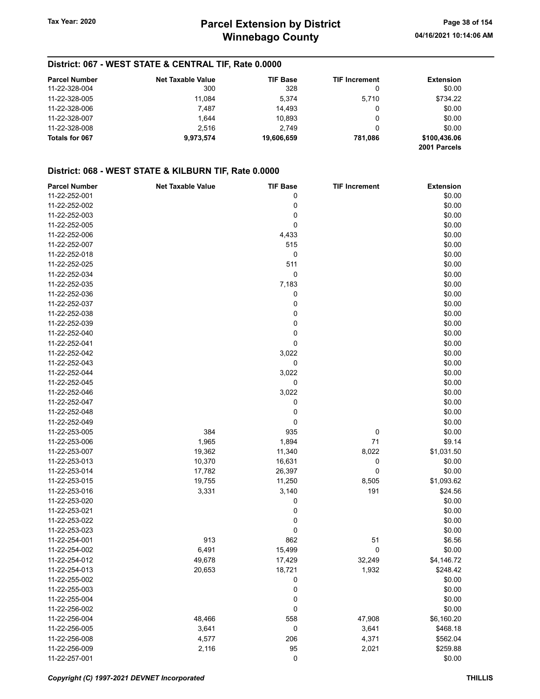## District: 067 - WEST STATE & CENTRAL TIF, Rate 0.0000

| <b>Parcel Number</b> | <b>Net Taxable Value</b> | <b>TIF Base</b> | <b>TIF Increment</b> | <b>Extension</b>             |
|----------------------|--------------------------|-----------------|----------------------|------------------------------|
| 11-22-328-004        | 300                      | 328             |                      | \$0.00                       |
| 11-22-328-005        | 11.084                   | 5.374           | 5.710                | \$734.22                     |
| 11-22-328-006        | 7.487                    | 14.493          |                      | \$0.00                       |
| 11-22-328-007        | 1.644                    | 10.893          | 0                    | \$0.00                       |
| 11-22-328-008        | 2.516                    | 2.749           |                      | \$0.00                       |
| Totals for 067       | 9,973,574                | 19.606.659      | 781.086              | \$100,436.06<br>2001 Parcels |

## District: 068 - WEST STATE & KILBURN TIF, Rate 0.0000

| <b>Parcel Number</b> | <b>Net Taxable Value</b> | <b>TIF Base</b> | <b>TIF Increment</b> | <b>Extension</b> |
|----------------------|--------------------------|-----------------|----------------------|------------------|
| 11-22-252-001        |                          | 0               |                      | \$0.00           |
| 11-22-252-002        |                          | 0               |                      | \$0.00           |
| 11-22-252-003        |                          | 0               |                      | \$0.00           |
| 11-22-252-005        |                          | 0               |                      | \$0.00           |
| 11-22-252-006        |                          | 4,433           |                      | \$0.00           |
| 11-22-252-007        |                          | 515             |                      | \$0.00           |
| 11-22-252-018        |                          | 0               |                      | \$0.00           |
| 11-22-252-025        |                          | 511             |                      | \$0.00           |
| 11-22-252-034        |                          | 0               |                      | \$0.00           |
| 11-22-252-035        |                          | 7,183           |                      | \$0.00           |
| 11-22-252-036        |                          | 0               |                      | \$0.00           |
| 11-22-252-037        |                          | 0               |                      | \$0.00           |
| 11-22-252-038        |                          | 0               |                      | \$0.00           |
| 11-22-252-039        |                          | 0               |                      | \$0.00           |
| 11-22-252-040        |                          | 0               |                      | \$0.00           |
| 11-22-252-041        |                          | 0               |                      | \$0.00           |
| 11-22-252-042        |                          | 3,022           |                      | \$0.00           |
| 11-22-252-043        |                          | 0               |                      | \$0.00           |
| 11-22-252-044        |                          | 3,022           |                      | \$0.00           |
| 11-22-252-045        |                          | 0               |                      | \$0.00           |
| 11-22-252-046        |                          | 3,022           |                      | \$0.00           |
| 11-22-252-047        |                          | 0               |                      | \$0.00           |
| 11-22-252-048        |                          | 0               |                      | \$0.00           |
| 11-22-252-049        |                          | 0               |                      | \$0.00           |
| 11-22-253-005        | 384                      | 935             | 0                    | \$0.00           |
| 11-22-253-006        | 1,965                    | 1,894           | 71                   | \$9.14           |
| 11-22-253-007        | 19,362                   | 11,340          | 8,022                | \$1,031.50       |
| 11-22-253-013        | 10,370                   | 16,631          | 0                    | \$0.00           |
| 11-22-253-014        | 17,782                   | 26,397          | 0                    | \$0.00           |
| 11-22-253-015        | 19,755                   | 11,250          | 8,505                | \$1,093.62       |
| 11-22-253-016        | 3,331                    | 3,140           | 191                  | \$24.56          |
| 11-22-253-020        |                          | 0               |                      | \$0.00           |
| 11-22-253-021        |                          | 0               |                      | \$0.00           |
| 11-22-253-022        |                          | 0               |                      | \$0.00           |
| 11-22-253-023        |                          | 0               |                      | \$0.00           |
| 11-22-254-001        | 913                      | 862             | 51                   | \$6.56           |
| 11-22-254-002        | 6,491                    | 15,499          | 0                    | \$0.00           |
| 11-22-254-012        | 49,678                   | 17,429          | 32,249               | \$4,146.72       |
| 11-22-254-013        | 20,653                   | 18,721          | 1,932                | \$248.42         |
| 11-22-255-002        |                          | 0               |                      | \$0.00           |
| 11-22-255-003        |                          | 0               |                      | \$0.00           |
| 11-22-255-004        |                          | 0               |                      | \$0.00           |
| 11-22-256-002        |                          | 0               |                      | \$0.00           |
| 11-22-256-004        | 48,466                   | 558             | 47,908               | \$6,160.20       |
| 11-22-256-005        | 3,641                    | 0               | 3,641                | \$468.18         |
| 11-22-256-008        | 4,577                    | 206             | 4,371                | \$562.04         |
| 11-22-256-009        | 2,116                    | 95              | 2,021                | \$259.88         |
| 11-22-257-001        |                          | 0               |                      | \$0.00           |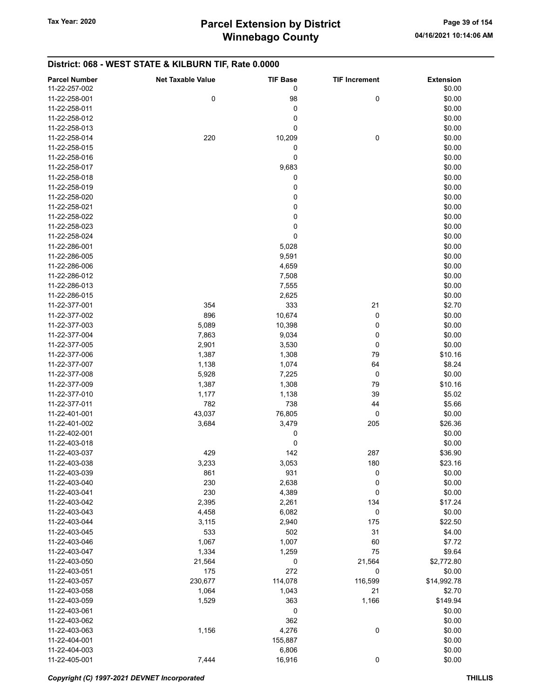# District: 068 - WEST STATE & KILBURN TIF, Rate 0.0000

| <b>Parcel Number</b> | <b>Net Taxable Value</b> | <b>TIF Base</b> | <b>TIF Increment</b> | <b>Extension</b> |
|----------------------|--------------------------|-----------------|----------------------|------------------|
| 11-22-257-002        |                          | 0               |                      | \$0.00           |
| 11-22-258-001        | 0                        | 98              | 0                    | \$0.00           |
| 11-22-258-011        |                          | 0               |                      | \$0.00           |
| 11-22-258-012        |                          | 0               |                      | \$0.00           |
| 11-22-258-013        |                          | 0               |                      | \$0.00           |
|                      |                          |                 |                      |                  |
| 11-22-258-014        | 220                      | 10,209          | 0                    | \$0.00           |
| 11-22-258-015        |                          | 0               |                      | \$0.00           |
| 11-22-258-016        |                          | 0               |                      | \$0.00           |
| 11-22-258-017        |                          | 9,683           |                      | \$0.00           |
| 11-22-258-018        |                          | 0               |                      | \$0.00           |
| 11-22-258-019        |                          | 0               |                      | \$0.00           |
| 11-22-258-020        |                          | 0               |                      | \$0.00           |
| 11-22-258-021        |                          | 0               |                      | \$0.00           |
| 11-22-258-022        |                          | 0               |                      | \$0.00           |
| 11-22-258-023        |                          | 0               |                      | \$0.00           |
| 11-22-258-024        |                          | 0               |                      | \$0.00           |
| 11-22-286-001        |                          | 5,028           |                      | \$0.00           |
| 11-22-286-005        |                          | 9,591           |                      | \$0.00           |
| 11-22-286-006        |                          | 4,659           |                      | \$0.00           |
| 11-22-286-012        |                          | 7,508           |                      | \$0.00           |
|                      |                          |                 |                      |                  |
| 11-22-286-013        |                          | 7,555           |                      | \$0.00           |
| 11-22-286-015        |                          | 2,625           |                      | \$0.00           |
| 11-22-377-001        | 354                      | 333             | 21                   | \$2.70           |
| 11-22-377-002        | 896                      | 10,674          | 0                    | \$0.00           |
| 11-22-377-003        | 5,089                    | 10,398          | 0                    | \$0.00           |
| 11-22-377-004        | 7,863                    | 9,034           | 0                    | \$0.00           |
| 11-22-377-005        | 2,901                    | 3,530           | 0                    | \$0.00           |
| 11-22-377-006        | 1,387                    | 1,308           | 79                   | \$10.16          |
| 11-22-377-007        | 1,138                    | 1,074           | 64                   | \$8.24           |
| 11-22-377-008        | 5,928                    | 7,225           | 0                    | \$0.00           |
| 11-22-377-009        | 1,387                    | 1,308           | 79                   | \$10.16          |
| 11-22-377-010        | 1,177                    | 1,138           | 39                   | \$5.02           |
| 11-22-377-011        | 782                      | 738             | 44                   | \$5.66           |
| 11-22-401-001        | 43,037                   | 76,805          | 0                    | \$0.00           |
| 11-22-401-002        | 3,684                    | 3,479           | 205                  | \$26.36          |
| 11-22-402-001        |                          | 0               |                      | \$0.00           |
| 11-22-403-018        |                          | 0               |                      |                  |
| 11-22-403-037        |                          |                 |                      | \$0.00           |
|                      | 429                      | 142             | 287                  | \$36.90          |
| 11-22-403-038        | 3,233                    | 3,053           | 180                  | \$23.16          |
| 11-22-403-039        | 861                      | 931             | 0                    | \$0.00           |
| 11-22-403-040        | 230                      | 2,638           | 0                    | \$0.00           |
| 11-22-403-041        | 230                      | 4,389           | $\pmb{0}$            | \$0.00           |
| 11-22-403-042        | 2,395                    | 2,261           | 134                  | \$17.24          |
| 11-22-403-043        | 4,458                    | 6,082           | 0                    | \$0.00           |
| 11-22-403-044        | 3,115                    | 2,940           | 175                  | \$22.50          |
| 11-22-403-045        | 533                      | 502             | 31                   | \$4.00           |
| 11-22-403-046        | 1,067                    | 1,007           | 60                   | \$7.72           |
| 11-22-403-047        | 1,334                    | 1,259           | 75                   | \$9.64           |
| 11-22-403-050        | 21,564                   | 0               | 21,564               | \$2,772.80       |
| 11-22-403-051        | 175                      | 272             | 0                    | \$0.00           |
| 11-22-403-057        | 230,677                  | 114,078         | 116,599              | \$14,992.78      |
| 11-22-403-058        | 1,064                    | 1,043           | 21                   | \$2.70           |
| 11-22-403-059        |                          | 363             | 1,166                | \$149.94         |
|                      | 1,529                    |                 |                      |                  |
| 11-22-403-061        |                          | 0               |                      | \$0.00           |
| 11-22-403-062        |                          | 362             |                      | \$0.00           |
| 11-22-403-063        | 1,156                    | 4,276           | 0                    | \$0.00           |
| 11-22-404-001        |                          | 155,887         |                      | \$0.00           |
| 11-22-404-003        |                          | 6,806           |                      | \$0.00           |
| 11-22-405-001        | 7,444                    | 16,916          | 0                    | \$0.00           |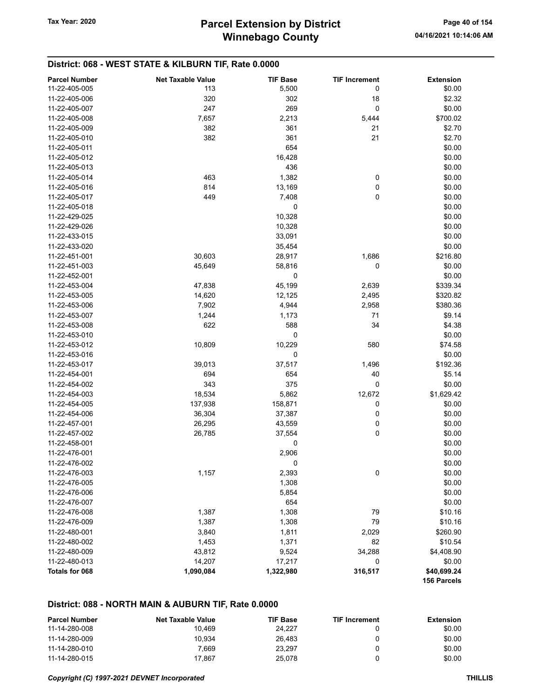## District: 068 - WEST STATE & KILBURN TIF, Rate 0.0000

| <b>Parcel Number</b> | <b>Net Taxable Value</b> | <b>TIF Base</b> | <b>TIF Increment</b> | <b>Extension</b> |
|----------------------|--------------------------|-----------------|----------------------|------------------|
| 11-22-405-005        | 113                      | 5,500           | 0                    | \$0.00           |
| 11-22-405-006        | 320                      | 302             | 18                   | \$2.32           |
| 11-22-405-007        | 247                      | 269             | 0                    | \$0.00           |
| 11-22-405-008        | 7,657                    | 2,213           | 5,444                | \$700.02         |
| 11-22-405-009        | 382                      | 361             | 21                   | \$2.70           |
| 11-22-405-010        | 382                      | 361             | 21                   | \$2.70           |
| 11-22-405-011        |                          | 654             |                      | \$0.00           |
| 11-22-405-012        |                          | 16,428          |                      | \$0.00           |
| 11-22-405-013        |                          | 436             |                      | \$0.00           |
| 11-22-405-014        | 463                      | 1,382           | 0                    | \$0.00           |
| 11-22-405-016        | 814                      | 13,169          | 0                    | \$0.00           |
| 11-22-405-017        | 449                      | 7,408           | 0                    | \$0.00           |
| 11-22-405-018        |                          | 0               |                      | \$0.00           |
| 11-22-429-025        |                          | 10,328          |                      | \$0.00           |
| 11-22-429-026        |                          | 10,328          |                      | \$0.00           |
| 11-22-433-015        |                          | 33,091          |                      | \$0.00           |
| 11-22-433-020        |                          | 35,454          |                      | \$0.00           |
| 11-22-451-001        | 30,603                   | 28,917          | 1,686                | \$216.80         |
| 11-22-451-003        | 45,649                   | 58,816          | 0                    | \$0.00           |
| 11-22-452-001        |                          | 0               |                      | \$0.00           |
| 11-22-453-004        | 47,838                   | 45,199          | 2,639                | \$339.34         |
| 11-22-453-005        | 14,620                   | 12,125          | 2,495                | \$320.82         |
| 11-22-453-006        | 7,902                    | 4,944           | 2,958                | \$380.36         |
| 11-22-453-007        | 1,244                    | 1,173           | 71                   | \$9.14           |
| 11-22-453-008        | 622                      | 588             | 34                   | \$4.38           |
| 11-22-453-010        |                          | 0               |                      | \$0.00           |
| 11-22-453-012        | 10,809                   | 10,229          | 580                  | \$74.58          |
| 11-22-453-016        |                          | 0               |                      | \$0.00           |
| 11-22-453-017        | 39,013                   | 37,517          | 1,496                | \$192.36         |
| 11-22-454-001        | 694                      | 654             | 40                   | \$5.14           |
| 11-22-454-002        | 343                      | 375             | 0                    | \$0.00           |
| 11-22-454-003        | 18,534                   | 5,862           | 12,672               | \$1,629.42       |
| 11-22-454-005        | 137,938                  | 158,871         | 0                    | \$0.00           |
| 11-22-454-006        | 36,304                   | 37,387          | 0                    | \$0.00           |
| 11-22-457-001        | 26,295                   | 43,559          | 0                    | \$0.00           |
| 11-22-457-002        | 26,785                   | 37,554          | 0                    | \$0.00           |
| 11-22-458-001        |                          | 0               |                      | \$0.00           |
| 11-22-476-001        |                          | 2,906           |                      | \$0.00           |
| 11-22-476-002        |                          | 0               |                      | \$0.00           |
| 11-22-476-003        | 1,157                    | 2,393           | $\mathbf 0$          | \$0.00           |
| 11-22-476-005        |                          | 1,308           |                      | \$0.00           |
| 11-22-476-006        |                          | 5,854           |                      | \$0.00           |
| 11-22-476-007        |                          | 654             |                      | \$0.00           |
| 11-22-476-008        | 1,387                    | 1,308           | 79                   | \$10.16          |
| 11-22-476-009        | 1,387                    | 1,308           | 79                   | \$10.16          |
| 11-22-480-001        | 3,840                    | 1,811           | 2,029                | \$260.90         |
| 11-22-480-002        | 1,453                    | 1,371           | 82                   | \$10.54          |
| 11-22-480-009        | 43,812                   | 9,524           | 34,288               | \$4,408.90       |
| 11-22-480-013        | 14,207                   | 17,217          | 0                    | \$0.00           |
| Totals for 068       | 1,090,084                | 1,322,980       | 316,517              | \$40,699.24      |
|                      |                          |                 |                      | 156 Parcels      |

#### District: 088 - NORTH MAIN & AUBURN TIF, Rate 0.0000

| <b>Parcel Number</b> | <b>Net Taxable Value</b> | <b>TIF Base</b> | <b>TIF Increment</b> | Extension |
|----------------------|--------------------------|-----------------|----------------------|-----------|
| 11-14-280-008        | 10.469                   | 24.227          |                      | \$0.00    |
| 11-14-280-009        | 10.934                   | 26.483          |                      | \$0.00    |
| 11-14-280-010        | 7.669                    | 23.297          |                      | \$0.00    |
| 11-14-280-015        | 17.867                   | 25.078          |                      | \$0.00    |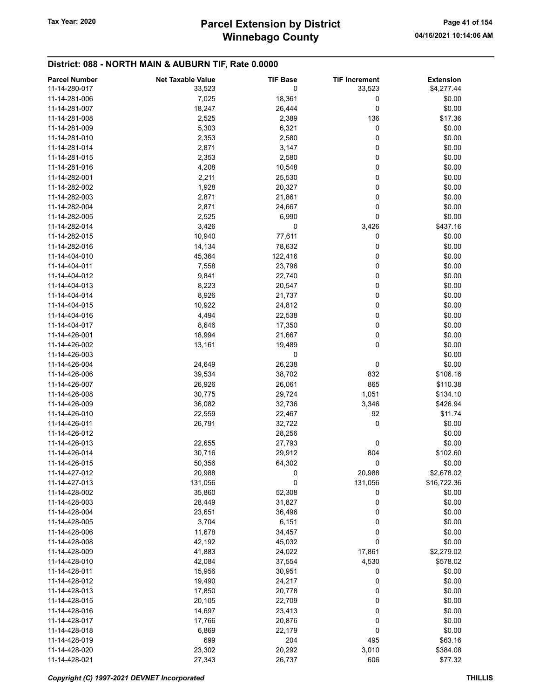# Winnebago County Tax Year: 2020 **Parcel Extension by District** Page 41 of 154

## District: 088 - NORTH MAIN & AUBURN TIF, Rate 0.0000

| <b>Parcel Number</b> | <b>Net Taxable Value</b> | <b>TIF Base</b> | <b>TIF Increment</b> | <b>Extension</b> |
|----------------------|--------------------------|-----------------|----------------------|------------------|
| 11-14-280-017        | 33,523                   | 0               | 33,523               | \$4,277.44       |
| 11-14-281-006        | 7,025                    | 18,361          | 0                    | \$0.00           |
| 11-14-281-007        | 18,247                   | 26,444          | 0                    | \$0.00           |
|                      |                          |                 |                      |                  |
| 11-14-281-008        | 2,525                    | 2,389           | 136                  | \$17.36          |
| 11-14-281-009        | 5,303                    | 6,321           | 0                    | \$0.00           |
| 11-14-281-010        | 2,353                    | 2,580           | 0                    | \$0.00           |
| 11-14-281-014        | 2,871                    | 3,147           | 0                    | \$0.00           |
| 11-14-281-015        | 2,353                    | 2,580           | 0                    | \$0.00           |
| 11-14-281-016        | 4,208                    | 10,548          | 0                    | \$0.00           |
| 11-14-282-001        | 2,211                    | 25,530          | 0                    | \$0.00           |
| 11-14-282-002        | 1,928                    | 20,327          | 0                    | \$0.00           |
| 11-14-282-003        | 2,871                    | 21,861          | 0                    | \$0.00           |
| 11-14-282-004        | 2,871                    | 24,667          | 0                    | \$0.00           |
|                      |                          |                 | 0                    |                  |
| 11-14-282-005        | 2,525                    | 6,990           |                      | \$0.00           |
| 11-14-282-014        | 3,426                    | 0               | 3,426                | \$437.16         |
| 11-14-282-015        | 10,940                   | 77,611          | 0                    | \$0.00           |
| 11-14-282-016        | 14,134                   | 78,632          | 0                    | \$0.00           |
| 11-14-404-010        | 45,364                   | 122,416         | 0                    | \$0.00           |
| 11-14-404-011        | 7,558                    | 23,796          | 0                    | \$0.00           |
| 11-14-404-012        | 9,841                    | 22,740          | 0                    | \$0.00           |
| 11-14-404-013        | 8,223                    | 20,547          | 0                    | \$0.00           |
| 11-14-404-014        | 8,926                    | 21,737          | 0                    | \$0.00           |
| 11-14-404-015        | 10,922                   | 24,812          | 0                    | \$0.00           |
| 11-14-404-016        |                          |                 | 0                    |                  |
|                      | 4,494                    | 22,538          |                      | \$0.00           |
| 11-14-404-017        | 8,646                    | 17,350          | 0                    | \$0.00           |
| 11-14-426-001        | 18,994                   | 21,667          | 0                    | \$0.00           |
| 11-14-426-002        | 13,161                   | 19,489          | 0                    | \$0.00           |
| 11-14-426-003        |                          | 0               |                      | \$0.00           |
| 11-14-426-004        | 24,649                   | 26,238          | 0                    | \$0.00           |
| 11-14-426-006        | 39,534                   | 38,702          | 832                  | \$106.16         |
| 11-14-426-007        | 26,926                   | 26,061          | 865                  | \$110.38         |
| 11-14-426-008        | 30,775                   | 29,724          | 1,051                | \$134.10         |
| 11-14-426-009        | 36,082                   | 32,736          | 3,346                | \$426.94         |
| 11-14-426-010        | 22,559                   | 22,467          | 92                   | \$11.74          |
|                      |                          |                 |                      |                  |
| 11-14-426-011        | 26,791                   | 32,722          | 0                    | \$0.00           |
| 11-14-426-012        |                          | 28,256          |                      | \$0.00           |
| 11-14-426-013        | 22,655                   | 27,793          | 0                    | \$0.00           |
| 11-14-426-014        | 30,716                   | 29,912          | 804                  | \$102.60         |
| 11-14-426-015        | 50,356                   | 64,302          | 0                    | \$0.00           |
| 11-14-427-012        | 20,988                   | $\mathbf 0$     | 20,988               | \$2,678.02       |
| 11-14-427-013        | 131,056                  | 0               | 131,056              | \$16,722.36      |
| 11-14-428-002        | 35,860                   | 52,308          | 0                    | \$0.00           |
| 11-14-428-003        | 28,449                   | 31,827          | 0                    | \$0.00           |
| 11-14-428-004        | 23,651                   | 36,496          | 0                    | \$0.00           |
| 11-14-428-005        | 3,704                    | 6,151           | 0                    | \$0.00           |
| 11-14-428-006        |                          |                 | 0                    |                  |
|                      | 11,678                   | 34,457          |                      | \$0.00           |
| 11-14-428-008        | 42,192                   | 45,032          | 0                    | \$0.00           |
| 11-14-428-009        | 41,883                   | 24,022          | 17,861               | \$2,279.02       |
| 11-14-428-010        | 42,084                   | 37,554          | 4,530                | \$578.02         |
| 11-14-428-011        | 15,956                   | 30,951          | 0                    | \$0.00           |
| 11-14-428-012        | 19,490                   | 24,217          | 0                    | \$0.00           |
| 11-14-428-013        | 17,850                   | 20,778          | 0                    | \$0.00           |
| 11-14-428-015        | 20,105                   | 22,709          | 0                    | \$0.00           |
| 11-14-428-016        | 14,697                   | 23,413          | 0                    | \$0.00           |
| 11-14-428-017        | 17,766                   | 20,876          | 0                    | \$0.00           |
| 11-14-428-018        |                          |                 | 0                    |                  |
|                      | 6,869                    | 22,179          |                      | \$0.00           |
| 11-14-428-019        | 699                      | 204             | 495                  | \$63.16          |
| 11-14-428-020        | 23,302                   | 20,292          | 3,010                | \$384.08         |
| 11-14-428-021        | 27,343                   | 26,737          | 606                  | \$77.32          |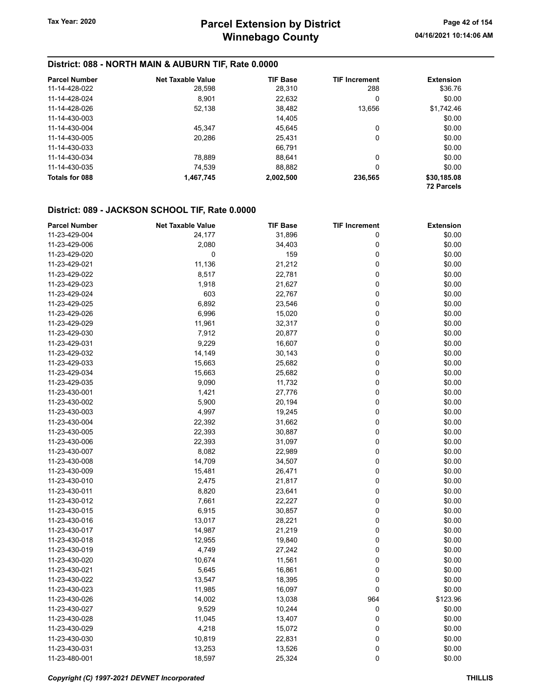### District: 088 - NORTH MAIN & AUBURN TIF, Rate 0.0000

| <b>Parcel Number</b> | Net Taxable Value | <b>TIF Base</b> | <b>TIF Increment</b> | <b>Extension</b>  |
|----------------------|-------------------|-----------------|----------------------|-------------------|
| 11-14-428-022        | 28,598            | 28,310          | 288                  | \$36.76           |
| 11-14-428-024        | 8.901             | 22.632          | 0                    | \$0.00            |
| 11-14-428-026        | 52,138            | 38,482          | 13,656               | \$1,742.46        |
| 11-14-430-003        |                   | 14,405          |                      | \$0.00            |
| 11-14-430-004        | 45.347            | 45.645          | 0                    | \$0.00            |
| 11-14-430-005        | 20,286            | 25,431          | 0                    | \$0.00            |
| 11-14-430-033        |                   | 66.791          |                      | \$0.00            |
| 11-14-430-034        | 78,889            | 88,641          | 0                    | \$0.00            |
| 11-14-430-035        | 74.539            | 88.882          | 0                    | \$0.00            |
| Totals for 088       | 1,467,745         | 2,002,500       | 236,565              | \$30,185.08       |
|                      |                   |                 |                      | <b>72 Parcels</b> |

| <b>Parcel Number</b> | <b>Net Taxable Value</b> | <b>TIF Base</b> | <b>TIF Increment</b> | <b>Extension</b> |
|----------------------|--------------------------|-----------------|----------------------|------------------|
| 11-23-429-004        | 24,177                   | 31,896          | 0                    | \$0.00           |
| 11-23-429-006        | 2,080                    | 34,403          | 0                    | \$0.00           |
| 11-23-429-020        | 0                        | 159             | $\pmb{0}$            | \$0.00           |
| 11-23-429-021        | 11,136                   | 21,212          | $\mathbf 0$          | \$0.00           |
| 11-23-429-022        | 8,517                    | 22,781          | $\mathbf 0$          | \$0.00           |
| 11-23-429-023        | 1,918                    | 21,627          | $\mathbf 0$          | \$0.00           |
| 11-23-429-024        | 603                      | 22,767          | $\mathbf 0$          | \$0.00           |
| 11-23-429-025        | 6,892                    | 23,546          | $\mathbf 0$          | \$0.00           |
| 11-23-429-026        | 6,996                    | 15,020          | $\pmb{0}$            | \$0.00           |
| 11-23-429-029        | 11,961                   | 32,317          | 0                    | \$0.00           |
| 11-23-429-030        | 7,912                    | 20,877          | $\mathbf 0$          | \$0.00           |
| 11-23-429-031        | 9,229                    | 16,607          | $\mathbf 0$          | \$0.00           |
| 11-23-429-032        | 14,149                   | 30,143          | $\mathbf 0$          | \$0.00           |
| 11-23-429-033        | 15,663                   | 25,682          | $\mathbf 0$          | \$0.00           |
| 11-23-429-034        | 15,663                   | 25,682          | $\mathbf 0$          | \$0.00           |
| 11-23-429-035        | 9,090                    | 11,732          | $\mathbf 0$          | \$0.00           |
| 11-23-430-001        | 1,421                    | 27,776          | 0                    | \$0.00           |
| 11-23-430-002        | 5,900                    | 20,194          | $\mathbf 0$          | \$0.00           |
| 11-23-430-003        | 4,997                    | 19,245          | $\mathbf 0$          | \$0.00           |
| 11-23-430-004        | 22,392                   | 31,662          | $\mathbf 0$          | \$0.00           |
| 11-23-430-005        | 22,393                   | 30,887          | $\mathbf 0$          | \$0.00           |
| 11-23-430-006        | 22,393                   | 31,097          | $\mathbf 0$          | \$0.00           |
| 11-23-430-007        | 8,082                    | 22,989          | $\mathbf 0$          | \$0.00           |
| 11-23-430-008        | 14,709                   | 34,507          | $\pmb{0}$            | \$0.00           |
| 11-23-430-009        | 15,481                   | 26,471          | $\mathbf 0$          | \$0.00           |
| 11-23-430-010        | 2,475                    | 21,817          | $\pmb{0}$            | \$0.00           |
| 11-23-430-011        | 8,820                    | 23,641          | $\mathbf 0$          | \$0.00           |
| 11-23-430-012        | 7,661                    | 22,227          | $\mathbf 0$          | \$0.00           |
| 11-23-430-015        | 6,915                    | 30,857          | $\mathbf 0$          | \$0.00           |
| 11-23-430-016        | 13,017                   | 28,221          | $\mathbf 0$          | \$0.00           |
| 11-23-430-017        | 14,987                   | 21,219          | $\mathbf 0$          | \$0.00           |
| 11-23-430-018        | 12,955                   | 19,840          | 0                    | \$0.00           |
| 11-23-430-019        | 4,749                    | 27,242          | $\mathbf 0$          | \$0.00           |
| 11-23-430-020        | 10,674                   | 11,561          | $\mathbf 0$          | \$0.00           |
| 11-23-430-021        | 5,645                    | 16,861          | $\pmb{0}$            | \$0.00           |
| 11-23-430-022        | 13,547                   | 18,395          | $\mathbf 0$          | \$0.00           |
| 11-23-430-023        | 11,985                   | 16,097          | $\mathbf 0$          | \$0.00           |
| 11-23-430-026        | 14,002                   | 13,038          | 964                  | \$123.96         |
| 11-23-430-027        | 9,529                    | 10,244          | $\mathbf 0$          | \$0.00           |
| 11-23-430-028        | 11,045                   | 13,407          | 0                    | \$0.00           |
| 11-23-430-029        | 4,218                    | 15,072          | 0                    | \$0.00           |
| 11-23-430-030        | 10,819                   | 22,831          | $\pmb{0}$            | \$0.00           |
| 11-23-430-031        | 13,253                   | 13,526          | $\mathbf 0$          | \$0.00           |
| 11-23-480-001        | 18,597                   | 25,324          | $\mathbf 0$          | \$0.00           |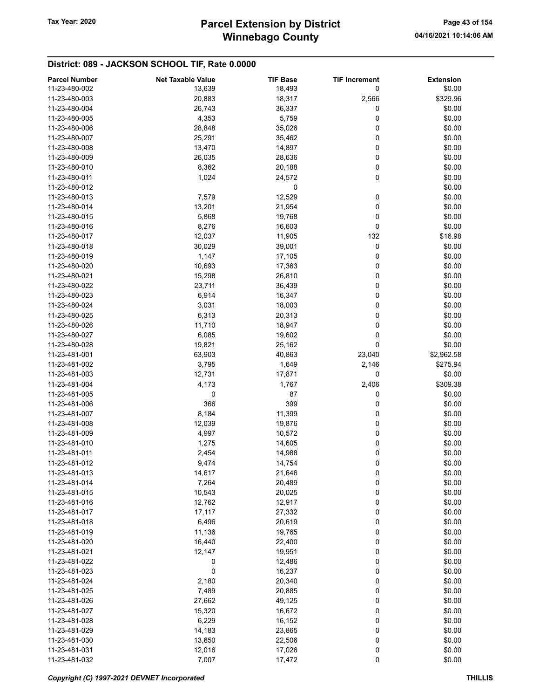| <b>Parcel Number</b> | <b>Net Taxable Value</b> | <b>TIF Base</b> | <b>TIF Increment</b> | <b>Extension</b> |
|----------------------|--------------------------|-----------------|----------------------|------------------|
| 11-23-480-002        | 13,639                   | 18,493          | 0                    | \$0.00           |
| 11-23-480-003        | 20,883                   | 18,317          | 2,566                | \$329.96         |
| 11-23-480-004        | 26,743                   | 36,337          | 0                    | \$0.00           |
|                      |                          |                 |                      |                  |
| 11-23-480-005        | 4,353                    | 5,759           | 0                    | \$0.00           |
| 11-23-480-006        | 28,848                   | 35,026          | 0                    | \$0.00           |
| 11-23-480-007        | 25,291                   | 35,462          | 0                    | \$0.00           |
| 11-23-480-008        | 13,470                   | 14,897          | 0                    | \$0.00           |
| 11-23-480-009        | 26,035                   | 28,636          | 0                    | \$0.00           |
| 11-23-480-010        | 8,362                    | 20,188          | 0                    | \$0.00           |
| 11-23-480-011        | 1,024                    | 24,572          | 0                    | \$0.00           |
| 11-23-480-012        |                          | 0               |                      | \$0.00           |
| 11-23-480-013        | 7,579                    | 12,529          | 0                    | \$0.00           |
| 11-23-480-014        | 13,201                   | 21,954          | 0                    | \$0.00           |
| 11-23-480-015        |                          |                 | 0                    | \$0.00           |
|                      | 5,868                    | 19,768          |                      |                  |
| 11-23-480-016        | 8,276                    | 16,603          | 0                    | \$0.00           |
| 11-23-480-017        | 12,037                   | 11,905          | 132                  | \$16.98          |
| 11-23-480-018        | 30,029                   | 39,001          | 0                    | \$0.00           |
| 11-23-480-019        | 1,147                    | 17,105          | 0                    | \$0.00           |
| 11-23-480-020        | 10,693                   | 17,363          | 0                    | \$0.00           |
| 11-23-480-021        | 15,298                   | 26,810          | 0                    | \$0.00           |
| 11-23-480-022        | 23,711                   | 36,439          | 0                    | \$0.00           |
| 11-23-480-023        | 6,914                    | 16,347          | 0                    | \$0.00           |
| 11-23-480-024        | 3,031                    | 18,003          | 0                    | \$0.00           |
| 11-23-480-025        | 6,313                    | 20,313          | 0                    | \$0.00           |
|                      |                          |                 |                      |                  |
| 11-23-480-026        | 11,710                   | 18,947          | 0                    | \$0.00           |
| 11-23-480-027        | 6,085                    | 19,602          | 0                    | \$0.00           |
| 11-23-480-028        | 19,821                   | 25,162          | 0                    | \$0.00           |
| 11-23-481-001        | 63,903                   | 40,863          | 23,040               | \$2,962.58       |
| 11-23-481-002        | 3,795                    | 1,649           | 2,146                | \$275.94         |
| 11-23-481-003        | 12,731                   | 17,871          | 0                    | \$0.00           |
| 11-23-481-004        | 4,173                    | 1,767           | 2,406                | \$309.38         |
| 11-23-481-005        | 0                        | 87              | 0                    | \$0.00           |
| 11-23-481-006        | 366                      | 399             | 0                    | \$0.00           |
| 11-23-481-007        | 8,184                    | 11,399          | 0                    | \$0.00           |
| 11-23-481-008        | 12,039                   | 19,876          | 0                    | \$0.00           |
| 11-23-481-009        | 4,997                    | 10,572          | 0                    | \$0.00           |
| 11-23-481-010        | 1,275                    |                 |                      |                  |
|                      |                          | 14,605          | 0                    | \$0.00           |
| 11-23-481-011        | 2,454                    | 14,988          | 0                    | \$0.00           |
| 11-23-481-012        | 9,474                    | 14,754          | 0                    | \$0.00           |
| 11-23-481-013        | 14,617                   | 21,646          | 0                    | \$0.00           |
| 11-23-481-014        | 7,264                    | 20,489          | 0                    | \$0.00           |
| 11-23-481-015        | 10,543                   | 20,025          | 0                    | \$0.00           |
| 11-23-481-016        | 12,762                   | 12,917          | 0                    | \$0.00           |
| 11-23-481-017        | 17,117                   | 27,332          | 0                    | \$0.00           |
| 11-23-481-018        | 6,496                    | 20,619          | 0                    | \$0.00           |
| 11-23-481-019        | 11,136                   | 19,765          | 0                    | \$0.00           |
| 11-23-481-020        | 16,440                   | 22,400          | 0                    | \$0.00           |
| 11-23-481-021        | 12,147                   | 19,951          | 0                    | \$0.00           |
|                      |                          |                 | 0                    |                  |
| 11-23-481-022        | 0                        | 12,486          |                      | \$0.00           |
| 11-23-481-023        | 0                        | 16,237          | 0                    | \$0.00           |
| 11-23-481-024        | 2,180                    | 20,340          | 0                    | \$0.00           |
| 11-23-481-025        | 7,489                    | 20,885          | 0                    | \$0.00           |
| 11-23-481-026        | 27,662                   | 49,125          | 0                    | \$0.00           |
| 11-23-481-027        | 15,320                   | 16,672          | 0                    | \$0.00           |
| 11-23-481-028        | 6,229                    | 16,152          | 0                    | \$0.00           |
| 11-23-481-029        | 14,183                   | 23,865          | 0                    | \$0.00           |
| 11-23-481-030        | 13,650                   | 22,506          | 0                    | \$0.00           |
| 11-23-481-031        | 12,016                   | 17,026          | 0                    | \$0.00           |
| 11-23-481-032        | 7,007                    | 17,472          | 0                    | \$0.00           |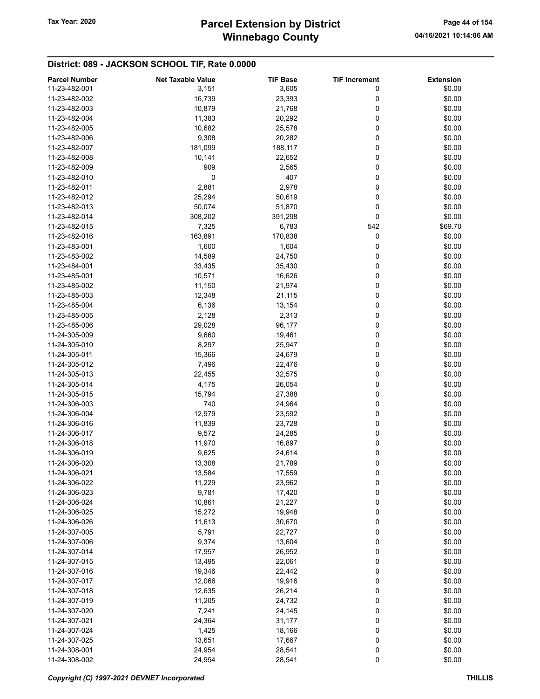# Winnebago County Tax Year: 2020 **Parcel Extension by District** Page 44 of 154

| <b>Parcel Number</b> | <b>Net Taxable Value</b> | <b>TIF Base</b> | <b>TIF Increment</b> | <b>Extension</b> |
|----------------------|--------------------------|-----------------|----------------------|------------------|
| 11-23-482-001        | 3,151                    | 3,605           | 0                    | \$0.00           |
| 11-23-482-002        | 16,739                   | 23,393          | 0                    | \$0.00           |
| 11-23-482-003        | 10,879                   | 21,768          | 0                    | \$0.00           |
| 11-23-482-004        | 11,383                   | 20,292          | 0                    | \$0.00           |
| 11-23-482-005        | 10,682                   |                 | 0                    | \$0.00           |
|                      |                          | 25,578          |                      |                  |
| 11-23-482-006        | 9,308                    | 20,282          | 0                    | \$0.00           |
| 11-23-482-007        | 181,099                  | 188,117         | 0                    | \$0.00           |
| 11-23-482-008        | 10,141                   | 22,652          | 0                    | \$0.00           |
| 11-23-482-009        | 909                      | 2,565           | 0                    | \$0.00           |
| 11-23-482-010        | 0                        | 407             | 0                    | \$0.00           |
| 11-23-482-011        | 2,881                    | 2,978           | 0                    | \$0.00           |
| 11-23-482-012        | 25,294                   | 50,619          | 0                    | \$0.00           |
| 11-23-482-013        | 50,074                   | 51,870          | 0                    | \$0.00           |
| 11-23-482-014        | 308,202                  | 391,298         | 0                    | \$0.00           |
| 11-23-482-015        | 7,325                    | 6,783           | 542                  | \$69.70          |
| 11-23-482-016        | 163,891                  | 170,838         | 0                    | \$0.00           |
| 11-23-483-001        | 1,600                    | 1,604           | 0                    | \$0.00           |
| 11-23-483-002        | 14,589                   | 24,750          | 0                    | \$0.00           |
| 11-23-484-001        | 33,435                   | 35,430          | 0                    | \$0.00           |
| 11-23-485-001        |                          |                 |                      |                  |
|                      | 10,571                   | 16,626          | 0                    | \$0.00           |
| 11-23-485-002        | 11,150                   | 21,974          | 0                    | \$0.00           |
| 11-23-485-003        | 12,348                   | 21,115          | 0                    | \$0.00           |
| 11-23-485-004        | 6,136                    | 13,154          | 0                    | \$0.00           |
| 11-23-485-005        | 2,128                    | 2,313           | 0                    | \$0.00           |
| 11-23-485-006        | 29,028                   | 96,177          | 0                    | \$0.00           |
| 11-24-305-009        | 9,660                    | 19,461          | 0                    | \$0.00           |
| 11-24-305-010        | 8,297                    | 25,947          | 0                    | \$0.00           |
| 11-24-305-011        | 15,366                   | 24,679          | 0                    | \$0.00           |
| 11-24-305-012        | 7,496                    | 22,476          | 0                    | \$0.00           |
| 11-24-305-013        | 22,455                   | 32,575          | 0                    | \$0.00           |
| 11-24-305-014        | 4,175                    | 26,054          | 0                    | \$0.00           |
| 11-24-305-015        | 15,794                   | 27,388          | 0                    | \$0.00           |
| 11-24-306-003        | 740                      | 24,964          | 0                    | \$0.00           |
| 11-24-306-004        | 12,979                   | 23,592          | 0                    | \$0.00           |
| 11-24-306-016        | 11,839                   | 23,728          | 0                    | \$0.00           |
|                      |                          |                 | 0                    |                  |
| 11-24-306-017        | 9,572                    | 24,285          |                      | \$0.00<br>\$0.00 |
| 11-24-306-018        | 11,970                   | 16,897          | 0                    |                  |
| 11-24-306-019        | 9,625                    | 24,614          | 0                    | \$0.00           |
| 11-24-306-020        | 13,308                   | 21,789          | 0                    | \$0.00           |
| 11-24-306-021        | 13,584                   | 17,559          | 0                    | \$0.00           |
| 11-24-306-022        | 11,229                   | 23,962          | 0                    | \$0.00           |
| 11-24-306-023        | 9,781                    | 17,420          | 0                    | \$0.00           |
| 11-24-306-024        | 10,861                   | 21,227          | 0                    | \$0.00           |
| 11-24-306-025        | 15,272                   | 19,948          | 0                    | \$0.00           |
| 11-24-306-026        | 11,613                   | 30,670          | 0                    | \$0.00           |
| 11-24-307-005        | 5,791                    | 22,727          | 0                    | \$0.00           |
| 11-24-307-006        | 9,374                    | 13,604          | 0                    | \$0.00           |
| 11-24-307-014        | 17,957                   | 26,952          | 0                    | \$0.00           |
| 11-24-307-015        | 13,495                   | 22,061          | 0                    | \$0.00           |
| 11-24-307-016        | 19,346                   | 22,442          | 0                    | \$0.00           |
| 11-24-307-017        | 12,066                   | 19,916          | 0                    | \$0.00           |
| 11-24-307-018        | 12,635                   | 26,214          | 0                    | \$0.00           |
|                      |                          |                 | 0                    | \$0.00           |
| 11-24-307-019        | 11,205                   | 24,732          |                      |                  |
| 11-24-307-020        | 7,241                    | 24,145          | 0                    | \$0.00           |
| 11-24-307-021        | 24,364                   | 31,177          | 0                    | \$0.00           |
| 11-24-307-024        | 1,425                    | 18,166          | 0                    | \$0.00           |
| 11-24-307-025        | 13,651                   | 17,667          | 0                    | \$0.00           |
| 11-24-308-001        | 24,954                   | 28,541          | 0                    | \$0.00           |
| 11-24-308-002        | 24,954                   | 28,541          | $\pmb{0}$            | \$0.00           |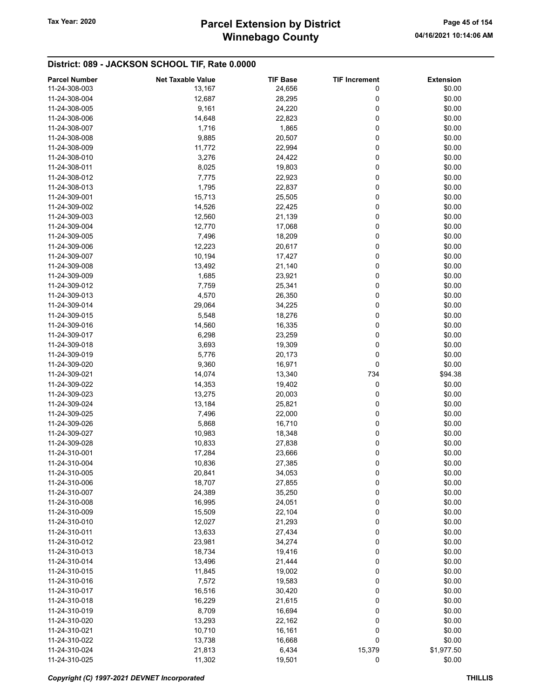# Winnebago County Tax Year: 2020 **Parcel Extension by District** Page 45 of 154

| <b>Parcel Number</b> | <b>Net Taxable Value</b> | <b>TIF Base</b> | <b>TIF Increment</b> | <b>Extension</b> |
|----------------------|--------------------------|-----------------|----------------------|------------------|
| 11-24-308-003        | 13,167                   | 24,656          | 0                    | \$0.00           |
| 11-24-308-004        | 12,687                   | 28,295          | 0                    | \$0.00           |
| 11-24-308-005        | 9,161                    | 24,220          | 0                    | \$0.00           |
| 11-24-308-006        | 14,648                   | 22,823          | 0                    | \$0.00           |
| 11-24-308-007        | 1,716                    | 1,865           | 0                    | \$0.00           |
| 11-24-308-008        | 9,885                    | 20,507          | 0                    | \$0.00           |
| 11-24-308-009        | 11,772                   | 22,994          | 0                    | \$0.00           |
| 11-24-308-010        |                          |                 | 0                    | \$0.00           |
|                      | 3,276                    | 24,422          |                      |                  |
| 11-24-308-011        | 8,025                    | 19,803          | 0                    | \$0.00           |
| 11-24-308-012        | 7,775                    | 22,923          | 0                    | \$0.00           |
| 11-24-308-013        | 1,795                    | 22,837          | 0                    | \$0.00           |
| 11-24-309-001        | 15,713                   | 25,505          | 0                    | \$0.00           |
| 11-24-309-002        | 14,526                   | 22,425          | 0                    | \$0.00           |
| 11-24-309-003        | 12,560                   | 21,139          | 0                    | \$0.00           |
| 11-24-309-004        | 12,770                   | 17,068          | 0                    | \$0.00           |
| 11-24-309-005        | 7,496                    | 18,209          | 0                    | \$0.00           |
| 11-24-309-006        | 12,223                   | 20,617          | 0                    | \$0.00           |
| 11-24-309-007        | 10,194                   | 17,427          | 0                    | \$0.00           |
| 11-24-309-008        | 13,492                   | 21,140          | 0                    | \$0.00           |
| 11-24-309-009        | 1,685                    | 23,921          | 0                    | \$0.00           |
| 11-24-309-012        | 7,759                    | 25,341          | 0                    | \$0.00           |
| 11-24-309-013        | 4,570                    | 26,350          | 0                    | \$0.00           |
| 11-24-309-014        | 29,064                   | 34,225          | 0                    | \$0.00           |
| 11-24-309-015        | 5,548                    | 18,276          | 0                    | \$0.00           |
| 11-24-309-016        | 14,560                   | 16,335          | 0                    | \$0.00           |
| 11-24-309-017        | 6,298                    | 23,259          | 0                    | \$0.00           |
| 11-24-309-018        | 3,693                    | 19,309          | 0                    | \$0.00           |
| 11-24-309-019        | 5,776                    | 20,173          | 0                    | \$0.00           |
| 11-24-309-020        | 9,360                    | 16,971          | 0                    | \$0.00           |
|                      |                          |                 |                      |                  |
| 11-24-309-021        | 14,074                   | 13,340          | 734                  | \$94.38          |
| 11-24-309-022        | 14,353                   | 19,402          | 0                    | \$0.00           |
| 11-24-309-023        | 13,275                   | 20,003          | 0                    | \$0.00           |
| 11-24-309-024        | 13,184                   | 25,821          | 0                    | \$0.00           |
| 11-24-309-025        | 7,496                    | 22,000          | 0                    | \$0.00           |
| 11-24-309-026        | 5,868                    | 16,710          | 0                    | \$0.00           |
| 11-24-309-027        | 10,983                   | 18,348          | 0                    | \$0.00           |
| 11-24-309-028        | 10,833                   | 27,838          | 0                    | \$0.00           |
| 11-24-310-001        | 17,284                   | 23,666          | 0                    | \$0.00           |
| 11-24-310-004        | 10,836                   | 27,385          | 0                    | \$0.00           |
| 11-24-310-005        | 20,841                   | 34,053          | 0                    | \$0.00           |
| 11-24-310-006        | 18,707                   | 27,855          | 0                    | \$0.00           |
| 11-24-310-007        | 24,389                   | 35,250          | 0                    | \$0.00           |
| 11-24-310-008        | 16,995                   | 24,051          | 0                    | \$0.00           |
| 11-24-310-009        | 15,509                   | 22,104          | 0                    | \$0.00           |
| 11-24-310-010        | 12,027                   | 21,293          | 0                    | \$0.00           |
| 11-24-310-011        | 13,633                   | 27,434          | 0                    | \$0.00           |
| 11-24-310-012        | 23,981                   | 34,274          | 0                    | \$0.00           |
| 11-24-310-013        | 18,734                   | 19,416          | 0                    | \$0.00           |
| 11-24-310-014        | 13,496                   | 21,444          | 0                    | \$0.00           |
| 11-24-310-015        | 11,845                   | 19,002          | 0                    | \$0.00           |
| 11-24-310-016        | 7,572                    | 19,583          | 0                    | \$0.00           |
| 11-24-310-017        | 16,516                   | 30,420          | 0                    | \$0.00           |
| 11-24-310-018        |                          |                 | 0                    | \$0.00           |
|                      | 16,229                   | 21,615          |                      |                  |
| 11-24-310-019        | 8,709                    | 16,694          | 0                    | \$0.00           |
| 11-24-310-020        | 13,293                   | 22,162          | 0                    | \$0.00           |
| 11-24-310-021        | 10,710                   | 16,161          | 0                    | \$0.00           |
| 11-24-310-022        | 13,738                   | 16,668          | 0                    | \$0.00           |
| 11-24-310-024        | 21,813                   | 6,434           | 15,379               | \$1,977.50       |
| 11-24-310-025        | 11,302                   | 19,501          | 0                    | \$0.00           |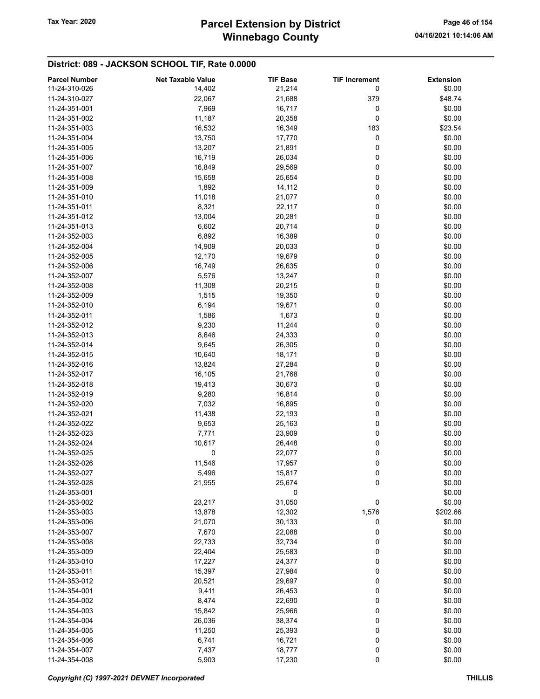| <b>Parcel Number</b>           | <b>Net Taxable Value</b> | <b>TIF Base</b> | <b>TIF Increment</b> | <b>Extension</b> |
|--------------------------------|--------------------------|-----------------|----------------------|------------------|
| 11-24-310-026                  | 14,402                   | 21,214          | 0                    | \$0.00           |
| 11-24-310-027                  | 22,067                   | 21,688          | 379                  | \$48.74          |
| 11-24-351-001                  | 7,969                    | 16,717          | 0                    | \$0.00           |
| 11-24-351-002                  | 11,187                   | 20,358          | 0                    | \$0.00           |
| 11-24-351-003                  | 16,532                   | 16,349          | 183                  | \$23.54          |
| 11-24-351-004                  | 13,750                   |                 | 0                    | \$0.00           |
|                                |                          | 17,770          |                      |                  |
| 11-24-351-005                  | 13,207                   | 21,891          | 0                    | \$0.00           |
| 11-24-351-006                  | 16,719                   | 26,034          | 0                    | \$0.00           |
| 11-24-351-007                  | 16,849                   | 29,569          | 0                    | \$0.00           |
| 11-24-351-008                  | 15,658                   | 25,654          | 0                    | \$0.00           |
| 11-24-351-009                  | 1,892                    | 14,112          | 0                    | \$0.00           |
| 11-24-351-010                  | 11,018                   | 21,077          | 0                    | \$0.00           |
| 11-24-351-011                  | 8,321                    | 22,117          | 0                    | \$0.00           |
| 11-24-351-012                  | 13,004                   | 20,281          | 0                    | \$0.00           |
| 11-24-351-013                  | 6,602                    | 20,714          | $\pmb{0}$            | \$0.00           |
| 11-24-352-003                  | 6,892                    | 16,389          | 0                    | \$0.00           |
| 11-24-352-004                  | 14,909                   | 20,033          | 0                    | \$0.00           |
| 11-24-352-005                  | 12,170                   | 19,679          | 0                    | \$0.00           |
| 11-24-352-006                  | 16,749                   | 26,635          | 0                    | \$0.00           |
| 11-24-352-007                  | 5,576                    | 13,247          | 0                    | \$0.00           |
| 11-24-352-008                  | 11,308                   | 20,215          | 0                    | \$0.00           |
| 11-24-352-009                  | 1,515                    | 19,350          | 0                    | \$0.00           |
| 11-24-352-010                  | 6,194                    | 19,671          | 0                    | \$0.00           |
| 11-24-352-011                  | 1,586                    | 1,673           | 0                    | \$0.00           |
| 11-24-352-012                  | 9,230                    | 11,244          | 0                    | \$0.00           |
| 11-24-352-013                  | 8,646                    | 24,333          | 0                    | \$0.00           |
| 11-24-352-014                  | 9,645                    | 26,305          | 0                    | \$0.00           |
| 11-24-352-015                  | 10,640                   | 18,171          | 0                    | \$0.00           |
| 11-24-352-016                  | 13,824                   | 27,284          | 0                    | \$0.00           |
| 11-24-352-017                  | 16,105                   | 21,768          | 0                    | \$0.00           |
| 11-24-352-018                  | 19,413                   | 30,673          | 0                    | \$0.00           |
| 11-24-352-019                  | 9,280                    | 16,814          | 0                    | \$0.00           |
| 11-24-352-020                  | 7,032                    | 16,895          | 0                    | \$0.00           |
| 11-24-352-021                  | 11,438                   |                 | 0                    | \$0.00           |
|                                |                          | 22,193          |                      |                  |
| 11-24-352-022<br>11-24-352-023 | 9,653                    | 25,163          | 0<br>0               | \$0.00           |
|                                | 7,771                    | 23,909          |                      | \$0.00           |
| 11-24-352-024                  | 10,617                   | 26,448          | 0                    | \$0.00           |
| 11-24-352-025                  | 0                        | 22,077          | 0                    | \$0.00           |
| 11-24-352-026                  | 11,546                   | 17,957          | 0                    | \$0.00           |
| 11-24-352-027                  | 5,496                    | 15,817          | 0                    | \$0.00           |
| 11-24-352-028                  | 21,955                   | 25,674          | 0                    | \$0.00           |
| 11-24-353-001                  |                          | 0               |                      | \$0.00           |
| 11-24-353-002                  | 23,217                   | 31,050          | 0                    | \$0.00           |
| 11-24-353-003                  | 13,878                   | 12,302          | 1,576                | \$202.66         |
| 11-24-353-006                  | 21,070                   | 30,133          | 0                    | \$0.00           |
| 11-24-353-007                  | 7,670                    | 22,088          | 0                    | \$0.00           |
| 11-24-353-008                  | 22,733                   | 32,734          | 0                    | \$0.00           |
| 11-24-353-009                  | 22,404                   | 25,583          | 0                    | \$0.00           |
| 11-24-353-010                  | 17,227                   | 24,377          | 0                    | \$0.00           |
| 11-24-353-011                  | 15,397                   | 27,984          | 0                    | \$0.00           |
| 11-24-353-012                  | 20,521                   | 29,697          | 0                    | \$0.00           |
| 11-24-354-001                  | 9,411                    | 26,453          | 0                    | \$0.00           |
| 11-24-354-002                  | 8,474                    | 22,690          | 0                    | \$0.00           |
| 11-24-354-003                  | 15,842                   | 25,966          | 0                    | \$0.00           |
| 11-24-354-004                  | 26,036                   | 38,374          | 0                    | \$0.00           |
| 11-24-354-005                  | 11,250                   | 25,393          | 0                    | \$0.00           |
| 11-24-354-006                  | 6,741                    | 16,721          | 0                    | \$0.00           |
| 11-24-354-007                  | 7,437                    | 18,777          | 0                    | \$0.00           |
| 11-24-354-008                  | 5,903                    | 17,230          | $\pmb{0}$            | \$0.00           |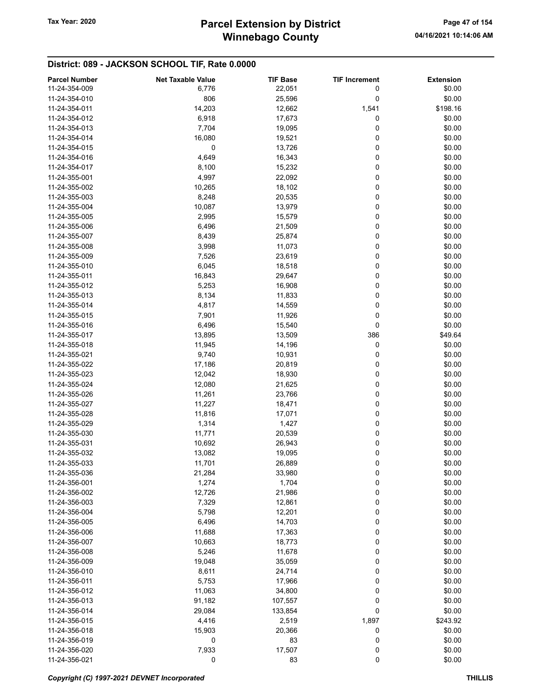# Winnebago County Tax Year: 2020 **Parcel Extension by District** Page 47 of 154

| <b>Parcel Number</b> | <b>Net Taxable Value</b> | <b>TIF Base</b> | <b>TIF Increment</b> | <b>Extension</b> |
|----------------------|--------------------------|-----------------|----------------------|------------------|
| 11-24-354-009        | 6,776                    | 22,051          | 0                    | \$0.00           |
| 11-24-354-010        | 806                      | 25,596          | 0                    | \$0.00           |
| 11-24-354-011        | 14,203                   | 12,662          | 1,541                | \$198.16         |
| 11-24-354-012        | 6,918                    | 17,673          | 0                    | \$0.00           |
| 11-24-354-013        | 7,704                    |                 | 0                    | \$0.00           |
|                      |                          | 19,095          |                      |                  |
| 11-24-354-014        | 16,080                   | 19,521          | 0                    | \$0.00           |
| 11-24-354-015        | 0                        | 13,726          | 0                    | \$0.00           |
| 11-24-354-016        | 4,649                    | 16,343          | 0                    | \$0.00           |
| 11-24-354-017        | 8,100                    | 15,232          | 0                    | \$0.00           |
| 11-24-355-001        | 4,997                    | 22,092          | 0                    | \$0.00           |
| 11-24-355-002        | 10,265                   | 18,102          | 0                    | \$0.00           |
| 11-24-355-003        | 8,248                    | 20,535          | 0                    | \$0.00           |
| 11-24-355-004        | 10,087                   | 13,979          | 0                    | \$0.00           |
| 11-24-355-005        | 2,995                    | 15,579          | 0                    | \$0.00           |
| 11-24-355-006        | 6,496                    | 21,509          | 0                    | \$0.00           |
| 11-24-355-007        | 8,439                    | 25,874          | 0                    | \$0.00           |
| 11-24-355-008        | 3,998                    | 11,073          | 0                    | \$0.00           |
| 11-24-355-009        | 7,526                    | 23,619          | 0                    | \$0.00           |
| 11-24-355-010        | 6,045                    | 18,518          | 0                    | \$0.00           |
| 11-24-355-011        |                          |                 | 0                    |                  |
|                      | 16,843                   | 29,647          |                      | \$0.00           |
| 11-24-355-012        | 5,253                    | 16,908          | 0                    | \$0.00           |
| 11-24-355-013        | 8,134                    | 11,833          | 0                    | \$0.00           |
| 11-24-355-014        | 4,817                    | 14,559          | 0                    | \$0.00           |
| 11-24-355-015        | 7,901                    | 11,926          | 0                    | \$0.00           |
| 11-24-355-016        | 6,496                    | 15,540          | 0                    | \$0.00           |
| 11-24-355-017        | 13,895                   | 13,509          | 386                  | \$49.64          |
| 11-24-355-018        | 11,945                   | 14,196          | 0                    | \$0.00           |
| 11-24-355-021        | 9,740                    | 10,931          | 0                    | \$0.00           |
| 11-24-355-022        | 17,186                   | 20,819          | 0                    | \$0.00           |
| 11-24-355-023        | 12,042                   | 18,930          | 0                    | \$0.00           |
| 11-24-355-024        | 12,080                   | 21,625          | 0                    | \$0.00           |
| 11-24-355-026        | 11,261                   | 23,766          | 0                    | \$0.00           |
| 11-24-355-027        | 11,227                   | 18,471          | 0                    | \$0.00           |
| 11-24-355-028        | 11,816                   | 17,071          | 0                    | \$0.00           |
| 11-24-355-029        | 1,314                    | 1,427           | 0                    | \$0.00           |
|                      |                          |                 | 0                    |                  |
| 11-24-355-030        | 11,771                   | 20,539          |                      | \$0.00           |
| 11-24-355-031        | 10,692                   | 26,943          | 0                    | \$0.00           |
| 11-24-355-032        | 13,082                   | 19,095          | 0                    | \$0.00           |
| 11-24-355-033        | 11,701                   | 26,889          | 0                    | \$0.00           |
| 11-24-355-036        | 21,284                   | 33,980          | 0                    | \$0.00           |
| 11-24-356-001        | 1,274                    | 1,704           | 0                    | \$0.00           |
| 11-24-356-002        | 12,726                   | 21,986          | 0                    | \$0.00           |
| 11-24-356-003        | 7,329                    | 12,861          | 0                    | \$0.00           |
| 11-24-356-004        | 5,798                    | 12,201          | 0                    | \$0.00           |
| 11-24-356-005        | 6,496                    | 14,703          | 0                    | \$0.00           |
| 11-24-356-006        | 11,688                   | 17,363          | 0                    | \$0.00           |
| 11-24-356-007        | 10,663                   | 18,773          | 0                    | \$0.00           |
| 11-24-356-008        | 5,246                    | 11,678          | 0                    | \$0.00           |
| 11-24-356-009        | 19,048                   | 35,059          | 0                    | \$0.00           |
| 11-24-356-010        | 8,611                    | 24,714          | 0                    | \$0.00           |
| 11-24-356-011        | 5,753                    | 17,966          | 0                    | \$0.00           |
| 11-24-356-012        | 11,063                   | 34,800          | 0                    | \$0.00           |
|                      |                          |                 |                      | \$0.00           |
| 11-24-356-013        | 91,182                   | 107,557         | 0                    |                  |
| 11-24-356-014        | 29,084                   | 133,854         | 0                    | \$0.00           |
| 11-24-356-015        | 4,416                    | 2,519           | 1,897                | \$243.92         |
| 11-24-356-018        | 15,903                   | 20,366          | 0                    | \$0.00           |
| 11-24-356-019        | 0                        | 83              | 0                    | \$0.00           |
| 11-24-356-020        | 7,933                    | 17,507          | 0                    | \$0.00           |
| 11-24-356-021        | 0                        | 83              | 0                    | \$0.00           |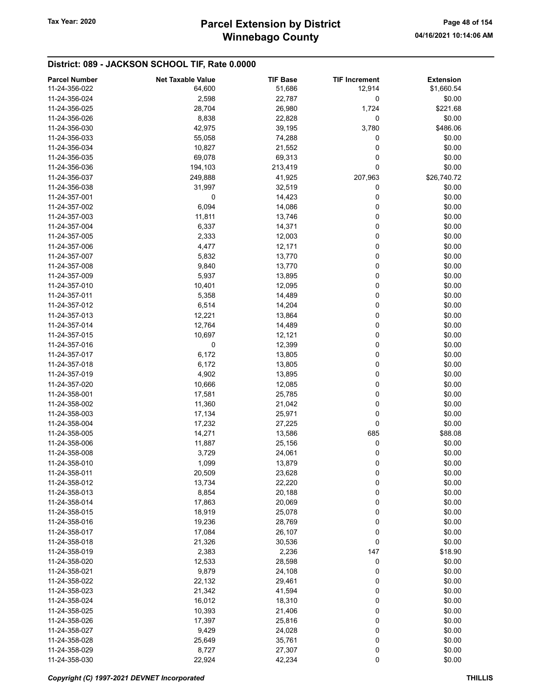| <b>Parcel Number</b> | <b>Net Taxable Value</b> | <b>TIF Base</b> | <b>TIF Increment</b> | <b>Extension</b> |
|----------------------|--------------------------|-----------------|----------------------|------------------|
| 11-24-356-022        | 64,600                   | 51,686          | 12,914               | \$1,660.54       |
| 11-24-356-024        | 2,598                    | 22,787          | 0                    | \$0.00           |
| 11-24-356-025        | 28,704                   | 26,980          | 1,724                | \$221.68         |
| 11-24-356-026        | 8,838                    | 22,828          | 0                    | \$0.00           |
| 11-24-356-030        | 42,975                   | 39,195          | 3,780                | \$486.06         |
| 11-24-356-033        | 55,058                   | 74,288          | 0                    | \$0.00           |
| 11-24-356-034        | 10,827                   | 21,552          | 0                    | \$0.00           |
| 11-24-356-035        | 69,078                   | 69,313          | 0                    | \$0.00           |
| 11-24-356-036        | 194,103                  | 213,419         | 0                    | \$0.00           |
| 11-24-356-037        | 249,888                  | 41,925          | 207,963              | \$26,740.72      |
| 11-24-356-038        | 31,997                   | 32,519          | 0                    | \$0.00           |
| 11-24-357-001        | 0                        | 14,423          | 0                    | \$0.00           |
| 11-24-357-002        | 6,094                    | 14,086          | 0                    | \$0.00           |
| 11-24-357-003        | 11,811                   | 13,746          | 0                    | \$0.00           |
| 11-24-357-004        | 6,337                    | 14,371          | 0                    | \$0.00           |
| 11-24-357-005        | 2,333                    | 12,003          | 0                    | \$0.00           |
| 11-24-357-006        | 4,477                    | 12,171          | 0                    | \$0.00           |
| 11-24-357-007        | 5,832                    | 13,770          | 0                    | \$0.00           |
| 11-24-357-008        | 9,840                    | 13,770          | 0                    | \$0.00           |
| 11-24-357-009        | 5,937                    | 13,895          | 0                    | \$0.00           |
| 11-24-357-010        | 10,401                   | 12,095          | 0                    | \$0.00           |
| 11-24-357-011        | 5,358                    | 14,489          | 0                    | \$0.00           |
| 11-24-357-012        | 6,514                    | 14,204          | 0                    | \$0.00           |
| 11-24-357-013        | 12,221                   | 13,864          | 0                    | \$0.00           |
| 11-24-357-014        | 12,764                   | 14,489          | 0                    | \$0.00           |
| 11-24-357-015        | 10,697                   | 12,121          | 0                    | \$0.00           |
| 11-24-357-016        | 0                        | 12,399          | 0                    | \$0.00           |
| 11-24-357-017        | 6,172                    | 13,805          | 0                    | \$0.00           |
| 11-24-357-018        | 6,172                    | 13,805          | 0                    | \$0.00           |
| 11-24-357-019        | 4,902                    | 13,895          | 0                    | \$0.00           |
| 11-24-357-020        | 10,666                   | 12,085          | 0                    | \$0.00           |
| 11-24-358-001        | 17,581                   | 25,785          | 0                    | \$0.00           |
| 11-24-358-002        | 11,360                   | 21,042          | 0                    | \$0.00           |
| 11-24-358-003        | 17,134                   | 25,971          | 0                    | \$0.00           |
| 11-24-358-004        | 17,232                   | 27,225          | 0                    | \$0.00           |
| 11-24-358-005        | 14,271                   | 13,586          | 685                  | \$88.08          |
| 11-24-358-006        | 11,887                   | 25,156          | 0                    | \$0.00           |
| 11-24-358-008        | 3,729                    | 24,061          | 0                    | \$0.00           |
| 11-24-358-010        | 1,099                    | 13,879          | 0                    | \$0.00           |
| 11-24-358-011        | 20,509                   | 23,628          | 0                    | \$0.00           |
| 11-24-358-012        | 13,734                   | 22,220          | 0                    | \$0.00           |
| 11-24-358-013        | 8,854                    | 20,188          | 0                    | \$0.00           |
| 11-24-358-014        | 17,863                   | 20,069          | 0                    | \$0.00           |
| 11-24-358-015        | 18,919                   | 25,078          | 0                    | \$0.00           |
| 11-24-358-016        | 19,236                   | 28,769          | 0                    | \$0.00           |
| 11-24-358-017        | 17,084                   | 26,107          | 0                    | \$0.00           |
| 11-24-358-018        | 21,326                   | 30,536          | 0                    | \$0.00           |
| 11-24-358-019        | 2,383                    | 2,236           | 147                  | \$18.90          |
| 11-24-358-020        | 12,533                   | 28,598          | 0                    | \$0.00           |
| 11-24-358-021        | 9,879                    | 24,108          | 0                    | \$0.00           |
| 11-24-358-022        | 22,132                   | 29,461          | 0                    | \$0.00           |
| 11-24-358-023        | 21,342                   | 41,594          | 0                    | \$0.00           |
| 11-24-358-024        | 16,012                   | 18,310          | 0                    | \$0.00           |
| 11-24-358-025        | 10,393                   | 21,406          | 0                    | \$0.00           |
| 11-24-358-026        | 17,397                   | 25,816          | 0                    | \$0.00           |
| 11-24-358-027        | 9,429                    | 24,028          | 0                    | \$0.00           |
| 11-24-358-028        | 25,649                   | 35,761          | 0                    | \$0.00           |
| 11-24-358-029        | 8,727                    | 27,307          | 0                    | \$0.00           |
| 11-24-358-030        | 22,924                   | 42,234          | 0                    | \$0.00           |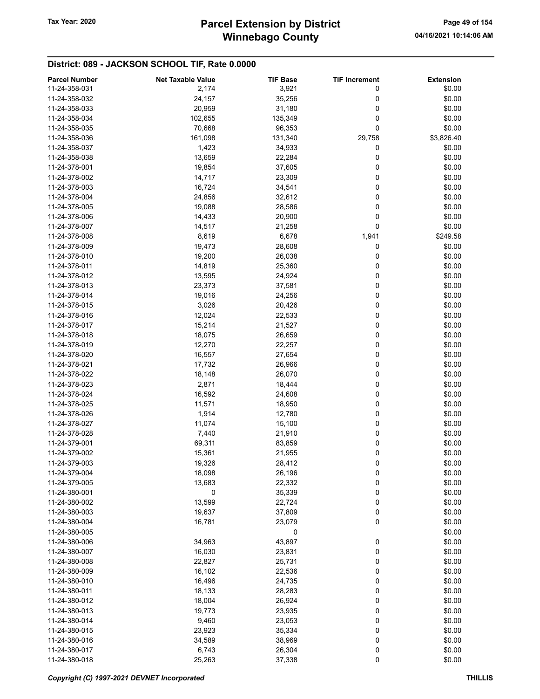| <b>Parcel Number</b> | <b>Net Taxable Value</b> | <b>TIF Base</b> | <b>TIF Increment</b> | <b>Extension</b> |
|----------------------|--------------------------|-----------------|----------------------|------------------|
| 11-24-358-031        | 2,174                    | 3,921           | 0                    | \$0.00           |
| 11-24-358-032        | 24,157                   | 35,256          | 0                    | \$0.00           |
| 11-24-358-033        | 20,959                   | 31,180          | 0                    | \$0.00           |
|                      |                          |                 |                      |                  |
| 11-24-358-034        | 102,655                  | 135,349         | 0                    | \$0.00           |
| 11-24-358-035        | 70,668                   | 96,353          | 0                    | \$0.00           |
| 11-24-358-036        | 161,098                  | 131,340         | 29,758               | \$3,826.40       |
| 11-24-358-037        | 1,423                    | 34,933          | 0                    | \$0.00           |
| 11-24-358-038        | 13,659                   | 22,284          | 0                    | \$0.00           |
| 11-24-378-001        | 19,854                   | 37,605          | 0                    | \$0.00           |
| 11-24-378-002        | 14,717                   | 23,309          | 0                    | \$0.00           |
| 11-24-378-003        | 16,724                   | 34,541          | 0                    | \$0.00           |
| 11-24-378-004        | 24,856                   | 32,612          | 0                    | \$0.00           |
| 11-24-378-005        | 19,088                   | 28,586          | 0                    | \$0.00           |
| 11-24-378-006        | 14,433                   | 20,900          | 0                    | \$0.00           |
| 11-24-378-007        | 14,517                   | 21,258          | 0                    | \$0.00           |
|                      |                          |                 |                      |                  |
| 11-24-378-008        | 8,619                    | 6,678           | 1,941                | \$249.58         |
| 11-24-378-009        | 19,473                   | 28,608          | 0                    | \$0.00           |
| 11-24-378-010        | 19,200                   | 26,038          | 0                    | \$0.00           |
| 11-24-378-011        | 14,819                   | 25,360          | 0                    | \$0.00           |
| 11-24-378-012        | 13,595                   | 24,924          | 0                    | \$0.00           |
| 11-24-378-013        | 23,373                   | 37,581          | 0                    | \$0.00           |
| 11-24-378-014        | 19,016                   | 24,256          | 0                    | \$0.00           |
| 11-24-378-015        | 3,026                    | 20,426          | 0                    | \$0.00           |
| 11-24-378-016        | 12,024                   | 22,533          | 0                    | \$0.00           |
| 11-24-378-017        | 15,214                   | 21,527          | 0                    | \$0.00           |
| 11-24-378-018        | 18,075                   | 26,659          | 0                    | \$0.00           |
|                      |                          |                 |                      |                  |
| 11-24-378-019        | 12,270                   | 22,257          | 0                    | \$0.00           |
| 11-24-378-020        | 16,557                   | 27,654          | 0                    | \$0.00           |
| 11-24-378-021        | 17,732                   | 26,966          | 0                    | \$0.00           |
| 11-24-378-022        | 18,148                   | 26,070          | 0                    | \$0.00           |
| 11-24-378-023        | 2,871                    | 18,444          | 0                    | \$0.00           |
| 11-24-378-024        | 16,592                   | 24,608          | 0                    | \$0.00           |
| 11-24-378-025        | 11,571                   | 18,950          | 0                    | \$0.00           |
| 11-24-378-026        | 1,914                    | 12,780          | 0                    | \$0.00           |
| 11-24-378-027        | 11,074                   | 15,100          | 0                    | \$0.00           |
| 11-24-378-028        | 7,440                    | 21,910          | 0                    | \$0.00           |
| 11-24-379-001        | 69,311                   | 83,859          | 0                    | \$0.00           |
| 11-24-379-002        | 15,361                   | 21,955          | 0                    | \$0.00           |
| 11-24-379-003        | 19,326                   | 28,412          | 0                    | \$0.00           |
| 11-24-379-004        | 18,098                   | 26,196          | 0                    | \$0.00           |
|                      |                          |                 |                      |                  |
| 11-24-379-005        | 13,683                   | 22,332          | 0                    | \$0.00           |
| 11-24-380-001        | 0                        | 35,339          | 0                    | \$0.00           |
| 11-24-380-002        | 13,599                   | 22,724          | 0                    | \$0.00           |
| 11-24-380-003        | 19,637                   | 37,809          | 0                    | \$0.00           |
| 11-24-380-004        | 16,781                   | 23,079          | 0                    | \$0.00           |
| 11-24-380-005        |                          | 0               |                      | \$0.00           |
| 11-24-380-006        | 34,963                   | 43,897          | 0                    | \$0.00           |
| 11-24-380-007        | 16,030                   | 23,831          | 0                    | \$0.00           |
| 11-24-380-008        | 22,827                   | 25,731          | 0                    | \$0.00           |
| 11-24-380-009        | 16,102                   | 22,536          | 0                    | \$0.00           |
| 11-24-380-010        | 16,496                   | 24,735          | 0                    | \$0.00           |
| 11-24-380-011        | 18,133                   | 28,283          | 0                    | \$0.00           |
| 11-24-380-012        | 18,004                   | 26,924          | 0                    | \$0.00           |
| 11-24-380-013        |                          |                 | 0                    | \$0.00           |
|                      | 19,773                   | 23,935          |                      |                  |
| 11-24-380-014        | 9,460                    | 23,053          | 0                    | \$0.00           |
| 11-24-380-015        | 23,923                   | 35,334          | 0                    | \$0.00           |
| 11-24-380-016        | 34,589                   | 38,969          | 0                    | \$0.00           |
| 11-24-380-017        | 6,743                    | 26,304          | 0                    | \$0.00           |
| 11-24-380-018        | 25,263                   | 37,338          | $\pmb{0}$            | \$0.00           |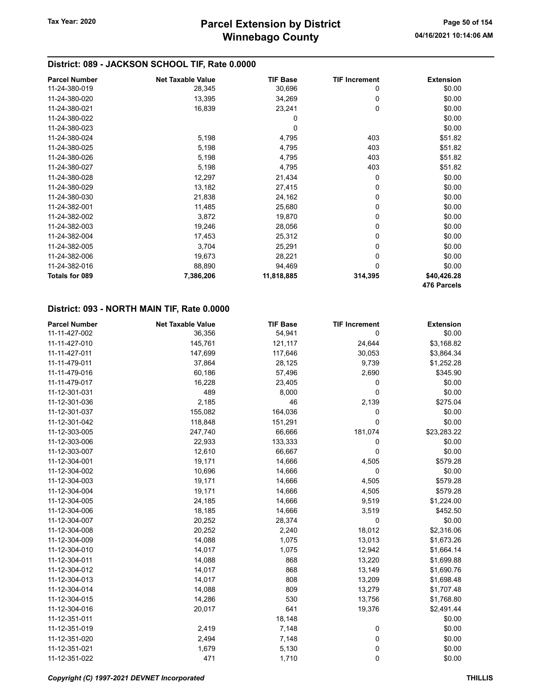| <b>Parcel Number</b>  | <b>Net Taxable Value</b> | <b>TIF Base</b> | <b>TIF Increment</b> | <b>Extension</b> |
|-----------------------|--------------------------|-----------------|----------------------|------------------|
| 11-24-380-019         | 28,345                   | 30,696          | 0                    | \$0.00           |
| 11-24-380-020         | 13,395                   | 34,269          | 0                    | \$0.00           |
| 11-24-380-021         | 16,839                   | 23,241          | 0                    | \$0.00           |
| 11-24-380-022         |                          | 0               |                      | \$0.00           |
| 11-24-380-023         |                          | 0               |                      | \$0.00           |
| 11-24-380-024         | 5,198                    | 4,795           | 403                  | \$51.82          |
| 11-24-380-025         | 5,198                    | 4,795           | 403                  | \$51.82          |
| 11-24-380-026         | 5,198                    | 4,795           | 403                  | \$51.82          |
| 11-24-380-027         | 5,198                    | 4,795           | 403                  | \$51.82          |
| 11-24-380-028         | 12,297                   | 21,434          | 0                    | \$0.00           |
| 11-24-380-029         | 13,182                   | 27,415          | 0                    | \$0.00           |
| 11-24-380-030         | 21,838                   | 24,162          | 0                    | \$0.00           |
| 11-24-382-001         | 11,485                   | 25,680          | 0                    | \$0.00           |
| 11-24-382-002         | 3,872                    | 19,870          | 0                    | \$0.00           |
| 11-24-382-003         | 19,246                   | 28,056          | 0                    | \$0.00           |
| 11-24-382-004         | 17,453                   | 25,312          | 0                    | \$0.00           |
| 11-24-382-005         | 3,704                    | 25,291          | 0                    | \$0.00           |
| 11-24-382-006         | 19,673                   | 28,221          | 0                    | \$0.00           |
| 11-24-382-016         | 88,890                   | 94,469          | 0                    | \$0.00           |
| <b>Totals for 089</b> | 7,386,206                | 11,818,885      | 314,395              | \$40,426.28      |
|                       |                          |                 |                      | 476 Parcels      |

#### District: 093 - NORTH MAIN TIF, Rate 0.0000

| <b>Parcel Number</b> | <b>Net Taxable Value</b> | <b>TIF Base</b> | <b>TIF Increment</b> | <b>Extension</b> |
|----------------------|--------------------------|-----------------|----------------------|------------------|
| 11-11-427-002        | 36,356                   | 54,941          | 0                    | \$0.00           |
| 11-11-427-010        | 145,761                  | 121,117         | 24,644               | \$3,168.82       |
| 11-11-427-011        | 147,699                  | 117,646         | 30,053               | \$3,864.34       |
| 11-11-479-011        | 37,864                   | 28,125          | 9,739                | \$1,252.28       |
| 11-11-479-016        | 60,186                   | 57,496          | 2,690                | \$345.90         |
| 11-11-479-017        | 16,228                   | 23,405          | 0                    | \$0.00           |
| 11-12-301-031        | 489                      | 8,000           | 0                    | \$0.00           |
| 11-12-301-036        | 2,185                    | 46              | 2,139                | \$275.04         |
| 11-12-301-037        | 155,082                  | 164,036         | 0                    | \$0.00           |
| 11-12-301-042        | 118,848                  | 151,291         | $\mathbf 0$          | \$0.00           |
| 11-12-303-005        | 247,740                  | 66,666          | 181,074              | \$23,283.22      |
| 11-12-303-006        | 22,933                   | 133,333         | 0                    | \$0.00           |
| 11-12-303-007        | 12,610                   | 66,667          | 0                    | \$0.00           |
| 11-12-304-001        | 19,171                   | 14,666          | 4,505                | \$579.28         |
| 11-12-304-002        | 10,696                   | 14,666          | 0                    | \$0.00           |
| 11-12-304-003        | 19,171                   | 14,666          | 4,505                | \$579.28         |
| 11-12-304-004        | 19,171                   | 14,666          | 4,505                | \$579.28         |
| 11-12-304-005        | 24,185                   | 14,666          | 9,519                | \$1,224.00       |
| 11-12-304-006        | 18,185                   | 14,666          | 3,519                | \$452.50         |
| 11-12-304-007        | 20,252                   | 28,374          | 0                    | \$0.00           |
| 11-12-304-008        | 20,252                   | 2,240           | 18,012               | \$2,316.06       |
| 11-12-304-009        | 14,088                   | 1,075           | 13,013               | \$1,673.26       |
| 11-12-304-010        | 14,017                   | 1,075           | 12,942               | \$1,664.14       |
| 11-12-304-011        | 14,088                   | 868             | 13,220               | \$1,699.88       |
| 11-12-304-012        | 14,017                   | 868             | 13,149               | \$1,690.76       |
| 11-12-304-013        | 14,017                   | 808             | 13,209               | \$1,698.48       |
| 11-12-304-014        | 14,088                   | 809             | 13,279               | \$1,707.48       |
| 11-12-304-015        | 14,286                   | 530             | 13,756               | \$1,768.80       |
| 11-12-304-016        | 20,017                   | 641             | 19,376               | \$2,491.44       |
| 11-12-351-011        |                          | 18,148          |                      | \$0.00           |
| 11-12-351-019        | 2,419                    | 7,148           | 0                    | \$0.00           |
| 11-12-351-020        | 2,494                    | 7,148           | 0                    | \$0.00           |
| 11-12-351-021        | 1,679                    | 5,130           | 0                    | \$0.00           |
| 11-12-351-022        | 471                      | 1,710           | 0                    | \$0.00           |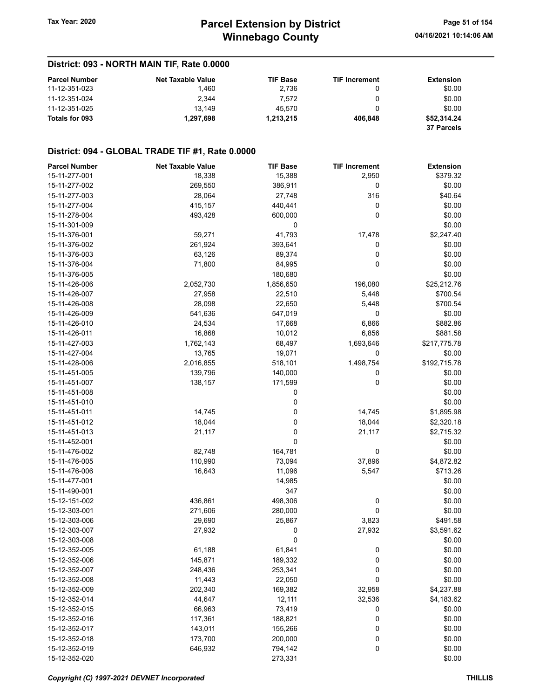## District: 093 - NORTH MAIN TIF, Rate 0.0000

| <b>Parcel Number</b> | <b>Net Taxable Value</b> | <b>TIF Base</b> | <b>TIF Increment</b> | <b>Extension</b>  |
|----------------------|--------------------------|-----------------|----------------------|-------------------|
| 11-12-351-023        | 1.460                    | 2.736           |                      | \$0.00            |
| 11-12-351-024        | 2.344                    | 7.572           |                      | \$0.00            |
| 11-12-351-025        | 13.149                   | 45.570          |                      | \$0.00            |
| Totals for 093       | 1.297.698                | 1.213.215       | 406.848              | \$52.314.24       |
|                      |                          |                 |                      | <b>37 Parcels</b> |

### District: 094 - GLOBAL TRADE TIF #1, Rate 0.0000

| <b>Parcel Number</b> | <b>Net Taxable Value</b> | <b>TIF Base</b> | <b>TIF Increment</b> | <b>Extension</b> |
|----------------------|--------------------------|-----------------|----------------------|------------------|
| 15-11-277-001        | 18,338                   | 15,388          | 2,950                | \$379.32         |
| 15-11-277-002        | 269,550                  | 386,911         | 0                    | \$0.00           |
| 15-11-277-003        | 28,064                   | 27,748          | 316                  | \$40.64          |
| 15-11-277-004        | 415,157                  | 440,441         | 0                    | \$0.00           |
| 15-11-278-004        | 493,428                  | 600,000         | 0                    | \$0.00           |
| 15-11-301-009        |                          | 0               |                      | \$0.00           |
| 15-11-376-001        | 59,271                   | 41,793          | 17,478               | \$2,247.40       |
| 15-11-376-002        | 261,924                  | 393,641         | 0                    | \$0.00           |
| 15-11-376-003        | 63,126                   | 89,374          | 0                    | \$0.00           |
| 15-11-376-004        | 71,800                   | 84,995          | 0                    | \$0.00           |
| 15-11-376-005        |                          | 180,680         |                      | \$0.00           |
| 15-11-426-006        | 2,052,730                | 1,856,650       | 196,080              | \$25,212.76      |
| 15-11-426-007        | 27,958                   | 22,510          | 5,448                | \$700.54         |
| 15-11-426-008        | 28,098                   | 22,650          | 5,448                | \$700.54         |
| 15-11-426-009        | 541,636                  | 547,019         | 0                    | \$0.00           |
| 15-11-426-010        | 24,534                   | 17,668          | 6,866                | \$882.86         |
| 15-11-426-011        |                          |                 |                      |                  |
| 15-11-427-003        | 16,868                   | 10,012          | 6,856                | \$881.58         |
|                      | 1,762,143                | 68,497          | 1,693,646            | \$217,775.78     |
| 15-11-427-004        | 13,765                   | 19,071          | 0                    | \$0.00           |
| 15-11-428-006        | 2,016,855                | 518,101         | 1,498,754            | \$192,715.78     |
| 15-11-451-005        | 139,796                  | 140,000         | 0                    | \$0.00           |
| 15-11-451-007        | 138,157                  | 171,599         | 0                    | \$0.00           |
| 15-11-451-008        |                          | 0               |                      | \$0.00           |
| 15-11-451-010        |                          | 0               |                      | \$0.00           |
| 15-11-451-011        | 14,745                   | 0               | 14,745               | \$1,895.98       |
| 15-11-451-012        | 18,044                   | 0               | 18,044               | \$2,320.18       |
| 15-11-451-013        | 21,117                   | 0               | 21,117               | \$2,715.32       |
| 15-11-452-001        |                          | 0               |                      | \$0.00           |
| 15-11-476-002        | 82,748                   | 164,781         | 0                    | \$0.00           |
| 15-11-476-005        | 110,990                  | 73,094          | 37,896               | \$4,872.82       |
| 15-11-476-006        | 16,643                   | 11,096          | 5,547                | \$713.26         |
| 15-11-477-001        |                          | 14,985          |                      | \$0.00           |
| 15-11-490-001        |                          | 347             |                      | \$0.00           |
| 15-12-151-002        | 436,861                  | 498,306         | 0                    | \$0.00           |
| 15-12-303-001        | 271,606                  | 280,000         | 0                    | \$0.00           |
| 15-12-303-006        | 29,690                   | 25,867          | 3,823                | \$491.58         |
| 15-12-303-007        | 27,932                   | 0               | 27,932               | \$3,591.62       |
| 15-12-303-008        |                          | 0               |                      | \$0.00           |
| 15-12-352-005        | 61,188                   | 61,841          | 0                    | \$0.00           |
| 15-12-352-006        | 145,871                  | 189,332         | 0                    | \$0.00           |
| 15-12-352-007        | 248,436                  | 253,341         | 0                    | \$0.00           |
| 15-12-352-008        | 11,443                   | 22,050          | 0                    | \$0.00           |
| 15-12-352-009        | 202,340                  | 169,382         | 32,958               | \$4,237.88       |
| 15-12-352-014        | 44,647                   | 12,111          | 32,536               | \$4,183.62       |
| 15-12-352-015        | 66,963                   | 73,419          | 0                    | \$0.00           |
| 15-12-352-016        | 117,361                  | 188,821         | 0                    | \$0.00           |
| 15-12-352-017        | 143,011                  | 155,266         | 0                    | \$0.00           |
| 15-12-352-018        | 173,700                  | 200,000         | 0                    | \$0.00           |
| 15-12-352-019        | 646,932                  | 794,142         | 0                    | \$0.00           |
| 15-12-352-020        |                          | 273,331         |                      | \$0.00           |
|                      |                          |                 |                      |                  |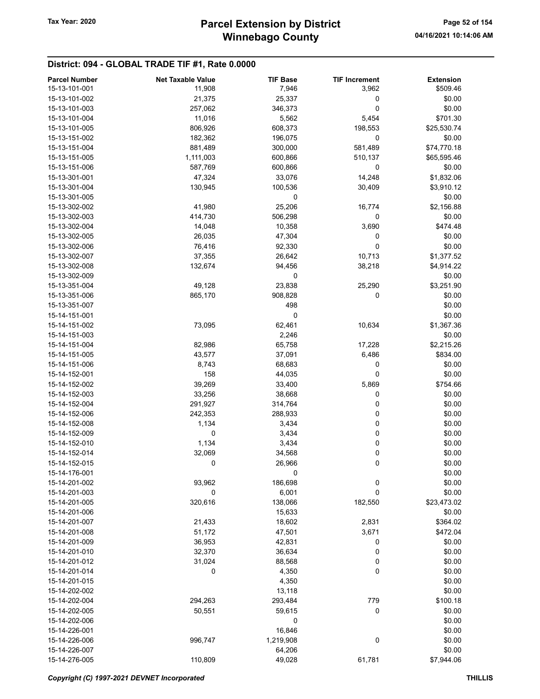## District: 094 - GLOBAL TRADE TIF #1, Rate 0.0000

| 15-13-101-001<br>7,946<br>\$509.46<br>11,908<br>3,962<br>0<br>15-13-101-002<br>21,375<br>25,337<br>\$0.00<br>0<br>\$0.00<br>15-13-101-003<br>257,062<br>346,373<br>\$701.30<br>15-13-101-004<br>11,016<br>5,562<br>5,454<br>15-13-101-005<br>806,926<br>608,373<br>198,553<br>\$25,530.74<br>15-13-151-002<br>182,362<br>196,075<br>0<br>\$0.00<br>15-13-151-004<br>881,489<br>300,000<br>581,489<br>\$74,770.18<br>15-13-151-005<br>1,111,003<br>600,866<br>510,137<br>\$65,595.46<br>0<br>\$0.00<br>15-13-151-006<br>587,769<br>600,866<br>\$1,832.06<br>15-13-301-001<br>47,324<br>33,076<br>14,248<br>130,945<br>100,536<br>30,409<br>\$3,910.12<br>15-13-301-004<br>15-13-301-005<br>\$0.00<br>0<br>25,206<br>\$2,156.88<br>15-13-302-002<br>41,980<br>16,774<br>0<br>\$0.00<br>15-13-302-003<br>414,730<br>506,298<br>10,358<br>15-13-302-004<br>14,048<br>3,690<br>\$474.48<br>\$0.00<br>15-13-302-005<br>26,035<br>47,304<br>0<br>\$0.00<br>76,416<br>92,330<br>0<br>15-13-302-006<br>\$1,377.52<br>15-13-302-007<br>37,355<br>26,642<br>10,713<br>15-13-302-008<br>132,674<br>94,456<br>38,218<br>\$4,914.22<br>0<br>\$0.00<br>15-13-302-009<br>\$3,251.90<br>15-13-351-004<br>49,128<br>23,838<br>25,290<br>0<br>15-13-351-006<br>865,170<br>908,828<br>\$0.00<br>498<br>15-13-351-007<br>\$0.00<br>0<br>\$0.00<br>15-14-151-001<br>\$1,367.36<br>73,095<br>62,461<br>10,634<br>15-14-151-002<br>15-14-151-003<br>2,246<br>\$0.00<br>15-14-151-004<br>65,758<br>17,228<br>\$2,215.26<br>82,986<br>15-14-151-005<br>43,577<br>37,091<br>6,486<br>\$834.00<br>0<br>15-14-151-006<br>8,743<br>68,683<br>\$0.00<br>158<br>0<br>\$0.00<br>15-14-152-001<br>44,035<br>39,269<br>\$754.66<br>15-14-152-002<br>33,400<br>5,869<br>\$0.00<br>33,256<br>0<br>15-14-152-003<br>38,668<br>\$0.00<br>15-14-152-004<br>291,927<br>314,764<br>0<br>\$0.00<br>15-14-152-006<br>242,353<br>288,933<br>0<br>0<br>\$0.00<br>15-14-152-008<br>1,134<br>3,434<br>$\mathbf 0$<br>0<br>3,434<br>\$0.00<br>15-14-152-009<br>15-14-152-010<br>1,134<br>3,434<br>0<br>\$0.00<br>32,069<br>0<br>\$0.00<br>15-14-152-014<br>34,568<br>0<br>0<br>\$0.00<br>15-14-152-015<br>26,966<br>15-14-176-001<br>0<br>\$0.00<br>15-14-201-002<br>93,962<br>186,698<br>0<br>\$0.00<br>0<br>0<br>6,001<br>\$0.00<br>15-14-201-003<br>\$23,473.02<br>15-14-201-005<br>320,616<br>138,066<br>182,550<br>\$0.00<br>15-14-201-006<br>15,633<br>\$364.02<br>21,433<br>18,602<br>2,831<br>15-14-201-007<br>\$472.04<br>51,172<br>47,501<br>3,671<br>15-14-201-008<br>\$0.00<br>15-14-201-009<br>36,953<br>42,831<br>0<br>\$0.00<br>15-14-201-010<br>32,370<br>36,634<br>0<br>0<br>\$0.00<br>15-14-201-012<br>31,024<br>88,568<br>0<br>0<br>\$0.00<br>15-14-201-014<br>4,350<br>4,350<br>\$0.00<br>15-14-201-015<br>\$0.00<br>15-14-202-002<br>13,118<br>779<br>\$100.18<br>294,263<br>293,484<br>15-14-202-004<br>0<br>\$0.00<br>15-14-202-005<br>50,551<br>59,615<br>15-14-202-006<br>0<br>\$0.00<br>\$0.00<br>15-14-226-001<br>16,846<br>0<br>15-14-226-006<br>996,747<br>1,219,908<br>\$0.00<br>\$0.00<br>15-14-226-007<br>64,206<br>61,781<br>110,809<br>49,028<br>\$7,944.06<br>15-14-276-005 | <b>Parcel Number</b> | <b>Net Taxable Value</b> | <b>TIF Base</b> | <b>TIF Increment</b> | <b>Extension</b> |
|---------------------------------------------------------------------------------------------------------------------------------------------------------------------------------------------------------------------------------------------------------------------------------------------------------------------------------------------------------------------------------------------------------------------------------------------------------------------------------------------------------------------------------------------------------------------------------------------------------------------------------------------------------------------------------------------------------------------------------------------------------------------------------------------------------------------------------------------------------------------------------------------------------------------------------------------------------------------------------------------------------------------------------------------------------------------------------------------------------------------------------------------------------------------------------------------------------------------------------------------------------------------------------------------------------------------------------------------------------------------------------------------------------------------------------------------------------------------------------------------------------------------------------------------------------------------------------------------------------------------------------------------------------------------------------------------------------------------------------------------------------------------------------------------------------------------------------------------------------------------------------------------------------------------------------------------------------------------------------------------------------------------------------------------------------------------------------------------------------------------------------------------------------------------------------------------------------------------------------------------------------------------------------------------------------------------------------------------------------------------------------------------------------------------------------------------------------------------------------------------------------------------------------------------------------------------------------------------------------------------------------------------------------------------------------------------------------------------------------------------------------------------------------------------------------------------------------------------------------------------------------------------------------------------------------------------------------------------------------------------------------------------------------------------------------------------------------------------------------------------------------------------------------------|----------------------|--------------------------|-----------------|----------------------|------------------|
|                                                                                                                                                                                                                                                                                                                                                                                                                                                                                                                                                                                                                                                                                                                                                                                                                                                                                                                                                                                                                                                                                                                                                                                                                                                                                                                                                                                                                                                                                                                                                                                                                                                                                                                                                                                                                                                                                                                                                                                                                                                                                                                                                                                                                                                                                                                                                                                                                                                                                                                                                                                                                                                                                                                                                                                                                                                                                                                                                                                                                                                                                                                                                               |                      |                          |                 |                      |                  |
|                                                                                                                                                                                                                                                                                                                                                                                                                                                                                                                                                                                                                                                                                                                                                                                                                                                                                                                                                                                                                                                                                                                                                                                                                                                                                                                                                                                                                                                                                                                                                                                                                                                                                                                                                                                                                                                                                                                                                                                                                                                                                                                                                                                                                                                                                                                                                                                                                                                                                                                                                                                                                                                                                                                                                                                                                                                                                                                                                                                                                                                                                                                                                               |                      |                          |                 |                      |                  |
|                                                                                                                                                                                                                                                                                                                                                                                                                                                                                                                                                                                                                                                                                                                                                                                                                                                                                                                                                                                                                                                                                                                                                                                                                                                                                                                                                                                                                                                                                                                                                                                                                                                                                                                                                                                                                                                                                                                                                                                                                                                                                                                                                                                                                                                                                                                                                                                                                                                                                                                                                                                                                                                                                                                                                                                                                                                                                                                                                                                                                                                                                                                                                               |                      |                          |                 |                      |                  |
|                                                                                                                                                                                                                                                                                                                                                                                                                                                                                                                                                                                                                                                                                                                                                                                                                                                                                                                                                                                                                                                                                                                                                                                                                                                                                                                                                                                                                                                                                                                                                                                                                                                                                                                                                                                                                                                                                                                                                                                                                                                                                                                                                                                                                                                                                                                                                                                                                                                                                                                                                                                                                                                                                                                                                                                                                                                                                                                                                                                                                                                                                                                                                               |                      |                          |                 |                      |                  |
|                                                                                                                                                                                                                                                                                                                                                                                                                                                                                                                                                                                                                                                                                                                                                                                                                                                                                                                                                                                                                                                                                                                                                                                                                                                                                                                                                                                                                                                                                                                                                                                                                                                                                                                                                                                                                                                                                                                                                                                                                                                                                                                                                                                                                                                                                                                                                                                                                                                                                                                                                                                                                                                                                                                                                                                                                                                                                                                                                                                                                                                                                                                                                               |                      |                          |                 |                      |                  |
|                                                                                                                                                                                                                                                                                                                                                                                                                                                                                                                                                                                                                                                                                                                                                                                                                                                                                                                                                                                                                                                                                                                                                                                                                                                                                                                                                                                                                                                                                                                                                                                                                                                                                                                                                                                                                                                                                                                                                                                                                                                                                                                                                                                                                                                                                                                                                                                                                                                                                                                                                                                                                                                                                                                                                                                                                                                                                                                                                                                                                                                                                                                                                               |                      |                          |                 |                      |                  |
|                                                                                                                                                                                                                                                                                                                                                                                                                                                                                                                                                                                                                                                                                                                                                                                                                                                                                                                                                                                                                                                                                                                                                                                                                                                                                                                                                                                                                                                                                                                                                                                                                                                                                                                                                                                                                                                                                                                                                                                                                                                                                                                                                                                                                                                                                                                                                                                                                                                                                                                                                                                                                                                                                                                                                                                                                                                                                                                                                                                                                                                                                                                                                               |                      |                          |                 |                      |                  |
|                                                                                                                                                                                                                                                                                                                                                                                                                                                                                                                                                                                                                                                                                                                                                                                                                                                                                                                                                                                                                                                                                                                                                                                                                                                                                                                                                                                                                                                                                                                                                                                                                                                                                                                                                                                                                                                                                                                                                                                                                                                                                                                                                                                                                                                                                                                                                                                                                                                                                                                                                                                                                                                                                                                                                                                                                                                                                                                                                                                                                                                                                                                                                               |                      |                          |                 |                      |                  |
|                                                                                                                                                                                                                                                                                                                                                                                                                                                                                                                                                                                                                                                                                                                                                                                                                                                                                                                                                                                                                                                                                                                                                                                                                                                                                                                                                                                                                                                                                                                                                                                                                                                                                                                                                                                                                                                                                                                                                                                                                                                                                                                                                                                                                                                                                                                                                                                                                                                                                                                                                                                                                                                                                                                                                                                                                                                                                                                                                                                                                                                                                                                                                               |                      |                          |                 |                      |                  |
|                                                                                                                                                                                                                                                                                                                                                                                                                                                                                                                                                                                                                                                                                                                                                                                                                                                                                                                                                                                                                                                                                                                                                                                                                                                                                                                                                                                                                                                                                                                                                                                                                                                                                                                                                                                                                                                                                                                                                                                                                                                                                                                                                                                                                                                                                                                                                                                                                                                                                                                                                                                                                                                                                                                                                                                                                                                                                                                                                                                                                                                                                                                                                               |                      |                          |                 |                      |                  |
|                                                                                                                                                                                                                                                                                                                                                                                                                                                                                                                                                                                                                                                                                                                                                                                                                                                                                                                                                                                                                                                                                                                                                                                                                                                                                                                                                                                                                                                                                                                                                                                                                                                                                                                                                                                                                                                                                                                                                                                                                                                                                                                                                                                                                                                                                                                                                                                                                                                                                                                                                                                                                                                                                                                                                                                                                                                                                                                                                                                                                                                                                                                                                               |                      |                          |                 |                      |                  |
|                                                                                                                                                                                                                                                                                                                                                                                                                                                                                                                                                                                                                                                                                                                                                                                                                                                                                                                                                                                                                                                                                                                                                                                                                                                                                                                                                                                                                                                                                                                                                                                                                                                                                                                                                                                                                                                                                                                                                                                                                                                                                                                                                                                                                                                                                                                                                                                                                                                                                                                                                                                                                                                                                                                                                                                                                                                                                                                                                                                                                                                                                                                                                               |                      |                          |                 |                      |                  |
|                                                                                                                                                                                                                                                                                                                                                                                                                                                                                                                                                                                                                                                                                                                                                                                                                                                                                                                                                                                                                                                                                                                                                                                                                                                                                                                                                                                                                                                                                                                                                                                                                                                                                                                                                                                                                                                                                                                                                                                                                                                                                                                                                                                                                                                                                                                                                                                                                                                                                                                                                                                                                                                                                                                                                                                                                                                                                                                                                                                                                                                                                                                                                               |                      |                          |                 |                      |                  |
|                                                                                                                                                                                                                                                                                                                                                                                                                                                                                                                                                                                                                                                                                                                                                                                                                                                                                                                                                                                                                                                                                                                                                                                                                                                                                                                                                                                                                                                                                                                                                                                                                                                                                                                                                                                                                                                                                                                                                                                                                                                                                                                                                                                                                                                                                                                                                                                                                                                                                                                                                                                                                                                                                                                                                                                                                                                                                                                                                                                                                                                                                                                                                               |                      |                          |                 |                      |                  |
|                                                                                                                                                                                                                                                                                                                                                                                                                                                                                                                                                                                                                                                                                                                                                                                                                                                                                                                                                                                                                                                                                                                                                                                                                                                                                                                                                                                                                                                                                                                                                                                                                                                                                                                                                                                                                                                                                                                                                                                                                                                                                                                                                                                                                                                                                                                                                                                                                                                                                                                                                                                                                                                                                                                                                                                                                                                                                                                                                                                                                                                                                                                                                               |                      |                          |                 |                      |                  |
|                                                                                                                                                                                                                                                                                                                                                                                                                                                                                                                                                                                                                                                                                                                                                                                                                                                                                                                                                                                                                                                                                                                                                                                                                                                                                                                                                                                                                                                                                                                                                                                                                                                                                                                                                                                                                                                                                                                                                                                                                                                                                                                                                                                                                                                                                                                                                                                                                                                                                                                                                                                                                                                                                                                                                                                                                                                                                                                                                                                                                                                                                                                                                               |                      |                          |                 |                      |                  |
|                                                                                                                                                                                                                                                                                                                                                                                                                                                                                                                                                                                                                                                                                                                                                                                                                                                                                                                                                                                                                                                                                                                                                                                                                                                                                                                                                                                                                                                                                                                                                                                                                                                                                                                                                                                                                                                                                                                                                                                                                                                                                                                                                                                                                                                                                                                                                                                                                                                                                                                                                                                                                                                                                                                                                                                                                                                                                                                                                                                                                                                                                                                                                               |                      |                          |                 |                      |                  |
|                                                                                                                                                                                                                                                                                                                                                                                                                                                                                                                                                                                                                                                                                                                                                                                                                                                                                                                                                                                                                                                                                                                                                                                                                                                                                                                                                                                                                                                                                                                                                                                                                                                                                                                                                                                                                                                                                                                                                                                                                                                                                                                                                                                                                                                                                                                                                                                                                                                                                                                                                                                                                                                                                                                                                                                                                                                                                                                                                                                                                                                                                                                                                               |                      |                          |                 |                      |                  |
|                                                                                                                                                                                                                                                                                                                                                                                                                                                                                                                                                                                                                                                                                                                                                                                                                                                                                                                                                                                                                                                                                                                                                                                                                                                                                                                                                                                                                                                                                                                                                                                                                                                                                                                                                                                                                                                                                                                                                                                                                                                                                                                                                                                                                                                                                                                                                                                                                                                                                                                                                                                                                                                                                                                                                                                                                                                                                                                                                                                                                                                                                                                                                               |                      |                          |                 |                      |                  |
|                                                                                                                                                                                                                                                                                                                                                                                                                                                                                                                                                                                                                                                                                                                                                                                                                                                                                                                                                                                                                                                                                                                                                                                                                                                                                                                                                                                                                                                                                                                                                                                                                                                                                                                                                                                                                                                                                                                                                                                                                                                                                                                                                                                                                                                                                                                                                                                                                                                                                                                                                                                                                                                                                                                                                                                                                                                                                                                                                                                                                                                                                                                                                               |                      |                          |                 |                      |                  |
|                                                                                                                                                                                                                                                                                                                                                                                                                                                                                                                                                                                                                                                                                                                                                                                                                                                                                                                                                                                                                                                                                                                                                                                                                                                                                                                                                                                                                                                                                                                                                                                                                                                                                                                                                                                                                                                                                                                                                                                                                                                                                                                                                                                                                                                                                                                                                                                                                                                                                                                                                                                                                                                                                                                                                                                                                                                                                                                                                                                                                                                                                                                                                               |                      |                          |                 |                      |                  |
|                                                                                                                                                                                                                                                                                                                                                                                                                                                                                                                                                                                                                                                                                                                                                                                                                                                                                                                                                                                                                                                                                                                                                                                                                                                                                                                                                                                                                                                                                                                                                                                                                                                                                                                                                                                                                                                                                                                                                                                                                                                                                                                                                                                                                                                                                                                                                                                                                                                                                                                                                                                                                                                                                                                                                                                                                                                                                                                                                                                                                                                                                                                                                               |                      |                          |                 |                      |                  |
|                                                                                                                                                                                                                                                                                                                                                                                                                                                                                                                                                                                                                                                                                                                                                                                                                                                                                                                                                                                                                                                                                                                                                                                                                                                                                                                                                                                                                                                                                                                                                                                                                                                                                                                                                                                                                                                                                                                                                                                                                                                                                                                                                                                                                                                                                                                                                                                                                                                                                                                                                                                                                                                                                                                                                                                                                                                                                                                                                                                                                                                                                                                                                               |                      |                          |                 |                      |                  |
|                                                                                                                                                                                                                                                                                                                                                                                                                                                                                                                                                                                                                                                                                                                                                                                                                                                                                                                                                                                                                                                                                                                                                                                                                                                                                                                                                                                                                                                                                                                                                                                                                                                                                                                                                                                                                                                                                                                                                                                                                                                                                                                                                                                                                                                                                                                                                                                                                                                                                                                                                                                                                                                                                                                                                                                                                                                                                                                                                                                                                                                                                                                                                               |                      |                          |                 |                      |                  |
|                                                                                                                                                                                                                                                                                                                                                                                                                                                                                                                                                                                                                                                                                                                                                                                                                                                                                                                                                                                                                                                                                                                                                                                                                                                                                                                                                                                                                                                                                                                                                                                                                                                                                                                                                                                                                                                                                                                                                                                                                                                                                                                                                                                                                                                                                                                                                                                                                                                                                                                                                                                                                                                                                                                                                                                                                                                                                                                                                                                                                                                                                                                                                               |                      |                          |                 |                      |                  |
|                                                                                                                                                                                                                                                                                                                                                                                                                                                                                                                                                                                                                                                                                                                                                                                                                                                                                                                                                                                                                                                                                                                                                                                                                                                                                                                                                                                                                                                                                                                                                                                                                                                                                                                                                                                                                                                                                                                                                                                                                                                                                                                                                                                                                                                                                                                                                                                                                                                                                                                                                                                                                                                                                                                                                                                                                                                                                                                                                                                                                                                                                                                                                               |                      |                          |                 |                      |                  |
|                                                                                                                                                                                                                                                                                                                                                                                                                                                                                                                                                                                                                                                                                                                                                                                                                                                                                                                                                                                                                                                                                                                                                                                                                                                                                                                                                                                                                                                                                                                                                                                                                                                                                                                                                                                                                                                                                                                                                                                                                                                                                                                                                                                                                                                                                                                                                                                                                                                                                                                                                                                                                                                                                                                                                                                                                                                                                                                                                                                                                                                                                                                                                               |                      |                          |                 |                      |                  |
|                                                                                                                                                                                                                                                                                                                                                                                                                                                                                                                                                                                                                                                                                                                                                                                                                                                                                                                                                                                                                                                                                                                                                                                                                                                                                                                                                                                                                                                                                                                                                                                                                                                                                                                                                                                                                                                                                                                                                                                                                                                                                                                                                                                                                                                                                                                                                                                                                                                                                                                                                                                                                                                                                                                                                                                                                                                                                                                                                                                                                                                                                                                                                               |                      |                          |                 |                      |                  |
|                                                                                                                                                                                                                                                                                                                                                                                                                                                                                                                                                                                                                                                                                                                                                                                                                                                                                                                                                                                                                                                                                                                                                                                                                                                                                                                                                                                                                                                                                                                                                                                                                                                                                                                                                                                                                                                                                                                                                                                                                                                                                                                                                                                                                                                                                                                                                                                                                                                                                                                                                                                                                                                                                                                                                                                                                                                                                                                                                                                                                                                                                                                                                               |                      |                          |                 |                      |                  |
|                                                                                                                                                                                                                                                                                                                                                                                                                                                                                                                                                                                                                                                                                                                                                                                                                                                                                                                                                                                                                                                                                                                                                                                                                                                                                                                                                                                                                                                                                                                                                                                                                                                                                                                                                                                                                                                                                                                                                                                                                                                                                                                                                                                                                                                                                                                                                                                                                                                                                                                                                                                                                                                                                                                                                                                                                                                                                                                                                                                                                                                                                                                                                               |                      |                          |                 |                      |                  |
|                                                                                                                                                                                                                                                                                                                                                                                                                                                                                                                                                                                                                                                                                                                                                                                                                                                                                                                                                                                                                                                                                                                                                                                                                                                                                                                                                                                                                                                                                                                                                                                                                                                                                                                                                                                                                                                                                                                                                                                                                                                                                                                                                                                                                                                                                                                                                                                                                                                                                                                                                                                                                                                                                                                                                                                                                                                                                                                                                                                                                                                                                                                                                               |                      |                          |                 |                      |                  |
|                                                                                                                                                                                                                                                                                                                                                                                                                                                                                                                                                                                                                                                                                                                                                                                                                                                                                                                                                                                                                                                                                                                                                                                                                                                                                                                                                                                                                                                                                                                                                                                                                                                                                                                                                                                                                                                                                                                                                                                                                                                                                                                                                                                                                                                                                                                                                                                                                                                                                                                                                                                                                                                                                                                                                                                                                                                                                                                                                                                                                                                                                                                                                               |                      |                          |                 |                      |                  |
|                                                                                                                                                                                                                                                                                                                                                                                                                                                                                                                                                                                                                                                                                                                                                                                                                                                                                                                                                                                                                                                                                                                                                                                                                                                                                                                                                                                                                                                                                                                                                                                                                                                                                                                                                                                                                                                                                                                                                                                                                                                                                                                                                                                                                                                                                                                                                                                                                                                                                                                                                                                                                                                                                                                                                                                                                                                                                                                                                                                                                                                                                                                                                               |                      |                          |                 |                      |                  |
|                                                                                                                                                                                                                                                                                                                                                                                                                                                                                                                                                                                                                                                                                                                                                                                                                                                                                                                                                                                                                                                                                                                                                                                                                                                                                                                                                                                                                                                                                                                                                                                                                                                                                                                                                                                                                                                                                                                                                                                                                                                                                                                                                                                                                                                                                                                                                                                                                                                                                                                                                                                                                                                                                                                                                                                                                                                                                                                                                                                                                                                                                                                                                               |                      |                          |                 |                      |                  |
|                                                                                                                                                                                                                                                                                                                                                                                                                                                                                                                                                                                                                                                                                                                                                                                                                                                                                                                                                                                                                                                                                                                                                                                                                                                                                                                                                                                                                                                                                                                                                                                                                                                                                                                                                                                                                                                                                                                                                                                                                                                                                                                                                                                                                                                                                                                                                                                                                                                                                                                                                                                                                                                                                                                                                                                                                                                                                                                                                                                                                                                                                                                                                               |                      |                          |                 |                      |                  |
|                                                                                                                                                                                                                                                                                                                                                                                                                                                                                                                                                                                                                                                                                                                                                                                                                                                                                                                                                                                                                                                                                                                                                                                                                                                                                                                                                                                                                                                                                                                                                                                                                                                                                                                                                                                                                                                                                                                                                                                                                                                                                                                                                                                                                                                                                                                                                                                                                                                                                                                                                                                                                                                                                                                                                                                                                                                                                                                                                                                                                                                                                                                                                               |                      |                          |                 |                      |                  |
|                                                                                                                                                                                                                                                                                                                                                                                                                                                                                                                                                                                                                                                                                                                                                                                                                                                                                                                                                                                                                                                                                                                                                                                                                                                                                                                                                                                                                                                                                                                                                                                                                                                                                                                                                                                                                                                                                                                                                                                                                                                                                                                                                                                                                                                                                                                                                                                                                                                                                                                                                                                                                                                                                                                                                                                                                                                                                                                                                                                                                                                                                                                                                               |                      |                          |                 |                      |                  |
|                                                                                                                                                                                                                                                                                                                                                                                                                                                                                                                                                                                                                                                                                                                                                                                                                                                                                                                                                                                                                                                                                                                                                                                                                                                                                                                                                                                                                                                                                                                                                                                                                                                                                                                                                                                                                                                                                                                                                                                                                                                                                                                                                                                                                                                                                                                                                                                                                                                                                                                                                                                                                                                                                                                                                                                                                                                                                                                                                                                                                                                                                                                                                               |                      |                          |                 |                      |                  |
|                                                                                                                                                                                                                                                                                                                                                                                                                                                                                                                                                                                                                                                                                                                                                                                                                                                                                                                                                                                                                                                                                                                                                                                                                                                                                                                                                                                                                                                                                                                                                                                                                                                                                                                                                                                                                                                                                                                                                                                                                                                                                                                                                                                                                                                                                                                                                                                                                                                                                                                                                                                                                                                                                                                                                                                                                                                                                                                                                                                                                                                                                                                                                               |                      |                          |                 |                      |                  |
|                                                                                                                                                                                                                                                                                                                                                                                                                                                                                                                                                                                                                                                                                                                                                                                                                                                                                                                                                                                                                                                                                                                                                                                                                                                                                                                                                                                                                                                                                                                                                                                                                                                                                                                                                                                                                                                                                                                                                                                                                                                                                                                                                                                                                                                                                                                                                                                                                                                                                                                                                                                                                                                                                                                                                                                                                                                                                                                                                                                                                                                                                                                                                               |                      |                          |                 |                      |                  |
|                                                                                                                                                                                                                                                                                                                                                                                                                                                                                                                                                                                                                                                                                                                                                                                                                                                                                                                                                                                                                                                                                                                                                                                                                                                                                                                                                                                                                                                                                                                                                                                                                                                                                                                                                                                                                                                                                                                                                                                                                                                                                                                                                                                                                                                                                                                                                                                                                                                                                                                                                                                                                                                                                                                                                                                                                                                                                                                                                                                                                                                                                                                                                               |                      |                          |                 |                      |                  |
|                                                                                                                                                                                                                                                                                                                                                                                                                                                                                                                                                                                                                                                                                                                                                                                                                                                                                                                                                                                                                                                                                                                                                                                                                                                                                                                                                                                                                                                                                                                                                                                                                                                                                                                                                                                                                                                                                                                                                                                                                                                                                                                                                                                                                                                                                                                                                                                                                                                                                                                                                                                                                                                                                                                                                                                                                                                                                                                                                                                                                                                                                                                                                               |                      |                          |                 |                      |                  |
|                                                                                                                                                                                                                                                                                                                                                                                                                                                                                                                                                                                                                                                                                                                                                                                                                                                                                                                                                                                                                                                                                                                                                                                                                                                                                                                                                                                                                                                                                                                                                                                                                                                                                                                                                                                                                                                                                                                                                                                                                                                                                                                                                                                                                                                                                                                                                                                                                                                                                                                                                                                                                                                                                                                                                                                                                                                                                                                                                                                                                                                                                                                                                               |                      |                          |                 |                      |                  |
|                                                                                                                                                                                                                                                                                                                                                                                                                                                                                                                                                                                                                                                                                                                                                                                                                                                                                                                                                                                                                                                                                                                                                                                                                                                                                                                                                                                                                                                                                                                                                                                                                                                                                                                                                                                                                                                                                                                                                                                                                                                                                                                                                                                                                                                                                                                                                                                                                                                                                                                                                                                                                                                                                                                                                                                                                                                                                                                                                                                                                                                                                                                                                               |                      |                          |                 |                      |                  |
|                                                                                                                                                                                                                                                                                                                                                                                                                                                                                                                                                                                                                                                                                                                                                                                                                                                                                                                                                                                                                                                                                                                                                                                                                                                                                                                                                                                                                                                                                                                                                                                                                                                                                                                                                                                                                                                                                                                                                                                                                                                                                                                                                                                                                                                                                                                                                                                                                                                                                                                                                                                                                                                                                                                                                                                                                                                                                                                                                                                                                                                                                                                                                               |                      |                          |                 |                      |                  |
|                                                                                                                                                                                                                                                                                                                                                                                                                                                                                                                                                                                                                                                                                                                                                                                                                                                                                                                                                                                                                                                                                                                                                                                                                                                                                                                                                                                                                                                                                                                                                                                                                                                                                                                                                                                                                                                                                                                                                                                                                                                                                                                                                                                                                                                                                                                                                                                                                                                                                                                                                                                                                                                                                                                                                                                                                                                                                                                                                                                                                                                                                                                                                               |                      |                          |                 |                      |                  |
|                                                                                                                                                                                                                                                                                                                                                                                                                                                                                                                                                                                                                                                                                                                                                                                                                                                                                                                                                                                                                                                                                                                                                                                                                                                                                                                                                                                                                                                                                                                                                                                                                                                                                                                                                                                                                                                                                                                                                                                                                                                                                                                                                                                                                                                                                                                                                                                                                                                                                                                                                                                                                                                                                                                                                                                                                                                                                                                                                                                                                                                                                                                                                               |                      |                          |                 |                      |                  |
|                                                                                                                                                                                                                                                                                                                                                                                                                                                                                                                                                                                                                                                                                                                                                                                                                                                                                                                                                                                                                                                                                                                                                                                                                                                                                                                                                                                                                                                                                                                                                                                                                                                                                                                                                                                                                                                                                                                                                                                                                                                                                                                                                                                                                                                                                                                                                                                                                                                                                                                                                                                                                                                                                                                                                                                                                                                                                                                                                                                                                                                                                                                                                               |                      |                          |                 |                      |                  |
|                                                                                                                                                                                                                                                                                                                                                                                                                                                                                                                                                                                                                                                                                                                                                                                                                                                                                                                                                                                                                                                                                                                                                                                                                                                                                                                                                                                                                                                                                                                                                                                                                                                                                                                                                                                                                                                                                                                                                                                                                                                                                                                                                                                                                                                                                                                                                                                                                                                                                                                                                                                                                                                                                                                                                                                                                                                                                                                                                                                                                                                                                                                                                               |                      |                          |                 |                      |                  |
|                                                                                                                                                                                                                                                                                                                                                                                                                                                                                                                                                                                                                                                                                                                                                                                                                                                                                                                                                                                                                                                                                                                                                                                                                                                                                                                                                                                                                                                                                                                                                                                                                                                                                                                                                                                                                                                                                                                                                                                                                                                                                                                                                                                                                                                                                                                                                                                                                                                                                                                                                                                                                                                                                                                                                                                                                                                                                                                                                                                                                                                                                                                                                               |                      |                          |                 |                      |                  |
|                                                                                                                                                                                                                                                                                                                                                                                                                                                                                                                                                                                                                                                                                                                                                                                                                                                                                                                                                                                                                                                                                                                                                                                                                                                                                                                                                                                                                                                                                                                                                                                                                                                                                                                                                                                                                                                                                                                                                                                                                                                                                                                                                                                                                                                                                                                                                                                                                                                                                                                                                                                                                                                                                                                                                                                                                                                                                                                                                                                                                                                                                                                                                               |                      |                          |                 |                      |                  |
|                                                                                                                                                                                                                                                                                                                                                                                                                                                                                                                                                                                                                                                                                                                                                                                                                                                                                                                                                                                                                                                                                                                                                                                                                                                                                                                                                                                                                                                                                                                                                                                                                                                                                                                                                                                                                                                                                                                                                                                                                                                                                                                                                                                                                                                                                                                                                                                                                                                                                                                                                                                                                                                                                                                                                                                                                                                                                                                                                                                                                                                                                                                                                               |                      |                          |                 |                      |                  |
|                                                                                                                                                                                                                                                                                                                                                                                                                                                                                                                                                                                                                                                                                                                                                                                                                                                                                                                                                                                                                                                                                                                                                                                                                                                                                                                                                                                                                                                                                                                                                                                                                                                                                                                                                                                                                                                                                                                                                                                                                                                                                                                                                                                                                                                                                                                                                                                                                                                                                                                                                                                                                                                                                                                                                                                                                                                                                                                                                                                                                                                                                                                                                               |                      |                          |                 |                      |                  |
|                                                                                                                                                                                                                                                                                                                                                                                                                                                                                                                                                                                                                                                                                                                                                                                                                                                                                                                                                                                                                                                                                                                                                                                                                                                                                                                                                                                                                                                                                                                                                                                                                                                                                                                                                                                                                                                                                                                                                                                                                                                                                                                                                                                                                                                                                                                                                                                                                                                                                                                                                                                                                                                                                                                                                                                                                                                                                                                                                                                                                                                                                                                                                               |                      |                          |                 |                      |                  |
|                                                                                                                                                                                                                                                                                                                                                                                                                                                                                                                                                                                                                                                                                                                                                                                                                                                                                                                                                                                                                                                                                                                                                                                                                                                                                                                                                                                                                                                                                                                                                                                                                                                                                                                                                                                                                                                                                                                                                                                                                                                                                                                                                                                                                                                                                                                                                                                                                                                                                                                                                                                                                                                                                                                                                                                                                                                                                                                                                                                                                                                                                                                                                               |                      |                          |                 |                      |                  |
|                                                                                                                                                                                                                                                                                                                                                                                                                                                                                                                                                                                                                                                                                                                                                                                                                                                                                                                                                                                                                                                                                                                                                                                                                                                                                                                                                                                                                                                                                                                                                                                                                                                                                                                                                                                                                                                                                                                                                                                                                                                                                                                                                                                                                                                                                                                                                                                                                                                                                                                                                                                                                                                                                                                                                                                                                                                                                                                                                                                                                                                                                                                                                               |                      |                          |                 |                      |                  |
|                                                                                                                                                                                                                                                                                                                                                                                                                                                                                                                                                                                                                                                                                                                                                                                                                                                                                                                                                                                                                                                                                                                                                                                                                                                                                                                                                                                                                                                                                                                                                                                                                                                                                                                                                                                                                                                                                                                                                                                                                                                                                                                                                                                                                                                                                                                                                                                                                                                                                                                                                                                                                                                                                                                                                                                                                                                                                                                                                                                                                                                                                                                                                               |                      |                          |                 |                      |                  |
|                                                                                                                                                                                                                                                                                                                                                                                                                                                                                                                                                                                                                                                                                                                                                                                                                                                                                                                                                                                                                                                                                                                                                                                                                                                                                                                                                                                                                                                                                                                                                                                                                                                                                                                                                                                                                                                                                                                                                                                                                                                                                                                                                                                                                                                                                                                                                                                                                                                                                                                                                                                                                                                                                                                                                                                                                                                                                                                                                                                                                                                                                                                                                               |                      |                          |                 |                      |                  |
|                                                                                                                                                                                                                                                                                                                                                                                                                                                                                                                                                                                                                                                                                                                                                                                                                                                                                                                                                                                                                                                                                                                                                                                                                                                                                                                                                                                                                                                                                                                                                                                                                                                                                                                                                                                                                                                                                                                                                                                                                                                                                                                                                                                                                                                                                                                                                                                                                                                                                                                                                                                                                                                                                                                                                                                                                                                                                                                                                                                                                                                                                                                                                               |                      |                          |                 |                      |                  |
|                                                                                                                                                                                                                                                                                                                                                                                                                                                                                                                                                                                                                                                                                                                                                                                                                                                                                                                                                                                                                                                                                                                                                                                                                                                                                                                                                                                                                                                                                                                                                                                                                                                                                                                                                                                                                                                                                                                                                                                                                                                                                                                                                                                                                                                                                                                                                                                                                                                                                                                                                                                                                                                                                                                                                                                                                                                                                                                                                                                                                                                                                                                                                               |                      |                          |                 |                      |                  |
|                                                                                                                                                                                                                                                                                                                                                                                                                                                                                                                                                                                                                                                                                                                                                                                                                                                                                                                                                                                                                                                                                                                                                                                                                                                                                                                                                                                                                                                                                                                                                                                                                                                                                                                                                                                                                                                                                                                                                                                                                                                                                                                                                                                                                                                                                                                                                                                                                                                                                                                                                                                                                                                                                                                                                                                                                                                                                                                                                                                                                                                                                                                                                               |                      |                          |                 |                      |                  |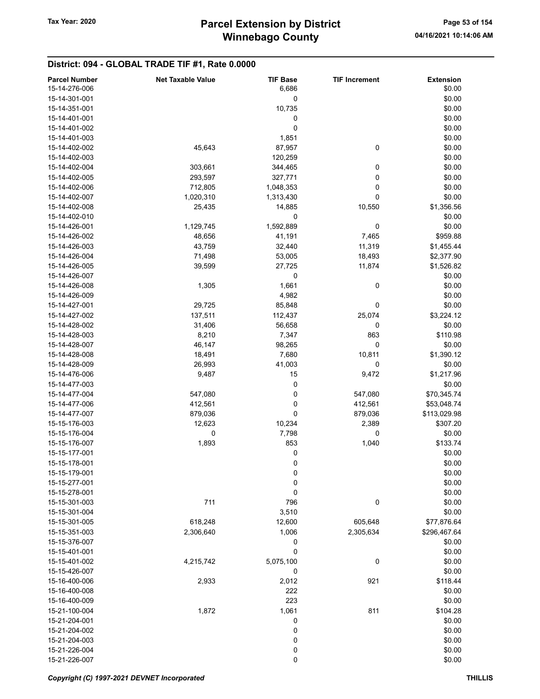## District: 094 - GLOBAL TRADE TIF #1, Rate 0.0000

| <b>Parcel Number</b> | <b>Net Taxable Value</b> | <b>TIF Base</b>  | <b>TIF Increment</b> | <b>Extension</b> |
|----------------------|--------------------------|------------------|----------------------|------------------|
| 15-14-276-006        |                          | 6,686            |                      | \$0.00           |
| 15-14-301-001        |                          | 0                |                      | \$0.00           |
| 15-14-351-001        |                          | 10,735           |                      | \$0.00           |
| 15-14-401-001        |                          | 0                |                      | \$0.00           |
| 15-14-401-002        |                          | 0                |                      | \$0.00           |
| 15-14-401-003        |                          | 1,851            |                      | \$0.00           |
| 15-14-402-002        | 45,643                   | 87,957           | 0                    | \$0.00           |
| 15-14-402-003        |                          | 120,259          |                      | \$0.00           |
| 15-14-402-004        | 303,661                  | 344,465          | 0                    | \$0.00           |
| 15-14-402-005        | 293,597                  | 327,771          | 0                    | \$0.00           |
| 15-14-402-006        |                          |                  |                      |                  |
|                      | 712,805                  | 1,048,353        | 0                    | \$0.00           |
| 15-14-402-007        | 1,020,310                | 1,313,430        | 0                    | \$0.00           |
| 15-14-402-008        | 25,435                   | 14,885           | 10,550               | \$1,356.56       |
| 15-14-402-010        |                          | $\mathbf 0$      |                      | \$0.00           |
| 15-14-426-001        | 1,129,745                | 1,592,889        | 0                    | \$0.00           |
| 15-14-426-002        | 48,656                   | 41,191           | 7,465                | \$959.88         |
| 15-14-426-003        | 43,759                   | 32,440           | 11,319               | \$1,455.44       |
| 15-14-426-004        | 71,498                   | 53,005           | 18,493               | \$2,377.90       |
| 15-14-426-005        | 39,599                   | 27,725           | 11,874               | \$1,526.82       |
| 15-14-426-007        |                          | 0                |                      | \$0.00           |
| 15-14-426-008        | 1,305                    | 1,661            | 0                    | \$0.00           |
| 15-14-426-009        |                          | 4,982            |                      | \$0.00           |
| 15-14-427-001        | 29,725                   | 85,848           | 0                    | \$0.00           |
| 15-14-427-002        | 137,511                  | 112,437          | 25,074               | \$3,224.12       |
| 15-14-428-002        | 31,406                   | 56,658           | 0                    | \$0.00           |
| 15-14-428-003        | 8,210                    | 7,347            | 863                  | \$110.98         |
| 15-14-428-007        | 46,147                   | 98,265           | 0                    | \$0.00           |
| 15-14-428-008        | 18,491                   | 7,680            | 10,811               | \$1,390.12       |
| 15-14-428-009        | 26,993                   | 41,003           | 0                    | \$0.00           |
| 15-14-476-006        | 9,487                    | 15               | 9,472                | \$1,217.96       |
| 15-14-477-003        |                          | 0                |                      | \$0.00           |
|                      |                          | 0                | 547,080              |                  |
| 15-14-477-004        | 547,080                  |                  |                      | \$70,345.74      |
| 15-14-477-006        | 412,561                  | 0                | 412,561              | \$53,048.74      |
| 15-14-477-007        | 879,036                  | 0                | 879,036              | \$113,029.98     |
| 15-15-176-003        | 12,623                   | 10,234           | 2,389                | \$307.20         |
| 15-15-176-004        | 0                        | 7,798            | 0                    | \$0.00           |
| 15-15-176-007        | 1,893                    | 853              | 1,040                | \$133.74         |
| 15-15-177-001        |                          | 0                |                      | \$0.00           |
| 15-15-178-001        |                          | 0                |                      | \$0.00           |
| 15-15-179-001        |                          | 0                |                      | \$0.00           |
| 15-15-277-001        |                          | $\boldsymbol{0}$ |                      | \$0.00           |
| 15-15-278-001        |                          | 0                |                      | \$0.00           |
| 15-15-301-003        | 711                      | 796              | $\boldsymbol{0}$     | \$0.00           |
| 15-15-301-004        |                          | 3,510            |                      | \$0.00           |
| 15-15-301-005        | 618,248                  | 12,600           | 605,648              | \$77,876.64      |
| 15-15-351-003        | 2,306,640                | 1,006            | 2,305,634            | \$296,467.64     |
| 15-15-376-007        |                          | 0                |                      | \$0.00           |
| 15-15-401-001        |                          | 0                |                      | \$0.00           |
| 15-15-401-002        | 4,215,742                | 5,075,100        | $\pmb{0}$            | \$0.00           |
| 15-15-426-007        |                          | $\pmb{0}$        |                      | \$0.00           |
| 15-16-400-006        | 2,933                    | 2,012            | 921                  | \$118.44         |
| 15-16-400-008        |                          | 222              |                      | \$0.00           |
| 15-16-400-009        |                          | 223              |                      | \$0.00           |
|                      |                          |                  |                      |                  |
| 15-21-100-004        | 1,872                    | 1,061            | 811                  | \$104.28         |
| 15-21-204-001        |                          | 0                |                      | \$0.00           |
| 15-21-204-002        |                          | $\pmb{0}$        |                      | \$0.00           |
| 15-21-204-003        |                          | $\boldsymbol{0}$ |                      | \$0.00           |
| 15-21-226-004        |                          | 0                |                      | \$0.00           |
| 15-21-226-007        |                          | 0                |                      | \$0.00           |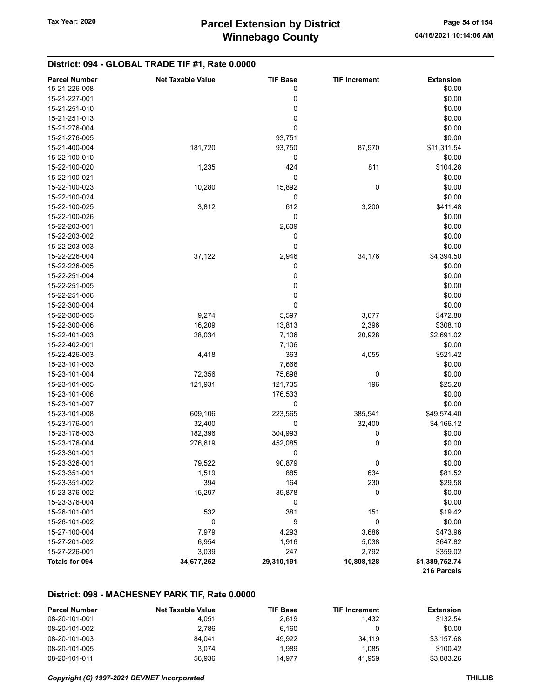## District: 094 - GLOBAL TRADE TIF #1, Rate 0.0000

| <b>Parcel Number</b> | <b>Net Taxable Value</b> | <b>TIF Base</b> | <b>TIF Increment</b> | <b>Extension</b> |
|----------------------|--------------------------|-----------------|----------------------|------------------|
| 15-21-226-008        |                          | 0               |                      | \$0.00           |
| 15-21-227-001        |                          | 0               |                      | \$0.00           |
| 15-21-251-010        |                          | 0               |                      | \$0.00           |
| 15-21-251-013        |                          | 0               |                      | \$0.00           |
| 15-21-276-004        |                          | 0               |                      | \$0.00           |
| 15-21-276-005        |                          | 93,751          |                      | \$0.00           |
| 15-21-400-004        | 181,720                  | 93,750          | 87,970               | \$11,311.54      |
| 15-22-100-010        |                          | 0               |                      | \$0.00           |
| 15-22-100-020        | 1,235                    | 424             | 811                  | \$104.28         |
| 15-22-100-021        |                          | 0               |                      | \$0.00           |
| 15-22-100-023        | 10,280                   | 15,892          | 0                    | \$0.00           |
| 15-22-100-024        |                          | 0               |                      | \$0.00           |
| 15-22-100-025        | 3,812                    | 612             | 3,200                | \$411.48         |
| 15-22-100-026        |                          | $\pmb{0}$       |                      | \$0.00           |
| 15-22-203-001        |                          | 2,609           |                      | \$0.00           |
| 15-22-203-002        |                          | 0               |                      | \$0.00           |
| 15-22-203-003        |                          | 0               |                      | \$0.00           |
| 15-22-226-004        | 37,122                   | 2,946           | 34,176               | \$4,394.50       |
| 15-22-226-005        |                          | 0               |                      | \$0.00           |
| 15-22-251-004        |                          | 0               |                      | \$0.00           |
| 15-22-251-005        |                          | 0               |                      | \$0.00           |
| 15-22-251-006        |                          | 0               |                      | \$0.00           |
| 15-22-300-004        |                          | 0               |                      | \$0.00           |
| 15-22-300-005        | 9,274                    | 5,597           | 3,677                | \$472.80         |
| 15-22-300-006        | 16,209                   | 13,813          | 2,396                | \$308.10         |
| 15-22-401-003        | 28,034                   | 7,106           | 20,928               | \$2,691.02       |
| 15-22-402-001        |                          | 7,106           |                      | \$0.00           |
| 15-22-426-003        | 4,418                    | 363             | 4,055                | \$521.42         |
| 15-23-101-003        |                          | 7,666           |                      | \$0.00           |
| 15-23-101-004        | 72,356                   | 75,698          | 0                    | \$0.00           |
| 15-23-101-005        | 121,931                  | 121,735         | 196                  | \$25.20          |
| 15-23-101-006        |                          | 176,533         |                      | \$0.00           |
| 15-23-101-007        |                          | 0               |                      | \$0.00           |
| 15-23-101-008        | 609,106                  | 223,565         | 385,541              | \$49,574.40      |
| 15-23-176-001        | 32,400                   | 0               | 32,400               | \$4,166.12       |
| 15-23-176-003        | 182,396                  | 304,993         | 0                    | \$0.00           |
| 15-23-176-004        | 276,619                  | 452,085         | 0                    | \$0.00           |
| 15-23-301-001        |                          | 0               |                      | \$0.00           |
| 15-23-326-001        | 79,522                   | 90,879          | 0                    | \$0.00           |
| 15-23-351-001        | 1,519                    | 885             | 634                  | \$81.52          |
| 15-23-351-002        | 394                      | 164             | 230                  | \$29.58          |
| 15-23-376-002        | 15,297                   | 39,878          | 0                    | \$0.00           |
| 15-23-376-004        |                          | 0               |                      | \$0.00           |
| 15-26-101-001        | 532                      | 381             | 151                  | \$19.42          |
| 15-26-101-002        | 0                        | 9               | 0                    | \$0.00           |
| 15-27-100-004        | 7,979                    | 4,293           | 3,686                | \$473.96         |
| 15-27-201-002        | 6,954                    | 1,916           | 5,038                | \$647.82         |
| 15-27-226-001        | 3,039                    | 247             | 2,792                | \$359.02         |
| Totals for 094       | 34,677,252               | 29,310,191      | 10,808,128           | \$1,389,752.74   |
|                      |                          |                 |                      | 216 Parcels      |

#### District: 098 - MACHESNEY PARK TIF, Rate 0.0000

| <b>Parcel Number</b> | <b>Net Taxable Value</b> | <b>TIF Base</b> | <b>TIF Increment</b> | Extension  |
|----------------------|--------------------------|-----------------|----------------------|------------|
| 08-20-101-001        | 4.051                    | 2.619           | 1.432                | \$132.54   |
| 08-20-101-002        | 2.786                    | 6.160           |                      | \$0.00     |
| 08-20-101-003        | 84.041                   | 49.922          | 34.119               | \$3,157.68 |
| 08-20-101-005        | 3.074                    | 1.989           | 1.085                | \$100.42   |
| 08-20-101-011        | 56.936                   | 14.977          | 41.959               | \$3.883.26 |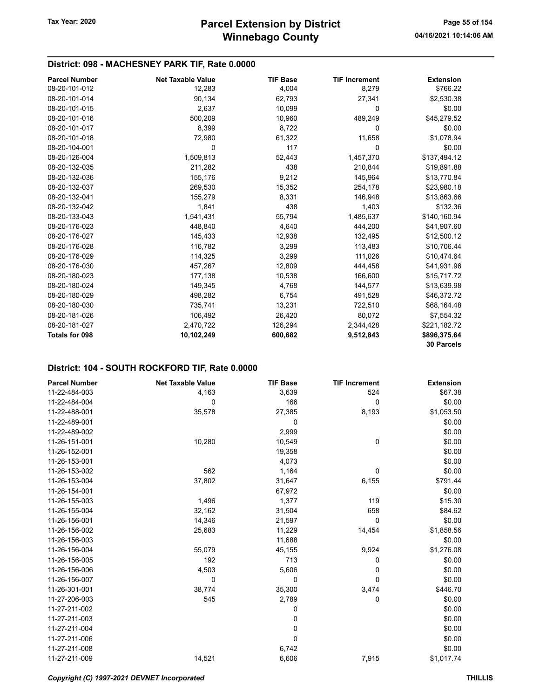## District: 098 - MACHESNEY PARK TIF, Rate 0.0000

| <b>Parcel Number</b>  | <b>Net Taxable Value</b> | <b>TIF Base</b> | <b>TIF Increment</b> | <b>Extension</b> |
|-----------------------|--------------------------|-----------------|----------------------|------------------|
| 08-20-101-012         | 12,283                   | 4,004           | 8,279                | \$766.22         |
| 08-20-101-014         | 90,134                   | 62,793          | 27,341               | \$2,530.38       |
| 08-20-101-015         | 2,637                    | 10,099          | 0                    | \$0.00           |
| 08-20-101-016         | 500,209                  | 10,960          | 489,249              | \$45,279.52      |
| 08-20-101-017         | 8,399                    | 8,722           | 0                    | \$0.00           |
| 08-20-101-018         | 72,980                   | 61,322          | 11,658               | \$1,078.94       |
| 08-20-104-001         | 0                        | 117             | 0                    | \$0.00           |
| 08-20-126-004         | 1,509,813                | 52,443          | 1,457,370            | \$137,494.12     |
| 08-20-132-035         | 211,282                  | 438             | 210,844              | \$19,891.88      |
| 08-20-132-036         | 155,176                  | 9,212           | 145,964              | \$13,770.84      |
| 08-20-132-037         | 269,530                  | 15,352          | 254,178              | \$23,980.18      |
| 08-20-132-041         | 155,279                  | 8,331           | 146,948              | \$13,863.66      |
| 08-20-132-042         | 1,841                    | 438             | 1,403                | \$132.36         |
| 08-20-133-043         | 1,541,431                | 55,794          | 1,485,637            | \$140,160.94     |
| 08-20-176-023         | 448,840                  | 4,640           | 444,200              | \$41,907.60      |
| 08-20-176-027         | 145,433                  | 12,938          | 132,495              | \$12,500.12      |
| 08-20-176-028         | 116,782                  | 3,299           | 113,483              | \$10,706.44      |
| 08-20-176-029         | 114,325                  | 3,299           | 111,026              | \$10,474.64      |
| 08-20-176-030         | 457,267                  | 12,809          | 444,458              | \$41,931.96      |
| 08-20-180-023         | 177,138                  | 10,538          | 166,600              | \$15,717.72      |
| 08-20-180-024         | 149,345                  | 4,768           | 144,577              | \$13,639.98      |
| 08-20-180-029         | 498,282                  | 6,754           | 491,528              | \$46,372.72      |
| 08-20-180-030         | 735,741                  | 13,231          | 722,510              | \$68,164.48      |
| 08-20-181-026         | 106,492                  | 26,420          | 80,072               | \$7,554.32       |
| 08-20-181-027         | 2,470,722                | 126,294         | 2,344,428            | \$221,182.72     |
| <b>Totals for 098</b> | 10,102,249               | 600,682         | 9,512,843            | \$896,375.64     |
|                       |                          |                 |                      | 30 Parcels       |

#### District: 104 - SOUTH ROCKFORD TIF, Rate 0.0000

| <b>Parcel Number</b> | <b>Net Taxable Value</b> | <b>TIF Base</b> | <b>TIF Increment</b> | <b>Extension</b> |
|----------------------|--------------------------|-----------------|----------------------|------------------|
| 11-22-484-003        | 4,163                    | 3,639           | 524                  | \$67.38          |
| 11-22-484-004        | 0                        | 166             | 0                    | \$0.00           |
| 11-22-488-001        | 35,578                   | 27,385          | 8,193                | \$1,053.50       |
| 11-22-489-001        |                          | 0               |                      | \$0.00           |
| 11-22-489-002        |                          | 2,999           |                      | \$0.00           |
| 11-26-151-001        | 10,280                   | 10,549          | 0                    | \$0.00           |
| 11-26-152-001        |                          | 19,358          |                      | \$0.00           |
| 11-26-153-001        |                          | 4,073           |                      | \$0.00           |
| 11-26-153-002        | 562                      | 1,164           | 0                    | \$0.00           |
| 11-26-153-004        | 37,802                   | 31,647          | 6,155                | \$791.44         |
| 11-26-154-001        |                          | 67,972          |                      | \$0.00           |
| 11-26-155-003        | 1,496                    | 1,377           | 119                  | \$15.30          |
| 11-26-155-004        | 32,162                   | 31,504          | 658                  | \$84.62          |
| 11-26-156-001        | 14,346                   | 21,597          | 0                    | \$0.00           |
| 11-26-156-002        | 25,683                   | 11,229          | 14,454               | \$1,858.56       |
| 11-26-156-003        |                          | 11,688          |                      | \$0.00           |
| 11-26-156-004        | 55,079                   | 45,155          | 9,924                | \$1,276.08       |
| 11-26-156-005        | 192                      | 713             | 0                    | \$0.00           |
| 11-26-156-006        | 4,503                    | 5,606           | 0                    | \$0.00           |
| 11-26-156-007        | $\Omega$                 | 0               | 0                    | \$0.00           |
| 11-26-301-001        | 38,774                   | 35,300          | 3,474                | \$446.70         |
| 11-27-206-003        | 545                      | 2,789           | 0                    | \$0.00           |
| 11-27-211-002        |                          | 0               |                      | \$0.00           |
| 11-27-211-003        |                          | 0               |                      | \$0.00           |
| 11-27-211-004        |                          | 0               |                      | \$0.00           |
| 11-27-211-006        |                          | 0               |                      | \$0.00           |
| 11-27-211-008        |                          | 6,742           |                      | \$0.00           |
| 11-27-211-009        | 14,521                   | 6,606           | 7,915                | \$1,017.74       |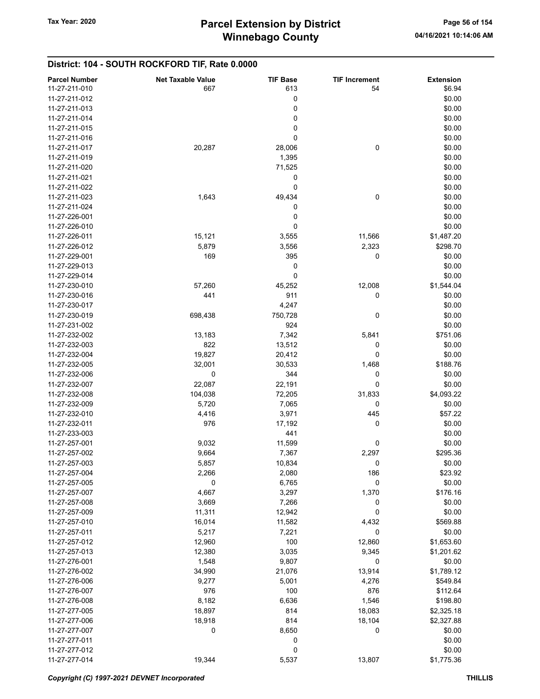## District: 104 - SOUTH ROCKFORD TIF, Rate 0.0000

| <b>Parcel Number</b> | <b>Net Taxable Value</b> | <b>TIF Base</b> | <b>TIF Increment</b> | <b>Extension</b> |
|----------------------|--------------------------|-----------------|----------------------|------------------|
| 11-27-211-010        | 667                      | 613             | 54                   | \$6.94           |
| 11-27-211-012        |                          | 0               |                      | \$0.00           |
| 11-27-211-013        |                          | 0               |                      | \$0.00           |
| 11-27-211-014        |                          | 0               |                      | \$0.00           |
| 11-27-211-015        |                          | 0               |                      | \$0.00           |
| 11-27-211-016        |                          | 0               |                      | \$0.00           |
| 11-27-211-017        | 20,287                   | 28,006          | $\pmb{0}$            | \$0.00           |
| 11-27-211-019        |                          | 1,395           |                      | \$0.00           |
| 11-27-211-020        |                          |                 |                      | \$0.00           |
|                      |                          | 71,525          |                      |                  |
| 11-27-211-021        |                          | 0               |                      | \$0.00           |
| 11-27-211-022        |                          | 0               |                      | \$0.00           |
| 11-27-211-023        | 1,643                    | 49,434          | 0                    | \$0.00           |
| 11-27-211-024        |                          | 0               |                      | \$0.00           |
| 11-27-226-001        |                          | 0               |                      | \$0.00           |
| 11-27-226-010        |                          | $\mathbf 0$     |                      | \$0.00           |
| 11-27-226-011        | 15,121                   | 3,555           | 11,566               | \$1,487.20       |
| 11-27-226-012        | 5,879                    | 3,556           | 2,323                | \$298.70         |
| 11-27-229-001        | 169                      | 395             | 0                    | \$0.00           |
| 11-27-229-013        |                          | 0               |                      | \$0.00           |
| 11-27-229-014        |                          | 0               |                      | \$0.00           |
| 11-27-230-010        | 57,260                   | 45,252          | 12,008               | \$1,544.04       |
| 11-27-230-016        | 441                      | 911             | 0                    | \$0.00           |
| 11-27-230-017        |                          | 4,247           |                      | \$0.00           |
| 11-27-230-019        | 698,438                  | 750,728         | 0                    | \$0.00           |
| 11-27-231-002        |                          | 924             |                      | \$0.00           |
| 11-27-232-002        | 13,183                   | 7,342           | 5,841                | \$751.06         |
| 11-27-232-003        | 822                      | 13,512          | 0                    | \$0.00           |
| 11-27-232-004        | 19,827                   | 20,412          | 0                    | \$0.00           |
| 11-27-232-005        |                          |                 |                      | \$188.76         |
|                      | 32,001                   | 30,533          | 1,468                |                  |
| 11-27-232-006        | 0                        | 344             | 0                    | \$0.00           |
| 11-27-232-007        | 22,087                   | 22,191          | 0                    | \$0.00           |
| 11-27-232-008        | 104,038                  | 72,205          | 31,833               | \$4,093.22       |
| 11-27-232-009        | 5,720                    | 7,065           | 0                    | \$0.00           |
| 11-27-232-010        | 4,416                    | 3,971           | 445                  | \$57.22          |
| 11-27-232-011        | 976                      | 17,192          | 0                    | \$0.00           |
| 11-27-233-003        |                          | 441             |                      | \$0.00           |
| 11-27-257-001        | 9,032                    | 11,599          | 0                    | \$0.00           |
| 11-27-257-002        | 9,664                    | 7,367           | 2,297                | \$295.36         |
| 11-27-257-003        | 5,857                    | 10,834          | 0                    | \$0.00           |
| 11-27-257-004        | 2,266                    | 2,080           | 186                  | \$23.92          |
| 11-27-257-005        | 0                        | 6,765           | 0                    | \$0.00           |
| 11-27-257-007        | 4,667                    | 3,297           | 1,370                | \$176.16         |
| 11-27-257-008        | 3,669                    | 7,266           | 0                    | \$0.00           |
| 11-27-257-009        | 11,311                   | 12,942          | 0                    | \$0.00           |
| 11-27-257-010        | 16,014                   | 11,582          | 4,432                | \$569.88         |
| 11-27-257-011        | 5,217                    | 7,221           | 0                    | \$0.00           |
| 11-27-257-012        | 12,960                   | 100             | 12,860               | \$1,653.60       |
| 11-27-257-013        | 12,380                   | 3,035           | 9,345                | \$1,201.62       |
| 11-27-276-001        | 1,548                    | 9,807           | 0                    | \$0.00           |
| 11-27-276-002        |                          | 21,076          |                      | \$1,789.12       |
|                      | 34,990                   |                 | 13,914               |                  |
| 11-27-276-006        | 9,277                    | 5,001           | 4,276                | \$549.84         |
| 11-27-276-007        | 976                      | 100             | 876                  | \$112.64         |
| 11-27-276-008        | 8,182                    | 6,636           | 1,546                | \$198.80         |
| 11-27-277-005        | 18,897                   | 814             | 18,083               | \$2,325.18       |
| 11-27-277-006        | 18,918                   | 814             | 18,104               | \$2,327.88       |
| 11-27-277-007        | 0                        | 8,650           | 0                    | \$0.00           |
| 11-27-277-011        |                          | 0               |                      | \$0.00           |
| 11-27-277-012        |                          | 0               |                      | \$0.00           |
| 11-27-277-014        | 19,344                   | 5,537           | 13,807               | \$1,775.36       |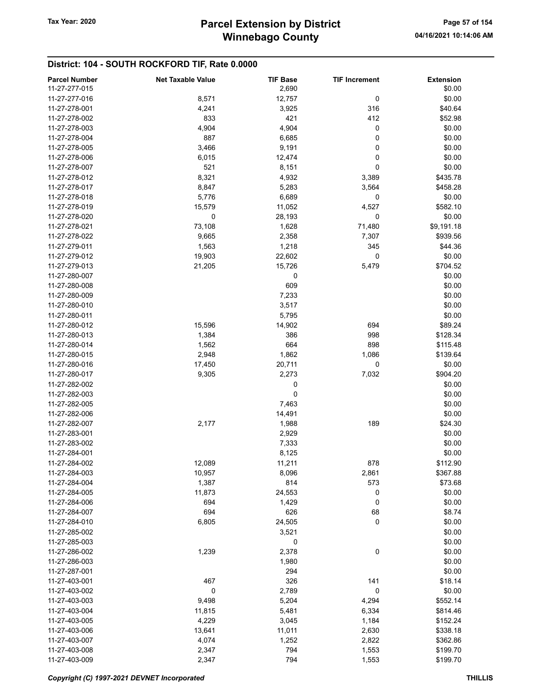## District: 104 - SOUTH ROCKFORD TIF, Rate 0.0000

| <b>Parcel Number</b> | <b>Net Taxable Value</b> | <b>TIF Base</b> | <b>TIF Increment</b> | <b>Extension</b> |
|----------------------|--------------------------|-----------------|----------------------|------------------|
| 11-27-277-015        |                          | 2,690           |                      | \$0.00           |
| 11-27-277-016        | 8,571                    | 12,757          | 0                    | \$0.00           |
| 11-27-278-001        | 4,241                    | 3,925           | 316                  | \$40.64          |
|                      |                          |                 |                      |                  |
| 11-27-278-002        | 833                      | 421             | 412                  | \$52.98          |
| 11-27-278-003        | 4,904                    | 4,904           | 0                    | \$0.00           |
| 11-27-278-004        | 887                      | 6,685           | 0                    | \$0.00           |
| 11-27-278-005        | 3,466                    | 9,191           | 0                    | \$0.00           |
| 11-27-278-006        | 6,015                    | 12,474          | 0                    | \$0.00           |
| 11-27-278-007        | 521                      | 8,151           | 0                    | \$0.00           |
| 11-27-278-012        | 8,321                    | 4,932           | 3,389                | \$435.78         |
| 11-27-278-017        | 8,847                    | 5,283           | 3,564                | \$458.28         |
| 11-27-278-018        | 5,776                    | 6,689           | 0                    | \$0.00           |
| 11-27-278-019        | 15,579                   | 11,052          | 4,527                | \$582.10         |
| 11-27-278-020        | 0                        | 28,193          | 0                    | \$0.00           |
| 11-27-278-021        | 73,108                   | 1,628           | 71,480               | \$9,191.18       |
| 11-27-278-022        | 9,665                    | 2,358           | 7,307                | \$939.56         |
| 11-27-279-011        |                          | 1,218           | 345                  |                  |
|                      | 1,563                    |                 |                      | \$44.36          |
| 11-27-279-012        | 19,903                   | 22,602          | 0                    | \$0.00           |
| 11-27-279-013        | 21,205                   | 15,726          | 5,479                | \$704.52         |
| 11-27-280-007        |                          | 0               |                      | \$0.00           |
| 11-27-280-008        |                          | 609             |                      | \$0.00           |
| 11-27-280-009        |                          | 7,233           |                      | \$0.00           |
| 11-27-280-010        |                          | 3,517           |                      | \$0.00           |
| 11-27-280-011        |                          | 5,795           |                      | \$0.00           |
| 11-27-280-012        | 15,596                   | 14,902          | 694                  | \$89.24          |
| 11-27-280-013        | 1,384                    | 386             | 998                  | \$128.34         |
| 11-27-280-014        | 1,562                    | 664             | 898                  | \$115.48         |
| 11-27-280-015        | 2,948                    | 1,862           | 1,086                | \$139.64         |
| 11-27-280-016        | 17,450                   | 20,711          | 0                    | \$0.00           |
| 11-27-280-017        | 9,305                    | 2,273           | 7,032                | \$904.20         |
| 11-27-282-002        |                          |                 |                      | \$0.00           |
|                      |                          | 0               |                      |                  |
| 11-27-282-003        |                          | 0               |                      | \$0.00           |
| 11-27-282-005        |                          | 7,463           |                      | \$0.00           |
| 11-27-282-006        |                          | 14,491          |                      | \$0.00           |
| 11-27-282-007        | 2,177                    | 1,988           | 189                  | \$24.30          |
| 11-27-283-001        |                          | 2,929           |                      | \$0.00           |
| 11-27-283-002        |                          | 7,333           |                      | \$0.00           |
| 11-27-284-001        |                          | 8,125           |                      | \$0.00           |
| 11-27-284-002        | 12,089                   | 11,211          | 878                  | \$112.90         |
| 11-27-284-003        | 10,957                   | 8,096           | 2,861                | \$367.88         |
| 11-27-284-004        | 1,387                    | 814             | 573                  | \$73.68          |
| 11-27-284-005        | 11,873                   | 24,553          | 0                    | \$0.00           |
| 11-27-284-006        | 694                      | 1,429           | 0                    | \$0.00           |
| 11-27-284-007        | 694                      | 626             | 68                   | \$8.74           |
| 11-27-284-010        | 6,805                    | 24,505          | 0                    | \$0.00           |
| 11-27-285-002        |                          | 3,521           |                      | \$0.00           |
| 11-27-285-003        |                          | 0               |                      | \$0.00           |
|                      |                          |                 |                      |                  |
| 11-27-286-002        | 1,239                    | 2,378           | 0                    | \$0.00           |
| 11-27-286-003        |                          | 1,980           |                      | \$0.00           |
| 11-27-287-001        |                          | 294             |                      | \$0.00           |
| 11-27-403-001        | 467                      | 326             | 141                  | \$18.14          |
| 11-27-403-002        | $\mathbf 0$              | 2,789           | 0                    | \$0.00           |
| 11-27-403-003        | 9,498                    | 5,204           | 4,294                | \$552.14         |
| 11-27-403-004        | 11,815                   | 5,481           | 6,334                | \$814.46         |
| 11-27-403-005        | 4,229                    | 3,045           | 1,184                | \$152.24         |
| 11-27-403-006        | 13,641                   | 11,011          | 2,630                | \$338.18         |
| 11-27-403-007        | 4,074                    | 1,252           | 2,822                | \$362.86         |
| 11-27-403-008        | 2,347                    | 794             | 1,553                | \$199.70         |
| 11-27-403-009        | 2,347                    | 794             | 1,553                | \$199.70         |
|                      |                          |                 |                      |                  |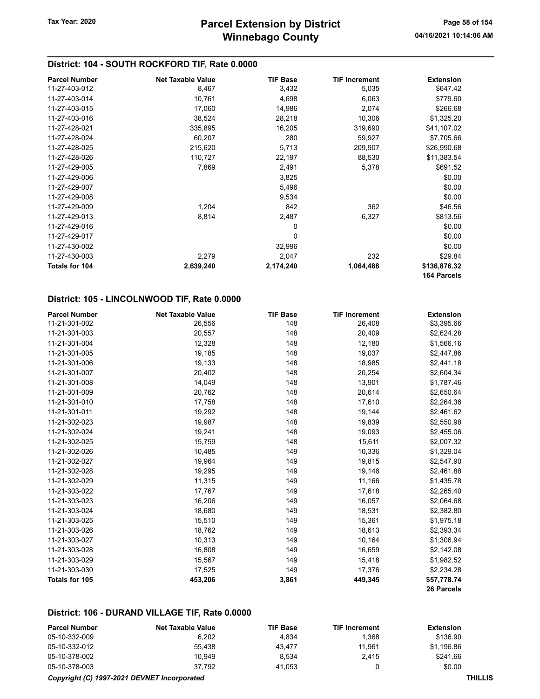## District: 104 - SOUTH ROCKFORD TIF, Rate 0.0000

| <b>Parcel Number</b>  | <b>Net Taxable Value</b> | <b>TIF Base</b> | <b>TIF Increment</b> | <b>Extension</b>            |
|-----------------------|--------------------------|-----------------|----------------------|-----------------------------|
| 11-27-403-012         | 8,467                    | 3,432           | 5,035                | \$647.42                    |
| 11-27-403-014         | 10,761                   | 4,698           | 6,063                | \$779.60                    |
| 11-27-403-015         | 17,060                   | 14,986          | 2,074                | \$266.68                    |
| 11-27-403-016         | 38,524                   | 28,218          | 10,306               | \$1,325.20                  |
| 11-27-428-021         | 335,895                  | 16,205          | 319,690              | \$41,107.02                 |
| 11-27-428-024         | 60,207                   | 280             | 59,927               | \$7,705.66                  |
| 11-27-428-025         | 215,620                  | 5,713           | 209,907              | \$26,990.68                 |
| 11-27-428-026         | 110,727                  | 22,197          | 88,530               | \$11,383.54                 |
| 11-27-429-005         | 7,869                    | 2,491           | 5,378                | \$691.52                    |
| 11-27-429-006         |                          | 3,825           |                      | \$0.00                      |
| 11-27-429-007         |                          | 5,496           |                      | \$0.00                      |
| 11-27-429-008         |                          | 9,534           |                      | \$0.00                      |
| 11-27-429-009         | 1,204                    | 842             | 362                  | \$46.56                     |
| 11-27-429-013         | 8,814                    | 2,487           | 6,327                | \$813.56                    |
| 11-27-429-016         |                          | 0               |                      | \$0.00                      |
| 11-27-429-017         |                          | 0               |                      | \$0.00                      |
| 11-27-430-002         |                          | 32,996          |                      | \$0.00                      |
| 11-27-430-003         | 2,279                    | 2,047           | 232                  | \$29.84                     |
| <b>Totals for 104</b> | 2,639,240                | 2,174,240       | 1,064,488            | \$136,876.32<br>164 Parcels |

## District: 105 - LINCOLNWOOD TIF, Rate 0.0000

| <b>Parcel Number</b> | <b>Net Taxable Value</b> | <b>TIF Base</b> | <b>TIF Increment</b> | <b>Extension</b> |
|----------------------|--------------------------|-----------------|----------------------|------------------|
| 11-21-301-002        | 26,556                   | 148             | 26,408               | \$3,395.66       |
| 11-21-301-003        | 20,557                   | 148             | 20,409               | \$2,624.28       |
| 11-21-301-004        | 12,328                   | 148             | 12,180               | \$1,566.16       |
| 11-21-301-005        | 19,185                   | 148             | 19,037               | \$2,447.86       |
| 11-21-301-006        | 19,133                   | 148             | 18,985               | \$2,441.18       |
| 11-21-301-007        | 20,402                   | 148             | 20,254               | \$2,604.34       |
| 11-21-301-008        | 14,049                   | 148             | 13,901               | \$1,787.46       |
| 11-21-301-009        | 20,762                   | 148             | 20,614               | \$2,650.64       |
| 11-21-301-010        | 17,758                   | 148             | 17,610               | \$2,264.36       |
| 11-21-301-011        | 19,292                   | 148             | 19,144               | \$2,461.62       |
| 11-21-302-023        | 19,987                   | 148             | 19,839               | \$2,550.98       |
| 11-21-302-024        | 19,241                   | 148             | 19,093               | \$2,455.06       |
| 11-21-302-025        | 15,759                   | 148             | 15,611               | \$2,007.32       |
| 11-21-302-026        | 10,485                   | 149             | 10,336               | \$1,329.04       |
| 11-21-302-027        | 19,964                   | 149             | 19,815               | \$2,547.90       |
| 11-21-302-028        | 19,295                   | 149             | 19,146               | \$2,461.88       |
| 11-21-302-029        | 11,315                   | 149             | 11,166               | \$1,435.78       |
| 11-21-303-022        | 17,767                   | 149             | 17,618               | \$2,265.40       |
| 11-21-303-023        | 16,206                   | 149             | 16,057               | \$2,064.68       |
| 11-21-303-024        | 18,680                   | 149             | 18,531               | \$2,382.80       |
| 11-21-303-025        | 15,510                   | 149             | 15,361               | \$1,975.18       |
| 11-21-303-026        | 18,762                   | 149             | 18,613               | \$2,393.34       |
| 11-21-303-027        | 10,313                   | 149             | 10,164               | \$1,306.94       |
| 11-21-303-028        | 16,808                   | 149             | 16,659               | \$2,142.08       |
| 11-21-303-029        | 15,567                   | 149             | 15,418               | \$1,982.52       |
| 11-21-303-030        | 17,525                   | 149             | 17,376               | \$2,234.28       |
| Totals for 105       | 453,206                  | 3,861           | 449,345              | \$57,778.74      |
|                      |                          |                 |                      | 26 Parcels       |

## District: 106 - DURAND VILLAGE TIF, Rate 0.0000

| <b>Parcel Number</b> | <b>Net Taxable Value</b> | <b>TIF Base</b> | <b>TIF Increment</b> | Extension  |
|----------------------|--------------------------|-----------------|----------------------|------------|
| 05-10-332-009        | 6.202                    | 4.834           | 1.368                | \$136.90   |
| 05-10-332-012        | 55.438                   | 43.477          | 11.961               | \$1,196.86 |
| 05-10-378-002        | 10.949                   | 8.534           | 2.415                | \$241.66   |
| 05-10-378-003        | 37.792                   | 41.053          |                      | \$0.00     |

#### Copyright (C) 1997-2021 DEVNET Incorporated THILLIS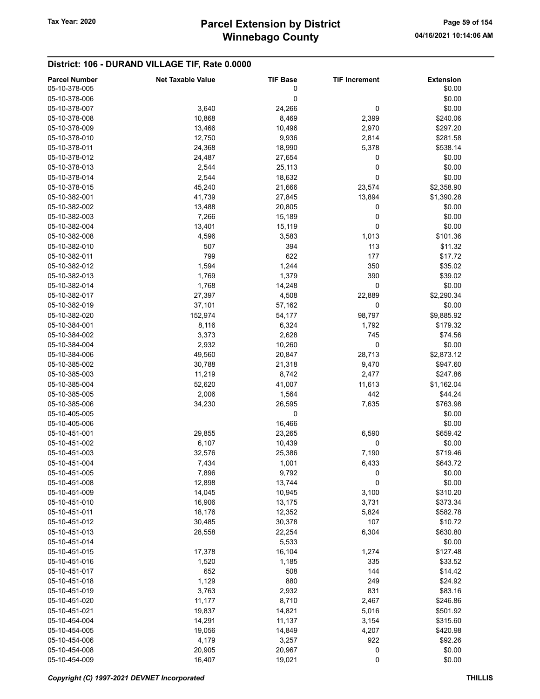## District: 106 - DURAND VILLAGE TIF, Rate 0.0000

| <b>Parcel Number</b> | <b>Net Taxable Value</b> | <b>TIF Base</b> | <b>TIF Increment</b> | <b>Extension</b> |
|----------------------|--------------------------|-----------------|----------------------|------------------|
| 05-10-378-005        |                          | 0               |                      | \$0.00           |
| 05-10-378-006        |                          | 0               |                      | \$0.00           |
| 05-10-378-007        | 3,640                    | 24,266          | 0                    | \$0.00           |
| 05-10-378-008        | 10,868                   | 8,469           | 2,399                | \$240.06         |
| 05-10-378-009        | 13,466                   | 10,496          | 2,970                | \$297.20         |
|                      |                          |                 |                      |                  |
| 05-10-378-010        | 12,750                   | 9,936           | 2,814                | \$281.58         |
| 05-10-378-011        | 24,368                   | 18,990          | 5,378                | \$538.14         |
| 05-10-378-012        | 24,487                   | 27,654          | 0                    | \$0.00           |
| 05-10-378-013        | 2,544                    | 25,113          | 0                    | \$0.00           |
| 05-10-378-014        | 2,544                    | 18,632          | 0                    | \$0.00           |
| 05-10-378-015        | 45,240                   | 21,666          | 23,574               | \$2,358.90       |
| 05-10-382-001        | 41,739                   | 27,845          | 13,894               | \$1,390.28       |
| 05-10-382-002        | 13,488                   | 20,805          | 0                    | \$0.00           |
| 05-10-382-003        | 7,266                    | 15,189          | 0                    | \$0.00           |
| 05-10-382-004        | 13,401                   | 15,119          | 0                    | \$0.00           |
|                      |                          |                 |                      |                  |
| 05-10-382-008        | 4,596                    | 3,583           | 1,013                | \$101.36         |
| 05-10-382-010        | 507                      | 394             | 113                  | \$11.32          |
| 05-10-382-011        | 799                      | 622             | 177                  | \$17.72          |
| 05-10-382-012        | 1,594                    | 1,244           | 350                  | \$35.02          |
| 05-10-382-013        | 1,769                    | 1,379           | 390                  | \$39.02          |
| 05-10-382-014        | 1,768                    | 14,248          | 0                    | \$0.00           |
| 05-10-382-017        | 27,397                   | 4,508           | 22,889               | \$2,290.34       |
| 05-10-382-019        | 37,101                   | 57,162          | 0                    | \$0.00           |
| 05-10-382-020        | 152,974                  | 54,177          | 98,797               | \$9,885.92       |
| 05-10-384-001        | 8,116                    | 6,324           | 1,792                | \$179.32         |
|                      |                          |                 |                      |                  |
| 05-10-384-002        | 3,373                    | 2,628           | 745                  | \$74.56          |
| 05-10-384-004        | 2,932                    | 10,260          | 0                    | \$0.00           |
| 05-10-384-006        | 49,560                   | 20,847          | 28,713               | \$2,873.12       |
| 05-10-385-002        | 30,788                   | 21,318          | 9,470                | \$947.60         |
| 05-10-385-003        | 11,219                   | 8,742           | 2,477                | \$247.86         |
| 05-10-385-004        | 52,620                   | 41,007          | 11,613               | \$1,162.04       |
| 05-10-385-005        | 2,006                    | 1,564           | 442                  | \$44.24          |
| 05-10-385-006        | 34,230                   | 26,595          | 7,635                | \$763.98         |
| 05-10-405-005        |                          | 0               |                      | \$0.00           |
| 05-10-405-006        |                          | 16,466          |                      | \$0.00           |
| 05-10-451-001        | 29,855                   |                 |                      | \$659.42         |
|                      |                          | 23,265          | 6,590                |                  |
| 05-10-451-002        | 6,107                    | 10,439          | 0                    | \$0.00           |
| 05-10-451-003        | 32,576                   | 25,386          | 7,190                | \$719.46         |
| 05-10-451-004        | 7,434                    | 1,001           | 6,433                | \$643.72         |
| 05-10-451-005        | 7,896                    | 9,792           | 0                    | \$0.00           |
| 05-10-451-008        | 12,898                   | 13,744          | 0                    | \$0.00           |
| 05-10-451-009        | 14,045                   | 10,945          | 3,100                | \$310.20         |
| 05-10-451-010        | 16,906                   | 13,175          | 3,731                | \$373.34         |
| 05-10-451-011        | 18,176                   | 12,352          | 5,824                | \$582.78         |
| 05-10-451-012        | 30,485                   | 30,378          | 107                  | \$10.72          |
| 05-10-451-013        | 28,558                   | 22,254          | 6,304                | \$630.80         |
|                      |                          |                 |                      |                  |
| 05-10-451-014        |                          | 5,533           |                      | \$0.00           |
| 05-10-451-015        | 17,378                   | 16,104          | 1,274                | \$127.48         |
| 05-10-451-016        | 1,520                    | 1,185           | 335                  | \$33.52          |
| 05-10-451-017        | 652                      | 508             | 144                  | \$14.42          |
| 05-10-451-018        | 1,129                    | 880             | 249                  | \$24.92          |
| 05-10-451-019        | 3,763                    | 2,932           | 831                  | \$83.16          |
| 05-10-451-020        | 11,177                   | 8,710           | 2,467                | \$246.86         |
| 05-10-451-021        | 19,837                   | 14,821          | 5,016                | \$501.92         |
| 05-10-454-004        | 14,291                   | 11,137          | 3,154                | \$315.60         |
| 05-10-454-005        | 19,056                   | 14,849          | 4,207                | \$420.98         |
| 05-10-454-006        | 4,179                    | 3,257           | 922                  | \$92.26          |
|                      |                          |                 |                      |                  |
| 05-10-454-008        | 20,905                   | 20,967          | 0                    | \$0.00           |
| 05-10-454-009        | 16,407                   | 19,021          | $\pmb{0}$            | \$0.00           |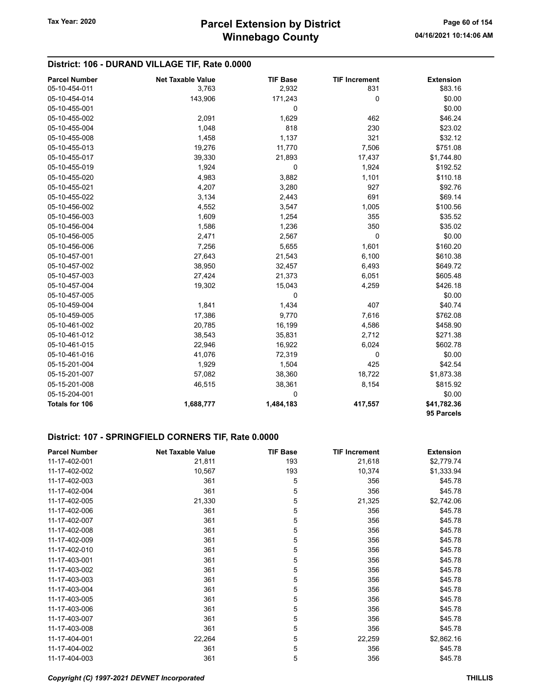## District: 106 - DURAND VILLAGE TIF, Rate 0.0000

| <b>Parcel Number</b>  | <b>Net Taxable Value</b> | <b>TIF Base</b> | <b>TIF Increment</b> | <b>Extension</b>          |
|-----------------------|--------------------------|-----------------|----------------------|---------------------------|
| 05-10-454-011         | 3,763                    | 2,932           | 831                  | \$83.16                   |
| 05-10-454-014         | 143,906                  | 171,243         | 0                    | \$0.00                    |
| 05-10-455-001         |                          | 0               |                      | \$0.00                    |
| 05-10-455-002         | 2,091                    | 1,629           | 462                  | \$46.24                   |
| 05-10-455-004         | 1,048                    | 818             | 230                  | \$23.02                   |
| 05-10-455-008         | 1,458                    | 1,137           | 321                  | \$32.12                   |
| 05-10-455-013         | 19,276                   | 11,770          | 7,506                | \$751.08                  |
| 05-10-455-017         | 39,330                   | 21,893          | 17,437               | \$1,744.80                |
| 05-10-455-019         | 1,924                    | 0               | 1,924                | \$192.52                  |
| 05-10-455-020         | 4,983                    | 3,882           | 1,101                | \$110.18                  |
| 05-10-455-021         | 4,207                    | 3,280           | 927                  | \$92.76                   |
| 05-10-455-022         | 3,134                    | 2,443           | 691                  | \$69.14                   |
| 05-10-456-002         | 4,552                    | 3,547           | 1,005                | \$100.56                  |
| 05-10-456-003         | 1,609                    | 1,254           | 355                  | \$35.52                   |
| 05-10-456-004         | 1,586                    | 1,236           | 350                  | \$35.02                   |
| 05-10-456-005         | 2,471                    | 2,567           | $\pmb{0}$            | \$0.00                    |
| 05-10-456-006         | 7,256                    | 5,655           | 1,601                | \$160.20                  |
| 05-10-457-001         | 27,643                   | 21,543          | 6,100                | \$610.38                  |
| 05-10-457-002         | 38,950                   | 32,457          | 6,493                | \$649.72                  |
| 05-10-457-003         | 27,424                   | 21,373          | 6,051                | \$605.48                  |
| 05-10-457-004         | 19,302                   | 15,043          | 4,259                | \$426.18                  |
| 05-10-457-005         |                          | 0               |                      | \$0.00                    |
| 05-10-459-004         | 1,841                    | 1,434           | 407                  | \$40.74                   |
| 05-10-459-005         | 17,386                   | 9,770           | 7,616                | \$762.08                  |
| 05-10-461-002         | 20,785                   | 16,199          | 4,586                | \$458.90                  |
| 05-10-461-012         | 38,543                   | 35,831          | 2,712                | \$271.38                  |
| 05-10-461-015         | 22,946                   | 16,922          | 6,024                | \$602.78                  |
| 05-10-461-016         | 41,076                   | 72,319          | 0                    | \$0.00                    |
| 05-15-201-004         | 1,929                    | 1,504           | 425                  | \$42.54                   |
| 05-15-201-007         | 57,082                   | 38,360          | 18,722               | \$1,873.38                |
| 05-15-201-008         | 46,515                   | 38,361          | 8,154                | \$815.92                  |
| 05-15-204-001         |                          | 0               |                      | \$0.00                    |
| <b>Totals for 106</b> | 1,688,777                | 1,484,183       | 417,557              | \$41,782.36<br>95 Parcels |

#### District: 107 - SPRINGFIELD CORNERS TIF, Rate 0.0000

| <b>Parcel Number</b> | <b>Net Taxable Value</b> | <b>TIF Base</b> | <b>TIF Increment</b> | <b>Extension</b> |
|----------------------|--------------------------|-----------------|----------------------|------------------|
| 11-17-402-001        | 21,811                   | 193             | 21,618               | \$2,779.74       |
| 11-17-402-002        | 10,567                   | 193             | 10,374               | \$1,333.94       |
| 11-17-402-003        | 361                      | 5               | 356                  | \$45.78          |
| 11-17-402-004        | 361                      | 5               | 356                  | \$45.78          |
| 11-17-402-005        | 21,330                   | 5               | 21,325               | \$2,742.06       |
| 11-17-402-006        | 361                      | 5               | 356                  | \$45.78          |
| 11-17-402-007        | 361                      | 5               | 356                  | \$45.78          |
| 11-17-402-008        | 361                      | 5               | 356                  | \$45.78          |
| 11-17-402-009        | 361                      | 5               | 356                  | \$45.78          |
| 11-17-402-010        | 361                      | 5               | 356                  | \$45.78          |
| 11-17-403-001        | 361                      | 5               | 356                  | \$45.78          |
| 11-17-403-002        | 361                      | 5               | 356                  | \$45.78          |
| 11-17-403-003        | 361                      | 5               | 356                  | \$45.78          |
| 11-17-403-004        | 361                      | 5               | 356                  | \$45.78          |
| 11-17-403-005        | 361                      | 5               | 356                  | \$45.78          |
| 11-17-403-006        | 361                      | 5               | 356                  | \$45.78          |
| 11-17-403-007        | 361                      | 5               | 356                  | \$45.78          |
| 11-17-403-008        | 361                      | 5               | 356                  | \$45.78          |
| 11-17-404-001        | 22,264                   | 5               | 22,259               | \$2,862.16       |
| 11-17-404-002        | 361                      | 5               | 356                  | \$45.78          |
| 11-17-404-003        | 361                      | 5               | 356                  | \$45.78          |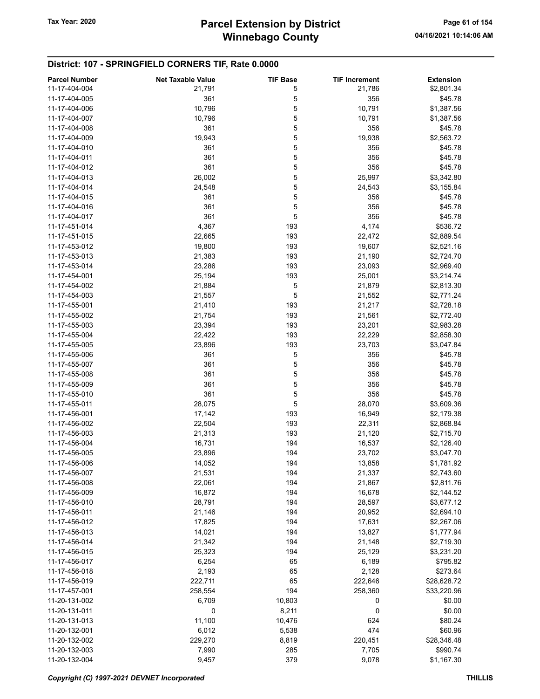#### District: 107 - SPRINGFIELD CORNERS TIF, Rate 0.0000

| <b>Parcel Number</b> | <b>Net Taxable Value</b> | <b>TIF Base</b> | <b>TIF Increment</b> | <b>Extension</b> |
|----------------------|--------------------------|-----------------|----------------------|------------------|
| 11-17-404-004        | 21,791                   | 5               | 21,786               | \$2,801.34       |
| 11-17-404-005        | 361                      | 5               | 356                  | \$45.78          |
| 11-17-404-006        | 10,796                   | 5               | 10,791               | \$1,387.56       |
| 11-17-404-007        | 10,796                   | 5               | 10,791               | \$1,387.56       |
| 11-17-404-008        | 361                      | 5               | 356                  | \$45.78          |
| 11-17-404-009        | 19,943                   | 5               | 19,938               | \$2,563.72       |
| 11-17-404-010        | 361                      | 5               | 356                  | \$45.78          |
| 11-17-404-011        | 361                      | 5               | 356                  | \$45.78          |
|                      |                          |                 |                      |                  |
| 11-17-404-012        | 361                      | 5               | 356                  | \$45.78          |
| 11-17-404-013        | 26,002                   | 5               | 25,997               | \$3,342.80       |
| 11-17-404-014        | 24,548                   | 5               | 24,543               | \$3,155.84       |
| 11-17-404-015        | 361                      | 5               | 356                  | \$45.78          |
| 11-17-404-016        | 361                      | 5               | 356                  | \$45.78          |
| 11-17-404-017        | 361                      | 5               | 356                  | \$45.78          |
| 11-17-451-014        | 4,367                    | 193             | 4,174                | \$536.72         |
| 11-17-451-015        | 22,665                   | 193             | 22,472               | \$2,889.54       |
| 11-17-453-012        | 19,800                   | 193             | 19,607               | \$2,521.16       |
| 11-17-453-013        | 21,383                   | 193             | 21,190               | \$2,724.70       |
| 11-17-453-014        | 23,286                   | 193             | 23,093               | \$2,969.40       |
| 11-17-454-001        | 25,194                   | 193             | 25,001               | \$3,214.74       |
| 11-17-454-002        | 21,884                   | 5               | 21,879               | \$2,813.30       |
| 11-17-454-003        | 21,557                   | 5               | 21,552               | \$2,771.24       |
| 11-17-455-001        | 21,410                   | 193             | 21,217               | \$2,728.18       |
| 11-17-455-002        | 21,754                   | 193             | 21,561               | \$2,772.40       |
| 11-17-455-003        | 23,394                   | 193             | 23,201               | \$2,983.28       |
| 11-17-455-004        | 22,422                   | 193             | 22,229               | \$2,858.30       |
|                      |                          |                 |                      |                  |
| 11-17-455-005        | 23,896                   | 193             | 23,703               | \$3,047.84       |
| 11-17-455-006        | 361                      | 5               | 356                  | \$45.78          |
| 11-17-455-007        | 361                      | 5               | 356                  | \$45.78          |
| 11-17-455-008        | 361                      | 5               | 356                  | \$45.78          |
| 11-17-455-009        | 361                      | 5               | 356                  | \$45.78          |
| 11-17-455-010        | 361                      | 5               | 356                  | \$45.78          |
| 11-17-455-011        | 28,075                   | 5               | 28,070               | \$3,609.36       |
| 11-17-456-001        | 17,142                   | 193             | 16,949               | \$2,179.38       |
| 11-17-456-002        | 22,504                   | 193             | 22,311               | \$2,868.84       |
| 11-17-456-003        | 21,313                   | 193             | 21,120               | \$2,715.70       |
| 11-17-456-004        | 16,731                   | 194             | 16,537               | \$2,126.40       |
| 11-17-456-005        | 23,896                   | 194             | 23,702               | \$3,047.70       |
| 11-17-456-006        | 14,052                   | 194             | 13,858               | \$1,781.92       |
| 11-17-456-007        | 21,531                   | 194             | 21,337               | \$2,743.60       |
| 11-17-456-008        | 22,061                   | 194             | 21,867               | \$2,811.76       |
| 11-17-456-009        | 16,872                   | 194             | 16,678               | \$2,144.52       |
| 11-17-456-010        | 28,791                   | 194             | 28,597               | \$3,677.12       |
| 11-17-456-011        | 21,146                   | 194             | 20,952               | \$2,694.10       |
| 11-17-456-012        | 17,825                   | 194             | 17,631               | \$2,267.06       |
| 11-17-456-013        | 14,021                   | 194             | 13,827               | \$1,777.94       |
| 11-17-456-014        |                          | 194             |                      |                  |
|                      | 21,342                   |                 | 21,148               | \$2,719.30       |
| 11-17-456-015        | 25,323                   | 194             | 25,129               | \$3,231.20       |
| 11-17-456-017        | 6,254                    | 65              | 6,189                | \$795.82         |
| 11-17-456-018        | 2,193                    | 65              | 2,128                | \$273.64         |
| 11-17-456-019        | 222,711                  | 65              | 222,646              | \$28,628.72      |
| 11-17-457-001        | 258,554                  | 194             | 258,360              | \$33,220.96      |
| 11-20-131-002        | 6,709                    | 10,803          | 0                    | \$0.00           |
| 11-20-131-011        | 0                        | 8,211           | $\mathbf 0$          | \$0.00           |
| 11-20-131-013        | 11,100                   | 10,476          | 624                  | \$80.24          |
| 11-20-132-001        | 6,012                    | 5,538           | 474                  | \$60.96          |
| 11-20-132-002        | 229,270                  | 8,819           | 220,451              | \$28,346.48      |
| 11-20-132-003        | 7,990                    | 285             | 7,705                | \$990.74         |
| 11-20-132-004        | 9,457                    | 379             | 9,078                | \$1,167.30       |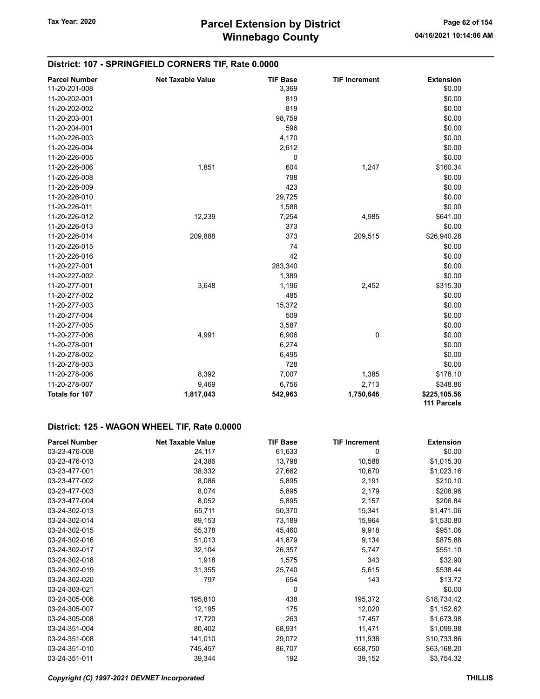#### District: 107 - SPRINGFIELD CORNERS TIF, Rate 0.0000

| <b>Parcel Number</b>  | <b>Net Taxable Value</b> | <b>TIF Base</b> | <b>TIF Increment</b> | <b>Extension</b>            |
|-----------------------|--------------------------|-----------------|----------------------|-----------------------------|
| 11-20-201-008         |                          | 3,369           |                      | \$0.00                      |
| 11-20-202-001         |                          | 819             |                      | \$0.00                      |
| 11-20-202-002         |                          | 819             |                      | \$0.00                      |
| 11-20-203-001         |                          | 98,759          |                      | \$0.00                      |
| 11-20-204-001         |                          | 596             |                      | \$0.00                      |
| 11-20-226-003         |                          | 4,170           |                      | \$0.00                      |
| 11-20-226-004         |                          | 2,612           |                      | \$0.00                      |
| 11-20-226-005         |                          | $\mathbf 0$     |                      | \$0.00                      |
| 11-20-226-006         | 1,851                    | 604             | 1,247                | \$160.34                    |
| 11-20-226-008         |                          | 798             |                      | \$0.00                      |
| 11-20-226-009         |                          | 423             |                      | \$0.00                      |
| 11-20-226-010         |                          | 29,725          |                      | \$0.00                      |
| 11-20-226-011         |                          | 1,588           |                      | \$0.00                      |
| 11-20-226-012         | 12,239                   | 7,254           | 4,985                | \$641.00                    |
| 11-20-226-013         |                          | 373             |                      | \$0.00                      |
| 11-20-226-014         | 209,888                  | 373             | 209,515              | \$26,940.28                 |
| 11-20-226-015         |                          | 74              |                      | \$0.00                      |
| 11-20-226-016         |                          | 42              |                      | \$0.00                      |
| 11-20-227-001         |                          | 283,340         |                      | \$0.00                      |
| 11-20-227-002         |                          | 1,389           |                      | \$0.00                      |
| 11-20-277-001         | 3,648                    | 1,196           | 2,452                | \$315.30                    |
| 11-20-277-002         |                          | 485             |                      | \$0.00                      |
| 11-20-277-003         |                          | 15,372          |                      | \$0.00                      |
| 11-20-277-004         |                          | 509             |                      | \$0.00                      |
| 11-20-277-005         |                          | 3,587           |                      | \$0.00                      |
| 11-20-277-006         | 4,991                    | 6,906           | 0                    | \$0.00                      |
| 11-20-278-001         |                          | 6,274           |                      | \$0.00                      |
| 11-20-278-002         |                          | 6,495           |                      | \$0.00                      |
| 11-20-278-003         |                          | 728             |                      | \$0.00                      |
| 11-20-278-006         | 8,392                    | 7,007           | 1,385                | \$178.10                    |
| 11-20-278-007         | 9,469                    | 6,756           | 2,713                | \$348.86                    |
| <b>Totals for 107</b> | 1,817,043                | 542,963         | 1,750,646            | \$225,105.56<br>111 Parcels |

#### District: 125 - WAGON WHEEL TIF, Rate 0.0000

| <b>Parcel Number</b> | <b>Net Taxable Value</b> | <b>TIF Base</b> | <b>TIF Increment</b> | <b>Extension</b> |
|----------------------|--------------------------|-----------------|----------------------|------------------|
| 03-23-476-008        | 24,117                   | 61,633          | 0                    | \$0.00           |
| 03-23-476-013        | 24,386                   | 13,798          | 10,588               | \$1,015.30       |
| 03-23-477-001        | 38,332                   | 27,662          | 10,670               | \$1,023.16       |
| 03-23-477-002        | 8,086                    | 5,895           | 2,191                | \$210.10         |
| 03-23-477-003        | 8,074                    | 5,895           | 2,179                | \$208.96         |
| 03-23-477-004        | 8,052                    | 5,895           | 2,157                | \$206.84         |
| 03-24-302-013        | 65,711                   | 50,370          | 15,341               | \$1,471.06       |
| 03-24-302-014        | 89,153                   | 73,189          | 15,964               | \$1,530.80       |
| 03-24-302-015        | 55,378                   | 45,460          | 9,918                | \$951.06         |
| 03-24-302-016        | 51,013                   | 41,879          | 9,134                | \$875.88         |
| 03-24-302-017        | 32,104                   | 26,357          | 5,747                | \$551.10         |
| 03-24-302-018        | 1,918                    | 1,575           | 343                  | \$32.90          |
| 03-24-302-019        | 31,355                   | 25,740          | 5,615                | \$538.44         |
| 03-24-302-020        | 797                      | 654             | 143                  | \$13.72          |
| 03-24-303-021        |                          | 0               |                      | \$0.00           |
| 03-24-305-006        | 195,810                  | 438             | 195,372              | \$18,734.42      |
| 03-24-305-007        | 12,195                   | 175             | 12,020               | \$1,152.62       |
| 03-24-305-008        | 17,720                   | 263             | 17,457               | \$1,673.98       |
| 03-24-351-004        | 80,402                   | 68,931          | 11,471               | \$1,099.98       |
| 03-24-351-008        | 141,010                  | 29,072          | 111,938              | \$10,733.86      |
| 03-24-351-010        | 745,457                  | 86,707          | 658,750              | \$63,168.20      |
| 03-24-351-011        | 39,344                   | 192             | 39,152               | \$3,754.32       |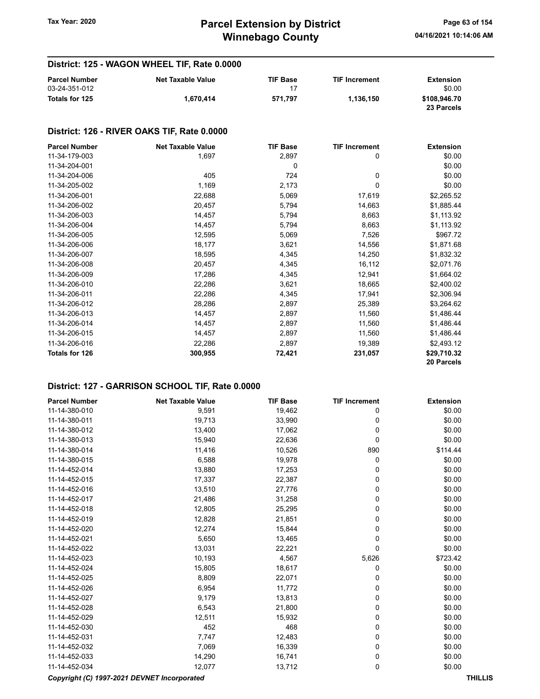## District: 125 - WAGON WHEEL TIF, Rate 0.0000

| <b>Parcel Number</b> | <b>Net Taxable Value</b> | <b>TIF Base</b> | <b>TIF Increment</b> | Extension                  |
|----------------------|--------------------------|-----------------|----------------------|----------------------------|
| 03-24-351-012        |                          |                 |                      | \$0.00                     |
| Totals for 125       | 1.670.414                | 571.797         | 1.136.150            | \$108,946.70<br>23 Parcels |

#### District: 126 - RIVER OAKS TIF, Rate 0.0000

| <b>Parcel Number</b> | <b>Net Taxable Value</b> | <b>TIF Base</b> | <b>TIF Increment</b> | <b>Extension</b> |
|----------------------|--------------------------|-----------------|----------------------|------------------|
| 11-34-179-003        | 1,697                    | 2,897           | 0                    | \$0.00           |
| 11-34-204-001        |                          | 0               |                      | \$0.00           |
| 11-34-204-006        | 405                      | 724             | 0                    | \$0.00           |
| 11-34-205-002        | 1,169                    | 2,173           | 0                    | \$0.00           |
| 11-34-206-001        | 22,688                   | 5,069           | 17,619               | \$2,265.52       |
| 11-34-206-002        | 20,457                   | 5,794           | 14,663               | \$1,885.44       |
| 11-34-206-003        | 14,457                   | 5,794           | 8,663                | \$1,113.92       |
| 11-34-206-004        | 14,457                   | 5,794           | 8,663                | \$1,113.92       |
| 11-34-206-005        | 12,595                   | 5,069           | 7,526                | \$967.72         |
| 11-34-206-006        | 18,177                   | 3,621           | 14,556               | \$1,871.68       |
| 11-34-206-007        | 18,595                   | 4,345           | 14,250               | \$1,832.32       |
| 11-34-206-008        | 20,457                   | 4,345           | 16,112               | \$2,071.76       |
| 11-34-206-009        | 17,286                   | 4,345           | 12,941               | \$1,664.02       |
| 11-34-206-010        | 22,286                   | 3,621           | 18,665               | \$2,400.02       |
| 11-34-206-011        | 22,286                   | 4,345           | 17,941               | \$2,306.94       |
| 11-34-206-012        | 28,286                   | 2,897           | 25,389               | \$3,264.62       |
| 11-34-206-013        | 14,457                   | 2,897           | 11,560               | \$1,486.44       |
| 11-34-206-014        | 14,457                   | 2,897           | 11,560               | \$1,486.44       |
| 11-34-206-015        | 14,457                   | 2,897           | 11,560               | \$1,486.44       |
| 11-34-206-016        | 22,286                   | 2,897           | 19,389               | \$2,493.12       |
| Totals for 126       | 300,955                  | 72,421          | 231,057              | \$29,710.32      |
|                      |                          |                 |                      | 20 Parcels       |

#### District: 127 - GARRISON SCHOOL TIF, Rate 0.0000

| <b>Parcel Number</b>                                          | <b>Net Taxable Value</b> | <b>TIF Base</b> | <b>TIF Increment</b> | <b>Extension</b> |
|---------------------------------------------------------------|--------------------------|-----------------|----------------------|------------------|
| 11-14-380-010                                                 | 9,591                    | 19,462          | 0                    | \$0.00           |
| 11-14-380-011                                                 | 19,713                   | 33,990          | 0                    | \$0.00           |
| 11-14-380-012                                                 | 13,400                   | 17,062          | 0                    | \$0.00           |
| 11-14-380-013                                                 | 15,940                   | 22,636          | $\mathbf 0$          | \$0.00           |
| 11-14-380-014                                                 | 11,416                   | 10,526          | 890                  | \$114.44         |
| 11-14-380-015                                                 | 6,588                    | 19,978          | 0                    | \$0.00           |
| 11-14-452-014                                                 | 13,880                   | 17,253          | 0                    | \$0.00           |
| 11-14-452-015                                                 | 17,337                   | 22,387          | 0                    | \$0.00           |
| 11-14-452-016                                                 | 13,510                   | 27,776          | $\mathbf 0$          | \$0.00           |
| 11-14-452-017                                                 | 21,486                   | 31,258          | 0                    | \$0.00           |
| 11-14-452-018                                                 | 12,805                   | 25,295          | 0                    | \$0.00           |
| 11-14-452-019                                                 | 12,828                   | 21,851          | 0                    | \$0.00           |
| 11-14-452-020                                                 | 12,274                   | 15,844          | 0                    | \$0.00           |
| 11-14-452-021                                                 | 5,650                    | 13,465          | 0                    | \$0.00           |
| 11-14-452-022                                                 | 13,031                   | 22,221          | 0                    | \$0.00           |
| 11-14-452-023                                                 | 10,193                   | 4,567           | 5,626                | \$723.42         |
| 11-14-452-024                                                 | 15,805                   | 18,617          | 0                    | \$0.00           |
| 11-14-452-025                                                 | 8,809                    | 22,071          | 0                    | \$0.00           |
| 11-14-452-026                                                 | 6,954                    | 11,772          | 0                    | \$0.00           |
| 11-14-452-027                                                 | 9,179                    | 13,813          | $\mathbf 0$          | \$0.00           |
| 11-14-452-028                                                 | 6,543                    | 21,800          | 0                    | \$0.00           |
| 11-14-452-029                                                 | 12,511                   | 15,932          | 0                    | \$0.00           |
| 11-14-452-030                                                 | 452                      | 468             | 0                    | \$0.00           |
| 11-14-452-031                                                 | 7,747                    | 12,483          | 0                    | \$0.00           |
| 11-14-452-032                                                 | 7,069                    | 16,339          | 0                    | \$0.00           |
| 11-14-452-033                                                 | 14,290                   | 16,741          | 0                    | \$0.00           |
| 11-14-452-034                                                 | 12,077                   | 13,712          | 0                    | \$0.00           |
| Copyright (C) 1997-2021 DEVNET Incorporated<br><b>THILLIS</b> |                          |                 |                      |                  |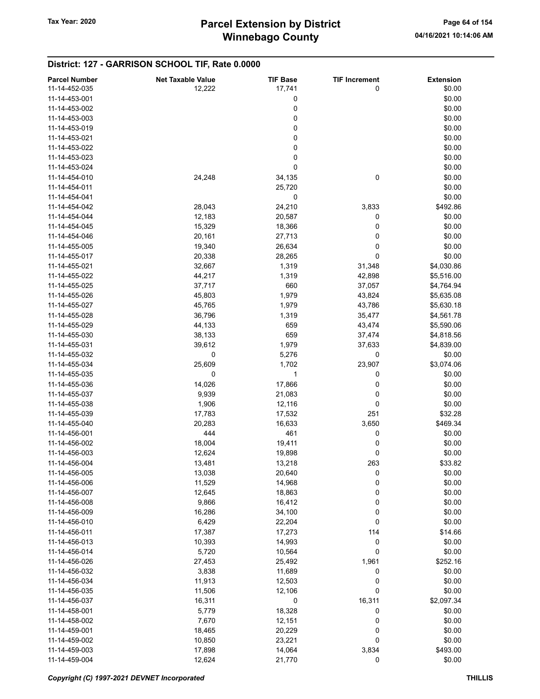#### District: 127 - GARRISON SCHOOL TIF, Rate 0.0000

| <b>Parcel Number</b> | <b>Net Taxable Value</b> | <b>TIF Base</b> | <b>TIF Increment</b> | <b>Extension</b> |
|----------------------|--------------------------|-----------------|----------------------|------------------|
| 11-14-452-035        | 12,222                   | 17,741          | 0                    | \$0.00           |
| 11-14-453-001        |                          | 0               |                      | \$0.00           |
| 11-14-453-002        |                          | 0               |                      | \$0.00           |
| 11-14-453-003        |                          | 0               |                      | \$0.00           |
| 11-14-453-019        |                          | 0               |                      | \$0.00           |
| 11-14-453-021        |                          | 0               |                      | \$0.00           |
| 11-14-453-022        |                          | 0               |                      | \$0.00           |
|                      |                          |                 |                      |                  |
| 11-14-453-023        |                          | 0               |                      | \$0.00           |
| 11-14-453-024        |                          | 0               |                      | \$0.00           |
| 11-14-454-010        | 24,248                   | 34,135          | 0                    | \$0.00           |
| 11-14-454-011        |                          | 25,720          |                      | \$0.00           |
| 11-14-454-041        |                          | 0               |                      | \$0.00           |
| 11-14-454-042        | 28,043                   | 24,210          | 3,833                | \$492.86         |
| 11-14-454-044        | 12,183                   | 20,587          | 0                    | \$0.00           |
| 11-14-454-045        | 15,329                   | 18,366          | 0                    | \$0.00           |
| 11-14-454-046        | 20,161                   | 27,713          | 0                    | \$0.00           |
| 11-14-455-005        | 19,340                   | 26,634          | 0                    | \$0.00           |
| 11-14-455-017        | 20,338                   | 28,265          | 0                    | \$0.00           |
| 11-14-455-021        | 32,667                   | 1,319           | 31,348               | \$4,030.86       |
|                      |                          |                 |                      |                  |
| 11-14-455-022        | 44,217                   | 1,319           | 42,898               | \$5,516.00       |
| 11-14-455-025        | 37,717                   | 660             | 37,057               | \$4,764.94       |
| 11-14-455-026        | 45,803                   | 1,979           | 43,824               | \$5,635.08       |
| 11-14-455-027        | 45,765                   | 1,979           | 43,786               | \$5,630.18       |
| 11-14-455-028        | 36,796                   | 1,319           | 35,477               | \$4,561.78       |
| 11-14-455-029        | 44,133                   | 659             | 43,474               | \$5,590.06       |
| 11-14-455-030        | 38,133                   | 659             | 37,474               | \$4,818.56       |
| 11-14-455-031        | 39,612                   | 1,979           | 37,633               | \$4,839.00       |
| 11-14-455-032        | 0                        | 5,276           | 0                    | \$0.00           |
| 11-14-455-034        | 25,609                   | 1,702           | 23,907               | \$3,074.06       |
| 11-14-455-035        | 0                        | 1               | 0                    | \$0.00           |
| 11-14-455-036        | 14,026                   | 17,866          | 0                    | \$0.00           |
|                      |                          |                 |                      |                  |
| 11-14-455-037        | 9,939                    | 21,083          | 0                    | \$0.00           |
| 11-14-455-038        | 1,906                    | 12,116          | 0                    | \$0.00           |
| 11-14-455-039        | 17,783                   | 17,532          | 251                  | \$32.28          |
| 11-14-455-040        | 20,283                   | 16,633          | 3,650                | \$469.34         |
| 11-14-456-001        | 444                      | 461             | 0                    | \$0.00           |
| 11-14-456-002        | 18,004                   | 19,411          | 0                    | \$0.00           |
| 11-14-456-003        | 12,624                   | 19,898          | 0                    | \$0.00           |
| 11-14-456-004        | 13,481                   | 13,218          | 263                  | \$33.82          |
| 11-14-456-005        | 13,038                   | 20,640          | 0                    | \$0.00           |
| 11-14-456-006        | 11,529                   | 14,968          | 0                    | \$0.00           |
| 11-14-456-007        | 12,645                   | 18,863          | 0                    | \$0.00           |
| 11-14-456-008        | 9,866                    | 16,412          | 0                    | \$0.00           |
| 11-14-456-009        | 16,286                   | 34,100          | 0                    | \$0.00           |
|                      |                          |                 | 0                    | \$0.00           |
| 11-14-456-010        | 6,429                    | 22,204          |                      |                  |
| 11-14-456-011        | 17,387                   | 17,273          | 114                  | \$14.66          |
| 11-14-456-013        | 10,393                   | 14,993          | 0                    | \$0.00           |
| 11-14-456-014        | 5,720                    | 10,564          | 0                    | \$0.00           |
| 11-14-456-026        | 27,453                   | 25,492          | 1,961                | \$252.16         |
| 11-14-456-032        | 3,838                    | 11,689          | 0                    | \$0.00           |
| 11-14-456-034        | 11,913                   | 12,503          | 0                    | \$0.00           |
| 11-14-456-035        | 11,506                   | 12,106          | 0                    | \$0.00           |
| 11-14-456-037        | 16,311                   | 0               | 16,311               | \$2,097.34       |
| 11-14-458-001        | 5,779                    | 18,328          | 0                    | \$0.00           |
| 11-14-458-002        | 7,670                    | 12,151          | 0                    | \$0.00           |
| 11-14-459-001        | 18,465                   | 20,229          | 0                    | \$0.00           |
| 11-14-459-002        | 10,850                   | 23,221          | 0                    | \$0.00           |
|                      |                          |                 |                      |                  |
| 11-14-459-003        | 17,898                   | 14,064          | 3,834                | \$493.00         |
| 11-14-459-004        | 12,624                   | 21,770          | 0                    | \$0.00           |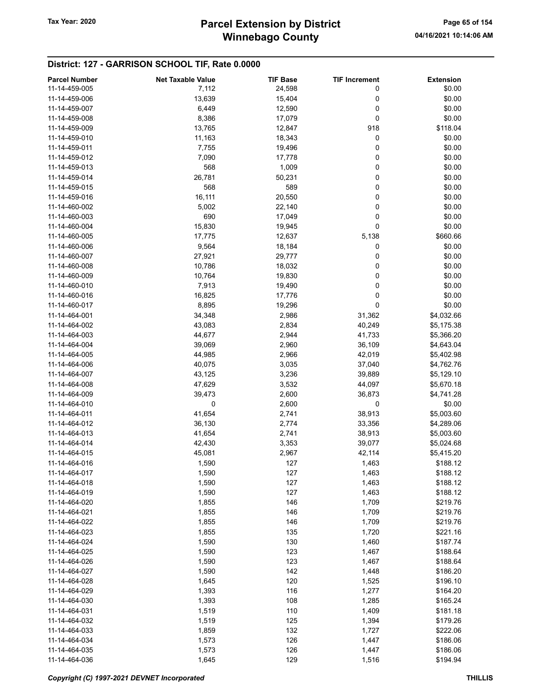# Winnebago County Tax Year: 2020 **Parcel Extension by District** Page 65 of 154

#### District: 127 - GARRISON SCHOOL TIF, Rate 0.0000

| <b>Parcel Number</b> | <b>Net Taxable Value</b> | <b>TIF Base</b> | <b>TIF Increment</b> | <b>Extension</b> |
|----------------------|--------------------------|-----------------|----------------------|------------------|
| 11-14-459-005        | 7,112                    | 24,598          | 0                    | \$0.00           |
| 11-14-459-006        | 13,639                   | 15,404          | 0                    | \$0.00           |
|                      |                          |                 |                      |                  |
| 11-14-459-007        | 6,449                    | 12,590          | 0                    | \$0.00           |
| 11-14-459-008        | 8,386                    | 17,079          | 0                    | \$0.00           |
| 11-14-459-009        | 13,765                   | 12,847          | 918                  | \$118.04         |
| 11-14-459-010        | 11,163                   | 18,343          | 0                    | \$0.00           |
| 11-14-459-011        | 7,755                    | 19,496          | 0                    | \$0.00           |
| 11-14-459-012        | 7,090                    | 17,778          | 0                    | \$0.00           |
| 11-14-459-013        | 568                      | 1,009           | 0                    | \$0.00           |
| 11-14-459-014        | 26,781                   | 50,231          | 0                    | \$0.00           |
| 11-14-459-015        | 568                      | 589             | 0                    | \$0.00           |
|                      |                          |                 |                      |                  |
| 11-14-459-016        | 16,111                   | 20,550          | 0                    | \$0.00           |
| 11-14-460-002        | 5,002                    | 22,140          | 0                    | \$0.00           |
| 11-14-460-003        | 690                      | 17,049          | 0                    | \$0.00           |
| 11-14-460-004        | 15,830                   | 19,945          | 0                    | \$0.00           |
| 11-14-460-005        | 17,775                   | 12,637          | 5,138                | \$660.66         |
| 11-14-460-006        | 9,564                    | 18,184          | 0                    | \$0.00           |
| 11-14-460-007        | 27,921                   | 29,777          | 0                    | \$0.00           |
| 11-14-460-008        | 10,786                   | 18,032          | 0                    | \$0.00           |
| 11-14-460-009        |                          |                 | 0                    |                  |
|                      | 10,764                   | 19,830          |                      | \$0.00           |
| 11-14-460-010        | 7,913                    | 19,490          | 0                    | \$0.00           |
| 11-14-460-016        | 16,825                   | 17,776          | 0                    | \$0.00           |
| 11-14-460-017        | 8,895                    | 19,296          | 0                    | \$0.00           |
| 11-14-464-001        | 34,348                   | 2,986           | 31,362               | \$4,032.66       |
| 11-14-464-002        | 43,083                   | 2,834           | 40,249               | \$5,175.38       |
| 11-14-464-003        | 44,677                   | 2,944           | 41,733               | \$5,366.20       |
| 11-14-464-004        | 39,069                   | 2,960           | 36,109               | \$4,643.04       |
| 11-14-464-005        | 44,985                   | 2,966           | 42,019               | \$5,402.98       |
|                      |                          |                 |                      |                  |
| 11-14-464-006        | 40,075                   | 3,035           | 37,040               | \$4,762.76       |
| 11-14-464-007        | 43,125                   | 3,236           | 39,889               | \$5,129.10       |
| 11-14-464-008        | 47,629                   | 3,532           | 44,097               | \$5,670.18       |
| 11-14-464-009        | 39,473                   | 2,600           | 36,873               | \$4,741.28       |
| 11-14-464-010        | 0                        | 2,600           | 0                    | \$0.00           |
| 11-14-464-011        | 41,654                   | 2,741           | 38,913               | \$5,003.60       |
| 11-14-464-012        | 36,130                   | 2,774           | 33,356               | \$4,289.06       |
| 11-14-464-013        | 41,654                   | 2,741           | 38,913               | \$5,003.60       |
| 11-14-464-014        | 42,430                   | 3,353           | 39,077               | \$5,024.68       |
| 11-14-464-015        | 45,081                   | 2,967           | 42,114               | \$5,415.20       |
|                      |                          |                 |                      |                  |
| 11-14-464-016        | 1,590                    | 127             | 1,463                | \$188.12         |
| 11-14-464-017        | 1,590                    | 127             | 1,463                | \$188.12         |
| 11-14-464-018        | 1,590                    | 127             | 1,463                | \$188.12         |
| 11-14-464-019        | 1,590                    | 127             | 1,463                | \$188.12         |
| 11-14-464-020        | 1,855                    | 146             | 1,709                | \$219.76         |
| 11-14-464-021        | 1,855                    | 146             | 1,709                | \$219.76         |
| 11-14-464-022        | 1,855                    | 146             | 1,709                | \$219.76         |
| 11-14-464-023        | 1,855                    | 135             | 1,720                | \$221.16         |
| 11-14-464-024        | 1,590                    | 130             | 1,460                | \$187.74         |
| 11-14-464-025        |                          | 123             |                      |                  |
|                      | 1,590                    |                 | 1,467                | \$188.64         |
| 11-14-464-026        | 1,590                    | 123             | 1,467                | \$188.64         |
| 11-14-464-027        | 1,590                    | 142             | 1,448                | \$186.20         |
| 11-14-464-028        | 1,645                    | 120             | 1,525                | \$196.10         |
| 11-14-464-029        | 1,393                    | 116             | 1,277                | \$164.20         |
| 11-14-464-030        | 1,393                    | 108             | 1,285                | \$165.24         |
| 11-14-464-031        | 1,519                    | 110             | 1,409                | \$181.18         |
| 11-14-464-032        | 1,519                    | 125             | 1,394                | \$179.26         |
| 11-14-464-033        | 1,859                    | 132             | 1,727                | \$222.06         |
| 11-14-464-034        | 1,573                    | 126             | 1,447                | \$186.06         |
|                      |                          |                 |                      |                  |
| 11-14-464-035        | 1,573                    | 126             | 1,447                | \$186.06         |
| 11-14-464-036        | 1,645                    | 129             | 1,516                | \$194.94         |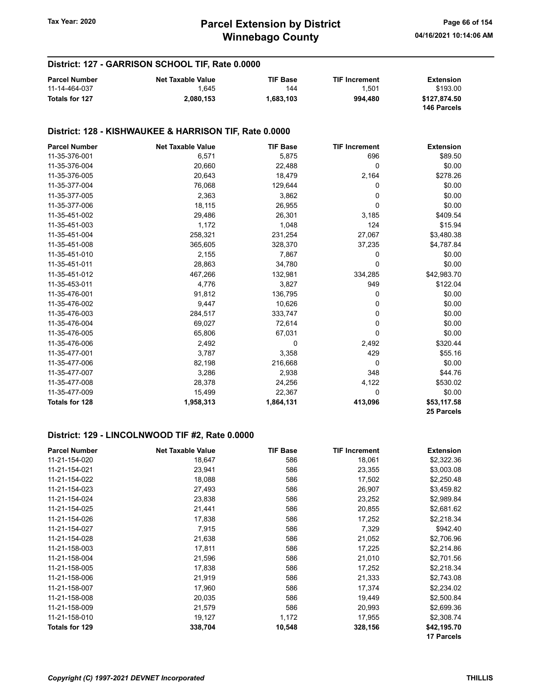#### District: 127 - GARRISON SCHOOL TIF, Rate 0.0000

| <b>Parcel Number</b> | <b>Net Taxable Value</b> | <b>TIF Base</b> | <b>TIF Increment</b> | Extension                   |
|----------------------|--------------------------|-----------------|----------------------|-----------------------------|
| 11-14-464-037        | ∣.645                    | 144             | 1.501                | \$193.00                    |
| Totals for 127       | 2.080.153                | 1.683.103       | 994.480              | \$127.874.50<br>146 Parcels |

#### District: 128 - KISHWAUKEE & HARRISON TIF, Rate 0.0000

| <b>Parcel Number</b>  | <b>Net Taxable Value</b> | <b>TIF Base</b> | <b>TIF Increment</b> | <b>Extension</b> |
|-----------------------|--------------------------|-----------------|----------------------|------------------|
| 11-35-376-001         | 6,571                    | 5,875           | 696                  | \$89.50          |
| 11-35-376-004         | 20,660                   | 22,488          | $\Omega$             | \$0.00           |
| 11-35-376-005         | 20,643                   | 18,479          | 2,164                | \$278.26         |
| 11-35-377-004         | 76,068                   | 129,644         | 0                    | \$0.00           |
| 11-35-377-005         | 2,363                    | 3,862           | 0                    | \$0.00           |
| 11-35-377-006         | 18,115                   | 26,955          | 0                    | \$0.00           |
| 11-35-451-002         | 29,486                   | 26,301          | 3,185                | \$409.54         |
| 11-35-451-003         | 1,172                    | 1,048           | 124                  | \$15.94          |
| 11-35-451-004         | 258,321                  | 231,254         | 27,067               | \$3,480.38       |
| 11-35-451-008         | 365,605                  | 328,370         | 37,235               | \$4,787.84       |
| 11-35-451-010         | 2,155                    | 7,867           | 0                    | \$0.00           |
| 11-35-451-011         | 28,863                   | 34,780          | 0                    | \$0.00           |
| 11-35-451-012         | 467,266                  | 132,981         | 334,285              | \$42,983.70      |
| 11-35-453-011         | 4,776                    | 3,827           | 949                  | \$122.04         |
| 11-35-476-001         | 91,812                   | 136,795         | 0                    | \$0.00           |
| 11-35-476-002         | 9,447                    | 10,626          | 0                    | \$0.00           |
| 11-35-476-003         | 284,517                  | 333,747         | 0                    | \$0.00           |
| 11-35-476-004         | 69,027                   | 72,614          | 0                    | \$0.00           |
| 11-35-476-005         | 65,806                   | 67,031          | $\Omega$             | \$0.00           |
| 11-35-476-006         | 2,492                    | 0               | 2,492                | \$320.44         |
| 11-35-477-001         | 3,787                    | 3,358           | 429                  | \$55.16          |
| 11-35-477-006         | 82,198                   | 216,668         | 0                    | \$0.00           |
| 11-35-477-007         | 3,286                    | 2,938           | 348                  | \$44.76          |
| 11-35-477-008         | 28,378                   | 24,256          | 4,122                | \$530.02         |
| 11-35-477-009         | 15,499                   | 22,367          | 0                    | \$0.00           |
| <b>Totals for 128</b> | 1,958,313                | 1,864,131       | 413,096              | \$53,117.58      |
|                       |                          |                 |                      | 25 Parcels       |

## District: 129 - LINCOLNWOOD TIF #2, Rate 0.0000

| <b>Parcel Number</b> | <b>Net Taxable Value</b> | <b>TIF Base</b> | <b>TIF Increment</b> | <b>Extension</b>  |
|----------------------|--------------------------|-----------------|----------------------|-------------------|
| 11-21-154-020        | 18,647                   | 586             | 18,061               | \$2,322.36        |
| 11-21-154-021        | 23,941                   | 586             | 23,355               | \$3,003.08        |
| 11-21-154-022        | 18,088                   | 586             | 17,502               | \$2,250.48        |
| 11-21-154-023        | 27,493                   | 586             | 26,907               | \$3,459.82        |
| 11-21-154-024        | 23,838                   | 586             | 23,252               | \$2,989.84        |
| 11-21-154-025        | 21,441                   | 586             | 20,855               | \$2,681.62        |
| 11-21-154-026        | 17,838                   | 586             | 17,252               | \$2,218.34        |
| 11-21-154-027        | 7,915                    | 586             | 7,329                | \$942.40          |
| 11-21-154-028        | 21,638                   | 586             | 21,052               | \$2,706.96        |
| 11-21-158-003        | 17,811                   | 586             | 17,225               | \$2,214.86        |
| 11-21-158-004        | 21,596                   | 586             | 21,010               | \$2,701.56        |
| 11-21-158-005        | 17,838                   | 586             | 17,252               | \$2,218.34        |
| 11-21-158-006        | 21,919                   | 586             | 21,333               | \$2,743.08        |
| 11-21-158-007        | 17,960                   | 586             | 17,374               | \$2,234.02        |
| 11-21-158-008        | 20,035                   | 586             | 19,449               | \$2,500.84        |
| 11-21-158-009        | 21,579                   | 586             | 20,993               | \$2,699.36        |
| 11-21-158-010        | 19,127                   | 1,172           | 17,955               | \$2,308.74        |
| Totals for 129       | 338,704                  | 10,548          | 328,156              | \$42,195.70       |
|                      |                          |                 |                      | <b>17 Parcels</b> |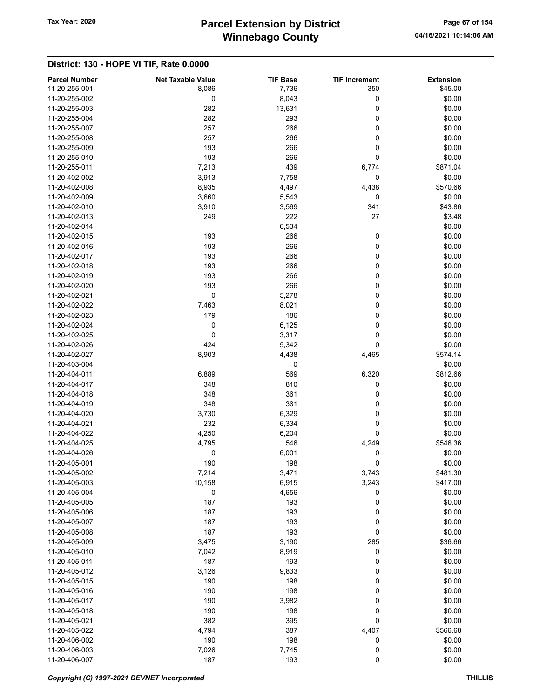# Winnebago County Tax Year: 2020 **Parcel Extension by District** Page 67 of 154

| <b>Parcel Number</b> | <b>Net Taxable Value</b> | <b>TIF Base</b> | <b>TIF Increment</b> | <b>Extension</b> |
|----------------------|--------------------------|-----------------|----------------------|------------------|
| 11-20-255-001        | 8,086                    | 7,736           | 350                  | \$45.00          |
| 11-20-255-002        | 0                        | 8,043           | 0                    | \$0.00           |
| 11-20-255-003        | 282                      | 13,631          | 0                    | \$0.00           |
| 11-20-255-004        | 282                      | 293             | 0                    | \$0.00           |
| 11-20-255-007        | 257                      | 266             | 0                    | \$0.00           |
| 11-20-255-008        | 257                      | 266             | 0                    | \$0.00           |
| 11-20-255-009        | 193                      | 266             | 0                    | \$0.00           |
| 11-20-255-010        | 193                      | 266             | 0                    | \$0.00           |
| 11-20-255-011        | 7,213                    | 439             | 6,774                | \$871.04         |
| 11-20-402-002        | 3,913                    | 7,758           | 0                    | \$0.00           |
| 11-20-402-008        | 8,935                    | 4,497           | 4,438                | \$570.66         |
| 11-20-402-009        | 3,660                    | 5,543           | 0                    | \$0.00           |
| 11-20-402-010        | 3,910                    | 3,569           | 341                  | \$43.86          |
| 11-20-402-013        | 249                      | 222             | 27                   | \$3.48           |
| 11-20-402-014        |                          | 6,534           |                      | \$0.00           |
| 11-20-402-015        | 193                      | 266             | 0                    | \$0.00           |
| 11-20-402-016        | 193                      | 266             | 0                    | \$0.00           |
| 11-20-402-017        | 193                      | 266             | 0                    | \$0.00           |
| 11-20-402-018        | 193                      | 266             | 0                    | \$0.00           |
| 11-20-402-019        | 193                      | 266             | 0                    | \$0.00           |
| 11-20-402-020        | 193                      | 266             | 0                    | \$0.00           |
| 11-20-402-021        | $\mathbf 0$              | 5,278           | 0                    | \$0.00           |
| 11-20-402-022        | 7,463                    | 8,021           | 0                    | \$0.00           |
| 11-20-402-023        | 179                      | 186             | 0                    | \$0.00           |
| 11-20-402-024        | 0                        | 6,125           | 0                    | \$0.00           |
| 11-20-402-025        | 0                        | 3,317           | 0                    | \$0.00           |
| 11-20-402-026        | 424                      | 5,342           | 0                    | \$0.00           |
| 11-20-402-027        | 8,903                    | 4,438           | 4,465                | \$574.14         |
| 11-20-403-004        |                          | 0               |                      | \$0.00           |
| 11-20-404-011        | 6,889                    | 569             | 6,320                | \$812.66         |
| 11-20-404-017        | 348                      | 810             | 0                    | \$0.00           |
| 11-20-404-018        | 348                      | 361             | 0                    | \$0.00           |
| 11-20-404-019        | 348                      | 361             | 0                    | \$0.00           |
| 11-20-404-020        | 3,730                    | 6,329           | 0                    | \$0.00           |
| 11-20-404-021        | 232                      | 6,334           | 0                    | \$0.00           |
| 11-20-404-022        | 4,250                    | 6,204           | 0                    | \$0.00           |
| 11-20-404-025        | 4,795                    | 546             | 4,249                | \$546.36         |
| 11-20-404-026        | 0                        | 6,001           | 0                    | \$0.00           |
| 11-20-405-001        | 190                      | 198             | 0                    | \$0.00           |
| 11-20-405-002        | 7,214                    | 3,471           | 3,743                | \$481.30         |
| 11-20-405-003        | 10,158                   | 6,915           | 3,243                | \$417.00         |
| 11-20-405-004        | 0                        | 4,656           | 0                    | \$0.00           |
| 11-20-405-005        | 187                      | 193             | 0                    | \$0.00           |
| 11-20-405-006        | 187                      | 193             | 0                    | \$0.00           |
| 11-20-405-007        | 187                      | 193             | 0                    | \$0.00           |
| 11-20-405-008        | 187                      | 193             | 0                    | \$0.00           |
| 11-20-405-009        | 3,475                    | 3,190           | 285                  | \$36.66          |
| 11-20-405-010        | 7,042                    | 8,919           | 0                    | \$0.00           |
| 11-20-405-011        | 187                      | 193             | 0                    | \$0.00           |
| 11-20-405-012        | 3,126                    | 9,833           | 0                    | \$0.00           |
| 11-20-405-015        | 190                      | 198             | 0                    | \$0.00           |
| 11-20-405-016        | 190                      | 198             | 0                    | \$0.00           |
| 11-20-405-017        | 190                      | 3,982           | 0                    | \$0.00           |
| 11-20-405-018        | 190                      | 198             | 0                    | \$0.00           |
| 11-20-405-021        | 382                      | 395             | $\pmb{0}$            | \$0.00           |
| 11-20-405-022        | 4,794                    | 387             | 4,407                | \$566.68         |
| 11-20-406-002        | 190                      | 198             | 0                    | \$0.00           |
| 11-20-406-003        | 7,026                    | 7,745           | 0                    | \$0.00           |
| 11-20-406-007        | 187                      | 193             | $\pmb{0}$            | \$0.00           |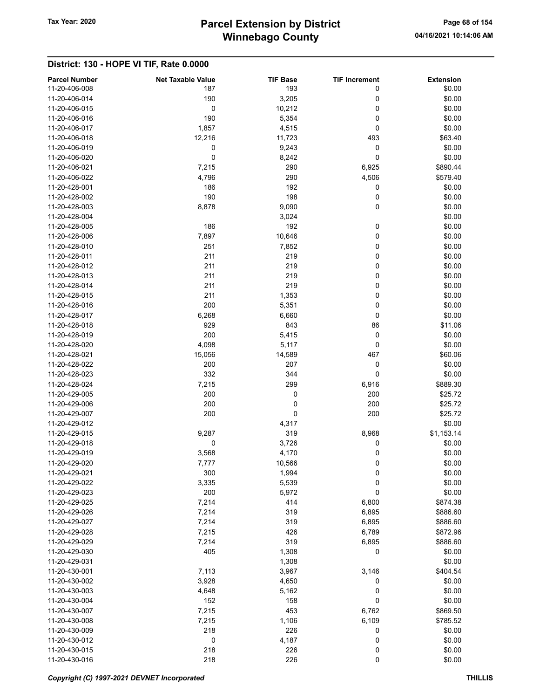# Winnebago County Tax Year: 2020 **Parcel Extension by District** Page 68 of 154

| <b>Parcel Number</b><br>11-20-406-008 | <b>Net Taxable Value</b><br>187 | <b>TIF Base</b><br>193 | <b>TIF Increment</b><br>0 | <b>Extension</b><br>\$0.00 |
|---------------------------------------|---------------------------------|------------------------|---------------------------|----------------------------|
| 11-20-406-014                         | 190                             | 3,205                  | 0                         | \$0.00                     |
| 11-20-406-015                         | 0                               | 10,212                 | 0                         | \$0.00                     |
| 11-20-406-016                         | 190                             | 5,354                  | 0                         | \$0.00                     |
| 11-20-406-017                         | 1,857                           | 4,515                  | 0                         | \$0.00                     |
| 11-20-406-018                         | 12,216                          | 11,723                 | 493                       | \$63.40                    |
| 11-20-406-019                         | 0                               | 9,243                  | 0                         | \$0.00                     |
| 11-20-406-020                         | $\mathbf 0$                     | 8,242                  | 0                         | \$0.00                     |
| 11-20-406-021                         | 7,215                           | 290                    | 6,925                     | \$890.44                   |
| 11-20-406-022                         | 4,796                           | 290                    | 4,506                     | \$579.40                   |
| 11-20-428-001                         | 186                             | 192                    | 0                         | \$0.00                     |
| 11-20-428-002                         | 190                             | 198                    | 0                         | \$0.00                     |
| 11-20-428-003                         | 8,878                           | 9,090                  | 0                         | \$0.00                     |
| 11-20-428-004                         |                                 | 3,024                  |                           | \$0.00                     |
| 11-20-428-005                         | 186                             | 192                    | 0                         | \$0.00                     |
| 11-20-428-006                         | 7,897                           | 10,646                 | 0                         | \$0.00                     |
| 11-20-428-010                         | 251                             | 7,852                  | 0                         | \$0.00                     |
| 11-20-428-011                         | 211                             | 219                    | 0                         | \$0.00                     |
|                                       | 211                             |                        | 0                         |                            |
| 11-20-428-012<br>11-20-428-013        | 211                             | 219<br>219             | 0                         | \$0.00<br>\$0.00           |
|                                       | 211                             |                        |                           |                            |
| 11-20-428-014                         |                                 | 219                    | 0                         | \$0.00                     |
| 11-20-428-015                         | 211                             | 1,353                  | 0                         | \$0.00                     |
| 11-20-428-016                         | 200                             | 5,351                  | 0                         | \$0.00                     |
| 11-20-428-017                         | 6,268                           | 6,660                  | 0                         | \$0.00                     |
| 11-20-428-018                         | 929                             | 843                    | 86                        | \$11.06                    |
| 11-20-428-019                         | 200                             | 5,415                  | 0                         | \$0.00                     |
| 11-20-428-020                         | 4,098                           | 5,117                  | 0                         | \$0.00                     |
| 11-20-428-021                         | 15,056                          | 14,589                 | 467                       | \$60.06                    |
| 11-20-428-022                         | 200                             | 207                    | 0                         | \$0.00                     |
| 11-20-428-023                         | 332                             | 344                    | 0                         | \$0.00                     |
| 11-20-428-024                         | 7,215                           | 299                    | 6,916                     | \$889.30                   |
| 11-20-429-005                         | 200                             | 0                      | 200                       | \$25.72                    |
| 11-20-429-006                         | 200                             | 0                      | 200                       | \$25.72                    |
| 11-20-429-007                         | 200                             | 0                      | 200                       | \$25.72                    |
| 11-20-429-012                         |                                 | 4,317                  |                           | \$0.00                     |
| 11-20-429-015                         | 9,287                           | 319                    | 8,968                     | \$1,153.14                 |
| 11-20-429-018                         | 0                               | 3,726                  | 0                         | \$0.00                     |
| 11-20-429-019                         | 3,568                           | 4,170                  | 0                         | \$0.00                     |
| 11-20-429-020                         | 7,777                           | 10,566                 | 0                         | \$0.00                     |
| 11-20-429-021                         | 300                             | 1,994                  | 0                         | \$0.00                     |
| 11-20-429-022                         | 3,335                           | 5,539                  | 0                         | \$0.00                     |
| 11-20-429-023                         | 200                             | 5,972                  | 0                         | \$0.00                     |
| 11-20-429-025                         | 7,214                           | 414                    | 6,800                     | \$874.38                   |
| 11-20-429-026                         | 7,214                           | 319                    | 6,895                     | \$886.60                   |
| 11-20-429-027                         | 7,214                           | 319                    | 6,895                     | \$886.60                   |
| 11-20-429-028                         | 7,215                           | 426                    | 6,789                     | \$872.96                   |
| 11-20-429-029                         | 7,214                           | 319                    | 6,895                     | \$886.60                   |
| 11-20-429-030                         | 405                             | 1,308                  | 0                         | \$0.00                     |
| 11-20-429-031                         |                                 | 1,308                  |                           | \$0.00                     |
| 11-20-430-001                         | 7,113                           | 3,967                  | 3,146                     | \$404.54                   |
| 11-20-430-002                         | 3,928                           | 4,650                  | 0                         | \$0.00                     |
| 11-20-430-003                         | 4,648                           | 5,162                  | 0                         | \$0.00                     |
| 11-20-430-004                         | 152                             | 158                    | 0                         | \$0.00                     |
| 11-20-430-007                         | 7,215                           | 453                    | 6,762                     | \$869.50                   |
| 11-20-430-008                         | 7,215                           | 1,106                  | 6,109                     | \$785.52                   |
| 11-20-430-009                         | 218                             | 226                    | 0                         | \$0.00                     |
| 11-20-430-012                         | 0                               | 4,187                  | 0                         | \$0.00                     |
| 11-20-430-015                         | 218                             | 226                    | 0                         | \$0.00                     |
| 11-20-430-016                         | 218                             | 226                    | 0                         | \$0.00                     |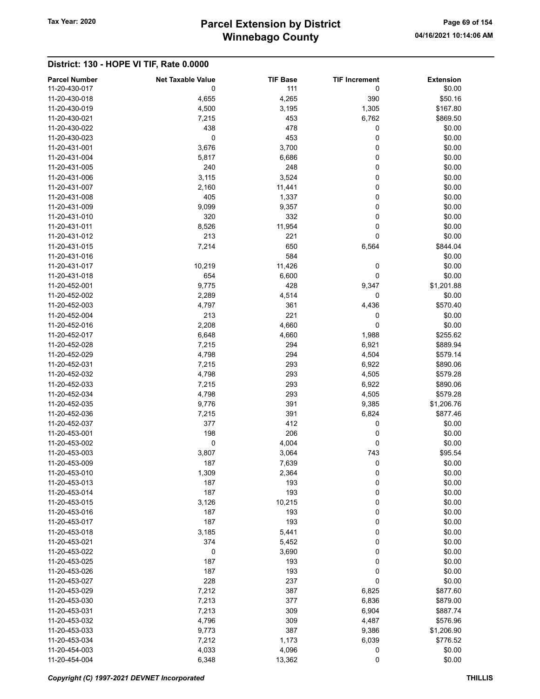# Winnebago County Tax Year: 2020 **Parcel Extension by District** Page 69 of 154

| <b>Parcel Number</b> | <b>Net Taxable Value</b> | <b>TIF Base</b> | <b>TIF Increment</b> | <b>Extension</b> |
|----------------------|--------------------------|-----------------|----------------------|------------------|
| 11-20-430-017        | 0                        | 111             | 0                    | \$0.00           |
| 11-20-430-018        | 4,655                    | 4,265           | 390                  | \$50.16          |
| 11-20-430-019        | 4,500                    | 3,195           | 1,305                | \$167.80         |
| 11-20-430-021        | 7,215                    | 453             | 6,762                | \$869.50         |
| 11-20-430-022        | 438                      | 478             | 0                    | \$0.00           |
| 11-20-430-023        | 0                        | 453             | 0                    | \$0.00           |
| 11-20-431-001        | 3,676                    | 3,700           | 0                    | \$0.00           |
| 11-20-431-004        | 5,817                    | 6,686           | 0                    | \$0.00           |
| 11-20-431-005        | 240                      | 248             | 0                    | \$0.00           |
| 11-20-431-006        | 3,115                    | 3,524           | 0                    | \$0.00           |
| 11-20-431-007        | 2,160                    | 11,441          | 0                    | \$0.00           |
| 11-20-431-008        | 405                      | 1,337           | 0                    | \$0.00           |
| 11-20-431-009        | 9,099                    | 9,357           | 0                    | \$0.00           |
| 11-20-431-010        | 320                      | 332             | 0                    | \$0.00           |
| 11-20-431-011        | 8,526                    | 11,954          | 0                    | \$0.00           |
| 11-20-431-012        | 213                      | 221             | 0                    | \$0.00           |
|                      |                          |                 |                      |                  |
| 11-20-431-015        | 7,214                    | 650             | 6,564                | \$844.04         |
| 11-20-431-016        |                          | 584             |                      | \$0.00           |
| 11-20-431-017        | 10,219                   | 11,426          | 0                    | \$0.00           |
| 11-20-431-018        | 654                      | 6,600           | 0                    | \$0.00           |
| 11-20-452-001        | 9,775                    | 428             | 9,347                | \$1,201.88       |
| 11-20-452-002        | 2,289                    | 4,514           | 0                    | \$0.00           |
| 11-20-452-003        | 4,797                    | 361             | 4,436                | \$570.40         |
| 11-20-452-004        | 213                      | 221             | 0                    | \$0.00           |
| 11-20-452-016        | 2,208                    | 4,660           | 0                    | \$0.00           |
| 11-20-452-017        | 6,648                    | 4,660           | 1,988                | \$255.62         |
| 11-20-452-028        | 7,215                    | 294             | 6,921                | \$889.94         |
| 11-20-452-029        | 4,798                    | 294             | 4,504                | \$579.14         |
| 11-20-452-031        | 7,215                    | 293             | 6,922                | \$890.06         |
| 11-20-452-032        | 4,798                    | 293             | 4,505                | \$579.28         |
| 11-20-452-033        | 7,215                    | 293             | 6,922                | \$890.06         |
| 11-20-452-034        | 4,798                    | 293             | 4,505                | \$579.28         |
| 11-20-452-035        | 9,776                    | 391             | 9,385                | \$1,206.76       |
| 11-20-452-036        | 7,215                    | 391             | 6,824                | \$877.46         |
| 11-20-452-037        | 377                      | 412             | 0                    | \$0.00           |
| 11-20-453-001        | 198                      | 206             | 0                    |                  |
|                      |                          |                 |                      | \$0.00           |
| 11-20-453-002        | 0                        | 4,004           | 0                    | \$0.00           |
| 11-20-453-003        | 3,807                    | 3,064           | 743                  | \$95.54          |
| 11-20-453-009        | 187                      | 7,639           | 0                    | \$0.00           |
| 11-20-453-010        | 1,309                    | 2,364           | 0                    | \$0.00           |
| 11-20-453-013        | 187                      | 193             | 0                    | \$0.00           |
| 11-20-453-014        | 187                      | 193             | 0                    | \$0.00           |
| 11-20-453-015        | 3,126                    | 10,215          | 0                    | \$0.00           |
| 11-20-453-016        | 187                      | 193             | 0                    | \$0.00           |
| 11-20-453-017        | 187                      | 193             | 0                    | \$0.00           |
| 11-20-453-018        | 3,185                    | 5,441           | 0                    | \$0.00           |
| 11-20-453-021        | 374                      | 5,452           | 0                    | \$0.00           |
| 11-20-453-022        | 0                        | 3,690           | 0                    | \$0.00           |
| 11-20-453-025        | 187                      | 193             | 0                    | \$0.00           |
| 11-20-453-026        | 187                      | 193             | 0                    | \$0.00           |
| 11-20-453-027        | 228                      | 237             | 0                    | \$0.00           |
| 11-20-453-029        | 7,212                    | 387             | 6,825                | \$877.60         |
| 11-20-453-030        | 7,213                    | 377             | 6,836                | \$879.00         |
| 11-20-453-031        | 7,213                    | 309             | 6,904                | \$887.74         |
| 11-20-453-032        | 4,796                    | 309             | 4,487                | \$576.96         |
|                      |                          |                 |                      |                  |
| 11-20-453-033        | 9,773                    | 387             | 9,386                | \$1,206.90       |
| 11-20-453-034        | 7,212                    | 1,173           | 6,039                | \$776.52         |
| 11-20-454-003        | 4,033                    | 4,096           | 0                    | \$0.00           |
| 11-20-454-004        | 6,348                    | 13,362          | 0                    | \$0.00           |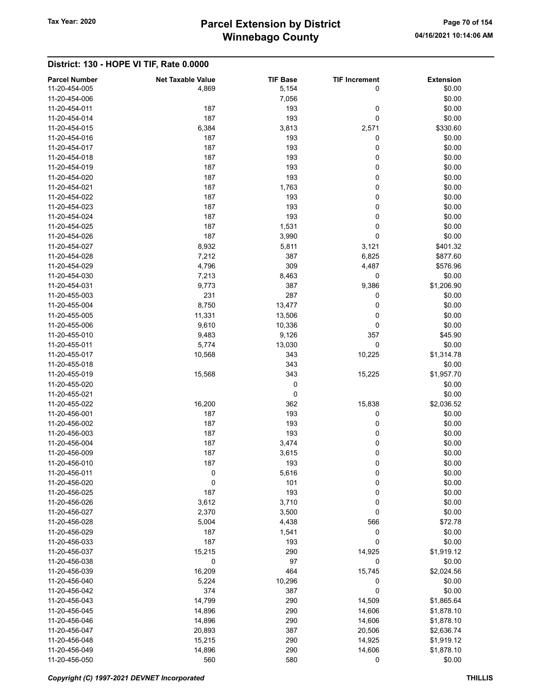| <b>Parcel Number</b> | <b>Net Taxable Value</b> | <b>TIF Base</b> | <b>TIF Increment</b> | <b>Extension</b> |
|----------------------|--------------------------|-----------------|----------------------|------------------|
| 11-20-454-005        | 4,869                    | 5,154           | 0                    | \$0.00           |
| 11-20-454-006        |                          | 7,056           |                      | \$0.00           |
| 11-20-454-011        | 187                      | 193             | 0                    | \$0.00           |
| 11-20-454-014        | 187                      | 193             | 0                    | \$0.00           |
| 11-20-454-015        | 6,384                    | 3,813           | 2,571                | \$330.60         |
| 11-20-454-016        | 187                      | 193             | 0                    | \$0.00           |
| 11-20-454-017        | 187                      | 193             | 0                    | \$0.00           |
| 11-20-454-018        | 187                      | 193             | 0                    | \$0.00           |
| 11-20-454-019        | 187                      | 193             | 0                    | \$0.00           |
| 11-20-454-020        | 187                      | 193             | 0                    | \$0.00           |
| 11-20-454-021        | 187                      | 1,763           | 0                    | \$0.00           |
| 11-20-454-022        | 187                      | 193             | 0                    | \$0.00           |
| 11-20-454-023        | 187                      | 193             | 0                    | \$0.00           |
| 11-20-454-024        | 187                      | 193             | 0                    | \$0.00           |
| 11-20-454-025        | 187                      | 1,531           | 0                    | \$0.00           |
| 11-20-454-026        | 187                      | 3,990           | 0                    | \$0.00           |
| 11-20-454-027        | 8,932                    | 5,811           | 3,121                | \$401.32         |
| 11-20-454-028        | 7,212                    | 387             | 6,825                | \$877.60         |
| 11-20-454-029        | 4,796                    | 309             | 4,487                | \$576.96         |
| 11-20-454-030        | 7,213                    | 8,463           | $\pmb{0}$            | \$0.00           |
| 11-20-454-031        | 9,773                    | 387             | 9,386                | \$1,206.90       |
| 11-20-455-003        | 231                      | 287             | 0                    | \$0.00           |
|                      |                          |                 |                      |                  |
| 11-20-455-004        | 8,750                    | 13,477          | 0                    | \$0.00           |
| 11-20-455-005        | 11,331                   | 13,506          | 0                    | \$0.00           |
| 11-20-455-006        | 9,610                    | 10,336          | 0                    | \$0.00           |
| 11-20-455-010        | 9,483                    | 9,126           | 357                  | \$45.90          |
| 11-20-455-011        | 5,774                    | 13,030          | 0                    | \$0.00           |
| 11-20-455-017        | 10,568                   | 343             | 10,225               | \$1,314.78       |
| 11-20-455-018        |                          | 343             |                      | \$0.00           |
| 11-20-455-019        | 15,568                   | 343             | 15,225               | \$1,957.70       |
| 11-20-455-020        |                          | 0               |                      | \$0.00           |
| 11-20-455-021        |                          | 0               |                      | \$0.00           |
| 11-20-455-022        | 16,200                   | 362             | 15,838               | \$2,036.52       |
| 11-20-456-001        | 187                      | 193             | 0                    | \$0.00           |
| 11-20-456-002        | 187                      | 193             | 0                    | \$0.00           |
| 11-20-456-003        | 187                      | 193             | 0                    | \$0.00           |
| 11-20-456-004        | 187                      | 3,474           | 0                    | \$0.00           |
| 11-20-456-009        | 187                      | 3,615           | 0                    | \$0.00           |
| 11-20-456-010        | 187                      | 193             | $\mathbf 0$          | \$0.00           |
| 11-20-456-011        | $\boldsymbol{0}$         | 5,616           | 0                    | \$0.00           |
| 11-20-456-020        | $\mathbf 0$              | 101             | $\pmb{0}$            | \$0.00           |
| 11-20-456-025        | 187                      | 193             | 0                    | \$0.00           |
| 11-20-456-026        | 3,612                    | 3,710           | 0                    | \$0.00           |
| 11-20-456-027        | 2,370                    | 3,500           | 0                    | \$0.00           |
| 11-20-456-028        | 5,004                    | 4,438           | 566                  | \$72.78          |
| 11-20-456-029        | 187                      | 1,541           | 0                    | \$0.00           |
| 11-20-456-033        | 187                      | 193             | 0                    | \$0.00           |
| 11-20-456-037        | 15,215                   | 290             | 14,925               | \$1,919.12       |
| 11-20-456-038        | 0                        | 97              | 0                    | \$0.00           |
| 11-20-456-039        | 16,209                   | 464             | 15,745               | \$2,024.56       |
| 11-20-456-040        |                          | 10,296          | 0                    | \$0.00           |
| 11-20-456-042        | 5,224<br>374             | 387             | 0                    | \$0.00           |
|                      |                          |                 |                      |                  |
| 11-20-456-043        | 14,799                   | 290             | 14,509               | \$1,865.64       |
| 11-20-456-045        | 14,896                   | 290             | 14,606               | \$1,878.10       |
| 11-20-456-046        | 14,896                   | 290             | 14,606               | \$1,878.10       |
| 11-20-456-047        | 20,893                   | 387             | 20,506               | \$2,636.74       |
| 11-20-456-048        | 15,215                   | 290             | 14,925               | \$1,919.12       |
| 11-20-456-049        | 14,896                   | 290             | 14,606               | \$1,878.10       |
| 11-20-456-050        | 560                      | 580             | 0                    | \$0.00           |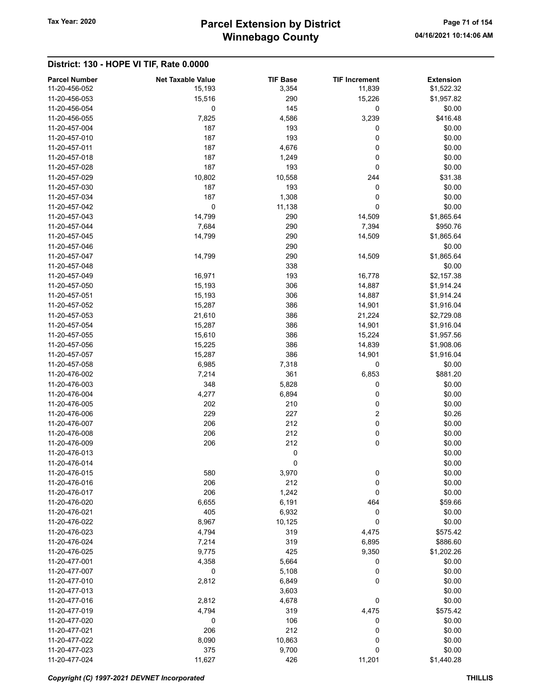# Winnebago County Tax Year: 2020 **Parcel Extension by District** Page 71 of 154

| <b>Parcel Number</b>           | <b>Net Taxable Value</b> | <b>TIF Base</b> | <b>TIF Increment</b> | <b>Extension</b> |
|--------------------------------|--------------------------|-----------------|----------------------|------------------|
| 11-20-456-052                  | 15,193                   | 3,354           | 11,839               | \$1,522.32       |
| 11-20-456-053                  | 15,516                   | 290             | 15,226               | \$1,957.82       |
| 11-20-456-054                  | 0                        | 145             | 0                    | \$0.00           |
| 11-20-456-055                  | 7,825                    | 4,586           | 3,239                | \$416.48         |
| 11-20-457-004                  | 187                      | 193             | 0                    | \$0.00           |
| 11-20-457-010                  | 187                      | 193             | 0                    | \$0.00           |
| 11-20-457-011                  | 187                      | 4,676           | 0                    | \$0.00           |
| 11-20-457-018                  | 187                      | 1,249           | 0                    | \$0.00           |
| 11-20-457-028                  | 187                      | 193             | 0                    | \$0.00           |
| 11-20-457-029                  | 10,802                   | 10,558          | 244                  | \$31.38          |
| 11-20-457-030                  | 187                      | 193             | 0                    | \$0.00           |
| 11-20-457-034                  | 187                      | 1,308           | 0                    | \$0.00           |
| 11-20-457-042                  | $\mathbf 0$              | 11,138          | 0                    | \$0.00           |
| 11-20-457-043                  | 14,799                   | 290             | 14,509               | \$1,865.64       |
| 11-20-457-044                  | 7,684                    | 290             | 7,394                | \$950.76         |
| 11-20-457-045                  | 14,799                   | 290             | 14,509               | \$1,865.64       |
| 11-20-457-046                  |                          | 290             |                      | \$0.00           |
| 11-20-457-047                  | 14,799                   | 290             | 14,509               | \$1,865.64       |
| 11-20-457-048                  |                          | 338             |                      | \$0.00           |
| 11-20-457-049                  | 16,971                   | 193             | 16,778               | \$2,157.38       |
| 11-20-457-050                  | 15,193                   | 306             | 14,887               | \$1,914.24       |
| 11-20-457-051                  | 15,193                   | 306             | 14,887               | \$1,914.24       |
| 11-20-457-052                  | 15,287                   | 386             | 14,901               | \$1,916.04       |
| 11-20-457-053                  | 21,610                   | 386             | 21,224               | \$2,729.08       |
| 11-20-457-054                  | 15,287                   | 386             | 14,901               | \$1,916.04       |
| 11-20-457-055                  |                          | 386             |                      |                  |
|                                | 15,610                   |                 | 15,224               | \$1,957.56       |
| 11-20-457-056<br>11-20-457-057 | 15,225                   | 386<br>386      | 14,839               | \$1,908.06       |
|                                | 15,287<br>6,985          |                 | 14,901               | \$1,916.04       |
| 11-20-457-058                  |                          | 7,318           | 0                    | \$0.00           |
| 11-20-476-002                  | 7,214                    | 361             | 6,853                | \$881.20         |
| 11-20-476-003                  | 348                      | 5,828           | 0                    | \$0.00           |
| 11-20-476-004                  | 4,277                    | 6,894           | 0                    | \$0.00           |
| 11-20-476-005                  | 202                      | 210             | 0                    | \$0.00           |
| 11-20-476-006                  | 229                      | 227             | 2                    | \$0.26           |
| 11-20-476-007                  | 206                      | 212             | $\pmb{0}$            | \$0.00           |
| 11-20-476-008                  | 206                      | 212             | 0                    | \$0.00           |
| 11-20-476-009                  | 206                      | 212             | 0                    | \$0.00           |
| 11-20-476-013                  |                          | 0               |                      | \$0.00           |
| 11-20-476-014                  |                          | 0               |                      | \$0.00           |
| 11-20-476-015                  | 580                      | 3,970           | 0                    | \$0.00           |
| 11-20-476-016                  | 206                      | 212             | 0                    | \$0.00           |
| 11-20-476-017                  | 206                      | 1,242           | 0                    | \$0.00           |
| 11-20-476-020                  | 6,655                    | 6,191           | 464                  | \$59.66          |
| 11-20-476-021                  | 405                      | 6,932           | 0                    | \$0.00           |
| 11-20-476-022                  | 8,967                    | 10,125          | 0                    | \$0.00           |
| 11-20-476-023                  | 4,794                    | 319             | 4,475                | \$575.42         |
| 11-20-476-024                  | 7,214                    | 319             | 6,895                | \$886.60         |
| 11-20-476-025                  | 9,775                    | 425             | 9,350                | \$1,202.26       |
| 11-20-477-001                  | 4,358                    | 5,664           | 0                    | \$0.00           |
| 11-20-477-007                  | $\mathbf 0$              | 5,108           | 0                    | \$0.00           |
| 11-20-477-010                  | 2,812                    | 6,849           | 0                    | \$0.00           |
| 11-20-477-013                  |                          | 3,603           |                      | \$0.00           |
| 11-20-477-016                  | 2,812                    | 4,678           | 0                    | \$0.00           |
| 11-20-477-019                  | 4,794                    | 319             | 4,475                | \$575.42         |
| 11-20-477-020                  | 0                        | 106             | 0                    | \$0.00           |
| 11-20-477-021                  | 206                      | 212             | 0                    | \$0.00           |
| 11-20-477-022                  | 8,090                    | 10,863          | 0                    | \$0.00           |
| 11-20-477-023                  | 375                      | 9,700           | 0                    | \$0.00           |
| 11-20-477-024                  | 11,627                   | 426             | 11,201               | \$1,440.28       |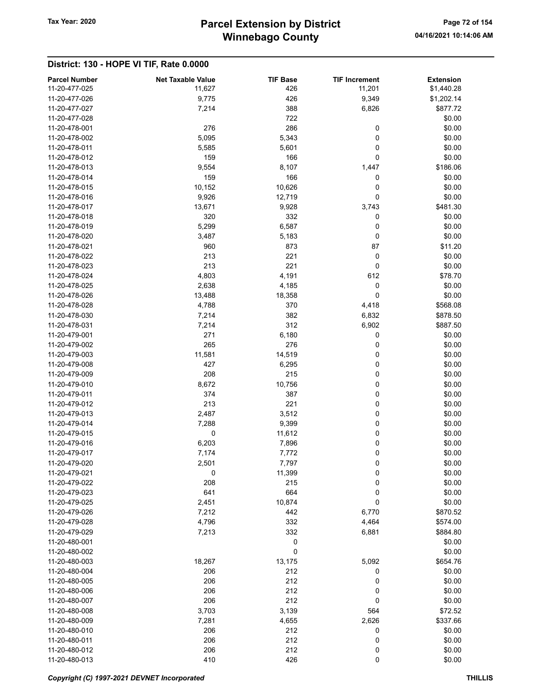# Winnebago County Tax Year: 2020 **Parcel Extension by District** Page 72 of 154

| <b>Parcel Number</b> | <b>Net Taxable Value</b> | <b>TIF Base</b> | <b>TIF Increment</b> | <b>Extension</b> |
|----------------------|--------------------------|-----------------|----------------------|------------------|
| 11-20-477-025        | 11,627                   | 426             | 11,201               | \$1,440.28       |
| 11-20-477-026        | 9,775                    | 426             | 9,349                | \$1,202.14       |
| 11-20-477-027        | 7,214                    | 388             | 6,826                | \$877.72         |
| 11-20-477-028        |                          | 722             |                      | \$0.00           |
| 11-20-478-001        | 276                      | 286             | 0                    | \$0.00           |
| 11-20-478-002        | 5,095                    | 5,343           | 0                    | \$0.00           |
| 11-20-478-011        | 5,585                    | 5,601           | 0                    | \$0.00           |
| 11-20-478-012        | 159                      | 166             | 0                    | \$0.00           |
| 11-20-478-013        | 9,554                    | 8,107           | 1,447                | \$186.06         |
| 11-20-478-014        | 159                      | 166             | 0                    | \$0.00           |
| 11-20-478-015        | 10,152                   | 10,626          | 0                    | \$0.00           |
| 11-20-478-016        | 9,926                    | 12,719          | 0                    | \$0.00           |
| 11-20-478-017        | 13,671                   | 9,928           | 3,743                | \$481.30         |
| 11-20-478-018        | 320                      | 332             | 0                    | \$0.00           |
| 11-20-478-019        | 5,299                    | 6,587           | 0                    | \$0.00           |
| 11-20-478-020        | 3,487                    | 5,183           | 0                    | \$0.00           |
| 11-20-478-021        | 960                      | 873             | 87                   | \$11.20          |
| 11-20-478-022        | 213                      | 221             | 0                    | \$0.00           |
| 11-20-478-023        | 213                      | 221             | 0                    | \$0.00           |
| 11-20-478-024        | 4,803                    | 4,191           | 612                  | \$78.70          |
| 11-20-478-025        | 2,638                    | 4,185           | 0                    | \$0.00           |
| 11-20-478-026        | 13,488                   | 18,358          | 0                    | \$0.00           |
| 11-20-478-028        | 4,788                    | 370             | 4,418                | \$568.08         |
| 11-20-478-030        | 7,214                    | 382             | 6,832                | \$878.50         |
| 11-20-478-031        | 7,214                    | 312             | 6,902                | \$887.50         |
| 11-20-479-001        | 271                      | 6,180           | 0                    | \$0.00           |
| 11-20-479-002        | 265                      | 276             | 0                    | \$0.00           |
| 11-20-479-003        | 11,581                   | 14,519          | 0                    | \$0.00           |
| 11-20-479-008        | 427                      | 6,295           | 0                    | \$0.00           |
| 11-20-479-009        | 208                      | 215             | 0                    | \$0.00           |
| 11-20-479-010        | 8,672                    | 10,756          | 0                    | \$0.00           |
| 11-20-479-011        | 374                      | 387             | 0                    | \$0.00           |
| 11-20-479-012        | 213                      | 221             | 0                    | \$0.00           |
| 11-20-479-013        | 2,487                    | 3,512           | 0                    | \$0.00           |
| 11-20-479-014        | 7,288                    | 9,399           | 0                    | \$0.00           |
| 11-20-479-015        | 0                        | 11,612          | 0                    | \$0.00           |
| 11-20-479-016        | 6,203                    | 7,896           | 0                    | \$0.00           |
| 11-20-479-017        | 7,174                    | 7,772           | 0                    | \$0.00           |
| 11-20-479-020        | 2,501                    | 7,797           | 0                    | \$0.00           |
| 11-20-479-021        | 0                        | 11,399          | 0                    | \$0.00           |
| 11-20-479-022        | 208                      | 215             | 0                    | \$0.00           |
| 11-20-479-023        | 641                      | 664             | 0                    | \$0.00           |
| 11-20-479-025        | 2,451                    | 10,874          | 0                    | \$0.00           |
| 11-20-479-026        | 7,212                    | 442             | 6,770                | \$870.52         |
| 11-20-479-028        | 4,796                    | 332             | 4,464                | \$574.00         |
| 11-20-479-029        | 7,213                    | 332             | 6,881                | \$884.80         |
| 11-20-480-001        |                          | 0               |                      | \$0.00           |
| 11-20-480-002        |                          | 0               |                      | \$0.00           |
| 11-20-480-003        | 18,267                   | 13,175          | 5,092                | \$654.76         |
| 11-20-480-004        | 206                      | 212             | 0                    | \$0.00           |
| 11-20-480-005        | 206                      | 212             | 0                    | \$0.00           |
| 11-20-480-006        | 206                      | 212             | 0                    | \$0.00           |
| 11-20-480-007        | 206                      | 212             | 0                    | \$0.00           |
| 11-20-480-008        | 3,703                    | 3,139           | 564                  | \$72.52          |
| 11-20-480-009        | 7,281                    | 4,655           | 2,626                | \$337.66         |
| 11-20-480-010        | 206                      | 212             | 0                    | \$0.00           |
| 11-20-480-011        | 206                      | 212             | 0                    | \$0.00           |
| 11-20-480-012        | 206                      | 212             | 0                    | \$0.00           |
| 11-20-480-013        | 410                      | 426             | 0                    | \$0.00           |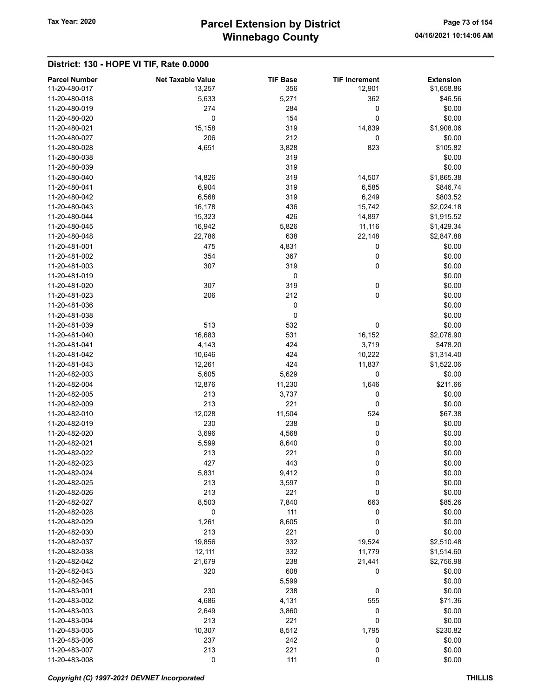## Winnebago County Tax Year: 2020 **Parcel Extension by District** Page 73 of 154

#### District: 130 - HOPE VI TIF, Rate 0.0000

| <b>Parcel Number</b> | <b>Net Taxable Value</b> | <b>TIF Base</b> | <b>TIF Increment</b> | <b>Extension</b> |
|----------------------|--------------------------|-----------------|----------------------|------------------|
| 11-20-480-017        | 13,257                   | 356             | 12,901               | \$1,658.86       |
| 11-20-480-018        | 5,633                    | 5,271           | 362                  | \$46.56          |
| 11-20-480-019        | 274                      | 284             | 0                    | \$0.00           |
| 11-20-480-020        | 0                        | 154             | 0                    | \$0.00           |
| 11-20-480-021        | 15,158                   | 319             | 14,839               | \$1,908.06       |
| 11-20-480-027        | 206                      | 212             | 0                    | \$0.00           |
| 11-20-480-028        | 4,651                    | 3,828           | 823                  | \$105.82         |
| 11-20-480-038        |                          | 319             |                      | \$0.00           |
| 11-20-480-039        |                          | 319             |                      | \$0.00           |
| 11-20-480-040        | 14,826                   | 319             | 14,507               | \$1,865.38       |
| 11-20-480-041        | 6,904                    | 319             | 6,585                | \$846.74         |
| 11-20-480-042        | 6,568                    | 319             | 6,249                | \$803.52         |
| 11-20-480-043        | 16,178                   | 436             | 15,742               | \$2,024.18       |
| 11-20-480-044        | 15,323                   | 426             | 14,897               | \$1,915.52       |
| 11-20-480-045        | 16,942                   | 5,826           | 11,116               | \$1,429.34       |
| 11-20-480-048        | 22,786                   | 638             | 22,148               | \$2,847.88       |
| 11-20-481-001        | 475                      | 4,831           | 0                    | \$0.00           |
| 11-20-481-002        | 354                      | 367             | 0                    | \$0.00           |
| 11-20-481-003        | 307                      | 319             | 0                    | \$0.00           |
| 11-20-481-019        |                          | 0               |                      | \$0.00           |
| 11-20-481-020        | 307                      | 319             | 0                    | \$0.00           |
| 11-20-481-023        |                          | 212             |                      |                  |
|                      | 206                      |                 | 0                    | \$0.00           |
| 11-20-481-036        |                          | 0               |                      | \$0.00           |
| 11-20-481-038        |                          | 0               |                      | \$0.00           |
| 11-20-481-039        | 513                      | 532             | 0                    | \$0.00           |
| 11-20-481-040        | 16,683                   | 531             | 16,152               | \$2,076.90       |
| 11-20-481-041        | 4,143                    | 424             | 3,719                | \$478.20         |
| 11-20-481-042        | 10,646                   | 424             | 10,222               | \$1,314.40       |
| 11-20-481-043        | 12,261                   | 424             | 11,837               | \$1,522.06       |
| 11-20-482-003        | 5,605                    | 5,629           | 0                    | \$0.00           |
| 11-20-482-004        | 12,876                   | 11,230          | 1,646                | \$211.66         |
| 11-20-482-005        | 213                      | 3,737           | 0                    | \$0.00           |
| 11-20-482-009        | 213                      | 221             | 0                    | \$0.00           |
| 11-20-482-010        | 12,028                   | 11,504          | 524                  | \$67.38          |
| 11-20-482-019        | 230                      | 238             | 0                    | \$0.00           |
| 11-20-482-020        | 3,696                    | 4,568           | 0                    | \$0.00           |
| 11-20-482-021        | 5,599                    | 8,640           | 0                    | \$0.00           |
| 11-20-482-022        | 213                      | 221             | 0                    | \$0.00           |
| 11-20-482-023        | 427                      | 443             | 0                    | \$0.00           |
| 11-20-482-024        | 5,831                    | 9,412           | 0                    | \$0.00           |
| 11-20-482-025        | 213                      | 3,597           | 0                    | \$0.00           |
| 11-20-482-026        | 213                      | 221             | 0                    | \$0.00           |
| 11-20-482-027        | 8,503                    | 7,840           | 663                  | \$85.26          |
| 11-20-482-028        | 0                        | 111             | 0                    | \$0.00           |
| 11-20-482-029        | 1,261                    | 8,605           | 0                    | \$0.00           |
| 11-20-482-030        | 213                      | 221             | 0                    | \$0.00           |
| 11-20-482-037        | 19,856                   | 332             | 19,524               | \$2,510.48       |
| 11-20-482-038        | 12,111                   | 332             | 11,779               | \$1,514.60       |
| 11-20-482-042        | 21,679                   | 238             | 21,441               | \$2,756.98       |
| 11-20-482-043        | 320                      | 608             | 0                    | \$0.00           |
| 11-20-482-045        |                          | 5,599           |                      | \$0.00           |
| 11-20-483-001        | 230                      | 238             | 0                    | \$0.00           |
| 11-20-483-002        | 4,686                    | 4,131           | 555                  | \$71.36          |
| 11-20-483-003        |                          |                 | 0                    |                  |
|                      | 2,649                    | 3,860           |                      | \$0.00           |
| 11-20-483-004        | 213                      | 221             | 0                    | \$0.00           |
| 11-20-483-005        | 10,307                   | 8,512           | 1,795                | \$230.82         |
| 11-20-483-006        | 237                      | 242             | 0                    | \$0.00           |
| 11-20-483-007        | 213                      | 221             | 0                    | \$0.00           |
| 11-20-483-008        | 0                        | 111             | 0                    | \$0.00           |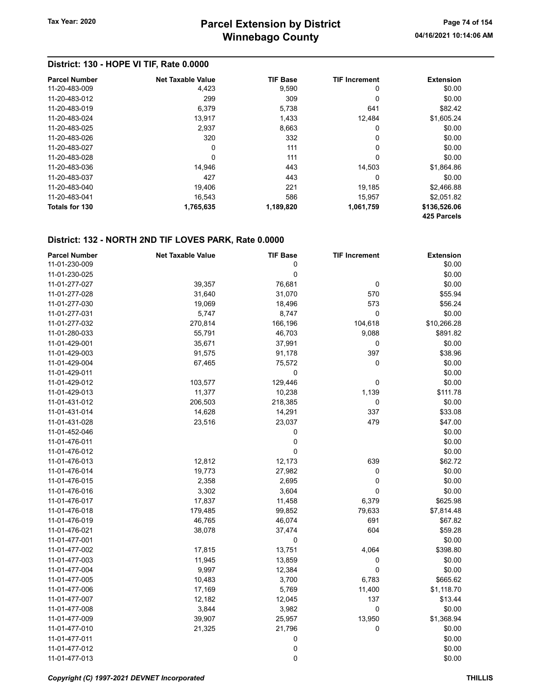### District: 130 - HOPE VI TIF, Rate 0.0000

| <b>Parcel Number</b> | <b>Net Taxable Value</b> | <b>TIF Base</b> | <b>TIF Increment</b> | <b>Extension</b>            |
|----------------------|--------------------------|-----------------|----------------------|-----------------------------|
| 11-20-483-009        | 4,423                    | 9,590           | 0                    | \$0.00                      |
| 11-20-483-012        | 299                      | 309             | 0                    | \$0.00                      |
| 11-20-483-019        | 6.379                    | 5,738           | 641                  | \$82.42                     |
| 11-20-483-024        | 13,917                   | 1,433           | 12.484               | \$1,605.24                  |
| 11-20-483-025        | 2.937                    | 8,663           | 0                    | \$0.00                      |
| 11-20-483-026        | 320                      | 332             | 0                    | \$0.00                      |
| 11-20-483-027        | 0                        | 111             | 0                    | \$0.00                      |
| 11-20-483-028        | 0                        | 111             | 0                    | \$0.00                      |
| 11-20-483-036        | 14.946                   | 443             | 14.503               | \$1,864.86                  |
| 11-20-483-037        | 427                      | 443             | 0                    | \$0.00                      |
| 11-20-483-040        | 19.406                   | 221             | 19,185               | \$2,466.88                  |
| 11-20-483-041        | 16.543                   | 586             | 15,957               | \$2,051.82                  |
| Totals for 130       | 1,765,635                | 1,189,820       | 1,061,759            | \$136,526.06<br>425 Parcels |

| <b>Parcel Number</b> | <b>Net Taxable Value</b> | <b>TIF Base</b> | <b>TIF Increment</b> | <b>Extension</b> |
|----------------------|--------------------------|-----------------|----------------------|------------------|
| 11-01-230-009        |                          | 0               |                      | \$0.00           |
| 11-01-230-025        |                          | 0               |                      | \$0.00           |
| 11-01-277-027        | 39,357                   | 76,681          | $\mathbf 0$          | \$0.00           |
| 11-01-277-028        | 31,640                   | 31,070          | 570                  | \$55.94          |
| 11-01-277-030        | 19,069                   | 18,496          | 573                  | \$56.24          |
| 11-01-277-031        | 5,747                    | 8,747           | 0                    | \$0.00           |
| 11-01-277-032        | 270,814                  | 166,196         | 104,618              | \$10,266.28      |
| 11-01-280-033        | 55,791                   | 46,703          | 9,088                | \$891.82         |
| 11-01-429-001        | 35,671                   | 37,991          | $\mathbf 0$          | \$0.00           |
| 11-01-429-003        | 91,575                   | 91,178          | 397                  | \$38.96          |
| 11-01-429-004        | 67,465                   | 75,572          | 0                    | \$0.00           |
| 11-01-429-011        |                          | 0               |                      | \$0.00           |
| 11-01-429-012        | 103,577                  | 129,446         | 0                    | \$0.00           |
| 11-01-429-013        | 11,377                   | 10,238          | 1,139                | \$111.78         |
| 11-01-431-012        | 206,503                  | 218,385         | 0                    | \$0.00           |
| 11-01-431-014        | 14,628                   | 14,291          | 337                  | \$33.08          |
| 11-01-431-028        | 23,516                   | 23,037          | 479                  | \$47.00          |
| 11-01-452-046        |                          | 0               |                      | \$0.00           |
| 11-01-476-011        |                          | $\mathbf 0$     |                      | \$0.00           |
| 11-01-476-012        |                          | 0               |                      | \$0.00           |
| 11-01-476-013        | 12,812                   | 12,173          | 639                  | \$62.72          |
| 11-01-476-014        | 19,773                   | 27,982          | 0                    | \$0.00           |
| 11-01-476-015        | 2,358                    | 2,695           | 0                    | \$0.00           |
| 11-01-476-016        | 3,302                    | 3,604           | $\mathbf 0$          | \$0.00           |
| 11-01-476-017        | 17,837                   | 11,458          | 6,379                | \$625.98         |
| 11-01-476-018        | 179,485                  | 99,852          | 79,633               | \$7,814.48       |
| 11-01-476-019        | 46,765                   | 46,074          | 691                  | \$67.82          |
| 11-01-476-021        | 38,078                   | 37,474          | 604                  | \$59.28          |
| 11-01-477-001        |                          | 0               |                      | \$0.00           |
| 11-01-477-002        | 17,815                   | 13,751          | 4,064                | \$398.80         |
| 11-01-477-003        | 11,945                   | 13,859          | 0                    | \$0.00           |
| 11-01-477-004        | 9,997                    | 12,384          | 0                    | \$0.00           |
| 11-01-477-005        | 10,483                   | 3,700           | 6,783                | \$665.62         |
| 11-01-477-006        | 17,169                   | 5,769           | 11,400               | \$1,118.70       |
| 11-01-477-007        | 12,182                   | 12,045          | 137                  | \$13.44          |
| 11-01-477-008        | 3,844                    | 3,982           | 0                    | \$0.00           |
| 11-01-477-009        | 39,907                   | 25,957          | 13,950               | \$1,368.94       |
| 11-01-477-010        | 21,325                   | 21,796          | 0                    | \$0.00           |
| 11-01-477-011        |                          | 0               |                      | \$0.00           |
| 11-01-477-012        |                          | 0               |                      | \$0.00           |
| 11-01-477-013        |                          | 0               |                      | \$0.00           |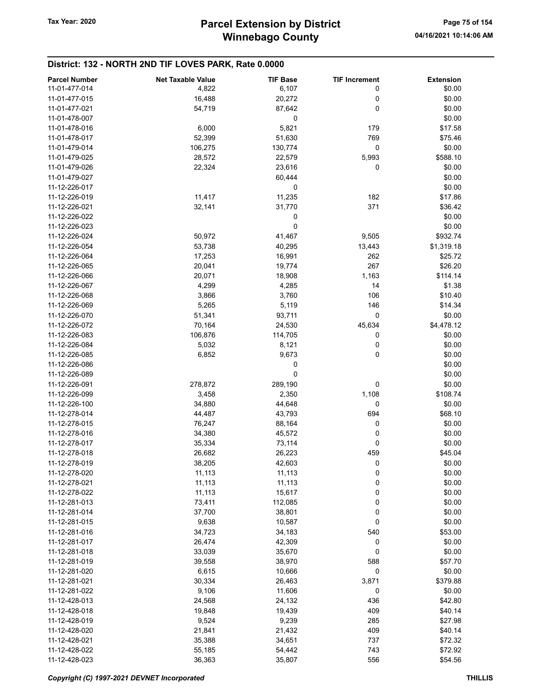| <b>Parcel Number</b> | <b>Net Taxable Value</b> | <b>TIF Base</b> | <b>TIF Increment</b> | <b>Extension</b> |
|----------------------|--------------------------|-----------------|----------------------|------------------|
| 11-01-477-014        | 4,822                    | 6,107           | 0                    | \$0.00           |
| 11-01-477-015        |                          |                 | 0                    | \$0.00           |
|                      | 16,488                   | 20,272          |                      |                  |
| 11-01-477-021        | 54,719                   | 87,642          | 0                    | \$0.00           |
| 11-01-478-007        |                          | 0               |                      | \$0.00           |
| 11-01-478-016        | 6,000                    | 5,821           | 179                  | \$17.58          |
| 11-01-478-017        | 52,399                   | 51,630          | 769                  | \$75.46          |
| 11-01-479-014        | 106,275                  | 130,774         | 0                    | \$0.00           |
| 11-01-479-025        | 28,572                   | 22,579          | 5,993                | \$588.10         |
| 11-01-479-026        | 22,324                   | 23,616          | 0                    | \$0.00           |
| 11-01-479-027        |                          | 60,444          |                      | \$0.00           |
| 11-12-226-017        |                          | 0               |                      | \$0.00           |
| 11-12-226-019        | 11,417                   | 11,235          | 182                  | \$17.86          |
| 11-12-226-021        | 32,141                   | 31,770          | 371                  | \$36.42          |
| 11-12-226-022        |                          |                 |                      | \$0.00           |
|                      |                          | 0               |                      |                  |
| 11-12-226-023        |                          | 0               |                      | \$0.00           |
| 11-12-226-024        | 50,972                   | 41,467          | 9,505                | \$932.74         |
| 11-12-226-054        | 53,738                   | 40,295          | 13,443               | \$1,319.18       |
| 11-12-226-064        | 17,253                   | 16,991          | 262                  | \$25.72          |
| 11-12-226-065        | 20,041                   | 19,774          | 267                  | \$26.20          |
| 11-12-226-066        | 20,071                   | 18,908          | 1,163                | \$114.14         |
| 11-12-226-067        | 4,299                    | 4,285           | 14                   | \$1.38           |
| 11-12-226-068        | 3,866                    | 3,760           | 106                  | \$10.40          |
| 11-12-226-069        | 5,265                    | 5,119           | 146                  | \$14.34          |
| 11-12-226-070        | 51,341                   | 93,711          | 0                    | \$0.00           |
| 11-12-226-072        | 70,164                   | 24,530          | 45,634               | \$4,478.12       |
| 11-12-226-083        |                          |                 |                      | \$0.00           |
|                      | 106,876                  | 114,705         | 0                    |                  |
| 11-12-226-084        | 5,032                    | 8,121           | 0                    | \$0.00           |
| 11-12-226-085        | 6,852                    | 9,673           | 0                    | \$0.00           |
| 11-12-226-086        |                          | 0               |                      | \$0.00           |
| 11-12-226-089        |                          | 0               |                      | \$0.00           |
| 11-12-226-091        | 278,872                  | 289,190         | 0                    | \$0.00           |
| 11-12-226-099        | 3,458                    | 2,350           | 1,108                | \$108.74         |
| 11-12-226-100        | 34,880                   | 44,648          | 0                    | \$0.00           |
| 11-12-278-014        | 44,487                   | 43,793          | 694                  | \$68.10          |
| 11-12-278-015        | 76,247                   | 88,164          | 0                    | \$0.00           |
| 11-12-278-016        | 34,380                   | 45,572          | 0                    | \$0.00           |
| 11-12-278-017        | 35,334                   | 73,114          | 0                    | \$0.00           |
| 11-12-278-018        | 26,682                   | 26,223          | 459                  | \$45.04          |
| 11-12-278-019        | 38,205                   | 42,603          | 0                    | \$0.00           |
| 11-12-278-020        | 11,113                   | 11,113          | 0                    | \$0.00           |
|                      |                          |                 |                      |                  |
| 11-12-278-021        | 11,113                   | 11,113          | 0                    | \$0.00           |
| 11-12-278-022        | 11,113                   | 15,617          | 0                    | \$0.00           |
| 11-12-281-013        | 73,411                   | 112,085         | 0                    | \$0.00           |
| 11-12-281-014        | 37,700                   | 38,801          | 0                    | \$0.00           |
| 11-12-281-015        | 9,638                    | 10,587          | 0                    | \$0.00           |
| 11-12-281-016        | 34,723                   | 34,183          | 540                  | \$53.00          |
| 11-12-281-017        | 26,474                   | 42,309          | 0                    | \$0.00           |
| 11-12-281-018        | 33,039                   | 35,670          | 0                    | \$0.00           |
| 11-12-281-019        | 39,558                   | 38,970          | 588                  | \$57.70          |
| 11-12-281-020        | 6,615                    | 10,666          | 0                    | \$0.00           |
| 11-12-281-021        | 30,334                   | 26,463          | 3,871                | \$379.88         |
| 11-12-281-022        | 9,106                    | 11,606          | 0                    | \$0.00           |
| 11-12-428-013        | 24,568                   | 24,132          | 436                  | \$42.80          |
| 11-12-428-018        | 19,848                   | 19,439          | 409                  | \$40.14          |
| 11-12-428-019        |                          |                 |                      |                  |
|                      | 9,524                    | 9,239           | 285                  | \$27.98          |
| 11-12-428-020        | 21,841                   | 21,432          | 409                  | \$40.14          |
| 11-12-428-021        | 35,388                   | 34,651          | 737                  | \$72.32          |
| 11-12-428-022        | 55,185                   | 54,442          | 743                  | \$72.92          |
| 11-12-428-023        | 36,363                   | 35,807          | 556                  | \$54.56          |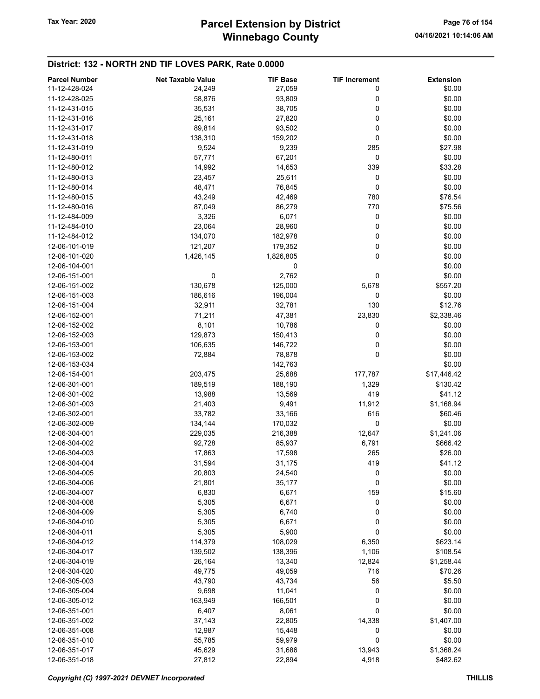## Winnebago County Tax Year: 2020 **Parcel Extension by District** Page 76 of 154

| <b>Parcel Number</b> | <b>Net Taxable Value</b> | <b>TIF Base</b> | <b>TIF Increment</b> | <b>Extension</b> |
|----------------------|--------------------------|-----------------|----------------------|------------------|
| 11-12-428-024        | 24,249                   | 27,059          | 0                    | \$0.00           |
| 11-12-428-025        | 58,876                   | 93,809          | 0                    | \$0.00           |
| 11-12-431-015        | 35,531                   | 38,705          | 0                    | \$0.00           |
| 11-12-431-016        | 25,161                   | 27,820          | 0                    | \$0.00           |
| 11-12-431-017        | 89,814                   | 93,502          | 0                    | \$0.00           |
| 11-12-431-018        | 138,310                  | 159,202         | 0                    | \$0.00           |
| 11-12-431-019        | 9,524                    | 9,239           | 285                  | \$27.98          |
| 11-12-480-011        | 57,771                   | 67,201          | 0                    | \$0.00           |
| 11-12-480-012        | 14,992                   | 14,653          | 339                  | \$33.28          |
| 11-12-480-013        | 23,457                   |                 | 0                    | \$0.00           |
| 11-12-480-014        |                          | 25,611          |                      |                  |
|                      | 48,471                   | 76,845          | 0                    | \$0.00           |
| 11-12-480-015        | 43,249                   | 42,469          | 780                  | \$76.54          |
| 11-12-480-016        | 87,049                   | 86,279          | 770                  | \$75.56          |
| 11-12-484-009        | 3,326                    | 6,071           | 0                    | \$0.00           |
| 11-12-484-010        | 23,064                   | 28,960          | 0                    | \$0.00           |
| 11-12-484-012        | 134,070                  | 182,978         | 0                    | \$0.00           |
| 12-06-101-019        | 121,207                  | 179,352         | 0                    | \$0.00           |
| 12-06-101-020        | 1,426,145                | 1,826,805       | 0                    | \$0.00           |
| 12-06-104-001        |                          | 0               |                      | \$0.00           |
| 12-06-151-001        | 0                        | 2,762           | 0                    | \$0.00           |
| 12-06-151-002        | 130,678                  | 125,000         | 5,678                | \$557.20         |
| 12-06-151-003        | 186,616                  | 196,004         | 0                    | \$0.00           |
| 12-06-151-004        | 32,911                   | 32,781          | 130                  | \$12.76          |
| 12-06-152-001        | 71,211                   | 47,381          | 23,830               | \$2,338.46       |
| 12-06-152-002        | 8,101                    | 10,786          | 0                    | \$0.00           |
| 12-06-152-003        | 129,873                  | 150,413         | 0                    | \$0.00           |
| 12-06-153-001        | 106,635                  | 146,722         | 0                    | \$0.00           |
| 12-06-153-002        | 72,884                   | 78,878          | 0                    | \$0.00           |
| 12-06-153-034        |                          | 142,763         |                      | \$0.00           |
| 12-06-154-001        | 203,475                  | 25,688          | 177,787              | \$17,446.42      |
| 12-06-301-001        | 189,519                  | 188,190         | 1,329                | \$130.42         |
| 12-06-301-002        | 13,988                   | 13,569          | 419                  | \$41.12          |
| 12-06-301-003        | 21,403                   | 9,491           | 11,912               | \$1,168.94       |
| 12-06-302-001        | 33,782                   | 33,166          | 616                  | \$60.46          |
| 12-06-302-009        | 134,144                  | 170,032         | 0                    | \$0.00           |
| 12-06-304-001        | 229,035                  | 216,388         | 12,647               | \$1,241.06       |
| 12-06-304-002        | 92,728                   | 85,937          | 6,791                | \$666.42         |
| 12-06-304-003        | 17,863                   | 17,598          | 265                  | \$26.00          |
| 12-06-304-004        | 31,594                   | 31,175          | 419                  | \$41.12          |
| 12-06-304-005        | 20,803                   | 24,540          | 0                    | \$0.00           |
| 12-06-304-006        | 21,801                   | 35,177          | 0                    | \$0.00           |
| 12-06-304-007        | 6,830                    | 6,671           | 159                  | \$15.60          |
| 12-06-304-008        | 5,305                    | 6,671           | 0                    | \$0.00           |
| 12-06-304-009        | 5,305                    | 6,740           | 0                    | \$0.00           |
| 12-06-304-010        | 5,305                    | 6,671           | 0                    | \$0.00           |
| 12-06-304-011        |                          |                 | 0                    | \$0.00           |
|                      | 5,305                    | 5,900           |                      | \$623.14         |
| 12-06-304-012        | 114,379                  | 108,029         | 6,350                |                  |
| 12-06-304-017        | 139,502                  | 138,396         | 1,106                | \$108.54         |
| 12-06-304-019        | 26,164                   | 13,340          | 12,824               | \$1,258.44       |
| 12-06-304-020        | 49,775                   | 49,059          | 716                  | \$70.26          |
| 12-06-305-003        | 43,790                   | 43,734          | 56                   | \$5.50           |
| 12-06-305-004        | 9,698                    | 11,041          | 0                    | \$0.00           |
| 12-06-305-012        | 163,949                  | 166,501         | 0                    | \$0.00           |
| 12-06-351-001        | 6,407                    | 8,061           | 0                    | \$0.00           |
| 12-06-351-002        | 37,143                   | 22,805          | 14,338               | \$1,407.00       |
| 12-06-351-008        | 12,987                   | 15,448          | 0                    | \$0.00           |
| 12-06-351-010        | 55,785                   | 59,979          | 0                    | \$0.00           |
| 12-06-351-017        | 45,629                   | 31,686          | 13,943               | \$1,368.24       |
| 12-06-351-018        | 27,812                   | 22,894          | 4,918                | \$482.62         |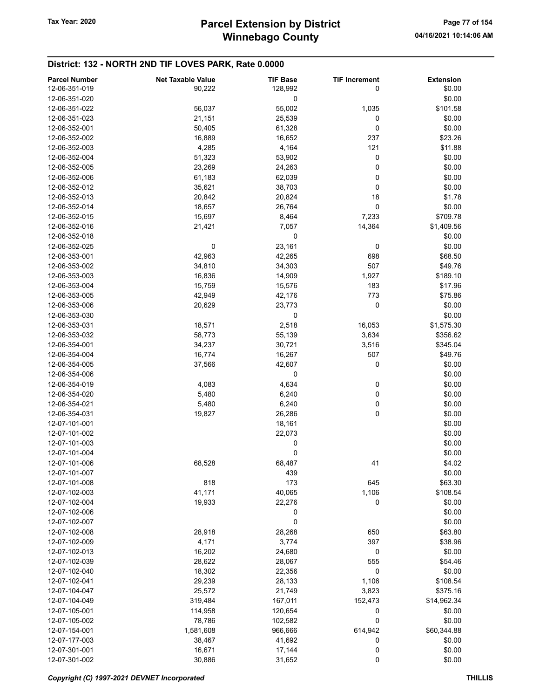| <b>Parcel Number</b> | <b>Net Taxable Value</b> | <b>TIF Base</b> | <b>TIF Increment</b> | <b>Extension</b> |
|----------------------|--------------------------|-----------------|----------------------|------------------|
| 12-06-351-019        | 90,222                   | 128,992         | 0                    | \$0.00           |
| 12-06-351-020        |                          | 0               |                      | \$0.00           |
| 12-06-351-022        | 56,037                   | 55,002          | 1,035                | \$101.58         |
| 12-06-351-023        | 21,151                   | 25,539          | 0                    | \$0.00           |
| 12-06-352-001        | 50,405                   | 61,328          | 0                    | \$0.00           |
| 12-06-352-002        | 16,889                   | 16,652          | 237                  | \$23.26          |
| 12-06-352-003        | 4,285                    | 4,164           | 121                  | \$11.88          |
| 12-06-352-004        | 51,323                   | 53,902          | 0                    | \$0.00           |
| 12-06-352-005        |                          |                 | 0                    | \$0.00           |
|                      | 23,269                   | 24,263          |                      |                  |
| 12-06-352-006        | 61,183                   | 62,039          | 0                    | \$0.00           |
| 12-06-352-012        | 35,621                   | 38,703          | 0                    | \$0.00           |
| 12-06-352-013        | 20,842                   | 20,824          | 18                   | \$1.78           |
| 12-06-352-014        | 18,657                   | 26,764          | 0                    | \$0.00           |
| 12-06-352-015        | 15,697                   | 8,464           | 7,233                | \$709.78         |
| 12-06-352-016        | 21,421                   | 7,057           | 14,364               | \$1,409.56       |
| 12-06-352-018        |                          | 0               |                      | \$0.00           |
| 12-06-352-025        | 0                        | 23,161          | 0                    | \$0.00           |
| 12-06-353-001        | 42,963                   | 42,265          | 698                  | \$68.50          |
| 12-06-353-002        | 34,810                   | 34,303          | 507                  | \$49.76          |
| 12-06-353-003        | 16,836                   | 14,909          | 1,927                | \$189.10         |
| 12-06-353-004        | 15,759                   | 15,576          | 183                  | \$17.96          |
| 12-06-353-005        | 42,949                   | 42,176          | 773                  | \$75.86          |
| 12-06-353-006        | 20,629                   | 23,773          | 0                    | \$0.00           |
| 12-06-353-030        |                          | 0               |                      | \$0.00           |
| 12-06-353-031        | 18,571                   | 2,518           | 16,053               | \$1,575.30       |
| 12-06-353-032        | 58,773                   | 55,139          | 3,634                | \$356.62         |
| 12-06-354-001        | 34,237                   | 30,721          | 3,516                | \$345.04         |
| 12-06-354-004        | 16,774                   | 16,267          | 507                  | \$49.76          |
| 12-06-354-005        | 37,566                   | 42,607          | 0                    | \$0.00           |
| 12-06-354-006        |                          | 0               |                      | \$0.00           |
| 12-06-354-019        | 4,083                    | 4,634           | 0                    | \$0.00           |
| 12-06-354-020        | 5,480                    | 6,240           | 0                    | \$0.00           |
| 12-06-354-021        | 5,480                    | 6,240           | 0                    | \$0.00           |
| 12-06-354-031        |                          |                 | 0                    | \$0.00           |
| 12-07-101-001        | 19,827                   | 26,286          |                      |                  |
|                      |                          | 18,161          |                      | \$0.00           |
| 12-07-101-002        |                          | 22,073          |                      | \$0.00           |
| 12-07-101-003        |                          | 0               |                      | \$0.00           |
| 12-07-101-004        |                          | 0               |                      | \$0.00           |
| 12-07-101-006        | 68,528                   | 68,487          | 41                   | \$4.02           |
| 12-07-101-007        |                          | 439             |                      | \$0.00           |
| 12-07-101-008        | 818                      | 173             | 645                  | \$63.30          |
| 12-07-102-003        | 41,171                   | 40,065          | 1,106                | \$108.54         |
| 12-07-102-004        | 19,933                   | 22,276          | 0                    | \$0.00           |
| 12-07-102-006        |                          | 0               |                      | \$0.00           |
| 12-07-102-007        |                          | 0               |                      | \$0.00           |
| 12-07-102-008        | 28,918                   | 28,268          | 650                  | \$63.80          |
| 12-07-102-009        | 4,171                    | 3,774           | 397                  | \$38.96          |
| 12-07-102-013        | 16,202                   | 24,680          | 0                    | \$0.00           |
| 12-07-102-039        | 28,622                   | 28,067          | 555                  | \$54.46          |
| 12-07-102-040        | 18,302                   | 22,356          | 0                    | \$0.00           |
| 12-07-102-041        | 29,239                   | 28,133          | 1,106                | \$108.54         |
| 12-07-104-047        | 25,572                   | 21,749          | 3,823                | \$375.16         |
| 12-07-104-049        | 319,484                  | 167,011         | 152,473              | \$14,962.34      |
| 12-07-105-001        | 114,958                  | 120,654         | 0                    | \$0.00           |
| 12-07-105-002        | 78,786                   | 102,582         | 0                    | \$0.00           |
| 12-07-154-001        | 1,581,608                | 966,666         | 614,942              | \$60,344.88      |
| 12-07-177-003        | 38,467                   | 41,692          | 0                    | \$0.00           |
| 12-07-301-001        | 16,671                   | 17,144          | 0                    | \$0.00           |
| 12-07-301-002        | 30,886                   | 31,652          | 0                    | \$0.00           |
|                      |                          |                 |                      |                  |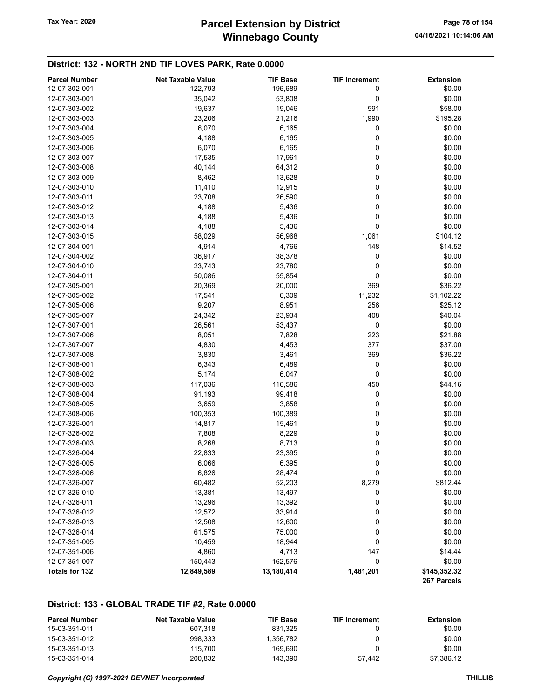# Winnebago County Tax Year: 2020 **Parcel Extension by District** Page 78 of 154

#### District: 132 - NORTH 2ND TIF LOVES PARK, Rate 0.0000

| <b>Parcel Number</b> | <b>Net Taxable Value</b> | <b>TIF Base</b> | <b>TIF Increment</b> | <b>Extension</b>            |
|----------------------|--------------------------|-----------------|----------------------|-----------------------------|
| 12-07-302-001        | 122,793                  | 196,689         | 0                    | \$0.00                      |
| 12-07-303-001        | 35,042                   | 53,808          | 0                    | \$0.00                      |
| 12-07-303-002        | 19,637                   | 19,046          | 591                  | \$58.00                     |
| 12-07-303-003        | 23,206                   | 21,216          | 1,990                | \$195.28                    |
| 12-07-303-004        | 6,070                    | 6,165           | 0                    | \$0.00                      |
| 12-07-303-005        | 4,188                    | 6,165           | 0                    | \$0.00                      |
| 12-07-303-006        | 6,070                    | 6,165           | 0                    | \$0.00                      |
| 12-07-303-007        | 17,535                   | 17,961          | 0                    | \$0.00                      |
| 12-07-303-008        | 40,144                   | 64,312          | 0                    | \$0.00                      |
| 12-07-303-009        | 8,462                    | 13,628          | 0                    | \$0.00                      |
| 12-07-303-010        | 11,410                   | 12,915          | 0                    | \$0.00                      |
| 12-07-303-011        | 23,708                   | 26,590          | 0                    | \$0.00                      |
| 12-07-303-012        | 4,188                    | 5,436           | 0                    | \$0.00                      |
| 12-07-303-013        | 4,188                    | 5,436           | 0                    | \$0.00                      |
| 12-07-303-014        | 4,188                    | 5,436           | 0                    | \$0.00                      |
| 12-07-303-015        | 58,029                   | 56,968          | 1,061                | \$104.12                    |
| 12-07-304-001        | 4,914                    | 4,766           | 148                  | \$14.52                     |
| 12-07-304-002        | 36,917                   | 38,378          | 0                    | \$0.00                      |
| 12-07-304-010        | 23,743                   | 23,780          | 0                    | \$0.00                      |
| 12-07-304-011        | 50,086                   | 55,854          | 0                    | \$0.00                      |
| 12-07-305-001        | 20,369                   | 20,000          | 369                  | \$36.22                     |
| 12-07-305-002        | 17,541                   | 6,309           | 11,232               | \$1,102.22                  |
| 12-07-305-006        | 9,207                    | 8,951           | 256                  | \$25.12                     |
| 12-07-305-007        | 24,342                   | 23,934          | 408                  | \$40.04                     |
| 12-07-307-001        | 26,561                   | 53,437          | 0                    | \$0.00                      |
| 12-07-307-006        | 8,051                    | 7,828           | 223                  | \$21.88                     |
| 12-07-307-007        | 4,830                    | 4,453           | 377                  | \$37.00                     |
| 12-07-307-008        | 3,830                    | 3,461           | 369                  | \$36.22                     |
| 12-07-308-001        | 6,343                    | 6,489           | 0                    | \$0.00                      |
| 12-07-308-002        | 5,174                    | 6,047           | 0                    | \$0.00                      |
| 12-07-308-003        | 117,036                  | 116,586         | 450                  | \$44.16                     |
| 12-07-308-004        | 91,193                   | 99,418          | 0                    | \$0.00                      |
| 12-07-308-005        | 3,659                    | 3,858           | 0                    | \$0.00                      |
| 12-07-308-006        | 100,353                  | 100,389         | 0                    | \$0.00                      |
| 12-07-326-001        | 14,817                   | 15,461          | 0                    | \$0.00                      |
| 12-07-326-002        | 7,808                    | 8,229           | 0                    | \$0.00                      |
| 12-07-326-003        | 8,268                    | 8,713           | 0                    | \$0.00                      |
| 12-07-326-004        | 22,833                   | 23,395          | 0                    | \$0.00                      |
| 12-07-326-005        | 6,066                    | 6,395           | 0                    | \$0.00                      |
| 12-07-326-006        | 6,826                    | 28,474          | 0                    | \$0.00                      |
| 12-07-326-007        | 60,482                   | 52,203          | 8,279                | \$812.44                    |
| 12-07-326-010        | 13,381                   | 13,497          | 0                    | \$0.00                      |
| 12-07-326-011        | 13,296                   | 13,392          | 0                    | \$0.00                      |
| 12-07-326-012        | 12,572                   | 33,914          | 0                    | \$0.00                      |
| 12-07-326-013        | 12,508                   | 12,600          | 0                    | \$0.00                      |
| 12-07-326-014        | 61,575                   | 75,000          | 0                    | \$0.00                      |
| 12-07-351-005        | 10,459                   | 18,944          | 0                    | \$0.00                      |
| 12-07-351-006        | 4,860                    | 4,713           | 147                  | \$14.44                     |
| 12-07-351-007        | 150,443                  | 162,576         | 0                    | \$0.00                      |
| Totals for 132       | 12,849,589               | 13,180,414      | 1,481,201            | \$145,352.32<br>267 Parcels |

#### District: 133 - GLOBAL TRADE TIF #2, Rate 0.0000

| <b>Parcel Number</b> | Net Taxable Value | <b>TIF Base</b> | <b>TIF Increment</b> | Extension  |
|----------------------|-------------------|-----------------|----------------------|------------|
| 15-03-351-011        | 607.318           | 831.325         |                      | \$0.00     |
| 15-03-351-012        | 998.333           | 1.356.782       |                      | \$0.00     |
| 15-03-351-013        | 115.700           | 169.690         |                      | \$0.00     |
| 15-03-351-014        | 200.832           | 143.390         | 57.442               | \$7.386.12 |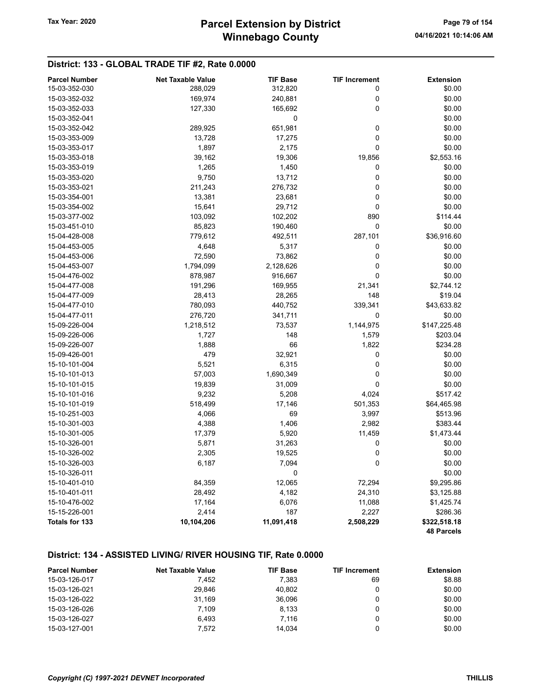### District: 133 - GLOBAL TRADE TIF #2, Rate 0.0000

| <b>Parcel Number</b> | <b>Net Taxable Value</b> | <b>TIF Base</b> | <b>TIF Increment</b> | <b>Extension</b>  |
|----------------------|--------------------------|-----------------|----------------------|-------------------|
| 15-03-352-030        | 288,029                  | 312,820         | 0                    | \$0.00            |
| 15-03-352-032        | 169,974                  | 240,881         | 0                    | \$0.00            |
| 15-03-352-033        | 127,330                  | 165,692         | 0                    | \$0.00            |
| 15-03-352-041        |                          | $\pmb{0}$       |                      | \$0.00            |
| 15-03-352-042        | 289,925                  | 651,981         | 0                    | \$0.00            |
| 15-03-353-009        | 13,728                   | 17,275          | $\pmb{0}$            | \$0.00            |
| 15-03-353-017        | 1,897                    | 2,175           | $\mathbf 0$          | \$0.00            |
| 15-03-353-018        | 39,162                   | 19,306          | 19,856               | \$2,553.16        |
| 15-03-353-019        | 1,265                    | 1,450           | 0                    | \$0.00            |
| 15-03-353-020        | 9,750                    | 13,712          | $\pmb{0}$            | \$0.00            |
| 15-03-353-021        | 211,243                  | 276,732         | 0                    | \$0.00            |
| 15-03-354-001        | 13,381                   | 23,681          | $\pmb{0}$            | \$0.00            |
| 15-03-354-002        | 15,641                   | 29,712          | 0                    | \$0.00            |
| 15-03-377-002        | 103,092                  | 102,202         | 890                  | \$114.44          |
| 15-03-451-010        | 85,823                   | 190,460         | $\pmb{0}$            | \$0.00            |
| 15-04-428-008        | 779,612                  | 492,511         | 287,101              | \$36,916.60       |
| 15-04-453-005        | 4,648                    | 5,317           | 0                    | \$0.00            |
| 15-04-453-006        | 72,590                   | 73,862          | 0                    | \$0.00            |
| 15-04-453-007        | 1,794,099                | 2,128,626       | 0                    | \$0.00            |
| 15-04-476-002        | 878,987                  | 916,667         | $\pmb{0}$            | \$0.00            |
| 15-04-477-008        | 191,296                  | 169,955         | 21,341               | \$2,744.12        |
| 15-04-477-009        | 28,413                   | 28,265          | 148                  | \$19.04           |
| 15-04-477-010        | 780,093                  | 440,752         | 339,341              | \$43,633.82       |
| 15-04-477-011        | 276,720                  | 341,711         | 0                    | \$0.00            |
| 15-09-226-004        | 1,218,512                | 73,537          | 1,144,975            | \$147,225.48      |
| 15-09-226-006        | 1,727                    | 148             | 1,579                | \$203.04          |
| 15-09-226-007        | 1,888                    | 66              | 1,822                | \$234.28          |
| 15-09-426-001        | 479                      | 32,921          | 0                    | \$0.00            |
| 15-10-101-004        | 5,521                    | 6,315           | 0                    | \$0.00            |
| 15-10-101-013        | 57,003                   | 1,690,349       | $\pmb{0}$            | \$0.00            |
| 15-10-101-015        | 19,839                   | 31,009          | 0                    | \$0.00            |
| 15-10-101-016        | 9,232                    | 5,208           | 4,024                | \$517.42          |
| 15-10-101-019        | 518,499                  | 17,146          | 501,353              | \$64,465.98       |
| 15-10-251-003        | 4,066                    | 69              | 3,997                | \$513.96          |
| 15-10-301-003        | 4,388                    | 1,406           | 2,982                | \$383.44          |
| 15-10-301-005        | 17,379                   | 5,920           | 11,459               | \$1,473.44        |
| 15-10-326-001        | 5,871                    | 31,263          | 0                    | \$0.00            |
| 15-10-326-002        | 2,305                    | 19,525          | 0                    | \$0.00            |
| 15-10-326-003        | 6,187                    | 7,094           | 0                    | \$0.00            |
| 15-10-326-011        |                          | 0               |                      | \$0.00            |
| 15-10-401-010        | 84,359                   | 12,065          | 72,294               | \$9,295.86        |
| 15-10-401-011        | 28,492                   | 4,182           | 24,310               | \$3,125.88        |
| 15-10-476-002        | 17,164                   | 6,076           | 11,088               | \$1,425.74        |
| 15-15-226-001        | 2,414                    | 187             | 2,227                | \$286.36          |
| Totals for 133       | 10,104,206               | 11,091,418      | 2,508,229            | \$322,518.18      |
|                      |                          |                 |                      | <b>48 Parcels</b> |

### District: 134 - ASSISTED LIVING/ RIVER HOUSING TIF, Rate 0.0000

| <b>Parcel Number</b> | <b>Net Taxable Value</b> | <b>TIF Base</b> | <b>TIF Increment</b> | <b>Extension</b> |
|----------------------|--------------------------|-----------------|----------------------|------------------|
| 15-03-126-017        | 7.452                    | 7.383           | 69                   | \$8.88           |
| 15-03-126-021        | 29.846                   | 40.802          |                      | \$0.00           |
| 15-03-126-022        | 31.169                   | 36.096          |                      | \$0.00           |
| 15-03-126-026        | 7.109                    | 8,133           |                      | \$0.00           |
| 15-03-126-027        | 6.493                    | 7.116           |                      | \$0.00           |
| 15-03-127-001        | 7.572                    | 14.034          |                      | \$0.00           |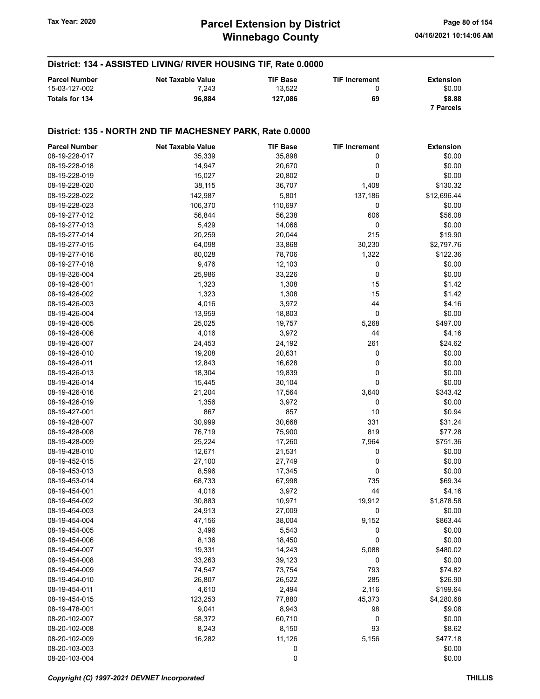District: 134 - ASSISTED LIVING/ RIVER HOUSING TIF, Rate 0.0000

#### Parcel Number **Net Taxable Value** TIF Base TIF Increment Extension 15-03-127-002 **13,000** 7,243 13,522 0 30.00 Totals for 134 96,884 127,086 69 \$8.88 7 Parcels District: 135 - NORTH 2ND TIF MACHESNEY PARK, Rate 0.0000 Parcel Number **Net Taxable Value** TIF Base TIF Increment Extension 08-19-228-017 35,339 35,898 0 \$0.00 08-19-228-018 **14,947** 20,670 0 \$0.00 08-19-228-019 15,027 20,802 0 \$0.00 08-19-228-020 38,115 36,707 1,408 \$130.32 08-19-228-022 142,987 5,801 137,186 \$12,696.44 08-19-228-023 106,370 110,697 0 \$0.00 08-19-277-012 56,844 56,844 56,238 606 \$56.08 08-19-277-013 5,429 5,429 14,066 0 0 \$0.00 08-19-277-014 20,259 20,044 215 \$19.90 08-19-277-015 64,098 33,868 30,230 \$2,797.76 08-19-277-016 80,028 78,706 1,322 \$122.36 08-19-277-018 **9,476** 12,103 0 \$0.00 08-19-326-004 25,986 33,226 0 \$0.00 08-19-426-001 1,323 1,308 15 \$1.42 08-19-426-002 1,323 1,323 1,308 15 \$1.42 08-19-426-003 4,016 4,016 3,972 44 54.16 08-19-426-004 13,959 18,803 0 \$0.00 08-19-426-005 25,025 19,757 5,268 \$497.00 08-19-426-006 **4,016** 4,016 3,972 44 **44** \$4.16 08-19-426-007 24,453 24,453 24,192 261 324.62 08-19-426-010 19,208 20,631 0 \$0.00 08-19-426-011 12,843 16,628 0 \$0.00 08-19-426-013 **18,304** 18,304 19,839 0 \$0.00 08-19-426-014 **15,445** 30,104 0 \$0.00 08-19-426-016 21,204 17,564 3,640 \$343.42 08-19-426-019 1,356 3,972 0 \$0.00 08-19-427-001 867 857 10 \$0.94 08-19-428-007 30,999 30,999 30,668 331 \$31.24 08-19-428-008 76,719 75,900 819 \$77.28 08-19-428-009 25,224 17,260 7,964 \$751.36 08-19-428-010 12,671 21,531 0 \$0.00 08-19-452-015 27,100 27,749 0 \$0.00 08-19-453-013 8,596 17,345 \$0.00 08-19-453-014 68,733 67,998 735 \$69.34 08-19-454-001 4,016 3,972 44 \$4.16 08-19-454-002 30,883 10,971 19,912 \$1,878.58 08-19-454-003 24,913 27,009 0 \$0.00 08-19-454-004 **47,156** 38,004 9,152 \$863.44 08-19-454-005 3,496 5,543 0 \$0.00 08-19-454-006 8,136 8,136 18,450 0 \$0.00 08-19-454-007 **19,331** 19,331 14,243 5,088 \$480.02 08-19-454-008 33,263 39,123 0 \$0.00 08-19-454-009 74,547 73,754 793 \$74.82 08-19-454-010 26,807 26,522 285 \$26.90 08-19-454-011 **4,610** 2,494 2,116 \$199.64 08-19-454-015 123,253 77,880 45,373 \$4,280.68 08-19-478-001 9,041 8,943 98 \$9.08 08-20-102-007 58,372 60,710 0 \$0.00 08-20-102-008 8,243 8,243 8,150 93 93 \$8.62 08-20-102-009 16,282 11,126 5,156 \$477.18 08-20-103-003 0 \$0.00  $08-20-103-004$  \$0.00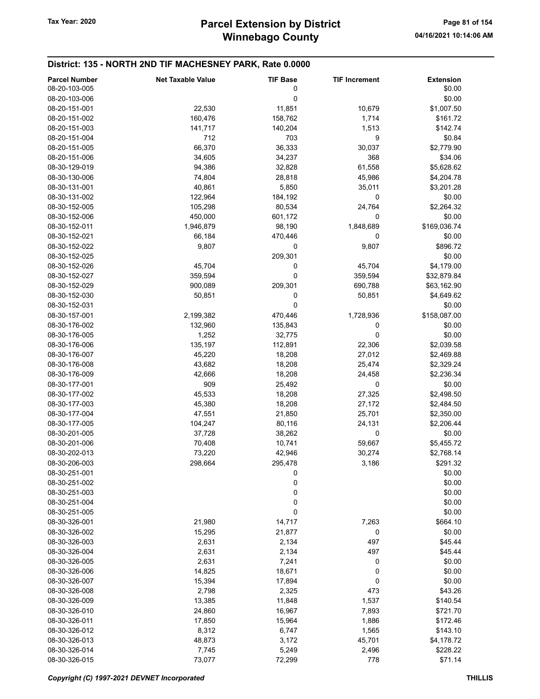### District: 135 - NORTH 2ND TIF MACHESNEY PARK, Rate 0.0000

| <b>Parcel Number</b> | <b>Net Taxable Value</b> | <b>TIF Base</b> | <b>TIF Increment</b> | <b>Extension</b> |
|----------------------|--------------------------|-----------------|----------------------|------------------|
| 08-20-103-005        |                          | 0               |                      | \$0.00           |
| 08-20-103-006        |                          | 0               |                      | \$0.00           |
| 08-20-151-001        | 22,530                   | 11,851          | 10,679               | \$1,007.50       |
| 08-20-151-002        | 160,476                  | 158,762         | 1,714                | \$161.72         |
| 08-20-151-003        | 141,717                  | 140,204         | 1,513                | \$142.74         |
| 08-20-151-004        | 712                      | 703             | 9                    | \$0.84           |
|                      |                          |                 |                      |                  |
| 08-20-151-005        | 66,370                   | 36,333          | 30,037               | \$2,779.90       |
| 08-20-151-006        | 34,605                   | 34,237          | 368                  | \$34.06          |
| 08-30-129-019        | 94,386                   | 32,828          | 61,558               | \$5,628.62       |
| 08-30-130-006        | 74,804                   | 28,818          | 45,986               | \$4,204.78       |
| 08-30-131-001        | 40,861                   | 5,850           | 35,011               | \$3,201.28       |
| 08-30-131-002        | 122,964                  | 184,192         | 0                    | \$0.00           |
| 08-30-152-005        | 105,298                  | 80,534          | 24,764               | \$2,264.32       |
| 08-30-152-006        | 450,000                  | 601,172         | 0                    | \$0.00           |
| 08-30-152-011        | 1,946,879                | 98,190          | 1,848,689            | \$169,036.74     |
| 08-30-152-021        | 66,184                   | 470,446         | 0                    | \$0.00           |
| 08-30-152-022        | 9,807                    | 0               | 9,807                | \$896.72         |
| 08-30-152-025        |                          | 209,301         |                      | \$0.00           |
| 08-30-152-026        | 45,704                   | 0               | 45,704               | \$4,179.00       |
| 08-30-152-027        | 359,594                  | 0               | 359,594              | \$32,879.84      |
| 08-30-152-029        | 900,089                  | 209,301         | 690,788              | \$63,162.90      |
| 08-30-152-030        | 50,851                   | 0               | 50,851               | \$4,649.62       |
| 08-30-152-031        |                          | 0               |                      | \$0.00           |
| 08-30-157-001        | 2,199,382                | 470,446         | 1,728,936            | \$158,087.00     |
| 08-30-176-002        | 132,960                  | 135,843         | 0                    | \$0.00           |
| 08-30-176-005        | 1,252                    | 32,775          | 0                    | \$0.00           |
| 08-30-176-006        | 135,197                  | 112,891         | 22,306               | \$2,039.58       |
| 08-30-176-007        | 45,220                   | 18,208          | 27,012               | \$2,469.88       |
| 08-30-176-008        | 43,682                   | 18,208          | 25,474               | \$2,329.24       |
| 08-30-176-009        | 42,666                   | 18,208          | 24,458               | \$2,236.34       |
| 08-30-177-001        | 909                      | 25,492          | 0                    | \$0.00           |
| 08-30-177-002        | 45,533                   | 18,208          | 27,325               | \$2,498.50       |
| 08-30-177-003        |                          |                 |                      |                  |
|                      | 45,380                   | 18,208          | 27,172               | \$2,484.50       |
| 08-30-177-004        | 47,551                   | 21,850          | 25,701               | \$2,350.00       |
| 08-30-177-005        | 104,247                  | 80,116          | 24,131               | \$2,206.44       |
| 08-30-201-005        | 37,728                   | 38,262          | 0                    | \$0.00           |
| 08-30-201-006        | 70,408                   | 10,741          | 59,667               | \$5,455.72       |
| 08-30-202-013        | 73,220                   | 42,946          | 30,274               | \$2,768.14       |
| 08-30-206-003        | 298,664                  | 295,478         | 3,186                | \$291.32         |
| 08-30-251-001        |                          | 0               |                      | \$0.00           |
| 08-30-251-002        |                          | 0               |                      | \$0.00           |
| 08-30-251-003        |                          | 0               |                      | \$0.00           |
| 08-30-251-004        |                          | 0               |                      | \$0.00           |
| 08-30-251-005        |                          | 0               |                      | \$0.00           |
| 08-30-326-001        | 21,980                   | 14,717          | 7,263                | \$664.10         |
| 08-30-326-002        | 15,295                   | 21,877          | 0                    | \$0.00           |
| 08-30-326-003        | 2,631                    | 2,134           | 497                  | \$45.44          |
| 08-30-326-004        | 2,631                    | 2,134           | 497                  | \$45.44          |
| 08-30-326-005        | 2,631                    | 7,241           | 0                    | \$0.00           |
| 08-30-326-006        | 14,825                   | 18,671          | 0                    | \$0.00           |
| 08-30-326-007        | 15,394                   | 17,894          | 0                    | \$0.00           |
| 08-30-326-008        | 2,798                    | 2,325           | 473                  | \$43.26          |
| 08-30-326-009        | 13,385                   | 11,848          | 1,537                | \$140.54         |
| 08-30-326-010        | 24,860                   | 16,967          | 7,893                | \$721.70         |
| 08-30-326-011        | 17,850                   | 15,964          | 1,886                | \$172.46         |
| 08-30-326-012        | 8,312                    | 6,747           | 1,565                | \$143.10         |
| 08-30-326-013        | 48,873                   | 3,172           | 45,701               | \$4,178.72       |
| 08-30-326-014        | 7,745                    | 5,249           | 2,496                | \$228.22         |
| 08-30-326-015        | 73,077                   | 72,299          | 778                  | \$71.14          |
|                      |                          |                 |                      |                  |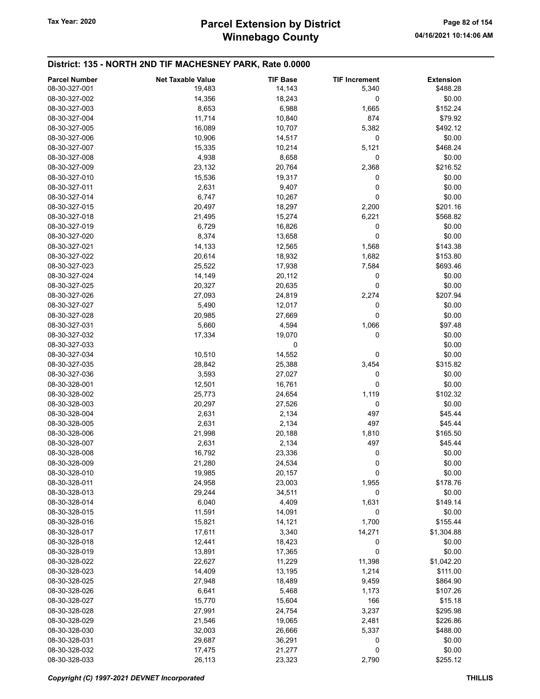### District: 135 - NORTH 2ND TIF MACHESNEY PARK, Rate 0.0000

| <b>Parcel Number</b>           | <b>Net Taxable Value</b> | <b>TIF Base</b>  | <b>TIF Increment</b> | <b>Extension</b>   |
|--------------------------------|--------------------------|------------------|----------------------|--------------------|
| 08-30-327-001                  | 19,483                   | 14,143           | 5,340                | \$488.28           |
| 08-30-327-002                  | 14,356                   | 18,243           | 0                    | \$0.00             |
| 08-30-327-003                  | 8,653                    | 6,988            | 1,665                | \$152.24           |
| 08-30-327-004                  | 11,714                   | 10,840           | 874                  | \$79.92            |
| 08-30-327-005                  | 16,089                   | 10,707           | 5,382                | \$492.12           |
| 08-30-327-006                  | 10,906                   | 14,517           | 0                    | \$0.00             |
| 08-30-327-007                  | 15,335                   | 10,214           | 5,121                | \$468.24           |
| 08-30-327-008                  | 4,938                    | 8,658            | 0                    | \$0.00             |
| 08-30-327-009                  | 23,132                   | 20,764           | 2,368                | \$216.52           |
| 08-30-327-010                  | 15,536                   | 19,317           | 0                    | \$0.00             |
| 08-30-327-011                  | 2,631                    | 9,407            | 0                    | \$0.00             |
| 08-30-327-014                  | 6,747                    | 10,267           | 0                    | \$0.00             |
| 08-30-327-015                  | 20,497                   | 18,297           | 2,200                | \$201.16           |
| 08-30-327-018                  | 21,495                   | 15,274           | 6,221                | \$568.82           |
| 08-30-327-019                  | 6,729                    | 16,826           | 0                    | \$0.00             |
| 08-30-327-020                  | 8,374                    | 13,658           | 0                    | \$0.00             |
| 08-30-327-021                  | 14,133                   | 12,565           | 1,568                | \$143.38           |
| 08-30-327-022                  | 20,614                   | 18,932           | 1,682                | \$153.80           |
| 08-30-327-023                  | 25,522                   | 17,938           | 7,584                | \$693.46           |
| 08-30-327-024                  | 14,149                   | 20,112           | 0                    | \$0.00             |
| 08-30-327-025                  | 20,327                   | 20,635           | 0                    | \$0.00             |
| 08-30-327-026                  | 27,093                   | 24,819           | 2,274                | \$207.94           |
| 08-30-327-027                  | 5,490                    | 12,017           | 0                    | \$0.00             |
| 08-30-327-028                  | 20,985                   | 27,669           | 0                    | \$0.00             |
| 08-30-327-031                  | 5,660                    | 4,594            | 1,066                | \$97.48            |
| 08-30-327-032                  | 17,334                   | 19,070           | 0                    | \$0.00             |
| 08-30-327-033                  |                          | 0                |                      | \$0.00             |
| 08-30-327-034                  | 10,510                   | 14,552           | 0                    | \$0.00             |
| 08-30-327-035                  | 28,842                   | 25,388           | 3,454                | \$315.82           |
| 08-30-327-036                  |                          |                  | 0                    |                    |
| 08-30-328-001                  | 3,593                    | 27,027           | 0                    | \$0.00<br>\$0.00   |
| 08-30-328-002                  | 12,501                   | 16,761           |                      |                    |
| 08-30-328-003                  | 25,773                   | 24,654           | 1,119<br>0           | \$102.32           |
| 08-30-328-004                  | 20,297                   | 27,526           | 497                  | \$0.00<br>\$45.44  |
| 08-30-328-005                  | 2,631<br>2,631           | 2,134<br>2,134   | 497                  | \$45.44            |
| 08-30-328-006                  | 21,998                   | 20,188           | 1,810                | \$165.50           |
| 08-30-328-007                  |                          |                  | 497                  | \$45.44            |
| 08-30-328-008                  | 2,631                    | 2,134            | 0                    | \$0.00             |
| 08-30-328-009                  | 16,792<br>21,280         | 23,336<br>24,534 | 0                    | \$0.00             |
| 08-30-328-010                  | 19,985                   | 20,157           | 0                    | \$0.00             |
| 08-30-328-011                  | 24,958                   | 23,003           | 1,955                | \$178.76           |
| 08-30-328-013                  |                          |                  | 0                    |                    |
| 08-30-328-014                  | 29,244<br>6,040          | 34,511<br>4,409  | 1,631                | \$0.00<br>\$149.14 |
| 08-30-328-015                  | 11,591                   | 14,091           | 0                    | \$0.00             |
| 08-30-328-016                  | 15,821                   |                  | 1,700                | \$155.44           |
| 08-30-328-017                  | 17,611                   | 14,121<br>3,340  | 14,271               | \$1,304.88         |
| 08-30-328-018                  | 12,441                   | 18,423           | 0                    | \$0.00             |
| 08-30-328-019                  |                          |                  | 0                    | \$0.00             |
| 08-30-328-022                  | 13,891<br>22,627         | 17,365<br>11,229 | 11,398               | \$1,042.20         |
|                                |                          |                  |                      |                    |
| 08-30-328-023<br>08-30-328-025 | 14,409                   | 13,195           | 1,214                | \$111.00           |
|                                | 27,948                   | 18,489           | 9,459                | \$864.90           |
| 08-30-328-026                  | 6,641                    | 5,468            | 1,173                | \$107.26           |
| 08-30-328-027                  | 15,770                   | 15,604           | 166                  | \$15.18            |
| 08-30-328-028                  | 27,991                   | 24,754           | 3,237                | \$295.98           |
| 08-30-328-029                  | 21,546                   | 19,065           | 2,481                | \$226.86           |
| 08-30-328-030                  | 32,003                   | 26,666           | 5,337                | \$488.00           |
| 08-30-328-031                  | 29,687                   | 36,291           | 0                    | \$0.00             |
| 08-30-328-032                  | 17,475                   | 21,277           | 0                    | \$0.00             |
| 08-30-328-033                  | 26,113                   | 23,323           | 2,790                | \$255.12           |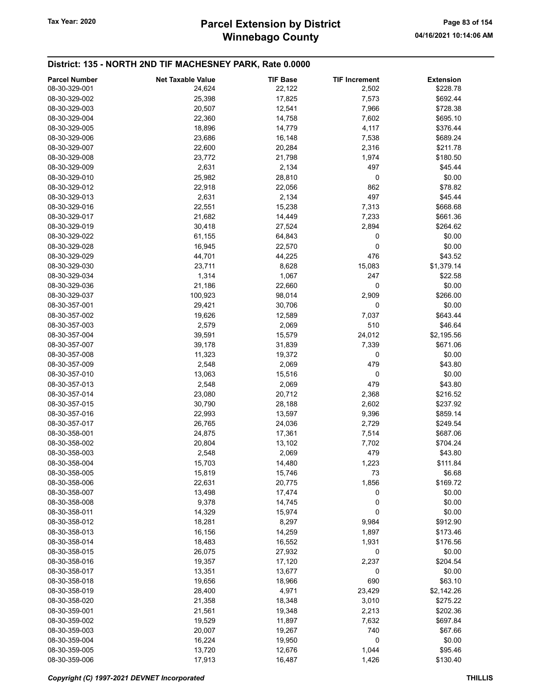## Winnebago County Tax Year: 2020 **Parcel Extension by District** Page 83 of 154

### District: 135 - NORTH 2ND TIF MACHESNEY PARK, Rate 0.0000

| <b>Parcel Number</b> | <b>Net Taxable Value</b> | <b>TIF Base</b> | <b>TIF Increment</b> | <b>Extension</b>    |
|----------------------|--------------------------|-----------------|----------------------|---------------------|
| 08-30-329-001        | 24,624                   | 22,122          | 2,502                | \$228.78            |
| 08-30-329-002        | 25,398                   | 17,825          | 7,573                | \$692.44            |
| 08-30-329-003        | 20,507                   | 12,541          | 7,966                | \$728.38            |
| 08-30-329-004        | 22,360                   | 14,758          | 7,602                | \$695.10            |
| 08-30-329-005        |                          | 14,779          |                      | \$376.44            |
|                      | 18,896                   |                 | 4,117                |                     |
| 08-30-329-006        | 23,686                   | 16,148          | 7,538                | \$689.24            |
| 08-30-329-007        | 22,600                   | 20,284          | 2,316                | \$211.78            |
| 08-30-329-008        | 23,772                   | 21,798          | 1,974                | \$180.50            |
| 08-30-329-009        | 2,631                    | 2,134           | 497                  | \$45.44             |
| 08-30-329-010        | 25,982                   | 28,810          | 0                    | \$0.00              |
| 08-30-329-012        | 22,918                   | 22,056          | 862                  | \$78.82             |
| 08-30-329-013        | 2,631                    | 2,134           | 497                  | \$45.44             |
| 08-30-329-016        | 22,551                   | 15,238          | 7,313                | \$668.68            |
| 08-30-329-017        | 21,682                   | 14,449          | 7,233                | \$661.36            |
| 08-30-329-019        | 30,418                   | 27,524          | 2,894                | \$264.62            |
| 08-30-329-022        | 61,155                   | 64,843          | 0                    | \$0.00              |
| 08-30-329-028        | 16,945                   | 22,570          | 0                    | \$0.00              |
| 08-30-329-029        | 44,701                   | 44,225          | 476                  | \$43.52             |
| 08-30-329-030        | 23,711                   | 8,628           | 15,083               | \$1,379.14          |
| 08-30-329-034        | 1,314                    | 1,067           | 247                  | \$22.58             |
| 08-30-329-036        | 21,186                   | 22,660          | 0                    | \$0.00              |
| 08-30-329-037        | 100,923                  | 98,014          | 2,909                | \$266.00            |
| 08-30-357-001        | 29,421                   | 30,706          | 0                    | \$0.00              |
| 08-30-357-002        | 19,626                   | 12,589          | 7,037                | \$643.44            |
| 08-30-357-003        | 2,579                    | 2,069           | 510                  | \$46.64             |
| 08-30-357-004        | 39,591                   | 15,579          | 24,012               | \$2,195.56          |
| 08-30-357-007        | 39,178                   | 31,839          | 7,339                | \$671.06            |
| 08-30-357-008        | 11,323                   | 19,372          | 0                    | \$0.00              |
| 08-30-357-009        | 2,548                    | 2,069           | 479                  | \$43.80             |
| 08-30-357-010        | 13,063                   | 15,516          | 0                    | \$0.00              |
| 08-30-357-013        | 2,548                    | 2,069           | 479                  | \$43.80             |
| 08-30-357-014        | 23,080                   | 20,712          | 2,368                | \$216.52            |
| 08-30-357-015        | 30,790                   | 28,188          | 2,602                | \$237.92            |
| 08-30-357-016        | 22,993                   | 13,597          | 9,396                | \$859.14            |
| 08-30-357-017        | 26,765                   | 24,036          | 2,729                | \$249.54            |
| 08-30-358-001        | 24,875                   | 17,361          | 7,514                | \$687.06            |
| 08-30-358-002        | 20,804                   | 13,102          | 7,702                | \$704.24            |
| 08-30-358-003        |                          |                 | 479                  |                     |
|                      | 2,548                    | 2,069           |                      | \$43.80<br>\$111.84 |
| 08-30-358-004        | 15,703                   | 14,480          | 1,223                |                     |
| 08-30-358-005        | 15,819                   | 15,746          | 73                   | \$6.68              |
| 08-30-358-006        | 22,631                   | 20,775          | 1,856                | \$169.72            |
| 08-30-358-007        | 13,498                   | 17,474          | 0                    | \$0.00              |
| 08-30-358-008        | 9,378                    | 14,745          | 0                    | \$0.00              |
| 08-30-358-011        | 14,329                   | 15,974          | 0                    | \$0.00              |
| 08-30-358-012        | 18,281                   | 8,297           | 9,984                | \$912.90            |
| 08-30-358-013        | 16,156                   | 14,259          | 1,897                | \$173.46            |
| 08-30-358-014        | 18,483                   | 16,552          | 1,931                | \$176.56            |
| 08-30-358-015        | 26,075                   | 27,932          | 0                    | \$0.00              |
| 08-30-358-016        | 19,357                   | 17,120          | 2,237                | \$204.54            |
| 08-30-358-017        | 13,351                   | 13,677          | 0                    | \$0.00              |
| 08-30-358-018        | 19,656                   | 18,966          | 690                  | \$63.10             |
| 08-30-358-019        | 28,400                   | 4,971           | 23,429               | \$2,142.26          |
| 08-30-358-020        | 21,358                   | 18,348          | 3,010                | \$275.22            |
| 08-30-359-001        | 21,561                   | 19,348          | 2,213                | \$202.36            |
| 08-30-359-002        | 19,529                   | 11,897          | 7,632                | \$697.84            |
| 08-30-359-003        | 20,007                   | 19,267          | 740                  | \$67.66             |
| 08-30-359-004        | 16,224                   | 19,950          | 0                    | \$0.00              |
| 08-30-359-005        | 13,720                   | 12,676          | 1,044                | \$95.46             |
| 08-30-359-006        | 17,913                   | 16,487          | 1,426                | \$130.40            |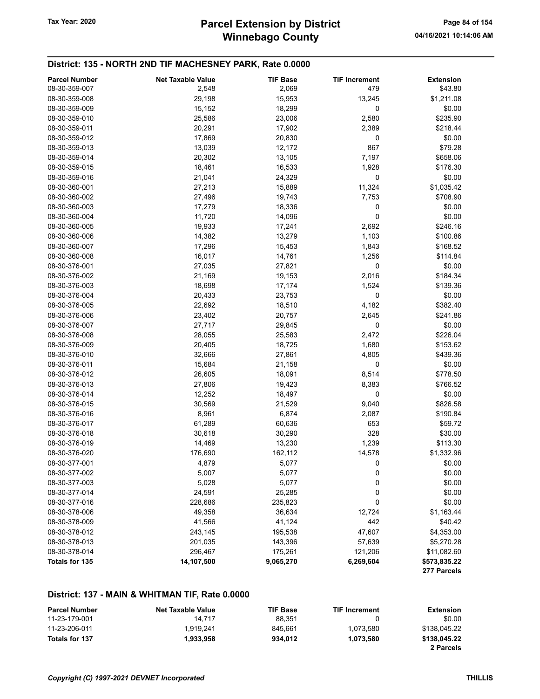#### District: 135 - NORTH 2ND TIF MACHESNEY PARK, Rate 0.0000

| <b>Parcel Number</b> | <b>Net Taxable Value</b> | <b>TIF Base</b> | <b>TIF Increment</b> | <b>Extension</b> |
|----------------------|--------------------------|-----------------|----------------------|------------------|
| 08-30-359-007        | 2,548                    | 2,069           | 479                  | \$43.80          |
| 08-30-359-008        | 29,198                   | 15,953          | 13,245               | \$1,211.08       |
| 08-30-359-009        | 15,152                   | 18,299          | 0                    | \$0.00           |
| 08-30-359-010        | 25,586                   | 23,006          | 2,580                | \$235.90         |
| 08-30-359-011        | 20,291                   | 17,902          | 2,389                | \$218.44         |
| 08-30-359-012        | 17,869                   | 20,830          | 0                    | \$0.00           |
| 08-30-359-013        | 13,039                   | 12,172          | 867                  | \$79.28          |
| 08-30-359-014        | 20,302                   | 13,105          | 7,197                | \$658.06         |
| 08-30-359-015        | 18,461                   | 16,533          | 1,928                | \$176.30         |
| 08-30-359-016        | 21,041                   | 24,329          | 0                    | \$0.00           |
| 08-30-360-001        | 27,213                   | 15,889          | 11,324               | \$1,035.42       |
| 08-30-360-002        | 27,496                   | 19,743          | 7,753                | \$708.90         |
| 08-30-360-003        | 17,279                   | 18,336          | 0                    | \$0.00           |
| 08-30-360-004        | 11,720                   | 14,096          | 0                    | \$0.00           |
| 08-30-360-005        | 19,933                   | 17,241          | 2,692                | \$246.16         |
| 08-30-360-006        | 14,382                   | 13,279          | 1,103                | \$100.86         |
| 08-30-360-007        | 17,296                   | 15,453          | 1,843                | \$168.52         |
| 08-30-360-008        | 16,017                   | 14,761          | 1,256                | \$114.84         |
| 08-30-376-001        | 27,035                   | 27,821          | $\pmb{0}$            | \$0.00           |
| 08-30-376-002        | 21,169                   | 19,153          | 2,016                | \$184.34         |
| 08-30-376-003        | 18,698                   | 17,174          | 1,524                | \$139.36         |
| 08-30-376-004        | 20,433                   | 23,753          | 0                    | \$0.00           |
| 08-30-376-005        | 22,692                   | 18,510          | 4,182                | \$382.40         |
| 08-30-376-006        | 23,402                   | 20,757          | 2,645                | \$241.86         |
| 08-30-376-007        | 27,717                   | 29,845          | 0                    | \$0.00           |
| 08-30-376-008        | 28,055                   | 25,583          | 2,472                | \$226.04         |
| 08-30-376-009        | 20,405                   | 18,725          | 1,680                | \$153.62         |
| 08-30-376-010        | 32,666                   | 27,861          | 4,805                | \$439.36         |
| 08-30-376-011        | 15,684                   | 21,158          | 0                    | \$0.00           |
| 08-30-376-012        | 26,605                   | 18,091          | 8,514                | \$778.50         |
| 08-30-376-013        | 27,806                   | 19,423          | 8,383                | \$766.52         |
| 08-30-376-014        | 12,252                   | 18,497          | 0                    | \$0.00           |
| 08-30-376-015        | 30,569                   | 21,529          | 9,040                | \$826.58         |
| 08-30-376-016        | 8,961                    | 6,874           | 2,087                | \$190.84         |
| 08-30-376-017        | 61,289                   | 60,636          | 653                  | \$59.72          |
| 08-30-376-018        | 30,618                   | 30,290          | 328                  | \$30.00          |
| 08-30-376-019        | 14,469                   | 13,230          | 1,239                | \$113.30         |
| 08-30-376-020        | 176,690                  | 162,112         | 14,578               | \$1,332.96       |
| 08-30-377-001        | 4,879                    | 5,077           | 0                    | \$0.00           |
| 08-30-377-002        | 5,007                    | 5,077           | $\boldsymbol{0}$     | \$0.00           |
| 08-30-377-003        | 5,028                    | 5,077           | 0                    | \$0.00           |
| 08-30-377-014        | 24,591                   | 25,285          | 0                    | \$0.00           |
| 08-30-377-016        | 228,686                  | 235,823         | 0                    | \$0.00           |
| 08-30-378-006        | 49,358                   | 36,634          | 12,724               | \$1,163.44       |
| 08-30-378-009        | 41,566                   | 41,124          | 442                  | \$40.42          |
| 08-30-378-012        | 243,145                  | 195,538         | 47,607               | \$4,353.00       |
| 08-30-378-013        | 201,035                  | 143,396         | 57,639               | \$5,270.28       |
| 08-30-378-014        | 296,467                  | 175,261         | 121,206              | \$11,082.60      |
| Totals for 135       | 14,107,500               | 9,065,270       | 6,269,604            | \$573,835.22     |
|                      |                          |                 |                      | 277 Parcels      |

#### District: 137 - MAIN & WHITMAN TIF, Rate 0.0000

| <b>Parcel Number</b> | <b>Net Taxable Value</b> | <b>TIF Base</b> | <b>TIF Increment</b> | Extension    |
|----------------------|--------------------------|-----------------|----------------------|--------------|
| 11-23-179-001        | 14.717                   | 88.351          |                      | \$0.00       |
| 11-23-206-011        | 1.919.241                | 845.661         | 1.073.580            | \$138,045.22 |
| Totals for 137       | 1.933.958                | 934.012         | 1.073.580            | \$138,045.22 |
|                      |                          |                 |                      | 2 Parcels    |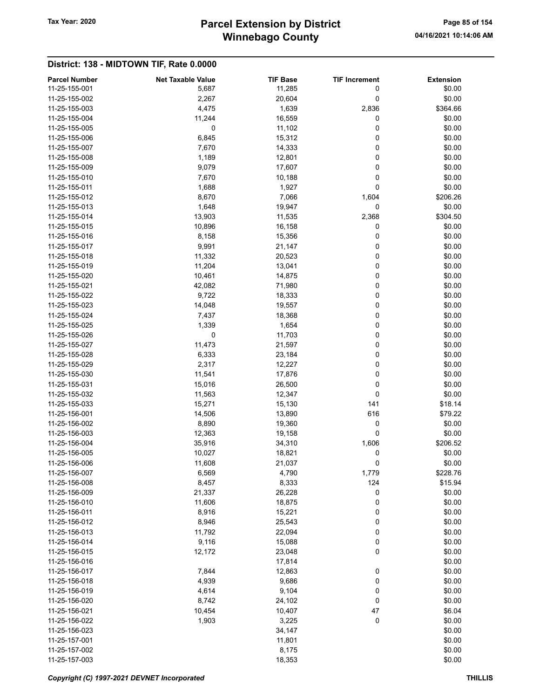## Winnebago County Tax Year: 2020 **Parcel Extension by District** Page 85 of 154

|                                       |                                   | <b>TIF Base</b> |                           |                            |
|---------------------------------------|-----------------------------------|-----------------|---------------------------|----------------------------|
| <b>Parcel Number</b><br>11-25-155-001 | <b>Net Taxable Value</b><br>5,687 | 11,285          | <b>TIF Increment</b><br>0 | <b>Extension</b><br>\$0.00 |
| 11-25-155-002                         | 2,267                             | 20,604          | 0                         | \$0.00                     |
| 11-25-155-003                         | 4,475                             | 1,639           | 2,836                     | \$364.66                   |
| 11-25-155-004                         | 11,244                            | 16,559          | 0                         | \$0.00                     |
| 11-25-155-005                         | 0                                 | 11,102          | 0                         | \$0.00                     |
| 11-25-155-006                         | 6,845                             | 15,312          | 0                         | \$0.00                     |
| 11-25-155-007                         | 7,670                             | 14,333          | 0                         | \$0.00                     |
| 11-25-155-008                         | 1,189                             | 12,801          | 0                         | \$0.00                     |
| 11-25-155-009                         | 9,079                             | 17,607          | 0                         | \$0.00                     |
| 11-25-155-010                         | 7,670                             | 10,188          | 0                         | \$0.00                     |
| 11-25-155-011                         | 1,688                             | 1,927           | 0                         | \$0.00                     |
| 11-25-155-012                         | 8,670                             | 7,066           | 1,604                     | \$206.26                   |
| 11-25-155-013                         | 1,648                             | 19,947          | 0                         | \$0.00                     |
| 11-25-155-014                         | 13,903                            | 11,535          | 2,368                     | \$304.50                   |
| 11-25-155-015                         | 10,896                            | 16,158          | 0                         | \$0.00                     |
| 11-25-155-016                         | 8,158                             | 15,356          | 0                         | \$0.00                     |
| 11-25-155-017                         | 9,991                             | 21,147          | 0                         | \$0.00                     |
| 11-25-155-018                         | 11,332                            | 20,523          | 0                         | \$0.00                     |
| 11-25-155-019                         | 11,204                            | 13,041          | 0                         | \$0.00                     |
| 11-25-155-020                         | 10,461                            | 14,875          | 0                         | \$0.00                     |
| 11-25-155-021                         | 42,082                            | 71,980          | 0                         | \$0.00                     |
| 11-25-155-022                         | 9,722                             | 18,333          | 0                         | \$0.00                     |
| 11-25-155-023                         | 14,048                            | 19,557          | 0                         | \$0.00                     |
| 11-25-155-024                         | 7,437                             | 18,368          | 0                         | \$0.00                     |
| 11-25-155-025                         | 1,339                             | 1,654           | 0                         | \$0.00                     |
| 11-25-155-026                         | 0                                 | 11,703          | 0                         | \$0.00                     |
| 11-25-155-027                         | 11,473                            | 21,597          | 0                         | \$0.00                     |
| 11-25-155-028                         | 6,333                             | 23,184          | 0                         | \$0.00                     |
| 11-25-155-029                         | 2,317                             | 12,227          | 0                         | \$0.00                     |
| 11-25-155-030                         | 11,541                            | 17,876          | 0                         | \$0.00                     |
| 11-25-155-031                         | 15,016                            | 26,500          | 0                         | \$0.00                     |
| 11-25-155-032                         | 11,563                            | 12,347          | 0                         | \$0.00                     |
| 11-25-155-033                         | 15,271                            | 15,130          | 141                       | \$18.14                    |
| 11-25-156-001                         | 14,506                            | 13,890          | 616                       | \$79.22                    |
| 11-25-156-002                         | 8,890                             | 19,360          | $\pmb{0}$                 | \$0.00                     |
| 11-25-156-003                         | 12,363                            | 19,158          | 0                         | \$0.00                     |
| 11-25-156-004                         | 35,916                            | 34,310          | 1,606                     | \$206.52                   |
| 11-25-156-005                         | 10,027                            | 18,821          | 0                         | \$0.00                     |
| 11-25-156-006                         | 11,608                            | 21,037          | 0                         | \$0.00                     |
| 11-25-156-007                         | 6,569                             | 4,790           | 1,779                     | \$228.76                   |
| 11-25-156-008                         | 8,457                             | 8,333           | 124                       | \$15.94                    |
| 11-25-156-009                         | 21,337                            | 26,228          | 0                         | \$0.00                     |
| 11-25-156-010                         | 11,606                            | 18,875          | 0                         | \$0.00                     |
| 11-25-156-011                         | 8,916                             | 15,221          | 0                         | \$0.00                     |
| 11-25-156-012                         | 8,946                             | 25,543          | 0                         | \$0.00                     |
| 11-25-156-013                         | 11,792                            | 22,094          | 0                         | \$0.00                     |
| 11-25-156-014                         | 9,116                             | 15,088          | 0                         | \$0.00                     |
| 11-25-156-015                         | 12,172                            | 23,048          | 0                         | \$0.00                     |
| 11-25-156-016                         |                                   | 17,814          |                           | \$0.00                     |
| 11-25-156-017                         | 7,844                             | 12,863          | 0                         | \$0.00                     |
| 11-25-156-018                         | 4,939                             | 9,686           | 0                         | \$0.00                     |
| 11-25-156-019                         | 4,614                             | 9,104           | 0                         | \$0.00                     |
| 11-25-156-020                         | 8,742                             | 24,102          | 0                         | \$0.00                     |
| 11-25-156-021                         | 10,454                            | 10,407          | 47                        | \$6.04                     |
| 11-25-156-022                         | 1,903                             | 3,225           | 0                         | \$0.00                     |
| 11-25-156-023                         |                                   | 34,147          |                           | \$0.00                     |
| 11-25-157-001                         |                                   | 11,801          |                           | \$0.00                     |
| 11-25-157-002                         |                                   | 8,175           |                           | \$0.00                     |
| 11-25-157-003                         |                                   | 18,353          |                           | \$0.00                     |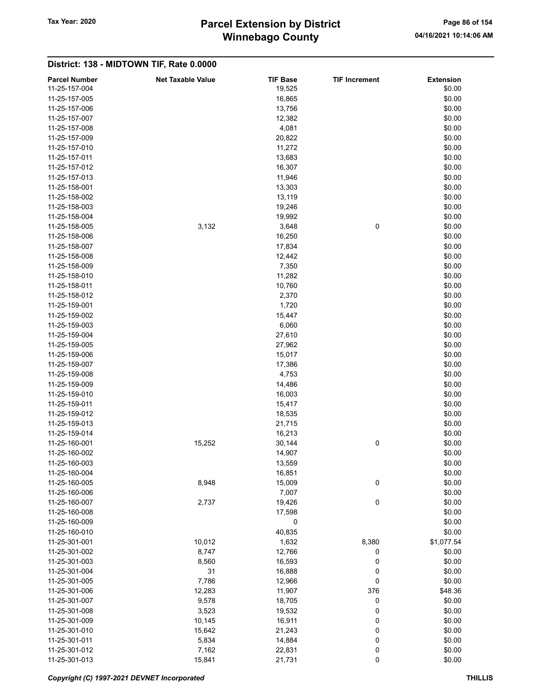## Winnebago County Tax Year: 2020 **Parcel Extension by District** Page 86 of 154

| <b>Parcel Number</b> | <b>Net Taxable Value</b> | <b>TIF Base</b> | <b>TIF Increment</b> | <b>Extension</b> |
|----------------------|--------------------------|-----------------|----------------------|------------------|
| 11-25-157-004        |                          | 19,525          |                      | \$0.00           |
| 11-25-157-005        |                          | 16,865          |                      | \$0.00           |
| 11-25-157-006        |                          | 13,756          |                      | \$0.00           |
| 11-25-157-007        |                          | 12,382          |                      | \$0.00           |
| 11-25-157-008        |                          | 4,081           |                      | \$0.00           |
|                      |                          |                 |                      |                  |
| 11-25-157-009        |                          | 20,822          |                      | \$0.00           |
| 11-25-157-010        |                          | 11,272          |                      | \$0.00           |
| 11-25-157-011        |                          | 13,683          |                      | \$0.00           |
| 11-25-157-012        |                          | 16,307          |                      | \$0.00           |
| 11-25-157-013        |                          | 11,946          |                      | \$0.00           |
| 11-25-158-001        |                          | 13,303          |                      | \$0.00           |
| 11-25-158-002        |                          | 13,119          |                      | \$0.00           |
| 11-25-158-003        |                          | 19,246          |                      | \$0.00           |
| 11-25-158-004        |                          | 19,992          |                      | \$0.00           |
| 11-25-158-005        | 3,132                    | 3,648           | 0                    | \$0.00           |
| 11-25-158-006        |                          | 16,250          |                      | \$0.00           |
| 11-25-158-007        |                          | 17,834          |                      | \$0.00           |
| 11-25-158-008        |                          | 12,442          |                      | \$0.00           |
| 11-25-158-009        |                          | 7,350           |                      | \$0.00           |
| 11-25-158-010        |                          | 11,282          |                      |                  |
|                      |                          |                 |                      | \$0.00           |
| 11-25-158-011        |                          | 10,760          |                      | \$0.00           |
| 11-25-158-012        |                          | 2,370           |                      | \$0.00           |
| 11-25-159-001        |                          | 1,720           |                      | \$0.00           |
| 11-25-159-002        |                          | 15,447          |                      | \$0.00           |
| 11-25-159-003        |                          | 6,060           |                      | \$0.00           |
| 11-25-159-004        |                          | 27,610          |                      | \$0.00           |
| 11-25-159-005        |                          | 27,962          |                      | \$0.00           |
| 11-25-159-006        |                          | 15,017          |                      | \$0.00           |
| 11-25-159-007        |                          | 17,386          |                      | \$0.00           |
| 11-25-159-008        |                          | 4,753           |                      | \$0.00           |
| 11-25-159-009        |                          | 14,486          |                      | \$0.00           |
| 11-25-159-010        |                          | 16,003          |                      | \$0.00           |
| 11-25-159-011        |                          | 15,417          |                      | \$0.00           |
| 11-25-159-012        |                          | 18,535          |                      | \$0.00           |
| 11-25-159-013        |                          | 21,715          |                      | \$0.00           |
| 11-25-159-014        |                          | 16,213          |                      | \$0.00           |
| 11-25-160-001        | 15,252                   |                 |                      |                  |
|                      |                          | 30,144          | 0                    | \$0.00           |
| 11-25-160-002        |                          | 14,907          |                      | \$0.00           |
| 11-25-160-003        |                          | 13,559          |                      | \$0.00           |
| 11-25-160-004        |                          | 16,851          |                      | \$0.00           |
| 11-25-160-005        | 8,948                    | 15,009          | 0                    | \$0.00           |
| 11-25-160-006        |                          | 7,007           |                      | \$0.00           |
| 11-25-160-007        | 2,737                    | 19,426          | 0                    | \$0.00           |
| 11-25-160-008        |                          | 17,598          |                      | \$0.00           |
| 11-25-160-009        |                          | 0               |                      | \$0.00           |
| 11-25-160-010        |                          | 40,835          |                      | \$0.00           |
| 11-25-301-001        | 10,012                   | 1,632           | 8,380                | \$1,077.54       |
| 11-25-301-002        | 8,747                    | 12,766          | 0                    | \$0.00           |
| 11-25-301-003        | 8,560                    | 16,593          | 0                    | \$0.00           |
| 11-25-301-004        | 31                       | 16,888          | 0                    | \$0.00           |
| 11-25-301-005        | 7,786                    | 12,966          | $\pmb{0}$            | \$0.00           |
| 11-25-301-006        | 12,283                   | 11,907          | 376                  | \$48.36          |
| 11-25-301-007        | 9,578                    | 18,705          | 0                    | \$0.00           |
|                      |                          |                 |                      |                  |
| 11-25-301-008        | 3,523                    | 19,532          | 0                    | \$0.00           |
| 11-25-301-009        | 10,145                   | 16,911          | 0                    | \$0.00           |
| 11-25-301-010        | 15,642                   | 21,243          | 0                    | \$0.00           |
| 11-25-301-011        | 5,834                    | 14,884          | 0                    | \$0.00           |
| 11-25-301-012        | 7,162                    | 22,831          | 0                    | \$0.00           |
| 11-25-301-013        | 15,841                   | 21,731          | 0                    | \$0.00           |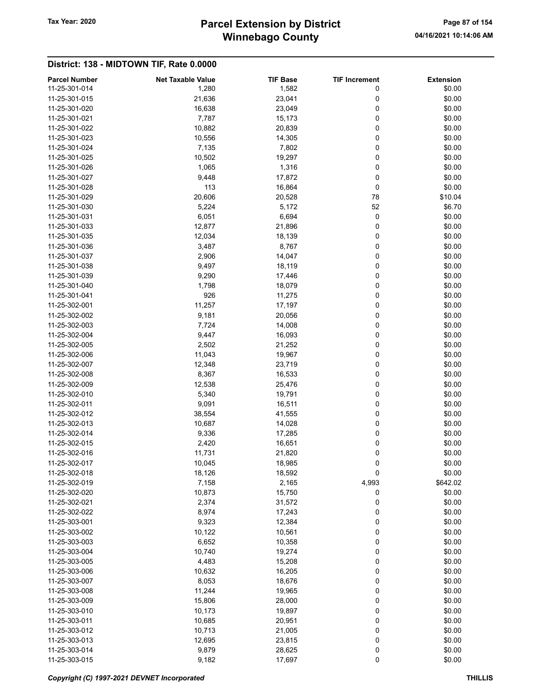## Winnebago County Tax Year: 2020 **Parcel Extension by District** Page 87 of 154

|                                       |                                   | <b>TIF Base</b> |                           |                            |
|---------------------------------------|-----------------------------------|-----------------|---------------------------|----------------------------|
| <b>Parcel Number</b><br>11-25-301-014 | <b>Net Taxable Value</b><br>1,280 | 1,582           | <b>TIF Increment</b><br>0 | <b>Extension</b><br>\$0.00 |
|                                       | 21,636                            |                 | 0                         |                            |
| 11-25-301-015                         |                                   | 23,041          | 0                         | \$0.00                     |
| 11-25-301-020                         | 16,638                            | 23,049          |                           | \$0.00                     |
| 11-25-301-021                         | 7,787                             | 15,173          | 0                         | \$0.00                     |
| 11-25-301-022                         | 10,882                            | 20,839          | 0                         | \$0.00                     |
| 11-25-301-023                         | 10,556                            | 14,305          | 0                         | \$0.00                     |
| 11-25-301-024                         | 7,135                             | 7,802           | 0                         | \$0.00                     |
| 11-25-301-025                         | 10,502                            | 19,297          | 0                         | \$0.00                     |
| 11-25-301-026                         | 1,065                             | 1,316           | 0                         | \$0.00                     |
| 11-25-301-027                         | 9,448                             | 17,872          | 0                         | \$0.00                     |
| 11-25-301-028                         | 113                               | 16,864          | 0                         | \$0.00                     |
| 11-25-301-029                         | 20,606                            | 20,528          | 78                        | \$10.04                    |
| 11-25-301-030                         | 5,224                             | 5,172           | 52                        | \$6.70                     |
| 11-25-301-031                         | 6,051                             | 6,694           | 0                         | \$0.00                     |
| 11-25-301-033                         | 12,877                            | 21,896          | 0                         | \$0.00                     |
| 11-25-301-035                         | 12,034                            | 18,139          | 0                         | \$0.00                     |
| 11-25-301-036                         | 3,487                             | 8,767           | 0                         | \$0.00                     |
| 11-25-301-037                         | 2,906                             | 14,047          | 0                         | \$0.00                     |
| 11-25-301-038                         | 9,497                             | 18,119          | 0                         | \$0.00                     |
| 11-25-301-039                         | 9,290                             | 17,446          | 0                         | \$0.00                     |
| 11-25-301-040                         | 1,798                             | 18,079          | 0                         | \$0.00                     |
| 11-25-301-041                         | 926                               | 11,275          | 0                         | \$0.00                     |
| 11-25-302-001                         | 11,257                            | 17,197          | 0                         | \$0.00                     |
| 11-25-302-002                         | 9,181                             | 20,056          | 0                         | \$0.00                     |
| 11-25-302-003                         | 7,724                             | 14,008          | 0                         | \$0.00                     |
| 11-25-302-004                         | 9,447                             | 16,093          | 0                         | \$0.00                     |
| 11-25-302-005                         | 2,502                             | 21,252          | 0                         | \$0.00                     |
| 11-25-302-006                         | 11,043                            | 19,967          | 0                         | \$0.00                     |
| 11-25-302-007                         | 12,348                            | 23,719          | 0                         | \$0.00                     |
| 11-25-302-008                         | 8,367                             | 16,533          | 0                         | \$0.00                     |
| 11-25-302-009                         | 12,538                            | 25,476          | 0                         | \$0.00                     |
| 11-25-302-010                         | 5,340                             | 19,791          | 0                         | \$0.00                     |
| 11-25-302-011                         | 9,091                             | 16,511          | 0                         | \$0.00                     |
| 11-25-302-012                         | 38,554                            | 41,555          | 0                         | \$0.00                     |
| 11-25-302-013                         | 10,687                            | 14,028          | 0                         | \$0.00                     |
| 11-25-302-014                         | 9,336                             | 17,285          | 0                         | \$0.00                     |
| 11-25-302-015                         | 2,420                             | 16,651          | 0                         | \$0.00                     |
| 11-25-302-016                         | 11,731                            | 21,820          | 0                         | \$0.00                     |
| 11-25-302-017                         | 10,045                            | 18,985          | 0                         | \$0.00                     |
| 11-25-302-018                         | 18,126                            | 18,592          | 0                         | \$0.00                     |
| 11-25-302-019                         | 7,158                             | 2,165           | 4,993                     | \$642.02                   |
| 11-25-302-020                         | 10,873                            | 15,750          | 0                         | \$0.00                     |
| 11-25-302-021                         | 2,374                             | 31,572          | 0                         | \$0.00                     |
| 11-25-302-022                         | 8,974                             | 17,243          | 0                         | \$0.00                     |
| 11-25-303-001                         | 9,323                             | 12,384          | 0                         | \$0.00                     |
| 11-25-303-002                         | 10,122                            | 10,561          | 0                         | \$0.00                     |
| 11-25-303-003                         | 6,652                             | 10,358          | 0                         | \$0.00                     |
| 11-25-303-004                         | 10,740                            | 19,274          | 0                         | \$0.00                     |
| 11-25-303-005                         | 4,483                             | 15,208          | 0                         | \$0.00                     |
| 11-25-303-006                         |                                   |                 | 0                         |                            |
| 11-25-303-007                         | 10,632                            | 16,205          | 0                         | \$0.00<br>\$0.00           |
|                                       | 8,053                             | 18,676          |                           |                            |
| 11-25-303-008                         | 11,244                            | 19,965          | 0                         | \$0.00                     |
| 11-25-303-009                         | 15,806                            | 28,000          | 0                         | \$0.00                     |
| 11-25-303-010                         | 10,173                            | 19,897          | 0                         | \$0.00                     |
| 11-25-303-011                         | 10,685                            | 20,951          | 0                         | \$0.00                     |
| 11-25-303-012                         | 10,713                            | 21,005          | 0                         | \$0.00                     |
| 11-25-303-013                         | 12,695                            | 23,815          | 0                         | \$0.00                     |
| 11-25-303-014                         | 9,879                             | 28,625          | 0                         | \$0.00                     |
| 11-25-303-015                         | 9,182                             | 17,697          | $\pmb{0}$                 | \$0.00                     |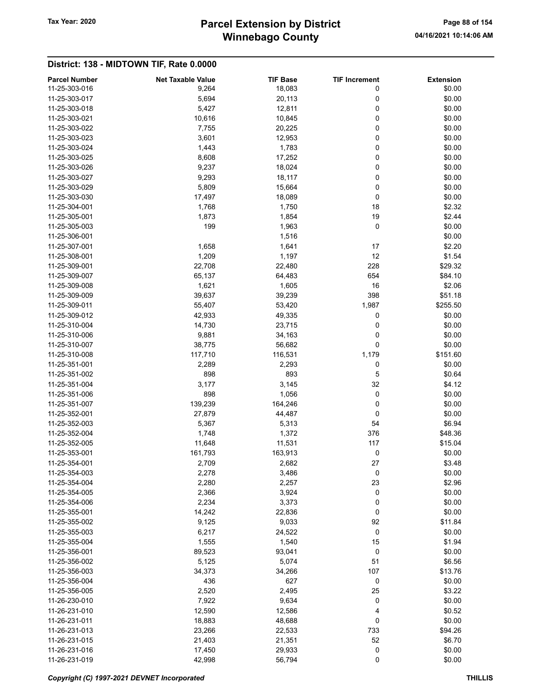## Winnebago County Tax Year: 2020 **Parcel Extension by District** Page 88 of 154

|                                       |                                   |                           |                           | <b>Extension</b> |
|---------------------------------------|-----------------------------------|---------------------------|---------------------------|------------------|
| <b>Parcel Number</b><br>11-25-303-016 | <b>Net Taxable Value</b><br>9,264 | <b>TIF Base</b><br>18,083 | <b>TIF Increment</b><br>0 | \$0.00           |
| 11-25-303-017                         | 5,694                             | 20,113                    |                           | \$0.00           |
| 11-25-303-018                         |                                   |                           | 0<br>0                    |                  |
|                                       | 5,427                             | 12,811                    |                           | \$0.00           |
| 11-25-303-021                         | 10,616                            | 10,845                    | 0                         | \$0.00           |
| 11-25-303-022                         | 7,755                             | 20,225                    | 0                         | \$0.00           |
| 11-25-303-023                         | 3,601                             | 12,953                    | 0                         | \$0.00           |
| 11-25-303-024                         | 1,443                             | 1,783                     | 0                         | \$0.00           |
| 11-25-303-025                         | 8,608                             | 17,252                    | 0                         | \$0.00           |
| 11-25-303-026                         | 9,237                             | 18,024                    | 0                         | \$0.00           |
| 11-25-303-027                         | 9,293                             | 18,117                    | 0                         | \$0.00           |
| 11-25-303-029                         | 5,809                             | 15,664                    | 0                         | \$0.00           |
| 11-25-303-030                         | 17,497                            | 18,089                    | 0                         | \$0.00           |
| 11-25-304-001                         | 1,768                             | 1,750                     | 18                        | \$2.32           |
| 11-25-305-001                         | 1,873                             | 1,854                     | 19                        | \$2.44           |
| 11-25-305-003                         | 199                               | 1,963                     | 0                         | \$0.00           |
| 11-25-306-001                         |                                   | 1,516                     |                           | \$0.00           |
| 11-25-307-001                         | 1,658                             | 1,641                     | 17                        | \$2.20           |
| 11-25-308-001                         | 1,209                             | 1,197                     | 12                        | \$1.54           |
| 11-25-309-001                         | 22,708                            | 22,480                    | 228                       | \$29.32          |
| 11-25-309-007                         | 65,137                            | 64,483                    | 654                       | \$84.10          |
| 11-25-309-008                         | 1,621                             | 1,605                     | 16                        | \$2.06           |
| 11-25-309-009                         | 39,637                            | 39,239                    | 398                       | \$51.18          |
| 11-25-309-011                         | 55,407                            | 53,420                    | 1,987                     | \$255.50         |
| 11-25-309-012                         | 42,933                            | 49,335                    | 0                         | \$0.00           |
| 11-25-310-004                         | 14,730                            | 23,715                    | 0                         | \$0.00           |
| 11-25-310-006                         | 9,881                             | 34,163                    | 0                         | \$0.00           |
| 11-25-310-007                         | 38,775                            | 56,682                    | 0                         | \$0.00           |
| 11-25-310-008                         | 117,710                           | 116,531                   | 1,179                     | \$151.60         |
| 11-25-351-001                         | 2,289                             | 2,293                     | 0                         | \$0.00           |
| 11-25-351-002                         | 898                               | 893                       | 5                         | \$0.64           |
| 11-25-351-004                         | 3,177                             | 3,145                     | 32                        | \$4.12           |
| 11-25-351-006                         | 898                               | 1,056                     | 0                         | \$0.00           |
| 11-25-351-007                         | 139,239                           | 164,246                   | 0                         | \$0.00           |
| 11-25-352-001                         | 27,879                            | 44,487                    | 0                         | \$0.00           |
| 11-25-352-003                         | 5,367                             | 5,313                     | 54                        | \$6.94           |
| 11-25-352-004                         | 1,748                             | 1,372                     | 376                       | \$48.36          |
| 11-25-352-005                         | 11,648                            | 11,531                    | 117                       | \$15.04          |
| 11-25-353-001                         | 161,793                           | 163,913                   | 0                         | \$0.00           |
|                                       |                                   |                           |                           |                  |
| 11-25-354-001<br>11-25-354-003        | 2,709                             | 2,682                     | 27                        | \$3.48           |
| 11-25-354-004                         | 2,278<br>2,280                    | 3,486<br>2,257            | 0<br>23                   | \$0.00<br>\$2.96 |
|                                       |                                   |                           |                           |                  |
| 11-25-354-005                         | 2,366                             | 3,924                     | 0                         | \$0.00           |
| 11-25-354-006                         | 2,234                             | 3,373                     | 0                         | \$0.00           |
| 11-25-355-001                         | 14,242                            | 22,836                    | 0                         | \$0.00           |
| 11-25-355-002                         | 9,125                             | 9,033                     | 92                        | \$11.84          |
| 11-25-355-003                         | 6,217                             | 24,522                    | 0                         | \$0.00           |
| 11-25-355-004                         | 1,555                             | 1,540                     | 15                        | \$1.94           |
| 11-25-356-001                         | 89,523                            | 93,041                    | 0                         | \$0.00           |
| 11-25-356-002                         | 5,125                             | 5,074                     | 51                        | \$6.56           |
| 11-25-356-003                         | 34,373                            | 34,266                    | 107                       | \$13.76          |
| 11-25-356-004                         | 436                               | 627                       | 0                         | \$0.00           |
| 11-25-356-005                         | 2,520                             | 2,495                     | 25                        | \$3.22           |
| 11-26-230-010                         | 7,922                             | 9,634                     | 0                         | \$0.00           |
| 11-26-231-010                         | 12,590                            | 12,586                    | 4                         | \$0.52           |
| 11-26-231-011                         | 18,883                            | 48,688                    | 0                         | \$0.00           |
| 11-26-231-013                         | 23,266                            | 22,533                    | 733                       | \$94.26          |
| 11-26-231-015                         | 21,403                            | 21,351                    | 52                        | \$6.70           |
| 11-26-231-016                         | 17,450                            | 29,933                    | 0                         | \$0.00           |
| 11-26-231-019                         | 42,998                            | 56,794                    | 0                         | \$0.00           |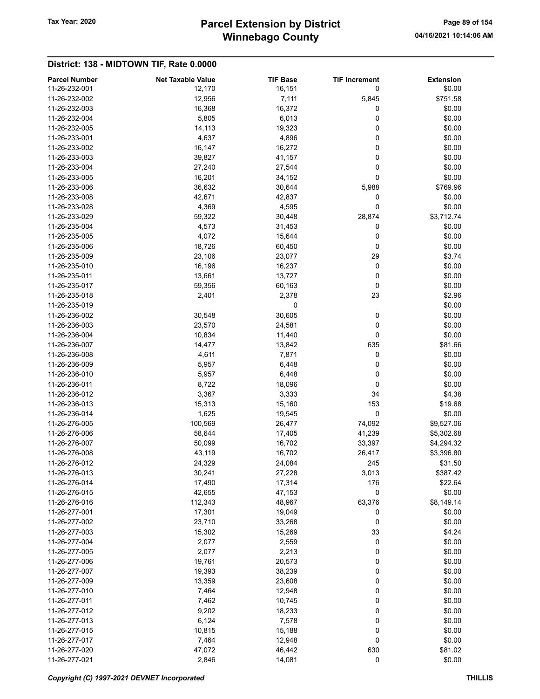## Winnebago County Tax Year: 2020 **Parcel Extension by District** Page 89 of 154

| <b>Parcel Number</b> | <b>Net Taxable Value</b> | <b>TIF Base</b> | <b>TIF Increment</b> | <b>Extension</b> |
|----------------------|--------------------------|-----------------|----------------------|------------------|
| 11-26-232-001        | 12,170                   | 16,151          | 0                    | \$0.00           |
| 11-26-232-002        | 12,956                   | 7,111           | 5,845                | \$751.58         |
| 11-26-232-003        | 16,368                   | 16,372          | 0                    | \$0.00           |
| 11-26-232-004        | 5,805                    | 6,013           | 0                    | \$0.00           |
| 11-26-232-005        | 14,113                   | 19,323          | 0                    | \$0.00           |
| 11-26-233-001        | 4,637                    | 4,896           | 0                    | \$0.00           |
| 11-26-233-002        | 16,147                   | 16,272          | 0                    | \$0.00           |
| 11-26-233-003        | 39,827                   | 41,157          | 0                    | \$0.00           |
| 11-26-233-004        | 27,240                   | 27,544          | 0                    | \$0.00           |
| 11-26-233-005        | 16,201                   | 34,152          | 0                    | \$0.00           |
| 11-26-233-006        | 36,632                   | 30,644          | 5,988                | \$769.96         |
| 11-26-233-008        | 42,671                   | 42,837          | 0                    | \$0.00           |
| 11-26-233-028        | 4,369                    | 4,595           | 0                    | \$0.00           |
| 11-26-233-029        | 59,322                   | 30,448          | 28,874               | \$3,712.74       |
| 11-26-235-004        | 4,573                    | 31,453          | 0                    | \$0.00           |
| 11-26-235-005        | 4,072                    | 15,644          | 0                    | \$0.00           |
| 11-26-235-006        | 18,726                   | 60,450          | 0                    | \$0.00           |
| 11-26-235-009        | 23,106                   | 23,077          | 29                   | \$3.74           |
| 11-26-235-010        | 16,196                   | 16,237          | 0                    | \$0.00           |
| 11-26-235-011        | 13,661                   | 13,727          | 0                    | \$0.00           |
| 11-26-235-017        | 59,356                   | 60,163          | 0                    | \$0.00           |
| 11-26-235-018        | 2,401                    |                 | 23                   | \$2.96           |
| 11-26-235-019        |                          | 2,378           |                      | \$0.00           |
| 11-26-236-002        |                          | 0               |                      |                  |
|                      | 30,548                   | 30,605          | 0                    | \$0.00           |
| 11-26-236-003        | 23,570                   | 24,581          | 0                    | \$0.00           |
| 11-26-236-004        | 10,834                   | 11,440          | 0                    | \$0.00           |
| 11-26-236-007        | 14,477                   | 13,842          | 635                  | \$81.66          |
| 11-26-236-008        | 4,611                    | 7,871           | 0                    | \$0.00           |
| 11-26-236-009        | 5,957                    | 6,448           | 0                    | \$0.00           |
| 11-26-236-010        | 5,957                    | 6,448           | 0                    | \$0.00           |
| 11-26-236-011        | 8,722                    | 18,096          | 0                    | \$0.00           |
| 11-26-236-012        | 3,367                    | 3,333           | 34                   | \$4.38           |
| 11-26-236-013        | 15,313                   | 15,160          | 153                  | \$19.68          |
| 11-26-236-014        | 1,625                    | 19,545          | $\pmb{0}$            | \$0.00           |
| 11-26-276-005        | 100,569                  | 26,477          | 74,092               | \$9,527.06       |
| 11-26-276-006        | 58,644                   | 17,405          | 41,239               | \$5,302.68       |
| 11-26-276-007        | 50,099                   | 16,702          | 33,397               | \$4,294.32       |
| 11-26-276-008        | 43,119                   | 16,702          | 26,417               | \$3,396.80       |
| 11-26-276-012        | 24,329                   | 24,084          | 245                  | \$31.50          |
| 11-26-276-013        | 30,241                   | 27,228          | 3,013                | \$387.42         |
| 11-26-276-014        | 17,490                   | 17,314          | 176                  | \$22.64          |
| 11-26-276-015        | 42,655                   | 47,153          | 0                    | \$0.00           |
| 11-26-276-016        | 112,343                  | 48,967          | 63,376               | \$8,149.14       |
| 11-26-277-001        | 17,301                   | 19,049          | 0                    | \$0.00           |
| 11-26-277-002        | 23,710                   | 33,268          | 0                    | \$0.00           |
| 11-26-277-003        | 15,302                   | 15,269          | 33                   | \$4.24           |
| 11-26-277-004        | 2,077                    | 2,559           | 0                    | \$0.00           |
| 11-26-277-005        | 2,077                    | 2,213           | 0                    | \$0.00           |
| 11-26-277-006        | 19,761                   | 20,573          | 0                    | \$0.00           |
| 11-26-277-007        | 19,393                   | 38,239          | 0                    | \$0.00           |
| 11-26-277-009        | 13,359                   | 23,608          | 0                    | \$0.00           |
| 11-26-277-010        | 7,464                    | 12,948          | 0                    | \$0.00           |
| 11-26-277-011        | 7,462                    | 10,745          | 0                    | \$0.00           |
| 11-26-277-012        | 9,202                    | 18,233          | 0                    | \$0.00           |
| 11-26-277-013        | 6,124                    | 7,578           | 0                    | \$0.00           |
| 11-26-277-015        | 10,815                   | 15,188          | 0                    | \$0.00           |
| 11-26-277-017        | 7,464                    | 12,948          | 0                    | \$0.00           |
| 11-26-277-020        | 47,072                   | 46,442          | 630                  | \$81.02          |
| 11-26-277-021        | 2,846                    | 14,081          | 0                    | \$0.00           |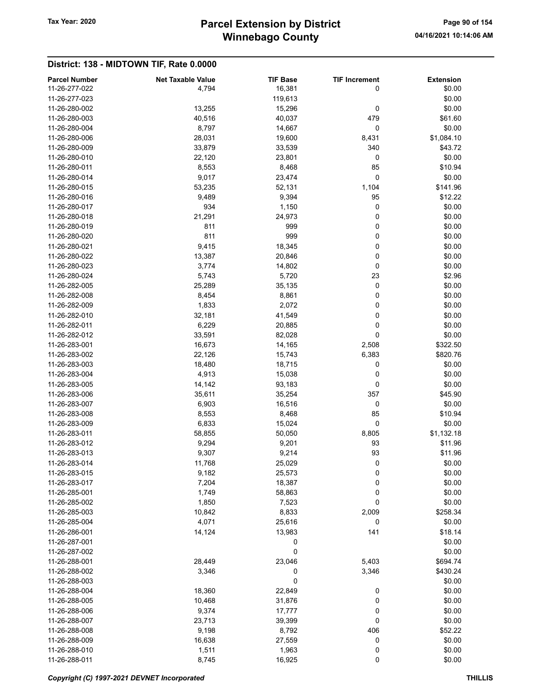## Winnebago County Tax Year: 2020 **Parcel Extension by District** Page 90 of 154

| <b>Parcel Number</b> | <b>Net Taxable Value</b> | <b>TIF Base</b> | <b>TIF Increment</b> | <b>Extension</b> |
|----------------------|--------------------------|-----------------|----------------------|------------------|
| 11-26-277-022        | 4,794                    | 16,381          | 0                    | \$0.00           |
| 11-26-277-023        |                          | 119,613         |                      | \$0.00           |
| 11-26-280-002        | 13,255                   | 15,296          | 0                    | \$0.00           |
| 11-26-280-003        | 40,516                   | 40,037          | 479                  | \$61.60          |
| 11-26-280-004        | 8,797                    | 14,667          | 0                    | \$0.00           |
| 11-26-280-006        | 28,031                   | 19,600          | 8,431                | \$1,084.10       |
| 11-26-280-009        | 33,879                   | 33,539          | 340                  | \$43.72          |
| 11-26-280-010        | 22,120                   | 23,801          | 0                    | \$0.00           |
| 11-26-280-011        | 8,553                    | 8,468           | 85                   | \$10.94          |
| 11-26-280-014        | 9,017                    | 23,474          | 0                    | \$0.00           |
| 11-26-280-015        | 53,235                   | 52,131          | 1,104                | \$141.96         |
| 11-26-280-016        | 9,489                    | 9,394           | 95                   | \$12.22          |
| 11-26-280-017        | 934                      | 1,150           | 0                    | \$0.00           |
| 11-26-280-018        | 21,291                   | 24,973          | 0                    | \$0.00           |
| 11-26-280-019        | 811                      | 999             | 0                    | \$0.00           |
| 11-26-280-020        | 811                      | 999             | 0                    | \$0.00           |
| 11-26-280-021        | 9,415                    | 18,345          | 0                    | \$0.00           |
| 11-26-280-022        | 13,387                   | 20,846          | 0                    | \$0.00           |
| 11-26-280-023        | 3,774                    | 14,802          | 0                    | \$0.00           |
| 11-26-280-024        | 5,743                    | 5,720           | 23                   | \$2.96           |
| 11-26-282-005        | 25,289                   | 35,135          | 0                    | \$0.00           |
| 11-26-282-008        | 8,454                    | 8,861           | 0                    | \$0.00           |
| 11-26-282-009        | 1,833                    | 2,072           | 0                    | \$0.00           |
| 11-26-282-010        | 32,181                   | 41,549          | 0                    | \$0.00           |
| 11-26-282-011        | 6,229                    | 20,885          | 0                    | \$0.00           |
| 11-26-282-012        | 33,591                   | 82,028          | 0                    | \$0.00           |
| 11-26-283-001        | 16,673                   | 14,165          | 2,508                | \$322.50         |
| 11-26-283-002        | 22,126                   | 15,743          | 6,383                | \$820.76         |
| 11-26-283-003        | 18,480                   | 18,715          | 0                    | \$0.00           |
| 11-26-283-004        | 4,913                    | 15,038          | 0                    | \$0.00           |
| 11-26-283-005        | 14,142                   | 93,183          | 0                    | \$0.00           |
| 11-26-283-006        | 35,611                   | 35,254          | 357                  | \$45.90          |
| 11-26-283-007        | 6,903                    | 16,516          | 0                    | \$0.00           |
| 11-26-283-008        | 8,553                    | 8,468           | 85                   | \$10.94          |
| 11-26-283-009        | 6,833                    | 15,024          | 0                    | \$0.00           |
| 11-26-283-011        | 58,855                   | 50,050          | 8,805                | \$1,132.18       |
| 11-26-283-012        | 9,294                    | 9,201           | 93                   | \$11.96          |
| 11-26-283-013        | 9,307                    | 9,214           | 93                   | \$11.96          |
| 11-26-283-014        | 11,768                   | 25,029          | 0                    | \$0.00           |
| 11-26-283-015        | 9,182                    | 25,573          | 0                    | \$0.00           |
| 11-26-283-017        | 7,204                    | 18,387          | 0                    | \$0.00           |
| 11-26-285-001        | 1,749                    | 58,863          | 0                    | \$0.00           |
| 11-26-285-002        | 1,850                    | 7,523           | 0                    | \$0.00           |
| 11-26-285-003        | 10,842                   | 8,833           | 2,009                | \$258.34         |
| 11-26-285-004        | 4,071                    | 25,616          | 0                    | \$0.00           |
| 11-26-286-001        | 14,124                   | 13,983          | 141                  | \$18.14          |
| 11-26-287-001        |                          | 0               |                      | \$0.00           |
| 11-26-287-002        |                          | 0               |                      | \$0.00           |
| 11-26-288-001        | 28,449                   | 23,046          | 5,403                | \$694.74         |
| 11-26-288-002        | 3,346                    | 0               | 3,346                | \$430.24         |
| 11-26-288-003        |                          | 0               |                      | \$0.00           |
| 11-26-288-004        | 18,360                   | 22,849          | 0                    | \$0.00           |
| 11-26-288-005        | 10,468                   | 31,876          | 0                    | \$0.00           |
| 11-26-288-006        | 9,374                    | 17,777          | 0                    | \$0.00           |
| 11-26-288-007        | 23,713                   | 39,399          | 0                    | \$0.00           |
| 11-26-288-008        | 9,198                    | 8,792           | 406                  | \$52.22          |
| 11-26-288-009        | 16,638                   | 27,559          | 0                    | \$0.00           |
| 11-26-288-010        | 1,511                    | 1,963           | 0                    | \$0.00           |
| 11-26-288-011        | 8,745                    | 16,925          | 0                    | \$0.00           |
|                      |                          |                 |                      |                  |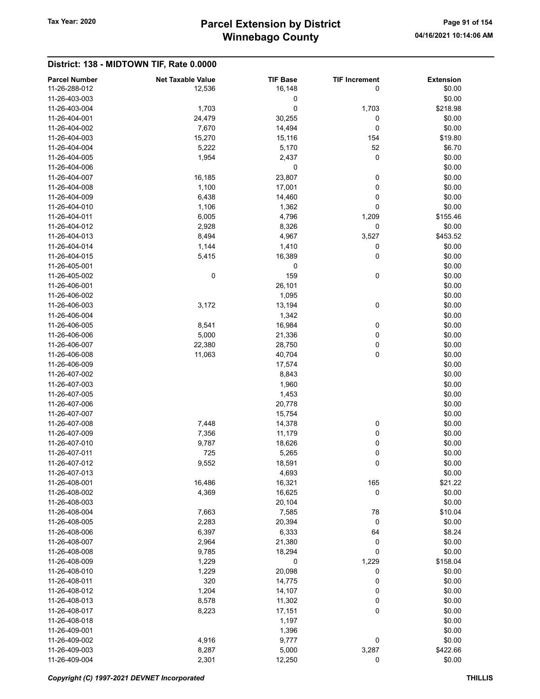## Winnebago County Tax Year: 2020 **Parcel Extension by District** Page 91 of 154

| <b>Parcel Number</b> | <b>Net Taxable Value</b> | <b>TIF Base</b> | <b>TIF Increment</b> | <b>Extension</b> |
|----------------------|--------------------------|-----------------|----------------------|------------------|
| 11-26-288-012        | 12,536                   | 16,148          | 0                    | \$0.00           |
| 11-26-403-003        |                          | 0               |                      | \$0.00           |
| 11-26-403-004        | 1,703                    | 0               | 1,703                | \$218.98         |
| 11-26-404-001        | 24,479                   | 30,255          | 0                    | \$0.00           |
| 11-26-404-002        | 7,670                    | 14,494          | 0                    | \$0.00           |
| 11-26-404-003        | 15,270                   | 15,116          | 154                  | \$19.80          |
| 11-26-404-004        | 5,222                    | 5,170           | 52                   | \$6.70           |
| 11-26-404-005        | 1,954                    | 2,437           | 0                    | \$0.00           |
| 11-26-404-006        |                          | 0               |                      | \$0.00           |
| 11-26-404-007        | 16,185                   | 23,807          | 0                    | \$0.00           |
| 11-26-404-008        | 1,100                    | 17,001          | 0                    | \$0.00           |
| 11-26-404-009        | 6,438                    | 14,460          | 0                    | \$0.00           |
| 11-26-404-010        | 1,106                    | 1,362           | 0                    | \$0.00           |
| 11-26-404-011        | 6,005                    | 4,796           | 1,209                | \$155.46         |
| 11-26-404-012        | 2,928                    | 8,326           | 0                    | \$0.00           |
| 11-26-404-013        | 8,494                    | 4,967           | 3,527                | \$453.52         |
| 11-26-404-014        | 1,144                    | 1,410           | 0                    | \$0.00           |
| 11-26-404-015        | 5,415                    | 16,389          | 0                    | \$0.00           |
| 11-26-405-001        |                          | 0               |                      | \$0.00           |
| 11-26-405-002        | $\pmb{0}$                | 159             | 0                    | \$0.00           |
| 11-26-406-001        |                          | 26,101          |                      | \$0.00           |
| 11-26-406-002        |                          | 1,095           |                      | \$0.00           |
| 11-26-406-003        | 3,172                    | 13,194          | 0                    | \$0.00           |
| 11-26-406-004        |                          | 1,342           |                      | \$0.00           |
| 11-26-406-005        | 8,541                    | 16,984          | 0                    | \$0.00           |
| 11-26-406-006        | 5,000                    | 21,336          | 0                    | \$0.00           |
| 11-26-406-007        | 22,380                   | 28,750          | 0                    | \$0.00           |
| 11-26-406-008        | 11,063                   | 40,704          | 0                    | \$0.00           |
| 11-26-406-009        |                          | 17,574          |                      | \$0.00           |
| 11-26-407-002        |                          | 8,843           |                      | \$0.00           |
| 11-26-407-003        |                          | 1,960           |                      | \$0.00           |
| 11-26-407-005        |                          | 1,453           |                      | \$0.00           |
| 11-26-407-006        |                          | 20,778          |                      | \$0.00           |
| 11-26-407-007        |                          | 15,754          |                      | \$0.00           |
| 11-26-407-008        | 7,448                    | 14,378          | 0                    | \$0.00           |
| 11-26-407-009        | 7,356                    | 11,179          | 0                    | \$0.00           |
| 11-26-407-010        | 9,787                    | 18,626          | 0                    | \$0.00           |
| 11-26-407-011        | 725                      | 5,265           | 0                    | \$0.00           |
| 11-26-407-012        | 9,552                    | 18,591          | 0                    | \$0.00           |
| 11-26-407-013        |                          | 4,693           |                      | \$0.00           |
| 11-26-408-001        | 16,486                   | 16,321          | 165                  | \$21.22          |
| 11-26-408-002        | 4,369                    | 16,625          | 0                    | \$0.00           |
| 11-26-408-003        |                          | 20,104          |                      | \$0.00           |
| 11-26-408-004        | 7,663                    | 7,585           | 78                   | \$10.04          |
| 11-26-408-005        | 2,283                    | 20,394          | 0                    | \$0.00           |
| 11-26-408-006        | 6,397                    | 6,333           | 64                   | \$8.24           |
| 11-26-408-007        | 2,964                    | 21,380          | 0                    | \$0.00           |
| 11-26-408-008        | 9,785                    | 18,294          | 0                    | \$0.00           |
| 11-26-408-009        | 1,229                    | 0               | 1,229                | \$158.04         |
| 11-26-408-010        | 1,229                    | 20,098          | 0                    | \$0.00           |
| 11-26-408-011        | 320                      | 14,775          | 0                    | \$0.00           |
| 11-26-408-012        | 1,204                    | 14,107          | 0                    | \$0.00           |
| 11-26-408-013        | 8,578                    | 11,302          | 0                    | \$0.00           |
| 11-26-408-017        | 8,223                    | 17,151          | 0                    | \$0.00           |
| 11-26-408-018        |                          | 1,197           |                      | \$0.00           |
| 11-26-409-001        |                          | 1,396           |                      | \$0.00           |
| 11-26-409-002        | 4,916                    | 9,777           | 0                    | \$0.00           |
| 11-26-409-003        | 8,287                    | 5,000           | 3,287                | \$422.66         |
| 11-26-409-004        | 2,301                    | 12,250          | 0                    | \$0.00           |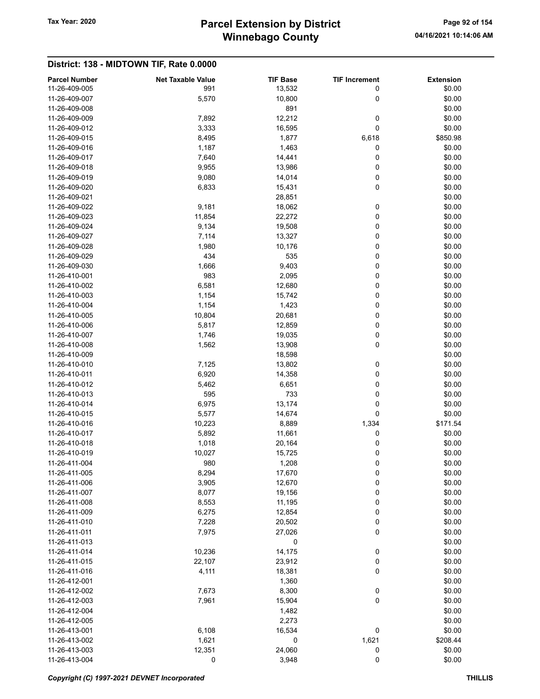## Winnebago County Tax Year: 2020 **Parcel Extension by District** Page 92 of 154

| <b>Parcel Number</b> | <b>Net Taxable Value</b> | <b>TIF Base</b> | <b>TIF Increment</b> | <b>Extension</b> |
|----------------------|--------------------------|-----------------|----------------------|------------------|
| 11-26-409-005        | 991                      | 13,532          | 0                    | \$0.00           |
| 11-26-409-007        | 5,570                    | 10,800          | 0                    | \$0.00           |
| 11-26-409-008        |                          | 891             |                      | \$0.00           |
| 11-26-409-009        | 7,892                    | 12,212          | 0                    | \$0.00           |
| 11-26-409-012        | 3,333                    | 16,595          | 0                    | \$0.00           |
| 11-26-409-015        | 8,495                    | 1,877           | 6,618                | \$850.98         |
| 11-26-409-016        | 1,187                    | 1,463           | 0                    | \$0.00           |
| 11-26-409-017        | 7,640                    | 14,441          | 0                    | \$0.00           |
| 11-26-409-018        | 9,955                    | 13,986          | 0                    | \$0.00           |
| 11-26-409-019        | 9,080                    | 14,014          | 0                    | \$0.00           |
| 11-26-409-020        | 6,833                    | 15,431          | 0                    | \$0.00           |
| 11-26-409-021        |                          | 28,851          |                      | \$0.00           |
| 11-26-409-022        | 9,181                    | 18,062          | 0                    | \$0.00           |
| 11-26-409-023        | 11,854                   | 22,272          | 0                    | \$0.00           |
| 11-26-409-024        | 9,134                    | 19,508          | 0                    | \$0.00           |
| 11-26-409-027        | 7,114                    | 13,327          | 0                    | \$0.00           |
| 11-26-409-028        | 1,980                    | 10,176          | 0                    | \$0.00           |
| 11-26-409-029        | 434                      | 535             | 0                    | \$0.00           |
| 11-26-409-030        | 1,666                    | 9,403           | 0                    | \$0.00           |
| 11-26-410-001        | 983                      | 2,095           | 0                    | \$0.00           |
| 11-26-410-002        | 6,581                    | 12,680          | 0                    | \$0.00           |
| 11-26-410-003        | 1,154                    | 15,742          | 0                    | \$0.00           |
| 11-26-410-004        | 1,154                    | 1,423           | 0                    | \$0.00           |
| 11-26-410-005        | 10,804                   | 20,681          | 0                    | \$0.00           |
| 11-26-410-006        | 5,817                    | 12,859          | 0                    | \$0.00           |
| 11-26-410-007        | 1,746                    | 19,035          | 0                    | \$0.00           |
| 11-26-410-008        | 1,562                    | 13,908          | 0                    | \$0.00           |
| 11-26-410-009        |                          | 18,598          |                      | \$0.00           |
| 11-26-410-010        | 7,125                    | 13,802          | 0                    | \$0.00           |
| 11-26-410-011        | 6,920                    | 14,358          | 0                    | \$0.00           |
| 11-26-410-012        |                          |                 | 0                    | \$0.00           |
|                      | 5,462<br>595             | 6,651<br>733    | 0                    |                  |
| 11-26-410-013        |                          |                 |                      | \$0.00           |
| 11-26-410-014        | 6,975                    | 13,174          | 0                    | \$0.00           |
| 11-26-410-015        | 5,577                    | 14,674          | 0                    | \$0.00           |
| 11-26-410-016        | 10,223                   | 8,889           | 1,334                | \$171.54         |
| 11-26-410-017        | 5,892                    | 11,661          | 0                    | \$0.00           |
| 11-26-410-018        | 1,018                    | 20,164          | 0                    | \$0.00           |
| 11-26-410-019        | 10,027                   | 15,725          | 0                    | \$0.00           |
| 11-26-411-004        | 980                      | 1.208           | 0                    | \$0.00           |
| 11-26-411-005        | 8,294                    | 17,670          | 0                    | \$0.00           |
| 11-26-411-006        | 3,905                    | 12,670          | 0                    | \$0.00           |
| 11-26-411-007        | 8,077                    | 19,156          | $\mathbf 0$          | \$0.00           |
| 11-26-411-008        | 8,553                    | 11,195          | 0                    | \$0.00           |
| 11-26-411-009        | 6,275                    | 12,854          | 0                    | \$0.00           |
| 11-26-411-010        | 7,228                    | 20,502          | 0                    | \$0.00           |
| 11-26-411-011        | 7,975                    | 27,026          | 0                    | \$0.00           |
| 11-26-411-013        |                          | 0               |                      | \$0.00           |
| 11-26-411-014        | 10,236                   | 14,175          | 0                    | \$0.00           |
| 11-26-411-015        | 22,107                   | 23,912          | 0                    | \$0.00           |
| 11-26-411-016        | 4,111                    | 18,381          | 0                    | \$0.00           |
| 11-26-412-001        |                          | 1,360           |                      | \$0.00           |
| 11-26-412-002        | 7,673                    | 8,300           | 0                    | \$0.00           |
| 11-26-412-003        | 7,961                    | 15,904          | 0                    | \$0.00           |
| 11-26-412-004        |                          | 1,482           |                      | \$0.00           |
| 11-26-412-005        |                          | 2,273           |                      | \$0.00           |
| 11-26-413-001        | 6,108                    | 16,534          | 0                    | \$0.00           |
| 11-26-413-002        | 1,621                    | 0               | 1,621                | \$208.44         |
| 11-26-413-003        | 12,351                   | 24,060          | 0                    | \$0.00           |
| 11-26-413-004        | 0                        | 3,948           | 0                    | \$0.00           |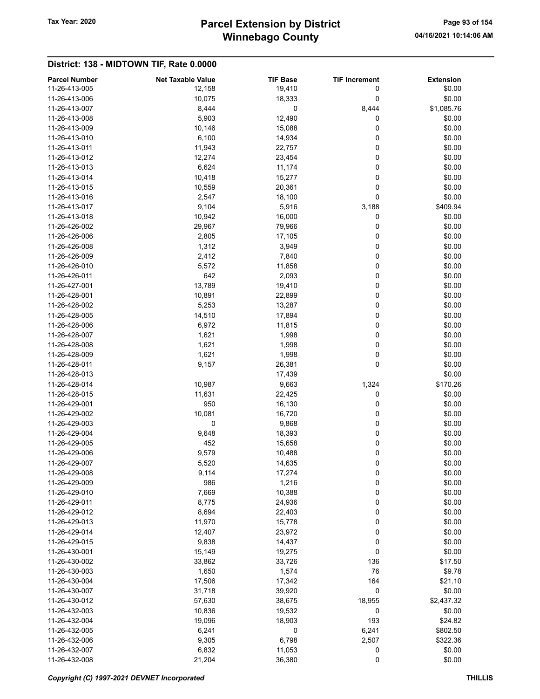## Winnebago County Tax Year: 2020 **Parcel Extension by District** Page 93 of 154

| <b>Parcel Number</b><br><b>Net Taxable Value</b><br><b>TIF Base</b><br><b>TIF Increment</b><br><b>Extension</b><br>11-26-413-005<br>19,410<br>0<br>\$0.00<br>12,158<br>0<br>10,075<br>18,333<br>\$0.00<br>11-26-413-006<br>8,444<br>0<br>8,444<br>\$1,085.76<br>11-26-413-007<br>5,903<br>12,490<br>\$0.00<br>11-26-413-008<br>0<br>0<br>11-26-413-009<br>10,146<br>\$0.00<br>15,088<br>6,100<br>0<br>\$0.00<br>11-26-413-010<br>14,934<br>0<br>11-26-413-011<br>11,943<br>22,757<br>\$0.00<br>11-26-413-012<br>12,274<br>23,454<br>0<br>\$0.00<br>0<br>\$0.00<br>11-26-413-013<br>6,624<br>11,174<br>0<br>\$0.00<br>11-26-413-014<br>10,418<br>15,277<br>0<br>10,559<br>20,361<br>\$0.00<br>11-26-413-015<br>0<br>\$0.00<br>11-26-413-016<br>2,547<br>18,100<br>11-26-413-017<br>9,104<br>5,916<br>3,188<br>\$409.94<br>11-26-413-018<br>10,942<br>16,000<br>0<br>\$0.00<br>11-26-426-002<br>29,967<br>79,966<br>0<br>\$0.00<br>0<br>2,805<br>17,105<br>\$0.00<br>11-26-426-006<br>11-26-426-008<br>1,312<br>3,949<br>0<br>\$0.00<br>0<br>11-26-426-009<br>2,412<br>7,840<br>\$0.00<br>11-26-426-010<br>5,572<br>11,858<br>0<br>\$0.00<br>0<br>11-26-426-011<br>642<br>2,093<br>\$0.00<br>0<br>11-26-427-001<br>13,789<br>19,410<br>\$0.00<br>0<br>\$0.00<br>11-26-428-001<br>10,891<br>22,899<br>0<br>\$0.00<br>11-26-428-002<br>5,253<br>13,287<br>0<br>\$0.00<br>14,510<br>17,894<br>11-26-428-005<br>0<br>\$0.00<br>11-26-428-006<br>6,972<br>11,815<br>11-26-428-007<br>1,621<br>1,998<br>0<br>\$0.00<br>0<br>11-26-428-008<br>1,621<br>1,998<br>\$0.00<br>0<br>1,621<br>1,998<br>\$0.00<br>11-26-428-009<br>0<br>11-26-428-011<br>9,157<br>26,381<br>\$0.00<br>\$0.00<br>11-26-428-013<br>17,439<br>10,987<br>1,324<br>\$170.26<br>11-26-428-014<br>9,663<br>11,631<br>22,425<br>0<br>\$0.00<br>11-26-428-015<br>11-26-429-001<br>950<br>16,130<br>0<br>\$0.00<br>0<br>11-26-429-002<br>10,081<br>16,720<br>\$0.00<br>0<br>0<br>11-26-429-003<br>9,868<br>\$0.00<br>0<br>11-26-429-004<br>9,648<br>18,393<br>\$0.00<br>11-26-429-005<br>452<br>15,658<br>0<br>\$0.00<br>11-26-429-006<br>9,579<br>0<br>\$0.00<br>10,488<br>11-26-429-007<br>5,520<br>14,635<br>0<br>\$0.00<br>0<br>\$0.00<br>11-26-429-008<br>9,114<br>17,274<br>0<br>11-26-429-009<br>986<br>1,216<br>\$0.00<br>0<br>7,669<br>10,388<br>\$0.00<br>11-26-429-010<br>24,936<br>0<br>11-26-429-011<br>8,775<br>\$0.00<br>11-26-429-012<br>8,694<br>22,403<br>0<br>\$0.00<br>0<br>11,970<br>15,778<br>\$0.00<br>11-26-429-013<br>11-26-429-014<br>12,407<br>23,972<br>0<br>\$0.00<br>11-26-429-015<br>9,838<br>14,437<br>0<br>\$0.00<br>11-26-430-001<br>0<br>\$0.00<br>15,149<br>19,275<br>33,862<br>33,726<br>136<br>11-26-430-002<br>\$17.50<br>76<br>11-26-430-003<br>1,650<br>1,574<br>\$9.78<br>11-26-430-004<br>17,506<br>17,342<br>164<br>\$21.10<br>0<br>11-26-430-007<br>31,718<br>39,920<br>\$0.00<br>57,630<br>38,675<br>18,955<br>\$2,437.32<br>11-26-430-012<br>0<br>\$0.00<br>11-26-432-003<br>10,836<br>19,532<br>193<br>\$24.82<br>11-26-432-004<br>19,096<br>18,903<br>11-26-432-005<br>6,241<br>0<br>6,241<br>\$802.50<br>6,798<br>9,305<br>2,507<br>\$322.36<br>11-26-432-006<br>11-26-432-007<br>6,832<br>11,053<br>0<br>\$0.00<br>11-26-432-008<br>36,380<br>0<br>\$0.00<br>21,204 |  |  |  |
|------------------------------------------------------------------------------------------------------------------------------------------------------------------------------------------------------------------------------------------------------------------------------------------------------------------------------------------------------------------------------------------------------------------------------------------------------------------------------------------------------------------------------------------------------------------------------------------------------------------------------------------------------------------------------------------------------------------------------------------------------------------------------------------------------------------------------------------------------------------------------------------------------------------------------------------------------------------------------------------------------------------------------------------------------------------------------------------------------------------------------------------------------------------------------------------------------------------------------------------------------------------------------------------------------------------------------------------------------------------------------------------------------------------------------------------------------------------------------------------------------------------------------------------------------------------------------------------------------------------------------------------------------------------------------------------------------------------------------------------------------------------------------------------------------------------------------------------------------------------------------------------------------------------------------------------------------------------------------------------------------------------------------------------------------------------------------------------------------------------------------------------------------------------------------------------------------------------------------------------------------------------------------------------------------------------------------------------------------------------------------------------------------------------------------------------------------------------------------------------------------------------------------------------------------------------------------------------------------------------------------------------------------------------------------------------------------------------------------------------------------------------------------------------------------------------------------------------------------------------------------------------------------------------------------------------------------------------------------------------------------------------------------------------------------------------------------------------------------------------------------------------------------------------------------------------------------------------------------------------------------------------------------|--|--|--|
|                                                                                                                                                                                                                                                                                                                                                                                                                                                                                                                                                                                                                                                                                                                                                                                                                                                                                                                                                                                                                                                                                                                                                                                                                                                                                                                                                                                                                                                                                                                                                                                                                                                                                                                                                                                                                                                                                                                                                                                                                                                                                                                                                                                                                                                                                                                                                                                                                                                                                                                                                                                                                                                                                                                                                                                                                                                                                                                                                                                                                                                                                                                                                                                                                                                                              |  |  |  |
|                                                                                                                                                                                                                                                                                                                                                                                                                                                                                                                                                                                                                                                                                                                                                                                                                                                                                                                                                                                                                                                                                                                                                                                                                                                                                                                                                                                                                                                                                                                                                                                                                                                                                                                                                                                                                                                                                                                                                                                                                                                                                                                                                                                                                                                                                                                                                                                                                                                                                                                                                                                                                                                                                                                                                                                                                                                                                                                                                                                                                                                                                                                                                                                                                                                                              |  |  |  |
|                                                                                                                                                                                                                                                                                                                                                                                                                                                                                                                                                                                                                                                                                                                                                                                                                                                                                                                                                                                                                                                                                                                                                                                                                                                                                                                                                                                                                                                                                                                                                                                                                                                                                                                                                                                                                                                                                                                                                                                                                                                                                                                                                                                                                                                                                                                                                                                                                                                                                                                                                                                                                                                                                                                                                                                                                                                                                                                                                                                                                                                                                                                                                                                                                                                                              |  |  |  |
|                                                                                                                                                                                                                                                                                                                                                                                                                                                                                                                                                                                                                                                                                                                                                                                                                                                                                                                                                                                                                                                                                                                                                                                                                                                                                                                                                                                                                                                                                                                                                                                                                                                                                                                                                                                                                                                                                                                                                                                                                                                                                                                                                                                                                                                                                                                                                                                                                                                                                                                                                                                                                                                                                                                                                                                                                                                                                                                                                                                                                                                                                                                                                                                                                                                                              |  |  |  |
|                                                                                                                                                                                                                                                                                                                                                                                                                                                                                                                                                                                                                                                                                                                                                                                                                                                                                                                                                                                                                                                                                                                                                                                                                                                                                                                                                                                                                                                                                                                                                                                                                                                                                                                                                                                                                                                                                                                                                                                                                                                                                                                                                                                                                                                                                                                                                                                                                                                                                                                                                                                                                                                                                                                                                                                                                                                                                                                                                                                                                                                                                                                                                                                                                                                                              |  |  |  |
|                                                                                                                                                                                                                                                                                                                                                                                                                                                                                                                                                                                                                                                                                                                                                                                                                                                                                                                                                                                                                                                                                                                                                                                                                                                                                                                                                                                                                                                                                                                                                                                                                                                                                                                                                                                                                                                                                                                                                                                                                                                                                                                                                                                                                                                                                                                                                                                                                                                                                                                                                                                                                                                                                                                                                                                                                                                                                                                                                                                                                                                                                                                                                                                                                                                                              |  |  |  |
|                                                                                                                                                                                                                                                                                                                                                                                                                                                                                                                                                                                                                                                                                                                                                                                                                                                                                                                                                                                                                                                                                                                                                                                                                                                                                                                                                                                                                                                                                                                                                                                                                                                                                                                                                                                                                                                                                                                                                                                                                                                                                                                                                                                                                                                                                                                                                                                                                                                                                                                                                                                                                                                                                                                                                                                                                                                                                                                                                                                                                                                                                                                                                                                                                                                                              |  |  |  |
|                                                                                                                                                                                                                                                                                                                                                                                                                                                                                                                                                                                                                                                                                                                                                                                                                                                                                                                                                                                                                                                                                                                                                                                                                                                                                                                                                                                                                                                                                                                                                                                                                                                                                                                                                                                                                                                                                                                                                                                                                                                                                                                                                                                                                                                                                                                                                                                                                                                                                                                                                                                                                                                                                                                                                                                                                                                                                                                                                                                                                                                                                                                                                                                                                                                                              |  |  |  |
|                                                                                                                                                                                                                                                                                                                                                                                                                                                                                                                                                                                                                                                                                                                                                                                                                                                                                                                                                                                                                                                                                                                                                                                                                                                                                                                                                                                                                                                                                                                                                                                                                                                                                                                                                                                                                                                                                                                                                                                                                                                                                                                                                                                                                                                                                                                                                                                                                                                                                                                                                                                                                                                                                                                                                                                                                                                                                                                                                                                                                                                                                                                                                                                                                                                                              |  |  |  |
|                                                                                                                                                                                                                                                                                                                                                                                                                                                                                                                                                                                                                                                                                                                                                                                                                                                                                                                                                                                                                                                                                                                                                                                                                                                                                                                                                                                                                                                                                                                                                                                                                                                                                                                                                                                                                                                                                                                                                                                                                                                                                                                                                                                                                                                                                                                                                                                                                                                                                                                                                                                                                                                                                                                                                                                                                                                                                                                                                                                                                                                                                                                                                                                                                                                                              |  |  |  |
|                                                                                                                                                                                                                                                                                                                                                                                                                                                                                                                                                                                                                                                                                                                                                                                                                                                                                                                                                                                                                                                                                                                                                                                                                                                                                                                                                                                                                                                                                                                                                                                                                                                                                                                                                                                                                                                                                                                                                                                                                                                                                                                                                                                                                                                                                                                                                                                                                                                                                                                                                                                                                                                                                                                                                                                                                                                                                                                                                                                                                                                                                                                                                                                                                                                                              |  |  |  |
|                                                                                                                                                                                                                                                                                                                                                                                                                                                                                                                                                                                                                                                                                                                                                                                                                                                                                                                                                                                                                                                                                                                                                                                                                                                                                                                                                                                                                                                                                                                                                                                                                                                                                                                                                                                                                                                                                                                                                                                                                                                                                                                                                                                                                                                                                                                                                                                                                                                                                                                                                                                                                                                                                                                                                                                                                                                                                                                                                                                                                                                                                                                                                                                                                                                                              |  |  |  |
|                                                                                                                                                                                                                                                                                                                                                                                                                                                                                                                                                                                                                                                                                                                                                                                                                                                                                                                                                                                                                                                                                                                                                                                                                                                                                                                                                                                                                                                                                                                                                                                                                                                                                                                                                                                                                                                                                                                                                                                                                                                                                                                                                                                                                                                                                                                                                                                                                                                                                                                                                                                                                                                                                                                                                                                                                                                                                                                                                                                                                                                                                                                                                                                                                                                                              |  |  |  |
|                                                                                                                                                                                                                                                                                                                                                                                                                                                                                                                                                                                                                                                                                                                                                                                                                                                                                                                                                                                                                                                                                                                                                                                                                                                                                                                                                                                                                                                                                                                                                                                                                                                                                                                                                                                                                                                                                                                                                                                                                                                                                                                                                                                                                                                                                                                                                                                                                                                                                                                                                                                                                                                                                                                                                                                                                                                                                                                                                                                                                                                                                                                                                                                                                                                                              |  |  |  |
|                                                                                                                                                                                                                                                                                                                                                                                                                                                                                                                                                                                                                                                                                                                                                                                                                                                                                                                                                                                                                                                                                                                                                                                                                                                                                                                                                                                                                                                                                                                                                                                                                                                                                                                                                                                                                                                                                                                                                                                                                                                                                                                                                                                                                                                                                                                                                                                                                                                                                                                                                                                                                                                                                                                                                                                                                                                                                                                                                                                                                                                                                                                                                                                                                                                                              |  |  |  |
|                                                                                                                                                                                                                                                                                                                                                                                                                                                                                                                                                                                                                                                                                                                                                                                                                                                                                                                                                                                                                                                                                                                                                                                                                                                                                                                                                                                                                                                                                                                                                                                                                                                                                                                                                                                                                                                                                                                                                                                                                                                                                                                                                                                                                                                                                                                                                                                                                                                                                                                                                                                                                                                                                                                                                                                                                                                                                                                                                                                                                                                                                                                                                                                                                                                                              |  |  |  |
|                                                                                                                                                                                                                                                                                                                                                                                                                                                                                                                                                                                                                                                                                                                                                                                                                                                                                                                                                                                                                                                                                                                                                                                                                                                                                                                                                                                                                                                                                                                                                                                                                                                                                                                                                                                                                                                                                                                                                                                                                                                                                                                                                                                                                                                                                                                                                                                                                                                                                                                                                                                                                                                                                                                                                                                                                                                                                                                                                                                                                                                                                                                                                                                                                                                                              |  |  |  |
|                                                                                                                                                                                                                                                                                                                                                                                                                                                                                                                                                                                                                                                                                                                                                                                                                                                                                                                                                                                                                                                                                                                                                                                                                                                                                                                                                                                                                                                                                                                                                                                                                                                                                                                                                                                                                                                                                                                                                                                                                                                                                                                                                                                                                                                                                                                                                                                                                                                                                                                                                                                                                                                                                                                                                                                                                                                                                                                                                                                                                                                                                                                                                                                                                                                                              |  |  |  |
|                                                                                                                                                                                                                                                                                                                                                                                                                                                                                                                                                                                                                                                                                                                                                                                                                                                                                                                                                                                                                                                                                                                                                                                                                                                                                                                                                                                                                                                                                                                                                                                                                                                                                                                                                                                                                                                                                                                                                                                                                                                                                                                                                                                                                                                                                                                                                                                                                                                                                                                                                                                                                                                                                                                                                                                                                                                                                                                                                                                                                                                                                                                                                                                                                                                                              |  |  |  |
|                                                                                                                                                                                                                                                                                                                                                                                                                                                                                                                                                                                                                                                                                                                                                                                                                                                                                                                                                                                                                                                                                                                                                                                                                                                                                                                                                                                                                                                                                                                                                                                                                                                                                                                                                                                                                                                                                                                                                                                                                                                                                                                                                                                                                                                                                                                                                                                                                                                                                                                                                                                                                                                                                                                                                                                                                                                                                                                                                                                                                                                                                                                                                                                                                                                                              |  |  |  |
|                                                                                                                                                                                                                                                                                                                                                                                                                                                                                                                                                                                                                                                                                                                                                                                                                                                                                                                                                                                                                                                                                                                                                                                                                                                                                                                                                                                                                                                                                                                                                                                                                                                                                                                                                                                                                                                                                                                                                                                                                                                                                                                                                                                                                                                                                                                                                                                                                                                                                                                                                                                                                                                                                                                                                                                                                                                                                                                                                                                                                                                                                                                                                                                                                                                                              |  |  |  |
|                                                                                                                                                                                                                                                                                                                                                                                                                                                                                                                                                                                                                                                                                                                                                                                                                                                                                                                                                                                                                                                                                                                                                                                                                                                                                                                                                                                                                                                                                                                                                                                                                                                                                                                                                                                                                                                                                                                                                                                                                                                                                                                                                                                                                                                                                                                                                                                                                                                                                                                                                                                                                                                                                                                                                                                                                                                                                                                                                                                                                                                                                                                                                                                                                                                                              |  |  |  |
|                                                                                                                                                                                                                                                                                                                                                                                                                                                                                                                                                                                                                                                                                                                                                                                                                                                                                                                                                                                                                                                                                                                                                                                                                                                                                                                                                                                                                                                                                                                                                                                                                                                                                                                                                                                                                                                                                                                                                                                                                                                                                                                                                                                                                                                                                                                                                                                                                                                                                                                                                                                                                                                                                                                                                                                                                                                                                                                                                                                                                                                                                                                                                                                                                                                                              |  |  |  |
|                                                                                                                                                                                                                                                                                                                                                                                                                                                                                                                                                                                                                                                                                                                                                                                                                                                                                                                                                                                                                                                                                                                                                                                                                                                                                                                                                                                                                                                                                                                                                                                                                                                                                                                                                                                                                                                                                                                                                                                                                                                                                                                                                                                                                                                                                                                                                                                                                                                                                                                                                                                                                                                                                                                                                                                                                                                                                                                                                                                                                                                                                                                                                                                                                                                                              |  |  |  |
|                                                                                                                                                                                                                                                                                                                                                                                                                                                                                                                                                                                                                                                                                                                                                                                                                                                                                                                                                                                                                                                                                                                                                                                                                                                                                                                                                                                                                                                                                                                                                                                                                                                                                                                                                                                                                                                                                                                                                                                                                                                                                                                                                                                                                                                                                                                                                                                                                                                                                                                                                                                                                                                                                                                                                                                                                                                                                                                                                                                                                                                                                                                                                                                                                                                                              |  |  |  |
|                                                                                                                                                                                                                                                                                                                                                                                                                                                                                                                                                                                                                                                                                                                                                                                                                                                                                                                                                                                                                                                                                                                                                                                                                                                                                                                                                                                                                                                                                                                                                                                                                                                                                                                                                                                                                                                                                                                                                                                                                                                                                                                                                                                                                                                                                                                                                                                                                                                                                                                                                                                                                                                                                                                                                                                                                                                                                                                                                                                                                                                                                                                                                                                                                                                                              |  |  |  |
|                                                                                                                                                                                                                                                                                                                                                                                                                                                                                                                                                                                                                                                                                                                                                                                                                                                                                                                                                                                                                                                                                                                                                                                                                                                                                                                                                                                                                                                                                                                                                                                                                                                                                                                                                                                                                                                                                                                                                                                                                                                                                                                                                                                                                                                                                                                                                                                                                                                                                                                                                                                                                                                                                                                                                                                                                                                                                                                                                                                                                                                                                                                                                                                                                                                                              |  |  |  |
|                                                                                                                                                                                                                                                                                                                                                                                                                                                                                                                                                                                                                                                                                                                                                                                                                                                                                                                                                                                                                                                                                                                                                                                                                                                                                                                                                                                                                                                                                                                                                                                                                                                                                                                                                                                                                                                                                                                                                                                                                                                                                                                                                                                                                                                                                                                                                                                                                                                                                                                                                                                                                                                                                                                                                                                                                                                                                                                                                                                                                                                                                                                                                                                                                                                                              |  |  |  |
|                                                                                                                                                                                                                                                                                                                                                                                                                                                                                                                                                                                                                                                                                                                                                                                                                                                                                                                                                                                                                                                                                                                                                                                                                                                                                                                                                                                                                                                                                                                                                                                                                                                                                                                                                                                                                                                                                                                                                                                                                                                                                                                                                                                                                                                                                                                                                                                                                                                                                                                                                                                                                                                                                                                                                                                                                                                                                                                                                                                                                                                                                                                                                                                                                                                                              |  |  |  |
|                                                                                                                                                                                                                                                                                                                                                                                                                                                                                                                                                                                                                                                                                                                                                                                                                                                                                                                                                                                                                                                                                                                                                                                                                                                                                                                                                                                                                                                                                                                                                                                                                                                                                                                                                                                                                                                                                                                                                                                                                                                                                                                                                                                                                                                                                                                                                                                                                                                                                                                                                                                                                                                                                                                                                                                                                                                                                                                                                                                                                                                                                                                                                                                                                                                                              |  |  |  |
|                                                                                                                                                                                                                                                                                                                                                                                                                                                                                                                                                                                                                                                                                                                                                                                                                                                                                                                                                                                                                                                                                                                                                                                                                                                                                                                                                                                                                                                                                                                                                                                                                                                                                                                                                                                                                                                                                                                                                                                                                                                                                                                                                                                                                                                                                                                                                                                                                                                                                                                                                                                                                                                                                                                                                                                                                                                                                                                                                                                                                                                                                                                                                                                                                                                                              |  |  |  |
|                                                                                                                                                                                                                                                                                                                                                                                                                                                                                                                                                                                                                                                                                                                                                                                                                                                                                                                                                                                                                                                                                                                                                                                                                                                                                                                                                                                                                                                                                                                                                                                                                                                                                                                                                                                                                                                                                                                                                                                                                                                                                                                                                                                                                                                                                                                                                                                                                                                                                                                                                                                                                                                                                                                                                                                                                                                                                                                                                                                                                                                                                                                                                                                                                                                                              |  |  |  |
|                                                                                                                                                                                                                                                                                                                                                                                                                                                                                                                                                                                                                                                                                                                                                                                                                                                                                                                                                                                                                                                                                                                                                                                                                                                                                                                                                                                                                                                                                                                                                                                                                                                                                                                                                                                                                                                                                                                                                                                                                                                                                                                                                                                                                                                                                                                                                                                                                                                                                                                                                                                                                                                                                                                                                                                                                                                                                                                                                                                                                                                                                                                                                                                                                                                                              |  |  |  |
|                                                                                                                                                                                                                                                                                                                                                                                                                                                                                                                                                                                                                                                                                                                                                                                                                                                                                                                                                                                                                                                                                                                                                                                                                                                                                                                                                                                                                                                                                                                                                                                                                                                                                                                                                                                                                                                                                                                                                                                                                                                                                                                                                                                                                                                                                                                                                                                                                                                                                                                                                                                                                                                                                                                                                                                                                                                                                                                                                                                                                                                                                                                                                                                                                                                                              |  |  |  |
|                                                                                                                                                                                                                                                                                                                                                                                                                                                                                                                                                                                                                                                                                                                                                                                                                                                                                                                                                                                                                                                                                                                                                                                                                                                                                                                                                                                                                                                                                                                                                                                                                                                                                                                                                                                                                                                                                                                                                                                                                                                                                                                                                                                                                                                                                                                                                                                                                                                                                                                                                                                                                                                                                                                                                                                                                                                                                                                                                                                                                                                                                                                                                                                                                                                                              |  |  |  |
|                                                                                                                                                                                                                                                                                                                                                                                                                                                                                                                                                                                                                                                                                                                                                                                                                                                                                                                                                                                                                                                                                                                                                                                                                                                                                                                                                                                                                                                                                                                                                                                                                                                                                                                                                                                                                                                                                                                                                                                                                                                                                                                                                                                                                                                                                                                                                                                                                                                                                                                                                                                                                                                                                                                                                                                                                                                                                                                                                                                                                                                                                                                                                                                                                                                                              |  |  |  |
|                                                                                                                                                                                                                                                                                                                                                                                                                                                                                                                                                                                                                                                                                                                                                                                                                                                                                                                                                                                                                                                                                                                                                                                                                                                                                                                                                                                                                                                                                                                                                                                                                                                                                                                                                                                                                                                                                                                                                                                                                                                                                                                                                                                                                                                                                                                                                                                                                                                                                                                                                                                                                                                                                                                                                                                                                                                                                                                                                                                                                                                                                                                                                                                                                                                                              |  |  |  |
|                                                                                                                                                                                                                                                                                                                                                                                                                                                                                                                                                                                                                                                                                                                                                                                                                                                                                                                                                                                                                                                                                                                                                                                                                                                                                                                                                                                                                                                                                                                                                                                                                                                                                                                                                                                                                                                                                                                                                                                                                                                                                                                                                                                                                                                                                                                                                                                                                                                                                                                                                                                                                                                                                                                                                                                                                                                                                                                                                                                                                                                                                                                                                                                                                                                                              |  |  |  |
|                                                                                                                                                                                                                                                                                                                                                                                                                                                                                                                                                                                                                                                                                                                                                                                                                                                                                                                                                                                                                                                                                                                                                                                                                                                                                                                                                                                                                                                                                                                                                                                                                                                                                                                                                                                                                                                                                                                                                                                                                                                                                                                                                                                                                                                                                                                                                                                                                                                                                                                                                                                                                                                                                                                                                                                                                                                                                                                                                                                                                                                                                                                                                                                                                                                                              |  |  |  |
|                                                                                                                                                                                                                                                                                                                                                                                                                                                                                                                                                                                                                                                                                                                                                                                                                                                                                                                                                                                                                                                                                                                                                                                                                                                                                                                                                                                                                                                                                                                                                                                                                                                                                                                                                                                                                                                                                                                                                                                                                                                                                                                                                                                                                                                                                                                                                                                                                                                                                                                                                                                                                                                                                                                                                                                                                                                                                                                                                                                                                                                                                                                                                                                                                                                                              |  |  |  |
|                                                                                                                                                                                                                                                                                                                                                                                                                                                                                                                                                                                                                                                                                                                                                                                                                                                                                                                                                                                                                                                                                                                                                                                                                                                                                                                                                                                                                                                                                                                                                                                                                                                                                                                                                                                                                                                                                                                                                                                                                                                                                                                                                                                                                                                                                                                                                                                                                                                                                                                                                                                                                                                                                                                                                                                                                                                                                                                                                                                                                                                                                                                                                                                                                                                                              |  |  |  |
|                                                                                                                                                                                                                                                                                                                                                                                                                                                                                                                                                                                                                                                                                                                                                                                                                                                                                                                                                                                                                                                                                                                                                                                                                                                                                                                                                                                                                                                                                                                                                                                                                                                                                                                                                                                                                                                                                                                                                                                                                                                                                                                                                                                                                                                                                                                                                                                                                                                                                                                                                                                                                                                                                                                                                                                                                                                                                                                                                                                                                                                                                                                                                                                                                                                                              |  |  |  |
|                                                                                                                                                                                                                                                                                                                                                                                                                                                                                                                                                                                                                                                                                                                                                                                                                                                                                                                                                                                                                                                                                                                                                                                                                                                                                                                                                                                                                                                                                                                                                                                                                                                                                                                                                                                                                                                                                                                                                                                                                                                                                                                                                                                                                                                                                                                                                                                                                                                                                                                                                                                                                                                                                                                                                                                                                                                                                                                                                                                                                                                                                                                                                                                                                                                                              |  |  |  |
|                                                                                                                                                                                                                                                                                                                                                                                                                                                                                                                                                                                                                                                                                                                                                                                                                                                                                                                                                                                                                                                                                                                                                                                                                                                                                                                                                                                                                                                                                                                                                                                                                                                                                                                                                                                                                                                                                                                                                                                                                                                                                                                                                                                                                                                                                                                                                                                                                                                                                                                                                                                                                                                                                                                                                                                                                                                                                                                                                                                                                                                                                                                                                                                                                                                                              |  |  |  |
|                                                                                                                                                                                                                                                                                                                                                                                                                                                                                                                                                                                                                                                                                                                                                                                                                                                                                                                                                                                                                                                                                                                                                                                                                                                                                                                                                                                                                                                                                                                                                                                                                                                                                                                                                                                                                                                                                                                                                                                                                                                                                                                                                                                                                                                                                                                                                                                                                                                                                                                                                                                                                                                                                                                                                                                                                                                                                                                                                                                                                                                                                                                                                                                                                                                                              |  |  |  |
|                                                                                                                                                                                                                                                                                                                                                                                                                                                                                                                                                                                                                                                                                                                                                                                                                                                                                                                                                                                                                                                                                                                                                                                                                                                                                                                                                                                                                                                                                                                                                                                                                                                                                                                                                                                                                                                                                                                                                                                                                                                                                                                                                                                                                                                                                                                                                                                                                                                                                                                                                                                                                                                                                                                                                                                                                                                                                                                                                                                                                                                                                                                                                                                                                                                                              |  |  |  |
|                                                                                                                                                                                                                                                                                                                                                                                                                                                                                                                                                                                                                                                                                                                                                                                                                                                                                                                                                                                                                                                                                                                                                                                                                                                                                                                                                                                                                                                                                                                                                                                                                                                                                                                                                                                                                                                                                                                                                                                                                                                                                                                                                                                                                                                                                                                                                                                                                                                                                                                                                                                                                                                                                                                                                                                                                                                                                                                                                                                                                                                                                                                                                                                                                                                                              |  |  |  |
|                                                                                                                                                                                                                                                                                                                                                                                                                                                                                                                                                                                                                                                                                                                                                                                                                                                                                                                                                                                                                                                                                                                                                                                                                                                                                                                                                                                                                                                                                                                                                                                                                                                                                                                                                                                                                                                                                                                                                                                                                                                                                                                                                                                                                                                                                                                                                                                                                                                                                                                                                                                                                                                                                                                                                                                                                                                                                                                                                                                                                                                                                                                                                                                                                                                                              |  |  |  |
|                                                                                                                                                                                                                                                                                                                                                                                                                                                                                                                                                                                                                                                                                                                                                                                                                                                                                                                                                                                                                                                                                                                                                                                                                                                                                                                                                                                                                                                                                                                                                                                                                                                                                                                                                                                                                                                                                                                                                                                                                                                                                                                                                                                                                                                                                                                                                                                                                                                                                                                                                                                                                                                                                                                                                                                                                                                                                                                                                                                                                                                                                                                                                                                                                                                                              |  |  |  |
|                                                                                                                                                                                                                                                                                                                                                                                                                                                                                                                                                                                                                                                                                                                                                                                                                                                                                                                                                                                                                                                                                                                                                                                                                                                                                                                                                                                                                                                                                                                                                                                                                                                                                                                                                                                                                                                                                                                                                                                                                                                                                                                                                                                                                                                                                                                                                                                                                                                                                                                                                                                                                                                                                                                                                                                                                                                                                                                                                                                                                                                                                                                                                                                                                                                                              |  |  |  |
|                                                                                                                                                                                                                                                                                                                                                                                                                                                                                                                                                                                                                                                                                                                                                                                                                                                                                                                                                                                                                                                                                                                                                                                                                                                                                                                                                                                                                                                                                                                                                                                                                                                                                                                                                                                                                                                                                                                                                                                                                                                                                                                                                                                                                                                                                                                                                                                                                                                                                                                                                                                                                                                                                                                                                                                                                                                                                                                                                                                                                                                                                                                                                                                                                                                                              |  |  |  |
|                                                                                                                                                                                                                                                                                                                                                                                                                                                                                                                                                                                                                                                                                                                                                                                                                                                                                                                                                                                                                                                                                                                                                                                                                                                                                                                                                                                                                                                                                                                                                                                                                                                                                                                                                                                                                                                                                                                                                                                                                                                                                                                                                                                                                                                                                                                                                                                                                                                                                                                                                                                                                                                                                                                                                                                                                                                                                                                                                                                                                                                                                                                                                                                                                                                                              |  |  |  |
|                                                                                                                                                                                                                                                                                                                                                                                                                                                                                                                                                                                                                                                                                                                                                                                                                                                                                                                                                                                                                                                                                                                                                                                                                                                                                                                                                                                                                                                                                                                                                                                                                                                                                                                                                                                                                                                                                                                                                                                                                                                                                                                                                                                                                                                                                                                                                                                                                                                                                                                                                                                                                                                                                                                                                                                                                                                                                                                                                                                                                                                                                                                                                                                                                                                                              |  |  |  |
|                                                                                                                                                                                                                                                                                                                                                                                                                                                                                                                                                                                                                                                                                                                                                                                                                                                                                                                                                                                                                                                                                                                                                                                                                                                                                                                                                                                                                                                                                                                                                                                                                                                                                                                                                                                                                                                                                                                                                                                                                                                                                                                                                                                                                                                                                                                                                                                                                                                                                                                                                                                                                                                                                                                                                                                                                                                                                                                                                                                                                                                                                                                                                                                                                                                                              |  |  |  |
|                                                                                                                                                                                                                                                                                                                                                                                                                                                                                                                                                                                                                                                                                                                                                                                                                                                                                                                                                                                                                                                                                                                                                                                                                                                                                                                                                                                                                                                                                                                                                                                                                                                                                                                                                                                                                                                                                                                                                                                                                                                                                                                                                                                                                                                                                                                                                                                                                                                                                                                                                                                                                                                                                                                                                                                                                                                                                                                                                                                                                                                                                                                                                                                                                                                                              |  |  |  |
|                                                                                                                                                                                                                                                                                                                                                                                                                                                                                                                                                                                                                                                                                                                                                                                                                                                                                                                                                                                                                                                                                                                                                                                                                                                                                                                                                                                                                                                                                                                                                                                                                                                                                                                                                                                                                                                                                                                                                                                                                                                                                                                                                                                                                                                                                                                                                                                                                                                                                                                                                                                                                                                                                                                                                                                                                                                                                                                                                                                                                                                                                                                                                                                                                                                                              |  |  |  |
|                                                                                                                                                                                                                                                                                                                                                                                                                                                                                                                                                                                                                                                                                                                                                                                                                                                                                                                                                                                                                                                                                                                                                                                                                                                                                                                                                                                                                                                                                                                                                                                                                                                                                                                                                                                                                                                                                                                                                                                                                                                                                                                                                                                                                                                                                                                                                                                                                                                                                                                                                                                                                                                                                                                                                                                                                                                                                                                                                                                                                                                                                                                                                                                                                                                                              |  |  |  |
|                                                                                                                                                                                                                                                                                                                                                                                                                                                                                                                                                                                                                                                                                                                                                                                                                                                                                                                                                                                                                                                                                                                                                                                                                                                                                                                                                                                                                                                                                                                                                                                                                                                                                                                                                                                                                                                                                                                                                                                                                                                                                                                                                                                                                                                                                                                                                                                                                                                                                                                                                                                                                                                                                                                                                                                                                                                                                                                                                                                                                                                                                                                                                                                                                                                                              |  |  |  |
|                                                                                                                                                                                                                                                                                                                                                                                                                                                                                                                                                                                                                                                                                                                                                                                                                                                                                                                                                                                                                                                                                                                                                                                                                                                                                                                                                                                                                                                                                                                                                                                                                                                                                                                                                                                                                                                                                                                                                                                                                                                                                                                                                                                                                                                                                                                                                                                                                                                                                                                                                                                                                                                                                                                                                                                                                                                                                                                                                                                                                                                                                                                                                                                                                                                                              |  |  |  |
|                                                                                                                                                                                                                                                                                                                                                                                                                                                                                                                                                                                                                                                                                                                                                                                                                                                                                                                                                                                                                                                                                                                                                                                                                                                                                                                                                                                                                                                                                                                                                                                                                                                                                                                                                                                                                                                                                                                                                                                                                                                                                                                                                                                                                                                                                                                                                                                                                                                                                                                                                                                                                                                                                                                                                                                                                                                                                                                                                                                                                                                                                                                                                                                                                                                                              |  |  |  |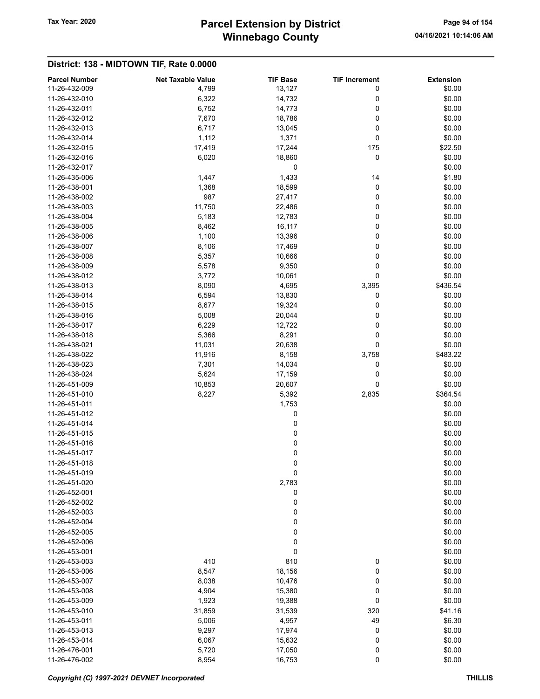## Winnebago County Tax Year: 2020 **Parcel Extension by District** Page 94 of 154

| <b>Parcel Number</b> | <b>Net Taxable Value</b> | <b>TIF Base</b> | <b>TIF Increment</b> | <b>Extension</b> |
|----------------------|--------------------------|-----------------|----------------------|------------------|
| 11-26-432-009        | 4,799                    | 13,127          | 0                    | \$0.00           |
| 11-26-432-010        | 6,322                    | 14,732          | 0                    | \$0.00           |
| 11-26-432-011        | 6,752                    | 14,773          | 0                    | \$0.00           |
| 11-26-432-012        | 7,670                    | 18,786          | 0                    | \$0.00           |
| 11-26-432-013        | 6,717                    | 13,045          | 0                    | \$0.00           |
| 11-26-432-014        | 1,112                    | 1,371           | 0                    | \$0.00           |
| 11-26-432-015        | 17,419                   | 17,244          | 175                  | \$22.50          |
| 11-26-432-016        | 6,020                    | 18,860          | 0                    | \$0.00           |
| 11-26-432-017        |                          | 0               |                      | \$0.00           |
| 11-26-435-006        | 1,447                    | 1,433           | 14                   | \$1.80           |
| 11-26-438-001        | 1,368                    | 18,599          | 0                    | \$0.00           |
| 11-26-438-002        | 987                      | 27,417          | 0                    | \$0.00           |
| 11-26-438-003        | 11,750                   | 22,486          | 0                    | \$0.00           |
| 11-26-438-004        | 5,183                    | 12,783          | 0                    | \$0.00           |
| 11-26-438-005        | 8,462                    | 16,117          | 0                    | \$0.00           |
| 11-26-438-006        | 1,100                    | 13,396          | 0                    | \$0.00           |
| 11-26-438-007        | 8,106                    | 17,469          | 0                    | \$0.00           |
| 11-26-438-008        | 5,357                    | 10,666          | 0                    | \$0.00           |
| 11-26-438-009        | 5,578                    | 9,350           | 0                    | \$0.00           |
| 11-26-438-012        | 3,772                    | 10,061          | 0                    | \$0.00           |
| 11-26-438-013        | 8,090                    | 4,695           | 3,395                | \$436.54         |
| 11-26-438-014        | 6,594                    | 13,830          | 0                    | \$0.00           |
| 11-26-438-015        | 8,677                    | 19,324          | 0                    | \$0.00           |
| 11-26-438-016        | 5,008                    | 20,044          | 0                    | \$0.00           |
| 11-26-438-017        | 6,229                    | 12,722          | 0                    | \$0.00           |
| 11-26-438-018        | 5,366                    | 8,291           | 0                    | \$0.00           |
| 11-26-438-021        | 11,031                   | 20,638          | 0                    | \$0.00           |
| 11-26-438-022        | 11,916                   | 8,158           | 3,758                | \$483.22         |
| 11-26-438-023        | 7,301                    | 14,034          | 0                    | \$0.00           |
| 11-26-438-024        | 5,624                    | 17,159          | 0                    | \$0.00           |
| 11-26-451-009        | 10,853                   | 20,607          | 0                    | \$0.00           |
| 11-26-451-010        | 8,227                    | 5,392           | 2,835                | \$364.54         |
| 11-26-451-011        |                          | 1,753           |                      | \$0.00           |
| 11-26-451-012        |                          | 0               |                      | \$0.00           |
| 11-26-451-014        |                          | 0               |                      | \$0.00           |
| 11-26-451-015        |                          | 0               |                      | \$0.00           |
| 11-26-451-016        |                          |                 |                      | \$0.00           |
| 11-26-451-017        |                          | 0<br>0          |                      | \$0.00           |
| 11-26-451-018        |                          | 0               |                      |                  |
| 11-26-451-019        |                          | 0               |                      | \$0.00<br>\$0.00 |
| 11-26-451-020        |                          | 2,783           |                      | \$0.00           |
| 11-26-452-001        |                          |                 |                      |                  |
| 11-26-452-002        |                          | 0               |                      | \$0.00           |
|                      |                          | 0               |                      | \$0.00           |
| 11-26-452-003        |                          | 0               |                      | \$0.00           |
| 11-26-452-004        |                          | 0               |                      | \$0.00           |
| 11-26-452-005        |                          | 0               |                      | \$0.00           |
| 11-26-452-006        |                          | 0               |                      | \$0.00           |
| 11-26-453-001        |                          | 0               |                      | \$0.00           |
| 11-26-453-003        | 410                      | 810             | 0                    | \$0.00           |
| 11-26-453-006        | 8,547                    | 18,156          | 0                    | \$0.00           |
| 11-26-453-007        | 8,038                    | 10,476          | 0                    | \$0.00           |
| 11-26-453-008        | 4,904                    | 15,380          | 0                    | \$0.00           |
| 11-26-453-009        | 1,923                    | 19,388          | 0                    | \$0.00           |
| 11-26-453-010        | 31,859                   | 31,539          | 320                  | \$41.16          |
| 11-26-453-011        | 5,006                    | 4,957           | 49                   | \$6.30           |
| 11-26-453-013        | 9,297                    | 17,974          | 0                    | \$0.00           |
| 11-26-453-014        | 6,067                    | 15,632          | 0                    | \$0.00           |
| 11-26-476-001        | 5,720                    | 17,050          | 0                    | \$0.00           |
| 11-26-476-002        | 8,954                    | 16,753          | $\pmb{0}$            | \$0.00           |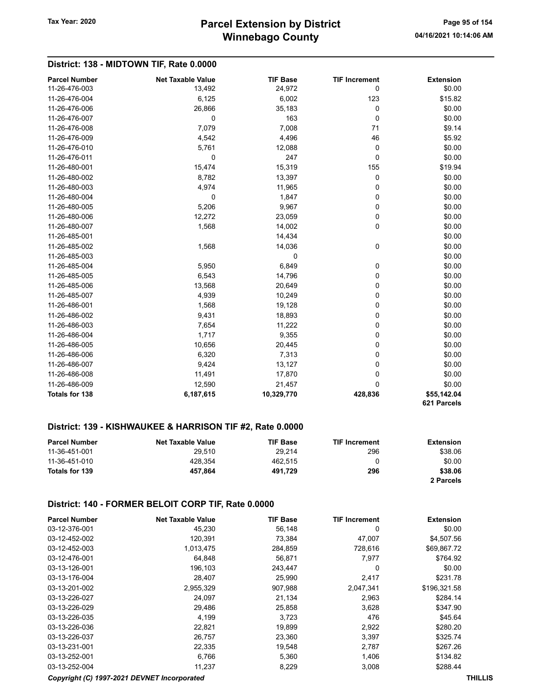### Winnebago County Tax Year: 2020 **Parcel Extension by District** Page 95 of 154

### District: 138 - MIDTOWN TIF, Rate 0.0000

| <b>Parcel Number</b>  | <b>Net Taxable Value</b> | <b>TIF Base</b> | <b>TIF Increment</b> | <b>Extension</b>           |
|-----------------------|--------------------------|-----------------|----------------------|----------------------------|
| 11-26-476-003         | 13,492                   | 24,972          | 0                    | \$0.00                     |
| 11-26-476-004         | 6,125                    | 6,002           | 123                  | \$15.82                    |
| 11-26-476-006         | 26,866                   | 35,183          | 0                    | \$0.00                     |
| 11-26-476-007         | 0                        | 163             | 0                    | \$0.00                     |
| 11-26-476-008         | 7,079                    | 7,008           | 71                   | \$9.14                     |
| 11-26-476-009         | 4,542                    | 4,496           | 46                   | \$5.92                     |
| 11-26-476-010         | 5,761                    | 12,088          | 0                    | \$0.00                     |
| 11-26-476-011         | 0                        | 247             | 0                    | \$0.00                     |
| 11-26-480-001         | 15,474                   | 15,319          | 155                  | \$19.94                    |
| 11-26-480-002         | 8,782                    | 13,397          | 0                    | \$0.00                     |
| 11-26-480-003         | 4,974                    | 11,965          | 0                    | \$0.00                     |
| 11-26-480-004         | 0                        | 1,847           | 0                    | \$0.00                     |
| 11-26-480-005         | 5,206                    | 9,967           | 0                    | \$0.00                     |
| 11-26-480-006         | 12,272                   | 23,059          | 0                    | \$0.00                     |
| 11-26-480-007         | 1,568                    | 14,002          | 0                    | \$0.00                     |
| 11-26-485-001         |                          | 14,434          |                      | \$0.00                     |
| 11-26-485-002         | 1,568                    | 14,036          | 0                    | \$0.00                     |
| 11-26-485-003         |                          | $\Omega$        |                      | \$0.00                     |
| 11-26-485-004         | 5,950                    | 6,849           | 0                    | \$0.00                     |
| 11-26-485-005         | 6,543                    | 14,796          | 0                    | \$0.00                     |
| 11-26-485-006         | 13,568                   | 20,649          | 0                    | \$0.00                     |
| 11-26-485-007         | 4,939                    | 10,249          | 0                    | \$0.00                     |
| 11-26-486-001         | 1,568                    | 19,128          | 0                    | \$0.00                     |
| 11-26-486-002         | 9,431                    | 18,893          | 0                    | \$0.00                     |
| 11-26-486-003         | 7,654                    | 11,222          | 0                    | \$0.00                     |
| 11-26-486-004         | 1,717                    | 9,355           | 0                    | \$0.00                     |
| 11-26-486-005         | 10,656                   | 20,445          | 0                    | \$0.00                     |
| 11-26-486-006         | 6,320                    | 7,313           | 0                    | \$0.00                     |
| 11-26-486-007         | 9,424                    | 13,127          | 0                    | \$0.00                     |
| 11-26-486-008         | 11,491                   | 17,870          | 0                    | \$0.00                     |
| 11-26-486-009         | 12,590                   | 21,457          | $\mathbf 0$          | \$0.00                     |
| <b>Totals for 138</b> | 6,187,615                | 10,329,770      | 428,836              | \$55,142.04<br>621 Parcels |

#### District: 139 - KISHWAUKEE & HARRISON TIF #2, Rate 0.0000

| <b>Parcel Number</b> | <b>Net Taxable Value</b> | <b>TIF Base</b> | <b>TIF Increment</b> | Extension |
|----------------------|--------------------------|-----------------|----------------------|-----------|
| 11-36-451-001        | 29.510                   | 29.214          | 296                  | \$38.06   |
| 11-36-451-010        | 428.354                  | 462.515         |                      | \$0.00    |
| Totals for 139       | 457.864                  | 491.729         | 296                  | \$38.06   |
|                      |                          |                 |                      | 2 Parcels |

#### District: 140 - FORMER BELOIT CORP TIF, Rate 0.0000

| <b>Parcel Number</b> | <b>Net Taxable Value</b> | <b>TIF Base</b> | <b>TIF Increment</b> | <b>Extension</b> |
|----------------------|--------------------------|-----------------|----------------------|------------------|
| 03-12-376-001        | 45,230                   | 56,148          | 0                    | \$0.00           |
| 03-12-452-002        | 120,391                  | 73,384          | 47,007               | \$4,507.56       |
| 03-12-452-003        | 1,013,475                | 284,859         | 728,616              | \$69,867.72      |
| 03-12-476-001        | 64.848                   | 56,871          | 7.977                | \$764.92         |
| 03-13-126-001        | 196,103                  | 243,447         | 0                    | \$0.00           |
| 03-13-176-004        | 28,407                   | 25,990          | 2,417                | \$231.78         |
| 03-13-201-002        | 2,955,329                | 907,988         | 2,047,341            | \$196,321.58     |
| 03-13-226-027        | 24,097                   | 21,134          | 2,963                | \$284.14         |
| 03-13-226-029        | 29,486                   | 25,858          | 3,628                | \$347.90         |
| 03-13-226-035        | 4,199                    | 3,723           | 476                  | \$45.64          |
| 03-13-226-036        | 22,821                   | 19,899          | 2,922                | \$280.20         |
| 03-13-226-037        | 26,757                   | 23,360          | 3,397                | \$325.74         |
| 03-13-231-001        | 22,335                   | 19,548          | 2,787                | \$267.26         |
| 03-13-252-001        | 6,766                    | 5,360           | 1,406                | \$134.82         |
| 03-13-252-004        | 11,237                   | 8,229           | 3,008                | \$288.44         |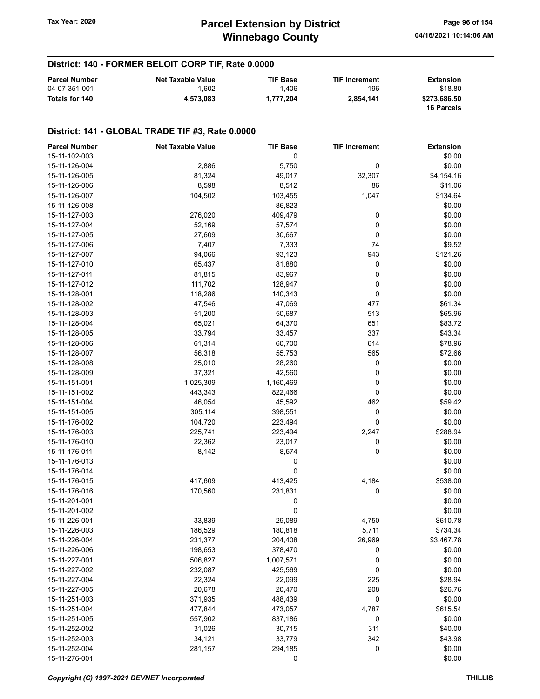# Winnebago County Tax Year: 2020 **Parcel Extension by District** Page 96 of 154

### District: 140 - FORMER BELOIT CORP TIF, Rate 0.0000

| <b>Parcel Number</b> | <b>Net Taxable Value</b> | <b>TIF Base</b> | <b>TIF Increment</b> | Extension                         |
|----------------------|--------------------------|-----------------|----------------------|-----------------------------------|
| 04-07-351-001        | .602                     | 1.406           | 196                  | \$18.80                           |
| Totals for 140       | 4.573.083                | 1.777.204       | 2.854.141            | \$273.686.50<br><b>16 Parcels</b> |

#### District: 141 - GLOBAL TRADE TIF #3, Rate 0.0000

| 15-11-102-003<br>0<br>\$0.00<br>5,750<br>0<br>\$0.00<br>15-11-126-004<br>2,886<br>81,324<br>\$4,154.16<br>15-11-126-005<br>49,017<br>32,307<br>15-11-126-006<br>8,598<br>8,512<br>86<br>\$11.06<br>\$134.64<br>15-11-126-007<br>104,502<br>103,455<br>1,047<br>15-11-126-008<br>86,823<br>\$0.00<br>\$0.00<br>15-11-127-003<br>276,020<br>409,479<br>0<br>0<br>\$0.00<br>15-11-127-004<br>52,169<br>57,574<br>\$0.00<br>15-11-127-005<br>27,609<br>30,667<br>0<br>\$9.52<br>15-11-127-006<br>7,407<br>7,333<br>74<br>\$121.26<br>15-11-127-007<br>94,066<br>93,123<br>943<br>15-11-127-010<br>65,437<br>81,880<br>0<br>\$0.00<br>15-11-127-011<br>81,815<br>83,967<br>0<br>\$0.00<br>15-11-127-012<br>111,702<br>128,947<br>0<br>\$0.00<br>0<br>\$0.00<br>15-11-128-001<br>118,286<br>140,343<br>\$61.34<br>15-11-128-002<br>47,546<br>47,069<br>477<br>\$65.96<br>15-11-128-003<br>51,200<br>50,687<br>513<br>\$83.72<br>15-11-128-004<br>65,021<br>64,370<br>651<br>\$43.34<br>15-11-128-005<br>33,794<br>337<br>33,457<br>\$78.96<br>15-11-128-006<br>61,314<br>60,700<br>614<br>565<br>\$72.66<br>15-11-128-007<br>56,318<br>55,753<br>15-11-128-008<br>25,010<br>28,260<br>0<br>\$0.00<br>\$0.00<br>15-11-128-009<br>37,321<br>42,560<br>0<br>0<br>\$0.00<br>15-11-151-001<br>1,025,309<br>1,160,469<br>0<br>\$0.00<br>15-11-151-002<br>443,343<br>822,466<br>462<br>\$59.42<br>46,054<br>45,592<br>15-11-151-004<br>0<br>\$0.00<br>15-11-151-005<br>305,114<br>398,551<br>0<br>\$0.00<br>15-11-176-002<br>104,720<br>223,494<br>\$288.94<br>15-11-176-003<br>225,741<br>223,494<br>2,247<br>\$0.00<br>15-11-176-010<br>22,362<br>23,017<br>0<br>0<br>\$0.00<br>15-11-176-011<br>8,142<br>8,574<br>\$0.00<br>15-11-176-013<br>0<br>\$0.00<br>15-11-176-014<br>0<br>417,609<br>413,425<br>4,184<br>\$538.00<br>15-11-176-015<br>0<br>15-11-176-016<br>170,560<br>231,831<br>\$0.00<br>\$0.00<br>15-11-201-001<br>0<br>0<br>\$0.00<br>15-11-201-002<br>\$610.78<br>15-11-226-001<br>33,839<br>29,089<br>4,750<br>5,711<br>15-11-226-003<br>186,529<br>180,818<br>\$734.34<br>15-11-226-004<br>231,377<br>204,408<br>26,969<br>\$3,467.78<br>15-11-226-006<br>198,653<br>378,470<br>0<br>\$0.00<br>0<br>\$0.00<br>15-11-227-001<br>506,827<br>1,007,571<br>0<br>15-11-227-002<br>232,087<br>425,569<br>\$0.00<br>22,324<br>22,099<br>\$28.94<br>15-11-227-004<br>225<br>20,678<br>20,470<br>\$26.76<br>15-11-227-005<br>208<br>0<br>\$0.00<br>15-11-251-003<br>371,935<br>488,439<br>15-11-251-004<br>477,844<br>473,057<br>4,787<br>\$615.54<br>0<br>\$0.00<br>15-11-251-005<br>557,902<br>837,186<br>311<br>\$40.00<br>15-11-252-002<br>31,026<br>30,715<br>34,121<br>33,779<br>342<br>\$43.98<br>15-11-252-003<br>0<br>\$0.00<br>15-11-252-004<br>281,157<br>294,185<br>15-11-276-001<br>0<br>\$0.00 | <b>Parcel Number</b> | <b>Net Taxable Value</b> | <b>TIF Base</b> | <b>TIF Increment</b> | <b>Extension</b> |
|-----------------------------------------------------------------------------------------------------------------------------------------------------------------------------------------------------------------------------------------------------------------------------------------------------------------------------------------------------------------------------------------------------------------------------------------------------------------------------------------------------------------------------------------------------------------------------------------------------------------------------------------------------------------------------------------------------------------------------------------------------------------------------------------------------------------------------------------------------------------------------------------------------------------------------------------------------------------------------------------------------------------------------------------------------------------------------------------------------------------------------------------------------------------------------------------------------------------------------------------------------------------------------------------------------------------------------------------------------------------------------------------------------------------------------------------------------------------------------------------------------------------------------------------------------------------------------------------------------------------------------------------------------------------------------------------------------------------------------------------------------------------------------------------------------------------------------------------------------------------------------------------------------------------------------------------------------------------------------------------------------------------------------------------------------------------------------------------------------------------------------------------------------------------------------------------------------------------------------------------------------------------------------------------------------------------------------------------------------------------------------------------------------------------------------------------------------------------------------------------------------------------------------------------------------------------------------------------------------------------------------------------------------------------------------------------------------------------------------------------------------------------------------------------------------------|----------------------|--------------------------|-----------------|----------------------|------------------|
|                                                                                                                                                                                                                                                                                                                                                                                                                                                                                                                                                                                                                                                                                                                                                                                                                                                                                                                                                                                                                                                                                                                                                                                                                                                                                                                                                                                                                                                                                                                                                                                                                                                                                                                                                                                                                                                                                                                                                                                                                                                                                                                                                                                                                                                                                                                                                                                                                                                                                                                                                                                                                                                                                                                                                                                                           |                      |                          |                 |                      |                  |
|                                                                                                                                                                                                                                                                                                                                                                                                                                                                                                                                                                                                                                                                                                                                                                                                                                                                                                                                                                                                                                                                                                                                                                                                                                                                                                                                                                                                                                                                                                                                                                                                                                                                                                                                                                                                                                                                                                                                                                                                                                                                                                                                                                                                                                                                                                                                                                                                                                                                                                                                                                                                                                                                                                                                                                                                           |                      |                          |                 |                      |                  |
|                                                                                                                                                                                                                                                                                                                                                                                                                                                                                                                                                                                                                                                                                                                                                                                                                                                                                                                                                                                                                                                                                                                                                                                                                                                                                                                                                                                                                                                                                                                                                                                                                                                                                                                                                                                                                                                                                                                                                                                                                                                                                                                                                                                                                                                                                                                                                                                                                                                                                                                                                                                                                                                                                                                                                                                                           |                      |                          |                 |                      |                  |
|                                                                                                                                                                                                                                                                                                                                                                                                                                                                                                                                                                                                                                                                                                                                                                                                                                                                                                                                                                                                                                                                                                                                                                                                                                                                                                                                                                                                                                                                                                                                                                                                                                                                                                                                                                                                                                                                                                                                                                                                                                                                                                                                                                                                                                                                                                                                                                                                                                                                                                                                                                                                                                                                                                                                                                                                           |                      |                          |                 |                      |                  |
|                                                                                                                                                                                                                                                                                                                                                                                                                                                                                                                                                                                                                                                                                                                                                                                                                                                                                                                                                                                                                                                                                                                                                                                                                                                                                                                                                                                                                                                                                                                                                                                                                                                                                                                                                                                                                                                                                                                                                                                                                                                                                                                                                                                                                                                                                                                                                                                                                                                                                                                                                                                                                                                                                                                                                                                                           |                      |                          |                 |                      |                  |
|                                                                                                                                                                                                                                                                                                                                                                                                                                                                                                                                                                                                                                                                                                                                                                                                                                                                                                                                                                                                                                                                                                                                                                                                                                                                                                                                                                                                                                                                                                                                                                                                                                                                                                                                                                                                                                                                                                                                                                                                                                                                                                                                                                                                                                                                                                                                                                                                                                                                                                                                                                                                                                                                                                                                                                                                           |                      |                          |                 |                      |                  |
|                                                                                                                                                                                                                                                                                                                                                                                                                                                                                                                                                                                                                                                                                                                                                                                                                                                                                                                                                                                                                                                                                                                                                                                                                                                                                                                                                                                                                                                                                                                                                                                                                                                                                                                                                                                                                                                                                                                                                                                                                                                                                                                                                                                                                                                                                                                                                                                                                                                                                                                                                                                                                                                                                                                                                                                                           |                      |                          |                 |                      |                  |
|                                                                                                                                                                                                                                                                                                                                                                                                                                                                                                                                                                                                                                                                                                                                                                                                                                                                                                                                                                                                                                                                                                                                                                                                                                                                                                                                                                                                                                                                                                                                                                                                                                                                                                                                                                                                                                                                                                                                                                                                                                                                                                                                                                                                                                                                                                                                                                                                                                                                                                                                                                                                                                                                                                                                                                                                           |                      |                          |                 |                      |                  |
|                                                                                                                                                                                                                                                                                                                                                                                                                                                                                                                                                                                                                                                                                                                                                                                                                                                                                                                                                                                                                                                                                                                                                                                                                                                                                                                                                                                                                                                                                                                                                                                                                                                                                                                                                                                                                                                                                                                                                                                                                                                                                                                                                                                                                                                                                                                                                                                                                                                                                                                                                                                                                                                                                                                                                                                                           |                      |                          |                 |                      |                  |
|                                                                                                                                                                                                                                                                                                                                                                                                                                                                                                                                                                                                                                                                                                                                                                                                                                                                                                                                                                                                                                                                                                                                                                                                                                                                                                                                                                                                                                                                                                                                                                                                                                                                                                                                                                                                                                                                                                                                                                                                                                                                                                                                                                                                                                                                                                                                                                                                                                                                                                                                                                                                                                                                                                                                                                                                           |                      |                          |                 |                      |                  |
|                                                                                                                                                                                                                                                                                                                                                                                                                                                                                                                                                                                                                                                                                                                                                                                                                                                                                                                                                                                                                                                                                                                                                                                                                                                                                                                                                                                                                                                                                                                                                                                                                                                                                                                                                                                                                                                                                                                                                                                                                                                                                                                                                                                                                                                                                                                                                                                                                                                                                                                                                                                                                                                                                                                                                                                                           |                      |                          |                 |                      |                  |
|                                                                                                                                                                                                                                                                                                                                                                                                                                                                                                                                                                                                                                                                                                                                                                                                                                                                                                                                                                                                                                                                                                                                                                                                                                                                                                                                                                                                                                                                                                                                                                                                                                                                                                                                                                                                                                                                                                                                                                                                                                                                                                                                                                                                                                                                                                                                                                                                                                                                                                                                                                                                                                                                                                                                                                                                           |                      |                          |                 |                      |                  |
|                                                                                                                                                                                                                                                                                                                                                                                                                                                                                                                                                                                                                                                                                                                                                                                                                                                                                                                                                                                                                                                                                                                                                                                                                                                                                                                                                                                                                                                                                                                                                                                                                                                                                                                                                                                                                                                                                                                                                                                                                                                                                                                                                                                                                                                                                                                                                                                                                                                                                                                                                                                                                                                                                                                                                                                                           |                      |                          |                 |                      |                  |
|                                                                                                                                                                                                                                                                                                                                                                                                                                                                                                                                                                                                                                                                                                                                                                                                                                                                                                                                                                                                                                                                                                                                                                                                                                                                                                                                                                                                                                                                                                                                                                                                                                                                                                                                                                                                                                                                                                                                                                                                                                                                                                                                                                                                                                                                                                                                                                                                                                                                                                                                                                                                                                                                                                                                                                                                           |                      |                          |                 |                      |                  |
|                                                                                                                                                                                                                                                                                                                                                                                                                                                                                                                                                                                                                                                                                                                                                                                                                                                                                                                                                                                                                                                                                                                                                                                                                                                                                                                                                                                                                                                                                                                                                                                                                                                                                                                                                                                                                                                                                                                                                                                                                                                                                                                                                                                                                                                                                                                                                                                                                                                                                                                                                                                                                                                                                                                                                                                                           |                      |                          |                 |                      |                  |
|                                                                                                                                                                                                                                                                                                                                                                                                                                                                                                                                                                                                                                                                                                                                                                                                                                                                                                                                                                                                                                                                                                                                                                                                                                                                                                                                                                                                                                                                                                                                                                                                                                                                                                                                                                                                                                                                                                                                                                                                                                                                                                                                                                                                                                                                                                                                                                                                                                                                                                                                                                                                                                                                                                                                                                                                           |                      |                          |                 |                      |                  |
|                                                                                                                                                                                                                                                                                                                                                                                                                                                                                                                                                                                                                                                                                                                                                                                                                                                                                                                                                                                                                                                                                                                                                                                                                                                                                                                                                                                                                                                                                                                                                                                                                                                                                                                                                                                                                                                                                                                                                                                                                                                                                                                                                                                                                                                                                                                                                                                                                                                                                                                                                                                                                                                                                                                                                                                                           |                      |                          |                 |                      |                  |
|                                                                                                                                                                                                                                                                                                                                                                                                                                                                                                                                                                                                                                                                                                                                                                                                                                                                                                                                                                                                                                                                                                                                                                                                                                                                                                                                                                                                                                                                                                                                                                                                                                                                                                                                                                                                                                                                                                                                                                                                                                                                                                                                                                                                                                                                                                                                                                                                                                                                                                                                                                                                                                                                                                                                                                                                           |                      |                          |                 |                      |                  |
|                                                                                                                                                                                                                                                                                                                                                                                                                                                                                                                                                                                                                                                                                                                                                                                                                                                                                                                                                                                                                                                                                                                                                                                                                                                                                                                                                                                                                                                                                                                                                                                                                                                                                                                                                                                                                                                                                                                                                                                                                                                                                                                                                                                                                                                                                                                                                                                                                                                                                                                                                                                                                                                                                                                                                                                                           |                      |                          |                 |                      |                  |
|                                                                                                                                                                                                                                                                                                                                                                                                                                                                                                                                                                                                                                                                                                                                                                                                                                                                                                                                                                                                                                                                                                                                                                                                                                                                                                                                                                                                                                                                                                                                                                                                                                                                                                                                                                                                                                                                                                                                                                                                                                                                                                                                                                                                                                                                                                                                                                                                                                                                                                                                                                                                                                                                                                                                                                                                           |                      |                          |                 |                      |                  |
|                                                                                                                                                                                                                                                                                                                                                                                                                                                                                                                                                                                                                                                                                                                                                                                                                                                                                                                                                                                                                                                                                                                                                                                                                                                                                                                                                                                                                                                                                                                                                                                                                                                                                                                                                                                                                                                                                                                                                                                                                                                                                                                                                                                                                                                                                                                                                                                                                                                                                                                                                                                                                                                                                                                                                                                                           |                      |                          |                 |                      |                  |
|                                                                                                                                                                                                                                                                                                                                                                                                                                                                                                                                                                                                                                                                                                                                                                                                                                                                                                                                                                                                                                                                                                                                                                                                                                                                                                                                                                                                                                                                                                                                                                                                                                                                                                                                                                                                                                                                                                                                                                                                                                                                                                                                                                                                                                                                                                                                                                                                                                                                                                                                                                                                                                                                                                                                                                                                           |                      |                          |                 |                      |                  |
|                                                                                                                                                                                                                                                                                                                                                                                                                                                                                                                                                                                                                                                                                                                                                                                                                                                                                                                                                                                                                                                                                                                                                                                                                                                                                                                                                                                                                                                                                                                                                                                                                                                                                                                                                                                                                                                                                                                                                                                                                                                                                                                                                                                                                                                                                                                                                                                                                                                                                                                                                                                                                                                                                                                                                                                                           |                      |                          |                 |                      |                  |
|                                                                                                                                                                                                                                                                                                                                                                                                                                                                                                                                                                                                                                                                                                                                                                                                                                                                                                                                                                                                                                                                                                                                                                                                                                                                                                                                                                                                                                                                                                                                                                                                                                                                                                                                                                                                                                                                                                                                                                                                                                                                                                                                                                                                                                                                                                                                                                                                                                                                                                                                                                                                                                                                                                                                                                                                           |                      |                          |                 |                      |                  |
|                                                                                                                                                                                                                                                                                                                                                                                                                                                                                                                                                                                                                                                                                                                                                                                                                                                                                                                                                                                                                                                                                                                                                                                                                                                                                                                                                                                                                                                                                                                                                                                                                                                                                                                                                                                                                                                                                                                                                                                                                                                                                                                                                                                                                                                                                                                                                                                                                                                                                                                                                                                                                                                                                                                                                                                                           |                      |                          |                 |                      |                  |
|                                                                                                                                                                                                                                                                                                                                                                                                                                                                                                                                                                                                                                                                                                                                                                                                                                                                                                                                                                                                                                                                                                                                                                                                                                                                                                                                                                                                                                                                                                                                                                                                                                                                                                                                                                                                                                                                                                                                                                                                                                                                                                                                                                                                                                                                                                                                                                                                                                                                                                                                                                                                                                                                                                                                                                                                           |                      |                          |                 |                      |                  |
|                                                                                                                                                                                                                                                                                                                                                                                                                                                                                                                                                                                                                                                                                                                                                                                                                                                                                                                                                                                                                                                                                                                                                                                                                                                                                                                                                                                                                                                                                                                                                                                                                                                                                                                                                                                                                                                                                                                                                                                                                                                                                                                                                                                                                                                                                                                                                                                                                                                                                                                                                                                                                                                                                                                                                                                                           |                      |                          |                 |                      |                  |
|                                                                                                                                                                                                                                                                                                                                                                                                                                                                                                                                                                                                                                                                                                                                                                                                                                                                                                                                                                                                                                                                                                                                                                                                                                                                                                                                                                                                                                                                                                                                                                                                                                                                                                                                                                                                                                                                                                                                                                                                                                                                                                                                                                                                                                                                                                                                                                                                                                                                                                                                                                                                                                                                                                                                                                                                           |                      |                          |                 |                      |                  |
|                                                                                                                                                                                                                                                                                                                                                                                                                                                                                                                                                                                                                                                                                                                                                                                                                                                                                                                                                                                                                                                                                                                                                                                                                                                                                                                                                                                                                                                                                                                                                                                                                                                                                                                                                                                                                                                                                                                                                                                                                                                                                                                                                                                                                                                                                                                                                                                                                                                                                                                                                                                                                                                                                                                                                                                                           |                      |                          |                 |                      |                  |
|                                                                                                                                                                                                                                                                                                                                                                                                                                                                                                                                                                                                                                                                                                                                                                                                                                                                                                                                                                                                                                                                                                                                                                                                                                                                                                                                                                                                                                                                                                                                                                                                                                                                                                                                                                                                                                                                                                                                                                                                                                                                                                                                                                                                                                                                                                                                                                                                                                                                                                                                                                                                                                                                                                                                                                                                           |                      |                          |                 |                      |                  |
|                                                                                                                                                                                                                                                                                                                                                                                                                                                                                                                                                                                                                                                                                                                                                                                                                                                                                                                                                                                                                                                                                                                                                                                                                                                                                                                                                                                                                                                                                                                                                                                                                                                                                                                                                                                                                                                                                                                                                                                                                                                                                                                                                                                                                                                                                                                                                                                                                                                                                                                                                                                                                                                                                                                                                                                                           |                      |                          |                 |                      |                  |
|                                                                                                                                                                                                                                                                                                                                                                                                                                                                                                                                                                                                                                                                                                                                                                                                                                                                                                                                                                                                                                                                                                                                                                                                                                                                                                                                                                                                                                                                                                                                                                                                                                                                                                                                                                                                                                                                                                                                                                                                                                                                                                                                                                                                                                                                                                                                                                                                                                                                                                                                                                                                                                                                                                                                                                                                           |                      |                          |                 |                      |                  |
|                                                                                                                                                                                                                                                                                                                                                                                                                                                                                                                                                                                                                                                                                                                                                                                                                                                                                                                                                                                                                                                                                                                                                                                                                                                                                                                                                                                                                                                                                                                                                                                                                                                                                                                                                                                                                                                                                                                                                                                                                                                                                                                                                                                                                                                                                                                                                                                                                                                                                                                                                                                                                                                                                                                                                                                                           |                      |                          |                 |                      |                  |
|                                                                                                                                                                                                                                                                                                                                                                                                                                                                                                                                                                                                                                                                                                                                                                                                                                                                                                                                                                                                                                                                                                                                                                                                                                                                                                                                                                                                                                                                                                                                                                                                                                                                                                                                                                                                                                                                                                                                                                                                                                                                                                                                                                                                                                                                                                                                                                                                                                                                                                                                                                                                                                                                                                                                                                                                           |                      |                          |                 |                      |                  |
|                                                                                                                                                                                                                                                                                                                                                                                                                                                                                                                                                                                                                                                                                                                                                                                                                                                                                                                                                                                                                                                                                                                                                                                                                                                                                                                                                                                                                                                                                                                                                                                                                                                                                                                                                                                                                                                                                                                                                                                                                                                                                                                                                                                                                                                                                                                                                                                                                                                                                                                                                                                                                                                                                                                                                                                                           |                      |                          |                 |                      |                  |
|                                                                                                                                                                                                                                                                                                                                                                                                                                                                                                                                                                                                                                                                                                                                                                                                                                                                                                                                                                                                                                                                                                                                                                                                                                                                                                                                                                                                                                                                                                                                                                                                                                                                                                                                                                                                                                                                                                                                                                                                                                                                                                                                                                                                                                                                                                                                                                                                                                                                                                                                                                                                                                                                                                                                                                                                           |                      |                          |                 |                      |                  |
|                                                                                                                                                                                                                                                                                                                                                                                                                                                                                                                                                                                                                                                                                                                                                                                                                                                                                                                                                                                                                                                                                                                                                                                                                                                                                                                                                                                                                                                                                                                                                                                                                                                                                                                                                                                                                                                                                                                                                                                                                                                                                                                                                                                                                                                                                                                                                                                                                                                                                                                                                                                                                                                                                                                                                                                                           |                      |                          |                 |                      |                  |
|                                                                                                                                                                                                                                                                                                                                                                                                                                                                                                                                                                                                                                                                                                                                                                                                                                                                                                                                                                                                                                                                                                                                                                                                                                                                                                                                                                                                                                                                                                                                                                                                                                                                                                                                                                                                                                                                                                                                                                                                                                                                                                                                                                                                                                                                                                                                                                                                                                                                                                                                                                                                                                                                                                                                                                                                           |                      |                          |                 |                      |                  |
|                                                                                                                                                                                                                                                                                                                                                                                                                                                                                                                                                                                                                                                                                                                                                                                                                                                                                                                                                                                                                                                                                                                                                                                                                                                                                                                                                                                                                                                                                                                                                                                                                                                                                                                                                                                                                                                                                                                                                                                                                                                                                                                                                                                                                                                                                                                                                                                                                                                                                                                                                                                                                                                                                                                                                                                                           |                      |                          |                 |                      |                  |
|                                                                                                                                                                                                                                                                                                                                                                                                                                                                                                                                                                                                                                                                                                                                                                                                                                                                                                                                                                                                                                                                                                                                                                                                                                                                                                                                                                                                                                                                                                                                                                                                                                                                                                                                                                                                                                                                                                                                                                                                                                                                                                                                                                                                                                                                                                                                                                                                                                                                                                                                                                                                                                                                                                                                                                                                           |                      |                          |                 |                      |                  |
|                                                                                                                                                                                                                                                                                                                                                                                                                                                                                                                                                                                                                                                                                                                                                                                                                                                                                                                                                                                                                                                                                                                                                                                                                                                                                                                                                                                                                                                                                                                                                                                                                                                                                                                                                                                                                                                                                                                                                                                                                                                                                                                                                                                                                                                                                                                                                                                                                                                                                                                                                                                                                                                                                                                                                                                                           |                      |                          |                 |                      |                  |
|                                                                                                                                                                                                                                                                                                                                                                                                                                                                                                                                                                                                                                                                                                                                                                                                                                                                                                                                                                                                                                                                                                                                                                                                                                                                                                                                                                                                                                                                                                                                                                                                                                                                                                                                                                                                                                                                                                                                                                                                                                                                                                                                                                                                                                                                                                                                                                                                                                                                                                                                                                                                                                                                                                                                                                                                           |                      |                          |                 |                      |                  |
|                                                                                                                                                                                                                                                                                                                                                                                                                                                                                                                                                                                                                                                                                                                                                                                                                                                                                                                                                                                                                                                                                                                                                                                                                                                                                                                                                                                                                                                                                                                                                                                                                                                                                                                                                                                                                                                                                                                                                                                                                                                                                                                                                                                                                                                                                                                                                                                                                                                                                                                                                                                                                                                                                                                                                                                                           |                      |                          |                 |                      |                  |
|                                                                                                                                                                                                                                                                                                                                                                                                                                                                                                                                                                                                                                                                                                                                                                                                                                                                                                                                                                                                                                                                                                                                                                                                                                                                                                                                                                                                                                                                                                                                                                                                                                                                                                                                                                                                                                                                                                                                                                                                                                                                                                                                                                                                                                                                                                                                                                                                                                                                                                                                                                                                                                                                                                                                                                                                           |                      |                          |                 |                      |                  |
|                                                                                                                                                                                                                                                                                                                                                                                                                                                                                                                                                                                                                                                                                                                                                                                                                                                                                                                                                                                                                                                                                                                                                                                                                                                                                                                                                                                                                                                                                                                                                                                                                                                                                                                                                                                                                                                                                                                                                                                                                                                                                                                                                                                                                                                                                                                                                                                                                                                                                                                                                                                                                                                                                                                                                                                                           |                      |                          |                 |                      |                  |
|                                                                                                                                                                                                                                                                                                                                                                                                                                                                                                                                                                                                                                                                                                                                                                                                                                                                                                                                                                                                                                                                                                                                                                                                                                                                                                                                                                                                                                                                                                                                                                                                                                                                                                                                                                                                                                                                                                                                                                                                                                                                                                                                                                                                                                                                                                                                                                                                                                                                                                                                                                                                                                                                                                                                                                                                           |                      |                          |                 |                      |                  |
|                                                                                                                                                                                                                                                                                                                                                                                                                                                                                                                                                                                                                                                                                                                                                                                                                                                                                                                                                                                                                                                                                                                                                                                                                                                                                                                                                                                                                                                                                                                                                                                                                                                                                                                                                                                                                                                                                                                                                                                                                                                                                                                                                                                                                                                                                                                                                                                                                                                                                                                                                                                                                                                                                                                                                                                                           |                      |                          |                 |                      |                  |
|                                                                                                                                                                                                                                                                                                                                                                                                                                                                                                                                                                                                                                                                                                                                                                                                                                                                                                                                                                                                                                                                                                                                                                                                                                                                                                                                                                                                                                                                                                                                                                                                                                                                                                                                                                                                                                                                                                                                                                                                                                                                                                                                                                                                                                                                                                                                                                                                                                                                                                                                                                                                                                                                                                                                                                                                           |                      |                          |                 |                      |                  |
|                                                                                                                                                                                                                                                                                                                                                                                                                                                                                                                                                                                                                                                                                                                                                                                                                                                                                                                                                                                                                                                                                                                                                                                                                                                                                                                                                                                                                                                                                                                                                                                                                                                                                                                                                                                                                                                                                                                                                                                                                                                                                                                                                                                                                                                                                                                                                                                                                                                                                                                                                                                                                                                                                                                                                                                                           |                      |                          |                 |                      |                  |
|                                                                                                                                                                                                                                                                                                                                                                                                                                                                                                                                                                                                                                                                                                                                                                                                                                                                                                                                                                                                                                                                                                                                                                                                                                                                                                                                                                                                                                                                                                                                                                                                                                                                                                                                                                                                                                                                                                                                                                                                                                                                                                                                                                                                                                                                                                                                                                                                                                                                                                                                                                                                                                                                                                                                                                                                           |                      |                          |                 |                      |                  |
|                                                                                                                                                                                                                                                                                                                                                                                                                                                                                                                                                                                                                                                                                                                                                                                                                                                                                                                                                                                                                                                                                                                                                                                                                                                                                                                                                                                                                                                                                                                                                                                                                                                                                                                                                                                                                                                                                                                                                                                                                                                                                                                                                                                                                                                                                                                                                                                                                                                                                                                                                                                                                                                                                                                                                                                                           |                      |                          |                 |                      |                  |
|                                                                                                                                                                                                                                                                                                                                                                                                                                                                                                                                                                                                                                                                                                                                                                                                                                                                                                                                                                                                                                                                                                                                                                                                                                                                                                                                                                                                                                                                                                                                                                                                                                                                                                                                                                                                                                                                                                                                                                                                                                                                                                                                                                                                                                                                                                                                                                                                                                                                                                                                                                                                                                                                                                                                                                                                           |                      |                          |                 |                      |                  |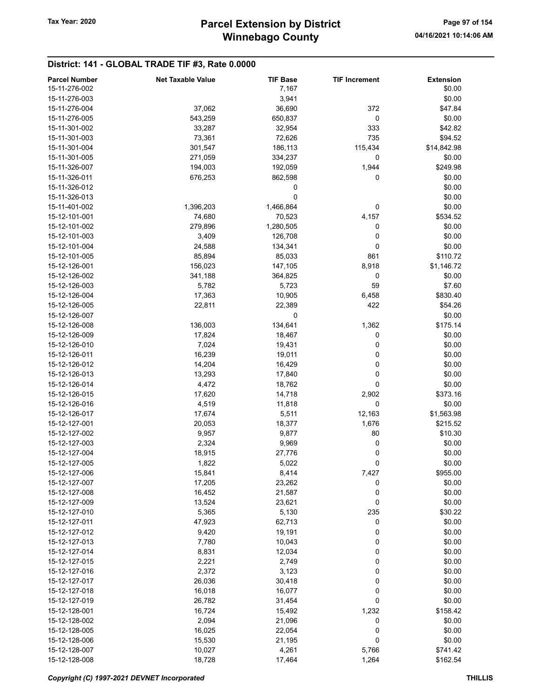### District: 141 - GLOBAL TRADE TIF #3, Rate 0.0000

| <b>Parcel Number</b> | <b>Net Taxable Value</b> | <b>TIF Base</b> | <b>TIF Increment</b> | <b>Extension</b> |
|----------------------|--------------------------|-----------------|----------------------|------------------|
| 15-11-276-002        |                          | 7,167           |                      | \$0.00           |
| 15-11-276-003        |                          | 3,941           |                      | \$0.00           |
| 15-11-276-004        | 37,062                   | 36,690          | 372                  | \$47.84          |
| 15-11-276-005        | 543,259                  | 650,837         | 0                    | \$0.00           |
| 15-11-301-002        | 33,287                   | 32,954          | 333                  | \$42.82          |
| 15-11-301-003        |                          |                 | 735                  | \$94.52          |
|                      | 73,361                   | 72,626          |                      |                  |
| 15-11-301-004        | 301,547                  | 186,113         | 115,434              | \$14,842.98      |
| 15-11-301-005        | 271,059                  | 334,237         | 0                    | \$0.00           |
| 15-11-326-007        | 194,003                  | 192,059         | 1,944                | \$249.98         |
| 15-11-326-011        | 676,253                  | 862,598         | 0                    | \$0.00           |
| 15-11-326-012        |                          | 0               |                      | \$0.00           |
| 15-11-326-013        |                          | 0               |                      | \$0.00           |
| 15-11-401-002        | 1,396,203                | 1,466,864       | 0                    | \$0.00           |
| 15-12-101-001        | 74,680                   | 70,523          | 4,157                | \$534.52         |
| 15-12-101-002        | 279,896                  | 1,280,505       | 0                    | \$0.00           |
| 15-12-101-003        | 3,409                    | 126,708         | 0                    | \$0.00           |
| 15-12-101-004        | 24,588                   | 134,341         | 0                    | \$0.00           |
| 15-12-101-005        | 85,894                   | 85,033          | 861                  | \$110.72         |
| 15-12-126-001        | 156,023                  | 147,105         | 8,918                | \$1,146.72       |
| 15-12-126-002        | 341,188                  | 364,825         | 0                    | \$0.00           |
|                      |                          |                 | 59                   |                  |
| 15-12-126-003        | 5,782                    | 5,723           |                      | \$7.60           |
| 15-12-126-004        | 17,363                   | 10,905          | 6,458                | \$830.40         |
| 15-12-126-005        | 22,811                   | 22,389          | 422                  | \$54.26          |
| 15-12-126-007        |                          | 0               |                      | \$0.00           |
| 15-12-126-008        | 136,003                  | 134,641         | 1,362                | \$175.14         |
| 15-12-126-009        | 17,824                   | 18,467          | 0                    | \$0.00           |
| 15-12-126-010        | 7,024                    | 19,431          | 0                    | \$0.00           |
| 15-12-126-011        | 16,239                   | 19,011          | 0                    | \$0.00           |
| 15-12-126-012        | 14,204                   | 16,429          | 0                    | \$0.00           |
| 15-12-126-013        | 13,293                   | 17,840          | 0                    | \$0.00           |
| 15-12-126-014        | 4,472                    | 18,762          | 0                    | \$0.00           |
| 15-12-126-015        | 17,620                   | 14,718          | 2,902                | \$373.16         |
| 15-12-126-016        | 4,519                    | 11,818          | 0                    | \$0.00           |
| 15-12-126-017        | 17,674                   | 5,511           | 12,163               | \$1,563.98       |
| 15-12-127-001        | 20,053                   | 18,377          | 1,676                | \$215.52         |
| 15-12-127-002        | 9,957                    | 9,877           | 80                   | \$10.30          |
| 15-12-127-003        |                          |                 |                      |                  |
|                      | 2,324                    | 9,969           | 0                    | \$0.00           |
| 15-12-127-004        | 18,915                   | 27,776          | 0                    | \$0.00           |
| 15-12-127-005        | 1,822                    | 5,022           | 0                    | \$0.00           |
| 15-12-127-006        | 15,841                   | 8,414           | 7,427                | \$955.00         |
| 15-12-127-007        | 17,205                   | 23,262          | 0                    | \$0.00           |
| 15-12-127-008        | 16,452                   | 21,587          | 0                    | \$0.00           |
| 15-12-127-009        | 13,524                   | 23,621          | 0                    | \$0.00           |
| 15-12-127-010        | 5,365                    | 5,130           | 235                  | \$30.22          |
| 15-12-127-011        | 47,923                   | 62,713          | 0                    | \$0.00           |
| 15-12-127-012        | 9,420                    | 19,191          | 0                    | \$0.00           |
| 15-12-127-013        | 7,780                    | 10,043          | 0                    | \$0.00           |
| 15-12-127-014        | 8,831                    | 12,034          | 0                    | \$0.00           |
| 15-12-127-015        | 2,221                    | 2,749           | 0                    | \$0.00           |
| 15-12-127-016        | 2,372                    | 3,123           | 0                    | \$0.00           |
| 15-12-127-017        | 26,036                   | 30,418          | 0                    | \$0.00           |
|                      |                          |                 |                      |                  |
| 15-12-127-018        | 16,018                   | 16,077          | 0                    | \$0.00           |
| 15-12-127-019        | 26,782                   | 31,454          | 0                    | \$0.00           |
| 15-12-128-001        | 16,724                   | 15,492          | 1,232                | \$158.42         |
| 15-12-128-002        | 2,094                    | 21,096          | 0                    | \$0.00           |
| 15-12-128-005        | 16,025                   | 22,054          | 0                    | \$0.00           |
| 15-12-128-006        | 15,530                   | 21,195          | 0                    | \$0.00           |
| 15-12-128-007        | 10,027                   | 4,261           | 5,766                | \$741.42         |
| 15-12-128-008        | 18,728                   | 17,464          | 1,264                | \$162.54         |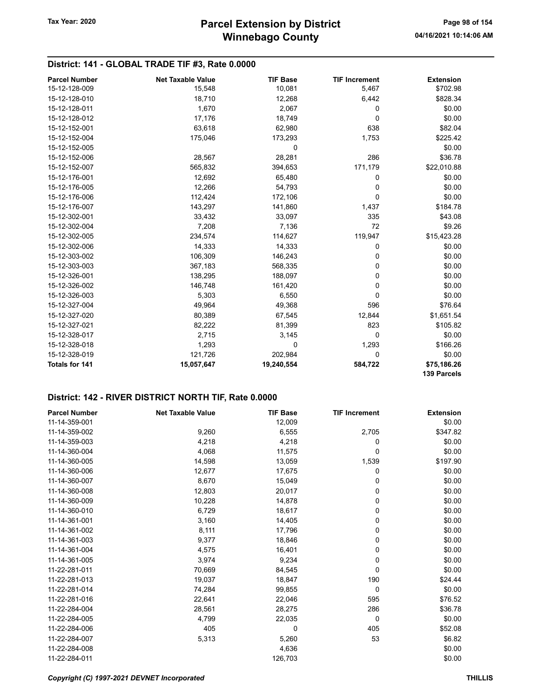### District: 141 - GLOBAL TRADE TIF #3, Rate 0.0000

| <b>Parcel Number</b>  | <b>Net Taxable Value</b> | <b>TIF Base</b> | <b>TIF Increment</b> | <b>Extension</b>   |
|-----------------------|--------------------------|-----------------|----------------------|--------------------|
| 15-12-128-009         | 15,548                   | 10,081          | 5,467                | \$702.98           |
| 15-12-128-010         | 18,710                   | 12,268          | 6,442                | \$828.34           |
| 15-12-128-011         | 1,670                    | 2,067           | 0                    | \$0.00             |
| 15-12-128-012         | 17,176                   | 18,749          | 0                    | \$0.00             |
| 15-12-152-001         | 63,618                   | 62,980          | 638                  | \$82.04            |
| 15-12-152-004         | 175,046                  | 173,293         | 1,753                | \$225.42           |
| 15-12-152-005         |                          | 0               |                      | \$0.00             |
| 15-12-152-006         | 28,567                   | 28,281          | 286                  | \$36.78            |
| 15-12-152-007         | 565,832                  | 394,653         | 171,179              | \$22,010.88        |
| 15-12-176-001         | 12,692                   | 65,480          | 0                    | \$0.00             |
| 15-12-176-005         | 12,266                   | 54,793          | 0                    | \$0.00             |
| 15-12-176-006         | 112,424                  | 172,106         | 0                    | \$0.00             |
| 15-12-176-007         | 143,297                  | 141,860         | 1,437                | \$184.78           |
| 15-12-302-001         | 33,432                   | 33,097          | 335                  | \$43.08            |
| 15-12-302-004         | 7,208                    | 7,136           | 72                   | \$9.26             |
| 15-12-302-005         | 234,574                  | 114,627         | 119,947              | \$15,423.28        |
| 15-12-302-006         | 14,333                   | 14,333          | 0                    | \$0.00             |
| 15-12-303-002         | 106,309                  | 146,243         | 0                    | \$0.00             |
| 15-12-303-003         | 367,183                  | 568,335         | 0                    | \$0.00             |
| 15-12-326-001         | 138,295                  | 188,097         | 0                    | \$0.00             |
| 15-12-326-002         | 146,748                  | 161,420         | 0                    | \$0.00             |
| 15-12-326-003         | 5,303                    | 6,550           | 0                    | \$0.00             |
| 15-12-327-004         | 49,964                   | 49,368          | 596                  | \$76.64            |
| 15-12-327-020         | 80,389                   | 67,545          | 12,844               | \$1,651.54         |
| 15-12-327-021         | 82,222                   | 81,399          | 823                  | \$105.82           |
| 15-12-328-017         | 2,715                    | 3,145           | 0                    | \$0.00             |
| 15-12-328-018         | 1,293                    | 0               | 1,293                | \$166.26           |
| 15-12-328-019         | 121,726                  | 202,984         | 0                    | \$0.00             |
| <b>Totals for 141</b> | 15,057,647               | 19,240,554      | 584,722              | \$75,186.26        |
|                       |                          |                 |                      | <b>139 Parcels</b> |

| <b>Parcel Number</b> | <b>Net Taxable Value</b> | <b>TIF Base</b> | <b>TIF Increment</b> | <b>Extension</b> |
|----------------------|--------------------------|-----------------|----------------------|------------------|
| 11-14-359-001        |                          | 12,009          |                      | \$0.00           |
| 11-14-359-002        | 9,260                    | 6,555           | 2,705                | \$347.82         |
| 11-14-359-003        | 4,218                    | 4,218           | 0                    | \$0.00           |
| 11-14-360-004        | 4,068                    | 11,575          | 0                    | \$0.00           |
| 11-14-360-005        | 14,598                   | 13,059          | 1,539                | \$197.90         |
| 11-14-360-006        | 12,677                   | 17,675          | 0                    | \$0.00           |
| 11-14-360-007        | 8,670                    | 15,049          | 0                    | \$0.00           |
| 11-14-360-008        | 12,803                   | 20,017          | 0                    | \$0.00           |
| 11-14-360-009        | 10,228                   | 14,878          | 0                    | \$0.00           |
| 11-14-360-010        | 6,729                    | 18,617          | 0                    | \$0.00           |
| 11-14-361-001        | 3,160                    | 14,405          | 0                    | \$0.00           |
| 11-14-361-002        | 8,111                    | 17,796          | 0                    | \$0.00           |
| 11-14-361-003        | 9,377                    | 18,846          | 0                    | \$0.00           |
| 11-14-361-004        | 4,575                    | 16,401          | 0                    | \$0.00           |
| 11-14-361-005        | 3,974                    | 9,234           | 0                    | \$0.00           |
| 11-22-281-011        | 70,669                   | 84,545          | 0                    | \$0.00           |
| 11-22-281-013        | 19,037                   | 18,847          | 190                  | \$24.44          |
| 11-22-281-014        | 74,284                   | 99,855          | 0                    | \$0.00           |
| 11-22-281-016        | 22,641                   | 22,046          | 595                  | \$76.52          |
| 11-22-284-004        | 28,561                   | 28,275          | 286                  | \$36.78          |
| 11-22-284-005        | 4,799                    | 22,035          | 0                    | \$0.00           |
| 11-22-284-006        | 405                      | 0               | 405                  | \$52.08          |
| 11-22-284-007        | 5,313                    | 5,260           | 53                   | \$6.82           |
| 11-22-284-008        |                          | 4,636           |                      | \$0.00           |
| 11-22-284-011        |                          | 126,703         |                      | \$0.00           |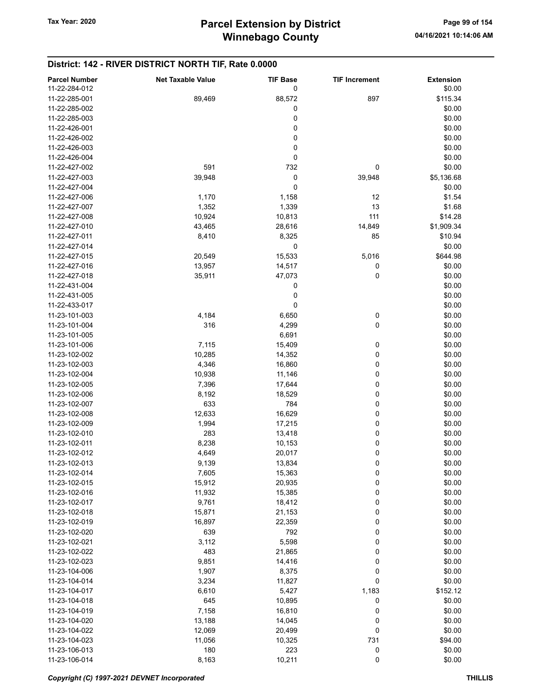| <b>Parcel Number</b> | <b>Net Taxable Value</b> | <b>TIF Base</b> | <b>TIF Increment</b> | <b>Extension</b> |
|----------------------|--------------------------|-----------------|----------------------|------------------|
| 11-22-284-012        |                          | 0               |                      | \$0.00           |
| 11-22-285-001        | 89,469                   | 88,572          | 897                  | \$115.34         |
| 11-22-285-002        |                          | 0               |                      | \$0.00           |
| 11-22-285-003        |                          | 0               |                      | \$0.00           |
|                      |                          |                 |                      |                  |
| 11-22-426-001        |                          | 0               |                      | \$0.00           |
| 11-22-426-002        |                          | 0               |                      | \$0.00           |
| 11-22-426-003        |                          | $\pmb{0}$       |                      | \$0.00           |
| 11-22-426-004        |                          | 0               |                      | \$0.00           |
| 11-22-427-002        | 591                      | 732             | 0                    | \$0.00           |
| 11-22-427-003        | 39,948                   | 0               | 39,948               | \$5,136.68       |
| 11-22-427-004        |                          | 0               |                      | \$0.00           |
| 11-22-427-006        | 1,170                    | 1,158           | 12                   | \$1.54           |
| 11-22-427-007        | 1,352                    | 1,339           | 13                   | \$1.68           |
| 11-22-427-008        | 10,924                   | 10,813          | 111                  | \$14.28          |
| 11-22-427-010        | 43,465                   | 28,616          | 14,849               | \$1,909.34       |
| 11-22-427-011        | 8,410                    | 8,325           | 85                   | \$10.94          |
| 11-22-427-014        |                          | 0               |                      | \$0.00           |
|                      |                          |                 |                      |                  |
| 11-22-427-015        | 20,549                   | 15,533          | 5,016                | \$644.98         |
| 11-22-427-016        | 13,957                   | 14,517          | 0                    | \$0.00           |
| 11-22-427-018        | 35,911                   | 47,073          | 0                    | \$0.00           |
| 11-22-431-004        |                          | 0               |                      | \$0.00           |
| 11-22-431-005        |                          | 0               |                      | \$0.00           |
| 11-22-433-017        |                          | 0               |                      | \$0.00           |
| 11-23-101-003        | 4,184                    | 6,650           | 0                    | \$0.00           |
| 11-23-101-004        | 316                      | 4,299           | 0                    | \$0.00           |
| 11-23-101-005        |                          | 6,691           |                      | \$0.00           |
| 11-23-101-006        | 7,115                    | 15,409          | 0                    | \$0.00           |
| 11-23-102-002        | 10,285                   | 14,352          | 0                    | \$0.00           |
|                      | 4,346                    |                 |                      |                  |
| 11-23-102-003        |                          | 16,860          | 0                    | \$0.00           |
| 11-23-102-004        | 10,938                   | 11,146          | 0                    | \$0.00           |
| 11-23-102-005        | 7,396                    | 17,644          | 0                    | \$0.00           |
| 11-23-102-006        | 8,192                    | 18,529          | 0                    | \$0.00           |
| 11-23-102-007        | 633                      | 784             | 0                    | \$0.00           |
| 11-23-102-008        | 12,633                   | 16,629          | 0                    | \$0.00           |
| 11-23-102-009        | 1,994                    | 17,215          | 0                    | \$0.00           |
| 11-23-102-010        | 283                      | 13,418          | 0                    | \$0.00           |
| 11-23-102-011        | 8,238                    | 10,153          | 0                    | \$0.00           |
| 11-23-102-012        | 4,649                    | 20,017          | 0                    | \$0.00           |
| 11-23-102-013        | 9,139                    | 13,834          | 0                    | \$0.00           |
| 11-23-102-014        | 7,605                    | 15,363          | 0                    | \$0.00           |
| 11-23-102-015        | 15,912                   | 20,935          | 0                    | \$0.00           |
| 11-23-102-016        |                          |                 | 0                    | \$0.00           |
|                      | 11,932                   | 15,385          |                      |                  |
| 11-23-102-017        | 9,761                    | 18,412          | 0                    | \$0.00           |
| 11-23-102-018        | 15,871                   | 21,153          | 0                    | \$0.00           |
| 11-23-102-019        | 16,897                   | 22,359          | 0                    | \$0.00           |
| 11-23-102-020        | 639                      | 792             | 0                    | \$0.00           |
| 11-23-102-021        | 3,112                    | 5,598           | 0                    | \$0.00           |
| 11-23-102-022        | 483                      | 21,865          | 0                    | \$0.00           |
| 11-23-102-023        | 9,851                    | 14,416          | 0                    | \$0.00           |
| 11-23-104-006        | 1,907                    | 8,375           | 0                    | \$0.00           |
| 11-23-104-014        | 3,234                    | 11,827          | 0                    | \$0.00           |
| 11-23-104-017        | 6,610                    | 5,427           | 1,183                | \$152.12         |
| 11-23-104-018        | 645                      | 10,895          | 0                    | \$0.00           |
| 11-23-104-019        | 7,158                    | 16,810          | 0                    | \$0.00           |
| 11-23-104-020        | 13,188                   | 14,045          | 0                    | \$0.00           |
|                      |                          |                 |                      |                  |
| 11-23-104-022        | 12,069                   | 20,499          | 0                    | \$0.00           |
| 11-23-104-023        | 11,056                   | 10,325          | 731                  | \$94.00          |
| 11-23-106-013        | 180                      | 223             | 0                    | \$0.00           |
| 11-23-106-014        | 8,163                    | 10,211          | $\pmb{0}$            | \$0.00           |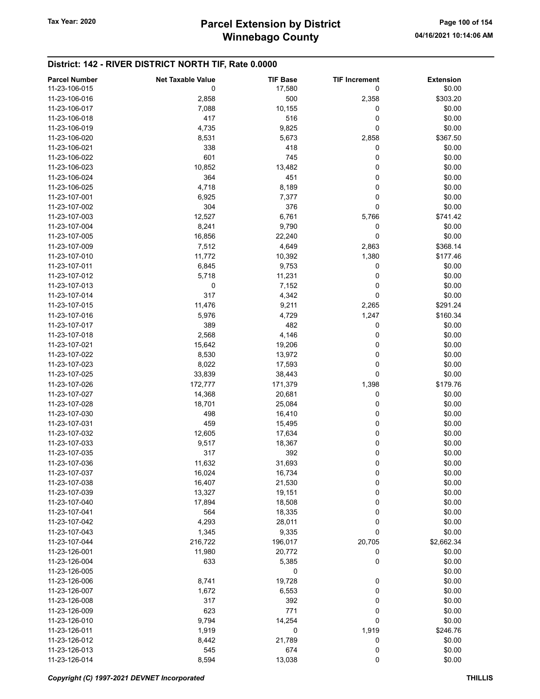| <b>Parcel Number</b> | <b>Net Taxable Value</b> | <b>TIF Base</b> | <b>TIF Increment</b> | <b>Extension</b> |
|----------------------|--------------------------|-----------------|----------------------|------------------|
| 11-23-106-015        | 0                        | 17,580          | 0                    | \$0.00           |
| 11-23-106-016        | 2,858                    | 500             | 2,358                | \$303.20         |
| 11-23-106-017        | 7,088                    | 10,155          | 0                    | \$0.00           |
| 11-23-106-018        | 417                      | 516             | 0                    | \$0.00           |
|                      |                          |                 |                      |                  |
| 11-23-106-019        | 4,735                    | 9,825           | 0                    | \$0.00           |
| 11-23-106-020        | 8,531                    | 5,673           | 2,858                | \$367.50         |
| 11-23-106-021        | 338                      | 418             | 0                    | \$0.00           |
| 11-23-106-022        | 601                      | 745             | 0                    | \$0.00           |
| 11-23-106-023        | 10,852                   | 13,482          | 0                    | \$0.00           |
| 11-23-106-024        | 364                      | 451             | 0                    | \$0.00           |
| 11-23-106-025        | 4,718                    | 8,189           | 0                    | \$0.00           |
| 11-23-107-001        | 6,925                    | 7,377           | 0                    | \$0.00           |
| 11-23-107-002        | 304                      | 376             | 0                    | \$0.00           |
| 11-23-107-003        | 12,527                   | 6,761           | 5,766                | \$741.42         |
| 11-23-107-004        | 8,241                    | 9,790           | 0                    | \$0.00           |
| 11-23-107-005        | 16,856                   | 22,240          | 0                    | \$0.00           |
| 11-23-107-009        | 7,512                    | 4,649           | 2,863                | \$368.14         |
| 11-23-107-010        | 11,772                   | 10,392          | 1,380                | \$177.46         |
| 11-23-107-011        |                          |                 | 0                    |                  |
|                      | 6,845                    | 9,753           |                      | \$0.00           |
| 11-23-107-012        | 5,718                    | 11,231          | 0                    | \$0.00           |
| 11-23-107-013        | 0                        | 7,152           | 0                    | \$0.00           |
| 11-23-107-014        | 317                      | 4,342           | 0                    | \$0.00           |
| 11-23-107-015        | 11,476                   | 9,211           | 2,265                | \$291.24         |
| 11-23-107-016        | 5,976                    | 4,729           | 1,247                | \$160.34         |
| 11-23-107-017        | 389                      | 482             | 0                    | \$0.00           |
| 11-23-107-018        | 2,568                    | 4,146           | 0                    | \$0.00           |
| 11-23-107-021        | 15,642                   | 19,206          | 0                    | \$0.00           |
| 11-23-107-022        | 8,530                    | 13,972          | 0                    | \$0.00           |
| 11-23-107-023        | 8,022                    | 17,593          | 0                    | \$0.00           |
| 11-23-107-025        | 33,839                   | 38,443          | 0                    | \$0.00           |
| 11-23-107-026        | 172,777                  | 171,379         | 1,398                | \$179.76         |
| 11-23-107-027        | 14,368                   | 20,681          | 0                    | \$0.00           |
| 11-23-107-028        | 18,701                   | 25,084          | 0                    | \$0.00           |
| 11-23-107-030        | 498                      | 16,410          | 0                    | \$0.00           |
| 11-23-107-031        | 459                      | 15,495          | 0                    | \$0.00           |
| 11-23-107-032        | 12,605                   | 17,634          | 0                    | \$0.00           |
|                      |                          |                 |                      |                  |
| 11-23-107-033        | 9,517                    | 18,367          | 0                    | \$0.00           |
| 11-23-107-035        | 317                      | 392             | 0                    | \$0.00           |
| 11-23-107-036        | 11,632                   | 31,693          | 0                    | \$0.00           |
| 11-23-107-037        | 16,024                   | 16,734          | 0                    | \$0.00           |
| 11-23-107-038        | 16,407                   | 21,530          | 0                    | \$0.00           |
| 11-23-107-039        | 13,327                   | 19,151          | 0                    | \$0.00           |
| 11-23-107-040        | 17,894                   | 18,508          | 0                    | \$0.00           |
| 11-23-107-041        | 564                      | 18,335          | 0                    | \$0.00           |
| 11-23-107-042        | 4,293                    | 28,011          | 0                    | \$0.00           |
| 11-23-107-043        | 1,345                    | 9,335           | 0                    | \$0.00           |
| 11-23-107-044        | 216,722                  | 196,017         | 20,705               | \$2,662.34       |
| 11-23-126-001        | 11,980                   | 20,772          | 0                    | \$0.00           |
| 11-23-126-004        | 633                      | 5,385           | 0                    | \$0.00           |
| 11-23-126-005        |                          | 0               |                      | \$0.00           |
| 11-23-126-006        | 8,741                    | 19,728          | 0                    | \$0.00           |
| 11-23-126-007        | 1,672                    | 6,553           | 0                    | \$0.00           |
| 11-23-126-008        | 317                      | 392             | 0                    | \$0.00           |
|                      |                          |                 |                      |                  |
| 11-23-126-009        | 623                      | 771             | 0                    | \$0.00           |
| 11-23-126-010        | 9,794                    | 14,254          | 0                    | \$0.00           |
| 11-23-126-011        | 1,919                    | 0               | 1,919                | \$246.76         |
| 11-23-126-012        | 8,442                    | 21,789          | 0                    | \$0.00           |
| 11-23-126-013        | 545                      | 674             | 0                    | \$0.00           |
| 11-23-126-014        | 8,594                    | 13,038          | 0                    | \$0.00           |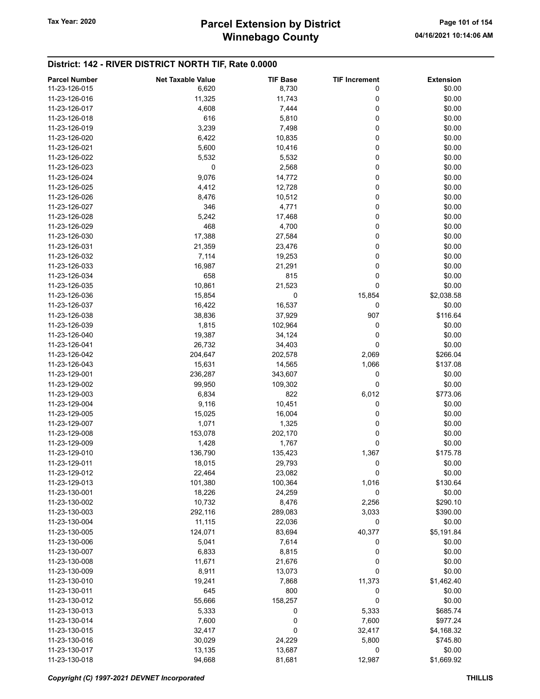## Winnebago County Tax Year: 2020 **Parcel Extension by District** Page 101 of 154

| <b>Parcel Number</b> | <b>Net Taxable Value</b> | <b>TIF Base</b> | <b>TIF Increment</b> | <b>Extension</b> |
|----------------------|--------------------------|-----------------|----------------------|------------------|
| 11-23-126-015        | 6,620                    | 8,730           | 0                    | \$0.00           |
| 11-23-126-016        | 11,325                   | 11,743          | 0                    | \$0.00           |
| 11-23-126-017        | 4,608                    | 7,444           | 0                    | \$0.00           |
| 11-23-126-018        | 616                      | 5,810           | 0                    | \$0.00           |
| 11-23-126-019        | 3,239                    | 7,498           | 0                    | \$0.00           |
|                      |                          |                 | 0                    |                  |
| 11-23-126-020        | 6,422                    | 10,835          |                      | \$0.00           |
| 11-23-126-021        | 5,600                    | 10,416          | 0                    | \$0.00           |
| 11-23-126-022        | 5,532                    | 5,532           | 0                    | \$0.00           |
| 11-23-126-023        | 0                        | 2,568           | 0                    | \$0.00           |
| 11-23-126-024        | 9,076                    | 14,772          | 0                    | \$0.00           |
| 11-23-126-025        | 4,412                    | 12,728          | 0                    | \$0.00           |
| 11-23-126-026        | 8,476                    | 10,512          | 0                    | \$0.00           |
| 11-23-126-027        | 346                      | 4,771           | 0                    | \$0.00           |
| 11-23-126-028        | 5,242                    | 17,468          | 0                    | \$0.00           |
| 11-23-126-029        | 468                      | 4,700           | 0                    | \$0.00           |
| 11-23-126-030        | 17,388                   | 27,584          | 0                    | \$0.00           |
| 11-23-126-031        | 21,359                   | 23,476          | 0                    | \$0.00           |
| 11-23-126-032        | 7,114                    | 19,253          | 0                    | \$0.00           |
| 11-23-126-033        | 16,987                   | 21,291          | 0                    | \$0.00           |
|                      |                          |                 |                      |                  |
| 11-23-126-034        | 658                      | 815             | 0                    | \$0.00           |
| 11-23-126-035        | 10,861                   | 21,523          | 0                    | \$0.00           |
| 11-23-126-036        | 15,854                   | 0               | 15,854               | \$2,038.58       |
| 11-23-126-037        | 16,422                   | 16,537          | 0                    | \$0.00           |
| 11-23-126-038        | 38,836                   | 37,929          | 907                  | \$116.64         |
| 11-23-126-039        | 1,815                    | 102,964         | 0                    | \$0.00           |
| 11-23-126-040        | 19,387                   | 34,124          | 0                    | \$0.00           |
| 11-23-126-041        | 26,732                   | 34,403          | 0                    | \$0.00           |
| 11-23-126-042        | 204,647                  | 202,578         | 2,069                | \$266.04         |
| 11-23-126-043        | 15,631                   | 14,565          | 1,066                | \$137.08         |
| 11-23-129-001        | 236,287                  | 343,607         | 0                    | \$0.00           |
| 11-23-129-002        | 99,950                   | 109,302         | $\mathbf 0$          | \$0.00           |
| 11-23-129-003        | 6,834                    | 822             | 6,012                | \$773.06         |
| 11-23-129-004        |                          |                 | 0                    |                  |
|                      | 9,116                    | 10,451          |                      | \$0.00           |
| 11-23-129-005        | 15,025                   | 16,004          | 0                    | \$0.00           |
| 11-23-129-007        | 1,071                    | 1,325           | 0                    | \$0.00           |
| 11-23-129-008        | 153,078                  | 202,170         | 0                    | \$0.00           |
| 11-23-129-009        | 1,428                    | 1,767           | 0                    | \$0.00           |
| 11-23-129-010        | 136,790                  | 135,423         | 1,367                | \$175.78         |
| 11-23-129-011        | 18,015                   | 29,793          | 0                    | \$0.00           |
| 11-23-129-012        | 22,464                   | 23,082          | 0                    | \$0.00           |
| 11-23-129-013        | 101,380                  | 100,364         | 1,016                | \$130.64         |
| 11-23-130-001        | 18,226                   | 24,259          | 0                    | \$0.00           |
| 11-23-130-002        | 10,732                   | 8,476           | 2,256                | \$290.10         |
| 11-23-130-003        | 292,116                  | 289,083         | 3,033                | \$390.00         |
| 11-23-130-004        | 11,115                   | 22,036          | 0                    | \$0.00           |
| 11-23-130-005        | 124,071                  | 83,694          | 40,377               | \$5,191.84       |
| 11-23-130-006        | 5,041                    | 7,614           | 0                    | \$0.00           |
| 11-23-130-007        |                          |                 |                      |                  |
|                      | 6,833                    | 8,815           | 0                    | \$0.00           |
| 11-23-130-008        | 11,671                   | 21,676          | 0                    | \$0.00           |
| 11-23-130-009        | 8,911                    | 13,073          | 0                    | \$0.00           |
| 11-23-130-010        | 19,241                   | 7,868           | 11,373               | \$1,462.40       |
| 11-23-130-011        | 645                      | 800             | 0                    | \$0.00           |
| 11-23-130-012        | 55,666                   | 158,257         | 0                    | \$0.00           |
| 11-23-130-013        | 5,333                    | 0               | 5,333                | \$685.74         |
| 11-23-130-014        | 7,600                    | 0               | 7,600                | \$977.24         |
| 11-23-130-015        | 32,417                   | 0               | 32,417               | \$4,168.32       |
| 11-23-130-016        | 30,029                   | 24,229          | 5,800                | \$745.80         |
| 11-23-130-017        | 13,135                   | 13,687          | 0                    | \$0.00           |
| 11-23-130-018        | 94,668                   | 81,681          | 12,987               | \$1,669.92       |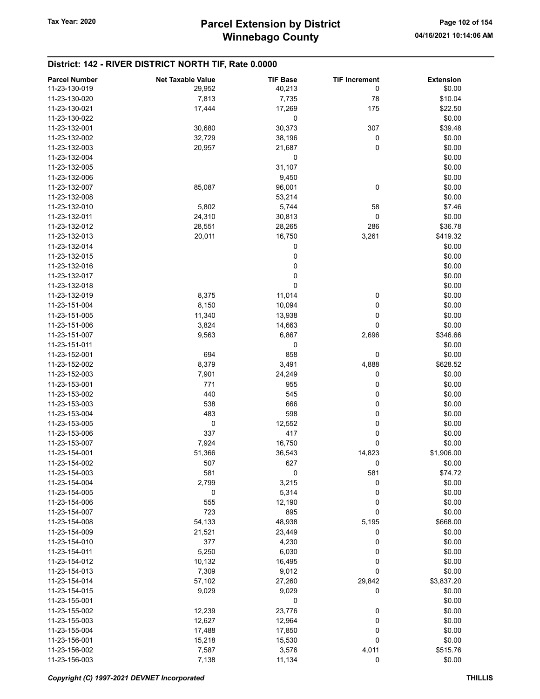| <b>Parcel Number</b> | <b>Net Taxable Value</b> | <b>TIF Base</b> | <b>TIF Increment</b> | <b>Extension</b> |
|----------------------|--------------------------|-----------------|----------------------|------------------|
| 11-23-130-019        | 29,952                   | 40,213          | 0                    | \$0.00           |
| 11-23-130-020        | 7,813                    | 7,735           | 78                   | \$10.04          |
| 11-23-130-021        | 17,444                   | 17,269          |                      |                  |
|                      |                          |                 | 175                  | \$22.50          |
| 11-23-130-022        |                          | 0               |                      | \$0.00           |
| 11-23-132-001        | 30,680                   | 30,373          | 307                  | \$39.48          |
| 11-23-132-002        | 32,729                   | 38,196          | 0                    | \$0.00           |
| 11-23-132-003        | 20,957                   | 21,687          | 0                    | \$0.00           |
| 11-23-132-004        |                          | 0               |                      | \$0.00           |
| 11-23-132-005        |                          | 31,107          |                      | \$0.00           |
| 11-23-132-006        |                          | 9,450           |                      | \$0.00           |
| 11-23-132-007        | 85,087                   | 96,001          | 0                    | \$0.00           |
| 11-23-132-008        |                          | 53,214          |                      | \$0.00           |
| 11-23-132-010        | 5,802                    | 5,744           | 58                   | \$7.46           |
| 11-23-132-011        | 24,310                   | 30,813          | 0                    | \$0.00           |
| 11-23-132-012        | 28,551                   | 28,265          | 286                  | \$36.78          |
| 11-23-132-013        | 20,011                   | 16,750          | 3,261                | \$419.32         |
| 11-23-132-014        |                          | 0               |                      | \$0.00           |
| 11-23-132-015        |                          | 0               |                      | \$0.00           |
| 11-23-132-016        |                          | 0               |                      | \$0.00           |
|                      |                          |                 |                      |                  |
| 11-23-132-017        |                          | $\pmb{0}$       |                      | \$0.00           |
| 11-23-132-018        |                          | 0               |                      | \$0.00           |
| 11-23-132-019        | 8,375                    | 11,014          | 0                    | \$0.00           |
| 11-23-151-004        | 8,150                    | 10,094          | 0                    | \$0.00           |
| 11-23-151-005        | 11,340                   | 13,938          | 0                    | \$0.00           |
| 11-23-151-006        | 3,824                    | 14,663          | 0                    | \$0.00           |
| 11-23-151-007        | 9,563                    | 6,867           | 2,696                | \$346.66         |
| 11-23-151-011        |                          | 0               |                      | \$0.00           |
| 11-23-152-001        | 694                      | 858             | 0                    | \$0.00           |
| 11-23-152-002        | 8,379                    | 3,491           | 4,888                | \$628.52         |
| 11-23-152-003        | 7,901                    | 24,249          | 0                    | \$0.00           |
| 11-23-153-001        | 771                      | 955             | 0                    | \$0.00           |
| 11-23-153-002        | 440                      | 545             | 0                    | \$0.00           |
| 11-23-153-003        | 538                      | 666             | 0                    | \$0.00           |
| 11-23-153-004        | 483                      | 598             | 0                    | \$0.00           |
| 11-23-153-005        | 0                        | 12,552          | 0                    | \$0.00           |
| 11-23-153-006        | 337                      | 417             | 0                    | \$0.00           |
|                      |                          |                 |                      |                  |
| 11-23-153-007        | 7,924                    | 16,750          | 0                    | \$0.00           |
| 11-23-154-001        | 51,366                   | 36,543          | 14,823               | \$1,906.00       |
| 11-23-154-002        | 507                      | 627             | 0                    | \$0.00           |
| 11-23-154-003        | 581                      | 0               | 581                  | \$74.72          |
| 11-23-154-004        | 2,799                    | 3,215           | 0                    | \$0.00           |
| 11-23-154-005        | 0                        | 5,314           | 0                    | \$0.00           |
| 11-23-154-006        | 555                      | 12,190          | 0                    | \$0.00           |
| 11-23-154-007        | 723                      | 895             | 0                    | \$0.00           |
| 11-23-154-008        | 54,133                   | 48,938          | 5,195                | \$668.00         |
| 11-23-154-009        | 21,521                   | 23,449          | 0                    | \$0.00           |
| 11-23-154-010        | 377                      | 4,230           | 0                    | \$0.00           |
| 11-23-154-011        | 5,250                    | 6,030           | 0                    | \$0.00           |
| 11-23-154-012        | 10,132                   | 16,495          | 0                    | \$0.00           |
| 11-23-154-013        | 7,309                    | 9,012           | 0                    | \$0.00           |
| 11-23-154-014        |                          |                 |                      | \$3,837.20       |
|                      | 57,102                   | 27,260          | 29,842<br>0          |                  |
| 11-23-154-015        | 9,029                    | 9,029           |                      | \$0.00           |
| 11-23-155-001        |                          | 0               |                      | \$0.00           |
| 11-23-155-002        | 12,239                   | 23,776          | 0                    | \$0.00           |
| 11-23-155-003        | 12,627                   | 12,964          | 0                    | \$0.00           |
| 11-23-155-004        | 17,488                   | 17,850          | 0                    | \$0.00           |
| 11-23-156-001        | 15,218                   | 15,530          | 0                    | \$0.00           |
| 11-23-156-002        | 7,587                    | 3,576           | 4,011                | \$515.76         |
| 11-23-156-003        | 7,138                    | 11,134          | 0                    | \$0.00           |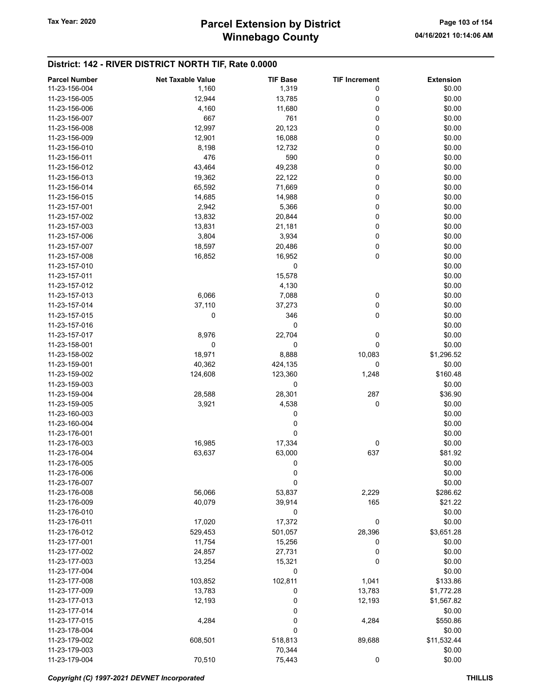## Winnebago County Tax Year: 2020 **Parcel Extension by District** Page 103 of 154

| <b>Parcel Number</b> | <b>Net Taxable Value</b> | <b>TIF Base</b> | <b>TIF Increment</b> | <b>Extension</b> |
|----------------------|--------------------------|-----------------|----------------------|------------------|
| 11-23-156-004        | 1,160                    | 1,319           | 0                    | \$0.00           |
| 11-23-156-005        | 12,944                   | 13,785          | 0                    | \$0.00           |
| 11-23-156-006        | 4,160                    | 11,680          | 0                    | \$0.00           |
| 11-23-156-007        | 667                      | 761             | 0                    | \$0.00           |
| 11-23-156-008        | 12,997                   | 20,123          | 0                    | \$0.00           |
|                      |                          |                 | 0                    |                  |
| 11-23-156-009        | 12,901                   | 16,088          |                      | \$0.00           |
| 11-23-156-010        | 8,198                    | 12,732          | 0                    | \$0.00           |
| 11-23-156-011        | 476                      | 590             | 0                    | \$0.00           |
| 11-23-156-012        | 43,464                   | 49,238          | 0                    | \$0.00           |
| 11-23-156-013        | 19,362                   | 22,122          | 0                    | \$0.00           |
| 11-23-156-014        | 65,592                   | 71,669          | 0                    | \$0.00           |
| 11-23-156-015        | 14,685                   | 14,988          | 0                    | \$0.00           |
| 11-23-157-001        | 2,942                    | 5,366           | 0                    | \$0.00           |
| 11-23-157-002        | 13,832                   | 20,844          | 0                    | \$0.00           |
| 11-23-157-003        | 13,831                   | 21,181          | 0                    | \$0.00           |
| 11-23-157-006        | 3,804                    | 3,934           | 0                    | \$0.00           |
| 11-23-157-007        | 18,597                   | 20,486          | 0                    | \$0.00           |
| 11-23-157-008        | 16,852                   | 16,952          | $\pmb{0}$            | \$0.00           |
| 11-23-157-010        |                          | 0               |                      | \$0.00           |
| 11-23-157-011        |                          | 15,578          |                      | \$0.00           |
|                      |                          |                 |                      |                  |
| 11-23-157-012        |                          | 4,130           |                      | \$0.00           |
| 11-23-157-013        | 6,066                    | 7,088           | 0                    | \$0.00           |
| 11-23-157-014        | 37,110                   | 37,273          | 0                    | \$0.00           |
| 11-23-157-015        | 0                        | 346             | 0                    | \$0.00           |
| 11-23-157-016        |                          | 0               |                      | \$0.00           |
| 11-23-157-017        | 8,976                    | 22,704          | 0                    | \$0.00           |
| 11-23-158-001        | 0                        | 0               | 0                    | \$0.00           |
| 11-23-158-002        | 18,971                   | 8,888           | 10,083               | \$1,296.52       |
| 11-23-159-001        | 40,362                   | 424,135         | 0                    | \$0.00           |
| 11-23-159-002        | 124,608                  | 123,360         | 1,248                | \$160.48         |
| 11-23-159-003        |                          | 0               |                      | \$0.00           |
| 11-23-159-004        | 28,588                   | 28,301          | 287                  | \$36.90          |
| 11-23-159-005        | 3,921                    | 4,538           | 0                    | \$0.00           |
| 11-23-160-003        |                          | 0               |                      | \$0.00           |
| 11-23-160-004        |                          | 0               |                      | \$0.00           |
| 11-23-176-001        |                          | 0               |                      |                  |
|                      |                          |                 |                      | \$0.00           |
| 11-23-176-003        | 16,985                   | 17,334          | 0                    | \$0.00           |
| 11-23-176-004        | 63,637                   | 63,000          | 637                  | \$81.92          |
| 11-23-176-005        |                          | 0               |                      | \$0.00           |
| 11-23-176-006        |                          | $\pmb{0}$       |                      | \$0.00           |
| 11-23-176-007        |                          | 0               |                      | \$0.00           |
| 11-23-176-008        | 56,066                   | 53,837          | 2,229                | \$286.62         |
| 11-23-176-009        | 40,079                   | 39,914          | 165                  | \$21.22          |
| 11-23-176-010        |                          | 0               |                      | \$0.00           |
| 11-23-176-011        | 17,020                   | 17,372          | 0                    | \$0.00           |
| 11-23-176-012        | 529,453                  | 501,057         | 28,396               | \$3,651.28       |
| 11-23-177-001        | 11,754                   | 15,256          | 0                    | \$0.00           |
| 11-23-177-002        | 24,857                   | 27,731          | 0                    | \$0.00           |
| 11-23-177-003        | 13,254                   | 15,321          | 0                    | \$0.00           |
| 11-23-177-004        |                          | 0               |                      | \$0.00           |
| 11-23-177-008        |                          | 102,811         |                      | \$133.86         |
|                      | 103,852                  |                 | 1,041                |                  |
| 11-23-177-009        | 13,783                   | 0               | 13,783               | \$1,772.28       |
| 11-23-177-013        | 12,193                   | 0               | 12,193               | \$1,567.82       |
| 11-23-177-014        |                          | 0               |                      | \$0.00           |
| 11-23-177-015        | 4,284                    | 0               | 4,284                | \$550.86         |
| 11-23-178-004        |                          | 0               |                      | \$0.00           |
| 11-23-179-002        | 608,501                  | 518,813         | 89,688               | \$11,532.44      |
| 11-23-179-003        |                          | 70,344          |                      | \$0.00           |
| 11-23-179-004        | 70,510                   | 75,443          | $\pmb{0}$            | \$0.00           |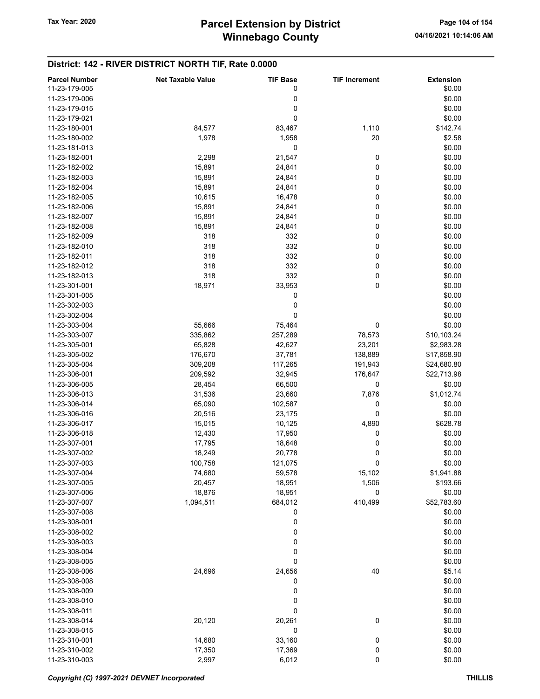## Winnebago County Tax Year: 2020 **Parcel Extension by District** Page 104 of 154

| <b>Parcel Number</b> | <b>Net Taxable Value</b> | <b>TIF Base</b> | <b>TIF Increment</b> | <b>Extension</b> |
|----------------------|--------------------------|-----------------|----------------------|------------------|
| 11-23-179-005        |                          | 0               |                      | \$0.00           |
| 11-23-179-006        |                          | 0               |                      | \$0.00           |
| 11-23-179-015        |                          | 0               |                      | \$0.00           |
|                      |                          |                 |                      |                  |
| 11-23-179-021        |                          | 0               |                      | \$0.00           |
| 11-23-180-001        | 84,577                   | 83,467          | 1,110                | \$142.74         |
| 11-23-180-002        | 1,978                    | 1,958           | 20                   | \$2.58           |
| 11-23-181-013        |                          | 0               |                      | \$0.00           |
| 11-23-182-001        | 2,298                    | 21,547          | 0                    | \$0.00           |
| 11-23-182-002        | 15,891                   | 24,841          | 0                    | \$0.00           |
| 11-23-182-003        | 15,891                   | 24,841          | 0                    | \$0.00           |
| 11-23-182-004        | 15,891                   | 24,841          | 0                    | \$0.00           |
| 11-23-182-005        | 10,615                   | 16,478          | 0                    | \$0.00           |
| 11-23-182-006        |                          |                 | 0                    | \$0.00           |
|                      | 15,891                   | 24,841          |                      |                  |
| 11-23-182-007        | 15,891                   | 24,841          | 0                    | \$0.00           |
| 11-23-182-008        | 15,891                   | 24,841          | 0                    | \$0.00           |
| 11-23-182-009        | 318                      | 332             | 0                    | \$0.00           |
| 11-23-182-010        | 318                      | 332             | 0                    | \$0.00           |
| 11-23-182-011        | 318                      | 332             | 0                    | \$0.00           |
| 11-23-182-012        | 318                      | 332             | 0                    | \$0.00           |
| 11-23-182-013        | 318                      | 332             | 0                    | \$0.00           |
| 11-23-301-001        | 18,971                   | 33,953          | 0                    | \$0.00           |
| 11-23-301-005        |                          | 0               |                      | \$0.00           |
|                      |                          |                 |                      |                  |
| 11-23-302-003        |                          | 0               |                      | \$0.00           |
| 11-23-302-004        |                          | 0               |                      | \$0.00           |
| 11-23-303-004        | 55,666                   | 75,464          | 0                    | \$0.00           |
| 11-23-303-007        | 335,862                  | 257,289         | 78,573               | \$10,103.24      |
| 11-23-305-001        | 65,828                   | 42,627          | 23,201               | \$2,983.28       |
| 11-23-305-002        | 176,670                  | 37,781          | 138,889              | \$17,858.90      |
| 11-23-305-004        | 309,208                  | 117,265         | 191,943              | \$24,680.80      |
| 11-23-306-001        | 209,592                  | 32,945          | 176,647              | \$22,713.98      |
| 11-23-306-005        | 28,454                   | 66,500          | 0                    | \$0.00           |
| 11-23-306-013        | 31,536                   | 23,660          | 7,876                | \$1,012.74       |
| 11-23-306-014        | 65,090                   | 102,587         | 0                    | \$0.00           |
|                      |                          |                 |                      |                  |
| 11-23-306-016        | 20,516                   | 23,175          | 0                    | \$0.00           |
| 11-23-306-017        | 15,015                   | 10,125          | 4,890                | \$628.78         |
| 11-23-306-018        | 12,430                   | 17,950          | 0                    | \$0.00           |
| 11-23-307-001        | 17,795                   | 18,648          | 0                    | \$0.00           |
| 11-23-307-002        | 18,249                   | 20,778          | 0                    | \$0.00           |
| 11-23-307-003        | 100,758                  | 121,075         | 0                    | \$0.00           |
| 11-23-307-004        | 74,680                   | 59,578          | 15,102               | \$1,941.88       |
| 11-23-307-005        | 20,457                   | 18,951          | 1,506                | \$193.66         |
| 11-23-307-006        | 18,876                   | 18,951          | 0                    | \$0.00           |
| 11-23-307-007        |                          | 684,012         | 410,499              | \$52,783.60      |
|                      | 1,094,511                |                 |                      |                  |
| 11-23-307-008        |                          | 0               |                      | \$0.00           |
| 11-23-308-001        |                          | $\mathbf 0$     |                      | \$0.00           |
| 11-23-308-002        |                          | 0               |                      | \$0.00           |
| 11-23-308-003        |                          | 0               |                      | \$0.00           |
| 11-23-308-004        |                          | 0               |                      | \$0.00           |
| 11-23-308-005        |                          | 0               |                      | \$0.00           |
| 11-23-308-006        | 24,696                   | 24,656          | 40                   | \$5.14           |
| 11-23-308-008        |                          | 0               |                      | \$0.00           |
| 11-23-308-009        |                          | 0               |                      | \$0.00           |
| 11-23-308-010        |                          | 0               |                      | \$0.00           |
|                      |                          |                 |                      |                  |
| 11-23-308-011        |                          | 0               |                      | \$0.00           |
| 11-23-308-014        | 20,120                   | 20,261          | 0                    | \$0.00           |
| 11-23-308-015        |                          | 0               |                      | \$0.00           |
| 11-23-310-001        | 14,680                   | 33,160          | 0                    | \$0.00           |
| 11-23-310-002        | 17,350                   | 17,369          | 0                    | \$0.00           |
| 11-23-310-003        | 2,997                    | 6,012           | 0                    | \$0.00           |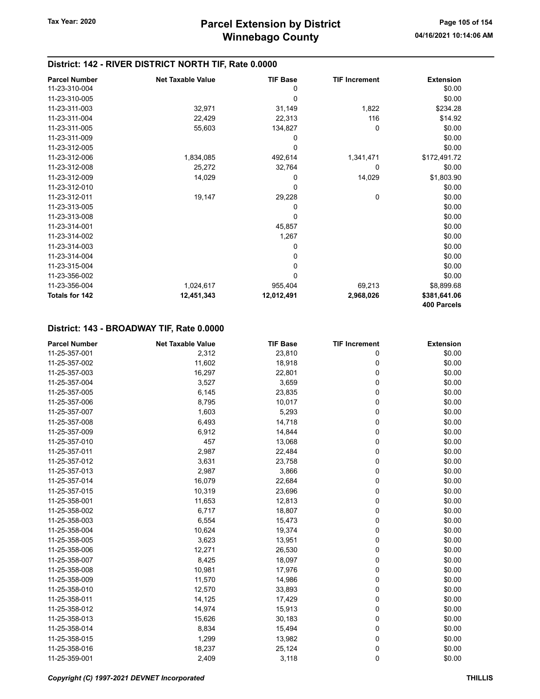### District: 142 - RIVER DISTRICT NORTH TIF, Rate 0.0000

| <b>Parcel Number</b>  | <b>Net Taxable Value</b> | <b>TIF Base</b> | <b>TIF Increment</b> | <b>Extension</b> |
|-----------------------|--------------------------|-----------------|----------------------|------------------|
| 11-23-310-004         |                          | 0               |                      | \$0.00           |
| 11-23-310-005         |                          | 0               |                      | \$0.00           |
| 11-23-311-003         | 32,971                   | 31,149          | 1,822                | \$234.28         |
| 11-23-311-004         | 22,429                   | 22,313          | 116                  | \$14.92          |
| 11-23-311-005         | 55,603                   | 134,827         | 0                    | \$0.00           |
| 11-23-311-009         |                          | 0               |                      | \$0.00           |
| 11-23-312-005         |                          | 0               |                      | \$0.00           |
| 11-23-312-006         | 1,834,085                | 492,614         | 1,341,471            | \$172,491.72     |
| 11-23-312-008         | 25,272                   | 32,764          | 0                    | \$0.00           |
| 11-23-312-009         | 14,029                   | 0               | 14,029               | \$1,803.90       |
| 11-23-312-010         |                          | 0               |                      | \$0.00           |
| 11-23-312-011         | 19,147                   | 29,228          | 0                    | \$0.00           |
| 11-23-313-005         |                          | 0               |                      | \$0.00           |
| 11-23-313-008         |                          | $\mathbf 0$     |                      | \$0.00           |
| 11-23-314-001         |                          | 45,857          |                      | \$0.00           |
| 11-23-314-002         |                          | 1,267           |                      | \$0.00           |
| 11-23-314-003         |                          | 0               |                      | \$0.00           |
| 11-23-314-004         |                          | 0               |                      | \$0.00           |
| 11-23-315-004         |                          | 0               |                      | \$0.00           |
| 11-23-356-002         |                          | 0               |                      | \$0.00           |
| 11-23-356-004         | 1,024,617                | 955,404         | 69,213               | \$8,899.68       |
| <b>Totals for 142</b> | 12,451,343               | 12,012,491      | 2,968,026            | \$381,641.06     |
|                       |                          |                 |                      | 400 Parcels      |

| <b>Parcel Number</b> | <b>Net Taxable Value</b> | <b>TIF Base</b> | <b>TIF Increment</b> | <b>Extension</b> |
|----------------------|--------------------------|-----------------|----------------------|------------------|
| 11-25-357-001        | 2,312                    | 23,810          | 0                    | \$0.00           |
| 11-25-357-002        | 11,602                   | 18,918          | 0                    | \$0.00           |
| 11-25-357-003        | 16,297                   | 22,801          | 0                    | \$0.00           |
| 11-25-357-004        | 3,527                    | 3,659           | 0                    | \$0.00           |
| 11-25-357-005        | 6,145                    | 23,835          | 0                    | \$0.00           |
| 11-25-357-006        | 8,795                    | 10,017          | 0                    | \$0.00           |
| 11-25-357-007        | 1,603                    | 5,293           | 0                    | \$0.00           |
| 11-25-357-008        | 6,493                    | 14,718          | 0                    | \$0.00           |
| 11-25-357-009        | 6,912                    | 14,844          | 0                    | \$0.00           |
| 11-25-357-010        | 457                      | 13,068          | 0                    | \$0.00           |
| 11-25-357-011        | 2,987                    | 22,484          | 0                    | \$0.00           |
| 11-25-357-012        | 3,631                    | 23,758          | 0                    | \$0.00           |
| 11-25-357-013        | 2,987                    | 3,866           | 0                    | \$0.00           |
| 11-25-357-014        | 16,079                   | 22,684          | 0                    | \$0.00           |
| 11-25-357-015        | 10,319                   | 23,696          | 0                    | \$0.00           |
| 11-25-358-001        | 11,653                   | 12,813          | 0                    | \$0.00           |
| 11-25-358-002        | 6,717                    | 18,807          | 0                    | \$0.00           |
| 11-25-358-003        | 6,554                    | 15,473          | 0                    | \$0.00           |
| 11-25-358-004        | 10,624                   | 19,374          | 0                    | \$0.00           |
| 11-25-358-005        | 3,623                    | 13,951          | 0                    | \$0.00           |
| 11-25-358-006        | 12,271                   | 26,530          | 0                    | \$0.00           |
| 11-25-358-007        | 8,425                    | 18,097          | 0                    | \$0.00           |
| 11-25-358-008        | 10,981                   | 17,976          | 0                    | \$0.00           |
| 11-25-358-009        | 11,570                   | 14,986          | 0                    | \$0.00           |
| 11-25-358-010        | 12,570                   | 33,893          | 0                    | \$0.00           |
| 11-25-358-011        | 14,125                   | 17,429          | 0                    | \$0.00           |
| 11-25-358-012        | 14,974                   | 15,913          | 0                    | \$0.00           |
| 11-25-358-013        | 15,626                   | 30,183          | 0                    | \$0.00           |
| 11-25-358-014        | 8,834                    | 15,494          | 0                    | \$0.00           |
| 11-25-358-015        | 1,299                    | 13,982          | 0                    | \$0.00           |
| 11-25-358-016        | 18,237                   | 25,124          | 0                    | \$0.00           |
| 11-25-359-001        | 2,409                    | 3,118           | 0                    | \$0.00           |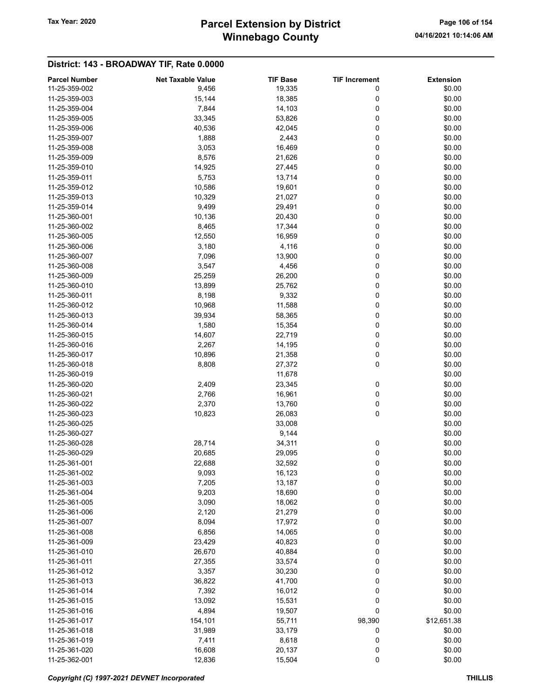## Winnebago County Tax Year: 2020 **Parcel Extension by District** Page 106 of 154

| <b>Parcel Number</b> | <b>Net Taxable Value</b> | <b>TIF Base</b> | <b>TIF Increment</b> | <b>Extension</b> |
|----------------------|--------------------------|-----------------|----------------------|------------------|
| 11-25-359-002        | 9,456                    | 19,335          | 0                    | \$0.00           |
| 11-25-359-003        | 15,144                   | 18,385          | 0                    | \$0.00           |
| 11-25-359-004        | 7,844                    | 14,103          | 0                    | \$0.00           |
| 11-25-359-005        | 33,345                   | 53,826          | 0                    | \$0.00           |
| 11-25-359-006        | 40,536                   | 42,045          | 0                    | \$0.00           |
| 11-25-359-007        | 1,888                    | 2,443           | 0                    | \$0.00           |
| 11-25-359-008        | 3,053                    | 16,469          | 0                    | \$0.00           |
| 11-25-359-009        | 8,576                    | 21,626          | 0                    | \$0.00           |
| 11-25-359-010        | 14,925                   | 27,445          | 0                    | \$0.00           |
| 11-25-359-011        | 5,753                    | 13,714          | 0                    | \$0.00           |
| 11-25-359-012        | 10,586                   | 19,601          | 0                    | \$0.00           |
|                      |                          |                 |                      |                  |
| 11-25-359-013        | 10,329                   | 21,027          | 0                    | \$0.00           |
| 11-25-359-014        | 9,499                    | 29,491          | 0                    | \$0.00           |
| 11-25-360-001        | 10,136                   | 20,430          | 0                    | \$0.00           |
| 11-25-360-002        | 8,465                    | 17,344          | 0                    | \$0.00           |
| 11-25-360-005        | 12,550                   | 16,959          | 0                    | \$0.00           |
| 11-25-360-006        | 3,180                    | 4,116           | 0                    | \$0.00           |
| 11-25-360-007        | 7,096                    | 13,900          | 0                    | \$0.00           |
| 11-25-360-008        | 3,547                    | 4,456           | 0                    | \$0.00           |
| 11-25-360-009        | 25,259                   | 26,200          | 0                    | \$0.00           |
| 11-25-360-010        | 13,899                   | 25,762          | 0                    | \$0.00           |
| 11-25-360-011        | 8,198                    | 9,332           | 0                    | \$0.00           |
| 11-25-360-012        | 10,968                   | 11,588          | 0                    | \$0.00           |
| 11-25-360-013        | 39,934                   | 58,365          | 0                    | \$0.00           |
| 11-25-360-014        | 1,580                    | 15,354          | 0                    | \$0.00           |
| 11-25-360-015        | 14,607                   | 22,719          | 0                    | \$0.00           |
| 11-25-360-016        | 2,267                    | 14,195          | 0                    | \$0.00           |
| 11-25-360-017        | 10,896                   | 21,358          | 0                    | \$0.00           |
| 11-25-360-018        | 8,808                    | 27,372          | 0                    | \$0.00           |
| 11-25-360-019        |                          | 11,678          |                      | \$0.00           |
| 11-25-360-020        | 2,409                    | 23,345          | 0                    | \$0.00           |
| 11-25-360-021        | 2,766                    | 16,961          | 0                    | \$0.00           |
| 11-25-360-022        | 2,370                    | 13,760          | 0                    | \$0.00           |
| 11-25-360-023        | 10,823                   | 26,083          | 0                    | \$0.00           |
| 11-25-360-025        |                          | 33,008          |                      | \$0.00           |
| 11-25-360-027        |                          | 9,144           |                      | \$0.00           |
| 11-25-360-028        | 28,714                   | 34,311          | 0                    | \$0.00           |
| 11-25-360-029        | 20,685                   | 29,095          | 0                    | \$0.00           |
| 11-25-361-001        | 22,688                   | 32,592          | 0                    | \$0.00           |
| 11-25-361-002        | 9,093                    | 16,123          | 0                    | \$0.00           |
| 11-25-361-003        | 7,205                    | 13,187          | 0                    | \$0.00           |
| 11-25-361-004        | 9,203                    | 18,690          | 0                    | \$0.00           |
| 11-25-361-005        |                          |                 |                      |                  |
|                      | 3,090                    | 18,062          | 0                    | \$0.00           |
| 11-25-361-006        | 2,120                    | 21,279          | 0                    | \$0.00           |
| 11-25-361-007        | 8,094                    | 17,972          | 0                    | \$0.00           |
| 11-25-361-008        | 6,856                    | 14,065          | 0                    | \$0.00           |
| 11-25-361-009        | 23,429                   | 40,823          | 0                    | \$0.00           |
| 11-25-361-010        | 26,670                   | 40,884          | 0                    | \$0.00           |
| 11-25-361-011        | 27,355                   | 33,574          | 0                    | \$0.00           |
| 11-25-361-012        | 3,357                    | 30,230          | 0                    | \$0.00           |
| 11-25-361-013        | 36,822                   | 41,700          | 0                    | \$0.00           |
| 11-25-361-014        | 7,392                    | 16,012          | 0                    | \$0.00           |
| 11-25-361-015        | 13,092                   | 15,531          | 0                    | \$0.00           |
| 11-25-361-016        | 4,894                    | 19,507          | 0                    | \$0.00           |
| 11-25-361-017        | 154,101                  | 55,711          | 98,390               | \$12,651.38      |
| 11-25-361-018        | 31,989                   | 33,179          | 0                    | \$0.00           |
| 11-25-361-019        | 7,411                    | 8,618           | 0                    | \$0.00           |
| 11-25-361-020        | 16,608                   | 20,137          | 0                    | \$0.00           |
| 11-25-362-001        | 12,836                   | 15,504          | 0                    | \$0.00           |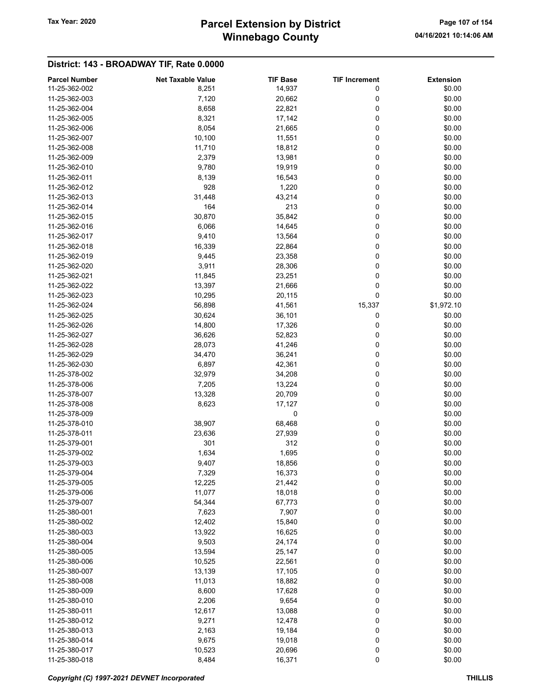## Winnebago County Tax Year: 2020 **Parcel Extension by District** Page 107 of 154

| <b>Parcel Number</b> | <b>Net Taxable Value</b> | <b>TIF Base</b> | <b>TIF Increment</b> | <b>Extension</b> |
|----------------------|--------------------------|-----------------|----------------------|------------------|
| 11-25-362-002        | 8,251                    | 14,937          | 0                    | \$0.00           |
| 11-25-362-003        |                          |                 | 0                    | \$0.00           |
|                      | 7,120                    | 20,662          |                      |                  |
| 11-25-362-004        | 8,658                    | 22,821          | 0                    | \$0.00           |
| 11-25-362-005        | 8,321                    | 17,142          | 0                    | \$0.00           |
| 11-25-362-006        | 8,054                    | 21,665          | 0                    | \$0.00           |
| 11-25-362-007        | 10,100                   | 11,551          | 0                    | \$0.00           |
| 11-25-362-008        | 11,710                   | 18,812          | 0                    | \$0.00           |
| 11-25-362-009        | 2,379                    | 13,981          | 0                    | \$0.00           |
| 11-25-362-010        | 9,780                    | 19,919          | 0                    | \$0.00           |
| 11-25-362-011        | 8,139                    | 16,543          | 0                    | \$0.00           |
| 11-25-362-012        | 928                      | 1,220           | 0                    | \$0.00           |
| 11-25-362-013        | 31,448                   | 43,214          | 0                    | \$0.00           |
| 11-25-362-014        | 164                      | 213             | 0                    | \$0.00           |
| 11-25-362-015        | 30,870                   | 35,842          | 0                    | \$0.00           |
| 11-25-362-016        | 6,066                    | 14,645          | 0                    | \$0.00           |
| 11-25-362-017        | 9,410                    | 13,564          | 0                    | \$0.00           |
| 11-25-362-018        | 16,339                   | 22,864          | 0                    | \$0.00           |
| 11-25-362-019        | 9,445                    | 23,358          | 0                    | \$0.00           |
|                      |                          |                 |                      |                  |
| 11-25-362-020        | 3,911                    | 28,306          | 0                    | \$0.00           |
| 11-25-362-021        | 11,845                   | 23,251          | 0                    | \$0.00           |
| 11-25-362-022        | 13,397                   | 21,666          | 0                    | \$0.00           |
| 11-25-362-023        | 10,295                   | 20,115          | 0                    | \$0.00           |
| 11-25-362-024        | 56,898                   | 41,561          | 15,337               | \$1,972.10       |
| 11-25-362-025        | 30,624                   | 36,101          | 0                    | \$0.00           |
| 11-25-362-026        | 14,800                   | 17,326          | 0                    | \$0.00           |
| 11-25-362-027        | 36,626                   | 52,823          | 0                    | \$0.00           |
| 11-25-362-028        | 28,073                   | 41,246          | 0                    | \$0.00           |
| 11-25-362-029        | 34,470                   | 36,241          | 0                    | \$0.00           |
| 11-25-362-030        | 6,897                    | 42,361          | 0                    | \$0.00           |
| 11-25-378-002        | 32,979                   | 34,208          | 0                    | \$0.00           |
| 11-25-378-006        | 7,205                    | 13,224          | 0                    | \$0.00           |
| 11-25-378-007        | 13,328                   | 20,709          | 0                    | \$0.00           |
| 11-25-378-008        | 8,623                    | 17,127          | 0                    | \$0.00           |
| 11-25-378-009        |                          | 0               |                      | \$0.00           |
|                      |                          |                 |                      | \$0.00           |
| 11-25-378-010        | 38,907                   | 68,468          | 0                    |                  |
| 11-25-378-011        | 23,636                   | 27,939          | 0                    | \$0.00           |
| 11-25-379-001        | 301                      | 312             | 0                    | \$0.00           |
| 11-25-379-002        | 1,634                    | 1,695           | 0                    | \$0.00           |
| 11-25-379-003        | 9,407                    | 18,856          | 0                    | \$0.00           |
| 11-25-379-004        | 7,329                    | 16,373          | 0                    | \$0.00           |
| 11-25-379-005        | 12,225                   | 21,442          | 0                    | \$0.00           |
| 11-25-379-006        | 11,077                   | 18,018          | 0                    | \$0.00           |
| 11-25-379-007        | 54,344                   | 67,773          | 0                    | \$0.00           |
| 11-25-380-001        | 7,623                    | 7,907           | 0                    | \$0.00           |
| 11-25-380-002        | 12,402                   | 15,840          | 0                    | \$0.00           |
| 11-25-380-003        | 13,922                   | 16,625          | 0                    | \$0.00           |
| 11-25-380-004        | 9,503                    | 24,174          | 0                    | \$0.00           |
| 11-25-380-005        | 13,594                   | 25,147          | 0                    | \$0.00           |
| 11-25-380-006        | 10,525                   | 22,561          | 0                    | \$0.00           |
| 11-25-380-007        | 13,139                   | 17,105          | 0                    | \$0.00           |
|                      |                          |                 |                      |                  |
| 11-25-380-008        | 11,013                   | 18,882          | 0                    | \$0.00           |
| 11-25-380-009        | 8,600                    | 17,628          | 0                    | \$0.00           |
| 11-25-380-010        | 2,206                    | 9,654           | 0                    | \$0.00           |
| 11-25-380-011        | 12,617                   | 13,088          | 0                    | \$0.00           |
| 11-25-380-012        | 9,271                    | 12,478          | 0                    | \$0.00           |
| 11-25-380-013        | 2,163                    | 19,184          | 0                    | \$0.00           |
| 11-25-380-014        | 9,675                    | 19,018          | 0                    | \$0.00           |
| 11-25-380-017        | 10,523                   | 20,696          | 0                    | \$0.00           |
| 11-25-380-018        | 8,484                    | 16,371          | 0                    | \$0.00           |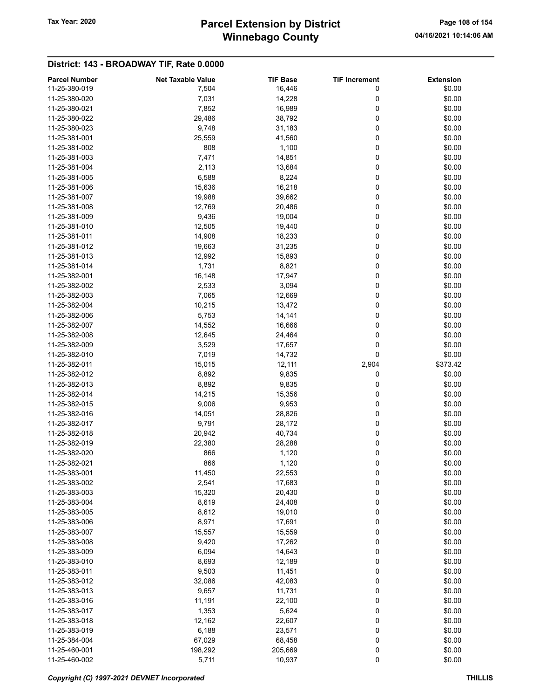## Winnebago County Tax Year: 2020 **Parcel Extension by District** Page 108 of 154

| <b>Parcel Number</b> | <b>Net Taxable Value</b> | <b>TIF Base</b> | <b>TIF Increment</b> | <b>Extension</b> |
|----------------------|--------------------------|-----------------|----------------------|------------------|
| 11-25-380-019        | 7,504                    | 16,446          | 0                    | \$0.00           |
| 11-25-380-020        | 7,031                    | 14,228          | 0                    | \$0.00           |
| 11-25-380-021        | 7,852                    | 16,989          | 0                    | \$0.00           |
| 11-25-380-022        | 29,486                   | 38,792          | 0                    | \$0.00           |
| 11-25-380-023        | 9,748                    | 31,183          | 0                    | \$0.00           |
| 11-25-381-001        | 25,559                   | 41,560          | 0                    | \$0.00           |
| 11-25-381-002        | 808                      | 1,100           | 0                    | \$0.00           |
| 11-25-381-003        | 7,471                    | 14,851          | 0                    | \$0.00           |
| 11-25-381-004        | 2,113                    | 13,684          | 0                    | \$0.00           |
| 11-25-381-005        | 6,588                    | 8,224           | 0                    | \$0.00           |
| 11-25-381-006        | 15,636                   | 16,218          | 0                    | \$0.00           |
| 11-25-381-007        | 19,988                   | 39,662          | 0                    | \$0.00           |
| 11-25-381-008        | 12,769                   | 20,486          | 0                    | \$0.00           |
| 11-25-381-009        | 9,436                    | 19,004          | 0                    | \$0.00           |
| 11-25-381-010        | 12,505                   | 19,440          | 0                    | \$0.00           |
| 11-25-381-011        |                          |                 | 0                    | \$0.00           |
|                      | 14,908                   | 18,233          |                      |                  |
| 11-25-381-012        | 19,663                   | 31,235          | 0                    | \$0.00           |
| 11-25-381-013        | 12,992                   | 15,893          | 0                    | \$0.00           |
| 11-25-381-014        | 1,731                    | 8,821           | 0                    | \$0.00           |
| 11-25-382-001        | 16,148                   | 17,947          | 0                    | \$0.00           |
| 11-25-382-002        | 2,533                    | 3,094           | 0                    | \$0.00           |
| 11-25-382-003        | 7,065                    | 12,669          | 0                    | \$0.00           |
| 11-25-382-004        | 10,215                   | 13,472          | 0                    | \$0.00           |
| 11-25-382-006        | 5,753                    | 14,141          | 0                    | \$0.00           |
| 11-25-382-007        | 14,552                   | 16,666          | 0                    | \$0.00           |
| 11-25-382-008        | 12,645                   | 24,464          | 0                    | \$0.00           |
| 11-25-382-009        | 3,529                    | 17,657          | 0                    | \$0.00           |
| 11-25-382-010        | 7,019                    | 14,732          | 0                    | \$0.00           |
| 11-25-382-011        | 15,015                   | 12,111          | 2,904                | \$373.42         |
| 11-25-382-012        | 8,892                    | 9,835           | 0                    | \$0.00           |
| 11-25-382-013        | 8,892                    | 9,835           | 0                    | \$0.00           |
| 11-25-382-014        | 14,215                   | 15,356          | 0                    | \$0.00           |
| 11-25-382-015        | 9,006                    | 9,953           | 0                    | \$0.00           |
| 11-25-382-016        | 14,051                   | 28,826          | 0                    | \$0.00           |
| 11-25-382-017        | 9,791                    | 28,172          | 0                    | \$0.00           |
| 11-25-382-018        | 20,942                   | 40,734          | 0                    | \$0.00           |
| 11-25-382-019        | 22,380                   | 28,288          | 0                    | \$0.00           |
| 11-25-382-020        | 866                      | 1,120           | 0                    | \$0.00           |
| 11-25-382-021        | 866                      | 1,120           | 0                    | \$0.00           |
| 11-25-383-001        | 11,450                   | 22,553          | 0                    | \$0.00           |
| 11-25-383-002        | 2,541                    | 17,683          | 0                    | \$0.00           |
| 11-25-383-003        | 15,320                   | 20,430          | $\pmb{0}$            | \$0.00           |
| 11-25-383-004        | 8,619                    | 24,408          | 0                    | \$0.00           |
| 11-25-383-005        | 8,612                    | 19,010          | 0                    | \$0.00           |
| 11-25-383-006        | 8,971                    | 17,691          | 0                    | \$0.00           |
| 11-25-383-007        | 15,557                   | 15,559          | 0                    | \$0.00           |
| 11-25-383-008        | 9,420                    | 17,262          | 0                    | \$0.00           |
| 11-25-383-009        | 6,094                    | 14,643          | 0                    | \$0.00           |
| 11-25-383-010        | 8,693                    | 12,189          | 0                    | \$0.00           |
| 11-25-383-011        | 9,503                    | 11,451          | 0                    | \$0.00           |
| 11-25-383-012        |                          |                 |                      |                  |
|                      | 32,086<br>9,657          | 42,083          | 0                    | \$0.00           |
| 11-25-383-013        |                          | 11,731          | 0                    | \$0.00           |
| 11-25-383-016        | 11,191                   | 22,100          | 0                    | \$0.00           |
| 11-25-383-017        | 1,353                    | 5,624           | 0                    | \$0.00           |
| 11-25-383-018        | 12,162                   | 22,607          | 0                    | \$0.00           |
| 11-25-383-019        | 6,188                    | 23,571          | 0                    | \$0.00           |
| 11-25-384-004        | 67,029                   | 68,458          | 0                    | \$0.00           |
| 11-25-460-001        | 198,292                  | 205,669         | 0                    | \$0.00           |
| 11-25-460-002        | 5,711                    | 10,937          | $\pmb{0}$            | \$0.00           |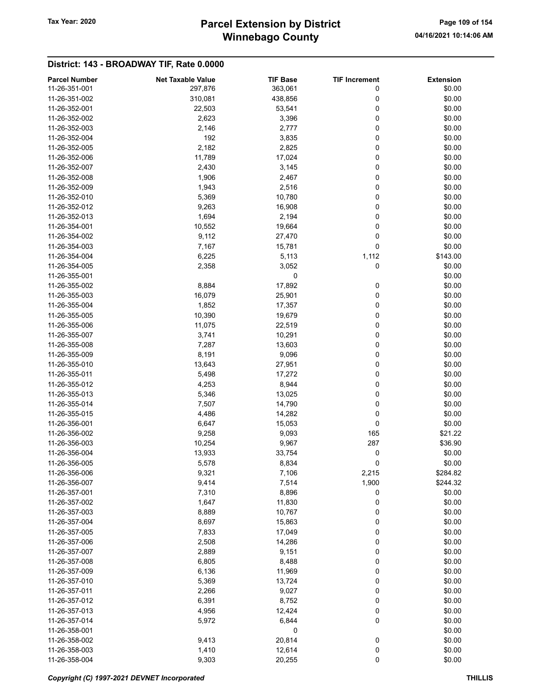# Winnebago County Tax Year: 2020 **Parcel Extension by District** Page 109 of 154

| <b>Parcel Number</b> | <b>Net Taxable Value</b> | <b>TIF Base</b> | <b>TIF Increment</b> | <b>Extension</b> |
|----------------------|--------------------------|-----------------|----------------------|------------------|
| 11-26-351-001        | 297,876                  | 363,061         | 0                    | \$0.00           |
| 11-26-351-002        | 310,081                  | 438,856         | 0                    | \$0.00           |
| 11-26-352-001        | 22,503                   | 53,541          | 0                    | \$0.00           |
| 11-26-352-002        | 2,623                    | 3,396           | 0                    | \$0.00           |
| 11-26-352-003        | 2,146                    | 2,777           | 0                    | \$0.00           |
| 11-26-352-004        | 192                      | 3,835           | 0                    | \$0.00           |
| 11-26-352-005        | 2,182                    | 2,825           | 0                    | \$0.00           |
|                      |                          |                 |                      |                  |
| 11-26-352-006        | 11,789                   | 17,024          | 0                    | \$0.00           |
| 11-26-352-007        | 2,430                    | 3,145           | 0                    | \$0.00           |
| 11-26-352-008        | 1,906                    | 2,467           | 0                    | \$0.00           |
| 11-26-352-009        | 1,943                    | 2,516           | 0                    | \$0.00           |
| 11-26-352-010        | 5,369                    | 10,780          | 0                    | \$0.00           |
| 11-26-352-012        | 9,263                    | 16,908          | 0                    | \$0.00           |
| 11-26-352-013        | 1,694                    | 2,194           | 0                    | \$0.00           |
| 11-26-354-001        | 10,552                   | 19,664          | 0                    | \$0.00           |
| 11-26-354-002        | 9,112                    | 27,470          | 0                    | \$0.00           |
| 11-26-354-003        | 7,167                    | 15,781          | 0                    | \$0.00           |
| 11-26-354-004        | 6,225                    | 5,113           | 1,112                | \$143.00         |
| 11-26-354-005        | 2,358                    | 3,052           | 0                    | \$0.00           |
| 11-26-355-001        |                          | 0               |                      | \$0.00           |
| 11-26-355-002        | 8,884                    | 17,892          | 0                    | \$0.00           |
| 11-26-355-003        | 16,079                   |                 |                      | \$0.00           |
|                      |                          | 25,901          | 0                    |                  |
| 11-26-355-004        | 1,852                    | 17,357          | 0                    | \$0.00           |
| 11-26-355-005        | 10,390                   | 19,679          | 0                    | \$0.00           |
| 11-26-355-006        | 11,075                   | 22,519          | 0                    | \$0.00           |
| 11-26-355-007        | 3,741                    | 10,291          | 0                    | \$0.00           |
| 11-26-355-008        | 7,287                    | 13,603          | 0                    | \$0.00           |
| 11-26-355-009        | 8,191                    | 9,096           | 0                    | \$0.00           |
| 11-26-355-010        | 13,643                   | 27,951          | 0                    | \$0.00           |
| 11-26-355-011        | 5,498                    | 17,272          | 0                    | \$0.00           |
| 11-26-355-012        | 4,253                    | 8,944           | 0                    | \$0.00           |
| 11-26-355-013        | 5,346                    | 13,025          | 0                    | \$0.00           |
| 11-26-355-014        | 7,507                    | 14,790          | 0                    | \$0.00           |
| 11-26-355-015        | 4,486                    | 14,282          | 0                    | \$0.00           |
| 11-26-356-001        | 6,647                    | 15,053          | 0                    | \$0.00           |
| 11-26-356-002        | 9,258                    | 9,093           | 165                  | \$21.22          |
| 11-26-356-003        |                          |                 | 287                  |                  |
|                      | 10,254                   | 9,967           |                      | \$36.90          |
| 11-26-356-004        | 13,933                   | 33,754          | 0                    | \$0.00           |
| 11-26-356-005        | 5,578                    | 8,834           | 0                    | \$0.00           |
| 11-26-356-006        | 9,321                    | 7,106           | 2,215                | \$284.82         |
| 11-26-356-007        | 9,414                    | 7,514           | 1,900                | \$244.32         |
| 11-26-357-001        | 7,310                    | 8,896           | 0                    | \$0.00           |
| 11-26-357-002        | 1,647                    | 11,830          | 0                    | \$0.00           |
| 11-26-357-003        | 8,889                    | 10,767          | 0                    | \$0.00           |
| 11-26-357-004        | 8,697                    | 15,863          | 0                    | \$0.00           |
| 11-26-357-005        | 7,833                    | 17,049          | 0                    | \$0.00           |
| 11-26-357-006        | 2,508                    | 14,286          | 0                    | \$0.00           |
| 11-26-357-007        | 2,889                    | 9,151           | 0                    | \$0.00           |
| 11-26-357-008        | 6,805                    | 8,488           | 0                    | \$0.00           |
| 11-26-357-009        | 6,136                    | 11,969          | 0                    | \$0.00           |
|                      |                          |                 |                      | \$0.00           |
| 11-26-357-010        | 5,369                    | 13,724          | 0                    |                  |
| 11-26-357-011        | 2,266                    | 9,027           | 0                    | \$0.00           |
| 11-26-357-012        | 6,391                    | 8,752           | 0                    | \$0.00           |
| 11-26-357-013        | 4,956                    | 12,424          | 0                    | \$0.00           |
| 11-26-357-014        | 5,972                    | 6,844           | 0                    | \$0.00           |
| 11-26-358-001        |                          | 0               |                      | \$0.00           |
| 11-26-358-002        | 9,413                    | 20,814          | 0                    | \$0.00           |
| 11-26-358-003        | 1,410                    | 12,614          | 0                    | \$0.00           |
| 11-26-358-004        | 9,303                    | 20,255          | 0                    | \$0.00           |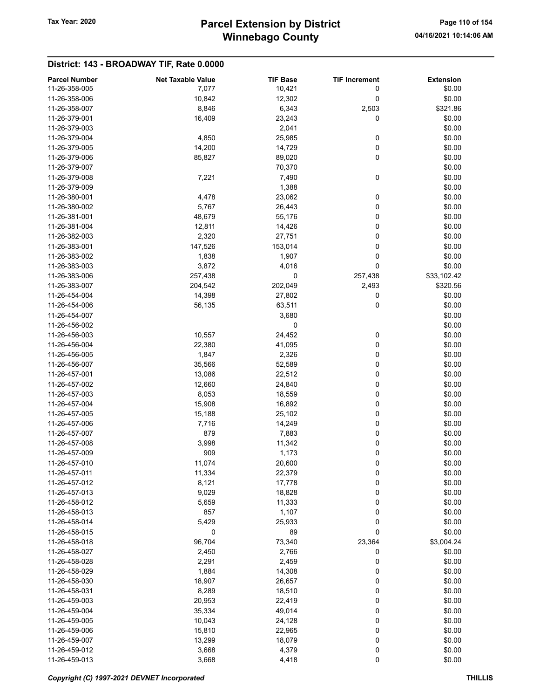# Winnebago County Tax Year: 2020 **Parcel Extension by District** Page 110 of 154

| <b>Parcel Number</b> | <b>Net Taxable Value</b> | <b>TIF Base</b> | <b>TIF Increment</b> | <b>Extension</b> |
|----------------------|--------------------------|-----------------|----------------------|------------------|
| 11-26-358-005        | 7,077                    | 10,421          | 0                    | \$0.00           |
| 11-26-358-006        | 10,842                   | 12,302          | 0                    | \$0.00           |
| 11-26-358-007        | 8,846                    | 6,343           | 2,503                | \$321.86         |
| 11-26-379-001        | 16,409                   | 23,243          | 0                    | \$0.00           |
| 11-26-379-003        |                          | 2,041           |                      | \$0.00           |
| 11-26-379-004        | 4,850                    | 25,985          | 0                    | \$0.00           |
| 11-26-379-005        | 14,200                   | 14,729          | 0                    | \$0.00           |
| 11-26-379-006        | 85,827                   | 89,020          | 0                    | \$0.00           |
| 11-26-379-007        |                          | 70,370          |                      | \$0.00           |
| 11-26-379-008        | 7,221                    | 7,490           | 0                    | \$0.00           |
| 11-26-379-009        |                          | 1,388           |                      | \$0.00           |
| 11-26-380-001        | 4,478                    | 23,062          | 0                    | \$0.00           |
| 11-26-380-002        | 5,767                    | 26,443          | 0                    | \$0.00           |
| 11-26-381-001        | 48,679                   | 55,176          | 0                    | \$0.00           |
| 11-26-381-004        | 12,811                   | 14,426          | 0                    | \$0.00           |
| 11-26-382-003        | 2,320                    | 27,751          | 0                    | \$0.00           |
| 11-26-383-001        | 147,526                  | 153,014         | 0                    | \$0.00           |
| 11-26-383-002        | 1,838                    | 1,907           | 0                    | \$0.00           |
| 11-26-383-003        | 3,872                    | 4,016           | 0                    | \$0.00           |
| 11-26-383-006        | 257,438                  | 0               | 257,438              | \$33,102.42      |
| 11-26-383-007        | 204,542                  | 202,049         | 2,493                | \$320.56         |
| 11-26-454-004        | 14,398                   | 27,802          | 0                    | \$0.00           |
| 11-26-454-006        | 56,135                   | 63,511          | 0                    | \$0.00           |
| 11-26-454-007        |                          | 3,680           |                      | \$0.00           |
| 11-26-456-002        |                          | 0               |                      | \$0.00           |
| 11-26-456-003        | 10,557                   | 24,452          | 0                    | \$0.00           |
| 11-26-456-004        | 22,380                   | 41,095          | 0                    | \$0.00           |
| 11-26-456-005        | 1,847                    | 2,326           | 0                    | \$0.00           |
| 11-26-456-007        | 35,566                   | 52,589          | 0                    | \$0.00           |
| 11-26-457-001        | 13,086                   | 22,512          | 0                    | \$0.00           |
| 11-26-457-002        | 12,660                   | 24,840          | 0                    | \$0.00           |
| 11-26-457-003        | 8,053                    | 18,559          | 0                    | \$0.00           |
| 11-26-457-004        | 15,908                   | 16,892          | 0                    | \$0.00           |
| 11-26-457-005        | 15,188                   | 25,102          | 0                    | \$0.00           |
| 11-26-457-006        | 7,716                    | 14,249          | 0                    | \$0.00           |
| 11-26-457-007        | 879                      | 7,883           | 0                    | \$0.00           |
| 11-26-457-008        | 3,998                    | 11,342          | 0                    | \$0.00           |
| 11-26-457-009        | 909                      | 1,173           | 0                    | \$0.00           |
| 11-26-457-010        | 11,074                   | 20,600          | 0                    | \$0.00           |
| 11-26-457-011        | 11,334                   | 22,379          | 0                    | \$0.00           |
| 11-26-457-012        | 8,121                    | 17,778          | 0                    | \$0.00           |
| 11-26-457-013        | 9,029                    | 18,828          | 0                    | \$0.00           |
| 11-26-458-012        | 5,659                    | 11,333          | 0                    | \$0.00           |
| 11-26-458-013        | 857                      | 1,107           | 0                    | \$0.00           |
| 11-26-458-014        | 5,429                    | 25,933          | 0                    | \$0.00           |
| 11-26-458-015        | 0                        | 89              | 0                    | \$0.00           |
| 11-26-458-018        | 96,704                   | 73,340          | 23,364               | \$3,004.24       |
| 11-26-458-027        | 2,450                    | 2,766           | 0                    | \$0.00           |
| 11-26-458-028        | 2,291                    | 2,459           | 0                    | \$0.00           |
| 11-26-458-029        | 1,884                    | 14,308          | 0                    | \$0.00           |
| 11-26-458-030        | 18,907                   | 26,657          | 0                    | \$0.00           |
| 11-26-458-031        | 8,289                    | 18,510          | 0                    | \$0.00           |
| 11-26-459-003        | 20,953                   | 22,419          | 0                    | \$0.00           |
| 11-26-459-004        | 35,334                   | 49,014          | 0                    | \$0.00           |
| 11-26-459-005        | 10,043                   | 24,128          | 0                    | \$0.00           |
| 11-26-459-006        | 15,810                   | 22,965          | 0                    | \$0.00           |
| 11-26-459-007        | 13,299                   | 18,079          | 0                    | \$0.00           |
| 11-26-459-012        | 3,668                    | 4,379           | 0                    | \$0.00           |
| 11-26-459-013        | 3,668                    | 4,418           | 0                    | \$0.00           |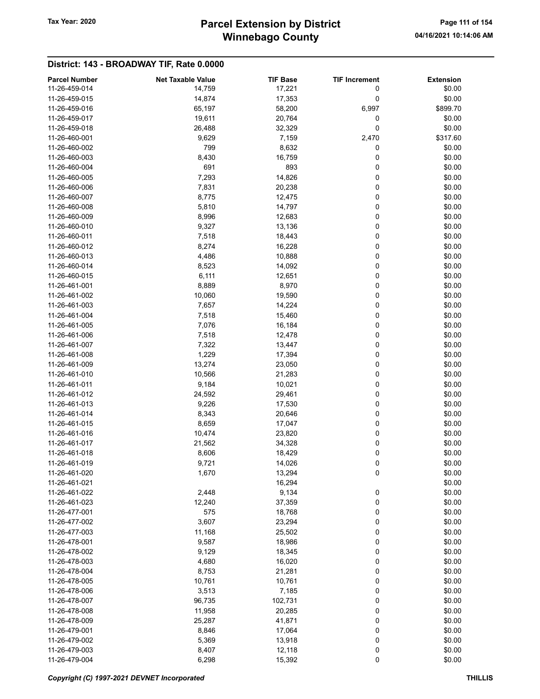# Winnebago County Tax Year: 2020 **Parcel Extension by District** Page 111 of 154

| <b>Parcel Number</b> | <b>Net Taxable Value</b> | <b>TIF Base</b> | <b>TIF Increment</b> | <b>Extension</b> |
|----------------------|--------------------------|-----------------|----------------------|------------------|
| 11-26-459-014        | 14,759                   | 17,221          | 0                    | \$0.00           |
| 11-26-459-015        | 14,874                   | 17,353          | 0                    | \$0.00           |
| 11-26-459-016        | 65,197                   | 58,200          | 6,997                | \$899.70         |
| 11-26-459-017        | 19,611                   | 20,764          | 0                    | \$0.00           |
| 11-26-459-018        | 26,488                   | 32,329          | 0                    | \$0.00           |
| 11-26-460-001        | 9,629                    | 7,159           | 2,470                | \$317.60         |
| 11-26-460-002        | 799                      | 8,632           | 0                    | \$0.00           |
| 11-26-460-003        | 8,430                    | 16,759          | 0                    | \$0.00           |
| 11-26-460-004        | 691                      | 893             | 0                    | \$0.00           |
| 11-26-460-005        | 7,293                    | 14,826          | 0                    | \$0.00           |
| 11-26-460-006        | 7,831                    | 20,238          | 0                    | \$0.00           |
| 11-26-460-007        | 8,775                    | 12,475          | 0                    | \$0.00           |
| 11-26-460-008        | 5,810                    | 14,797          | 0                    | \$0.00           |
| 11-26-460-009        | 8,996                    | 12,683          | 0                    | \$0.00           |
| 11-26-460-010        | 9,327                    | 13,136          | 0                    | \$0.00           |
| 11-26-460-011        | 7,518                    | 18,443          | 0                    | \$0.00           |
| 11-26-460-012        | 8,274                    | 16,228          | 0                    | \$0.00           |
| 11-26-460-013        | 4,486                    | 10,888          | 0                    | \$0.00           |
| 11-26-460-014        | 8,523                    | 14,092          | 0                    | \$0.00           |
| 11-26-460-015        | 6,111                    | 12,651          | 0                    | \$0.00           |
| 11-26-461-001        | 8,889                    | 8,970           | 0                    | \$0.00           |
| 11-26-461-002        | 10,060                   | 19,590          | 0                    | \$0.00           |
| 11-26-461-003        | 7,657                    | 14,224          | 0                    | \$0.00           |
| 11-26-461-004        | 7,518                    | 15,460          | 0                    | \$0.00           |
| 11-26-461-005        | 7,076                    | 16,184          | 0                    | \$0.00           |
| 11-26-461-006        | 7,518                    | 12,478          | 0                    | \$0.00           |
| 11-26-461-007        | 7,322                    | 13,447          | 0                    | \$0.00           |
| 11-26-461-008        | 1,229                    | 17,394          | 0                    | \$0.00           |
| 11-26-461-009        | 13,274                   | 23,050          | 0                    | \$0.00           |
| 11-26-461-010        | 10,566                   | 21,283          | 0                    | \$0.00           |
| 11-26-461-011        | 9,184                    | 10,021          | 0                    | \$0.00           |
| 11-26-461-012        | 24,592                   | 29,461          | 0                    | \$0.00           |
| 11-26-461-013        | 9,226                    | 17,530          | 0                    | \$0.00           |
| 11-26-461-014        | 8,343                    | 20,646          | 0                    | \$0.00           |
| 11-26-461-015        | 8,659                    | 17,047          | 0                    | \$0.00           |
| 11-26-461-016        | 10,474                   | 23,820          | 0                    | \$0.00           |
| 11-26-461-017        | 21,562                   | 34,328          | 0                    | \$0.00           |
| 11-26-461-018        | 8,606                    | 18,429          | 0                    | \$0.00           |
| 11-26-461-019        | 9,721                    | 14,026          | 0                    | \$0.00           |
| 11-26-461-020        | 1,670                    | 13,294          | 0                    | \$0.00           |
| 11-26-461-021        |                          | 16,294          |                      | \$0.00           |
| 11-26-461-022        | 2,448                    | 9,134           | 0                    | \$0.00           |
| 11-26-461-023        | 12,240                   | 37,359          | 0                    | \$0.00           |
| 11-26-477-001        | 575                      | 18,768          | 0                    | \$0.00           |
| 11-26-477-002        | 3,607                    | 23,294          | 0                    | \$0.00           |
| 11-26-477-003        | 11,168                   | 25,502          | 0                    | \$0.00           |
| 11-26-478-001        | 9,587                    | 18,986          | 0                    | \$0.00           |
| 11-26-478-002        | 9,129                    | 18,345          | 0                    | \$0.00           |
| 11-26-478-003        | 4,680                    | 16,020          | 0                    | \$0.00           |
| 11-26-478-004        | 8,753                    | 21,281          | 0                    | \$0.00           |
| 11-26-478-005        | 10,761                   | 10,761          | 0                    | \$0.00           |
| 11-26-478-006        | 3,513                    | 7,185           | 0                    | \$0.00           |
| 11-26-478-007        | 96,735                   | 102,731         | 0                    | \$0.00           |
| 11-26-478-008        | 11,958                   | 20,285          | 0                    | \$0.00           |
| 11-26-478-009        | 25,287                   | 41,871          | 0                    | \$0.00           |
| 11-26-479-001        | 8,846                    | 17,064          | 0                    | \$0.00           |
| 11-26-479-002        | 5,369                    | 13,918          | 0                    | \$0.00           |
| 11-26-479-003        | 8,407                    | 12,118          | 0                    | \$0.00           |
| 11-26-479-004        | 6,298                    | 15,392          | $\pmb{0}$            | \$0.00           |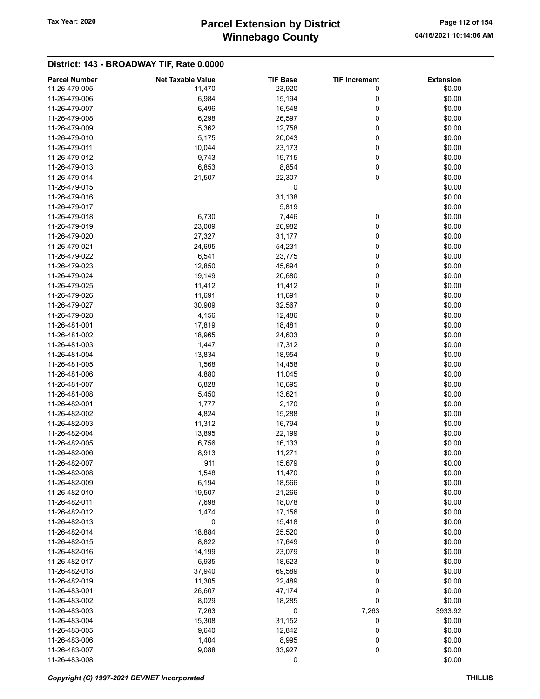# Winnebago County Tax Year: 2020 **Parcel Extension by District** Page 112 of 154

| <b>Parcel Number</b> | <b>Net Taxable Value</b> | <b>TIF Base</b> | <b>TIF Increment</b> | <b>Extension</b> |
|----------------------|--------------------------|-----------------|----------------------|------------------|
| 11-26-479-005        |                          |                 | 0                    | \$0.00           |
|                      | 11,470                   | 23,920          |                      |                  |
| 11-26-479-006        | 6,984                    | 15,194          | 0                    | \$0.00           |
| 11-26-479-007        | 6,496                    | 16,548          | 0                    | \$0.00           |
| 11-26-479-008        | 6,298                    | 26,597          | 0                    | \$0.00           |
| 11-26-479-009        | 5,362                    | 12,758          | 0                    | \$0.00           |
| 11-26-479-010        | 5,175                    | 20,043          | 0                    | \$0.00           |
| 11-26-479-011        | 10,044                   | 23,173          | 0                    | \$0.00           |
| 11-26-479-012        | 9,743                    | 19,715          | 0                    | \$0.00           |
| 11-26-479-013        | 6,853                    | 8,854           | 0                    | \$0.00           |
| 11-26-479-014        | 21,507                   | 22,307          | 0                    | \$0.00           |
| 11-26-479-015        |                          | 0               |                      | \$0.00           |
| 11-26-479-016        |                          | 31,138          |                      | \$0.00           |
| 11-26-479-017        |                          | 5,819           |                      | \$0.00           |
| 11-26-479-018        | 6,730                    |                 |                      | \$0.00           |
|                      |                          | 7,446           | 0                    |                  |
| 11-26-479-019        | 23,009                   | 26,982          | 0                    | \$0.00           |
| 11-26-479-020        | 27,327                   | 31,177          | 0                    | \$0.00           |
| 11-26-479-021        | 24,695                   | 54,231          | 0                    | \$0.00           |
| 11-26-479-022        | 6,541                    | 23,775          | 0                    | \$0.00           |
| 11-26-479-023        | 12,850                   | 45,694          | 0                    | \$0.00           |
| 11-26-479-024        | 19,149                   | 20,680          | 0                    | \$0.00           |
| 11-26-479-025        | 11,412                   | 11,412          | 0                    | \$0.00           |
| 11-26-479-026        | 11,691                   | 11,691          | 0                    | \$0.00           |
| 11-26-479-027        | 30,909                   | 32,567          | 0                    | \$0.00           |
| 11-26-479-028        | 4,156                    | 12,486          | 0                    | \$0.00           |
| 11-26-481-001        | 17,819                   | 18,481          | 0                    | \$0.00           |
| 11-26-481-002        | 18,965                   | 24,603          | 0                    | \$0.00           |
| 11-26-481-003        | 1,447                    | 17,312          | 0                    | \$0.00           |
| 11-26-481-004        | 13,834                   | 18,954          | 0                    | \$0.00           |
| 11-26-481-005        | 1,568                    | 14,458          | 0                    | \$0.00           |
|                      |                          |                 |                      |                  |
| 11-26-481-006        | 4,880                    | 11,045          | 0                    | \$0.00           |
| 11-26-481-007        | 6,828                    | 18,695          | 0                    | \$0.00           |
| 11-26-481-008        | 5,450                    | 13,621          | 0                    | \$0.00           |
| 11-26-482-001        | 1,777                    | 2,170           | 0                    | \$0.00           |
| 11-26-482-002        | 4,824                    | 15,288          | 0                    | \$0.00           |
| 11-26-482-003        | 11,312                   | 16,794          | 0                    | \$0.00           |
| 11-26-482-004        | 13,895                   | 22,199          | 0                    | \$0.00           |
| 11-26-482-005        | 6,756                    | 16,133          | 0                    | \$0.00           |
| 11-26-482-006        | 8,913                    | 11,271          | 0                    | \$0.00           |
| 11-26-482-007        | 911                      | 15,679          | 0                    | \$0.00           |
| 11-26-482-008        | 1,548                    | 11,470          | 0                    | \$0.00           |
| 11-26-482-009        | 6,194                    | 18,566          | 0                    | \$0.00           |
| 11-26-482-010        | 19,507                   | 21,266          | 0                    | \$0.00           |
| 11-26-482-011        | 7,698                    | 18,078          | 0                    | \$0.00           |
| 11-26-482-012        | 1,474                    | 17,156          | 0                    | \$0.00           |
| 11-26-482-013        | 0                        | 15,418          | 0                    | \$0.00           |
| 11-26-482-014        |                          |                 |                      |                  |
|                      | 18,884                   | 25,520          | 0                    | \$0.00           |
| 11-26-482-015        | 8,822                    | 17,649          | 0                    | \$0.00           |
| 11-26-482-016        | 14,199                   | 23,079          | 0                    | \$0.00           |
| 11-26-482-017        | 5,935                    | 18,623          | 0                    | \$0.00           |
| 11-26-482-018        | 37,940                   | 69,589          | 0                    | \$0.00           |
| 11-26-482-019        | 11,305                   | 22,489          | 0                    | \$0.00           |
| 11-26-483-001        | 26,607                   | 47,174          | 0                    | \$0.00           |
| 11-26-483-002        | 8,029                    | 18,285          | 0                    | \$0.00           |
| 11-26-483-003        | 7,263                    | 0               | 7,263                | \$933.92         |
| 11-26-483-004        | 15,308                   | 31,152          | 0                    | \$0.00           |
| 11-26-483-005        | 9,640                    | 12,842          | 0                    | \$0.00           |
| 11-26-483-006        | 1,404                    | 8,995           | 0                    | \$0.00           |
| 11-26-483-007        | 9,088                    | 33,927          | 0                    | \$0.00           |
| 11-26-483-008        |                          | 0               |                      | \$0.00           |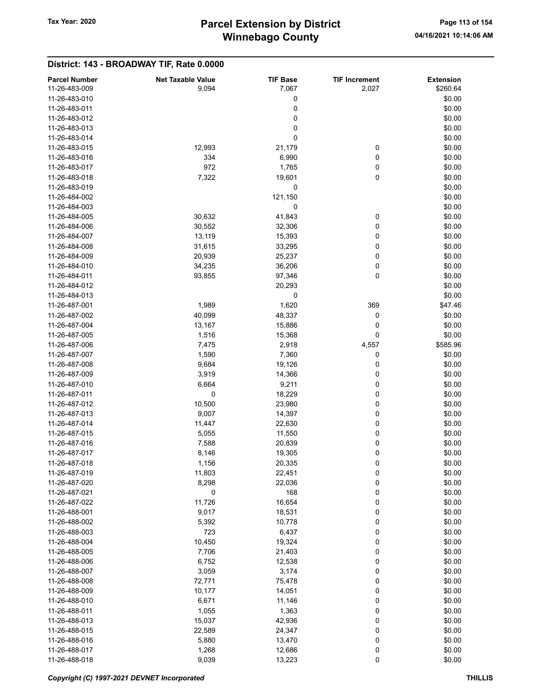# Winnebago County Tax Year: 2020 **Parcel Extension by District** Page 113 of 154

| <b>Parcel Number</b><br>11-26-483-009 | <b>Net Taxable Value</b><br>9,094 | <b>TIF Base</b> | <b>TIF Increment</b><br>2,027 | <b>Extension</b><br>\$260.64 |
|---------------------------------------|-----------------------------------|-----------------|-------------------------------|------------------------------|
|                                       |                                   | 7,067           |                               |                              |
| 11-26-483-010                         |                                   | 0               |                               | \$0.00                       |
| 11-26-483-011                         |                                   | 0               |                               | \$0.00                       |
| 11-26-483-012                         |                                   | 0               |                               | \$0.00                       |
| 11-26-483-013                         |                                   | 0               |                               | \$0.00                       |
| 11-26-483-014                         |                                   | 0               |                               | \$0.00                       |
| 11-26-483-015                         | 12,993                            | 21,179          | 0                             | \$0.00                       |
| 11-26-483-016                         | 334                               | 6,990           | 0                             | \$0.00                       |
| 11-26-483-017                         | 972                               | 1,765           | 0                             | \$0.00                       |
| 11-26-483-018                         | 7,322                             | 19,601          | 0                             | \$0.00                       |
| 11-26-483-019                         |                                   | 0               |                               | \$0.00                       |
| 11-26-484-002                         |                                   | 121,150         |                               | \$0.00                       |
| 11-26-484-003                         |                                   | 0               |                               | \$0.00                       |
| 11-26-484-005                         | 30,632                            | 41,843          | 0                             | \$0.00                       |
| 11-26-484-006                         | 30,552                            | 32,306          | 0                             | \$0.00                       |
| 11-26-484-007                         | 13,119                            | 15,393          | 0                             | \$0.00                       |
| 11-26-484-008                         | 31,615                            | 33,295          | 0                             | \$0.00                       |
| 11-26-484-009                         | 20,939                            | 25,237          | 0                             | \$0.00                       |
| 11-26-484-010                         | 34,235                            | 36,206          | 0                             | \$0.00                       |
| 11-26-484-011                         | 93,855                            | 97,346          | 0                             | \$0.00                       |
| 11-26-484-012                         |                                   | 20,293          |                               | \$0.00                       |
| 11-26-484-013                         |                                   | 0               |                               | \$0.00                       |
| 11-26-487-001                         | 1,989                             | 1,620           | 369                           | \$47.46                      |
| 11-26-487-002                         | 40,099                            | 48,337          | 0                             | \$0.00                       |
| 11-26-487-004                         | 13,167                            | 15,886          | 0                             | \$0.00                       |
| 11-26-487-005                         | 1,516                             | 15,368          | 0                             | \$0.00                       |
| 11-26-487-006                         | 7,475                             | 2,918           | 4,557                         | \$585.96                     |
| 11-26-487-007                         | 1,590                             | 7,360           | 0                             | \$0.00                       |
| 11-26-487-008                         | 9,684                             | 19,126          | 0                             | \$0.00                       |
| 11-26-487-009                         | 3,919                             | 14,366          | 0                             | \$0.00                       |
| 11-26-487-010                         | 6,664                             | 9,211           | 0                             | \$0.00                       |
| 11-26-487-011                         | 0                                 | 18,229          | 0                             | \$0.00                       |
| 11-26-487-012                         | 10,500                            | 23,980          | 0                             | \$0.00                       |
| 11-26-487-013                         | 9,007                             | 14,397          | 0                             | \$0.00                       |
| 11-26-487-014                         | 11,447                            | 22,630          | 0                             | \$0.00                       |
| 11-26-487-015                         | 5,055                             | 11,550          | 0                             | \$0.00                       |
| 11-26-487-016                         | 7,588                             | 20,839          | 0                             | \$0.00                       |
| 11-26-487-017                         | 8,146                             | 19,305          | 0                             | \$0.00                       |
| 11-26-487-018                         | 1,156                             | 20,335          | 0                             | \$0.00                       |
| 11-26-487-019                         | 11,803                            | 22,451          | 0                             | \$0.00                       |
| 11-26-487-020                         | 8,298                             | 22,036          | 0                             | \$0.00                       |
| 11-26-487-021                         | 0                                 | 168             | 0                             | \$0.00                       |
| 11-26-487-022                         | 11,726                            | 16,654          | 0                             | \$0.00                       |
| 11-26-488-001                         | 9,017                             | 18,531          | 0                             | \$0.00                       |
| 11-26-488-002                         | 5,392                             | 10,778          | 0                             | \$0.00                       |
| 11-26-488-003                         | 723                               | 6,437           | 0                             | \$0.00                       |
| 11-26-488-004                         | 10,450                            | 19,324          | 0                             | \$0.00                       |
| 11-26-488-005                         | 7,706                             |                 |                               | \$0.00                       |
|                                       |                                   | 21,403          | 0                             |                              |
| 11-26-488-006                         | 6,752                             | 12,538          | 0                             | \$0.00                       |
| 11-26-488-007                         | 3,059                             | 3,174           | 0                             | \$0.00                       |
| 11-26-488-008                         | 72,771                            | 75,478          | 0                             | \$0.00                       |
| 11-26-488-009                         | 10,177                            | 14,051          | 0                             | \$0.00                       |
| 11-26-488-010                         | 6,671                             | 11,146          | 0                             | \$0.00                       |
| 11-26-488-011                         | 1,055                             | 1,363           | 0                             | \$0.00                       |
| 11-26-488-013                         | 15,037                            | 42,936          | 0                             | \$0.00                       |
| 11-26-488-015                         | 22,589                            | 24,347          | 0                             | \$0.00                       |
| 11-26-488-016                         | 5,880                             | 13,470          | 0                             | \$0.00                       |
| 11-26-488-017                         | 1,268                             | 12,686          | 0                             | \$0.00                       |
| 11-26-488-018                         | 9,039                             | 13,223          | 0                             | \$0.00                       |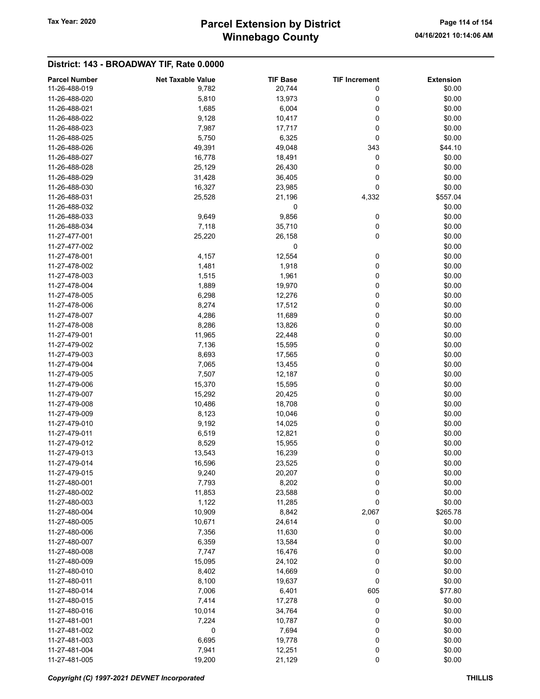# Winnebago County Tax Year: 2020 **Parcel Extension by District** Page 114 of 154

| <b>Parcel Number</b> | <b>Net Taxable Value</b> | <b>TIF Base</b> | <b>TIF Increment</b> | <b>Extension</b> |
|----------------------|--------------------------|-----------------|----------------------|------------------|
| 11-26-488-019        | 9,782                    | 20,744          | 0                    | \$0.00           |
| 11-26-488-020        | 5,810                    | 13,973          | 0                    | \$0.00           |
| 11-26-488-021        |                          |                 | 0                    | \$0.00           |
|                      | 1,685                    | 6,004           |                      |                  |
| 11-26-488-022        | 9,128                    | 10,417          | 0                    | \$0.00           |
| 11-26-488-023        | 7,987                    | 17,717          | 0                    | \$0.00           |
| 11-26-488-025        | 5,750                    | 6,325           | 0                    | \$0.00           |
| 11-26-488-026        | 49,391                   | 49,048          | 343                  | \$44.10          |
| 11-26-488-027        | 16,778                   | 18,491          | 0                    | \$0.00           |
| 11-26-488-028        | 25,129                   | 26,430          | 0                    | \$0.00           |
| 11-26-488-029        | 31,428                   | 36,405          | 0                    | \$0.00           |
| 11-26-488-030        | 16,327                   | 23,985          | 0                    | \$0.00           |
| 11-26-488-031        | 25,528                   | 21,196          | 4,332                | \$557.04         |
| 11-26-488-032        |                          | 0               |                      | \$0.00           |
| 11-26-488-033        | 9,649                    | 9,856           | 0                    | \$0.00           |
| 11-26-488-034        | 7,118                    | 35,710          | 0                    | \$0.00           |
| 11-27-477-001        | 25,220                   | 26,158          | 0                    | \$0.00           |
| 11-27-477-002        |                          | 0               |                      | \$0.00           |
| 11-27-478-001        | 4,157                    | 12,554          | 0                    | \$0.00           |
| 11-27-478-002        | 1,481                    | 1,918           | 0                    | \$0.00           |
| 11-27-478-003        | 1,515                    | 1,961           | 0                    | \$0.00           |
| 11-27-478-004        | 1,889                    | 19,970          | 0                    | \$0.00           |
| 11-27-478-005        | 6,298                    | 12,276          | 0                    | \$0.00           |
| 11-27-478-006        | 8,274                    | 17,512          | 0                    | \$0.00           |
| 11-27-478-007        | 4,286                    | 11,689          | 0                    | \$0.00           |
| 11-27-478-008        | 8,286                    | 13,826          | 0                    | \$0.00           |
| 11-27-479-001        | 11,965                   | 22,448          | 0                    | \$0.00           |
| 11-27-479-002        |                          | 15,595          | 0                    | \$0.00           |
|                      | 7,136                    |                 |                      |                  |
| 11-27-479-003        | 8,693                    | 17,565          | 0                    | \$0.00           |
| 11-27-479-004        | 7,065                    | 13,455          | 0                    | \$0.00           |
| 11-27-479-005        | 7,507                    | 12,187          | 0                    | \$0.00           |
| 11-27-479-006        | 15,370                   | 15,595          | 0                    | \$0.00           |
| 11-27-479-007        | 15,292                   | 20,425          | 0                    | \$0.00           |
| 11-27-479-008        | 10,486                   | 18,708          | 0                    | \$0.00           |
| 11-27-479-009        | 8,123                    | 10,046          | 0                    | \$0.00           |
| 11-27-479-010        | 9,192                    | 14,025          | 0                    | \$0.00           |
| 11-27-479-011        | 6,519                    | 12,821          | 0                    | \$0.00           |
| 11-27-479-012        | 8,529                    | 15,955          | 0                    | \$0.00           |
| 11-27-479-013        | 13,543                   | 16,239          | 0                    | \$0.00           |
| 11-27-479-014        | 16,596                   | 23,525          | 0                    | \$0.00           |
| 11-27-479-015        | 9,240                    | 20,207          | 0                    | \$0.00           |
| 11-27-480-001        | 7,793                    | 8,202           | 0                    | \$0.00           |
| 11-27-480-002        | 11,853                   | 23,588          | 0                    | \$0.00           |
| 11-27-480-003        | 1,122                    | 11,285          | 0                    | \$0.00           |
| 11-27-480-004        | 10,909                   | 8,842           | 2,067                | \$265.78         |
| 11-27-480-005        | 10,671                   | 24,614          | 0                    | \$0.00           |
| 11-27-480-006        | 7,356                    | 11,630          | 0                    | \$0.00           |
| 11-27-480-007        | 6,359                    | 13,584          | 0                    | \$0.00           |
| 11-27-480-008        | 7,747                    | 16,476          | 0                    | \$0.00           |
| 11-27-480-009        | 15,095                   | 24,102          | 0                    | \$0.00           |
| 11-27-480-010        | 8,402                    | 14,669          | 0                    | \$0.00           |
| 11-27-480-011        | 8,100                    | 19,637          | 0                    | \$0.00           |
| 11-27-480-014        | 7,006                    | 6,401           | 605                  | \$77.80          |
| 11-27-480-015        | 7,414                    | 17,278          | 0                    | \$0.00           |
| 11-27-480-016        | 10,014                   | 34,764          | 0                    | \$0.00           |
|                      |                          |                 |                      |                  |
| 11-27-481-001        | 7,224                    | 10,787          | 0                    | \$0.00           |
| 11-27-481-002        | 0                        | 7,694           | 0                    | \$0.00           |
| 11-27-481-003        | 6,695                    | 19,778          | 0                    | \$0.00           |
| 11-27-481-004        | 7,941                    | 12,251          | 0                    | \$0.00           |
| 11-27-481-005        | 19,200                   | 21,129          | 0                    | \$0.00           |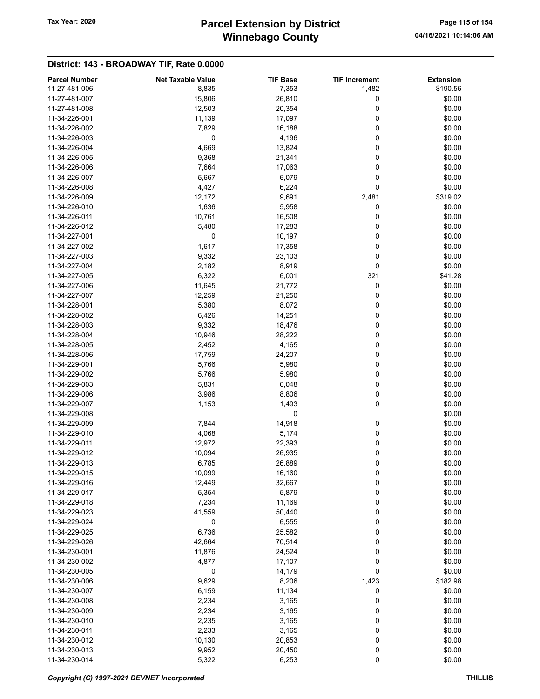# Winnebago County Tax Year: 2020 **Parcel Extension by District** Page 115 of 154

| 11-27-481-006<br>8,835<br>7,353<br>1,482<br>\$190.56<br>11-27-481-007<br>15,806<br>26,810<br>0<br>\$0.00<br>11-27-481-008<br>12,503<br>20,354<br>0<br>\$0.00<br>0<br>\$0.00<br>11-34-226-001<br>11,139<br>17,097<br>\$0.00<br>11-34-226-002<br>7,829<br>16,188<br>0<br>0<br>0<br>\$0.00<br>11-34-226-003<br>4,196<br>4,669<br>0<br>\$0.00<br>11-34-226-004<br>13,824<br>11-34-226-005<br>9,368<br>21,341<br>0<br>\$0.00<br>11-34-226-006<br>7,664<br>0<br>\$0.00<br>17,063<br>0<br>\$0.00<br>11-34-226-007<br>5,667<br>6,079<br>4,427<br>6,224<br>0<br>11-34-226-008<br>\$0.00<br>11-34-226-009<br>12,172<br>9,691<br>2,481<br>\$319.02<br>11-34-226-010<br>1,636<br>5,958<br>0<br>\$0.00<br>0<br>\$0.00<br>11-34-226-011<br>10,761<br>16,508<br>11-34-226-012<br>5,480<br>17,283<br>0<br>\$0.00<br>\$0.00<br>11-34-227-001<br>0<br>0<br>10,197<br>0<br>\$0.00<br>11-34-227-002<br>1,617<br>17,358<br>0<br>\$0.00<br>11-34-227-003<br>9,332<br>23,103<br>11-34-227-004<br>2,182<br>8,919<br>0<br>\$0.00<br>6,322<br>6,001<br>\$41.28<br>11-34-227-005<br>321<br>0<br>\$0.00<br>11-34-227-006<br>11,645<br>21,772<br>0<br>\$0.00<br>11-34-227-007<br>12,259<br>21,250<br>11-34-228-001<br>5,380<br>8,072<br>0<br>\$0.00<br>0<br>11-34-228-002<br>6,426<br>14,251<br>\$0.00<br>9,332<br>0<br>11-34-228-003<br>18,476<br>\$0.00<br>0<br>11-34-228-004<br>10,946<br>28,222<br>\$0.00<br>0<br>\$0.00<br>11-34-228-005<br>2,452<br>4,165<br>0<br>11-34-228-006<br>17,759<br>24,207<br>\$0.00<br>0<br>11-34-229-001<br>5,766<br>5,980<br>\$0.00<br>11-34-229-002<br>5,766<br>5,980<br>0<br>\$0.00<br>0<br>\$0.00<br>11-34-229-003<br>5,831<br>6,048<br>0<br>11-34-229-006<br>3,986<br>8,806<br>\$0.00<br>0<br>11-34-229-007<br>1,153<br>1,493<br>\$0.00<br>0<br>\$0.00<br>11-34-229-008<br>14,918<br>\$0.00<br>11-34-229-009<br>7,844<br>0<br>0<br>11-34-229-010<br>4,068<br>5,174<br>\$0.00<br>11-34-229-011<br>12,972<br>22,393<br>0<br>\$0.00<br>0<br>11-34-229-012<br>10,094<br>26,935<br>\$0.00<br>0<br>11-34-229-013<br>6,785<br>26,889<br>\$0.00<br>16,160<br>0<br>\$0.00<br>11-34-229-015<br>10,099<br>12,449<br>0<br>\$0.00<br>11-34-229-016<br>32,667<br>5,354<br>5,879<br>0<br>\$0.00<br>11-34-229-017<br>7,234<br>0<br>\$0.00<br>11-34-229-018<br>11,169<br>11-34-229-023<br>41,559<br>\$0.00<br>50,440<br>0<br>0<br>\$0.00<br>11-34-229-024<br>0<br>6,555<br>6,736<br>0<br>11-34-229-025<br>25,582<br>\$0.00<br>11-34-229-026<br>70,514<br>0<br>\$0.00<br>42,664<br>0<br>11-34-230-001<br>11,876<br>24,524<br>\$0.00<br>0<br>\$0.00<br>11-34-230-002<br>4,877<br>17,107<br>0<br>\$0.00<br>11-34-230-005<br>0<br>14,179<br>9,629<br>\$182.98<br>11-34-230-006<br>8,206<br>1,423<br>11-34-230-007<br>6,159<br>11,134<br>0<br>\$0.00<br>0<br>11-34-230-008<br>2,234<br>3,165<br>\$0.00<br>2,234<br>3,165<br>0<br>\$0.00<br>11-34-230-009<br>3,165<br>0<br>\$0.00<br>11-34-230-010<br>2,235<br>2,233<br>3,165<br>0<br>\$0.00<br>11-34-230-011<br>0<br>\$0.00<br>11-34-230-012<br>10,130<br>20,853<br>0<br>\$0.00<br>11-34-230-013<br>9,952<br>20,450<br>0<br>11-34-230-014<br>5,322<br>\$0.00<br>6,253 | <b>Parcel Number</b> | <b>Net Taxable Value</b> | <b>TIF Base</b> | <b>TIF Increment</b> | <b>Extension</b> |
|----------------------------------------------------------------------------------------------------------------------------------------------------------------------------------------------------------------------------------------------------------------------------------------------------------------------------------------------------------------------------------------------------------------------------------------------------------------------------------------------------------------------------------------------------------------------------------------------------------------------------------------------------------------------------------------------------------------------------------------------------------------------------------------------------------------------------------------------------------------------------------------------------------------------------------------------------------------------------------------------------------------------------------------------------------------------------------------------------------------------------------------------------------------------------------------------------------------------------------------------------------------------------------------------------------------------------------------------------------------------------------------------------------------------------------------------------------------------------------------------------------------------------------------------------------------------------------------------------------------------------------------------------------------------------------------------------------------------------------------------------------------------------------------------------------------------------------------------------------------------------------------------------------------------------------------------------------------------------------------------------------------------------------------------------------------------------------------------------------------------------------------------------------------------------------------------------------------------------------------------------------------------------------------------------------------------------------------------------------------------------------------------------------------------------------------------------------------------------------------------------------------------------------------------------------------------------------------------------------------------------------------------------------------------------------------------------------------------------------------------------------------------------------------------------------------------------------------------------------------------------------------------------------------------------------------------------------------------------------------------------------------------------------------------------------------------------------------------------------|----------------------|--------------------------|-----------------|----------------------|------------------|
|                                                                                                                                                                                                                                                                                                                                                                                                                                                                                                                                                                                                                                                                                                                                                                                                                                                                                                                                                                                                                                                                                                                                                                                                                                                                                                                                                                                                                                                                                                                                                                                                                                                                                                                                                                                                                                                                                                                                                                                                                                                                                                                                                                                                                                                                                                                                                                                                                                                                                                                                                                                                                                                                                                                                                                                                                                                                                                                                                                                                                                                                                                          |                      |                          |                 |                      |                  |
|                                                                                                                                                                                                                                                                                                                                                                                                                                                                                                                                                                                                                                                                                                                                                                                                                                                                                                                                                                                                                                                                                                                                                                                                                                                                                                                                                                                                                                                                                                                                                                                                                                                                                                                                                                                                                                                                                                                                                                                                                                                                                                                                                                                                                                                                                                                                                                                                                                                                                                                                                                                                                                                                                                                                                                                                                                                                                                                                                                                                                                                                                                          |                      |                          |                 |                      |                  |
|                                                                                                                                                                                                                                                                                                                                                                                                                                                                                                                                                                                                                                                                                                                                                                                                                                                                                                                                                                                                                                                                                                                                                                                                                                                                                                                                                                                                                                                                                                                                                                                                                                                                                                                                                                                                                                                                                                                                                                                                                                                                                                                                                                                                                                                                                                                                                                                                                                                                                                                                                                                                                                                                                                                                                                                                                                                                                                                                                                                                                                                                                                          |                      |                          |                 |                      |                  |
|                                                                                                                                                                                                                                                                                                                                                                                                                                                                                                                                                                                                                                                                                                                                                                                                                                                                                                                                                                                                                                                                                                                                                                                                                                                                                                                                                                                                                                                                                                                                                                                                                                                                                                                                                                                                                                                                                                                                                                                                                                                                                                                                                                                                                                                                                                                                                                                                                                                                                                                                                                                                                                                                                                                                                                                                                                                                                                                                                                                                                                                                                                          |                      |                          |                 |                      |                  |
|                                                                                                                                                                                                                                                                                                                                                                                                                                                                                                                                                                                                                                                                                                                                                                                                                                                                                                                                                                                                                                                                                                                                                                                                                                                                                                                                                                                                                                                                                                                                                                                                                                                                                                                                                                                                                                                                                                                                                                                                                                                                                                                                                                                                                                                                                                                                                                                                                                                                                                                                                                                                                                                                                                                                                                                                                                                                                                                                                                                                                                                                                                          |                      |                          |                 |                      |                  |
|                                                                                                                                                                                                                                                                                                                                                                                                                                                                                                                                                                                                                                                                                                                                                                                                                                                                                                                                                                                                                                                                                                                                                                                                                                                                                                                                                                                                                                                                                                                                                                                                                                                                                                                                                                                                                                                                                                                                                                                                                                                                                                                                                                                                                                                                                                                                                                                                                                                                                                                                                                                                                                                                                                                                                                                                                                                                                                                                                                                                                                                                                                          |                      |                          |                 |                      |                  |
|                                                                                                                                                                                                                                                                                                                                                                                                                                                                                                                                                                                                                                                                                                                                                                                                                                                                                                                                                                                                                                                                                                                                                                                                                                                                                                                                                                                                                                                                                                                                                                                                                                                                                                                                                                                                                                                                                                                                                                                                                                                                                                                                                                                                                                                                                                                                                                                                                                                                                                                                                                                                                                                                                                                                                                                                                                                                                                                                                                                                                                                                                                          |                      |                          |                 |                      |                  |
|                                                                                                                                                                                                                                                                                                                                                                                                                                                                                                                                                                                                                                                                                                                                                                                                                                                                                                                                                                                                                                                                                                                                                                                                                                                                                                                                                                                                                                                                                                                                                                                                                                                                                                                                                                                                                                                                                                                                                                                                                                                                                                                                                                                                                                                                                                                                                                                                                                                                                                                                                                                                                                                                                                                                                                                                                                                                                                                                                                                                                                                                                                          |                      |                          |                 |                      |                  |
|                                                                                                                                                                                                                                                                                                                                                                                                                                                                                                                                                                                                                                                                                                                                                                                                                                                                                                                                                                                                                                                                                                                                                                                                                                                                                                                                                                                                                                                                                                                                                                                                                                                                                                                                                                                                                                                                                                                                                                                                                                                                                                                                                                                                                                                                                                                                                                                                                                                                                                                                                                                                                                                                                                                                                                                                                                                                                                                                                                                                                                                                                                          |                      |                          |                 |                      |                  |
|                                                                                                                                                                                                                                                                                                                                                                                                                                                                                                                                                                                                                                                                                                                                                                                                                                                                                                                                                                                                                                                                                                                                                                                                                                                                                                                                                                                                                                                                                                                                                                                                                                                                                                                                                                                                                                                                                                                                                                                                                                                                                                                                                                                                                                                                                                                                                                                                                                                                                                                                                                                                                                                                                                                                                                                                                                                                                                                                                                                                                                                                                                          |                      |                          |                 |                      |                  |
|                                                                                                                                                                                                                                                                                                                                                                                                                                                                                                                                                                                                                                                                                                                                                                                                                                                                                                                                                                                                                                                                                                                                                                                                                                                                                                                                                                                                                                                                                                                                                                                                                                                                                                                                                                                                                                                                                                                                                                                                                                                                                                                                                                                                                                                                                                                                                                                                                                                                                                                                                                                                                                                                                                                                                                                                                                                                                                                                                                                                                                                                                                          |                      |                          |                 |                      |                  |
|                                                                                                                                                                                                                                                                                                                                                                                                                                                                                                                                                                                                                                                                                                                                                                                                                                                                                                                                                                                                                                                                                                                                                                                                                                                                                                                                                                                                                                                                                                                                                                                                                                                                                                                                                                                                                                                                                                                                                                                                                                                                                                                                                                                                                                                                                                                                                                                                                                                                                                                                                                                                                                                                                                                                                                                                                                                                                                                                                                                                                                                                                                          |                      |                          |                 |                      |                  |
|                                                                                                                                                                                                                                                                                                                                                                                                                                                                                                                                                                                                                                                                                                                                                                                                                                                                                                                                                                                                                                                                                                                                                                                                                                                                                                                                                                                                                                                                                                                                                                                                                                                                                                                                                                                                                                                                                                                                                                                                                                                                                                                                                                                                                                                                                                                                                                                                                                                                                                                                                                                                                                                                                                                                                                                                                                                                                                                                                                                                                                                                                                          |                      |                          |                 |                      |                  |
|                                                                                                                                                                                                                                                                                                                                                                                                                                                                                                                                                                                                                                                                                                                                                                                                                                                                                                                                                                                                                                                                                                                                                                                                                                                                                                                                                                                                                                                                                                                                                                                                                                                                                                                                                                                                                                                                                                                                                                                                                                                                                                                                                                                                                                                                                                                                                                                                                                                                                                                                                                                                                                                                                                                                                                                                                                                                                                                                                                                                                                                                                                          |                      |                          |                 |                      |                  |
|                                                                                                                                                                                                                                                                                                                                                                                                                                                                                                                                                                                                                                                                                                                                                                                                                                                                                                                                                                                                                                                                                                                                                                                                                                                                                                                                                                                                                                                                                                                                                                                                                                                                                                                                                                                                                                                                                                                                                                                                                                                                                                                                                                                                                                                                                                                                                                                                                                                                                                                                                                                                                                                                                                                                                                                                                                                                                                                                                                                                                                                                                                          |                      |                          |                 |                      |                  |
|                                                                                                                                                                                                                                                                                                                                                                                                                                                                                                                                                                                                                                                                                                                                                                                                                                                                                                                                                                                                                                                                                                                                                                                                                                                                                                                                                                                                                                                                                                                                                                                                                                                                                                                                                                                                                                                                                                                                                                                                                                                                                                                                                                                                                                                                                                                                                                                                                                                                                                                                                                                                                                                                                                                                                                                                                                                                                                                                                                                                                                                                                                          |                      |                          |                 |                      |                  |
|                                                                                                                                                                                                                                                                                                                                                                                                                                                                                                                                                                                                                                                                                                                                                                                                                                                                                                                                                                                                                                                                                                                                                                                                                                                                                                                                                                                                                                                                                                                                                                                                                                                                                                                                                                                                                                                                                                                                                                                                                                                                                                                                                                                                                                                                                                                                                                                                                                                                                                                                                                                                                                                                                                                                                                                                                                                                                                                                                                                                                                                                                                          |                      |                          |                 |                      |                  |
|                                                                                                                                                                                                                                                                                                                                                                                                                                                                                                                                                                                                                                                                                                                                                                                                                                                                                                                                                                                                                                                                                                                                                                                                                                                                                                                                                                                                                                                                                                                                                                                                                                                                                                                                                                                                                                                                                                                                                                                                                                                                                                                                                                                                                                                                                                                                                                                                                                                                                                                                                                                                                                                                                                                                                                                                                                                                                                                                                                                                                                                                                                          |                      |                          |                 |                      |                  |
|                                                                                                                                                                                                                                                                                                                                                                                                                                                                                                                                                                                                                                                                                                                                                                                                                                                                                                                                                                                                                                                                                                                                                                                                                                                                                                                                                                                                                                                                                                                                                                                                                                                                                                                                                                                                                                                                                                                                                                                                                                                                                                                                                                                                                                                                                                                                                                                                                                                                                                                                                                                                                                                                                                                                                                                                                                                                                                                                                                                                                                                                                                          |                      |                          |                 |                      |                  |
|                                                                                                                                                                                                                                                                                                                                                                                                                                                                                                                                                                                                                                                                                                                                                                                                                                                                                                                                                                                                                                                                                                                                                                                                                                                                                                                                                                                                                                                                                                                                                                                                                                                                                                                                                                                                                                                                                                                                                                                                                                                                                                                                                                                                                                                                                                                                                                                                                                                                                                                                                                                                                                                                                                                                                                                                                                                                                                                                                                                                                                                                                                          |                      |                          |                 |                      |                  |
|                                                                                                                                                                                                                                                                                                                                                                                                                                                                                                                                                                                                                                                                                                                                                                                                                                                                                                                                                                                                                                                                                                                                                                                                                                                                                                                                                                                                                                                                                                                                                                                                                                                                                                                                                                                                                                                                                                                                                                                                                                                                                                                                                                                                                                                                                                                                                                                                                                                                                                                                                                                                                                                                                                                                                                                                                                                                                                                                                                                                                                                                                                          |                      |                          |                 |                      |                  |
|                                                                                                                                                                                                                                                                                                                                                                                                                                                                                                                                                                                                                                                                                                                                                                                                                                                                                                                                                                                                                                                                                                                                                                                                                                                                                                                                                                                                                                                                                                                                                                                                                                                                                                                                                                                                                                                                                                                                                                                                                                                                                                                                                                                                                                                                                                                                                                                                                                                                                                                                                                                                                                                                                                                                                                                                                                                                                                                                                                                                                                                                                                          |                      |                          |                 |                      |                  |
|                                                                                                                                                                                                                                                                                                                                                                                                                                                                                                                                                                                                                                                                                                                                                                                                                                                                                                                                                                                                                                                                                                                                                                                                                                                                                                                                                                                                                                                                                                                                                                                                                                                                                                                                                                                                                                                                                                                                                                                                                                                                                                                                                                                                                                                                                                                                                                                                                                                                                                                                                                                                                                                                                                                                                                                                                                                                                                                                                                                                                                                                                                          |                      |                          |                 |                      |                  |
|                                                                                                                                                                                                                                                                                                                                                                                                                                                                                                                                                                                                                                                                                                                                                                                                                                                                                                                                                                                                                                                                                                                                                                                                                                                                                                                                                                                                                                                                                                                                                                                                                                                                                                                                                                                                                                                                                                                                                                                                                                                                                                                                                                                                                                                                                                                                                                                                                                                                                                                                                                                                                                                                                                                                                                                                                                                                                                                                                                                                                                                                                                          |                      |                          |                 |                      |                  |
|                                                                                                                                                                                                                                                                                                                                                                                                                                                                                                                                                                                                                                                                                                                                                                                                                                                                                                                                                                                                                                                                                                                                                                                                                                                                                                                                                                                                                                                                                                                                                                                                                                                                                                                                                                                                                                                                                                                                                                                                                                                                                                                                                                                                                                                                                                                                                                                                                                                                                                                                                                                                                                                                                                                                                                                                                                                                                                                                                                                                                                                                                                          |                      |                          |                 |                      |                  |
|                                                                                                                                                                                                                                                                                                                                                                                                                                                                                                                                                                                                                                                                                                                                                                                                                                                                                                                                                                                                                                                                                                                                                                                                                                                                                                                                                                                                                                                                                                                                                                                                                                                                                                                                                                                                                                                                                                                                                                                                                                                                                                                                                                                                                                                                                                                                                                                                                                                                                                                                                                                                                                                                                                                                                                                                                                                                                                                                                                                                                                                                                                          |                      |                          |                 |                      |                  |
|                                                                                                                                                                                                                                                                                                                                                                                                                                                                                                                                                                                                                                                                                                                                                                                                                                                                                                                                                                                                                                                                                                                                                                                                                                                                                                                                                                                                                                                                                                                                                                                                                                                                                                                                                                                                                                                                                                                                                                                                                                                                                                                                                                                                                                                                                                                                                                                                                                                                                                                                                                                                                                                                                                                                                                                                                                                                                                                                                                                                                                                                                                          |                      |                          |                 |                      |                  |
|                                                                                                                                                                                                                                                                                                                                                                                                                                                                                                                                                                                                                                                                                                                                                                                                                                                                                                                                                                                                                                                                                                                                                                                                                                                                                                                                                                                                                                                                                                                                                                                                                                                                                                                                                                                                                                                                                                                                                                                                                                                                                                                                                                                                                                                                                                                                                                                                                                                                                                                                                                                                                                                                                                                                                                                                                                                                                                                                                                                                                                                                                                          |                      |                          |                 |                      |                  |
|                                                                                                                                                                                                                                                                                                                                                                                                                                                                                                                                                                                                                                                                                                                                                                                                                                                                                                                                                                                                                                                                                                                                                                                                                                                                                                                                                                                                                                                                                                                                                                                                                                                                                                                                                                                                                                                                                                                                                                                                                                                                                                                                                                                                                                                                                                                                                                                                                                                                                                                                                                                                                                                                                                                                                                                                                                                                                                                                                                                                                                                                                                          |                      |                          |                 |                      |                  |
|                                                                                                                                                                                                                                                                                                                                                                                                                                                                                                                                                                                                                                                                                                                                                                                                                                                                                                                                                                                                                                                                                                                                                                                                                                                                                                                                                                                                                                                                                                                                                                                                                                                                                                                                                                                                                                                                                                                                                                                                                                                                                                                                                                                                                                                                                                                                                                                                                                                                                                                                                                                                                                                                                                                                                                                                                                                                                                                                                                                                                                                                                                          |                      |                          |                 |                      |                  |
|                                                                                                                                                                                                                                                                                                                                                                                                                                                                                                                                                                                                                                                                                                                                                                                                                                                                                                                                                                                                                                                                                                                                                                                                                                                                                                                                                                                                                                                                                                                                                                                                                                                                                                                                                                                                                                                                                                                                                                                                                                                                                                                                                                                                                                                                                                                                                                                                                                                                                                                                                                                                                                                                                                                                                                                                                                                                                                                                                                                                                                                                                                          |                      |                          |                 |                      |                  |
|                                                                                                                                                                                                                                                                                                                                                                                                                                                                                                                                                                                                                                                                                                                                                                                                                                                                                                                                                                                                                                                                                                                                                                                                                                                                                                                                                                                                                                                                                                                                                                                                                                                                                                                                                                                                                                                                                                                                                                                                                                                                                                                                                                                                                                                                                                                                                                                                                                                                                                                                                                                                                                                                                                                                                                                                                                                                                                                                                                                                                                                                                                          |                      |                          |                 |                      |                  |
|                                                                                                                                                                                                                                                                                                                                                                                                                                                                                                                                                                                                                                                                                                                                                                                                                                                                                                                                                                                                                                                                                                                                                                                                                                                                                                                                                                                                                                                                                                                                                                                                                                                                                                                                                                                                                                                                                                                                                                                                                                                                                                                                                                                                                                                                                                                                                                                                                                                                                                                                                                                                                                                                                                                                                                                                                                                                                                                                                                                                                                                                                                          |                      |                          |                 |                      |                  |
|                                                                                                                                                                                                                                                                                                                                                                                                                                                                                                                                                                                                                                                                                                                                                                                                                                                                                                                                                                                                                                                                                                                                                                                                                                                                                                                                                                                                                                                                                                                                                                                                                                                                                                                                                                                                                                                                                                                                                                                                                                                                                                                                                                                                                                                                                                                                                                                                                                                                                                                                                                                                                                                                                                                                                                                                                                                                                                                                                                                                                                                                                                          |                      |                          |                 |                      |                  |
|                                                                                                                                                                                                                                                                                                                                                                                                                                                                                                                                                                                                                                                                                                                                                                                                                                                                                                                                                                                                                                                                                                                                                                                                                                                                                                                                                                                                                                                                                                                                                                                                                                                                                                                                                                                                                                                                                                                                                                                                                                                                                                                                                                                                                                                                                                                                                                                                                                                                                                                                                                                                                                                                                                                                                                                                                                                                                                                                                                                                                                                                                                          |                      |                          |                 |                      |                  |
|                                                                                                                                                                                                                                                                                                                                                                                                                                                                                                                                                                                                                                                                                                                                                                                                                                                                                                                                                                                                                                                                                                                                                                                                                                                                                                                                                                                                                                                                                                                                                                                                                                                                                                                                                                                                                                                                                                                                                                                                                                                                                                                                                                                                                                                                                                                                                                                                                                                                                                                                                                                                                                                                                                                                                                                                                                                                                                                                                                                                                                                                                                          |                      |                          |                 |                      |                  |
|                                                                                                                                                                                                                                                                                                                                                                                                                                                                                                                                                                                                                                                                                                                                                                                                                                                                                                                                                                                                                                                                                                                                                                                                                                                                                                                                                                                                                                                                                                                                                                                                                                                                                                                                                                                                                                                                                                                                                                                                                                                                                                                                                                                                                                                                                                                                                                                                                                                                                                                                                                                                                                                                                                                                                                                                                                                                                                                                                                                                                                                                                                          |                      |                          |                 |                      |                  |
|                                                                                                                                                                                                                                                                                                                                                                                                                                                                                                                                                                                                                                                                                                                                                                                                                                                                                                                                                                                                                                                                                                                                                                                                                                                                                                                                                                                                                                                                                                                                                                                                                                                                                                                                                                                                                                                                                                                                                                                                                                                                                                                                                                                                                                                                                                                                                                                                                                                                                                                                                                                                                                                                                                                                                                                                                                                                                                                                                                                                                                                                                                          |                      |                          |                 |                      |                  |
|                                                                                                                                                                                                                                                                                                                                                                                                                                                                                                                                                                                                                                                                                                                                                                                                                                                                                                                                                                                                                                                                                                                                                                                                                                                                                                                                                                                                                                                                                                                                                                                                                                                                                                                                                                                                                                                                                                                                                                                                                                                                                                                                                                                                                                                                                                                                                                                                                                                                                                                                                                                                                                                                                                                                                                                                                                                                                                                                                                                                                                                                                                          |                      |                          |                 |                      |                  |
|                                                                                                                                                                                                                                                                                                                                                                                                                                                                                                                                                                                                                                                                                                                                                                                                                                                                                                                                                                                                                                                                                                                                                                                                                                                                                                                                                                                                                                                                                                                                                                                                                                                                                                                                                                                                                                                                                                                                                                                                                                                                                                                                                                                                                                                                                                                                                                                                                                                                                                                                                                                                                                                                                                                                                                                                                                                                                                                                                                                                                                                                                                          |                      |                          |                 |                      |                  |
|                                                                                                                                                                                                                                                                                                                                                                                                                                                                                                                                                                                                                                                                                                                                                                                                                                                                                                                                                                                                                                                                                                                                                                                                                                                                                                                                                                                                                                                                                                                                                                                                                                                                                                                                                                                                                                                                                                                                                                                                                                                                                                                                                                                                                                                                                                                                                                                                                                                                                                                                                                                                                                                                                                                                                                                                                                                                                                                                                                                                                                                                                                          |                      |                          |                 |                      |                  |
|                                                                                                                                                                                                                                                                                                                                                                                                                                                                                                                                                                                                                                                                                                                                                                                                                                                                                                                                                                                                                                                                                                                                                                                                                                                                                                                                                                                                                                                                                                                                                                                                                                                                                                                                                                                                                                                                                                                                                                                                                                                                                                                                                                                                                                                                                                                                                                                                                                                                                                                                                                                                                                                                                                                                                                                                                                                                                                                                                                                                                                                                                                          |                      |                          |                 |                      |                  |
|                                                                                                                                                                                                                                                                                                                                                                                                                                                                                                                                                                                                                                                                                                                                                                                                                                                                                                                                                                                                                                                                                                                                                                                                                                                                                                                                                                                                                                                                                                                                                                                                                                                                                                                                                                                                                                                                                                                                                                                                                                                                                                                                                                                                                                                                                                                                                                                                                                                                                                                                                                                                                                                                                                                                                                                                                                                                                                                                                                                                                                                                                                          |                      |                          |                 |                      |                  |
|                                                                                                                                                                                                                                                                                                                                                                                                                                                                                                                                                                                                                                                                                                                                                                                                                                                                                                                                                                                                                                                                                                                                                                                                                                                                                                                                                                                                                                                                                                                                                                                                                                                                                                                                                                                                                                                                                                                                                                                                                                                                                                                                                                                                                                                                                                                                                                                                                                                                                                                                                                                                                                                                                                                                                                                                                                                                                                                                                                                                                                                                                                          |                      |                          |                 |                      |                  |
|                                                                                                                                                                                                                                                                                                                                                                                                                                                                                                                                                                                                                                                                                                                                                                                                                                                                                                                                                                                                                                                                                                                                                                                                                                                                                                                                                                                                                                                                                                                                                                                                                                                                                                                                                                                                                                                                                                                                                                                                                                                                                                                                                                                                                                                                                                                                                                                                                                                                                                                                                                                                                                                                                                                                                                                                                                                                                                                                                                                                                                                                                                          |                      |                          |                 |                      |                  |
|                                                                                                                                                                                                                                                                                                                                                                                                                                                                                                                                                                                                                                                                                                                                                                                                                                                                                                                                                                                                                                                                                                                                                                                                                                                                                                                                                                                                                                                                                                                                                                                                                                                                                                                                                                                                                                                                                                                                                                                                                                                                                                                                                                                                                                                                                                                                                                                                                                                                                                                                                                                                                                                                                                                                                                                                                                                                                                                                                                                                                                                                                                          |                      |                          |                 |                      |                  |
|                                                                                                                                                                                                                                                                                                                                                                                                                                                                                                                                                                                                                                                                                                                                                                                                                                                                                                                                                                                                                                                                                                                                                                                                                                                                                                                                                                                                                                                                                                                                                                                                                                                                                                                                                                                                                                                                                                                                                                                                                                                                                                                                                                                                                                                                                                                                                                                                                                                                                                                                                                                                                                                                                                                                                                                                                                                                                                                                                                                                                                                                                                          |                      |                          |                 |                      |                  |
|                                                                                                                                                                                                                                                                                                                                                                                                                                                                                                                                                                                                                                                                                                                                                                                                                                                                                                                                                                                                                                                                                                                                                                                                                                                                                                                                                                                                                                                                                                                                                                                                                                                                                                                                                                                                                                                                                                                                                                                                                                                                                                                                                                                                                                                                                                                                                                                                                                                                                                                                                                                                                                                                                                                                                                                                                                                                                                                                                                                                                                                                                                          |                      |                          |                 |                      |                  |
|                                                                                                                                                                                                                                                                                                                                                                                                                                                                                                                                                                                                                                                                                                                                                                                                                                                                                                                                                                                                                                                                                                                                                                                                                                                                                                                                                                                                                                                                                                                                                                                                                                                                                                                                                                                                                                                                                                                                                                                                                                                                                                                                                                                                                                                                                                                                                                                                                                                                                                                                                                                                                                                                                                                                                                                                                                                                                                                                                                                                                                                                                                          |                      |                          |                 |                      |                  |
|                                                                                                                                                                                                                                                                                                                                                                                                                                                                                                                                                                                                                                                                                                                                                                                                                                                                                                                                                                                                                                                                                                                                                                                                                                                                                                                                                                                                                                                                                                                                                                                                                                                                                                                                                                                                                                                                                                                                                                                                                                                                                                                                                                                                                                                                                                                                                                                                                                                                                                                                                                                                                                                                                                                                                                                                                                                                                                                                                                                                                                                                                                          |                      |                          |                 |                      |                  |
|                                                                                                                                                                                                                                                                                                                                                                                                                                                                                                                                                                                                                                                                                                                                                                                                                                                                                                                                                                                                                                                                                                                                                                                                                                                                                                                                                                                                                                                                                                                                                                                                                                                                                                                                                                                                                                                                                                                                                                                                                                                                                                                                                                                                                                                                                                                                                                                                                                                                                                                                                                                                                                                                                                                                                                                                                                                                                                                                                                                                                                                                                                          |                      |                          |                 |                      |                  |
|                                                                                                                                                                                                                                                                                                                                                                                                                                                                                                                                                                                                                                                                                                                                                                                                                                                                                                                                                                                                                                                                                                                                                                                                                                                                                                                                                                                                                                                                                                                                                                                                                                                                                                                                                                                                                                                                                                                                                                                                                                                                                                                                                                                                                                                                                                                                                                                                                                                                                                                                                                                                                                                                                                                                                                                                                                                                                                                                                                                                                                                                                                          |                      |                          |                 |                      |                  |
|                                                                                                                                                                                                                                                                                                                                                                                                                                                                                                                                                                                                                                                                                                                                                                                                                                                                                                                                                                                                                                                                                                                                                                                                                                                                                                                                                                                                                                                                                                                                                                                                                                                                                                                                                                                                                                                                                                                                                                                                                                                                                                                                                                                                                                                                                                                                                                                                                                                                                                                                                                                                                                                                                                                                                                                                                                                                                                                                                                                                                                                                                                          |                      |                          |                 |                      |                  |
|                                                                                                                                                                                                                                                                                                                                                                                                                                                                                                                                                                                                                                                                                                                                                                                                                                                                                                                                                                                                                                                                                                                                                                                                                                                                                                                                                                                                                                                                                                                                                                                                                                                                                                                                                                                                                                                                                                                                                                                                                                                                                                                                                                                                                                                                                                                                                                                                                                                                                                                                                                                                                                                                                                                                                                                                                                                                                                                                                                                                                                                                                                          |                      |                          |                 |                      |                  |
|                                                                                                                                                                                                                                                                                                                                                                                                                                                                                                                                                                                                                                                                                                                                                                                                                                                                                                                                                                                                                                                                                                                                                                                                                                                                                                                                                                                                                                                                                                                                                                                                                                                                                                                                                                                                                                                                                                                                                                                                                                                                                                                                                                                                                                                                                                                                                                                                                                                                                                                                                                                                                                                                                                                                                                                                                                                                                                                                                                                                                                                                                                          |                      |                          |                 |                      |                  |
|                                                                                                                                                                                                                                                                                                                                                                                                                                                                                                                                                                                                                                                                                                                                                                                                                                                                                                                                                                                                                                                                                                                                                                                                                                                                                                                                                                                                                                                                                                                                                                                                                                                                                                                                                                                                                                                                                                                                                                                                                                                                                                                                                                                                                                                                                                                                                                                                                                                                                                                                                                                                                                                                                                                                                                                                                                                                                                                                                                                                                                                                                                          |                      |                          |                 |                      |                  |
|                                                                                                                                                                                                                                                                                                                                                                                                                                                                                                                                                                                                                                                                                                                                                                                                                                                                                                                                                                                                                                                                                                                                                                                                                                                                                                                                                                                                                                                                                                                                                                                                                                                                                                                                                                                                                                                                                                                                                                                                                                                                                                                                                                                                                                                                                                                                                                                                                                                                                                                                                                                                                                                                                                                                                                                                                                                                                                                                                                                                                                                                                                          |                      |                          |                 |                      |                  |
|                                                                                                                                                                                                                                                                                                                                                                                                                                                                                                                                                                                                                                                                                                                                                                                                                                                                                                                                                                                                                                                                                                                                                                                                                                                                                                                                                                                                                                                                                                                                                                                                                                                                                                                                                                                                                                                                                                                                                                                                                                                                                                                                                                                                                                                                                                                                                                                                                                                                                                                                                                                                                                                                                                                                                                                                                                                                                                                                                                                                                                                                                                          |                      |                          |                 |                      |                  |
|                                                                                                                                                                                                                                                                                                                                                                                                                                                                                                                                                                                                                                                                                                                                                                                                                                                                                                                                                                                                                                                                                                                                                                                                                                                                                                                                                                                                                                                                                                                                                                                                                                                                                                                                                                                                                                                                                                                                                                                                                                                                                                                                                                                                                                                                                                                                                                                                                                                                                                                                                                                                                                                                                                                                                                                                                                                                                                                                                                                                                                                                                                          |                      |                          |                 |                      |                  |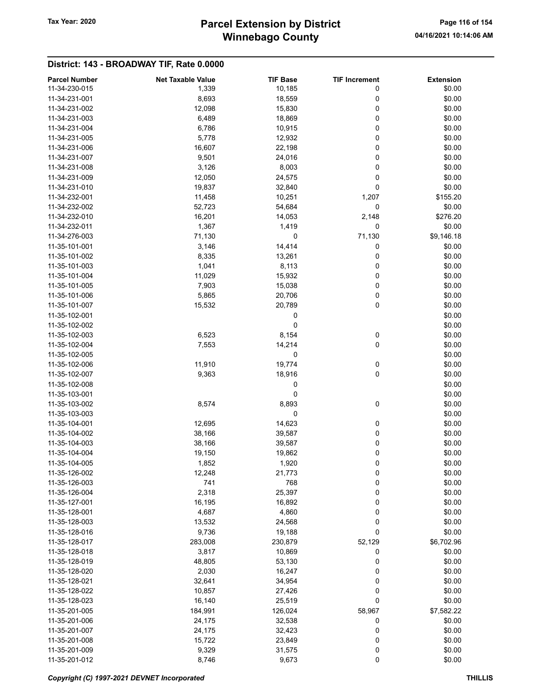# Winnebago County Tax Year: 2020 **Parcel Extension by District** Page 116 of 154

| <b>Parcel Number</b> | <b>Net Taxable Value</b> | <b>TIF Base</b> | <b>TIF Increment</b> | <b>Extension</b> |
|----------------------|--------------------------|-----------------|----------------------|------------------|
| 11-34-230-015        | 1,339                    | 10,185          | 0                    | \$0.00           |
| 11-34-231-001        | 8,693                    | 18,559          | 0                    | \$0.00           |
| 11-34-231-002        | 12,098                   | 15,830          | 0                    | \$0.00           |
| 11-34-231-003        | 6,489                    | 18,869          | 0                    | \$0.00           |
| 11-34-231-004        |                          |                 | 0                    | \$0.00           |
|                      | 6,786                    | 10,915          |                      |                  |
| 11-34-231-005        | 5,778                    | 12,932          | 0                    | \$0.00           |
| 11-34-231-006        | 16,607                   | 22,198          | 0                    | \$0.00           |
| 11-34-231-007        | 9,501                    | 24,016          | 0                    | \$0.00           |
| 11-34-231-008        | 3,126                    | 8,003           | 0                    | \$0.00           |
| 11-34-231-009        | 12,050                   | 24,575          | 0                    | \$0.00           |
| 11-34-231-010        | 19,837                   | 32,840          | 0                    | \$0.00           |
| 11-34-232-001        | 11,458                   | 10,251          | 1,207                | \$155.20         |
| 11-34-232-002        | 52,723                   | 54,684          | 0                    | \$0.00           |
| 11-34-232-010        | 16,201                   | 14,053          | 2,148                | \$276.20         |
| 11-34-232-011        | 1,367                    | 1,419           | 0                    | \$0.00           |
| 11-34-276-003        | 71,130                   | 0               | 71,130               | \$9,146.18       |
| 11-35-101-001        | 3,146                    | 14,414          | 0                    | \$0.00           |
| 11-35-101-002        | 8,335                    | 13,261          | 0                    | \$0.00           |
| 11-35-101-003        | 1,041                    | 8,113           | 0                    | \$0.00           |
|                      |                          |                 |                      |                  |
| 11-35-101-004        | 11,029                   | 15,932          | 0                    | \$0.00           |
| 11-35-101-005        | 7,903                    | 15,038          | 0                    | \$0.00           |
| 11-35-101-006        | 5,865                    | 20,706          | 0                    | \$0.00           |
| 11-35-101-007        | 15,532                   | 20,789          | 0                    | \$0.00           |
| 11-35-102-001        |                          | 0               |                      | \$0.00           |
| 11-35-102-002        |                          | 0               |                      | \$0.00           |
| 11-35-102-003        | 6,523                    | 8,154           | 0                    | \$0.00           |
| 11-35-102-004        | 7,553                    | 14,214          | 0                    | \$0.00           |
| 11-35-102-005        |                          | 0               |                      | \$0.00           |
| 11-35-102-006        | 11,910                   | 19,774          | 0                    | \$0.00           |
| 11-35-102-007        | 9,363                    | 18,916          | 0                    | \$0.00           |
| 11-35-102-008        |                          | 0               |                      | \$0.00           |
| 11-35-103-001        |                          | 0               |                      | \$0.00           |
| 11-35-103-002        | 8,574                    | 8,893           | 0                    | \$0.00           |
| 11-35-103-003        |                          | 0               |                      | \$0.00           |
| 11-35-104-001        | 12,695                   | 14,623          | 0                    | \$0.00           |
|                      |                          |                 |                      |                  |
| 11-35-104-002        | 38,166                   | 39,587          | 0                    | \$0.00           |
| 11-35-104-003        | 38,166                   | 39,587          | 0                    | \$0.00           |
| 11-35-104-004        | 19,150                   | 19,862          | 0                    | \$0.00           |
| 11-35-104-005        | 1,852                    | 1,920           | 0                    | \$0.00           |
| 11-35-126-002        | 12,248                   | 21,773          | 0                    | \$0.00           |
| 11-35-126-003        | 741                      | 768             | 0                    | \$0.00           |
| 11-35-126-004        | 2,318                    | 25,397          | 0                    | \$0.00           |
| 11-35-127-001        | 16,195                   | 16,892          | 0                    | \$0.00           |
| 11-35-128-001        | 4,687                    | 4,860           | 0                    | \$0.00           |
| 11-35-128-003        | 13,532                   | 24,568          | 0                    | \$0.00           |
| 11-35-128-016        | 9,736                    | 19,188          | 0                    | \$0.00           |
| 11-35-128-017        | 283,008                  | 230,879         | 52,129               | \$6,702.96       |
| 11-35-128-018        | 3,817                    | 10,869          | 0                    | \$0.00           |
| 11-35-128-019        | 48,805                   | 53,130          | 0                    | \$0.00           |
| 11-35-128-020        | 2,030                    | 16,247          | 0                    | \$0.00           |
| 11-35-128-021        |                          |                 | 0                    | \$0.00           |
|                      | 32,641                   | 34,954          |                      |                  |
| 11-35-128-022        | 10,857                   | 27,426          | 0                    | \$0.00           |
| 11-35-128-023        | 16,140                   | 25,519          | 0                    | \$0.00           |
| 11-35-201-005        | 184,991                  | 126,024         | 58,967               | \$7,582.22       |
| 11-35-201-006        | 24,175                   | 32,538          | 0                    | \$0.00           |
| 11-35-201-007        | 24,175                   | 32,423          | 0                    | \$0.00           |
| 11-35-201-008        | 15,722                   | 23,849          | 0                    | \$0.00           |
| 11-35-201-009        | 9,329                    | 31,575          | 0                    | \$0.00           |
| 11-35-201-012        | 8,746                    | 9,673           | $\pmb{0}$            | \$0.00           |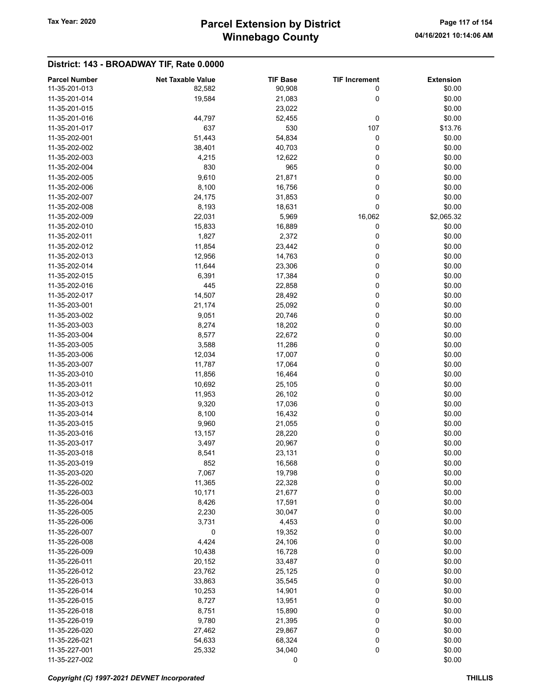# Winnebago County Tax Year: 2020 **Parcel Extension by District** Page 117 of 154

| <b>Parcel Number</b> | <b>Net Taxable Value</b> | <b>TIF Base</b> | <b>TIF Increment</b> | <b>Extension</b> |
|----------------------|--------------------------|-----------------|----------------------|------------------|
| 11-35-201-013        | 82,582                   | 90,908          | 0                    | \$0.00           |
| 11-35-201-014        | 19,584                   | 21,083          | 0                    | \$0.00           |
| 11-35-201-015        |                          | 23,022          |                      | \$0.00           |
| 11-35-201-016        | 44,797                   | 52,455          | 0                    | \$0.00           |
| 11-35-201-017        | 637                      | 530             | 107                  | \$13.76          |
| 11-35-202-001        |                          |                 | 0                    |                  |
|                      | 51,443                   | 54,834          |                      | \$0.00           |
| 11-35-202-002        | 38,401                   | 40,703          | 0                    | \$0.00           |
| 11-35-202-003        | 4,215                    | 12,622          | 0                    | \$0.00           |
| 11-35-202-004        | 830                      | 965             | 0                    | \$0.00           |
| 11-35-202-005        | 9,610                    | 21,871          | 0                    | \$0.00           |
| 11-35-202-006        | 8,100                    | 16,756          | 0                    | \$0.00           |
| 11-35-202-007        | 24,175                   | 31,853          | 0                    | \$0.00           |
| 11-35-202-008        | 8,193                    | 18,631          | 0                    | \$0.00           |
| 11-35-202-009        | 22,031                   | 5,969           | 16,062               | \$2,065.32       |
| 11-35-202-010        | 15,833                   | 16,889          | 0                    | \$0.00           |
| 11-35-202-011        | 1,827                    | 2,372           | 0                    | \$0.00           |
| 11-35-202-012        | 11,854                   | 23,442          | 0                    | \$0.00           |
| 11-35-202-013        | 12,956                   | 14,763          | 0                    | \$0.00           |
| 11-35-202-014        | 11,644                   | 23,306          | 0                    | \$0.00           |
| 11-35-202-015        | 6,391                    | 17,384          | 0                    | \$0.00           |
|                      |                          |                 |                      |                  |
| 11-35-202-016        | 445                      | 22,858          | 0                    | \$0.00           |
| 11-35-202-017        | 14,507                   | 28,492          | 0                    | \$0.00           |
| 11-35-203-001        | 21,174                   | 25,092          | 0                    | \$0.00           |
| 11-35-203-002        | 9,051                    | 20,746          | 0                    | \$0.00           |
| 11-35-203-003        | 8,274                    | 18,202          | 0                    | \$0.00           |
| 11-35-203-004        | 8,577                    | 22,672          | 0                    | \$0.00           |
| 11-35-203-005        | 3,588                    | 11,286          | 0                    | \$0.00           |
| 11-35-203-006        | 12,034                   | 17,007          | 0                    | \$0.00           |
| 11-35-203-007        | 11,787                   | 17,064          | 0                    | \$0.00           |
| 11-35-203-010        | 11,856                   | 16,464          | 0                    | \$0.00           |
| 11-35-203-011        | 10,692                   | 25,105          | 0                    | \$0.00           |
| 11-35-203-012        | 11,953                   | 26,102          | 0                    | \$0.00           |
| 11-35-203-013        | 9,320                    | 17,036          | 0                    | \$0.00           |
| 11-35-203-014        | 8,100                    | 16,432          | 0                    | \$0.00           |
| 11-35-203-015        | 9,960                    | 21,055          | 0                    | \$0.00           |
| 11-35-203-016        | 13,157                   | 28,220          | 0                    | \$0.00           |
| 11-35-203-017        |                          |                 |                      |                  |
|                      | 3,497                    | 20,967          | 0                    | \$0.00           |
| 11-35-203-018        | 8,541                    | 23,131          | 0                    | \$0.00           |
| 11-35-203-019        | 852                      | 16,568          | 0                    | \$0.00           |
| 11-35-203-020        | 7,067                    | 19,798          | 0                    | \$0.00           |
| 11-35-226-002        | 11,365                   | 22,328          | 0                    | \$0.00           |
| 11-35-226-003        | 10,171                   | 21,677          | 0                    | \$0.00           |
| 11-35-226-004        | 8,426                    | 17,591          | 0                    | \$0.00           |
| 11-35-226-005        | 2,230                    | 30,047          | 0                    | \$0.00           |
| 11-35-226-006        | 3,731                    | 4,453           | 0                    | \$0.00           |
| 11-35-226-007        | 0                        | 19,352          | 0                    | \$0.00           |
| 11-35-226-008        | 4,424                    | 24,106          | 0                    | \$0.00           |
| 11-35-226-009        | 10,438                   | 16,728          | 0                    | \$0.00           |
| 11-35-226-011        | 20,152                   | 33,487          | 0                    | \$0.00           |
| 11-35-226-012        | 23,762                   | 25,125          | 0                    | \$0.00           |
| 11-35-226-013        | 33,863                   | 35,545          | 0                    | \$0.00           |
| 11-35-226-014        |                          |                 |                      | \$0.00           |
|                      | 10,253                   | 14,901          | 0                    |                  |
| 11-35-226-015        | 8,727                    | 13,951          | 0                    | \$0.00           |
| 11-35-226-018        | 8,751                    | 15,890          | 0                    | \$0.00           |
| 11-35-226-019        | 9,780                    | 21,395          | 0                    | \$0.00           |
| 11-35-226-020        | 27,462                   | 29,867          | 0                    | \$0.00           |
| 11-35-226-021        | 54,633                   | 68,324          | 0                    | \$0.00           |
| 11-35-227-001        | 25,332                   | 34,040          | 0                    | \$0.00           |
| 11-35-227-002        |                          | 0               |                      | \$0.00           |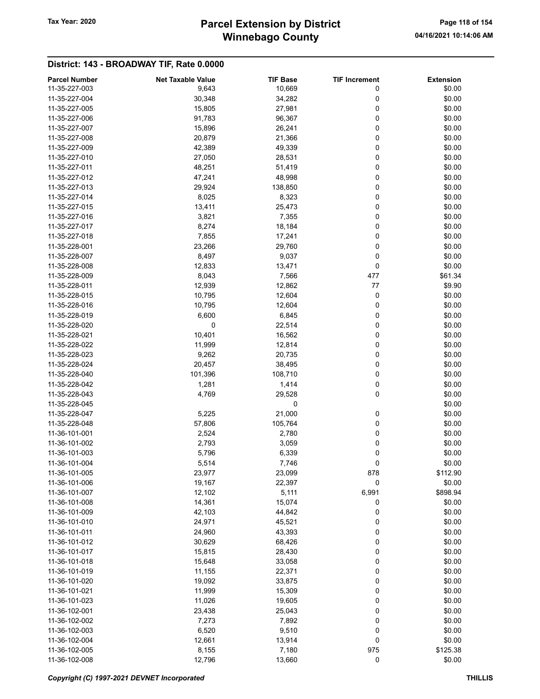# Winnebago County Tax Year: 2020 **Parcel Extension by District** Page 118 of 154

| <b>Parcel Number</b> | <b>Net Taxable Value</b> | <b>TIF Base</b> | <b>TIF Increment</b> | <b>Extension</b> |
|----------------------|--------------------------|-----------------|----------------------|------------------|
| 11-35-227-003        | 9,643                    | 10,669          | 0                    | \$0.00           |
| 11-35-227-004        | 30,348                   | 34,282          | 0                    | \$0.00           |
| 11-35-227-005        | 15,805                   | 27,981          | 0                    | \$0.00           |
| 11-35-227-006        | 91,783                   | 96,367          | 0                    | \$0.00           |
| 11-35-227-007        | 15,896                   | 26,241          | 0                    | \$0.00           |
| 11-35-227-008        | 20,879                   | 21,366          | 0                    | \$0.00           |
| 11-35-227-009        | 42,389                   | 49,339          | 0                    | \$0.00           |
| 11-35-227-010        | 27,050                   | 28,531          | 0                    | \$0.00           |
|                      |                          |                 |                      |                  |
| 11-35-227-011        | 48,251                   | 51,419          | 0                    | \$0.00           |
| 11-35-227-012        | 47,241                   | 48,998          | 0                    | \$0.00           |
| 11-35-227-013        | 29,924                   | 138,850         | 0                    | \$0.00           |
| 11-35-227-014        | 8,025                    | 8,323           | 0                    | \$0.00           |
| 11-35-227-015        | 13,411                   | 25,473          | 0                    | \$0.00           |
| 11-35-227-016        | 3,821                    | 7,355           | 0                    | \$0.00           |
| 11-35-227-017        | 8,274                    | 18,184          | 0                    | \$0.00           |
| 11-35-227-018        | 7,855                    | 17,241          | 0                    | \$0.00           |
| 11-35-228-001        | 23,266                   | 29,760          | 0                    | \$0.00           |
| 11-35-228-007        | 8,497                    | 9,037           | 0                    | \$0.00           |
| 11-35-228-008        | 12,833                   | 13,471          | 0                    | \$0.00           |
| 11-35-228-009        | 8,043                    | 7,566           | 477                  | \$61.34          |
| 11-35-228-011        | 12,939                   | 12,862          | 77                   | \$9.90           |
| 11-35-228-015        | 10,795                   | 12,604          | 0                    | \$0.00           |
| 11-35-228-016        | 10,795                   | 12,604          | 0                    | \$0.00           |
| 11-35-228-019        | 6,600                    | 6,845           | 0                    | \$0.00           |
| 11-35-228-020        | 0                        | 22,514          | 0                    | \$0.00           |
| 11-35-228-021        | 10,401                   | 16,562          | 0                    | \$0.00           |
|                      |                          |                 |                      |                  |
| 11-35-228-022        | 11,999                   | 12,814          | 0                    | \$0.00           |
| 11-35-228-023        | 9,262                    | 20,735          | 0                    | \$0.00           |
| 11-35-228-024        | 20,457                   | 38,495          | 0                    | \$0.00           |
| 11-35-228-040        | 101,396                  | 108,710         | 0                    | \$0.00           |
| 11-35-228-042        | 1,281                    | 1,414           | 0                    | \$0.00           |
| 11-35-228-043        | 4,769                    | 29,528          | 0                    | \$0.00           |
| 11-35-228-045        |                          | 0               |                      | \$0.00           |
| 11-35-228-047        | 5,225                    | 21,000          | 0                    | \$0.00           |
| 11-35-228-048        | 57,806                   | 105,764         | 0                    | \$0.00           |
| 11-36-101-001        | 2,524                    | 2,780           | 0                    | \$0.00           |
| 11-36-101-002        | 2,793                    | 3,059           | 0                    | \$0.00           |
| 11-36-101-003        | 5,796                    | 6,339           | 0                    | \$0.00           |
| 11-36-101-004        | 5,514                    | 7,746           | 0                    | \$0.00           |
| 11-36-101-005        | 23,977                   | 23,099          | 878                  | \$112.90         |
| 11-36-101-006        | 19,167                   | 22,397          | 0                    | \$0.00           |
| 11-36-101-007        | 12,102                   | 5,111           | 6,991                | \$898.94         |
| 11-36-101-008        | 14,361                   | 15,074          | 0                    | \$0.00           |
| 11-36-101-009        | 42,103                   | 44,842          | 0                    | \$0.00           |
| 11-36-101-010        | 24,971                   | 45,521          | 0                    | \$0.00           |
| 11-36-101-011        | 24,960                   | 43,393          | 0                    | \$0.00           |
|                      |                          |                 |                      |                  |
| 11-36-101-012        | 30,629                   | 68,426          | 0                    | \$0.00           |
| 11-36-101-017        | 15,815                   | 28,430          | 0                    | \$0.00           |
| 11-36-101-018        | 15,648                   | 33,058          | 0                    | \$0.00           |
| 11-36-101-019        | 11,155                   | 22,371          | $\pmb{0}$            | \$0.00           |
| 11-36-101-020        | 19,092                   | 33,875          | 0                    | \$0.00           |
| 11-36-101-021        | 11,999                   | 15,309          | 0                    | \$0.00           |
| 11-36-101-023        | 11,026                   | 19,605          | 0                    | \$0.00           |
| 11-36-102-001        | 23,438                   | 25,043          | 0                    | \$0.00           |
| 11-36-102-002        | 7,273                    | 7,892           | 0                    | \$0.00           |
| 11-36-102-003        | 6,520                    | 9,510           | 0                    | \$0.00           |
| 11-36-102-004        | 12,661                   | 13,914          | $\pmb{0}$            | \$0.00           |
| 11-36-102-005        | 8,155                    | 7,180           | 975                  | \$125.38         |
| 11-36-102-008        | 12,796                   | 13,660          | $\pmb{0}$            | \$0.00           |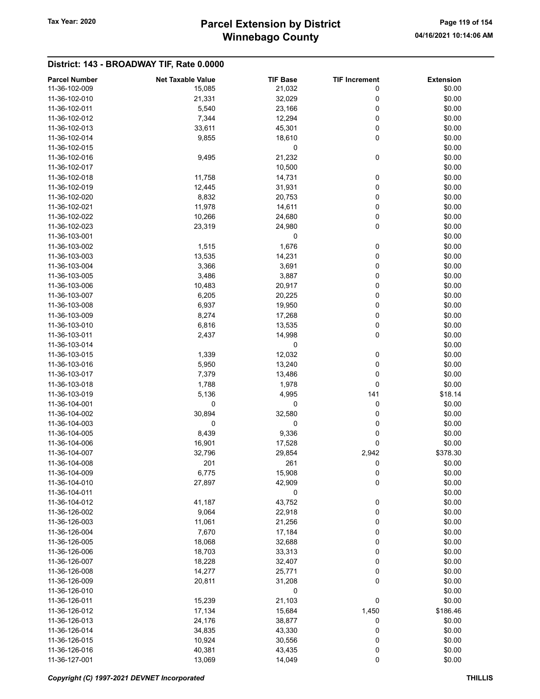# Winnebago County Tax Year: 2020 **Parcel Extension by District** Page 119 of 154

| <b>Parcel Number</b> | <b>Net Taxable Value</b> | <b>TIF Base</b> | <b>TIF Increment</b> | <b>Extension</b> |
|----------------------|--------------------------|-----------------|----------------------|------------------|
| 11-36-102-009        |                          |                 | 0                    | \$0.00           |
|                      | 15,085                   | 21,032          |                      |                  |
| 11-36-102-010        | 21,331                   | 32,029          | 0                    | \$0.00           |
| 11-36-102-011        | 5,540                    | 23,166          | 0                    | \$0.00           |
| 11-36-102-012        | 7,344                    | 12,294          | 0                    | \$0.00           |
| 11-36-102-013        | 33,611                   | 45,301          | 0                    | \$0.00           |
| 11-36-102-014        | 9,855                    | 18,610          | 0                    | \$0.00           |
| 11-36-102-015        |                          | 0               |                      | \$0.00           |
| 11-36-102-016        | 9,495                    | 21,232          | 0                    | \$0.00           |
| 11-36-102-017        |                          | 10,500          |                      | \$0.00           |
| 11-36-102-018        | 11,758                   | 14,731          | 0                    | \$0.00           |
| 11-36-102-019        | 12,445                   | 31,931          | 0                    | \$0.00           |
| 11-36-102-020        | 8,832                    | 20,753          | 0                    | \$0.00           |
| 11-36-102-021        | 11,978                   | 14,611          | 0                    | \$0.00           |
| 11-36-102-022        | 10,266                   | 24,680          | 0                    | \$0.00           |
| 11-36-102-023        | 23,319                   | 24,980          | 0                    | \$0.00           |
| 11-36-103-001        |                          | 0               |                      | \$0.00           |
| 11-36-103-002        | 1,515                    | 1,676           | 0                    | \$0.00           |
| 11-36-103-003        | 13,535                   | 14,231          | 0                    | \$0.00           |
| 11-36-103-004        | 3,366                    | 3,691           | 0                    | \$0.00           |
| 11-36-103-005        | 3,486                    | 3,887           | 0                    | \$0.00           |
| 11-36-103-006        | 10,483                   | 20,917          | 0                    | \$0.00           |
| 11-36-103-007        | 6,205                    | 20,225          | 0                    | \$0.00           |
| 11-36-103-008        | 6,937                    | 19,950          | 0                    | \$0.00           |
| 11-36-103-009        | 8,274                    | 17,268          | 0                    | \$0.00           |
| 11-36-103-010        | 6,816                    | 13,535          | 0                    | \$0.00           |
| 11-36-103-011        | 2,437                    | 14,998          | 0                    | \$0.00           |
| 11-36-103-014        |                          | 0               |                      | \$0.00           |
| 11-36-103-015        | 1,339                    | 12,032          | 0                    | \$0.00           |
| 11-36-103-016        | 5,950                    | 13,240          | 0                    | \$0.00           |
| 11-36-103-017        | 7,379                    | 13,486          | 0                    | \$0.00           |
| 11-36-103-018        | 1,788                    | 1,978           | 0                    | \$0.00           |
| 11-36-103-019        | 5,136                    | 4,995           | 141                  | \$18.14          |
| 11-36-104-001        | 0                        | 0               | 0                    | \$0.00           |
| 11-36-104-002        | 30,894                   | 32,580          | 0                    | \$0.00           |
| 11-36-104-003        | 0                        | 0               | 0                    | \$0.00           |
| 11-36-104-005        | 8,439                    | 9,336           | 0                    | \$0.00           |
| 11-36-104-006        | 16,901                   | 17,528          | 0                    | \$0.00           |
| 11-36-104-007        | 32,796                   | 29,854          | 2,942                | \$378.30         |
| 11-36-104-008        | 201                      | 261             | 0                    | \$0.00           |
| 11-36-104-009        | 6,775                    | 15,908          | 0                    | \$0.00           |
| 11-36-104-010        | 27,897                   | 42,909          | 0                    | \$0.00           |
| 11-36-104-011        |                          | 0               |                      | \$0.00           |
| 11-36-104-012        | 41,187                   | 43,752          | 0                    | \$0.00           |
| 11-36-126-002        | 9,064                    | 22,918          | 0                    | \$0.00           |
| 11-36-126-003        | 11,061                   | 21,256          | 0                    | \$0.00           |
| 11-36-126-004        | 7,670                    | 17,184          | 0                    | \$0.00           |
| 11-36-126-005        | 18,068                   | 32,688          | 0                    | \$0.00           |
| 11-36-126-006        | 18,703                   | 33,313          | 0                    | \$0.00           |
| 11-36-126-007        | 18,228                   | 32,407          | 0                    | \$0.00           |
| 11-36-126-008        | 14,277                   | 25,771          | 0                    | \$0.00           |
| 11-36-126-009        |                          |                 | 0                    |                  |
|                      | 20,811                   | 31,208          |                      | \$0.00           |
| 11-36-126-010        |                          | 0               |                      | \$0.00           |
| 11-36-126-011        | 15,239                   | 21,103          | 0                    | \$0.00           |
| 11-36-126-012        | 17,134                   | 15,684          | 1,450                | \$186.46         |
| 11-36-126-013        | 24,176                   | 38,877          | 0                    | \$0.00           |
| 11-36-126-014        | 34,835                   | 43,330          | 0                    | \$0.00           |
| 11-36-126-015        | 10,924                   | 30,556          | 0                    | \$0.00           |
| 11-36-126-016        | 40,381                   | 43,435          | 0                    | \$0.00           |
| 11-36-127-001        | 13,069                   | 14,049          | 0                    | \$0.00           |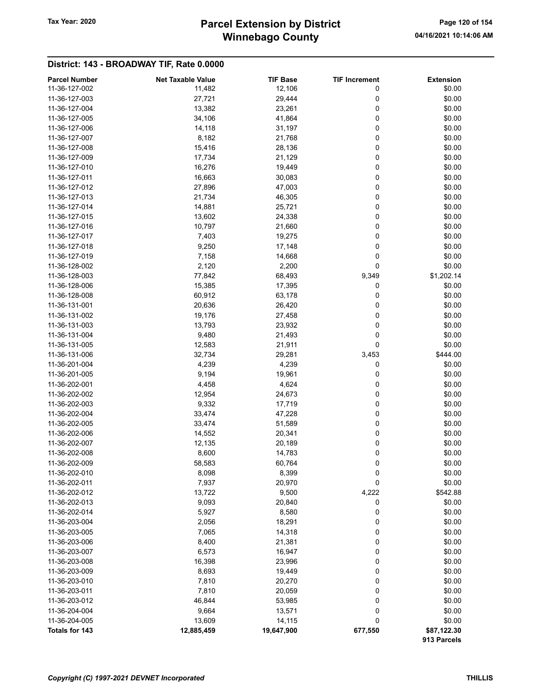# Winnebago County Tax Year: 2020 **Parcel Extension by District** Page 120 of 154

| <b>Parcel Number</b> | <b>Net Taxable Value</b> | <b>TIF Base</b> | <b>TIF Increment</b> | <b>Extension</b> |
|----------------------|--------------------------|-----------------|----------------------|------------------|
| 11-36-127-002        | 11,482                   | 12,106          | 0                    | \$0.00           |
| 11-36-127-003        | 27,721                   | 29,444          | 0                    | \$0.00           |
| 11-36-127-004        | 13,382                   | 23,261          | 0                    | \$0.00           |
| 11-36-127-005        | 34,106                   | 41,864          | 0                    | \$0.00           |
| 11-36-127-006        | 14,118                   | 31,197          | 0                    | \$0.00           |
| 11-36-127-007        | 8,182                    | 21,768          | 0                    | \$0.00           |
| 11-36-127-008        | 15,416                   | 28,136          | 0                    | \$0.00           |
| 11-36-127-009        | 17,734                   | 21,129          | 0                    | \$0.00           |
| 11-36-127-010        | 16,276                   | 19,449          | 0                    | \$0.00           |
| 11-36-127-011        | 16,663                   | 30,083          | 0                    | \$0.00           |
| 11-36-127-012        | 27,896                   | 47,003          | 0                    | \$0.00           |
| 11-36-127-013        | 21,734                   | 46,305          | 0                    | \$0.00           |
| 11-36-127-014        | 14,881                   | 25,721          | 0                    | \$0.00           |
| 11-36-127-015        | 13,602                   | 24,338          | 0                    | \$0.00           |
|                      |                          |                 | 0                    |                  |
| 11-36-127-016        | 10,797                   | 21,660          |                      | \$0.00           |
| 11-36-127-017        | 7,403                    | 19,275          | 0                    | \$0.00           |
| 11-36-127-018        | 9,250                    | 17,148          | 0                    | \$0.00           |
| 11-36-127-019        | 7,158                    | 14,668          | 0                    | \$0.00           |
| 11-36-128-002        | 2,120                    | 2,200           | 0                    | \$0.00           |
| 11-36-128-003        | 77,842                   | 68,493          | 9,349                | \$1,202.14       |
| 11-36-128-006        | 15,385                   | 17,395          | 0                    | \$0.00           |
| 11-36-128-008        | 60,912                   | 63,178          | 0                    | \$0.00           |
| 11-36-131-001        | 20,636                   | 26,420          | 0                    | \$0.00           |
| 11-36-131-002        | 19,176                   | 27,458          | 0                    | \$0.00           |
| 11-36-131-003        | 13,793                   | 23,932          | 0                    | \$0.00           |
| 11-36-131-004        | 9,480                    | 21,493          | 0                    | \$0.00           |
| 11-36-131-005        | 12,583                   | 21,911          | 0                    | \$0.00           |
| 11-36-131-006        | 32,734                   | 29,281          | 3,453                | \$444.00         |
| 11-36-201-004        | 4,239                    | 4,239           | 0                    | \$0.00           |
| 11-36-201-005        | 9,194                    | 19,961          | 0                    | \$0.00           |
| 11-36-202-001        | 4,458                    | 4,624           | 0                    | \$0.00           |
| 11-36-202-002        | 12,954                   | 24,673          | 0                    | \$0.00           |
| 11-36-202-003        | 9,332                    | 17,719          | 0                    | \$0.00           |
| 11-36-202-004        | 33,474                   | 47,228          | 0                    | \$0.00           |
| 11-36-202-005        | 33,474                   | 51,589          | 0                    | \$0.00           |
| 11-36-202-006        | 14,552                   | 20,341          | 0                    | \$0.00           |
| 11-36-202-007        | 12,135                   | 20,189          | 0                    | \$0.00           |
| 11-36-202-008        | 8,600                    | 14,783          | 0                    | \$0.00           |
| 11-36-202-009        | 58,583                   | 60,764          | 0                    | \$0.00           |
| 11-36-202-010        | 8,098                    | 8,399           | 0                    | \$0.00           |
| 11-36-202-011        | 7,937                    | 20,970          | 0                    | \$0.00           |
| 11-36-202-012        | 13,722                   | 9,500           | 4,222                | \$542.88         |
| 11-36-202-013        | 9,093                    | 20,840          | 0                    | \$0.00           |
| 11-36-202-014        | 5,927                    | 8,580           | 0                    | \$0.00           |
| 11-36-203-004        | 2,056                    | 18,291          | 0                    | \$0.00           |
| 11-36-203-005        | 7,065                    | 14,318          | 0                    | \$0.00           |
| 11-36-203-006        | 8,400                    | 21,381          | 0                    | \$0.00           |
| 11-36-203-007        | 6,573                    | 16,947          | 0                    | \$0.00           |
| 11-36-203-008        | 16,398                   | 23,996          | 0                    | \$0.00           |
| 11-36-203-009        | 8,693                    | 19,449          | 0                    | \$0.00           |
| 11-36-203-010        | 7,810                    | 20,270          | 0                    | \$0.00           |
| 11-36-203-011        | 7,810                    | 20,059          | 0                    | \$0.00           |
| 11-36-203-012        | 46,844                   | 53,985          | 0                    | \$0.00           |
| 11-36-204-004        | 9,664                    | 13,571          | 0                    | \$0.00           |
| 11-36-204-005        | 13,609                   | 14,115          | 0                    | \$0.00           |
| Totals for 143       | 12,885,459               | 19,647,900      | 677,550              | \$87,122.30      |
|                      |                          |                 |                      | 913 Parcels      |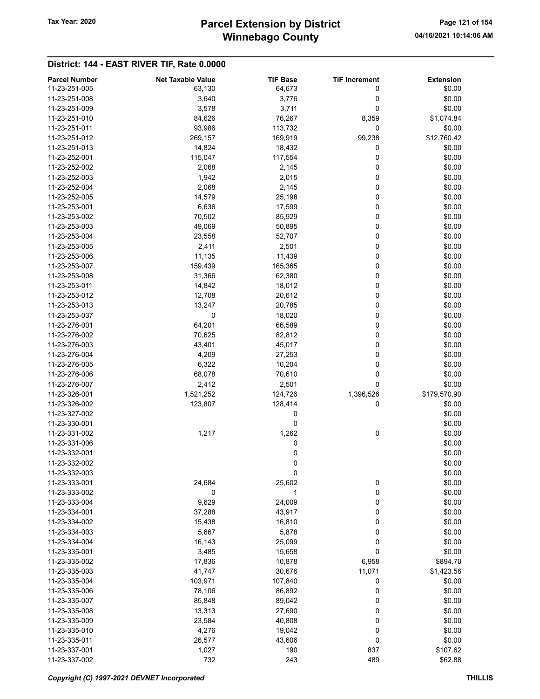# Winnebago County Tax Year: 2020 **Parcel Extension by District** Page 121 of 154

| <b>Parcel Number</b> | <b>Net Taxable Value</b> | <b>TIF Base</b> | <b>TIF Increment</b> | <b>Extension</b> |
|----------------------|--------------------------|-----------------|----------------------|------------------|
| 11-23-251-005        | 63,130                   | 64,673          | 0                    | \$0.00           |
| 11-23-251-008        | 3,640                    | 3,776           | 0                    | \$0.00           |
| 11-23-251-009        | 3,578                    | 3,711           | 0                    | \$0.00           |
| 11-23-251-010        | 84,626                   | 76,267          | 8,359                | \$1,074.84       |
| 11-23-251-011        |                          |                 |                      |                  |
|                      | 93,986                   | 113,732         | 0                    | \$0.00           |
| 11-23-251-012        | 269,157                  | 169,919         | 99,238               | \$12,760.42      |
| 11-23-251-013        | 14,824                   | 18,432          | 0                    | \$0.00           |
| 11-23-252-001        | 115,047                  | 117,554         | 0                    | \$0.00           |
| 11-23-252-002        | 2,068                    | 2,145           | 0                    | \$0.00           |
| 11-23-252-003        | 1,942                    | 2,015           | 0                    | \$0.00           |
| 11-23-252-004        | 2,068                    | 2,145           | 0                    | \$0.00           |
| 11-23-252-005        | 14,579                   | 25,198          | 0                    | \$0.00           |
| 11-23-253-001        | 6,636                    | 17,599          | 0                    | \$0.00           |
| 11-23-253-002        | 70,502                   | 85,929          | 0                    | \$0.00           |
| 11-23-253-003        | 49,069                   | 50,895          | 0                    | \$0.00           |
| 11-23-253-004        | 23,558                   | 52,707          | 0                    | \$0.00           |
| 11-23-253-005        | 2,411                    | 2,501           | 0                    | \$0.00           |
| 11-23-253-006        | 11,135                   | 11,439          | 0                    | \$0.00           |
| 11-23-253-007        |                          |                 | 0                    | \$0.00           |
|                      | 159,439                  | 165,365         | 0                    |                  |
| 11-23-253-008        | 31,366                   | 62,380          |                      | \$0.00           |
| 11-23-253-011        | 14,842                   | 18,012          | 0                    | \$0.00           |
| 11-23-253-012        | 12,708                   | 20,612          | 0                    | \$0.00           |
| 11-23-253-013        | 13,247                   | 20,785          | 0                    | \$0.00           |
| 11-23-253-037        | 0                        | 18,020          | 0                    | \$0.00           |
| 11-23-276-001        | 64,201                   | 66,589          | 0                    | \$0.00           |
| 11-23-276-002        | 70,625                   | 82,812          | 0                    | \$0.00           |
| 11-23-276-003        | 43,401                   | 45,017          | 0                    | \$0.00           |
| 11-23-276-004        | 4,209                    | 27,253          | 0                    | \$0.00           |
| 11-23-276-005        | 6,322                    | 10,204          | 0                    | \$0.00           |
| 11-23-276-006        | 68,078                   | 70,610          | 0                    | \$0.00           |
| 11-23-276-007        | 2,412                    | 2,501           | 0                    | \$0.00           |
| 11-23-326-001        | 1,521,252                | 124,726         | 1,396,526            | \$179,570.90     |
| 11-23-326-002        | 123,807                  | 128,414         | 0                    | \$0.00           |
| 11-23-327-002        |                          | 0               |                      | \$0.00           |
| 11-23-330-001        |                          | 0               |                      | \$0.00           |
|                      | 1,217                    | 1,262           | 0                    | \$0.00           |
| 11-23-331-002        |                          |                 |                      |                  |
| 11-23-331-006        |                          | 0               |                      | \$0.00           |
| 11-23-332-001        |                          | 0               |                      | \$0.00           |
| 11-23-332-002        |                          | 0               |                      | \$0.00           |
| 11-23-332-003        |                          | 0               |                      | \$0.00           |
| 11-23-333-001        | 24,684                   | 25,602          | 0                    | \$0.00           |
| 11-23-333-002        | 0                        | 1               | 0                    | \$0.00           |
| 11-23-333-004        | 9,629                    | 24,009          | 0                    | \$0.00           |
| 11-23-334-001        | 37,288                   | 43,917          | 0                    | \$0.00           |
| 11-23-334-002        | 15,438                   | 16,810          | 0                    | \$0.00           |
| 11-23-334-003        | 5,667                    | 5,878           | 0                    | \$0.00           |
| 11-23-334-004        | 16,143                   | 25,099          | 0                    | \$0.00           |
| 11-23-335-001        | 3,485                    | 15,658          | 0                    | \$0.00           |
| 11-23-335-002        | 17,836                   | 10,878          | 6,958                | \$894.70         |
| 11-23-335-003        | 41,747                   | 30,676          | 11,071               | \$1,423.56       |
| 11-23-335-004        | 103,971                  | 107,840         | 0                    | \$0.00           |
| 11-23-335-006        | 78,106                   | 86,892          | 0                    | \$0.00           |
| 11-23-335-007        | 85,848                   | 89,042          | 0                    | \$0.00           |
|                      |                          |                 |                      |                  |
| 11-23-335-008        | 13,313                   | 27,690          | 0                    | \$0.00           |
| 11-23-335-009        | 23,584                   | 40,808          | 0                    | \$0.00           |
| 11-23-335-010        | 4,276                    | 19,042          | 0                    | \$0.00           |
| 11-23-335-011        | 26,577                   | 43,606          | 0                    | \$0.00           |
| 11-23-337-001        | 1,027                    | 190             | 837                  | \$107.62         |
| 11-23-337-002        | 732                      | 243             | 489                  | \$62.88          |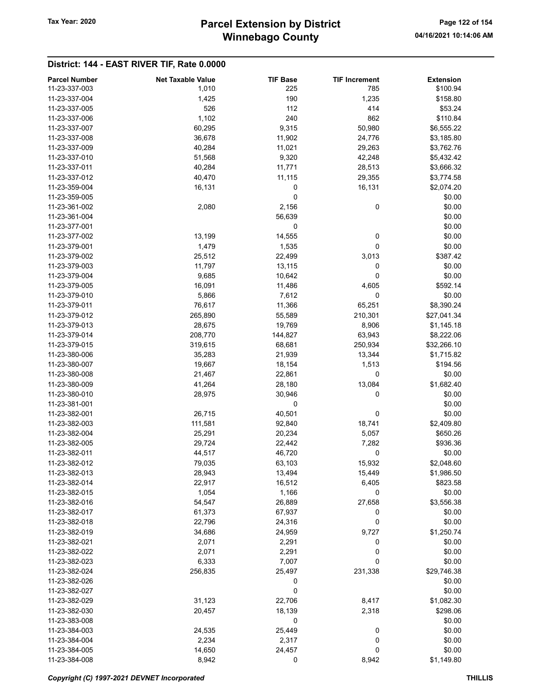# Winnebago County Tax Year: 2020 **Parcel Extension by District** Page 122 of 154

| <b>Parcel Number</b> | <b>Net Taxable Value</b> | <b>TIF Base</b> | <b>TIF Increment</b> | <b>Extension</b> |
|----------------------|--------------------------|-----------------|----------------------|------------------|
| 11-23-337-003        | 1,010                    | 225             | 785                  | \$100.94         |
|                      |                          |                 |                      |                  |
| 11-23-337-004        | 1,425                    | 190             | 1,235                | \$158.80         |
| 11-23-337-005        | 526                      | 112             | 414                  | \$53.24          |
| 11-23-337-006        | 1,102                    | 240             | 862                  | \$110.84         |
| 11-23-337-007        | 60,295                   | 9,315           | 50,980               | \$6,555.22       |
| 11-23-337-008        | 36,678                   | 11,902          | 24,776               | \$3,185.80       |
| 11-23-337-009        | 40,284                   | 11,021          | 29,263               | \$3,762.76       |
| 11-23-337-010        | 51,568                   | 9,320           | 42,248               | \$5,432.42       |
| 11-23-337-011        | 40,284                   | 11,771          | 28,513               | \$3,666.32       |
| 11-23-337-012        | 40,470                   | 11,115          | 29,355               | \$3,774.58       |
| 11-23-359-004        | 16,131                   | 0               | 16,131               | \$2,074.20       |
| 11-23-359-005        |                          | 0               |                      | \$0.00           |
| 11-23-361-002        | 2,080                    | 2,156           | 0                    | \$0.00           |
|                      |                          |                 |                      |                  |
| 11-23-361-004        |                          | 56,639          |                      | \$0.00           |
| 11-23-377-001        |                          | 0               |                      | \$0.00           |
| 11-23-377-002        | 13,199                   | 14,555          | 0                    | \$0.00           |
| 11-23-379-001        | 1,479                    | 1,535           | 0                    | \$0.00           |
| 11-23-379-002        | 25,512                   | 22,499          | 3,013                | \$387.42         |
| 11-23-379-003        | 11,797                   | 13,115          | 0                    | \$0.00           |
| 11-23-379-004        | 9,685                    | 10,642          | 0                    | \$0.00           |
| 11-23-379-005        | 16,091                   | 11,486          | 4,605                | \$592.14         |
| 11-23-379-010        | 5,866                    | 7,612           | 0                    | \$0.00           |
| 11-23-379-011        | 76,617                   | 11,366          | 65,251               | \$8,390.24       |
| 11-23-379-012        | 265,890                  | 55,589          | 210,301              | \$27,041.34      |
| 11-23-379-013        |                          |                 |                      | \$1,145.18       |
|                      | 28,675                   | 19,769          | 8,906                |                  |
| 11-23-379-014        | 208,770                  | 144,827         | 63,943               | \$8,222.06       |
| 11-23-379-015        | 319,615                  | 68,681          | 250,934              | \$32,266.10      |
| 11-23-380-006        | 35,283                   | 21,939          | 13,344               | \$1,715.82       |
| 11-23-380-007        | 19,667                   | 18,154          | 1,513                | \$194.56         |
| 11-23-380-008        | 21,467                   | 22,861          | 0                    | \$0.00           |
| 11-23-380-009        | 41,264                   | 28,180          | 13,084               | \$1,682.40       |
| 11-23-380-010        | 28,975                   | 30,946          | 0                    | \$0.00           |
| 11-23-381-001        |                          | 0               |                      | \$0.00           |
| 11-23-382-001        | 26,715                   | 40,501          | 0                    | \$0.00           |
| 11-23-382-003        | 111,581                  | 92,840          | 18,741               | \$2,409.80       |
| 11-23-382-004        | 25,291                   | 20,234          | 5,057                | \$650.26         |
| 11-23-382-005        | 29,724                   | 22,442          | 7,282                | \$936.36         |
|                      |                          |                 |                      |                  |
| 11-23-382-011        | 44,517                   | 46,720          | 0                    | \$0.00           |
| 11-23-382-012        | 79,035                   | 63,103          | 15,932               | \$2,048.60       |
| 11-23-382-013        | 28,943                   | 13,494          | 15,449               | \$1,986.50       |
| 11-23-382-014        | 22,917                   | 16,512          | 6,405                | \$823.58         |
| 11-23-382-015        | 1,054                    | 1,166           | 0                    | \$0.00           |
| 11-23-382-016        | 54,547                   | 26,889          | 27,658               | \$3,556.38       |
| 11-23-382-017        | 61,373                   | 67,937          | 0                    | \$0.00           |
| 11-23-382-018        | 22,796                   | 24,316          | 0                    | \$0.00           |
| 11-23-382-019        | 34,686                   | 24,959          | 9,727                | \$1,250.74       |
| 11-23-382-021        | 2,071                    | 2,291           | 0                    | \$0.00           |
| 11-23-382-022        | 2,071                    | 2,291           | 0                    | \$0.00           |
| 11-23-382-023        | 6,333                    | 7,007           | 0                    | \$0.00           |
|                      |                          |                 |                      |                  |
| 11-23-382-024        | 256,835                  | 25,497          | 231,338              | \$29,746.38      |
| 11-23-382-026        |                          | 0               |                      | \$0.00           |
| 11-23-382-027        |                          | 0               |                      | \$0.00           |
| 11-23-382-029        | 31,123                   | 22,706          | 8,417                | \$1,082.30       |
| 11-23-382-030        | 20,457                   | 18,139          | 2,318                | \$298.06         |
| 11-23-383-008        |                          | 0               |                      | \$0.00           |
| 11-23-384-003        | 24,535                   | 25,449          | 0                    | \$0.00           |
| 11-23-384-004        | 2,234                    | 2,317           | 0                    | \$0.00           |
| 11-23-384-005        | 14,650                   | 24,457          | 0                    | \$0.00           |
| 11-23-384-008        | 8,942                    | 0               | 8,942                | \$1,149.80       |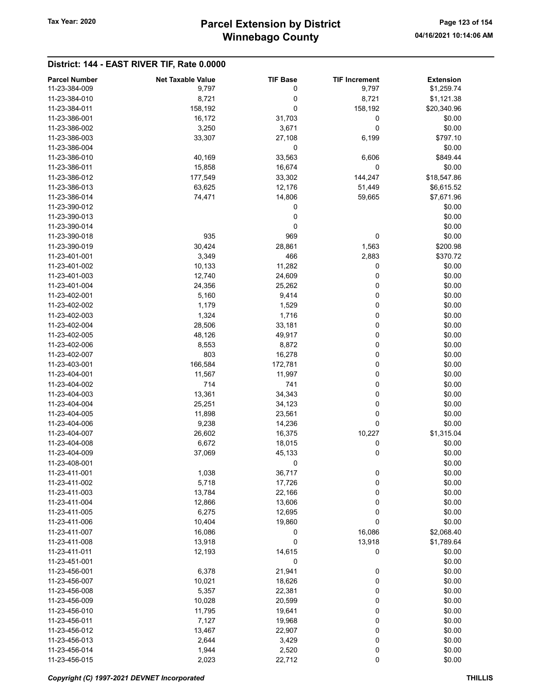# Winnebago County Tax Year: 2020 **Parcel Extension by District** Page 123 of 154

| <b>Parcel Number</b>           | <b>Net Taxable Value</b> | <b>TIF Base</b> | <b>TIF Increment</b> | <b>Extension</b> |
|--------------------------------|--------------------------|-----------------|----------------------|------------------|
| 11-23-384-009                  | 9,797                    | 0               | 9,797                | \$1,259.74       |
| 11-23-384-010                  | 8,721                    | 0               | 8,721                | \$1,121.38       |
| 11-23-384-011                  | 158,192                  | 0               | 158,192              | \$20,340.96      |
| 11-23-386-001                  | 16,172                   | 31,703          | 0                    | \$0.00           |
| 11-23-386-002                  | 3,250                    | 3,671           | 0                    | \$0.00           |
|                                |                          |                 |                      |                  |
| 11-23-386-003                  | 33,307                   | 27,108          | 6,199                | \$797.10         |
| 11-23-386-004                  |                          | 0               |                      | \$0.00           |
| 11-23-386-010                  | 40,169                   | 33,563          | 6,606                | \$849.44         |
| 11-23-386-011                  | 15,858                   | 16,674          | $\mathbf 0$          | \$0.00           |
| 11-23-386-012                  | 177,549                  | 33,302          | 144,247              | \$18,547.86      |
| 11-23-386-013                  | 63,625                   | 12,176          | 51,449               | \$6,615.52       |
| 11-23-386-014                  | 74,471                   | 14,806          | 59,665               | \$7,671.96       |
| 11-23-390-012                  |                          | 0               |                      | \$0.00           |
| 11-23-390-013                  |                          | 0               |                      | \$0.00           |
| 11-23-390-014                  |                          | 0               |                      | \$0.00           |
| 11-23-390-018                  | 935                      | 969             | 0                    | \$0.00           |
| 11-23-390-019                  | 30,424                   | 28,861          | 1,563                | \$200.98         |
| 11-23-401-001                  | 3,349                    | 466             | 2,883                | \$370.72         |
| 11-23-401-002                  | 10,133                   | 11,282          | 0                    | \$0.00           |
| 11-23-401-003                  | 12,740                   | 24,609          | 0                    | \$0.00           |
| 11-23-401-004                  | 24,356                   | 25,262          | 0                    | \$0.00           |
| 11-23-402-001                  | 5,160                    | 9,414           | 0                    | \$0.00           |
| 11-23-402-002                  | 1,179                    | 1,529           | 0                    | \$0.00           |
| 11-23-402-003                  | 1,324                    | 1,716           | 0                    | \$0.00           |
| 11-23-402-004                  | 28,506                   | 33,181          | 0                    | \$0.00           |
| 11-23-402-005                  | 48,126                   | 49,917          | 0                    | \$0.00           |
| 11-23-402-006                  | 8,553                    | 8,872           | 0                    | \$0.00           |
| 11-23-402-007                  | 803                      | 16,278          | 0                    | \$0.00           |
| 11-23-403-001                  | 166,584                  | 172,781         | 0                    | \$0.00           |
| 11-23-404-001                  | 11,567                   | 11,997          | 0                    | \$0.00           |
| 11-23-404-002                  | 714                      | 741             | 0                    | \$0.00           |
| 11-23-404-003                  | 13,361                   | 34,343          | 0                    | \$0.00           |
| 11-23-404-004                  | 25,251                   | 34,123          | 0                    | \$0.00           |
| 11-23-404-005                  | 11,898                   | 23,561          | 0                    | \$0.00           |
| 11-23-404-006                  | 9,238                    | 14,236          | 0                    | \$0.00           |
| 11-23-404-007                  | 26,602                   | 16,375          | 10,227               | \$1,315.04       |
| 11-23-404-008                  | 6,672                    | 18,015          | 0                    | \$0.00           |
| 11-23-404-009                  | 37,069                   | 45,133          | 0                    | \$0.00           |
| 11-23-408-001                  |                          | 0               |                      | \$0.00           |
| 11-23-411-001                  | 1,038                    | 36,717          | 0                    | \$0.00           |
| 11-23-411-002                  | 5,718                    | 17,726          | 0                    | \$0.00           |
| 11-23-411-003                  | 13,784                   | 22,166          | 0                    | \$0.00           |
| 11-23-411-004                  |                          |                 |                      | \$0.00           |
|                                | 12,866                   | 13,606          | 0                    |                  |
| 11-23-411-005<br>11-23-411-006 | 6,275                    | 12,695          | 0                    | \$0.00           |
|                                | 10,404                   | 19,860          | 0                    | \$0.00           |
| 11-23-411-007                  | 16,086                   | 0               | 16,086               | \$2,068.40       |
| 11-23-411-008                  | 13,918                   | 0               | 13,918               | \$1,789.64       |
| 11-23-411-011                  | 12,193                   | 14,615          | 0                    | \$0.00           |
| 11-23-451-001                  |                          | 0               |                      | \$0.00           |
| 11-23-456-001                  | 6,378                    | 21,941          | 0                    | \$0.00           |
| 11-23-456-007                  | 10,021                   | 18,626          | 0                    | \$0.00           |
| 11-23-456-008                  | 5,357                    | 22,381          | 0                    | \$0.00           |
| 11-23-456-009                  | 10,028                   | 20,599          | 0                    | \$0.00           |
| 11-23-456-010                  | 11,795                   | 19,641          | 0                    | \$0.00           |
| 11-23-456-011                  | 7,127                    | 19,968          | 0                    | \$0.00           |
| 11-23-456-012                  | 13,467                   | 22,907          | 0                    | \$0.00           |
| 11-23-456-013                  | 2,644                    | 3,429           | 0                    | \$0.00           |
| 11-23-456-014                  | 1,944                    | 2,520           | $\boldsymbol{0}$     | \$0.00           |
| 11-23-456-015                  | 2,023                    | 22,712          | 0                    | \$0.00           |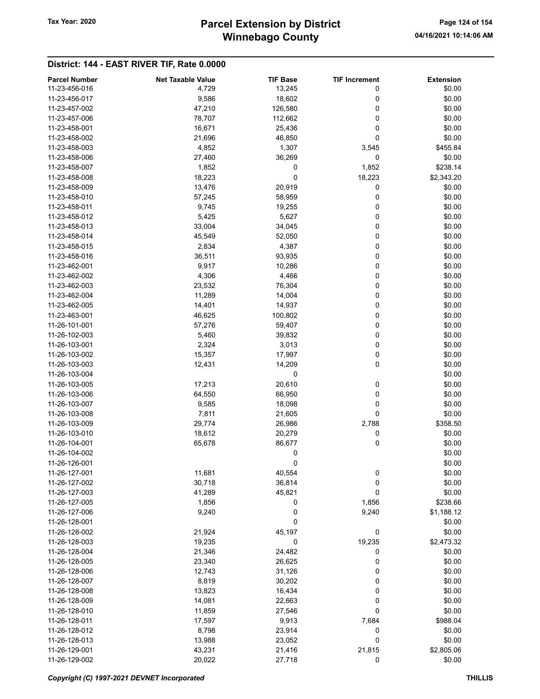# Winnebago County Tax Year: 2020 **Parcel Extension by District** Page 124 of 154

| 11-23-456-016<br>\$0.00<br>4,729<br>13,245<br>0<br>0<br>\$0.00<br>11-23-456-017<br>9,586<br>18,602<br>0<br>\$0.00<br>11-23-457-002<br>47,210<br>126,580<br>11-23-457-006<br>78,707<br>112,662<br>0<br>\$0.00<br>\$0.00<br>11-23-458-001<br>16,671<br>0<br>25,436<br>0<br>\$0.00<br>11-23-458-002<br>21,696<br>46,850<br>1,307<br>11-23-458-003<br>4,852<br>\$455.84<br>3,545<br>0<br>11-23-458-006<br>36,269<br>\$0.00<br>27,460<br>1,852<br>\$238.14<br>11-23-458-007<br>1,852<br>0<br>0<br>11-23-458-008<br>18,223<br>18,223<br>\$2,343.20<br>11-23-458-009<br>13,476<br>20,919<br>0<br>\$0.00<br>\$0.00<br>11-23-458-010<br>0<br>57,245<br>58,959<br>\$0.00<br>11-23-458-011<br>9,745<br>19,255<br>0<br>11-23-458-012<br>5,425<br>5,627<br>0<br>\$0.00<br>0<br>11-23-458-013<br>33,004<br>34,045<br>\$0.00<br>0<br>\$0.00<br>11-23-458-014<br>45,549<br>52,050<br>0<br>\$0.00<br>11-23-458-015<br>2,834<br>4,387<br>36,511<br>0<br>\$0.00<br>11-23-458-016<br>93,935<br>11-23-462-001<br>9,917<br>10,286<br>0<br>\$0.00<br>0<br>\$0.00<br>11-23-462-002<br>4,306<br>4,466<br>0<br>11-23-462-003<br>23,532<br>76,304<br>\$0.00<br>11,289<br>0<br>11-23-462-004<br>14,004<br>\$0.00<br>0<br>\$0.00<br>11-23-462-005<br>14,401<br>14,937<br>0<br>\$0.00<br>11-23-463-001<br>100,802<br>46,625<br>0<br>\$0.00<br>11-26-101-001<br>57,276<br>59,407<br>11-26-102-003<br>5,460<br>39,832<br>0<br>\$0.00<br>0<br>\$0.00<br>11-26-103-001<br>2,324<br>3,013<br>0<br>11-26-103-002<br>15,357<br>17,997<br>\$0.00<br>0<br>\$0.00<br>11-26-103-003<br>12,431<br>14,209<br>0<br>\$0.00<br>11-26-103-004<br>20,610<br>\$0.00<br>11-26-103-005<br>17,213<br>0<br>0<br>11-26-103-006<br>64,550<br>66,950<br>\$0.00<br>11-26-103-007<br>9,585<br>0<br>\$0.00<br>18,098<br>0<br>\$0.00<br>11-26-103-008<br>7,811<br>21,605<br>11-26-103-009<br>29,774<br>26,986<br>2,788<br>\$358.50<br>11-26-103-010<br>18,612<br>20,279<br>0<br>\$0.00<br>0<br>86,677<br>\$0.00<br>11-26-104-001<br>65,678<br>\$0.00<br>11-26-104-002<br>0<br>\$0.00<br>11-26-126-001<br>0<br>11-26-127-001<br>11,681<br>40,554<br>0<br>\$0.00<br>0<br>11-26-127-002<br>30,718<br>36,814<br>\$0.00<br>45,821<br>0<br>11-26-127-003<br>41,289<br>\$0.00<br>0<br>11-26-127-005<br>1,856<br>1,856<br>\$238.66<br>0<br>11-26-127-006<br>9,240<br>9,240<br>\$1,188.12<br>0<br>11-26-128-001<br>\$0.00<br>\$0.00<br>11-26-128-002<br>21,924<br>45,197<br>0<br>11-26-128-003<br>19,235<br>0<br>19,235<br>\$2,473.32<br>11-26-128-004<br>21,346<br>24,482<br>0<br>\$0.00<br>\$0.00<br>11-26-128-005<br>23,340<br>26,625<br>0<br>31,126<br>0<br>11-26-128-006<br>12,743<br>\$0.00<br>11-26-128-007<br>8,819<br>30,202<br>0<br>\$0.00<br>0<br>\$0.00<br>11-26-128-008<br>13,823<br>16,434<br>0<br>14,081<br>22,663<br>\$0.00<br>11-26-128-009<br>11-26-128-010<br>11,859<br>27,546<br>0<br>\$0.00<br>11-26-128-011<br>17,597<br>9,913<br>7,684<br>\$988.04<br>11-26-128-012<br>8,798<br>23,914<br>0<br>\$0.00<br>0<br>11-26-128-013<br>13,988<br>23,052<br>\$0.00<br>11-26-129-001<br>43,231<br>21,416<br>21,815<br>\$2,805.06 | <b>Parcel Number</b> | <b>Net Taxable Value</b> | <b>TIF Base</b> | <b>TIF Increment</b> | <b>Extension</b> |
|--------------------------------------------------------------------------------------------------------------------------------------------------------------------------------------------------------------------------------------------------------------------------------------------------------------------------------------------------------------------------------------------------------------------------------------------------------------------------------------------------------------------------------------------------------------------------------------------------------------------------------------------------------------------------------------------------------------------------------------------------------------------------------------------------------------------------------------------------------------------------------------------------------------------------------------------------------------------------------------------------------------------------------------------------------------------------------------------------------------------------------------------------------------------------------------------------------------------------------------------------------------------------------------------------------------------------------------------------------------------------------------------------------------------------------------------------------------------------------------------------------------------------------------------------------------------------------------------------------------------------------------------------------------------------------------------------------------------------------------------------------------------------------------------------------------------------------------------------------------------------------------------------------------------------------------------------------------------------------------------------------------------------------------------------------------------------------------------------------------------------------------------------------------------------------------------------------------------------------------------------------------------------------------------------------------------------------------------------------------------------------------------------------------------------------------------------------------------------------------------------------------------------------------------------------------------------------------------------------------------------------------------------------------------------------------------------------------------------------------------------------------------------------------------------------------------------------------------------------------------------------------------------------------------------------------------------------------------------------------------------------------------------------------------------------------------------|----------------------|--------------------------|-----------------|----------------------|------------------|
|                                                                                                                                                                                                                                                                                                                                                                                                                                                                                                                                                                                                                                                                                                                                                                                                                                                                                                                                                                                                                                                                                                                                                                                                                                                                                                                                                                                                                                                                                                                                                                                                                                                                                                                                                                                                                                                                                                                                                                                                                                                                                                                                                                                                                                                                                                                                                                                                                                                                                                                                                                                                                                                                                                                                                                                                                                                                                                                                                                                                                                                                          |                      |                          |                 |                      |                  |
|                                                                                                                                                                                                                                                                                                                                                                                                                                                                                                                                                                                                                                                                                                                                                                                                                                                                                                                                                                                                                                                                                                                                                                                                                                                                                                                                                                                                                                                                                                                                                                                                                                                                                                                                                                                                                                                                                                                                                                                                                                                                                                                                                                                                                                                                                                                                                                                                                                                                                                                                                                                                                                                                                                                                                                                                                                                                                                                                                                                                                                                                          |                      |                          |                 |                      |                  |
|                                                                                                                                                                                                                                                                                                                                                                                                                                                                                                                                                                                                                                                                                                                                                                                                                                                                                                                                                                                                                                                                                                                                                                                                                                                                                                                                                                                                                                                                                                                                                                                                                                                                                                                                                                                                                                                                                                                                                                                                                                                                                                                                                                                                                                                                                                                                                                                                                                                                                                                                                                                                                                                                                                                                                                                                                                                                                                                                                                                                                                                                          |                      |                          |                 |                      |                  |
|                                                                                                                                                                                                                                                                                                                                                                                                                                                                                                                                                                                                                                                                                                                                                                                                                                                                                                                                                                                                                                                                                                                                                                                                                                                                                                                                                                                                                                                                                                                                                                                                                                                                                                                                                                                                                                                                                                                                                                                                                                                                                                                                                                                                                                                                                                                                                                                                                                                                                                                                                                                                                                                                                                                                                                                                                                                                                                                                                                                                                                                                          |                      |                          |                 |                      |                  |
|                                                                                                                                                                                                                                                                                                                                                                                                                                                                                                                                                                                                                                                                                                                                                                                                                                                                                                                                                                                                                                                                                                                                                                                                                                                                                                                                                                                                                                                                                                                                                                                                                                                                                                                                                                                                                                                                                                                                                                                                                                                                                                                                                                                                                                                                                                                                                                                                                                                                                                                                                                                                                                                                                                                                                                                                                                                                                                                                                                                                                                                                          |                      |                          |                 |                      |                  |
|                                                                                                                                                                                                                                                                                                                                                                                                                                                                                                                                                                                                                                                                                                                                                                                                                                                                                                                                                                                                                                                                                                                                                                                                                                                                                                                                                                                                                                                                                                                                                                                                                                                                                                                                                                                                                                                                                                                                                                                                                                                                                                                                                                                                                                                                                                                                                                                                                                                                                                                                                                                                                                                                                                                                                                                                                                                                                                                                                                                                                                                                          |                      |                          |                 |                      |                  |
|                                                                                                                                                                                                                                                                                                                                                                                                                                                                                                                                                                                                                                                                                                                                                                                                                                                                                                                                                                                                                                                                                                                                                                                                                                                                                                                                                                                                                                                                                                                                                                                                                                                                                                                                                                                                                                                                                                                                                                                                                                                                                                                                                                                                                                                                                                                                                                                                                                                                                                                                                                                                                                                                                                                                                                                                                                                                                                                                                                                                                                                                          |                      |                          |                 |                      |                  |
|                                                                                                                                                                                                                                                                                                                                                                                                                                                                                                                                                                                                                                                                                                                                                                                                                                                                                                                                                                                                                                                                                                                                                                                                                                                                                                                                                                                                                                                                                                                                                                                                                                                                                                                                                                                                                                                                                                                                                                                                                                                                                                                                                                                                                                                                                                                                                                                                                                                                                                                                                                                                                                                                                                                                                                                                                                                                                                                                                                                                                                                                          |                      |                          |                 |                      |                  |
|                                                                                                                                                                                                                                                                                                                                                                                                                                                                                                                                                                                                                                                                                                                                                                                                                                                                                                                                                                                                                                                                                                                                                                                                                                                                                                                                                                                                                                                                                                                                                                                                                                                                                                                                                                                                                                                                                                                                                                                                                                                                                                                                                                                                                                                                                                                                                                                                                                                                                                                                                                                                                                                                                                                                                                                                                                                                                                                                                                                                                                                                          |                      |                          |                 |                      |                  |
|                                                                                                                                                                                                                                                                                                                                                                                                                                                                                                                                                                                                                                                                                                                                                                                                                                                                                                                                                                                                                                                                                                                                                                                                                                                                                                                                                                                                                                                                                                                                                                                                                                                                                                                                                                                                                                                                                                                                                                                                                                                                                                                                                                                                                                                                                                                                                                                                                                                                                                                                                                                                                                                                                                                                                                                                                                                                                                                                                                                                                                                                          |                      |                          |                 |                      |                  |
|                                                                                                                                                                                                                                                                                                                                                                                                                                                                                                                                                                                                                                                                                                                                                                                                                                                                                                                                                                                                                                                                                                                                                                                                                                                                                                                                                                                                                                                                                                                                                                                                                                                                                                                                                                                                                                                                                                                                                                                                                                                                                                                                                                                                                                                                                                                                                                                                                                                                                                                                                                                                                                                                                                                                                                                                                                                                                                                                                                                                                                                                          |                      |                          |                 |                      |                  |
|                                                                                                                                                                                                                                                                                                                                                                                                                                                                                                                                                                                                                                                                                                                                                                                                                                                                                                                                                                                                                                                                                                                                                                                                                                                                                                                                                                                                                                                                                                                                                                                                                                                                                                                                                                                                                                                                                                                                                                                                                                                                                                                                                                                                                                                                                                                                                                                                                                                                                                                                                                                                                                                                                                                                                                                                                                                                                                                                                                                                                                                                          |                      |                          |                 |                      |                  |
|                                                                                                                                                                                                                                                                                                                                                                                                                                                                                                                                                                                                                                                                                                                                                                                                                                                                                                                                                                                                                                                                                                                                                                                                                                                                                                                                                                                                                                                                                                                                                                                                                                                                                                                                                                                                                                                                                                                                                                                                                                                                                                                                                                                                                                                                                                                                                                                                                                                                                                                                                                                                                                                                                                                                                                                                                                                                                                                                                                                                                                                                          |                      |                          |                 |                      |                  |
|                                                                                                                                                                                                                                                                                                                                                                                                                                                                                                                                                                                                                                                                                                                                                                                                                                                                                                                                                                                                                                                                                                                                                                                                                                                                                                                                                                                                                                                                                                                                                                                                                                                                                                                                                                                                                                                                                                                                                                                                                                                                                                                                                                                                                                                                                                                                                                                                                                                                                                                                                                                                                                                                                                                                                                                                                                                                                                                                                                                                                                                                          |                      |                          |                 |                      |                  |
|                                                                                                                                                                                                                                                                                                                                                                                                                                                                                                                                                                                                                                                                                                                                                                                                                                                                                                                                                                                                                                                                                                                                                                                                                                                                                                                                                                                                                                                                                                                                                                                                                                                                                                                                                                                                                                                                                                                                                                                                                                                                                                                                                                                                                                                                                                                                                                                                                                                                                                                                                                                                                                                                                                                                                                                                                                                                                                                                                                                                                                                                          |                      |                          |                 |                      |                  |
|                                                                                                                                                                                                                                                                                                                                                                                                                                                                                                                                                                                                                                                                                                                                                                                                                                                                                                                                                                                                                                                                                                                                                                                                                                                                                                                                                                                                                                                                                                                                                                                                                                                                                                                                                                                                                                                                                                                                                                                                                                                                                                                                                                                                                                                                                                                                                                                                                                                                                                                                                                                                                                                                                                                                                                                                                                                                                                                                                                                                                                                                          |                      |                          |                 |                      |                  |
|                                                                                                                                                                                                                                                                                                                                                                                                                                                                                                                                                                                                                                                                                                                                                                                                                                                                                                                                                                                                                                                                                                                                                                                                                                                                                                                                                                                                                                                                                                                                                                                                                                                                                                                                                                                                                                                                                                                                                                                                                                                                                                                                                                                                                                                                                                                                                                                                                                                                                                                                                                                                                                                                                                                                                                                                                                                                                                                                                                                                                                                                          |                      |                          |                 |                      |                  |
|                                                                                                                                                                                                                                                                                                                                                                                                                                                                                                                                                                                                                                                                                                                                                                                                                                                                                                                                                                                                                                                                                                                                                                                                                                                                                                                                                                                                                                                                                                                                                                                                                                                                                                                                                                                                                                                                                                                                                                                                                                                                                                                                                                                                                                                                                                                                                                                                                                                                                                                                                                                                                                                                                                                                                                                                                                                                                                                                                                                                                                                                          |                      |                          |                 |                      |                  |
|                                                                                                                                                                                                                                                                                                                                                                                                                                                                                                                                                                                                                                                                                                                                                                                                                                                                                                                                                                                                                                                                                                                                                                                                                                                                                                                                                                                                                                                                                                                                                                                                                                                                                                                                                                                                                                                                                                                                                                                                                                                                                                                                                                                                                                                                                                                                                                                                                                                                                                                                                                                                                                                                                                                                                                                                                                                                                                                                                                                                                                                                          |                      |                          |                 |                      |                  |
|                                                                                                                                                                                                                                                                                                                                                                                                                                                                                                                                                                                                                                                                                                                                                                                                                                                                                                                                                                                                                                                                                                                                                                                                                                                                                                                                                                                                                                                                                                                                                                                                                                                                                                                                                                                                                                                                                                                                                                                                                                                                                                                                                                                                                                                                                                                                                                                                                                                                                                                                                                                                                                                                                                                                                                                                                                                                                                                                                                                                                                                                          |                      |                          |                 |                      |                  |
|                                                                                                                                                                                                                                                                                                                                                                                                                                                                                                                                                                                                                                                                                                                                                                                                                                                                                                                                                                                                                                                                                                                                                                                                                                                                                                                                                                                                                                                                                                                                                                                                                                                                                                                                                                                                                                                                                                                                                                                                                                                                                                                                                                                                                                                                                                                                                                                                                                                                                                                                                                                                                                                                                                                                                                                                                                                                                                                                                                                                                                                                          |                      |                          |                 |                      |                  |
|                                                                                                                                                                                                                                                                                                                                                                                                                                                                                                                                                                                                                                                                                                                                                                                                                                                                                                                                                                                                                                                                                                                                                                                                                                                                                                                                                                                                                                                                                                                                                                                                                                                                                                                                                                                                                                                                                                                                                                                                                                                                                                                                                                                                                                                                                                                                                                                                                                                                                                                                                                                                                                                                                                                                                                                                                                                                                                                                                                                                                                                                          |                      |                          |                 |                      |                  |
|                                                                                                                                                                                                                                                                                                                                                                                                                                                                                                                                                                                                                                                                                                                                                                                                                                                                                                                                                                                                                                                                                                                                                                                                                                                                                                                                                                                                                                                                                                                                                                                                                                                                                                                                                                                                                                                                                                                                                                                                                                                                                                                                                                                                                                                                                                                                                                                                                                                                                                                                                                                                                                                                                                                                                                                                                                                                                                                                                                                                                                                                          |                      |                          |                 |                      |                  |
|                                                                                                                                                                                                                                                                                                                                                                                                                                                                                                                                                                                                                                                                                                                                                                                                                                                                                                                                                                                                                                                                                                                                                                                                                                                                                                                                                                                                                                                                                                                                                                                                                                                                                                                                                                                                                                                                                                                                                                                                                                                                                                                                                                                                                                                                                                                                                                                                                                                                                                                                                                                                                                                                                                                                                                                                                                                                                                                                                                                                                                                                          |                      |                          |                 |                      |                  |
|                                                                                                                                                                                                                                                                                                                                                                                                                                                                                                                                                                                                                                                                                                                                                                                                                                                                                                                                                                                                                                                                                                                                                                                                                                                                                                                                                                                                                                                                                                                                                                                                                                                                                                                                                                                                                                                                                                                                                                                                                                                                                                                                                                                                                                                                                                                                                                                                                                                                                                                                                                                                                                                                                                                                                                                                                                                                                                                                                                                                                                                                          |                      |                          |                 |                      |                  |
|                                                                                                                                                                                                                                                                                                                                                                                                                                                                                                                                                                                                                                                                                                                                                                                                                                                                                                                                                                                                                                                                                                                                                                                                                                                                                                                                                                                                                                                                                                                                                                                                                                                                                                                                                                                                                                                                                                                                                                                                                                                                                                                                                                                                                                                                                                                                                                                                                                                                                                                                                                                                                                                                                                                                                                                                                                                                                                                                                                                                                                                                          |                      |                          |                 |                      |                  |
|                                                                                                                                                                                                                                                                                                                                                                                                                                                                                                                                                                                                                                                                                                                                                                                                                                                                                                                                                                                                                                                                                                                                                                                                                                                                                                                                                                                                                                                                                                                                                                                                                                                                                                                                                                                                                                                                                                                                                                                                                                                                                                                                                                                                                                                                                                                                                                                                                                                                                                                                                                                                                                                                                                                                                                                                                                                                                                                                                                                                                                                                          |                      |                          |                 |                      |                  |
|                                                                                                                                                                                                                                                                                                                                                                                                                                                                                                                                                                                                                                                                                                                                                                                                                                                                                                                                                                                                                                                                                                                                                                                                                                                                                                                                                                                                                                                                                                                                                                                                                                                                                                                                                                                                                                                                                                                                                                                                                                                                                                                                                                                                                                                                                                                                                                                                                                                                                                                                                                                                                                                                                                                                                                                                                                                                                                                                                                                                                                                                          |                      |                          |                 |                      |                  |
|                                                                                                                                                                                                                                                                                                                                                                                                                                                                                                                                                                                                                                                                                                                                                                                                                                                                                                                                                                                                                                                                                                                                                                                                                                                                                                                                                                                                                                                                                                                                                                                                                                                                                                                                                                                                                                                                                                                                                                                                                                                                                                                                                                                                                                                                                                                                                                                                                                                                                                                                                                                                                                                                                                                                                                                                                                                                                                                                                                                                                                                                          |                      |                          |                 |                      |                  |
|                                                                                                                                                                                                                                                                                                                                                                                                                                                                                                                                                                                                                                                                                                                                                                                                                                                                                                                                                                                                                                                                                                                                                                                                                                                                                                                                                                                                                                                                                                                                                                                                                                                                                                                                                                                                                                                                                                                                                                                                                                                                                                                                                                                                                                                                                                                                                                                                                                                                                                                                                                                                                                                                                                                                                                                                                                                                                                                                                                                                                                                                          |                      |                          |                 |                      |                  |
|                                                                                                                                                                                                                                                                                                                                                                                                                                                                                                                                                                                                                                                                                                                                                                                                                                                                                                                                                                                                                                                                                                                                                                                                                                                                                                                                                                                                                                                                                                                                                                                                                                                                                                                                                                                                                                                                                                                                                                                                                                                                                                                                                                                                                                                                                                                                                                                                                                                                                                                                                                                                                                                                                                                                                                                                                                                                                                                                                                                                                                                                          |                      |                          |                 |                      |                  |
|                                                                                                                                                                                                                                                                                                                                                                                                                                                                                                                                                                                                                                                                                                                                                                                                                                                                                                                                                                                                                                                                                                                                                                                                                                                                                                                                                                                                                                                                                                                                                                                                                                                                                                                                                                                                                                                                                                                                                                                                                                                                                                                                                                                                                                                                                                                                                                                                                                                                                                                                                                                                                                                                                                                                                                                                                                                                                                                                                                                                                                                                          |                      |                          |                 |                      |                  |
|                                                                                                                                                                                                                                                                                                                                                                                                                                                                                                                                                                                                                                                                                                                                                                                                                                                                                                                                                                                                                                                                                                                                                                                                                                                                                                                                                                                                                                                                                                                                                                                                                                                                                                                                                                                                                                                                                                                                                                                                                                                                                                                                                                                                                                                                                                                                                                                                                                                                                                                                                                                                                                                                                                                                                                                                                                                                                                                                                                                                                                                                          |                      |                          |                 |                      |                  |
|                                                                                                                                                                                                                                                                                                                                                                                                                                                                                                                                                                                                                                                                                                                                                                                                                                                                                                                                                                                                                                                                                                                                                                                                                                                                                                                                                                                                                                                                                                                                                                                                                                                                                                                                                                                                                                                                                                                                                                                                                                                                                                                                                                                                                                                                                                                                                                                                                                                                                                                                                                                                                                                                                                                                                                                                                                                                                                                                                                                                                                                                          |                      |                          |                 |                      |                  |
|                                                                                                                                                                                                                                                                                                                                                                                                                                                                                                                                                                                                                                                                                                                                                                                                                                                                                                                                                                                                                                                                                                                                                                                                                                                                                                                                                                                                                                                                                                                                                                                                                                                                                                                                                                                                                                                                                                                                                                                                                                                                                                                                                                                                                                                                                                                                                                                                                                                                                                                                                                                                                                                                                                                                                                                                                                                                                                                                                                                                                                                                          |                      |                          |                 |                      |                  |
|                                                                                                                                                                                                                                                                                                                                                                                                                                                                                                                                                                                                                                                                                                                                                                                                                                                                                                                                                                                                                                                                                                                                                                                                                                                                                                                                                                                                                                                                                                                                                                                                                                                                                                                                                                                                                                                                                                                                                                                                                                                                                                                                                                                                                                                                                                                                                                                                                                                                                                                                                                                                                                                                                                                                                                                                                                                                                                                                                                                                                                                                          |                      |                          |                 |                      |                  |
|                                                                                                                                                                                                                                                                                                                                                                                                                                                                                                                                                                                                                                                                                                                                                                                                                                                                                                                                                                                                                                                                                                                                                                                                                                                                                                                                                                                                                                                                                                                                                                                                                                                                                                                                                                                                                                                                                                                                                                                                                                                                                                                                                                                                                                                                                                                                                                                                                                                                                                                                                                                                                                                                                                                                                                                                                                                                                                                                                                                                                                                                          |                      |                          |                 |                      |                  |
|                                                                                                                                                                                                                                                                                                                                                                                                                                                                                                                                                                                                                                                                                                                                                                                                                                                                                                                                                                                                                                                                                                                                                                                                                                                                                                                                                                                                                                                                                                                                                                                                                                                                                                                                                                                                                                                                                                                                                                                                                                                                                                                                                                                                                                                                                                                                                                                                                                                                                                                                                                                                                                                                                                                                                                                                                                                                                                                                                                                                                                                                          |                      |                          |                 |                      |                  |
|                                                                                                                                                                                                                                                                                                                                                                                                                                                                                                                                                                                                                                                                                                                                                                                                                                                                                                                                                                                                                                                                                                                                                                                                                                                                                                                                                                                                                                                                                                                                                                                                                                                                                                                                                                                                                                                                                                                                                                                                                                                                                                                                                                                                                                                                                                                                                                                                                                                                                                                                                                                                                                                                                                                                                                                                                                                                                                                                                                                                                                                                          |                      |                          |                 |                      |                  |
|                                                                                                                                                                                                                                                                                                                                                                                                                                                                                                                                                                                                                                                                                                                                                                                                                                                                                                                                                                                                                                                                                                                                                                                                                                                                                                                                                                                                                                                                                                                                                                                                                                                                                                                                                                                                                                                                                                                                                                                                                                                                                                                                                                                                                                                                                                                                                                                                                                                                                                                                                                                                                                                                                                                                                                                                                                                                                                                                                                                                                                                                          |                      |                          |                 |                      |                  |
|                                                                                                                                                                                                                                                                                                                                                                                                                                                                                                                                                                                                                                                                                                                                                                                                                                                                                                                                                                                                                                                                                                                                                                                                                                                                                                                                                                                                                                                                                                                                                                                                                                                                                                                                                                                                                                                                                                                                                                                                                                                                                                                                                                                                                                                                                                                                                                                                                                                                                                                                                                                                                                                                                                                                                                                                                                                                                                                                                                                                                                                                          |                      |                          |                 |                      |                  |
|                                                                                                                                                                                                                                                                                                                                                                                                                                                                                                                                                                                                                                                                                                                                                                                                                                                                                                                                                                                                                                                                                                                                                                                                                                                                                                                                                                                                                                                                                                                                                                                                                                                                                                                                                                                                                                                                                                                                                                                                                                                                                                                                                                                                                                                                                                                                                                                                                                                                                                                                                                                                                                                                                                                                                                                                                                                                                                                                                                                                                                                                          |                      |                          |                 |                      |                  |
|                                                                                                                                                                                                                                                                                                                                                                                                                                                                                                                                                                                                                                                                                                                                                                                                                                                                                                                                                                                                                                                                                                                                                                                                                                                                                                                                                                                                                                                                                                                                                                                                                                                                                                                                                                                                                                                                                                                                                                                                                                                                                                                                                                                                                                                                                                                                                                                                                                                                                                                                                                                                                                                                                                                                                                                                                                                                                                                                                                                                                                                                          |                      |                          |                 |                      |                  |
|                                                                                                                                                                                                                                                                                                                                                                                                                                                                                                                                                                                                                                                                                                                                                                                                                                                                                                                                                                                                                                                                                                                                                                                                                                                                                                                                                                                                                                                                                                                                                                                                                                                                                                                                                                                                                                                                                                                                                                                                                                                                                                                                                                                                                                                                                                                                                                                                                                                                                                                                                                                                                                                                                                                                                                                                                                                                                                                                                                                                                                                                          |                      |                          |                 |                      |                  |
|                                                                                                                                                                                                                                                                                                                                                                                                                                                                                                                                                                                                                                                                                                                                                                                                                                                                                                                                                                                                                                                                                                                                                                                                                                                                                                                                                                                                                                                                                                                                                                                                                                                                                                                                                                                                                                                                                                                                                                                                                                                                                                                                                                                                                                                                                                                                                                                                                                                                                                                                                                                                                                                                                                                                                                                                                                                                                                                                                                                                                                                                          |                      |                          |                 |                      |                  |
|                                                                                                                                                                                                                                                                                                                                                                                                                                                                                                                                                                                                                                                                                                                                                                                                                                                                                                                                                                                                                                                                                                                                                                                                                                                                                                                                                                                                                                                                                                                                                                                                                                                                                                                                                                                                                                                                                                                                                                                                                                                                                                                                                                                                                                                                                                                                                                                                                                                                                                                                                                                                                                                                                                                                                                                                                                                                                                                                                                                                                                                                          |                      |                          |                 |                      |                  |
|                                                                                                                                                                                                                                                                                                                                                                                                                                                                                                                                                                                                                                                                                                                                                                                                                                                                                                                                                                                                                                                                                                                                                                                                                                                                                                                                                                                                                                                                                                                                                                                                                                                                                                                                                                                                                                                                                                                                                                                                                                                                                                                                                                                                                                                                                                                                                                                                                                                                                                                                                                                                                                                                                                                                                                                                                                                                                                                                                                                                                                                                          |                      |                          |                 |                      |                  |
|                                                                                                                                                                                                                                                                                                                                                                                                                                                                                                                                                                                                                                                                                                                                                                                                                                                                                                                                                                                                                                                                                                                                                                                                                                                                                                                                                                                                                                                                                                                                                                                                                                                                                                                                                                                                                                                                                                                                                                                                                                                                                                                                                                                                                                                                                                                                                                                                                                                                                                                                                                                                                                                                                                                                                                                                                                                                                                                                                                                                                                                                          |                      |                          |                 |                      |                  |
|                                                                                                                                                                                                                                                                                                                                                                                                                                                                                                                                                                                                                                                                                                                                                                                                                                                                                                                                                                                                                                                                                                                                                                                                                                                                                                                                                                                                                                                                                                                                                                                                                                                                                                                                                                                                                                                                                                                                                                                                                                                                                                                                                                                                                                                                                                                                                                                                                                                                                                                                                                                                                                                                                                                                                                                                                                                                                                                                                                                                                                                                          |                      |                          |                 |                      |                  |
|                                                                                                                                                                                                                                                                                                                                                                                                                                                                                                                                                                                                                                                                                                                                                                                                                                                                                                                                                                                                                                                                                                                                                                                                                                                                                                                                                                                                                                                                                                                                                                                                                                                                                                                                                                                                                                                                                                                                                                                                                                                                                                                                                                                                                                                                                                                                                                                                                                                                                                                                                                                                                                                                                                                                                                                                                                                                                                                                                                                                                                                                          |                      |                          |                 |                      |                  |
|                                                                                                                                                                                                                                                                                                                                                                                                                                                                                                                                                                                                                                                                                                                                                                                                                                                                                                                                                                                                                                                                                                                                                                                                                                                                                                                                                                                                                                                                                                                                                                                                                                                                                                                                                                                                                                                                                                                                                                                                                                                                                                                                                                                                                                                                                                                                                                                                                                                                                                                                                                                                                                                                                                                                                                                                                                                                                                                                                                                                                                                                          |                      |                          |                 |                      |                  |
|                                                                                                                                                                                                                                                                                                                                                                                                                                                                                                                                                                                                                                                                                                                                                                                                                                                                                                                                                                                                                                                                                                                                                                                                                                                                                                                                                                                                                                                                                                                                                                                                                                                                                                                                                                                                                                                                                                                                                                                                                                                                                                                                                                                                                                                                                                                                                                                                                                                                                                                                                                                                                                                                                                                                                                                                                                                                                                                                                                                                                                                                          |                      |                          |                 |                      |                  |
|                                                                                                                                                                                                                                                                                                                                                                                                                                                                                                                                                                                                                                                                                                                                                                                                                                                                                                                                                                                                                                                                                                                                                                                                                                                                                                                                                                                                                                                                                                                                                                                                                                                                                                                                                                                                                                                                                                                                                                                                                                                                                                                                                                                                                                                                                                                                                                                                                                                                                                                                                                                                                                                                                                                                                                                                                                                                                                                                                                                                                                                                          |                      |                          |                 |                      |                  |
|                                                                                                                                                                                                                                                                                                                                                                                                                                                                                                                                                                                                                                                                                                                                                                                                                                                                                                                                                                                                                                                                                                                                                                                                                                                                                                                                                                                                                                                                                                                                                                                                                                                                                                                                                                                                                                                                                                                                                                                                                                                                                                                                                                                                                                                                                                                                                                                                                                                                                                                                                                                                                                                                                                                                                                                                                                                                                                                                                                                                                                                                          |                      |                          |                 |                      |                  |
|                                                                                                                                                                                                                                                                                                                                                                                                                                                                                                                                                                                                                                                                                                                                                                                                                                                                                                                                                                                                                                                                                                                                                                                                                                                                                                                                                                                                                                                                                                                                                                                                                                                                                                                                                                                                                                                                                                                                                                                                                                                                                                                                                                                                                                                                                                                                                                                                                                                                                                                                                                                                                                                                                                                                                                                                                                                                                                                                                                                                                                                                          |                      |                          |                 |                      |                  |
|                                                                                                                                                                                                                                                                                                                                                                                                                                                                                                                                                                                                                                                                                                                                                                                                                                                                                                                                                                                                                                                                                                                                                                                                                                                                                                                                                                                                                                                                                                                                                                                                                                                                                                                                                                                                                                                                                                                                                                                                                                                                                                                                                                                                                                                                                                                                                                                                                                                                                                                                                                                                                                                                                                                                                                                                                                                                                                                                                                                                                                                                          |                      |                          |                 |                      |                  |
|                                                                                                                                                                                                                                                                                                                                                                                                                                                                                                                                                                                                                                                                                                                                                                                                                                                                                                                                                                                                                                                                                                                                                                                                                                                                                                                                                                                                                                                                                                                                                                                                                                                                                                                                                                                                                                                                                                                                                                                                                                                                                                                                                                                                                                                                                                                                                                                                                                                                                                                                                                                                                                                                                                                                                                                                                                                                                                                                                                                                                                                                          |                      |                          |                 |                      |                  |
|                                                                                                                                                                                                                                                                                                                                                                                                                                                                                                                                                                                                                                                                                                                                                                                                                                                                                                                                                                                                                                                                                                                                                                                                                                                                                                                                                                                                                                                                                                                                                                                                                                                                                                                                                                                                                                                                                                                                                                                                                                                                                                                                                                                                                                                                                                                                                                                                                                                                                                                                                                                                                                                                                                                                                                                                                                                                                                                                                                                                                                                                          |                      |                          |                 |                      |                  |
|                                                                                                                                                                                                                                                                                                                                                                                                                                                                                                                                                                                                                                                                                                                                                                                                                                                                                                                                                                                                                                                                                                                                                                                                                                                                                                                                                                                                                                                                                                                                                                                                                                                                                                                                                                                                                                                                                                                                                                                                                                                                                                                                                                                                                                                                                                                                                                                                                                                                                                                                                                                                                                                                                                                                                                                                                                                                                                                                                                                                                                                                          |                      |                          |                 |                      |                  |
|                                                                                                                                                                                                                                                                                                                                                                                                                                                                                                                                                                                                                                                                                                                                                                                                                                                                                                                                                                                                                                                                                                                                                                                                                                                                                                                                                                                                                                                                                                                                                                                                                                                                                                                                                                                                                                                                                                                                                                                                                                                                                                                                                                                                                                                                                                                                                                                                                                                                                                                                                                                                                                                                                                                                                                                                                                                                                                                                                                                                                                                                          |                      |                          |                 |                      |                  |
|                                                                                                                                                                                                                                                                                                                                                                                                                                                                                                                                                                                                                                                                                                                                                                                                                                                                                                                                                                                                                                                                                                                                                                                                                                                                                                                                                                                                                                                                                                                                                                                                                                                                                                                                                                                                                                                                                                                                                                                                                                                                                                                                                                                                                                                                                                                                                                                                                                                                                                                                                                                                                                                                                                                                                                                                                                                                                                                                                                                                                                                                          |                      |                          |                 |                      |                  |
|                                                                                                                                                                                                                                                                                                                                                                                                                                                                                                                                                                                                                                                                                                                                                                                                                                                                                                                                                                                                                                                                                                                                                                                                                                                                                                                                                                                                                                                                                                                                                                                                                                                                                                                                                                                                                                                                                                                                                                                                                                                                                                                                                                                                                                                                                                                                                                                                                                                                                                                                                                                                                                                                                                                                                                                                                                                                                                                                                                                                                                                                          | 11-26-129-002        | 20,022                   | 27,718          | 0                    | \$0.00           |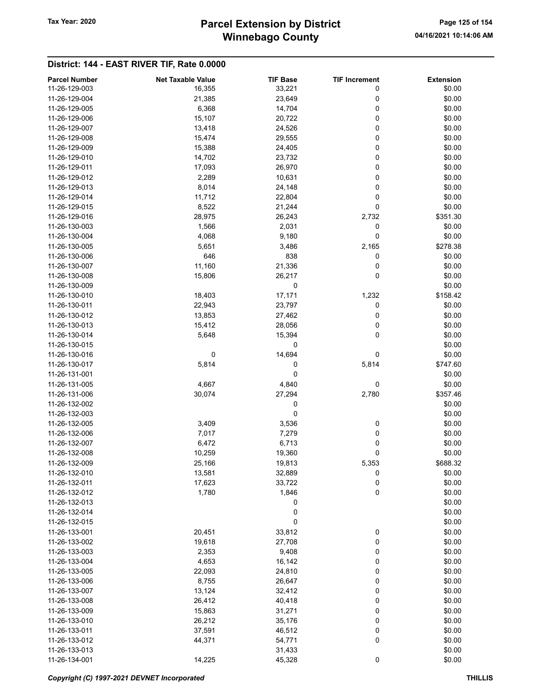# Winnebago County Tax Year: 2020 **Parcel Extension by District** Page 125 of 154

| <b>Parcel Number</b> | <b>Net Taxable Value</b> | <b>TIF Base</b> | <b>TIF Increment</b> | <b>Extension</b> |
|----------------------|--------------------------|-----------------|----------------------|------------------|
| 11-26-129-003        | 16,355                   | 33,221          | 0                    | \$0.00           |
| 11-26-129-004        | 21,385                   | 23,649          | 0                    | \$0.00           |
| 11-26-129-005        | 6,368                    | 14,704          | 0                    | \$0.00           |
| 11-26-129-006        | 15,107                   | 20,722          | 0                    | \$0.00           |
| 11-26-129-007        | 13,418                   | 24,526          | 0                    | \$0.00           |
| 11-26-129-008        | 15,474                   | 29,555          | 0                    | \$0.00           |
| 11-26-129-009        | 15,388                   | 24,405          | 0                    | \$0.00           |
|                      |                          |                 |                      |                  |
| 11-26-129-010        | 14,702                   | 23,732          | 0                    | \$0.00           |
| 11-26-129-011        | 17,093                   | 26,970          | 0                    | \$0.00           |
| 11-26-129-012        | 2,289                    | 10,631          | 0                    | \$0.00           |
| 11-26-129-013        | 8,014                    | 24,148          | 0                    | \$0.00           |
| 11-26-129-014        | 11,712                   | 22,804          | 0                    | \$0.00           |
| 11-26-129-015        | 8,522                    | 21,244          | 0                    | \$0.00           |
| 11-26-129-016        | 28,975                   | 26,243          | 2,732                | \$351.30         |
| 11-26-130-003        | 1,566                    | 2,031           | 0                    | \$0.00           |
| 11-26-130-004        | 4,068                    | 9,180           | 0                    | \$0.00           |
| 11-26-130-005        | 5,651                    | 3,486           | 2,165                | \$278.38         |
| 11-26-130-006        | 646                      | 838             | 0                    | \$0.00           |
| 11-26-130-007        | 11,160                   | 21,336          | 0                    | \$0.00           |
|                      |                          |                 | 0                    |                  |
| 11-26-130-008        | 15,806                   | 26,217          |                      | \$0.00           |
| 11-26-130-009        |                          | 0               |                      | \$0.00           |
| 11-26-130-010        | 18,403                   | 17,171          | 1,232                | \$158.42         |
| 11-26-130-011        | 22,943                   | 23,797          | 0                    | \$0.00           |
| 11-26-130-012        | 13,853                   | 27,462          | 0                    | \$0.00           |
| 11-26-130-013        | 15,412                   | 28,056          | 0                    | \$0.00           |
| 11-26-130-014        | 5,648                    | 15,394          | 0                    | \$0.00           |
| 11-26-130-015        |                          | 0               |                      | \$0.00           |
| 11-26-130-016        | 0                        | 14,694          | 0                    | \$0.00           |
| 11-26-130-017        | 5,814                    | 0               | 5,814                | \$747.60         |
| 11-26-131-001        |                          | 0               |                      | \$0.00           |
| 11-26-131-005        | 4,667                    | 4,840           | 0                    | \$0.00           |
| 11-26-131-006        | 30,074                   |                 |                      |                  |
|                      |                          | 27,294          | 2,780                | \$357.46         |
| 11-26-132-002        |                          | 0               |                      | \$0.00           |
| 11-26-132-003        |                          | 0               |                      | \$0.00           |
| 11-26-132-005        | 3,409                    | 3,536           | 0                    | \$0.00           |
| 11-26-132-006        | 7,017                    | 7,279           | 0                    | \$0.00           |
| 11-26-132-007        | 6,472                    | 6,713           | 0                    | \$0.00           |
| 11-26-132-008        | 10,259                   | 19,360          | 0                    | \$0.00           |
| 11-26-132-009        | 25,166                   | 19,813          | 5,353                | \$688.32         |
| 11-26-132-010        | 13,581                   | 32,889          | 0                    | \$0.00           |
| 11-26-132-011        | 17,623                   | 33,722          | 0                    | \$0.00           |
| 11-26-132-012        | 1,780                    | 1,846           | 0                    | \$0.00           |
| 11-26-132-013        |                          | 0               |                      | \$0.00           |
| 11-26-132-014        |                          | 0               |                      | \$0.00           |
| 11-26-132-015        |                          | 0               |                      | \$0.00           |
| 11-26-133-001        |                          |                 |                      |                  |
|                      | 20,451                   | 33,812          | 0                    | \$0.00           |
| 11-26-133-002        | 19,618                   | 27,708          | 0                    | \$0.00           |
| 11-26-133-003        | 2,353                    | 9,408           | 0                    | \$0.00           |
| 11-26-133-004        | 4,653                    | 16,142          | 0                    | \$0.00           |
| 11-26-133-005        | 22,093                   | 24,810          | 0                    | \$0.00           |
| 11-26-133-006        | 8,755                    | 26,647          | 0                    | \$0.00           |
| 11-26-133-007        | 13,124                   | 32,412          | 0                    | \$0.00           |
| 11-26-133-008        | 26,412                   | 40,418          | 0                    | \$0.00           |
| 11-26-133-009        | 15,863                   | 31,271          | 0                    | \$0.00           |
| 11-26-133-010        | 26,212                   | 35,176          | 0                    | \$0.00           |
| 11-26-133-011        | 37,591                   | 46,512          | 0                    | \$0.00           |
| 11-26-133-012        | 44,371                   | 54,771          | 0                    | \$0.00           |
| 11-26-133-013        |                          | 31,433          |                      | \$0.00           |
| 11-26-134-001        | 14,225                   | 45,328          | 0                    | \$0.00           |
|                      |                          |                 |                      |                  |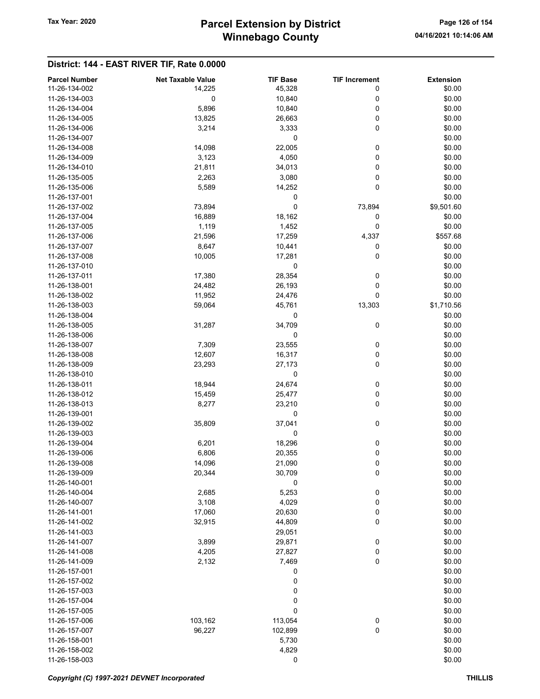# Winnebago County Tax Year: 2020 **Parcel Extension by District** Page 126 of 154

| <b>Parcel Number</b>           | <b>Net Taxable Value</b> | <b>TIF Base</b> | <b>TIF Increment</b> | <b>Extension</b> |
|--------------------------------|--------------------------|-----------------|----------------------|------------------|
| 11-26-134-002                  | 14,225                   | 45,328          | 0                    | \$0.00           |
| 11-26-134-003                  | 0                        | 10,840          | 0                    | \$0.00           |
| 11-26-134-004                  | 5,896                    | 10,840          | 0                    | \$0.00           |
| 11-26-134-005                  | 13,825                   | 26,663          | 0                    | \$0.00           |
| 11-26-134-006                  |                          |                 | 0                    | \$0.00           |
|                                | 3,214                    | 3,333           |                      |                  |
| 11-26-134-007<br>11-26-134-008 |                          | 0<br>22,005     |                      | \$0.00           |
|                                | 14,098                   |                 | 0                    | \$0.00           |
| 11-26-134-009                  | 3,123                    | 4,050           | 0                    | \$0.00           |
| 11-26-134-010                  | 21,811                   | 34,013          | 0                    | \$0.00           |
| 11-26-135-005                  | 2,263                    | 3,080           | 0                    | \$0.00           |
| 11-26-135-006                  | 5,589                    | 14,252          | 0                    | \$0.00           |
| 11-26-137-001                  |                          | 0               |                      | \$0.00           |
| 11-26-137-002                  | 73,894                   | 0               | 73,894               | \$9,501.60       |
| 11-26-137-004                  | 16,889                   | 18,162          | 0                    | \$0.00           |
| 11-26-137-005                  | 1,119                    | 1,452           | 0                    | \$0.00           |
| 11-26-137-006                  | 21,596                   | 17,259          | 4,337                | \$557.68         |
| 11-26-137-007                  | 8,647                    | 10,441          | 0                    | \$0.00           |
| 11-26-137-008                  | 10,005                   | 17,281          | 0                    | \$0.00           |
| 11-26-137-010                  |                          | 0               |                      | \$0.00           |
| 11-26-137-011                  | 17,380                   | 28,354          | 0                    | \$0.00           |
| 11-26-138-001                  | 24,482                   | 26,193          | 0                    | \$0.00           |
| 11-26-138-002                  | 11,952                   | 24,476          | 0                    | \$0.00           |
| 11-26-138-003                  | 59,064                   | 45,761          | 13,303               | \$1,710.56       |
| 11-26-138-004                  |                          | 0               |                      | \$0.00           |
| 11-26-138-005                  | 31,287                   | 34,709          | 0                    | \$0.00           |
| 11-26-138-006                  |                          | 0               |                      | \$0.00           |
| 11-26-138-007                  | 7,309                    | 23,555          | 0                    | \$0.00           |
| 11-26-138-008                  | 12,607                   | 16,317          | 0                    | \$0.00           |
| 11-26-138-009                  | 23,293                   | 27,173          | 0                    | \$0.00           |
| 11-26-138-010                  |                          | 0               |                      | \$0.00           |
| 11-26-138-011                  | 18,944                   | 24,674          | 0                    | \$0.00           |
| 11-26-138-012                  | 15,459                   | 25,477          | 0                    | \$0.00           |
| 11-26-138-013                  | 8,277                    | 23,210          | 0                    | \$0.00           |
| 11-26-139-001                  |                          | 0               |                      | \$0.00           |
| 11-26-139-002                  | 35,809                   | 37,041          | 0                    | \$0.00           |
| 11-26-139-003                  |                          | 0               |                      | \$0.00           |
| 11-26-139-004                  | 6,201                    | 18,296          | 0                    | \$0.00           |
| 11-26-139-006                  | 6,806                    | 20,355          | 0                    | \$0.00           |
| 11-26-139-008                  | 14,096                   | 21,090          | 0                    | \$0.00           |
| 11-26-139-009                  | 20,344                   | 30,709          | 0                    | \$0.00           |
| 11-26-140-001                  |                          | 0               |                      | \$0.00           |
| 11-26-140-004                  | 2,685                    | 5,253           | 0                    | \$0.00           |
| 11-26-140-007                  | 3,108                    | 4,029           | 0                    | \$0.00           |
| 11-26-141-001                  | 17,060                   | 20,630          | 0                    | \$0.00           |
| 11-26-141-002                  | 32,915                   | 44,809          | 0                    | \$0.00           |
| 11-26-141-003                  |                          |                 |                      | \$0.00           |
|                                |                          | 29,051          |                      |                  |
| 11-26-141-007                  | 3,899<br>4,205           | 29,871          | 0                    | \$0.00           |
| 11-26-141-008<br>11-26-141-009 |                          | 27,827          | 0                    | \$0.00           |
|                                | 2,132                    | 7,469           | 0                    | \$0.00           |
| 11-26-157-001                  |                          | 0               |                      | \$0.00           |
| 11-26-157-002                  |                          | 0               |                      | \$0.00           |
| 11-26-157-003                  |                          | 0               |                      | \$0.00           |
| 11-26-157-004                  |                          | 0               |                      | \$0.00           |
| 11-26-157-005                  |                          | 0               |                      | \$0.00           |
| 11-26-157-006                  | 103,162                  | 113,054         | $\boldsymbol{0}$     | \$0.00           |
| 11-26-157-007                  | 96,227                   | 102,899         | $\pmb{0}$            | \$0.00           |
| 11-26-158-001                  |                          | 5,730           |                      | \$0.00           |
| 11-26-158-002                  |                          | 4,829           |                      | \$0.00           |
| 11-26-158-003                  |                          | 0               |                      | \$0.00           |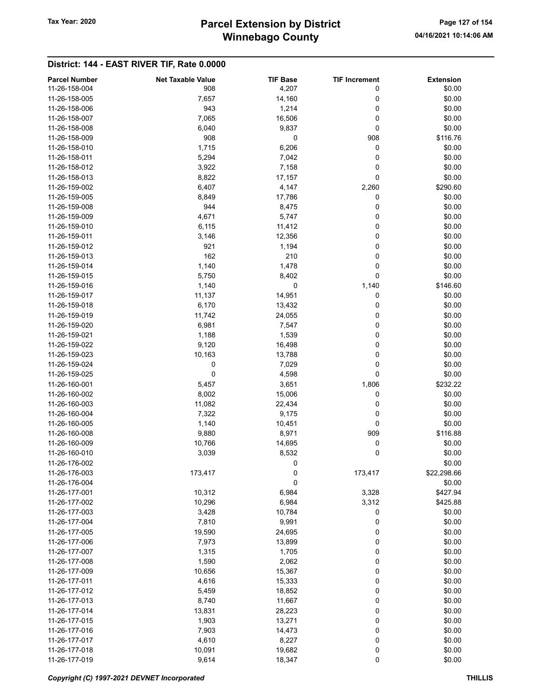# Winnebago County Tax Year: 2020 **Parcel Extension by District** Page 127 of 154

| <b>Parcel Number</b> | <b>Net Taxable Value</b> | <b>TIF Base</b> | <b>TIF Increment</b> | <b>Extension</b> |
|----------------------|--------------------------|-----------------|----------------------|------------------|
| 11-26-158-004        | 908                      | 4,207           | 0                    | \$0.00           |
| 11-26-158-005        | 7,657                    | 14,160          | 0                    | \$0.00           |
| 11-26-158-006        | 943                      | 1,214           | 0                    | \$0.00           |
| 11-26-158-007        | 7,065                    | 16,506          | 0                    | \$0.00           |
| 11-26-158-008        | 6,040                    | 9,837           | 0                    | \$0.00           |
| 11-26-158-009        | 908                      | 0               | 908                  | \$116.76         |
| 11-26-158-010        | 1,715                    | 6,206           | 0                    | \$0.00           |
|                      |                          |                 |                      |                  |
| 11-26-158-011        | 5,294                    | 7,042           | 0                    | \$0.00           |
| 11-26-158-012        | 3,922                    | 7,158           | 0                    | \$0.00           |
| 11-26-158-013        | 8,822                    | 17,157          | 0                    | \$0.00           |
| 11-26-159-002        | 6,407                    | 4,147           | 2,260                | \$290.60         |
| 11-26-159-005        | 8,849                    | 17,786          | 0                    | \$0.00           |
| 11-26-159-008        | 944                      | 8,475           | 0                    | \$0.00           |
| 11-26-159-009        | 4,671                    | 5,747           | 0                    | \$0.00           |
| 11-26-159-010        | 6,115                    | 11,412          | 0                    | \$0.00           |
| 11-26-159-011        | 3,146                    | 12,356          | 0                    | \$0.00           |
| 11-26-159-012        | 921                      | 1,194           | 0                    | \$0.00           |
| 11-26-159-013        | 162                      | 210             | 0                    | \$0.00           |
| 11-26-159-014        | 1,140                    | 1,478           | 0                    | \$0.00           |
| 11-26-159-015        | 5,750                    | 8,402           | 0                    | \$0.00           |
|                      |                          |                 |                      |                  |
| 11-26-159-016        | 1,140                    | 0               | 1,140                | \$146.60         |
| 11-26-159-017        | 11,137                   | 14,951          | 0                    | \$0.00           |
| 11-26-159-018        | 6,170                    | 13,432          | 0                    | \$0.00           |
| 11-26-159-019        | 11,742                   | 24,055          | 0                    | \$0.00           |
| 11-26-159-020        | 6,981                    | 7,547           | 0                    | \$0.00           |
| 11-26-159-021        | 1,188                    | 1,539           | 0                    | \$0.00           |
| 11-26-159-022        | 9,120                    | 16,498          | 0                    | \$0.00           |
| 11-26-159-023        | 10,163                   | 13,788          | 0                    | \$0.00           |
| 11-26-159-024        | 0                        | 7,029           | 0                    | \$0.00           |
| 11-26-159-025        | 0                        | 4,598           | 0                    | \$0.00           |
| 11-26-160-001        | 5,457                    | 3,651           | 1,806                | \$232.22         |
| 11-26-160-002        | 8,002                    | 15,006          | 0                    | \$0.00           |
| 11-26-160-003        | 11,082                   | 22,434          | 0                    | \$0.00           |
| 11-26-160-004        | 7,322                    | 9,175           | 0                    | \$0.00           |
| 11-26-160-005        |                          |                 |                      |                  |
|                      | 1,140                    | 10,451          | 0                    | \$0.00           |
| 11-26-160-008        | 9,880                    | 8,971           | 909                  | \$116.88         |
| 11-26-160-009        | 10,766                   | 14,695          | 0                    | \$0.00           |
| 11-26-160-010        | 3,039                    | 8,532           | 0                    | \$0.00           |
| 11-26-176-002        |                          | 0               |                      | \$0.00           |
| 11-26-176-003        | 173,417                  | 0               | 173,417              | \$22,298.66      |
| 11-26-176-004        |                          | 0               |                      | \$0.00           |
| 11-26-177-001        | 10,312                   | 6,984           | 3,328                | \$427.94         |
| 11-26-177-002        | 10,296                   | 6,984           | 3,312                | \$425.88         |
| 11-26-177-003        | 3,428                    | 10,784          | 0                    | \$0.00           |
| 11-26-177-004        | 7,810                    | 9,991           | 0                    | \$0.00           |
| 11-26-177-005        | 19,590                   | 24,695          | 0                    | \$0.00           |
| 11-26-177-006        | 7,973                    | 13,899          | 0                    | \$0.00           |
| 11-26-177-007        | 1,315                    | 1,705           | 0                    | \$0.00           |
| 11-26-177-008        | 1,590                    | 2,062           | 0                    | \$0.00           |
|                      |                          |                 |                      |                  |
| 11-26-177-009        | 10,656                   | 15,367          | 0                    | \$0.00           |
| 11-26-177-011        | 4,616                    | 15,333          | 0                    | \$0.00           |
| 11-26-177-012        | 5,459                    | 18,852          | 0                    | \$0.00           |
| 11-26-177-013        | 8,740                    | 11,667          | 0                    | \$0.00           |
| 11-26-177-014        | 13,831                   | 28,223          | 0                    | \$0.00           |
| 11-26-177-015        | 1,903                    | 13,271          | 0                    | \$0.00           |
| 11-26-177-016        | 7,903                    | 14,473          | 0                    | \$0.00           |
| 11-26-177-017        | 4,610                    | 8,227           | 0                    | \$0.00           |
| 11-26-177-018        | 10,091                   | 19,682          | 0                    | \$0.00           |
| 11-26-177-019        | 9,614                    | 18,347          | 0                    | \$0.00           |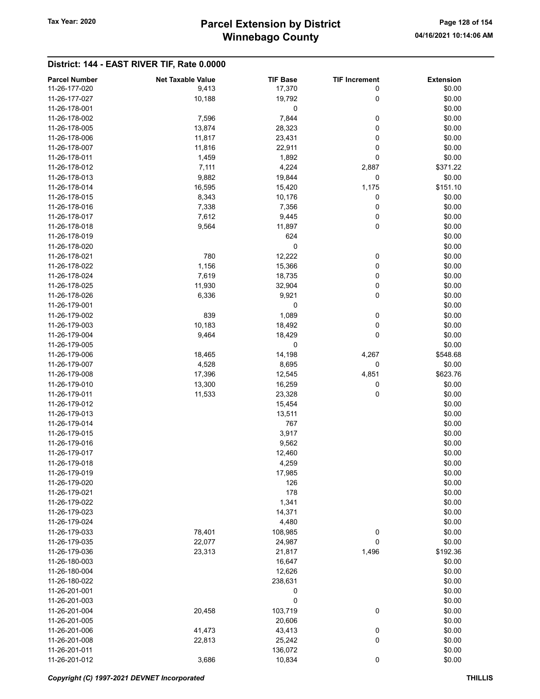# Winnebago County Tax Year: 2020 **Parcel Extension by District** Page 128 of 154

| <b>Parcel Number</b> | <b>Net Taxable Value</b> | <b>TIF Base</b> | <b>TIF Increment</b> | <b>Extension</b> |
|----------------------|--------------------------|-----------------|----------------------|------------------|
| 11-26-177-020        | 9,413                    | 17,370          | 0                    | \$0.00           |
| 11-26-177-027        |                          |                 |                      |                  |
|                      | 10,188                   | 19,792          | 0                    | \$0.00           |
| 11-26-178-001        |                          | 0               |                      | \$0.00           |
| 11-26-178-002        | 7,596                    | 7,844           | 0                    | \$0.00           |
| 11-26-178-005        | 13,874                   | 28,323          | 0                    | \$0.00           |
| 11-26-178-006        | 11,817                   | 23,431          | 0                    | \$0.00           |
| 11-26-178-007        | 11,816                   | 22,911          | 0                    | \$0.00           |
| 11-26-178-011        | 1,459                    | 1,892           | 0                    | \$0.00           |
| 11-26-178-012        | 7,111                    | 4,224           | 2,887                | \$371.22         |
| 11-26-178-013        | 9,882                    | 19,844          | 0                    | \$0.00           |
| 11-26-178-014        | 16,595                   | 15,420          | 1,175                | \$151.10         |
| 11-26-178-015        | 8,343                    | 10,176          | 0                    | \$0.00           |
| 11-26-178-016        | 7,338                    | 7,356           | 0                    | \$0.00           |
| 11-26-178-017        | 7,612                    | 9,445           | 0                    | \$0.00           |
| 11-26-178-018        | 9,564                    | 11,897          | 0                    | \$0.00           |
| 11-26-178-019        |                          | 624             |                      | \$0.00           |
|                      |                          |                 |                      |                  |
| 11-26-178-020        |                          | 0               |                      | \$0.00           |
| 11-26-178-021        | 780                      | 12,222          | 0                    | \$0.00           |
| 11-26-178-022        | 1,156                    | 15,366          | 0                    | \$0.00           |
| 11-26-178-024        | 7,619                    | 18,735          | 0                    | \$0.00           |
| 11-26-178-025        | 11,930                   | 32,904          | 0                    | \$0.00           |
| 11-26-178-026        | 6,336                    | 9,921           | 0                    | \$0.00           |
| 11-26-179-001        |                          | 0               |                      | \$0.00           |
| 11-26-179-002        | 839                      | 1,089           | 0                    | \$0.00           |
| 11-26-179-003        | 10,183                   | 18,492          | 0                    | \$0.00           |
| 11-26-179-004        | 9,464                    | 18,429          | 0                    | \$0.00           |
| 11-26-179-005        |                          | 0               |                      | \$0.00           |
| 11-26-179-006        | 18,465                   | 14,198          | 4,267                | \$548.68         |
| 11-26-179-007        | 4,528                    | 8,695           | 0                    | \$0.00           |
| 11-26-179-008        | 17,396                   | 12,545          | 4,851                | \$623.76         |
| 11-26-179-010        |                          |                 |                      | \$0.00           |
|                      | 13,300                   | 16,259          | 0                    |                  |
| 11-26-179-011        | 11,533                   | 23,328          | 0                    | \$0.00           |
| 11-26-179-012        |                          | 15,454          |                      | \$0.00           |
| 11-26-179-013        |                          | 13,511          |                      | \$0.00           |
| 11-26-179-014        |                          | 767             |                      | \$0.00           |
| 11-26-179-015        |                          | 3,917           |                      | \$0.00           |
| 11-26-179-016        |                          | 9,562           |                      | \$0.00           |
| 11-26-179-017        |                          | 12,460          |                      | \$0.00           |
| 11-26-179-018        |                          | 4,259           |                      | \$0.00           |
| 11-26-179-019        |                          | 17,985          |                      | \$0.00           |
| 11-26-179-020        |                          | 126             |                      | \$0.00           |
| 11-26-179-021        |                          | 178             |                      | \$0.00           |
| 11-26-179-022        |                          | 1,341           |                      | \$0.00           |
| 11-26-179-023        |                          | 14,371          |                      | \$0.00           |
| 11-26-179-024        |                          | 4,480           |                      | \$0.00           |
| 11-26-179-033        | 78,401                   | 108,985         | 0                    | \$0.00           |
| 11-26-179-035        | 22,077                   | 24,987          | 0                    | \$0.00           |
|                      |                          |                 |                      |                  |
| 11-26-179-036        | 23,313                   | 21,817          | 1,496                | \$192.36         |
| 11-26-180-003        |                          | 16,647          |                      | \$0.00           |
| 11-26-180-004        |                          | 12,626          |                      | \$0.00           |
| 11-26-180-022        |                          | 238,631         |                      | \$0.00           |
| 11-26-201-001        |                          | 0               |                      | \$0.00           |
| 11-26-201-003        |                          | 0               |                      | \$0.00           |
| 11-26-201-004        | 20,458                   | 103,719         | 0                    | \$0.00           |
| 11-26-201-005        |                          | 20,606          |                      | \$0.00           |
| 11-26-201-006        | 41,473                   | 43,413          | $\pmb{0}$            | \$0.00           |
| 11-26-201-008        | 22,813                   | 25,242          | 0                    | \$0.00           |
| 11-26-201-011        |                          | 136,072         |                      | \$0.00           |
| 11-26-201-012        | 3,686                    | 10,834          | $\pmb{0}$            | \$0.00           |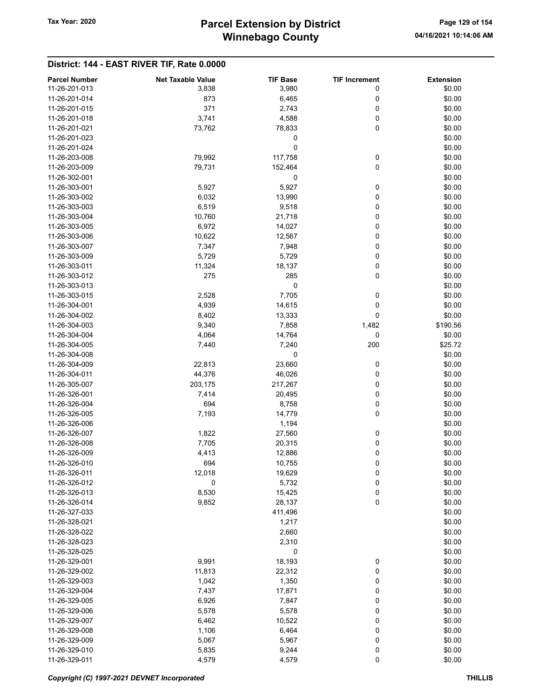# Winnebago County Tax Year: 2020 **Parcel Extension by District** Page 129 of 154

| <b>Parcel Number</b> | <b>Net Taxable Value</b> | <b>TIF Base</b> | <b>TIF Increment</b> | <b>Extension</b> |
|----------------------|--------------------------|-----------------|----------------------|------------------|
| 11-26-201-013        | 3,838                    | 3,980           | 0                    | \$0.00           |
| 11-26-201-014        | 873                      | 6,465           | 0                    | \$0.00           |
| 11-26-201-015        | 371                      | 2,743           | 0                    | \$0.00           |
| 11-26-201-018        | 3,741                    | 4,588           | 0                    | \$0.00           |
| 11-26-201-021        | 73,762                   | 78,833          | 0                    | \$0.00           |
|                      |                          |                 |                      |                  |
| 11-26-201-023        |                          | 0               |                      | \$0.00           |
| 11-26-201-024        |                          | 0               |                      | \$0.00           |
| 11-26-203-008        | 79,992                   | 117,758         | 0                    | \$0.00           |
| 11-26-203-009        | 79,731                   | 152,464         | 0                    | \$0.00           |
| 11-26-302-001        |                          | 0               |                      | \$0.00           |
| 11-26-303-001        | 5,927                    | 5,927           | 0                    | \$0.00           |
| 11-26-303-002        | 6,032                    | 13,990          | 0                    | \$0.00           |
| 11-26-303-003        | 6,519                    | 9,518           | 0                    | \$0.00           |
| 11-26-303-004        | 10,760                   | 21,718          | 0                    | \$0.00           |
| 11-26-303-005        | 6,972                    | 14,027          | 0                    | \$0.00           |
| 11-26-303-006        | 10,622                   | 12,567          | 0                    | \$0.00           |
| 11-26-303-007        | 7,347                    | 7,948           | 0                    | \$0.00           |
| 11-26-303-009        | 5,729                    | 5,729           | 0                    | \$0.00           |
| 11-26-303-011        | 11,324                   | 18,137          | 0                    | \$0.00           |
| 11-26-303-012        | 275                      | 285             | 0                    | \$0.00           |
| 11-26-303-013        |                          | 0               |                      | \$0.00           |
| 11-26-303-015        | 2,528                    | 7,705           | 0                    | \$0.00           |
| 11-26-304-001        | 4,939                    | 14,615          | 0                    | \$0.00           |
| 11-26-304-002        | 8,402                    | 13,333          | 0                    | \$0.00           |
| 11-26-304-003        | 9,340                    | 7,858           | 1,482                | \$190.56         |
| 11-26-304-004        | 4,064                    | 14,764          | 0                    | \$0.00           |
| 11-26-304-005        | 7,440                    | 7,240           | 200                  | \$25.72          |
| 11-26-304-008        |                          | 0               |                      | \$0.00           |
| 11-26-304-009        | 22,813                   | 23,660          | 0                    | \$0.00           |
| 11-26-304-011        | 44,376                   | 46,026          | 0                    | \$0.00           |
| 11-26-305-007        | 203,175                  | 217,267         | 0                    | \$0.00           |
| 11-26-326-001        | 7,414                    | 20,495          | 0                    | \$0.00           |
| 11-26-326-004        | 694                      | 8,758           | 0                    | \$0.00           |
| 11-26-326-005        | 7,193                    | 14,779          | 0                    | \$0.00           |
| 11-26-326-006        |                          | 1,194           |                      | \$0.00           |
| 11-26-326-007        | 1,822                    | 27,560          | 0                    | \$0.00           |
| 11-26-326-008        | 7,705                    | 20,315          | 0                    | \$0.00           |
| 11-26-326-009        | 4,413                    | 12,886          | 0                    | \$0.00           |
| 11-26-326-010        | 694                      | 10,755          | 0                    | \$0.00           |
| 11-26-326-011        | 12,018                   | 19,629          | 0                    | \$0.00           |
| 11-26-326-012        | 0                        | 5,732           | 0                    | \$0.00           |
| 11-26-326-013        | 8,530                    | 15,425          | 0                    | \$0.00           |
| 11-26-326-014        | 9,852                    | 28,137          | 0                    | \$0.00           |
| 11-26-327-033        |                          | 411,496         |                      | \$0.00           |
| 11-26-328-021        |                          | 1,217           |                      | \$0.00           |
| 11-26-328-022        |                          | 2,660           |                      | \$0.00           |
| 11-26-328-023        |                          | 2,310           |                      | \$0.00           |
| 11-26-328-025        |                          | 0               |                      | \$0.00           |
| 11-26-329-001        | 9,991                    | 18,193          | 0                    | \$0.00           |
| 11-26-329-002        | 11,813                   | 22,312          | 0                    | \$0.00           |
| 11-26-329-003        | 1,042                    | 1,350           | 0                    | \$0.00           |
| 11-26-329-004        | 7,437                    | 17,871          | 0                    | \$0.00           |
| 11-26-329-005        | 6,926                    | 7,847           | 0                    | \$0.00           |
| 11-26-329-006        | 5,578                    | 5,578           | 0                    | \$0.00           |
| 11-26-329-007        | 6,462                    | 10,522          | 0                    | \$0.00           |
| 11-26-329-008        | 1,106                    | 6,464           | 0                    | \$0.00           |
| 11-26-329-009        | 5,067                    | 5,967           | 0                    | \$0.00           |
| 11-26-329-010        | 5,835                    | 9,244           | $\pmb{0}$            | \$0.00           |
| 11-26-329-011        | 4,579                    | 4,579           | 0                    | \$0.00           |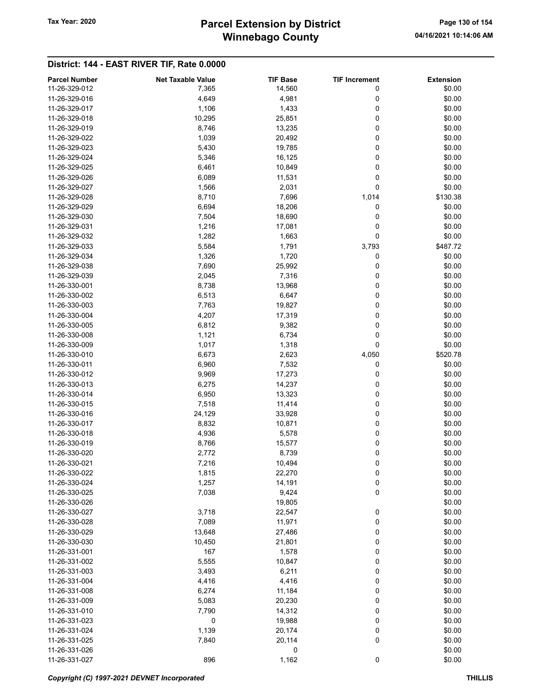# Winnebago County Tax Year: 2020 **Parcel Extension by District** Page 130 of 154

| <b>Parcel Number</b> | <b>Net Taxable Value</b> | <b>TIF Base</b> | <b>TIF Increment</b> | <b>Extension</b> |
|----------------------|--------------------------|-----------------|----------------------|------------------|
| 11-26-329-012        | 7,365                    | 14,560          | 0                    | \$0.00           |
| 11-26-329-016        | 4,649                    | 4,981           | 0                    | \$0.00           |
| 11-26-329-017        | 1,106                    | 1,433           | 0                    | \$0.00           |
| 11-26-329-018        | 10,295                   | 25,851          | 0                    | \$0.00           |
| 11-26-329-019        | 8,746                    | 13,235          | 0                    | \$0.00           |
|                      |                          |                 |                      |                  |
| 11-26-329-022        | 1,039                    | 20,492          | 0                    | \$0.00           |
| 11-26-329-023        | 5,430                    | 19,785          | 0                    | \$0.00           |
| 11-26-329-024        | 5,346                    | 16,125          | 0                    | \$0.00           |
| 11-26-329-025        | 6,461                    | 10,849          | 0                    | \$0.00           |
| 11-26-329-026        | 6,089                    | 11,531          | 0                    | \$0.00           |
| 11-26-329-027        | 1,566                    | 2,031           | 0                    | \$0.00           |
| 11-26-329-028        | 8,710                    | 7,696           | 1,014                | \$130.38         |
| 11-26-329-029        | 6,694                    | 18,206          | 0                    | \$0.00           |
| 11-26-329-030        | 7,504                    | 18,690          | 0                    | \$0.00           |
| 11-26-329-031        | 1,216                    | 17,081          | 0                    | \$0.00           |
| 11-26-329-032        | 1,282                    | 1,663           | 0                    | \$0.00           |
| 11-26-329-033        | 5,584                    | 1,791           | 3,793                | \$487.72         |
| 11-26-329-034        | 1,326                    | 1,720           | 0                    | \$0.00           |
| 11-26-329-038        | 7,690                    | 25,992          | 0                    | \$0.00           |
| 11-26-329-039        | 2,045                    | 7,316           | 0                    | \$0.00           |
|                      |                          |                 |                      |                  |
| 11-26-330-001        | 8,738                    | 13,968          | 0                    | \$0.00           |
| 11-26-330-002        | 6,513                    | 6,647           | 0                    | \$0.00           |
| 11-26-330-003        | 7,763                    | 19,827          | 0                    | \$0.00           |
| 11-26-330-004        | 4,207                    | 17,319          | 0                    | \$0.00           |
| 11-26-330-005        | 6,812                    | 9,382           | 0                    | \$0.00           |
| 11-26-330-008        | 1,121                    | 6,734           | 0                    | \$0.00           |
| 11-26-330-009        | 1,017                    | 1,318           | 0                    | \$0.00           |
| 11-26-330-010        | 6,673                    | 2,623           | 4,050                | \$520.78         |
| 11-26-330-011        | 6,960                    | 7,532           | 0                    | \$0.00           |
| 11-26-330-012        | 9,969                    | 17,273          | 0                    | \$0.00           |
| 11-26-330-013        | 6,275                    | 14,237          | 0                    | \$0.00           |
| 11-26-330-014        | 6,950                    | 13,323          | 0                    | \$0.00           |
| 11-26-330-015        | 7,518                    | 11,414          | 0                    | \$0.00           |
| 11-26-330-016        | 24,129                   | 33,928          | 0                    | \$0.00           |
| 11-26-330-017        | 8,832                    | 10,871          | 0                    | \$0.00           |
| 11-26-330-018        | 4,936                    | 5,578           | 0                    | \$0.00           |
| 11-26-330-019        | 8,766                    | 15,577          | 0                    | \$0.00           |
| 11-26-330-020        |                          |                 | 0                    | \$0.00           |
|                      | 2,772                    | 8,739           |                      |                  |
| 11-26-330-021        | 7,216                    | 10,494          | 0                    | \$0.00           |
| 11-26-330-022        | 1,815                    | 22,270          | 0                    | \$0.00           |
| 11-26-330-024        | 1,257                    | 14,191          | $\bf{0}$             | \$0.00           |
| 11-26-330-025        | 7,038                    | 9,424           | 0                    | \$0.00           |
| 11-26-330-026        |                          | 19,805          |                      | \$0.00           |
| 11-26-330-027        | 3,718                    | 22,547          | 0                    | \$0.00           |
| 11-26-330-028        | 7,089                    | 11,971          | 0                    | \$0.00           |
| 11-26-330-029        | 13,648                   | 27,486          | 0                    | \$0.00           |
| 11-26-330-030        | 10,450                   | 21,801          | 0                    | \$0.00           |
| 11-26-331-001        | 167                      | 1,578           | 0                    | \$0.00           |
| 11-26-331-002        | 5,555                    | 10,847          | 0                    | \$0.00           |
| 11-26-331-003        | 3,493                    | 6,211           | 0                    | \$0.00           |
| 11-26-331-004        | 4,416                    | 4,416           | 0                    | \$0.00           |
| 11-26-331-008        | 6,274                    | 11,184          | 0                    | \$0.00           |
| 11-26-331-009        | 5,083                    | 20,230          | 0                    | \$0.00           |
| 11-26-331-010        | 7,790                    | 14,312          | 0                    | \$0.00           |
| 11-26-331-023        | 0                        | 19,988          | 0                    | \$0.00           |
|                      |                          |                 |                      |                  |
| 11-26-331-024        | 1,139                    | 20,174          | 0                    | \$0.00           |
| 11-26-331-025        | 7,840                    | 20,114          | 0                    | \$0.00           |
| 11-26-331-026        |                          | 0               |                      | \$0.00           |
| 11-26-331-027        | 896                      | 1,162           | $\pmb{0}$            | \$0.00           |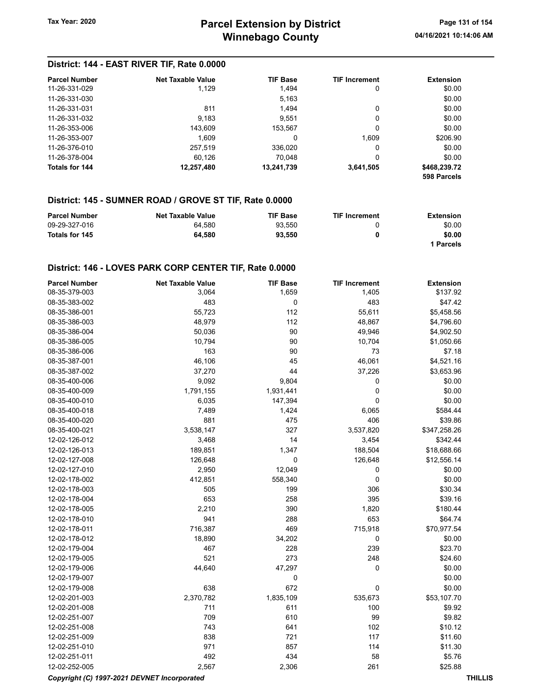#### District: 144 - EAST RIVER TIF, Rate 0.0000

| <b>Parcel Number</b>  | Net Taxable Value | <b>TIF Base</b> | <b>TIF Increment</b> | <b>Extension</b> |
|-----------------------|-------------------|-----------------|----------------------|------------------|
| 11-26-331-029         | 1.129             | 1.494           | 0                    | \$0.00           |
| 11-26-331-030         |                   | 5,163           |                      | \$0.00           |
| 11-26-331-031         | 811               | 1.494           | 0                    | \$0.00           |
| 11-26-331-032         | 9,183             | 9.551           | 0                    | \$0.00           |
| 11-26-353-006         | 143.609           | 153.567         | 0                    | \$0.00           |
| 11-26-353-007         | 1.609             | 0               | 1.609                | \$206.90         |
| 11-26-376-010         | 257.519           | 336,020         | 0                    | \$0.00           |
| 11-26-378-004         | 60.126            | 70.048          | 0                    | \$0.00           |
| <b>Totals for 144</b> | 12,257,480        | 13,241,739      | 3,641,505            | \$468,239.72     |
|                       |                   |                 |                      | 598 Parcels      |

#### District: 145 - SUMNER ROAD / GROVE ST TIF, Rate 0.0000

| <b>Parcel Number</b> | <b>Net Taxable Value</b> | <b>TIF Base</b> | <b>TIF Increment</b> | Extension |
|----------------------|--------------------------|-----------------|----------------------|-----------|
| 09-29-327-016        | 64.580                   | 93.550          |                      | \$0.00    |
| Totals for 145       | 64.580                   | 93.550          | 0                    | \$0.00    |
|                      |                          |                 |                      | l Parcels |

#### District: 146 - LOVES PARK CORP CENTER TIF, Rate 0.0000

| <b>Parcel Number</b>                        | <b>Net Taxable Value</b> | <b>TIF Base</b> | <b>TIF Increment</b> | <b>Extension</b> |                |
|---------------------------------------------|--------------------------|-----------------|----------------------|------------------|----------------|
| 08-35-379-003                               | 3,064                    | 1,659           | 1,405                | \$137.92         |                |
| 08-35-383-002                               | 483                      | 0               | 483                  | \$47.42          |                |
| 08-35-386-001                               | 55,723                   | 112             | 55,611               | \$5,458.56       |                |
| 08-35-386-003                               | 48,979                   | 112             | 48,867               | \$4,796.60       |                |
| 08-35-386-004                               | 50,036                   | 90              | 49,946               | \$4,902.50       |                |
| 08-35-386-005                               | 10,794                   | 90              | 10,704               | \$1,050.66       |                |
| 08-35-386-006                               | 163                      | 90              | 73                   | \$7.18           |                |
| 08-35-387-001                               | 46,106                   | 45              | 46,061               | \$4,521.16       |                |
| 08-35-387-002                               | 37,270                   | 44              | 37,226               | \$3,653.96       |                |
| 08-35-400-006                               | 9,092                    | 9,804           | 0                    | \$0.00           |                |
| 08-35-400-009                               | 1,791,155                | 1,931,441       | $\mathbf 0$          | \$0.00           |                |
| 08-35-400-010                               | 6,035                    | 147,394         | $\mathbf 0$          | \$0.00           |                |
| 08-35-400-018                               | 7,489                    | 1,424           | 6,065                | \$584.44         |                |
| 08-35-400-020                               | 881                      | 475             | 406                  | \$39.86          |                |
| 08-35-400-021                               | 3,538,147                | 327             | 3,537,820            | \$347,258.26     |                |
| 12-02-126-012                               | 3,468                    | 14              | 3,454                | \$342.44         |                |
| 12-02-126-013                               | 189,851                  | 1,347           | 188,504              | \$18,688.66      |                |
| 12-02-127-008                               | 126,648                  | $\pmb{0}$       | 126,648              | \$12,556.14      |                |
| 12-02-127-010                               | 2,950                    | 12,049          | $\mathbf 0$          | \$0.00           |                |
| 12-02-178-002                               | 412,851                  | 558,340         | $\pmb{0}$            | \$0.00           |                |
| 12-02-178-003                               | 505                      | 199             | 306                  | \$30.34          |                |
| 12-02-178-004                               | 653                      | 258             | 395                  | \$39.16          |                |
| 12-02-178-005                               | 2,210                    | 390             | 1,820                | \$180.44         |                |
| 12-02-178-010                               | 941                      | 288             | 653                  | \$64.74          |                |
| 12-02-178-011                               | 716,387                  | 469             | 715,918              | \$70,977.54      |                |
| 12-02-178-012                               | 18,890                   | 34,202          | 0                    | \$0.00           |                |
| 12-02-179-004                               | 467                      | 228             | 239                  | \$23.70          |                |
| 12-02-179-005                               | 521                      | 273             | 248                  | \$24.60          |                |
| 12-02-179-006                               | 44,640                   | 47,297          | 0                    | \$0.00           |                |
| 12-02-179-007                               |                          | 0               |                      | \$0.00           |                |
| 12-02-179-008                               | 638                      | 672             | $\pmb{0}$            | \$0.00           |                |
| 12-02-201-003                               | 2,370,782                | 1,835,109       | 535,673              | \$53,107.70      |                |
| 12-02-201-008                               | 711                      | 611             | 100                  | \$9.92           |                |
| 12-02-251-007                               | 709                      | 610             | 99                   | \$9.82           |                |
| 12-02-251-008                               | 743                      | 641             | 102                  | \$10.12          |                |
| 12-02-251-009                               | 838                      | 721             | 117                  | \$11.60          |                |
| 12-02-251-010                               | 971                      | 857             | 114                  | \$11.30          |                |
| 12-02-251-011                               | 492                      | 434             | 58                   | \$5.76           |                |
| 12-02-252-005                               | 2,567                    | 2,306           | 261                  | \$25.88          |                |
| Copyright (C) 1997-2021 DEVNET Incorporated |                          |                 |                      |                  | <b>THILLIS</b> |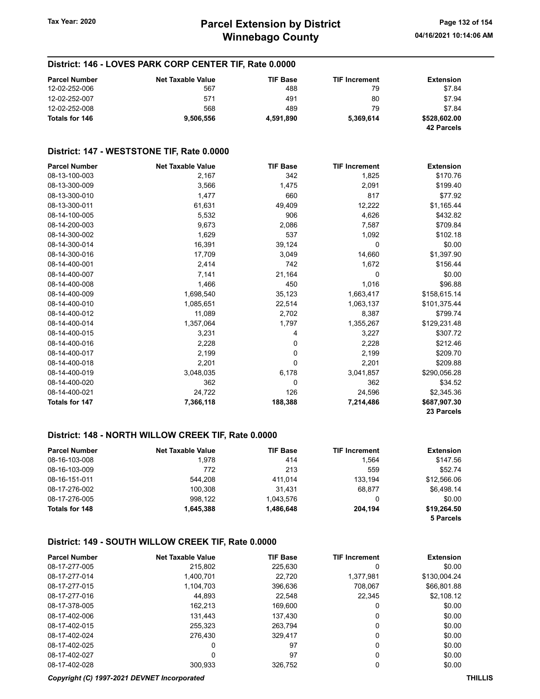#### District: 146 - LOVES PARK CORP CENTER TIF, Rate 0.0000

| <b>Parcel Number</b> | <b>Net Taxable Value</b> | <b>TIF Base</b> | <b>TIF Increment</b> | <b>Extension</b>           |
|----------------------|--------------------------|-----------------|----------------------|----------------------------|
| 12-02-252-006        | 567                      | 488             | 79                   | \$7.84                     |
| 12-02-252-007        | 571                      | 491             | 80                   | \$7.94                     |
| 12-02-252-008        | 568                      | 489             | 79                   | \$7.84                     |
| Totals for 146       | 9.506.556                | 4,591,890       | 5.369.614            | \$528,602.00<br>42 Parcels |

### District: 147 - WESTSTONE TIF, Rate 0.0000

| <b>Parcel Number</b> | <b>Net Taxable Value</b> | <b>TIF Base</b> | <b>TIF Increment</b> | <b>Extension</b> |
|----------------------|--------------------------|-----------------|----------------------|------------------|
| 08-13-100-003        | 2,167                    | 342             | 1,825                | \$170.76         |
| 08-13-300-009        | 3,566                    | 1,475           | 2,091                | \$199.40         |
| 08-13-300-010        | 1,477                    | 660             | 817                  | \$77.92          |
| 08-13-300-011        | 61,631                   | 49,409          | 12,222               | \$1,165.44       |
| 08-14-100-005        | 5,532                    | 906             | 4,626                | \$432.82         |
| 08-14-200-003        | 9,673                    | 2,086           | 7,587                | \$709.84         |
| 08-14-300-002        | 1,629                    | 537             | 1,092                | \$102.18         |
| 08-14-300-014        | 16,391                   | 39,124          | 0                    | \$0.00           |
| 08-14-300-016        | 17,709                   | 3,049           | 14,660               | \$1,397.90       |
| 08-14-400-001        | 2,414                    | 742             | 1,672                | \$156.44         |
| 08-14-400-007        | 7,141                    | 21,164          | 0                    | \$0.00           |
| 08-14-400-008        | 1,466                    | 450             | 1,016                | \$96.88          |
| 08-14-400-009        | 1,698,540                | 35,123          | 1,663,417            | \$158,615.14     |
| 08-14-400-010        | 1,085,651                | 22,514          | 1,063,137            | \$101,375.44     |
| 08-14-400-012        | 11,089                   | 2,702           | 8,387                | \$799.74         |
| 08-14-400-014        | 1,357,064                | 1,797           | 1,355,267            | \$129,231.48     |
| 08-14-400-015        | 3,231                    | 4               | 3,227                | \$307.72         |
| 08-14-400-016        | 2,228                    | 0               | 2,228                | \$212.46         |
| 08-14-400-017        | 2,199                    | 0               | 2,199                | \$209.70         |
| 08-14-400-018        | 2,201                    | 0               | 2,201                | \$209.88         |
| 08-14-400-019        | 3,048,035                | 6,178           | 3,041,857            | \$290,056.28     |
| 08-14-400-020        | 362                      | 0               | 362                  | \$34.52          |
| 08-14-400-021        | 24,722                   | 126             | 24,596               | \$2,345.36       |
| Totals for 147       | 7,366,118                | 188,388         | 7,214,486            | \$687,907.30     |
|                      |                          |                 |                      | 23 Parcels       |

#### District: 148 - NORTH WILLOW CREEK TIF, Rate 0.0000

| <b>Parcel Number</b> | <b>Net Taxable Value</b> | <b>TIF Base</b> | <b>TIF Increment</b> | <b>Extension</b> |
|----------------------|--------------------------|-----------------|----------------------|------------------|
| 08-16-103-008        | 1,978                    | 414             | 1.564                | \$147.56         |
| 08-16-103-009        | 772                      | 213             | 559                  | \$52.74          |
| 08-16-151-011        | 544.208                  | 411.014         | 133.194              | \$12,566.06      |
| 08-17-276-002        | 100.308                  | 31.431          | 68.877               | \$6,498.14       |
| 08-17-276-005        | 998.122                  | 1.043.576       | 0                    | \$0.00           |
| Totals for 148       | 1.645.388                | 1,486,648       | 204.194              | \$19,264.50      |
|                      |                          |                 |                      | 5 Parcels        |

#### District: 149 - SOUTH WILLOW CREEK TIF, Rate 0.0000

| <b>Parcel Number</b> | <b>Net Taxable Value</b> | <b>TIF Base</b> | <b>TIF Increment</b> | <b>Extension</b> |
|----------------------|--------------------------|-----------------|----------------------|------------------|
| 08-17-277-005        | 215,802                  | 225,630         | 0                    | \$0.00           |
| 08-17-277-014        | 1.400.701                | 22,720          | 1,377,981            | \$130,004.24     |
| 08-17-277-015        | 1,104,703                | 396,636         | 708.067              | \$66,801.88      |
| 08-17-277-016        | 44.893                   | 22.548          | 22.345               | \$2,108.12       |
| 08-17-378-005        | 162.213                  | 169.600         | 0                    | \$0.00           |
| 08-17-402-006        | 131.443                  | 137.430         | 0                    | \$0.00           |
| 08-17-402-015        | 255,323                  | 263.794         | 0                    | \$0.00           |
| 08-17-402-024        | 276.430                  | 329.417         | 0                    | \$0.00           |
| 08-17-402-025        | 0                        | 97              | 0                    | \$0.00           |
| 08-17-402-027        | 0                        | 97              | 0                    | \$0.00           |
| 08-17-402-028        | 300.933                  | 326.752         | 0                    | \$0.00           |

#### Copyright (C) 1997-2021 DEVNET Incorporated THILLIS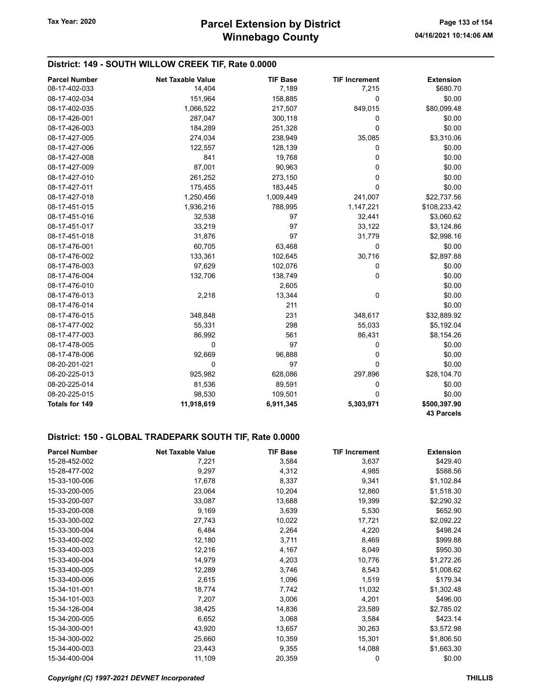#### District: 149 - SOUTH WILLOW CREEK TIF, Rate 0.0000

| <b>Parcel Number</b> | <b>Net Taxable Value</b> | <b>TIF Base</b> | <b>TIF Increment</b> | <b>Extension</b>  |
|----------------------|--------------------------|-----------------|----------------------|-------------------|
| 08-17-402-033        | 14,404                   | 7,189           | 7,215                | \$680.70          |
| 08-17-402-034        | 151,964                  | 158,885         | 0                    | \$0.00            |
| 08-17-402-035        | 1,066,522                | 217,507         | 849,015              | \$80,099.48       |
| 08-17-426-001        | 287,047                  | 300,118         | 0                    | \$0.00            |
| 08-17-426-003        | 184,289                  | 251,328         | 0                    | \$0.00            |
| 08-17-427-005        | 274,034                  | 238,949         | 35,085               | \$3,310.06        |
| 08-17-427-006        | 122,557                  | 128,139         | 0                    | \$0.00            |
| 08-17-427-008        | 841                      | 19,768          | 0                    | \$0.00            |
| 08-17-427-009        | 87,001                   | 90,963          | 0                    | \$0.00            |
| 08-17-427-010        | 261,252                  | 273,150         | 0                    | \$0.00            |
| 08-17-427-011        | 175,455                  | 183,445         | 0                    | \$0.00            |
| 08-17-427-018        | 1,250,456                | 1,009,449       | 241,007              | \$22,737.56       |
| 08-17-451-015        | 1,936,216                | 788,995         | 1,147,221            | \$108,233.42      |
| 08-17-451-016        | 32,538                   | 97              | 32,441               | \$3,060.62        |
| 08-17-451-017        | 33,219                   | 97              | 33,122               | \$3,124.86        |
| 08-17-451-018        | 31,876                   | 97              | 31,779               | \$2,998.16        |
| 08-17-476-001        | 60,705                   | 63,468          | 0                    | \$0.00            |
| 08-17-476-002        | 133,361                  | 102,645         | 30,716               | \$2,897.88        |
| 08-17-476-003        | 97,629                   | 102,076         | 0                    | \$0.00            |
| 08-17-476-004        | 132,706                  | 138,749         | 0                    | \$0.00            |
| 08-17-476-010        |                          | 2,605           |                      | \$0.00            |
| 08-17-476-013        | 2,218                    | 13,344          | 0                    | \$0.00            |
| 08-17-476-014        |                          | 211             |                      | \$0.00            |
| 08-17-476-015        | 348,848                  | 231             | 348,617              | \$32,889.92       |
| 08-17-477-002        | 55,331                   | 298             | 55,033               | \$5,192.04        |
| 08-17-477-003        | 86,992                   | 561             | 86,431               | \$8,154.26        |
| 08-17-478-005        | 0                        | 97              | 0                    | \$0.00            |
| 08-17-478-006        | 92,669                   | 96,888          | 0                    | \$0.00            |
| 08-20-201-021        | 0                        | 97              | 0                    | \$0.00            |
| 08-20-225-013        | 925,982                  | 628,086         | 297,896              | \$28,104.70       |
| 08-20-225-014        | 81,536                   | 89,591          | 0                    | \$0.00            |
| 08-20-225-015        | 98,530                   | 109,501         | 0                    | \$0.00            |
| Totals for 149       | 11,918,619               | 6,911,345       | 5,303,971            | \$500,397.90      |
|                      |                          |                 |                      | <b>43 Parcels</b> |

#### District: 150 - GLOBAL TRADEPARK SOUTH TIF, Rate 0.0000

| <b>Parcel Number</b> | <b>Net Taxable Value</b> | <b>TIF Base</b> | <b>TIF Increment</b> | <b>Extension</b> |
|----------------------|--------------------------|-----------------|----------------------|------------------|
| 15-28-452-002        | 7,221                    | 3,584           | 3,637                | \$429.40         |
| 15-28-477-002        | 9,297                    | 4,312           | 4,985                | \$588.56         |
| 15-33-100-006        | 17,678                   | 8,337           | 9,341                | \$1,102.84       |
| 15-33-200-005        | 23,064                   | 10,204          | 12,860               | \$1,518.30       |
| 15-33-200-007        | 33,087                   | 13,688          | 19,399               | \$2,290.32       |
| 15-33-200-008        | 9,169                    | 3,639           | 5,530                | \$652.90         |
| 15-33-300-002        | 27,743                   | 10,022          | 17,721               | \$2,092.22       |
| 15-33-300-004        | 6,484                    | 2,264           | 4,220                | \$498.24         |
| 15-33-400-002        | 12,180                   | 3,711           | 8,469                | \$999.88         |
| 15-33-400-003        | 12,216                   | 4,167           | 8,049                | \$950.30         |
| 15-33-400-004        | 14,979                   | 4,203           | 10,776               | \$1,272.26       |
| 15-33-400-005        | 12,289                   | 3,746           | 8,543                | \$1,008.62       |
| 15-33-400-006        | 2,615                    | 1,096           | 1,519                | \$179.34         |
| 15-34-101-001        | 18,774                   | 7,742           | 11,032               | \$1,302.48       |
| 15-34-101-003        | 7,207                    | 3,006           | 4,201                | \$496.00         |
| 15-34-126-004        | 38,425                   | 14,836          | 23,589               | \$2,785.02       |
| 15-34-200-005        | 6,652                    | 3,068           | 3,584                | \$423.14         |
| 15-34-300-001        | 43,920                   | 13,657          | 30,263               | \$3,572.98       |
| 15-34-300-002        | 25,660                   | 10,359          | 15,301               | \$1,806.50       |
| 15-34-400-003        | 23,443                   | 9,355           | 14,088               | \$1,663.30       |
| 15-34-400-004        | 11,109                   | 20,359          | 0                    | \$0.00           |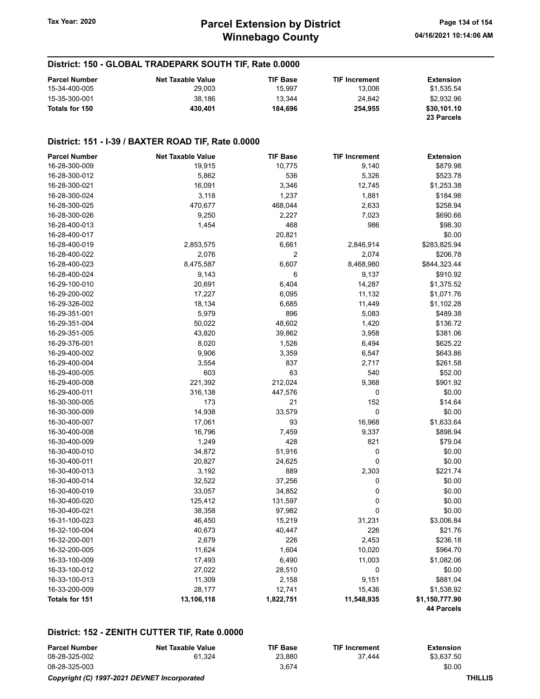#### District: 150 - GLOBAL TRADEPARK SOUTH TIF, Rate 0.0000

| <b>Parcel Number</b> | <b>Net Taxable Value</b> | <b>TIF Base</b> | <b>TIF Increment</b> | <b>Extension</b> |
|----------------------|--------------------------|-----------------|----------------------|------------------|
| 15-34-400-005        | 29.003                   | 15.997          | 13.006               | \$1.535.54       |
| 15-35-300-001        | 38.186                   | 13.344          | 24.842               | \$2.932.96       |
| Totals for 150       | 430.401                  | 184.696         | 254.955              | \$30,101.10      |
|                      |                          |                 |                      | 23 Parcels       |

#### District: 151 - I-39 / BAXTER ROAD TIF, Rate 0.0000

| <b>Parcel Number</b>  | <b>Net Taxable Value</b> | <b>TIF Base</b> | <b>TIF Increment</b> | <b>Extension</b>  |
|-----------------------|--------------------------|-----------------|----------------------|-------------------|
| 16-28-300-009         | 19,915                   | 10,775          | 9,140                | \$879.98          |
| 16-28-300-012         | 5,862                    | 536             | 5,326                | \$523.78          |
| 16-28-300-021         | 16,091                   | 3,346           | 12,745               | \$1,253.38        |
| 16-28-300-024         | 3,118                    | 1,237           | 1,881                | \$184.98          |
| 16-28-300-025         | 470,677                  | 468,044         | 2,633                | \$258.94          |
| 16-28-300-026         | 9,250                    | 2,227           | 7,023                | \$690.66          |
| 16-28-400-013         | 1,454                    | 468             | 986                  | \$98.30           |
| 16-28-400-017         |                          | 20,821          |                      | \$0.00            |
| 16-28-400-019         | 2,853,575                | 6,661           | 2,846,914            | \$283,825.94      |
| 16-28-400-022         | 2,076                    | $\overline{2}$  | 2,074                | \$206.78          |
| 16-28-400-023         | 8,475,587                | 6,607           | 8,468,980            | \$844,323.44      |
| 16-28-400-024         | 9,143                    | 6               | 9,137                | \$910.92          |
| 16-29-100-010         | 20,691                   | 6,404           | 14,287               | \$1,375.52        |
| 16-29-200-002         | 17,227                   | 6,095           | 11,132               | \$1,071.76        |
| 16-29-326-002         | 18,134                   | 6,685           | 11,449               | \$1,102.28        |
| 16-29-351-001         | 5,979                    | 896             | 5,083                | \$489.38          |
| 16-29-351-004         | 50,022                   | 48,602          | 1,420                | \$136.72          |
| 16-29-351-005         | 43,820                   | 39,862          | 3,958                | \$381.06          |
| 16-29-376-001         | 8,020                    | 1,526           | 6,494                | \$625.22          |
| 16-29-400-002         | 9,906                    | 3,359           | 6,547                | \$643.86          |
| 16-29-400-004         | 3,554                    | 837             | 2,717                | \$261.58          |
| 16-29-400-005         | 603                      | 63              | 540                  | \$52.00           |
| 16-29-400-008         | 221,392                  | 212,024         | 9,368                | \$901.92          |
| 16-29-400-011         | 316,138                  | 447,576         | 0                    | \$0.00            |
| 16-30-300-005         | 173                      | 21              | 152                  | \$14.64           |
| 16-30-300-009         | 14,938                   | 33,579          | 0                    | \$0.00            |
| 16-30-400-007         | 17,061                   | 93              | 16,968               | \$1,633.64        |
| 16-30-400-008         | 16,796                   | 7,459           | 9,337                | \$898.94          |
| 16-30-400-009         | 1,249                    | 428             | 821                  | \$79.04           |
| 16-30-400-010         | 34,872                   | 51,916          | 0                    | \$0.00            |
| 16-30-400-011         | 20,827                   | 24,625          | 0                    | \$0.00            |
| 16-30-400-013         | 3,192                    | 889             | 2,303                | \$221.74          |
| 16-30-400-014         | 32,522                   | 37,256          | 0                    | \$0.00            |
| 16-30-400-019         | 33,057                   | 34,852          | 0                    | \$0.00            |
| 16-30-400-020         | 125,412                  | 131,597         | 0                    | \$0.00            |
| 16-30-400-021         | 38,358                   | 97,982          | 0                    | \$0.00            |
| 16-31-100-023         | 46,450                   | 15,219          | 31,231               | \$3,006.84        |
| 16-32-100-004         | 40,673                   | 40,447          | 226                  | \$21.76           |
| 16-32-200-001         | 2,679                    | 226             | 2,453                | \$236.18          |
| 16-32-200-005         | 11,624                   | 1,604           | 10,020               | \$964.70          |
| 16-33-100-009         | 17,493                   | 6,490           | 11,003               | \$1,082.06        |
| 16-33-100-012         | 27,022                   | 28,510          | 0                    | \$0.00            |
| 16-33-100-013         | 11,309                   | 2,158           | 9,151                | \$881.04          |
| 16-33-200-009         | 28,177                   | 12,741          | 15,436               | \$1,538.92        |
| <b>Totals for 151</b> | 13,106,118               | 1,822,751       | 11,548,935           | \$1,150,777.90    |
|                       |                          |                 |                      | <b>44 Parcels</b> |

#### District: 152 - ZENITH CUTTER TIF, Rate 0.0000

| <b>Parcel Number</b> | Net Taxable Value                           | <b>TIF Base</b> | <b>TIF Increment</b> | Extension  |  |
|----------------------|---------------------------------------------|-----------------|----------------------|------------|--|
| 08-28-325-002        | 61.324                                      | 23.880          | 37.444               | \$3.637.50 |  |
| 08-28-325-003        |                                             | 3.674           |                      | \$0.00     |  |
|                      | Copyright (C) 1997-2021 DEVNET Incorporated |                 |                      | THILLIS    |  |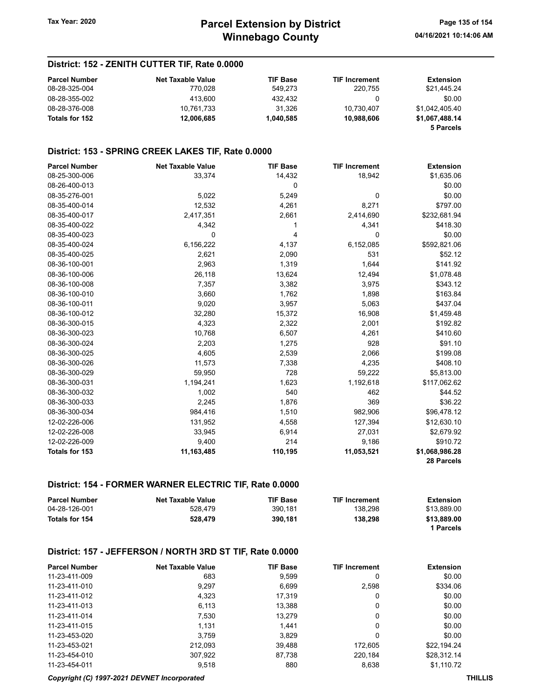#### District: 152 - ZENITH CUTTER TIF, Rate 0.0000

| <b>Parcel Number</b> | <b>Net Taxable Value</b> | <b>TIF Base</b> | <b>TIF Increment</b> | Extension      |
|----------------------|--------------------------|-----------------|----------------------|----------------|
| 08-28-325-004        | 770.028                  | 549.273         | 220.755              | \$21,445.24    |
| 08-28-355-002        | 413.600                  | 432.432         |                      | \$0.00         |
| 08-28-376-008        | 10.761.733               | 31.326          | 10.730.407           | \$1.042.405.40 |
| Totals for 152       | 12.006.685               | 1.040.585       | 10.988.606           | \$1.067.488.14 |
|                      |                          |                 |                      | 5 Parcels      |

#### District: 153 - SPRING CREEK LAKES TIF, Rate 0.0000

| <b>Parcel Number</b> | <b>Net Taxable Value</b> | <b>TIF Base</b> | <b>TIF Increment</b> | <b>Extension</b> |
|----------------------|--------------------------|-----------------|----------------------|------------------|
| 08-25-300-006        | 33,374                   | 14,432          | 18,942               | \$1,635.06       |
| 08-26-400-013        |                          | 0               |                      | \$0.00           |
| 08-35-276-001        | 5,022                    | 5,249           | 0                    | \$0.00           |
| 08-35-400-014        | 12,532                   | 4,261           | 8,271                | \$797.00         |
| 08-35-400-017        | 2,417,351                | 2,661           | 2,414,690            | \$232,681.94     |
| 08-35-400-022        | 4,342                    |                 | 4,341                | \$418.30         |
| 08-35-400-023        | 0                        | 4               | 0                    | \$0.00           |
| 08-35-400-024        | 6,156,222                | 4,137           | 6,152,085            | \$592,821.06     |
| 08-35-400-025        | 2,621                    | 2,090           | 531                  | \$52.12          |
| 08-36-100-001        | 2,963                    | 1,319           | 1,644                | \$141.92         |
| 08-36-100-006        | 26,118                   | 13,624          | 12,494               | \$1,078.48       |
| 08-36-100-008        | 7,357                    | 3,382           | 3,975                | \$343.12         |
| 08-36-100-010        | 3,660                    | 1,762           | 1,898                | \$163.84         |
| 08-36-100-011        | 9,020                    | 3,957           | 5,063                | \$437.04         |
| 08-36-100-012        | 32,280                   | 15,372          | 16,908               | \$1,459.48       |
| 08-36-300-015        | 4,323                    | 2,322           | 2,001                | \$192.82         |
| 08-36-300-023        | 10,768                   | 6,507           | 4,261                | \$410.60         |
| 08-36-300-024        | 2,203                    | 1,275           | 928                  | \$91.10          |
| 08-36-300-025        | 4,605                    | 2,539           | 2,066                | \$199.08         |
| 08-36-300-026        | 11,573                   | 7,338           | 4,235                | \$408.10         |
| 08-36-300-029        | 59,950                   | 728             | 59,222               | \$5,813.00       |
| 08-36-300-031        | 1,194,241                | 1,623           | 1,192,618            | \$117,062.62     |
| 08-36-300-032        | 1,002                    | 540             | 462                  | \$44.52          |
| 08-36-300-033        | 2,245                    | 1,876           | 369                  | \$36.22          |
| 08-36-300-034        | 984,416                  | 1,510           | 982,906              | \$96,478.12      |
| 12-02-226-006        | 131,952                  | 4,558           | 127,394              | \$12,630.10      |
| 12-02-226-008        | 33,945                   | 6,914           | 27,031               | \$2,679.92       |
| 12-02-226-009        | 9,400                    | 214             | 9,186                | \$910.72         |
| Totals for 153       | 11,163,485               | 110,195         | 11,053,521           | \$1,068,986.28   |
|                      |                          |                 |                      | 28 Parcels       |

#### District: 154 - FORMER WARNER ELECTRIC TIF, Rate 0.0000

| <b>Parcel Number</b> | <b>Net Taxable Value</b> | <b>TIF Base</b> | <b>TIF Increment</b> | Extension   |
|----------------------|--------------------------|-----------------|----------------------|-------------|
| 04-28-126-001        | 528.479                  | 390.181         | 138.298              | \$13.889.00 |
| Totals for 154       | 528,479                  | 390.181         | 138.298              | \$13,889.00 |
|                      |                          |                 |                      | 1 Parcels   |

#### District: 157 - JEFFERSON / NORTH 3RD ST TIF, Rate 0.0000

| <b>Parcel Number</b> | <b>Net Taxable Value</b> | <b>TIF Base</b> | <b>TIF Increment</b> | <b>Extension</b> |
|----------------------|--------------------------|-----------------|----------------------|------------------|
| 11-23-411-009        | 683                      | 9,599           | 0                    | \$0.00           |
| 11-23-411-010        | 9,297                    | 6,699           | 2,598                | \$334.06         |
| 11-23-411-012        | 4.323                    | 17,319          | 0                    | \$0.00           |
| 11-23-411-013        | 6.113                    | 13.388          | 0                    | \$0.00           |
| 11-23-411-014        | 7,530                    | 13,279          | 0                    | \$0.00           |
| 11-23-411-015        | 1.131                    | 1.441           | 0                    | \$0.00           |
| 11-23-453-020        | 3.759                    | 3.829           | 0                    | \$0.00           |
| 11-23-453-021        | 212.093                  | 39,488          | 172.605              | \$22.194.24      |
| 11-23-454-010        | 307.922                  | 87.738          | 220.184              | \$28.312.14      |
| 11-23-454-011        | 9,518                    | 880             | 8,638                | \$1,110.72       |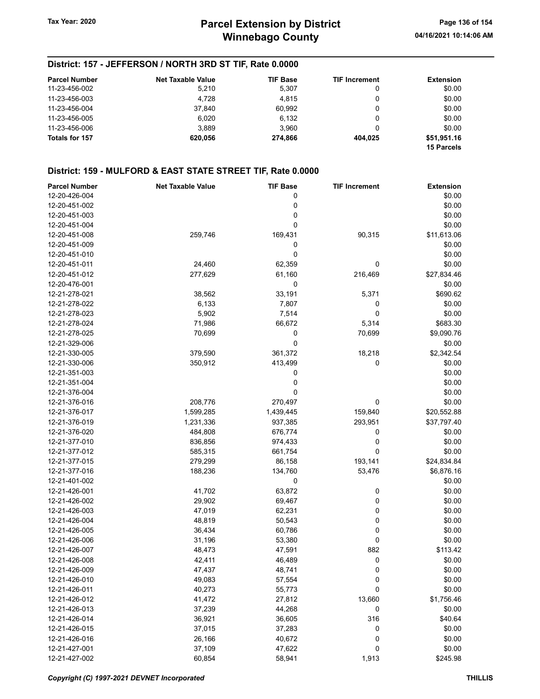#### District: 157 - JEFFERSON / NORTH 3RD ST TIF, Rate 0.0000

| <b>Parcel Number</b> | <b>Net Taxable Value</b> | <b>TIF Base</b> | <b>TIF Increment</b> | <b>Extension</b>                 |
|----------------------|--------------------------|-----------------|----------------------|----------------------------------|
| 11-23-456-002        | 5,210                    | 5,307           | 0                    | \$0.00                           |
| 11-23-456-003        | 4.728                    | 4.815           | 0                    | \$0.00                           |
| 11-23-456-004        | 37.840                   | 60.992          | 0                    | \$0.00                           |
| 11-23-456-005        | 6.020                    | 6.132           | 0                    | \$0.00                           |
| 11-23-456-006        | 3.889                    | 3.960           | 0                    | \$0.00                           |
| Totals for 157       | 620.056                  | 274.866         | 404.025              | \$51,951.16<br><b>15 Parcels</b> |

| <b>Parcel Number</b> | <b>Net Taxable Value</b> | <b>TIF Base</b> | <b>TIF Increment</b> | <b>Extension</b> |
|----------------------|--------------------------|-----------------|----------------------|------------------|
| 12-20-426-004        |                          | 0               |                      | \$0.00           |
| 12-20-451-002        |                          | 0               |                      | \$0.00           |
| 12-20-451-003        |                          | 0               |                      | \$0.00           |
| 12-20-451-004        |                          | 0               |                      | \$0.00           |
| 12-20-451-008        | 259,746                  | 169,431         | 90,315               | \$11,613.06      |
| 12-20-451-009        |                          | 0               |                      | \$0.00           |
| 12-20-451-010        |                          | 0               |                      | \$0.00           |
| 12-20-451-011        | 24,460                   | 62,359          | 0                    | \$0.00           |
| 12-20-451-012        | 277,629                  | 61,160          | 216,469              | \$27,834.46      |
| 12-20-476-001        |                          | 0               |                      | \$0.00           |
| 12-21-278-021        | 38,562                   | 33,191          | 5,371                | \$690.62         |
| 12-21-278-022        | 6,133                    | 7,807           | 0                    | \$0.00           |
| 12-21-278-023        | 5,902                    | 7,514           | 0                    | \$0.00           |
| 12-21-278-024        | 71,986                   | 66,672          | 5,314                | \$683.30         |
| 12-21-278-025        | 70,699                   | 0               | 70,699               | \$9,090.76       |
| 12-21-329-006        |                          | 0               |                      | \$0.00           |
| 12-21-330-005        | 379,590                  | 361,372         | 18,218               | \$2,342.54       |
| 12-21-330-006        | 350,912                  | 413,499         | 0                    | \$0.00           |
| 12-21-351-003        |                          | 0               |                      | \$0.00           |
| 12-21-351-004        |                          | 0               |                      | \$0.00           |
| 12-21-376-004        |                          | 0               |                      | \$0.00           |
| 12-21-376-016        | 208,776                  | 270,497         | 0                    | \$0.00           |
| 12-21-376-017        | 1,599,285                | 1,439,445       | 159,840              | \$20,552.88      |
| 12-21-376-019        | 1,231,336                | 937,385         | 293,951              | \$37,797.40      |
| 12-21-376-020        | 484,808                  | 676,774         | 0                    | \$0.00           |
| 12-21-377-010        | 836,856                  | 974,433         | 0                    | \$0.00           |
| 12-21-377-012        | 585,315                  | 661,754         | 0                    | \$0.00           |
| 12-21-377-015        | 279,299                  | 86,158          | 193,141              | \$24,834.84      |
| 12-21-377-016        | 188,236                  | 134,760         | 53,476               | \$6,876.16       |
| 12-21-401-002        |                          | 0               |                      | \$0.00           |
| 12-21-426-001        | 41,702                   | 63,872          | 0                    | \$0.00           |
| 12-21-426-002        | 29,902                   | 69,467          | 0                    | \$0.00           |
| 12-21-426-003        | 47,019                   | 62,231          | 0                    | \$0.00           |
| 12-21-426-004        | 48,819                   | 50,543          | 0                    | \$0.00           |
| 12-21-426-005        | 36,434                   | 60,786          | 0                    | \$0.00           |
| 12-21-426-006        | 31,196                   | 53,380          | 0                    | \$0.00           |
| 12-21-426-007        | 48,473                   | 47,591          | 882                  | \$113.42         |
| 12-21-426-008        | 42,411                   | 46,489          | 0                    | \$0.00           |
| 12-21-426-009        | 47,437                   | 48,741          | 0                    | \$0.00           |
| 12-21-426-010        | 49,083                   | 57,554          | 0                    | \$0.00           |
| 12-21-426-011        | 40,273                   | 55,773          | 0                    | \$0.00           |
| 12-21-426-012        | 41,472                   | 27,812          | 13,660               | \$1,756.46       |
| 12-21-426-013        | 37,239                   | 44,268          | 0                    | \$0.00           |
| 12-21-426-014        | 36,921                   | 36,605          | 316                  | \$40.64          |
| 12-21-426-015        | 37,015                   | 37,283          | 0                    | \$0.00           |
| 12-21-426-016        | 26,166                   | 40,672          | 0                    | \$0.00           |
| 12-21-427-001        | 37,109                   | 47,622          | 0                    | \$0.00           |
| 12-21-427-002        | 60,854                   | 58,941          | 1,913                | \$245.98         |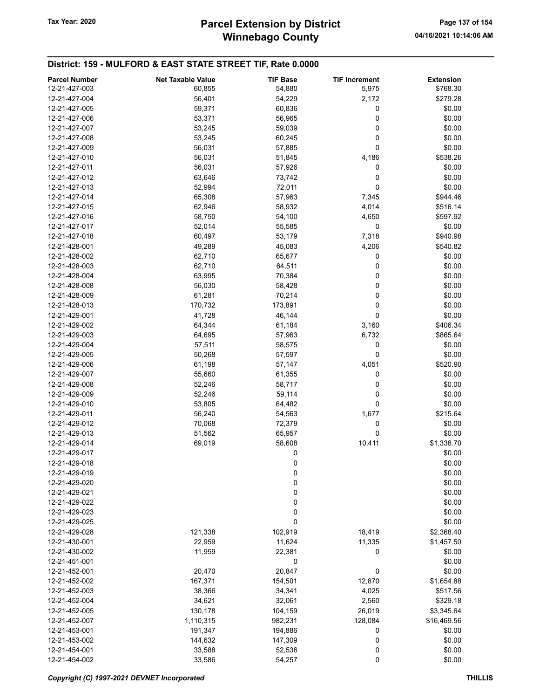| <b>Parcel Number</b> | <b>Net Taxable Value</b> | <b>TIF Base</b> | <b>TIF Increment</b> | <b>Extension</b> |
|----------------------|--------------------------|-----------------|----------------------|------------------|
| 12-21-427-003        | 60,855                   | 54,880          | 5,975                | \$768.30         |
| 12-21-427-004        | 56,401                   | 54,229          | 2,172                | \$279.28         |
| 12-21-427-005        | 59,371                   | 60,836          | 0                    | \$0.00           |
| 12-21-427-006        | 53,371                   | 56,965          | 0                    | \$0.00           |
| 12-21-427-007        | 53,245                   | 59,039          | 0                    | \$0.00           |
| 12-21-427-008        | 53,245                   | 60,245          | 0                    | \$0.00           |
| 12-21-427-009        | 56,031                   | 57,885          | 0                    | \$0.00           |
| 12-21-427-010        | 56,031                   | 51,845          | 4,186                | \$538.26         |
| 12-21-427-011        | 56,031                   | 57,926          | 0                    | \$0.00           |
| 12-21-427-012        | 63,646                   | 73,742          | 0                    | \$0.00           |
| 12-21-427-013        | 52,994                   | 72,011          | 0                    | \$0.00           |
| 12-21-427-014        | 65,308                   | 57,963          | 7,345                | \$944.46         |
| 12-21-427-015        | 62,946                   | 58,932          | 4,014                | \$516.14         |
| 12-21-427-016        | 58,750                   | 54,100          | 4,650                | \$597.92         |
| 12-21-427-017        | 52,014                   | 55,585          | 0                    | \$0.00           |
| 12-21-427-018        | 60,497                   | 53,179          | 7,318                | \$940.98         |
| 12-21-428-001        | 49,289                   | 45,083          | 4,206                | \$540.82         |
| 12-21-428-002        | 62,710                   | 65,677          | 0                    | \$0.00           |
| 12-21-428-003        | 62,710                   | 64,511          | 0                    | \$0.00           |
| 12-21-428-004        | 63,995                   | 70,384          | 0                    | \$0.00           |
| 12-21-428-008        | 56,030                   | 58,428          | 0                    | \$0.00           |
| 12-21-428-009        | 61,281                   | 70,214          | 0                    | \$0.00           |
| 12-21-428-013        | 170,732                  | 173,891         | 0                    | \$0.00           |
| 12-21-429-001        | 41,728                   | 46,144          | 0                    | \$0.00           |
| 12-21-429-002        | 64,344                   | 61,184          | 3,160                | \$406.34         |
| 12-21-429-003        | 64,695                   | 57,963          | 6,732                | \$865.64         |
| 12-21-429-004        | 57,511                   | 58,575          | 0                    | \$0.00           |
| 12-21-429-005        | 50,268                   | 57,597          | 0                    | \$0.00           |
| 12-21-429-006        | 61,198                   | 57,147          | 4,051                | \$520.90         |
| 12-21-429-007        | 55,660                   | 61,355          | 0                    | \$0.00           |
| 12-21-429-008        | 52,246                   | 58,717          | 0                    | \$0.00           |
| 12-21-429-009        | 52,246                   | 59,114          | 0                    | \$0.00           |
| 12-21-429-010        | 53,805                   | 64,482          | 0                    | \$0.00           |
| 12-21-429-011        | 56,240                   | 54,563          | 1,677                | \$215.64         |
| 12-21-429-012        | 70,068                   | 72,379          | 0                    | \$0.00           |
| 12-21-429-013        | 51,562                   | 65,957          | 0                    | \$0.00           |
| 12-21-429-014        | 69,019                   | 58,608          | 10,411               | \$1,338.70       |
| 12-21-429-017        |                          | 0               |                      | \$0.00           |
| 12-21-429-018        |                          | 0               |                      | \$0.00           |
| 12-21-429-019        |                          | $\bf{0}$        |                      | \$0.00           |
| 12-21-429-020        |                          | $\mathbf 0$     |                      | \$0.00           |
| 12-21-429-021        |                          | $\mathbf 0$     |                      | \$0.00           |
| 12-21-429-022        |                          | 0               |                      | \$0.00           |
| 12-21-429-023        |                          | 0               |                      | \$0.00           |
| 12-21-429-025        |                          | 0               |                      | \$0.00           |
| 12-21-429-028        | 121,338                  | 102,919         | 18,419               | \$2,368.40       |
| 12-21-430-001        | 22,959                   | 11,624          | 11,335               | \$1,457.50       |
| 12-21-430-002        | 11,959                   | 22,381          | 0                    | \$0.00           |
| 12-21-451-001        |                          | 0               |                      | \$0.00           |
| 12-21-452-001        | 20,470                   | 20,847          | 0                    | \$0.00           |
| 12-21-452-002        | 167,371                  | 154,501         | 12,870               | \$1,654.88       |
| 12-21-452-003        | 38,366                   | 34,341          | 4,025                | \$517.56         |
| 12-21-452-004        | 34,621                   | 32,061          | 2,560                | \$329.18         |
| 12-21-452-005        | 130,178                  | 104,159         | 26,019               | \$3,345.64       |
| 12-21-452-007        | 1,110,315                | 982,231         | 128,084              | \$16,469.56      |
| 12-21-453-001        | 191,347                  | 194,886         | 0                    | \$0.00           |
| 12-21-453-002        | 144,632                  | 147,309         | 0                    | \$0.00           |
| 12-21-454-001        | 33,588                   | 52,536          | 0                    | \$0.00           |
| 12-21-454-002        | 33,586                   | 54,257          | 0                    | \$0.00           |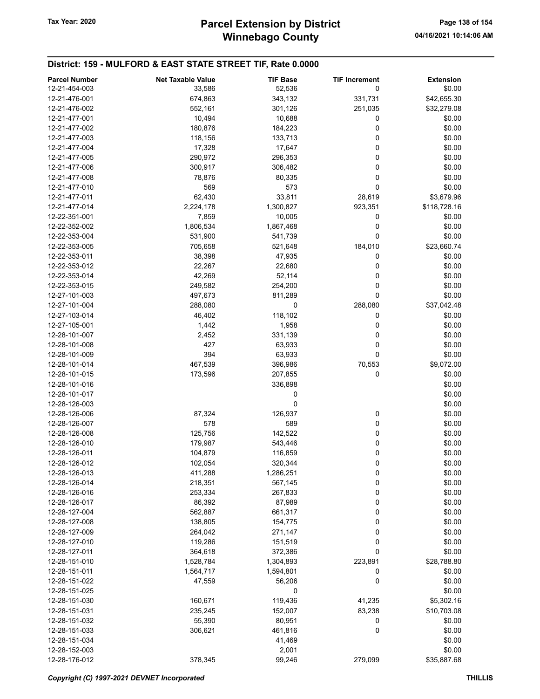| <b>Parcel Number</b> | <b>Net Taxable Value</b> | <b>TIF Base</b> | <b>TIF Increment</b> | <b>Extension</b> |
|----------------------|--------------------------|-----------------|----------------------|------------------|
| 12-21-454-003        | 33,586                   | 52,536          | 0                    | \$0.00           |
| 12-21-476-001        | 674,863                  | 343,132         | 331,731              | \$42,655.30      |
| 12-21-476-002        | 552,161                  | 301,126         | 251,035              | \$32,279.08      |
| 12-21-477-001        | 10,494                   | 10,688          | 0                    | \$0.00           |
| 12-21-477-002        | 180,876                  | 184,223         | 0                    | \$0.00           |
| 12-21-477-003        | 118,156                  | 133,713         | 0                    | \$0.00           |
| 12-21-477-004        | 17,328                   | 17,647          | 0                    | \$0.00           |
| 12-21-477-005        | 290,972                  | 296,353         | 0                    | \$0.00           |
| 12-21-477-006        | 300,917                  | 306,482         | 0                    | \$0.00           |
| 12-21-477-008        | 78,876                   | 80,335          | 0                    | \$0.00           |
| 12-21-477-010        | 569                      | 573             | 0                    | \$0.00           |
| 12-21-477-011        | 62,430                   | 33,811          | 28,619               | \$3,679.96       |
| 12-21-477-014        | 2,224,178                | 1,300,827       | 923,351              | \$118,728.16     |
| 12-22-351-001        | 7,859                    | 10,005          | 0                    | \$0.00           |
| 12-22-352-002        | 1,806,534                | 1,867,468       | 0                    | \$0.00           |
| 12-22-353-004        | 531,900                  | 541,739         | 0                    | \$0.00           |
| 12-22-353-005        | 705,658                  | 521,648         | 184,010              | \$23,660.74      |
| 12-22-353-011        | 38,398                   | 47,935          | 0                    | \$0.00           |
| 12-22-353-012        | 22,267                   | 22,680          | 0                    | \$0.00           |
| 12-22-353-014        | 42,269                   | 52,114          | 0                    | \$0.00           |
| 12-22-353-015        | 249,582                  | 254,200         | 0                    | \$0.00           |
| 12-27-101-003        | 497,673                  | 811,289         | 0                    | \$0.00           |
| 12-27-101-004        | 288,080                  | 0               | 288,080              | \$37,042.48      |
| 12-27-103-014        | 46,402                   | 118,102         | 0                    | \$0.00           |
| 12-27-105-001        | 1,442                    | 1,958           | 0                    | \$0.00           |
| 12-28-101-007        | 2,452                    | 331,139         | 0                    | \$0.00           |
| 12-28-101-008        | 427                      | 63,933          | 0                    | \$0.00           |
| 12-28-101-009        | 394                      | 63,933          | 0                    | \$0.00           |
| 12-28-101-014        | 467,539                  | 396,986         | 70,553               | \$9,072.00       |
| 12-28-101-015        | 173,596                  | 207,855         | 0                    | \$0.00           |
| 12-28-101-016        |                          | 336,898         |                      | \$0.00           |
| 12-28-101-017        |                          | 0               |                      | \$0.00           |
| 12-28-126-003        |                          | 0               |                      | \$0.00           |
| 12-28-126-006        | 87,324                   | 126,937         | 0                    | \$0.00           |
| 12-28-126-007        | 578                      | 589             | 0                    | \$0.00           |
| 12-28-126-008        | 125,756                  | 142,522         | 0                    | \$0.00           |
| 12-28-126-010        | 179,987                  | 543,446         | 0                    | \$0.00           |
| 12-28-126-011        | 104,879                  | 116,859         | 0                    | \$0.00           |
| 12-28-126-012        | 102,054                  | 320,344         | 0                    | \$0.00           |
| 12-28-126-013        | 411,288                  | 1,286,251       | $\boldsymbol{0}$     | \$0.00           |
| 12-28-126-014        | 218,351                  | 567,145         | 0                    | \$0.00           |
| 12-28-126-016        | 253,334                  | 267,833         | 0                    | \$0.00           |
| 12-28-126-017        | 86,392                   | 87,989          | 0                    | \$0.00           |
| 12-28-127-004        | 562,887                  | 661,317         | 0                    | \$0.00           |
| 12-28-127-008        | 138,805                  | 154,775         | 0                    | \$0.00           |
| 12-28-127-009        | 264,042                  | 271,147         | 0                    | \$0.00           |
| 12-28-127-010        | 119,286                  | 151,519         | 0                    | \$0.00           |
| 12-28-127-011        | 364,618                  | 372,386         | 0                    | \$0.00           |
| 12-28-151-010        | 1,528,784                | 1,304,893       | 223,891              | \$28,788.80      |
| 12-28-151-011        | 1,564,717                | 1,594,801       | 0                    | \$0.00           |
| 12-28-151-022        | 47,559                   | 56,206          | 0                    | \$0.00           |
| 12-28-151-025        |                          | 0               |                      | \$0.00           |
| 12-28-151-030        | 160,671                  | 119,436         | 41,235               | \$5,302.16       |
| 12-28-151-031        | 235,245                  | 152,007         | 83,238               | \$10,703.08      |
| 12-28-151-032        | 55,390                   | 80,951          | 0                    | \$0.00           |
| 12-28-151-033        | 306,621                  | 461,816         | 0                    | \$0.00           |
| 12-28-151-034        |                          | 41,469          |                      | \$0.00           |
| 12-28-152-003        |                          | 2,001           |                      | \$0.00           |
| 12-28-176-012        | 378,345                  | 99,246          | 279,099              | \$35,887.68      |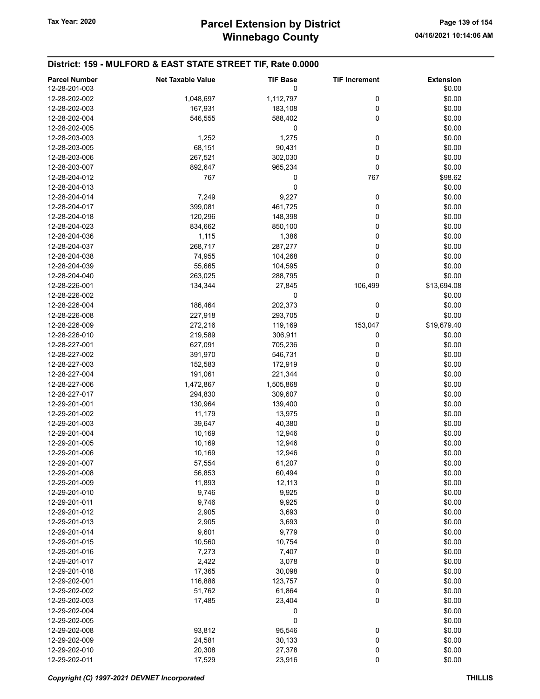| <b>Parcel Number</b>           | <b>Net Taxable Value</b> | <b>TIF Base</b> | <b>TIF Increment</b> | <b>Extension</b> |
|--------------------------------|--------------------------|-----------------|----------------------|------------------|
| 12-28-201-003                  |                          | 0               |                      | \$0.00           |
| 12-28-202-002                  | 1,048,697                | 1,112,797       | 0                    | \$0.00           |
| 12-28-202-003                  | 167,931                  | 183,108         | 0                    | \$0.00           |
| 12-28-202-004                  | 546,555                  | 588,402         | 0                    | \$0.00           |
| 12-28-202-005                  |                          | 0               |                      | \$0.00           |
| 12-28-203-003                  | 1,252                    | 1,275           | 0                    | \$0.00           |
| 12-28-203-005                  | 68,151                   | 90,431          | 0                    | \$0.00           |
| 12-28-203-006                  | 267,521                  | 302,030         | 0                    | \$0.00           |
| 12-28-203-007                  | 892,647                  | 965,234         | 0                    | \$0.00           |
| 12-28-204-012                  | 767                      | 0               | 767                  | \$98.62          |
| 12-28-204-013                  |                          | 0               |                      | \$0.00           |
| 12-28-204-014                  | 7,249                    | 9,227           | 0                    | \$0.00           |
| 12-28-204-017                  | 399,081                  | 461,725         | 0                    | \$0.00           |
| 12-28-204-018                  | 120,296                  | 148,398         | 0                    | \$0.00           |
| 12-28-204-023                  | 834,662                  | 850,100         | 0                    | \$0.00           |
| 12-28-204-036                  | 1,115                    | 1,386           | 0                    | \$0.00           |
| 12-28-204-037                  | 268,717                  | 287,277         | 0                    | \$0.00           |
| 12-28-204-038                  | 74,955                   | 104,268         | 0                    | \$0.00           |
| 12-28-204-039                  | 55,665                   | 104,595         | 0                    | \$0.00           |
| 12-28-204-040                  | 263,025                  | 288,795         | 0                    | \$0.00           |
|                                | 134,344                  | 27,845          |                      | \$13,694.08      |
| 12-28-226-001<br>12-28-226-002 |                          |                 | 106,499              |                  |
|                                |                          | 0               |                      | \$0.00           |
| 12-28-226-004                  | 186,464                  | 202,373         | 0                    | \$0.00           |
| 12-28-226-008                  | 227,918                  | 293,705         | 0                    | \$0.00           |
| 12-28-226-009                  | 272,216                  | 119,169         | 153,047              | \$19,679.40      |
| 12-28-226-010                  | 219,589                  | 306,911         | 0                    | \$0.00           |
| 12-28-227-001                  | 627,091                  | 705,236         | 0                    | \$0.00           |
| 12-28-227-002                  | 391,970                  | 546,731         | 0                    | \$0.00           |
| 12-28-227-003                  | 152,583                  | 172,919         | 0                    | \$0.00           |
| 12-28-227-004                  | 191,061                  | 221,344         | 0                    | \$0.00           |
| 12-28-227-006                  | 1,472,867                | 1,505,868       | 0                    | \$0.00           |
| 12-28-227-017                  | 294,830                  | 309,607         | 0                    | \$0.00           |
| 12-29-201-001                  | 130,964                  | 139,400         | 0                    | \$0.00           |
| 12-29-201-002                  | 11,179                   | 13,975          | 0                    | \$0.00           |
| 12-29-201-003                  | 39,647                   | 40,380          | 0                    | \$0.00           |
| 12-29-201-004                  | 10,169                   | 12,946          | 0                    | \$0.00           |
| 12-29-201-005                  | 10,169                   | 12,946          | 0                    | \$0.00           |
| 12-29-201-006                  | 10,169                   | 12,946          | 0                    | \$0.00           |
| 12-29-201-007                  | 57,554                   | 61,207          | 0                    | \$0.00           |
| 12-29-201-008                  | 56,853                   | 60,494          | 0                    | \$0.00           |
| 12-29-201-009                  | 11,893                   | 12,113          | 0                    | \$0.00           |
| 12-29-201-010                  | 9,746                    | 9,925           | 0                    | \$0.00           |
| 12-29-201-011                  | 9,746                    | 9,925           | 0                    | \$0.00           |
| 12-29-201-012                  | 2,905                    | 3,693           | 0                    | \$0.00           |
| 12-29-201-013                  | 2,905                    | 3,693           | 0                    | \$0.00           |
| 12-29-201-014                  | 9,601                    | 9,779           | 0                    | \$0.00           |
| 12-29-201-015                  | 10,560                   | 10,754          | 0                    | \$0.00           |
| 12-29-201-016                  | 7,273                    | 7,407           | 0                    | \$0.00           |
| 12-29-201-017                  | 2,422                    | 3,078           | 0                    | \$0.00           |
| 12-29-201-018                  | 17,365                   | 30,098          | 0                    | \$0.00           |
| 12-29-202-001                  | 116,886                  | 123,757         | 0                    | \$0.00           |
| 12-29-202-002                  | 51,762                   | 61,864          | 0                    | \$0.00           |
| 12-29-202-003                  | 17,485                   | 23,404          | 0                    | \$0.00           |
| 12-29-202-004                  |                          | 0               |                      | \$0.00           |
| 12-29-202-005                  |                          | 0               |                      | \$0.00           |
| 12-29-202-008                  | 93,812                   | 95,546          | 0                    | \$0.00           |
| 12-29-202-009                  | 24,581                   | 30,133          | 0                    | \$0.00           |
| 12-29-202-010                  | 20,308                   | 27,378          | 0                    | \$0.00           |
| 12-29-202-011                  | 17,529                   | 23,916          | 0                    | \$0.00           |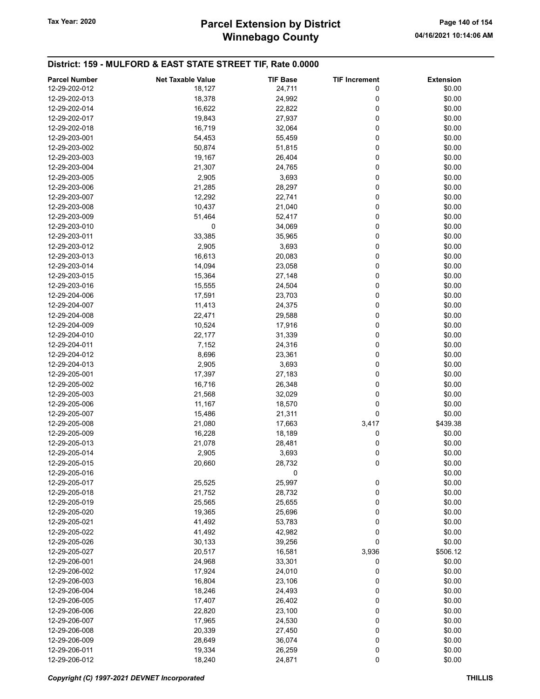# Winnebago County Tax Year: 2020 **Parcel Extension by District** Page 140 of 154

|                      | <b>Net Taxable Value</b> |                 |                      |                  |
|----------------------|--------------------------|-----------------|----------------------|------------------|
| <b>Parcel Number</b> |                          | <b>TIF Base</b> | <b>TIF Increment</b> | <b>Extension</b> |
| 12-29-202-012        | 18,127                   | 24,711          | 0                    | \$0.00           |
| 12-29-202-013        | 18,378                   | 24,992          | 0                    | \$0.00           |
| 12-29-202-014        | 16,622                   | 22,822          | 0                    | \$0.00           |
| 12-29-202-017        | 19,843                   | 27,937          | 0                    | \$0.00           |
| 12-29-202-018        | 16,719                   | 32,064          | 0                    | \$0.00           |
| 12-29-203-001        | 54,453                   | 55,459          | 0                    | \$0.00           |
| 12-29-203-002        | 50,874                   | 51,815          | 0                    | \$0.00           |
|                      |                          |                 |                      |                  |
| 12-29-203-003        | 19,167                   | 26,404          | 0                    | \$0.00           |
| 12-29-203-004        | 21,307                   | 24,765          | 0                    | \$0.00           |
| 12-29-203-005        | 2,905                    | 3,693           | 0                    | \$0.00           |
| 12-29-203-006        | 21,285                   | 28,297          | 0                    | \$0.00           |
| 12-29-203-007        | 12,292                   | 22,741          | 0                    | \$0.00           |
| 12-29-203-008        | 10,437                   | 21,040          | 0                    | \$0.00           |
| 12-29-203-009        | 51,464                   | 52,417          | 0                    | \$0.00           |
| 12-29-203-010        | 0                        | 34,069          | 0                    | \$0.00           |
| 12-29-203-011        | 33,385                   | 35,965          | 0                    | \$0.00           |
|                      |                          |                 |                      |                  |
| 12-29-203-012        | 2,905                    | 3,693           | 0                    | \$0.00           |
| 12-29-203-013        | 16,613                   | 20,083          | 0                    | \$0.00           |
| 12-29-203-014        | 14,094                   | 23,058          | 0                    | \$0.00           |
| 12-29-203-015        | 15,364                   | 27,148          | 0                    | \$0.00           |
| 12-29-203-016        | 15,555                   | 24,504          | 0                    | \$0.00           |
| 12-29-204-006        | 17,591                   | 23,703          | 0                    | \$0.00           |
| 12-29-204-007        | 11,413                   | 24,375          | 0                    | \$0.00           |
| 12-29-204-008        | 22,471                   | 29,588          | 0                    | \$0.00           |
| 12-29-204-009        | 10,524                   | 17,916          | 0                    | \$0.00           |
| 12-29-204-010        | 22,177                   | 31,339          | 0                    | \$0.00           |
|                      |                          |                 |                      |                  |
| 12-29-204-011        | 7,152                    | 24,316          | 0                    | \$0.00           |
| 12-29-204-012        | 8,696                    | 23,361          | 0                    | \$0.00           |
| 12-29-204-013        | 2,905                    | 3,693           | 0                    | \$0.00           |
| 12-29-205-001        | 17,397                   | 27,183          | 0                    | \$0.00           |
| 12-29-205-002        | 16,716                   | 26,348          | 0                    | \$0.00           |
| 12-29-205-003        | 21,568                   | 32,029          | 0                    | \$0.00           |
| 12-29-205-006        | 11,167                   | 18,570          | 0                    | \$0.00           |
| 12-29-205-007        | 15,486                   | 21,311          | 0                    | \$0.00           |
| 12-29-205-008        | 21,080                   | 17,663          | 3,417                | \$439.38         |
| 12-29-205-009        | 16,228                   | 18,189          | 0                    | \$0.00           |
|                      |                          |                 |                      |                  |
| 12-29-205-013        | 21,078                   | 28,481          | 0                    | \$0.00           |
| 12-29-205-014        | 2,905                    | 3,693           | 0                    | \$0.00           |
| 12-29-205-015        | 20,660                   | 28,732          | 0                    | \$0.00           |
| 12-29-205-016        |                          | 0               |                      | \$0.00           |
| 12-29-205-017        | 25,525                   | 25,997          | 0                    | \$0.00           |
| 12-29-205-018        | 21,752                   | 28,732          | 0                    | \$0.00           |
| 12-29-205-019        | 25,565                   | 25,655          | 0                    | \$0.00           |
| 12-29-205-020        | 19,365                   | 25,696          | 0                    | \$0.00           |
| 12-29-205-021        | 41,492                   | 53,783          | 0                    | \$0.00           |
| 12-29-205-022        | 41,492                   | 42,982          | 0                    | \$0.00           |
|                      |                          |                 |                      |                  |
| 12-29-205-026        | 30,133                   | 39,256          | 0                    | \$0.00           |
| 12-29-205-027        | 20,517                   | 16,581          | 3,936                | \$506.12         |
| 12-29-206-001        | 24,968                   | 33,301          | 0                    | \$0.00           |
| 12-29-206-002        | 17,924                   | 24,010          | 0                    | \$0.00           |
| 12-29-206-003        | 16,804                   | 23,106          | 0                    | \$0.00           |
| 12-29-206-004        | 18,246                   | 24,493          | 0                    | \$0.00           |
| 12-29-206-005        | 17,407                   | 26,402          | 0                    | \$0.00           |
| 12-29-206-006        | 22,820                   | 23,100          | 0                    | \$0.00           |
| 12-29-206-007        | 17,965                   | 24,530          | 0                    | \$0.00           |
| 12-29-206-008        | 20,339                   |                 |                      | \$0.00           |
|                      |                          | 27,450          | 0                    |                  |
| 12-29-206-009        | 28,649                   | 36,074          | 0                    | \$0.00           |
| 12-29-206-011        | 19,334                   | 26,259          | 0                    | \$0.00           |
| 12-29-206-012        | 18,240                   | 24,871          | 0                    | \$0.00           |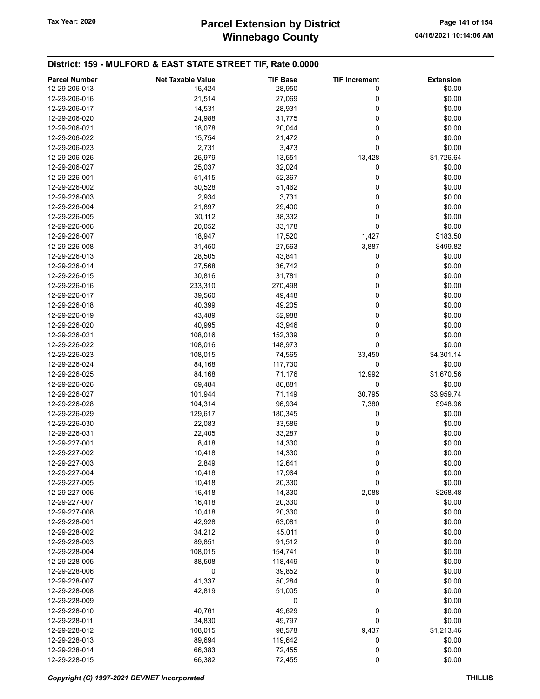# Winnebago County Tax Year: 2020 **Parcel Extension by District** Page 141 of 154

| <b>Parcel Number</b> | <b>Net Taxable Value</b> | <b>TIF Base</b> | <b>TIF Increment</b> | <b>Extension</b> |
|----------------------|--------------------------|-----------------|----------------------|------------------|
| 12-29-206-013        | 16,424                   | 28,950          | 0                    | \$0.00           |
| 12-29-206-016        | 21,514                   | 27,069          | 0                    | \$0.00           |
| 12-29-206-017        | 14,531                   | 28,931          | 0                    | \$0.00           |
| 12-29-206-020        | 24,988                   | 31,775          | 0                    | \$0.00           |
| 12-29-206-021        | 18,078                   | 20,044          | 0                    | \$0.00           |
| 12-29-206-022        | 15,754                   | 21,472          | 0                    | \$0.00           |
| 12-29-206-023        | 2,731                    | 3,473           | 0                    | \$0.00           |
| 12-29-206-026        | 26,979                   | 13,551          | 13,428               | \$1,726.64       |
| 12-29-206-027        | 25,037                   | 32,024          | 0                    | \$0.00           |
| 12-29-226-001        | 51,415                   | 52,367          | 0                    | \$0.00           |
| 12-29-226-002        | 50,528                   | 51,462          | 0                    | \$0.00           |
| 12-29-226-003        | 2,934                    | 3,731           | 0                    | \$0.00           |
| 12-29-226-004        | 21,897                   | 29,400          | 0                    | \$0.00           |
| 12-29-226-005        | 30,112                   | 38,332          | 0                    | \$0.00           |
| 12-29-226-006        | 20,052                   | 33,178          | 0                    | \$0.00           |
| 12-29-226-007        | 18,947                   | 17,520          | 1,427                | \$183.50         |
| 12-29-226-008        | 31,450                   | 27,563          | 3,887                | \$499.82         |
| 12-29-226-013        |                          |                 | 0                    | \$0.00           |
|                      | 28,505                   | 43,841          |                      |                  |
| 12-29-226-014        | 27,568                   | 36,742          | 0<br>0               | \$0.00           |
| 12-29-226-015        | 30,816                   | 31,781          |                      | \$0.00           |
| 12-29-226-016        | 233,310                  | 270,498         | 0                    | \$0.00           |
| 12-29-226-017        | 39,560                   | 49,448          | 0                    | \$0.00           |
| 12-29-226-018        | 40,399                   | 49,205          | 0                    | \$0.00           |
| 12-29-226-019        | 43,489                   | 52,988          | 0                    | \$0.00           |
| 12-29-226-020        | 40,995                   | 43,946          | 0                    | \$0.00           |
| 12-29-226-021        | 108,016                  | 152,339         | 0                    | \$0.00           |
| 12-29-226-022        | 108,016                  | 148,973         | 0                    | \$0.00           |
| 12-29-226-023        | 108,015                  | 74,565          | 33,450               | \$4,301.14       |
| 12-29-226-024        | 84,168                   | 117,730         | 0                    | \$0.00           |
| 12-29-226-025        | 84,168                   | 71,176          | 12,992               | \$1,670.56       |
| 12-29-226-026        | 69,484                   | 86,881          | 0                    | \$0.00           |
| 12-29-226-027        | 101,944                  | 71,149          | 30,795               | \$3,959.74       |
| 12-29-226-028        | 104,314                  | 96,934          | 7,380                | \$948.96         |
| 12-29-226-029        | 129,617                  | 180,345         | 0                    | \$0.00           |
| 12-29-226-030        | 22,083                   | 33,586          | 0                    | \$0.00           |
| 12-29-226-031        | 22,405                   | 33,287          | 0                    | \$0.00           |
| 12-29-227-001        | 8,418                    | 14,330          | 0                    | \$0.00           |
| 12-29-227-002        | 10,418                   | 14,330          | 0                    | \$0.00           |
| 12-29-227-003        | 2,849                    | 12,641          | 0                    | \$0.00           |
| 12-29-227-004        | 10,418                   | 17,964          | 0                    | \$0.00           |
| 12-29-227-005        | 10,418                   | 20,330          | 0                    | \$0.00           |
| 12-29-227-006        | 16,418                   | 14,330          | 2,088                | \$268.48         |
| 12-29-227-007        | 16,418                   | 20,330          | 0                    | \$0.00           |
| 12-29-227-008        | 10,418                   | 20,330          | 0                    | \$0.00           |
| 12-29-228-001        | 42,928                   | 63,081          | 0                    | \$0.00           |
| 12-29-228-002        | 34,212                   | 45,011          | 0                    | \$0.00           |
| 12-29-228-003        | 89,851                   | 91,512          | 0                    | \$0.00           |
| 12-29-228-004        | 108,015                  | 154,741         | 0                    | \$0.00           |
| 12-29-228-005        | 88,508                   | 118,449         | 0                    | \$0.00           |
| 12-29-228-006        | 0                        | 39,852          | 0                    | \$0.00           |
| 12-29-228-007        | 41,337                   | 50,284          | 0                    | \$0.00           |
| 12-29-228-008        | 42,819                   | 51,005          | 0                    | \$0.00           |
| 12-29-228-009        |                          | 0               |                      | \$0.00           |
| 12-29-228-010        | 40,761                   | 49,629          | $\boldsymbol{0}$     | \$0.00           |
| 12-29-228-011        | 34,830                   | 49,797          | 0                    | \$0.00           |
| 12-29-228-012        | 108,015                  | 98,578          | 9,437                | \$1,213.46       |
| 12-29-228-013        | 89,694                   | 119,642         | 0                    | \$0.00           |
| 12-29-228-014        | 66,383                   | 72,455          | 0                    | \$0.00           |
| 12-29-228-015        | 66,382                   | 72,455          | 0                    | \$0.00           |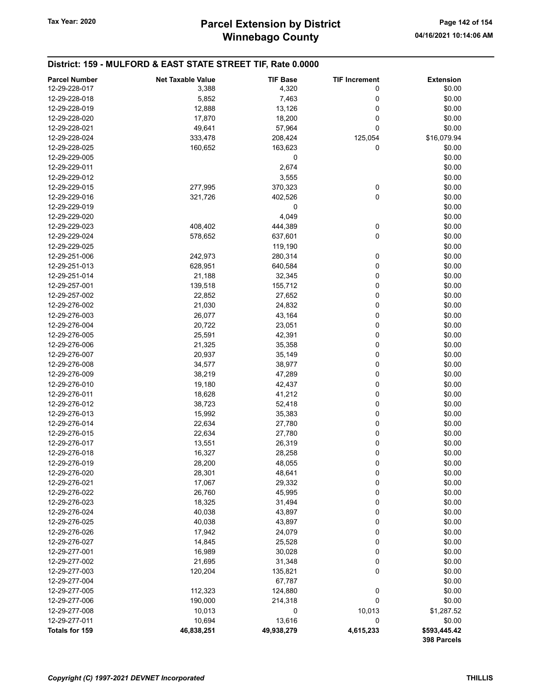| <b>Parcel Number</b> | Net Taxable Value | <b>TIF Base</b> | <b>TIF Increment</b> | <b>Extension</b> |
|----------------------|-------------------|-----------------|----------------------|------------------|
| 12-29-228-017        | 3,388             | 4,320           | 0                    | \$0.00           |
| 12-29-228-018        | 5,852             | 7,463           | 0                    | \$0.00           |
| 12-29-228-019        | 12,888            | 13,126          | 0                    | \$0.00           |
| 12-29-228-020        | 17,870            | 18,200          | 0                    | \$0.00           |
| 12-29-228-021        | 49,641            | 57,964          | 0                    | \$0.00           |
| 12-29-228-024        | 333,478           | 208,424         | 125,054              | \$16,079.94      |
| 12-29-228-025        | 160,652           | 163,623         | 0                    | \$0.00           |
| 12-29-229-005        |                   | 0               |                      | \$0.00           |
| 12-29-229-011        |                   | 2,674           |                      | \$0.00           |
| 12-29-229-012        |                   | 3,555           |                      | \$0.00           |
| 12-29-229-015        | 277,995           | 370,323         | 0                    | \$0.00           |
| 12-29-229-016        | 321,726           | 402,526         | 0                    | \$0.00           |
| 12-29-229-019        |                   | 0               |                      | \$0.00           |
| 12-29-229-020        |                   | 4,049           |                      | \$0.00           |
| 12-29-229-023        | 408,402           | 444,389         | 0                    | \$0.00           |
| 12-29-229-024        | 578,652           | 637,601         | 0                    | \$0.00           |
| 12-29-229-025        |                   | 119,190         |                      | \$0.00           |
| 12-29-251-006        | 242,973           | 280,314         | 0                    | \$0.00           |
| 12-29-251-013        | 628,951           | 640,584         | 0                    | \$0.00           |
| 12-29-251-014        | 21,188            | 32,345          | 0                    | \$0.00           |
| 12-29-257-001        | 139,518           | 155,712         | 0                    | \$0.00           |
| 12-29-257-002        | 22,852            | 27,652          | 0                    | \$0.00           |
| 12-29-276-002        | 21,030            | 24,832          | 0                    | \$0.00           |
| 12-29-276-003        | 26,077            | 43,164          | 0                    | \$0.00           |
| 12-29-276-004        | 20,722            | 23,051          | 0                    | \$0.00           |
| 12-29-276-005        | 25,591            | 42,391          | 0                    | \$0.00           |
| 12-29-276-006        | 21,325            | 35,358          | 0                    | \$0.00           |
| 12-29-276-007        | 20,937            | 35,149          | 0                    | \$0.00           |
| 12-29-276-008        | 34,577            | 38,977          | 0                    | \$0.00           |
| 12-29-276-009        | 38,219            | 47,289          | 0                    | \$0.00           |
| 12-29-276-010        | 19,180            | 42,437          | 0                    | \$0.00           |
| 12-29-276-011        | 18,628            | 41,212          | 0                    | \$0.00           |
| 12-29-276-012        | 38,723            | 52,418          | 0                    | \$0.00           |
| 12-29-276-013        | 15,992            | 35,383          | 0                    | \$0.00           |
| 12-29-276-014        | 22,634            | 27,780          | 0                    | \$0.00           |
| 12-29-276-015        | 22,634            | 27,780          | 0                    | \$0.00           |
| 12-29-276-017        | 13,551            | 26,319          | 0                    | \$0.00           |
| 12-29-276-018        | 16,327            | 28,258          | 0                    | \$0.00           |
| 12-29-276-019        | 28,200            | 48,055          | 0                    | \$0.00           |
| 12-29-276-020        | 28,301            | 48,641          | 0                    | \$0.00           |
| 12-29-276-021        | 17,067            | 29,332          | 0                    | \$0.00           |
| 12-29-276-022        | 26,760            | 45,995          | 0                    | \$0.00           |
| 12-29-276-023        | 18,325            | 31,494          | 0                    | \$0.00           |
| 12-29-276-024        | 40,038            | 43,897          | 0                    | \$0.00           |
| 12-29-276-025        | 40,038            | 43,897          | 0                    | \$0.00           |
| 12-29-276-026        | 17,942            | 24,079          | 0                    | \$0.00           |
| 12-29-276-027        | 14,845            | 25,528          | 0                    | \$0.00           |
| 12-29-277-001        | 16,989            | 30,028          | 0                    | \$0.00           |
| 12-29-277-002        | 21,695            | 31,348          | 0                    | \$0.00           |
| 12-29-277-003        | 120,204           | 135,821         | 0                    | \$0.00           |
| 12-29-277-004        |                   | 67,787          |                      | \$0.00           |
| 12-29-277-005        | 112,323           | 124,880         | 0                    | \$0.00           |
| 12-29-277-006        | 190,000           | 214,318         | 0                    | \$0.00           |
| 12-29-277-008        | 10,013            | 0               | 10,013               | \$1,287.52       |
| 12-29-277-011        | 10,694            | 13,616          | 0                    | \$0.00           |
| Totals for 159       | 46,838,251        | 49,938,279      | 4,615,233            | \$593,445.42     |
|                      |                   |                 |                      | 398 Parcels      |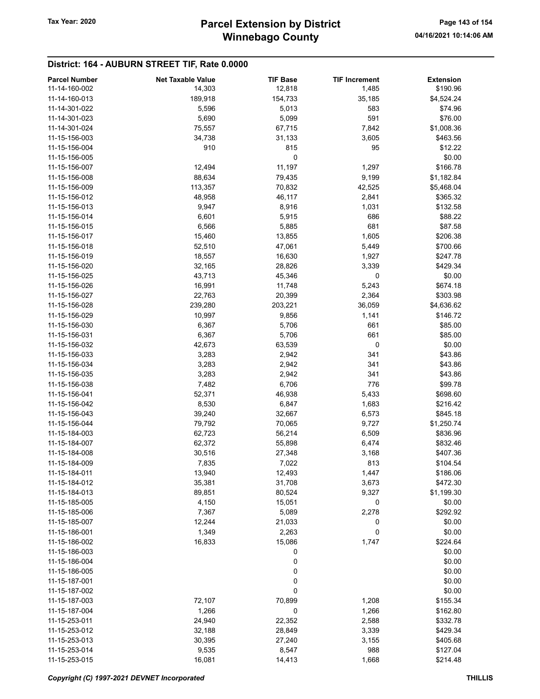### District: 164 - AUBURN STREET TIF, Rate 0.0000

| <b>Parcel Number</b> | <b>Net Taxable Value</b> | <b>TIF Base</b> | <b>TIF Increment</b> | <b>Extension</b> |
|----------------------|--------------------------|-----------------|----------------------|------------------|
| 11-14-160-002        | 14,303                   | 12,818          | 1,485                | \$190.96         |
| 11-14-160-013        | 189,918                  | 154,733         | 35,185               | \$4,524.24       |
| 11-14-301-022        | 5,596                    | 5,013           | 583                  | \$74.96          |
| 11-14-301-023        | 5,690                    | 5,099           | 591                  | \$76.00          |
| 11-14-301-024        |                          | 67,715          |                      | \$1,008.36       |
|                      | 75,557                   |                 | 7,842                |                  |
| 11-15-156-003        | 34,738                   | 31,133          | 3,605                | \$463.56         |
| 11-15-156-004        | 910                      | 815             | 95                   | \$12.22          |
| 11-15-156-005        |                          | 0               |                      | \$0.00           |
| 11-15-156-007        | 12,494                   | 11,197          | 1,297                | \$166.78         |
| 11-15-156-008        | 88,634                   | 79,435          | 9,199                | \$1,182.84       |
| 11-15-156-009        | 113,357                  | 70,832          | 42,525               | \$5,468.04       |
| 11-15-156-012        | 48,958                   | 46,117          | 2,841                | \$365.32         |
| 11-15-156-013        | 9,947                    | 8,916           | 1,031                | \$132.58         |
| 11-15-156-014        | 6,601                    | 5,915           | 686                  | \$88.22          |
| 11-15-156-015        | 6,566                    | 5,885           | 681                  | \$87.58          |
| 11-15-156-017        | 15,460                   | 13,855          | 1,605                | \$206.38         |
| 11-15-156-018        | 52,510                   | 47,061          | 5,449                | \$700.66         |
|                      |                          |                 |                      |                  |
| 11-15-156-019        | 18,557                   | 16,630          | 1,927                | \$247.78         |
| 11-15-156-020        | 32,165                   | 28,826          | 3,339                | \$429.34         |
| 11-15-156-025        | 43,713                   | 45,346          | 0                    | \$0.00           |
| 11-15-156-026        | 16,991                   | 11,748          | 5,243                | \$674.18         |
| 11-15-156-027        | 22,763                   | 20,399          | 2,364                | \$303.98         |
| 11-15-156-028        | 239,280                  | 203,221         | 36,059               | \$4,636.62       |
| 11-15-156-029        | 10,997                   | 9,856           | 1,141                | \$146.72         |
| 11-15-156-030        | 6,367                    | 5,706           | 661                  | \$85.00          |
| 11-15-156-031        | 6,367                    | 5,706           | 661                  | \$85.00          |
| 11-15-156-032        | 42,673                   | 63,539          | 0                    | \$0.00           |
| 11-15-156-033        | 3,283                    | 2,942           | 341                  | \$43.86          |
| 11-15-156-034        | 3,283                    | 2,942           | 341                  | \$43.86          |
|                      |                          |                 |                      |                  |
| 11-15-156-035        | 3,283                    | 2,942           | 341                  | \$43.86          |
| 11-15-156-038        | 7,482                    | 6,706           | 776                  | \$99.78          |
| 11-15-156-041        | 52,371                   | 46,938          | 5,433                | \$698.60         |
| 11-15-156-042        | 8,530                    | 6,847           | 1,683                | \$216.42         |
| 11-15-156-043        | 39,240                   | 32,667          | 6,573                | \$845.18         |
| 11-15-156-044        | 79,792                   | 70,065          | 9,727                | \$1,250.74       |
| 11-15-184-003        | 62,723                   | 56,214          | 6,509                | \$836.96         |
| 11-15-184-007        | 62,372                   | 55,898          | 6,474                | \$832.46         |
| 11-15-184-008        | 30,516                   | 27,348          | 3,168                | \$407.36         |
| 11-15-184-009        | 7,835                    | 7,022           | 813                  | \$104.54         |
| 11-15-184-011        | 13,940                   | 12,493          | 1,447                | \$186.06         |
| 11-15-184-012        | 35,381                   | 31,708          | 3,673                | \$472.30         |
| 11-15-184-013        | 89,851                   | 80,524          | 9,327                | \$1,199.30       |
| 11-15-185-005        | 4,150                    | 15,051          | 0                    | \$0.00           |
|                      |                          |                 |                      |                  |
| 11-15-185-006        | 7,367                    | 5,089           | 2,278                | \$292.92         |
| 11-15-185-007        | 12,244                   | 21,033          | 0                    | \$0.00           |
| 11-15-186-001        | 1,349                    | 2,263           | 0                    | \$0.00           |
| 11-15-186-002        | 16,833                   | 15,086          | 1,747                | \$224.64         |
| 11-15-186-003        |                          | 0               |                      | \$0.00           |
| 11-15-186-004        |                          | 0               |                      | \$0.00           |
| 11-15-186-005        |                          | 0               |                      | \$0.00           |
| 11-15-187-001        |                          | 0               |                      | \$0.00           |
| 11-15-187-002        |                          | 0               |                      | \$0.00           |
| 11-15-187-003        | 72,107                   | 70,899          | 1,208                | \$155.34         |
| 11-15-187-004        | 1,266                    | 0               | 1,266                | \$162.80         |
| 11-15-253-011        | 24,940                   | 22,352          | 2,588                | \$332.78         |
| 11-15-253-012        | 32,188                   | 28,849          | 3,339                | \$429.34         |
| 11-15-253-013        | 30,395                   | 27,240          | 3,155                | \$405.68         |
| 11-15-253-014        | 9,535                    | 8,547           | 988                  | \$127.04         |
|                      |                          |                 |                      |                  |
| 11-15-253-015        | 16,081                   | 14,413          | 1,668                | \$214.48         |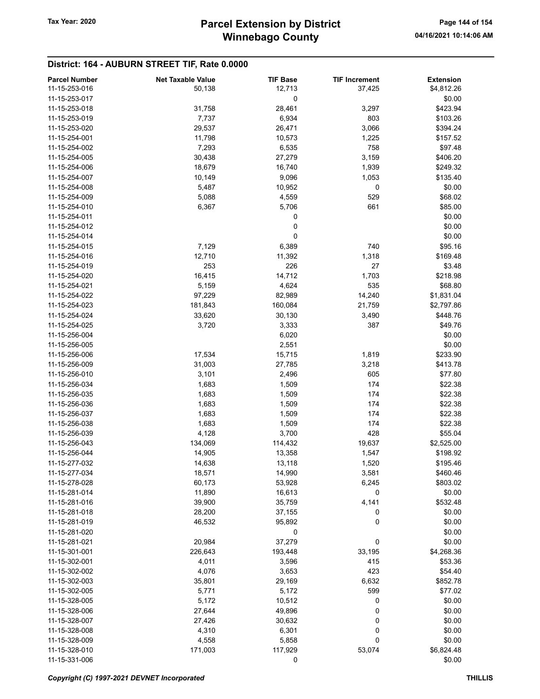### District: 164 - AUBURN STREET TIF, Rate 0.0000

| <b>Parcel Number</b> | <b>Net Taxable Value</b> | <b>TIF Base</b> | <b>TIF Increment</b> | <b>Extension</b> |
|----------------------|--------------------------|-----------------|----------------------|------------------|
| 11-15-253-016        | 50,138                   | 12,713          | 37,425               | \$4,812.26       |
| 11-15-253-017        |                          | 0               |                      | \$0.00           |
| 11-15-253-018        | 31,758                   | 28,461          | 3,297                | \$423.94         |
| 11-15-253-019        | 7,737                    | 6,934           | 803                  | \$103.26         |
| 11-15-253-020        | 29,537                   | 26,471          | 3,066                | \$394.24         |
| 11-15-254-001        | 11,798                   | 10,573          | 1,225                | \$157.52         |
| 11-15-254-002        | 7,293                    | 6,535           | 758                  | \$97.48          |
| 11-15-254-005        | 30,438                   | 27,279          | 3,159                | \$406.20         |
| 11-15-254-006        | 18,679                   | 16,740          | 1,939                | \$249.32         |
|                      | 10,149                   |                 |                      | \$135.40         |
| 11-15-254-007        |                          | 9,096           | 1,053                |                  |
| 11-15-254-008        | 5,487                    | 10,952          | 0                    | \$0.00           |
| 11-15-254-009        | 5,088                    | 4,559           | 529                  | \$68.02          |
| 11-15-254-010        | 6,367                    | 5,706           | 661                  | \$85.00          |
| 11-15-254-011        |                          | 0               |                      | \$0.00           |
| 11-15-254-012        |                          | 0               |                      | \$0.00           |
| 11-15-254-014        |                          | 0               |                      | \$0.00           |
| 11-15-254-015        | 7,129                    | 6,389           | 740                  | \$95.16          |
| 11-15-254-016        | 12,710                   | 11,392          | 1,318                | \$169.48         |
| 11-15-254-019        | 253                      | 226             | 27                   | \$3.48           |
| 11-15-254-020        | 16,415                   | 14,712          | 1,703                | \$218.98         |
| 11-15-254-021        | 5,159                    | 4,624           | 535                  | \$68.80          |
| 11-15-254-022        | 97,229                   | 82,989          | 14,240               | \$1,831.04       |
| 11-15-254-023        | 181,843                  | 160,084         | 21,759               | \$2,797.86       |
| 11-15-254-024        | 33,620                   | 30,130          | 3,490                | \$448.76         |
| 11-15-254-025        | 3,720                    | 3,333           | 387                  | \$49.76          |
| 11-15-256-004        |                          | 6,020           |                      | \$0.00           |
| 11-15-256-005        |                          | 2,551           |                      | \$0.00           |
| 11-15-256-006        | 17,534                   | 15,715          | 1,819                | \$233.90         |
| 11-15-256-009        | 31,003                   | 27,785          | 3,218                | \$413.78         |
| 11-15-256-010        | 3,101                    | 2,496           | 605                  | \$77.80          |
| 11-15-256-034        | 1,683                    | 1,509           | 174                  | \$22.38          |
| 11-15-256-035        | 1,683                    | 1,509           | 174                  | \$22.38          |
| 11-15-256-036        | 1,683                    | 1,509           | 174                  | \$22.38          |
| 11-15-256-037        | 1,683                    | 1,509           | 174                  | \$22.38          |
| 11-15-256-038        | 1,683                    |                 | 174                  | \$22.38          |
| 11-15-256-039        | 4,128                    | 1,509<br>3,700  | 428                  | \$55.04          |
| 11-15-256-043        |                          |                 |                      | \$2,525.00       |
|                      | 134,069                  | 114,432         | 19,637               |                  |
| 11-15-256-044        | 14,905                   | 13,358          | 1,547                | \$198.92         |
| 11-15-277-032        | 14,638                   | 13,118          | 1,520                | \$195.46         |
| 11-15-277-034        | 18,571                   | 14,990          | 3,581                | \$460.46         |
| 11-15-278-028        | 60,173                   | 53,928          | 6,245                | \$803.02         |
| 11-15-281-014        | 11,890                   | 16,613          | 0                    | \$0.00           |
| 11-15-281-016        | 39,900                   | 35,759          | 4,141                | \$532.48         |
| 11-15-281-018        | 28,200                   | 37,155          | 0                    | \$0.00           |
| 11-15-281-019        | 46,532                   | 95,892          | 0                    | \$0.00           |
| 11-15-281-020        |                          | 0               |                      | \$0.00           |
| 11-15-281-021        | 20,984                   | 37,279          | 0                    | \$0.00           |
| 11-15-301-001        | 226,643                  | 193,448         | 33,195               | \$4,268.36       |
| 11-15-302-001        | 4,011                    | 3,596           | 415                  | \$53.36          |
| 11-15-302-002        | 4,076                    | 3,653           | 423                  | \$54.40          |
| 11-15-302-003        | 35,801                   | 29,169          | 6,632                | \$852.78         |
| 11-15-302-005        | 5,771                    | 5,172           | 599                  | \$77.02          |
| 11-15-328-005        | 5,172                    | 10,512          | 0                    | \$0.00           |
| 11-15-328-006        | 27,644                   | 49,896          | 0                    | \$0.00           |
| 11-15-328-007        | 27,426                   | 30,632          | 0                    | \$0.00           |
| 11-15-328-008        | 4,310                    | 6,301           | 0                    | \$0.00           |
| 11-15-328-009        | 4,558                    | 5,858           | 0                    | \$0.00           |
| 11-15-328-010        | 171,003                  | 117,929         | 53,074               | \$6,824.48       |
| 11-15-331-006        |                          | 0               |                      | \$0.00           |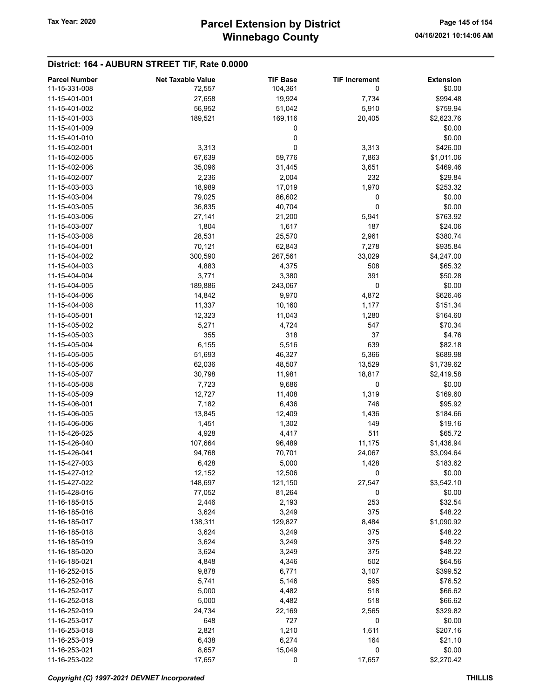# District: 164 - AUBURN STREET TIF, Rate 0.0000

| <b>Parcel Number</b> | <b>Net Taxable Value</b> | <b>TIF Base</b> | <b>TIF Increment</b> | <b>Extension</b> |
|----------------------|--------------------------|-----------------|----------------------|------------------|
| 11-15-331-008        | 72,557                   | 104,361         | 0                    | \$0.00           |
| 11-15-401-001        | 27,658                   | 19,924          | 7,734                | \$994.48         |
| 11-15-401-002        | 56,952                   | 51,042          | 5,910                | \$759.94         |
| 11-15-401-003        | 189,521                  | 169,116         | 20,405               | \$2,623.76       |
| 11-15-401-009        |                          | 0               |                      | \$0.00           |
| 11-15-401-010        |                          | 0               |                      | \$0.00           |
| 11-15-402-001        | 3,313                    | 0               | 3,313                | \$426.00         |
| 11-15-402-005        | 67,639                   | 59,776          | 7,863                | \$1,011.06       |
| 11-15-402-006        | 35,096                   | 31,445          | 3,651                | \$469.46         |
| 11-15-402-007        | 2,236                    | 2,004           | 232                  | \$29.84          |
| 11-15-403-003        | 18,989                   | 17,019          | 1,970                | \$253.32         |
| 11-15-403-004        | 79,025                   | 86,602          | 0                    | \$0.00           |
| 11-15-403-005        | 36,835                   | 40,704          | 0                    | \$0.00           |
| 11-15-403-006        | 27,141                   | 21,200          | 5,941                | \$763.92         |
| 11-15-403-007        | 1,804                    | 1,617           | 187                  | \$24.06          |
| 11-15-403-008        | 28,531                   | 25,570          | 2,961                | \$380.74         |
| 11-15-404-001        | 70,121                   | 62,843          | 7,278                | \$935.84         |
| 11-15-404-002        | 300,590                  | 267,561         | 33,029               | \$4,247.00       |
| 11-15-404-003        | 4,883                    | 4,375           | 508                  | \$65.32          |
| 11-15-404-004        | 3,771                    | 3,380           | 391                  | \$50.28          |
| 11-15-404-005        | 189,886                  | 243,067         | 0                    | \$0.00           |
| 11-15-404-006        | 14,842                   | 9,970           | 4,872                | \$626.46         |
| 11-15-404-008        | 11,337                   | 10,160          | 1,177                | \$151.34         |
| 11-15-405-001        | 12,323                   | 11,043          | 1,280                | \$164.60         |
| 11-15-405-002        | 5,271                    | 4,724           | 547                  | \$70.34          |
| 11-15-405-003        | 355                      | 318             | 37                   | \$4.76           |
| 11-15-405-004        | 6,155                    | 5,516           | 639                  | \$82.18          |
| 11-15-405-005        | 51,693                   | 46,327          | 5,366                | \$689.98         |
| 11-15-405-006        | 62,036                   | 48,507          | 13,529               | \$1,739.62       |
| 11-15-405-007        | 30,798                   | 11,981          | 18,817               | \$2,419.58       |
| 11-15-405-008        | 7,723                    | 9,686           | 0                    | \$0.00           |
| 11-15-405-009        | 12,727                   | 11,408          | 1,319                | \$169.60         |
| 11-15-406-001        | 7,182                    | 6,436           | 746                  | \$95.92          |
| 11-15-406-005        | 13,845                   | 12,409          | 1,436                | \$184.66         |
| 11-15-406-006        | 1,451                    | 1,302           | 149                  | \$19.16          |
| 11-15-426-025        | 4,928                    | 4,417           | 511                  | \$65.72          |
| 11-15-426-040        | 107,664                  | 96,489          | 11,175               | \$1,436.94       |
| 11-15-426-041        | 94,768                   | 70,701          | 24,067               | \$3,094.64       |
| 11-15-427-003        | 6,428                    | 5,000           | 1,428                | \$183.62         |
| 11-15-427-012        | 12,152                   | 12,506          | 0                    | \$0.00           |
| 11-15-427-022        | 148,697                  | 121,150         | 27,547               | \$3,542.10       |
| 11-15-428-016        | 77,052                   | 81,264          | 0                    | \$0.00           |
| 11-16-185-015        | 2,446                    | 2,193           | 253                  | \$32.54          |
| 11-16-185-016        | 3,624                    | 3,249           | 375                  | \$48.22          |
| 11-16-185-017        | 138,311                  | 129,827         | 8,484                | \$1,090.92       |
| 11-16-185-018        | 3,624                    | 3,249           | 375                  | \$48.22          |
| 11-16-185-019        | 3,624                    | 3,249           | 375                  | \$48.22          |
| 11-16-185-020        | 3,624                    | 3,249           | 375                  | \$48.22          |
| 11-16-185-021        | 4,848                    | 4,346           | 502                  | \$64.56          |
| 11-16-252-015        | 9,878                    | 6,771           | 3,107                | \$399.52         |
| 11-16-252-016        | 5,741                    | 5,146           | 595                  | \$76.52          |
| 11-16-252-017        | 5,000                    | 4,482           | 518                  | \$66.62          |
| 11-16-252-018        | 5,000                    | 4,482           | 518                  | \$66.62          |
| 11-16-252-019        | 24,734                   | 22,169          | 2,565                | \$329.82         |
| 11-16-253-017        | 648                      | 727             | 0                    | \$0.00           |
| 11-16-253-018        | 2,821                    | 1,210           | 1,611                | \$207.16         |
| 11-16-253-019        | 6,438                    | 6,274           | 164                  | \$21.10          |
| 11-16-253-021        | 8,657                    | 15,049          | 0                    | \$0.00           |
| 11-16-253-022        | 17,657                   | 0               | 17,657               | \$2,270.42       |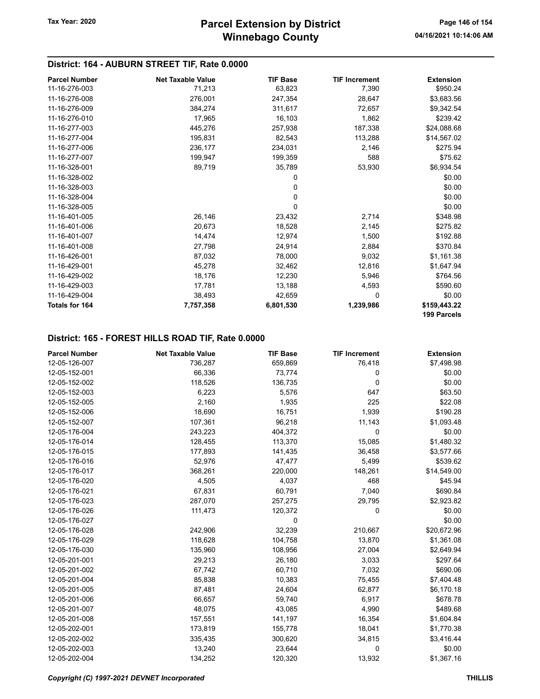# District: 164 - AUBURN STREET TIF, Rate 0.0000

| <b>Parcel Number</b> | <b>Net Taxable Value</b> | <b>TIF Base</b> | <b>TIF Increment</b> | <b>Extension</b>            |
|----------------------|--------------------------|-----------------|----------------------|-----------------------------|
| 11-16-276-003        | 71,213                   | 63,823          | 7,390                | \$950.24                    |
| 11-16-276-008        | 276,001                  | 247,354         | 28,647               | \$3,683.56                  |
| 11-16-276-009        | 384,274                  | 311,617         | 72,657               | \$9,342.54                  |
| 11-16-276-010        | 17,965                   | 16,103          | 1,862                | \$239.42                    |
| 11-16-277-003        | 445,276                  | 257,938         | 187,338              | \$24,088.68                 |
| 11-16-277-004        | 195,831                  | 82,543          | 113,288              | \$14,567.02                 |
| 11-16-277-006        | 236,177                  | 234,031         | 2,146                | \$275.94                    |
| 11-16-277-007        | 199,947                  | 199,359         | 588                  | \$75.62                     |
| 11-16-328-001        | 89,719                   | 35,789          | 53,930               | \$6,934.54                  |
| 11-16-328-002        |                          | 0               |                      | \$0.00                      |
| 11-16-328-003        |                          | 0               |                      | \$0.00                      |
| 11-16-328-004        |                          | 0               |                      | \$0.00                      |
| 11-16-328-005        |                          | 0               |                      | \$0.00                      |
| 11-16-401-005        | 26,146                   | 23,432          | 2,714                | \$348.98                    |
| 11-16-401-006        | 20,673                   | 18,528          | 2,145                | \$275.82                    |
| 11-16-401-007        | 14,474                   | 12,974          | 1,500                | \$192.88                    |
| 11-16-401-008        | 27,798                   | 24,914          | 2,884                | \$370.84                    |
| 11-16-426-001        | 87,032                   | 78,000          | 9,032                | \$1,161.38                  |
| 11-16-429-001        | 45,278                   | 32,462          | 12,816               | \$1,647.94                  |
| 11-16-429-002        | 18,176                   | 12,230          | 5,946                | \$764.56                    |
| 11-16-429-003        | 17,781                   | 13,188          | 4,593                | \$590.60                    |
| 11-16-429-004        | 38,493                   | 42,659          | 0                    | \$0.00                      |
| Totals for 164       | 7,757,358                | 6,801,530       | 1,239,986            | \$159,443.22<br>199 Parcels |

### District: 165 - FOREST HILLS ROAD TIF, Rate 0.0000

| <b>Parcel Number</b> | <b>Net Taxable Value</b> | <b>TIF Base</b> | <b>TIF Increment</b> | <b>Extension</b> |
|----------------------|--------------------------|-----------------|----------------------|------------------|
| 12-05-126-007        | 736,287                  | 659,869         | 76,418               | \$7,498.98       |
| 12-05-152-001        | 66,336                   | 73,774          | 0                    | \$0.00           |
| 12-05-152-002        | 118,526                  | 136,735         | $\mathbf{0}$         | \$0.00           |
| 12-05-152-003        | 6,223                    | 5,576           | 647                  | \$63.50          |
| 12-05-152-005        | 2,160                    | 1,935           | 225                  | \$22.08          |
| 12-05-152-006        | 18,690                   | 16,751          | 1,939                | \$190.28         |
| 12-05-152-007        | 107,361                  | 96,218          | 11,143               | \$1,093.48       |
| 12-05-176-004        | 243,223                  | 404,372         | $\mathbf 0$          | \$0.00           |
| 12-05-176-014        | 128,455                  | 113,370         | 15,085               | \$1,480.32       |
| 12-05-176-015        | 177,893                  | 141,435         | 36,458               | \$3,577.66       |
| 12-05-176-016        | 52,976                   | 47,477          | 5,499                | \$539.62         |
| 12-05-176-017        | 368,261                  | 220,000         | 148,261              | \$14,549.00      |
| 12-05-176-020        | 4,505                    | 4,037           | 468                  | \$45.94          |
| 12-05-176-021        | 67,831                   | 60,791          | 7,040                | \$690.84         |
| 12-05-176-023        | 287,070                  | 257,275         | 29,795               | \$2,923.82       |
| 12-05-176-026        | 111,473                  | 120,372         | 0                    | \$0.00           |
| 12-05-176-027        |                          | 0               |                      | \$0.00           |
| 12-05-176-028        | 242,906                  | 32,239          | 210,667              | \$20,672.96      |
| 12-05-176-029        | 118,628                  | 104,758         | 13,870               | \$1,361.08       |
| 12-05-176-030        | 135,960                  | 108,956         | 27,004               | \$2,649.94       |
| 12-05-201-001        | 29,213                   | 26,180          | 3,033                | \$297.64         |
| 12-05-201-002        | 67,742                   | 60,710          | 7,032                | \$690.06         |
| 12-05-201-004        | 85,838                   | 10,383          | 75,455               | \$7,404.48       |
| 12-05-201-005        | 87,481                   | 24,604          | 62,877               | \$6,170.18       |
| 12-05-201-006        | 66,657                   | 59,740          | 6,917                | \$678.78         |
| 12-05-201-007        | 48,075                   | 43,085          | 4,990                | \$489.68         |
| 12-05-201-008        | 157,551                  | 141,197         | 16,354               | \$1,604.84       |
| 12-05-202-001        | 173,819                  | 155,778         | 18,041               | \$1,770.38       |
| 12-05-202-002        | 335,435                  | 300,620         | 34,815               | \$3,416.44       |
| 12-05-202-003        | 13,240                   | 23,644          | $\mathbf 0$          | \$0.00           |
| 12-05-202-004        | 134,252                  | 120,320         | 13,932               | \$1,367.16       |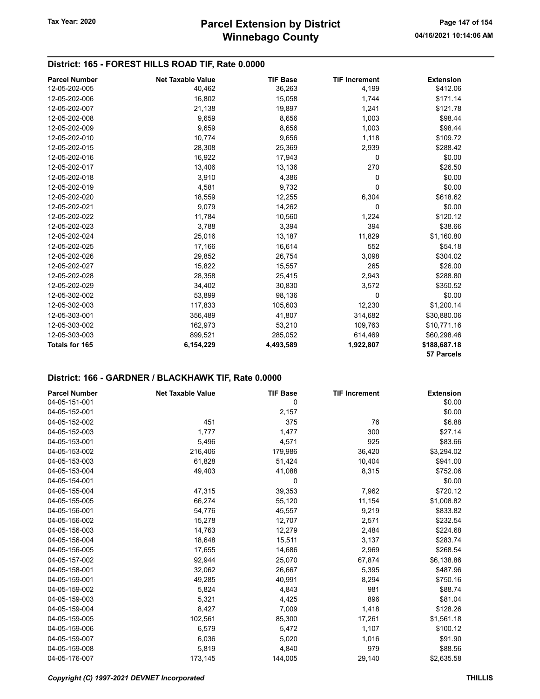# District: 165 - FOREST HILLS ROAD TIF, Rate 0.0000

| <b>Parcel Number</b>  | <b>Net Taxable Value</b> | <b>TIF Base</b> | <b>TIF Increment</b> | <b>Extension</b> |
|-----------------------|--------------------------|-----------------|----------------------|------------------|
| 12-05-202-005         | 40,462                   | 36,263          | 4,199                | \$412.06         |
| 12-05-202-006         | 16,802                   | 15,058          | 1,744                | \$171.14         |
| 12-05-202-007         | 21,138                   | 19,897          | 1,241                | \$121.78         |
| 12-05-202-008         | 9,659                    | 8,656           | 1,003                | \$98.44          |
| 12-05-202-009         | 9,659                    | 8,656           | 1,003                | \$98.44          |
| 12-05-202-010         | 10,774                   | 9,656           | 1,118                | \$109.72         |
| 12-05-202-015         | 28,308                   | 25,369          | 2,939                | \$288.42         |
| 12-05-202-016         | 16,922                   | 17,943          | 0                    | \$0.00           |
| 12-05-202-017         | 13,406                   | 13,136          | 270                  | \$26.50          |
| 12-05-202-018         | 3,910                    | 4,386           | 0                    | \$0.00           |
| 12-05-202-019         | 4,581                    | 9,732           | 0                    | \$0.00           |
| 12-05-202-020         | 18,559                   | 12,255          | 6,304                | \$618.62         |
| 12-05-202-021         | 9,079                    | 14,262          | 0                    | \$0.00           |
| 12-05-202-022         | 11,784                   | 10,560          | 1,224                | \$120.12         |
| 12-05-202-023         | 3,788                    | 3,394           | 394                  | \$38.66          |
| 12-05-202-024         | 25,016                   | 13,187          | 11,829               | \$1,160.80       |
| 12-05-202-025         | 17,166                   | 16,614          | 552                  | \$54.18          |
| 12-05-202-026         | 29,852                   | 26,754          | 3,098                | \$304.02         |
| 12-05-202-027         | 15,822                   | 15,557          | 265                  | \$26.00          |
| 12-05-202-028         | 28,358                   | 25,415          | 2,943                | \$288.80         |
| 12-05-202-029         | 34,402                   | 30,830          | 3,572                | \$350.52         |
| 12-05-302-002         | 53,899                   | 98,136          | 0                    | \$0.00           |
| 12-05-302-003         | 117,833                  | 105,603         | 12,230               | \$1,200.14       |
| 12-05-303-001         | 356,489                  | 41,807          | 314,682              | \$30,880.06      |
| 12-05-303-002         | 162,973                  | 53,210          | 109,763              | \$10,771.16      |
| 12-05-303-003         | 899,521                  | 285,052         | 614,469              | \$60,298.46      |
| <b>Totals for 165</b> | 6,154,229                | 4,493,589       | 1,922,807            | \$188,687.18     |
|                       |                          |                 |                      | 57 Parcels       |

| <b>Parcel Number</b> | <b>Net Taxable Value</b> | <b>TIF Base</b> | <b>TIF Increment</b> | <b>Extension</b> |
|----------------------|--------------------------|-----------------|----------------------|------------------|
| 04-05-151-001        |                          | 0               |                      | \$0.00           |
| 04-05-152-001        |                          | 2,157           |                      | \$0.00           |
| 04-05-152-002        | 451                      | 375             | 76                   | \$6.88           |
| 04-05-152-003        | 1,777                    | 1,477           | 300                  | \$27.14          |
| 04-05-153-001        | 5,496                    | 4,571           | 925                  | \$83.66          |
| 04-05-153-002        | 216,406                  | 179,986         | 36,420               | \$3,294.02       |
| 04-05-153-003        | 61,828                   | 51,424          | 10,404               | \$941.00         |
| 04-05-153-004        | 49,403                   | 41,088          | 8,315                | \$752.06         |
| 04-05-154-001        |                          | 0               |                      | \$0.00           |
| 04-05-155-004        | 47,315                   | 39,353          | 7,962                | \$720.12         |
| 04-05-155-005        | 66,274                   | 55,120          | 11,154               | \$1,008.82       |
| 04-05-156-001        | 54,776                   | 45,557          | 9,219                | \$833.82         |
| 04-05-156-002        | 15,278                   | 12,707          | 2,571                | \$232.54         |
| 04-05-156-003        | 14,763                   | 12,279          | 2,484                | \$224.68         |
| 04-05-156-004        | 18,648                   | 15,511          | 3,137                | \$283.74         |
| 04-05-156-005        | 17,655                   | 14,686          | 2,969                | \$268.54         |
| 04-05-157-002        | 92,944                   | 25,070          | 67,874               | \$6,138.86       |
| 04-05-158-001        | 32,062                   | 26,667          | 5,395                | \$487.96         |
| 04-05-159-001        | 49,285                   | 40,991          | 8,294                | \$750.16         |
| 04-05-159-002        | 5,824                    | 4,843           | 981                  | \$88.74          |
| 04-05-159-003        | 5,321                    | 4,425           | 896                  | \$81.04          |
| 04-05-159-004        | 8,427                    | 7,009           | 1,418                | \$128.26         |
| 04-05-159-005        | 102,561                  | 85,300          | 17,261               | \$1,561.18       |
| 04-05-159-006        | 6,579                    | 5,472           | 1,107                | \$100.12         |
| 04-05-159-007        | 6,036                    | 5,020           | 1,016                | \$91.90          |
| 04-05-159-008        | 5,819                    | 4,840           | 979                  | \$88.56          |
| 04-05-176-007        | 173,145                  | 144,005         | 29,140               | \$2,635.58       |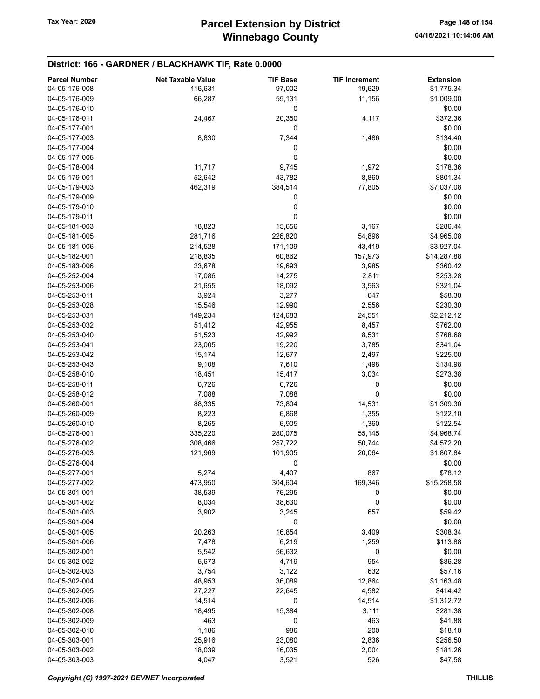| <b>Parcel Number</b> | <b>Net Taxable Value</b> | <b>TIF Base</b> | <b>TIF Increment</b> | <b>Extension</b> |
|----------------------|--------------------------|-----------------|----------------------|------------------|
| 04-05-176-008        | 116,631                  | 97,002          | 19,629               | \$1,775.34       |
| 04-05-176-009        | 66,287                   | 55,131          | 11,156               | \$1,009.00       |
| 04-05-176-010        |                          | 0               |                      | \$0.00           |
| 04-05-176-011        | 24,467                   | 20,350          | 4,117                | \$372.36         |
| 04-05-177-001        |                          | 0               |                      | \$0.00           |
| 04-05-177-003        | 8,830                    | 7,344           | 1,486                | \$134.40         |
| 04-05-177-004        |                          | 0               |                      | \$0.00           |
| 04-05-177-005        |                          | 0               |                      | \$0.00           |
| 04-05-178-004        | 11,717                   | 9,745           | 1,972                | \$178.36         |
| 04-05-179-001        | 52,642                   | 43,782          | 8,860                | \$801.34         |
| 04-05-179-003        | 462,319                  | 384,514         | 77,805               | \$7,037.08       |
| 04-05-179-009        |                          | 0               |                      | \$0.00           |
| 04-05-179-010        |                          | 0               |                      | \$0.00           |
| 04-05-179-011        |                          | 0               |                      | \$0.00           |
| 04-05-181-003        | 18,823                   | 15,656          | 3,167                | \$286.44         |
| 04-05-181-005        | 281,716                  | 226,820         | 54,896               | \$4,965.08       |
| 04-05-181-006        | 214,528                  | 171,109         | 43,419               | \$3,927.04       |
| 04-05-182-001        | 218,835                  | 60,862          | 157,973              | \$14,287.88      |
| 04-05-183-006        | 23,678                   | 19,693          | 3,985                | \$360.42         |
| 04-05-252-004        | 17,086                   | 14,275          | 2,811                | \$253.28         |
| 04-05-253-006        | 21,655                   | 18,092          | 3,563                | \$321.04         |
| 04-05-253-011        | 3,924                    | 3,277           | 647                  | \$58.30          |
| 04-05-253-028        | 15,546                   | 12,990          | 2,556                | \$230.30         |
| 04-05-253-031        | 149,234                  | 124,683         | 24,551               | \$2,212.12       |
| 04-05-253-032        | 51,412                   | 42,955          | 8,457                | \$762.00         |
| 04-05-253-040        | 51,523                   | 42,992          | 8,531                | \$768.68         |
| 04-05-253-041        | 23,005                   | 19,220          | 3,785                | \$341.04         |
| 04-05-253-042        | 15,174                   | 12,677          | 2,497                | \$225.00         |
| 04-05-253-043        | 9,108                    | 7,610           | 1,498                | \$134.98         |
| 04-05-258-010        | 18,451                   | 15,417          | 3,034                | \$273.38         |
| 04-05-258-011        | 6,726                    | 6,726           | 0                    | \$0.00           |
| 04-05-258-012        | 7,088                    | 7,088           | 0                    | \$0.00           |
| 04-05-260-001        | 88,335                   | 73,804          | 14,531               | \$1,309.30       |
| 04-05-260-009        | 8,223                    | 6,868           | 1,355                | \$122.10         |
| 04-05-260-010        | 8,265                    | 6,905           | 1,360                | \$122.54         |
| 04-05-276-001        | 335,220                  | 280,075         | 55,145               | \$4,968.74       |
| 04-05-276-002        | 308,466                  | 257,722         | 50,744               | \$4,572.20       |
| 04-05-276-003        | 121,969                  | 101,905         | 20,064               | \$1,807.84       |
| 04-05-276-004        |                          | 0               |                      | \$0.00           |
| 04-05-277-001        | 5,274                    | 4,407           | 867                  | \$78.12          |
| 04-05-277-002        | 473,950                  | 304,604         | 169,346              | \$15,258.58      |
| 04-05-301-001        | 38,539                   | 76,295          | 0                    | \$0.00           |
| 04-05-301-002        | 8,034                    | 38,630          | 0                    | \$0.00           |
| 04-05-301-003        | 3,902                    | 3,245           | 657                  | \$59.42          |
| 04-05-301-004        |                          | 0               |                      | \$0.00           |
| 04-05-301-005        | 20,263                   | 16,854          | 3,409                | \$308.34         |
| 04-05-301-006        | 7,478                    | 6,219           | 1,259                | \$113.88         |
| 04-05-302-001        | 5,542                    | 56,632          | 0                    | \$0.00           |
| 04-05-302-002        | 5,673                    | 4,719           | 954                  | \$86.28          |
| 04-05-302-003        | 3,754                    | 3,122           | 632                  | \$57.16          |
| 04-05-302-004        | 48,953                   | 36,089          | 12,864               | \$1,163.48       |
| 04-05-302-005        | 27,227                   | 22,645          | 4,582                | \$414.42         |
| 04-05-302-006        | 14,514                   | 0               | 14,514               | \$1,312.72       |
| 04-05-302-008        | 18,495                   | 15,384          | 3,111                | \$281.38         |
| 04-05-302-009        | 463                      | 0               | 463                  | \$41.88          |
| 04-05-302-010        | 1,186                    | 986             | 200                  | \$18.10          |
| 04-05-303-001        | 25,916                   | 23,080          | 2,836                | \$256.50         |
| 04-05-303-002        | 18,039                   | 16,035          | 2,004                | \$181.26         |
| 04-05-303-003        | 4,047                    | 3,521           | 526                  | \$47.58          |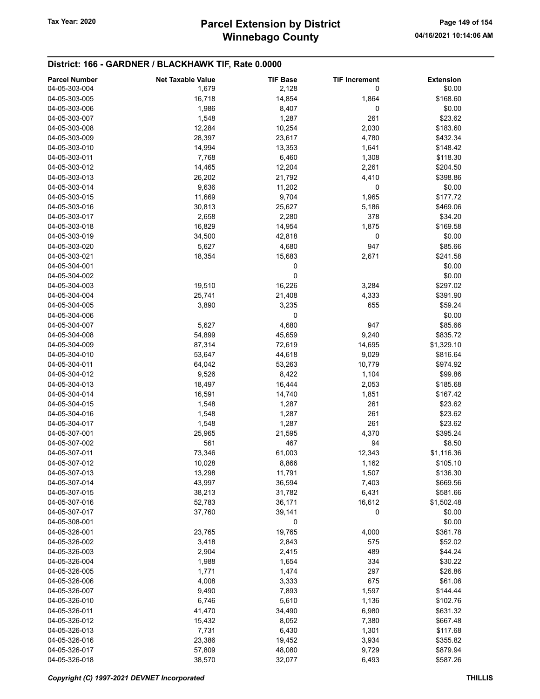| <b>Parcel Number</b> | <b>Net Taxable Value</b> | <b>TIF Base</b> | <b>TIF Increment</b> | <b>Extension</b> |
|----------------------|--------------------------|-----------------|----------------------|------------------|
| 04-05-303-004        | 1,679                    | 2,128           | 0                    | \$0.00           |
| 04-05-303-005        | 16,718                   | 14,854          | 1,864                | \$168.60         |
| 04-05-303-006        | 1,986                    | 8,407           | 0                    | \$0.00           |
| 04-05-303-007        |                          | 1,287           | 261                  | \$23.62          |
|                      | 1,548                    |                 |                      |                  |
| 04-05-303-008        | 12,284                   | 10,254          | 2,030                | \$183.60         |
| 04-05-303-009        | 28,397                   | 23,617          | 4,780                | \$432.34         |
| 04-05-303-010        | 14,994                   | 13,353          | 1,641                | \$148.42         |
| 04-05-303-011        | 7,768                    | 6,460           | 1,308                | \$118.30         |
| 04-05-303-012        | 14,465                   | 12,204          | 2,261                | \$204.50         |
| 04-05-303-013        | 26,202                   | 21,792          | 4,410                | \$398.86         |
| 04-05-303-014        | 9,636                    | 11,202          | 0                    | \$0.00           |
| 04-05-303-015        | 11,669                   | 9,704           | 1,965                | \$177.72         |
| 04-05-303-016        | 30,813                   | 25,627          | 5,186                | \$469.06         |
| 04-05-303-017        | 2,658                    | 2,280           | 378                  | \$34.20          |
| 04-05-303-018        | 16,829                   | 14,954          | 1,875                | \$169.58         |
| 04-05-303-019        | 34,500                   | 42,818          | 0                    | \$0.00           |
| 04-05-303-020        | 5,627                    | 4,680           | 947                  | \$85.66          |
| 04-05-303-021        | 18,354                   | 15,683          | 2,671                | \$241.58         |
| 04-05-304-001        |                          |                 |                      | \$0.00           |
|                      |                          | 0               |                      |                  |
| 04-05-304-002        |                          | 0               |                      | \$0.00           |
| 04-05-304-003        | 19,510                   | 16,226          | 3,284                | \$297.02         |
| 04-05-304-004        | 25,741                   | 21,408          | 4,333                | \$391.90         |
| 04-05-304-005        | 3,890                    | 3,235           | 655                  | \$59.24          |
| 04-05-304-006        |                          | 0               |                      | \$0.00           |
| 04-05-304-007        | 5,627                    | 4,680           | 947                  | \$85.66          |
| 04-05-304-008        | 54,899                   | 45,659          | 9,240                | \$835.72         |
| 04-05-304-009        | 87,314                   | 72,619          | 14,695               | \$1,329.10       |
| 04-05-304-010        | 53,647                   | 44,618          | 9,029                | \$816.64         |
| 04-05-304-011        | 64,042                   | 53,263          | 10,779               | \$974.92         |
| 04-05-304-012        | 9,526                    | 8,422           | 1,104                | \$99.86          |
| 04-05-304-013        | 18,497                   | 16,444          | 2,053                | \$185.68         |
| 04-05-304-014        | 16,591                   | 14,740          | 1,851                | \$167.42         |
| 04-05-304-015        | 1,548                    | 1,287           | 261                  | \$23.62          |
| 04-05-304-016        | 1,548                    | 1,287           | 261                  | \$23.62          |
| 04-05-304-017        | 1,548                    | 1,287           | 261                  | \$23.62          |
| 04-05-307-001        |                          |                 | 4,370                | \$395.24         |
| 04-05-307-002        | 25,965                   | 21,595<br>467   | 94                   |                  |
|                      | 561                      |                 |                      | \$8.50           |
| 04-05-307-011        | 73,346                   | 61,003          | 12,343               | \$1,116.36       |
| 04-05-307-012        | 10,028                   | 8,866           | 1,162                | \$105.10         |
| 04-05-307-013        | 13,298                   | 11,791          | 1,507                | \$136.30         |
| 04-05-307-014        | 43,997                   | 36,594          | 7,403                | \$669.56         |
| 04-05-307-015        | 38,213                   | 31,782          | 6,431                | \$581.66         |
| 04-05-307-016        | 52,783                   | 36,171          | 16,612               | \$1,502.48       |
| 04-05-307-017        | 37,760                   | 39,141          | 0                    | \$0.00           |
| 04-05-308-001        |                          | 0               |                      | \$0.00           |
| 04-05-326-001        | 23,765                   | 19,765          | 4,000                | \$361.78         |
| 04-05-326-002        | 3,418                    | 2,843           | 575                  | \$52.02          |
| 04-05-326-003        | 2,904                    | 2,415           | 489                  | \$44.24          |
| 04-05-326-004        | 1,988                    | 1,654           | 334                  | \$30.22          |
| 04-05-326-005        | 1,771                    | 1,474           | 297                  | \$26.86          |
| 04-05-326-006        | 4,008                    | 3,333           | 675                  | \$61.06          |
| 04-05-326-007        | 9,490                    | 7,893           | 1,597                | \$144.44         |
| 04-05-326-010        | 6,746                    | 5,610           | 1,136                | \$102.76         |
|                      |                          |                 |                      |                  |
| 04-05-326-011        | 41,470                   | 34,490          | 6,980                | \$631.32         |
| 04-05-326-012        | 15,432                   | 8,052           | 7,380                | \$667.48         |
| 04-05-326-013        | 7,731                    | 6,430           | 1,301                | \$117.68         |
| 04-05-326-016        | 23,386                   | 19,452          | 3,934                | \$355.82         |
| 04-05-326-017        | 57,809                   | 48,080          | 9,729                | \$879.94         |
| 04-05-326-018        | 38,570                   | 32,077          | 6,493                | \$587.26         |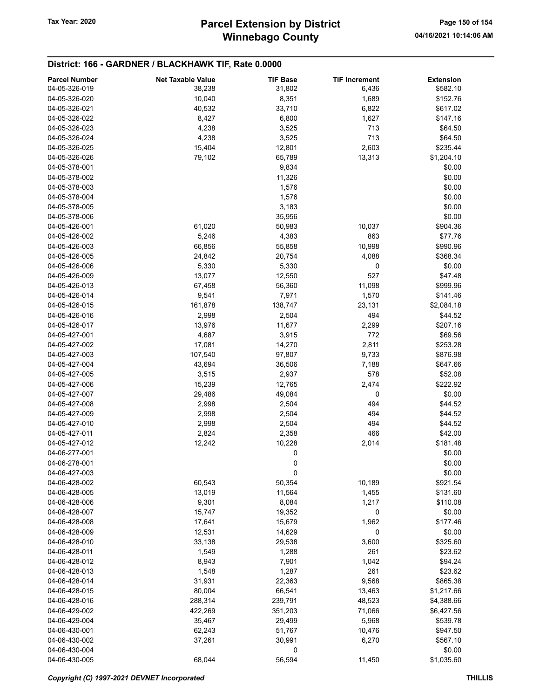# Winnebago County Tax Year: 2020 **Parcel Extension by District** Page 150 of 154

| <b>Parcel Number</b> | <b>Net Taxable Value</b> | <b>TIF Base</b> | <b>TIF Increment</b> | <b>Extension</b> |
|----------------------|--------------------------|-----------------|----------------------|------------------|
| 04-05-326-019        | 38,238                   | 31,802          | 6,436                | \$582.10         |
| 04-05-326-020        | 10,040                   | 8,351           | 1,689                | \$152.76         |
| 04-05-326-021        | 40,532                   | 33,710          | 6,822                | \$617.02         |
| 04-05-326-022        |                          |                 |                      |                  |
|                      | 8,427                    | 6,800           | 1,627                | \$147.16         |
| 04-05-326-023        | 4,238                    | 3,525           | 713                  | \$64.50          |
| 04-05-326-024        | 4,238                    | 3,525           | 713                  | \$64.50          |
| 04-05-326-025        | 15,404                   | 12,801          | 2,603                | \$235.44         |
| 04-05-326-026        | 79,102                   | 65,789          | 13,313               | \$1,204.10       |
| 04-05-378-001        |                          | 9,834           |                      | \$0.00           |
| 04-05-378-002        |                          | 11,326          |                      | \$0.00           |
| 04-05-378-003        |                          | 1,576           |                      | \$0.00           |
| 04-05-378-004        |                          | 1,576           |                      | \$0.00           |
| 04-05-378-005        |                          | 3,183           |                      | \$0.00           |
| 04-05-378-006        |                          | 35,956          |                      | \$0.00           |
| 04-05-426-001        | 61,020                   | 50,983          | 10,037               | \$904.36         |
| 04-05-426-002        | 5,246                    | 4,383           | 863                  | \$77.76          |
| 04-05-426-003        | 66,856                   | 55,858          | 10,998               | \$990.96         |
| 04-05-426-005        | 24,842                   | 20,754          | 4,088                | \$368.34         |
| 04-05-426-006        | 5,330                    | 5,330           | 0                    | \$0.00           |
|                      |                          |                 |                      |                  |
| 04-05-426-009        | 13,077                   | 12,550          | 527                  | \$47.48          |
| 04-05-426-013        | 67,458                   | 56,360          | 11,098               | \$999.96         |
| 04-05-426-014        | 9,541                    | 7,971           | 1,570                | \$141.46         |
| 04-05-426-015        | 161,878                  | 138,747         | 23,131               | \$2,084.18       |
| 04-05-426-016        | 2,998                    | 2,504           | 494                  | \$44.52          |
| 04-05-426-017        | 13,976                   | 11,677          | 2,299                | \$207.16         |
| 04-05-427-001        | 4,687                    | 3,915           | 772                  | \$69.56          |
| 04-05-427-002        | 17,081                   | 14,270          | 2,811                | \$253.28         |
| 04-05-427-003        | 107,540                  | 97,807          | 9,733                | \$876.98         |
| 04-05-427-004        | 43,694                   | 36,506          | 7,188                | \$647.66         |
| 04-05-427-005        | 3,515                    | 2,937           | 578                  | \$52.08          |
| 04-05-427-006        | 15,239                   | 12,765          | 2,474                | \$222.92         |
| 04-05-427-007        | 29,486                   | 49,084          | 0                    | \$0.00           |
| 04-05-427-008        | 2,998                    | 2,504           | 494                  | \$44.52          |
| 04-05-427-009        | 2,998                    | 2,504           | 494                  | \$44.52          |
| 04-05-427-010        | 2,998                    | 2,504           | 494                  | \$44.52          |
| 04-05-427-011        | 2,824                    | 2,358           | 466                  | \$42.00          |
| 04-05-427-012        |                          |                 | 2,014                | \$181.48         |
|                      | 12,242                   | 10,228          |                      |                  |
| 04-06-277-001        |                          | 0               |                      | \$0.00           |
| 04-06-278-001        |                          | 0               |                      | \$0.00           |
| 04-06-427-003        |                          | 0               |                      | \$0.00           |
| 04-06-428-002        | 60,543                   | 50,354          | 10,189               | \$921.54         |
| 04-06-428-005        | 13,019                   | 11,564          | 1,455                | \$131.60         |
| 04-06-428-006        | 9,301                    | 8,084           | 1,217                | \$110.08         |
| 04-06-428-007        | 15,747                   | 19,352          | 0                    | \$0.00           |
| 04-06-428-008        | 17,641                   | 15,679          | 1,962                | \$177.46         |
| 04-06-428-009        | 12,531                   | 14,629          | 0                    | \$0.00           |
| 04-06-428-010        | 33,138                   | 29,538          | 3,600                | \$325.60         |
| 04-06-428-011        | 1,549                    | 1,288           | 261                  | \$23.62          |
| 04-06-428-012        | 8,943                    | 7,901           | 1,042                | \$94.24          |
| 04-06-428-013        | 1,548                    | 1,287           | 261                  | \$23.62          |
| 04-06-428-014        | 31,931                   | 22,363          | 9,568                | \$865.38         |
| 04-06-428-015        | 80,004                   | 66,541          | 13,463               | \$1,217.66       |
| 04-06-428-016        |                          |                 |                      |                  |
|                      | 288,314                  | 239,791         | 48,523               | \$4,388.66       |
| 04-06-429-002        | 422,269                  | 351,203         | 71,066               | \$6,427.56       |
| 04-06-429-004        | 35,467                   | 29,499          | 5,968                | \$539.78         |
| 04-06-430-001        | 62,243                   | 51,767          | 10,476               | \$947.50         |
| 04-06-430-002        | 37,261                   | 30,991          | 6,270                | \$567.10         |
| 04-06-430-004        |                          | 0               |                      | \$0.00           |
| 04-06-430-005        | 68,044                   | 56,594          | 11,450               | \$1,035.60       |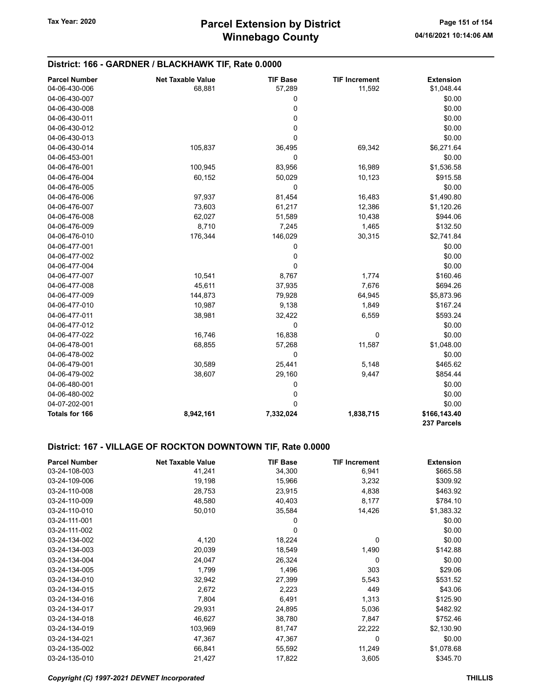| District: 166 - GARDNER / BLACKHAWK TIF, Rate 0.0000 |                          |                 |                      |                             |
|------------------------------------------------------|--------------------------|-----------------|----------------------|-----------------------------|
| <b>Parcel Number</b>                                 | <b>Net Taxable Value</b> | <b>TIF Base</b> | <b>TIF Increment</b> | <b>Extension</b>            |
| 04-06-430-006                                        | 68,881                   | 57,289          | 11,592               | \$1,048.44                  |
| 04-06-430-007                                        |                          | 0               |                      | \$0.00                      |
| 04-06-430-008                                        |                          | 0               |                      | \$0.00                      |
| 04-06-430-011                                        |                          | 0               |                      | \$0.00                      |
| 04-06-430-012                                        |                          | 0               |                      | \$0.00                      |
| 04-06-430-013                                        |                          | 0               |                      | \$0.00                      |
| 04-06-430-014                                        | 105,837                  | 36,495          | 69,342               | \$6,271.64                  |
| 04-06-453-001                                        |                          | $\mathbf 0$     |                      | \$0.00                      |
| 04-06-476-001                                        | 100,945                  | 83,956          | 16,989               | \$1,536.58                  |
| 04-06-476-004                                        | 60,152                   | 50,029          | 10,123               | \$915.58                    |
| 04-06-476-005                                        |                          | 0               |                      | \$0.00                      |
| 04-06-476-006                                        | 97,937                   | 81,454          | 16,483               | \$1,490.80                  |
| 04-06-476-007                                        | 73,603                   | 61,217          | 12,386               | \$1,120.26                  |
| 04-06-476-008                                        | 62,027                   | 51,589          | 10,438               | \$944.06                    |
| 04-06-476-009                                        | 8,710                    | 7,245           | 1,465                | \$132.50                    |
| 04-06-476-010                                        | 176,344                  | 146,029         | 30,315               | \$2,741.84                  |
| 04-06-477-001                                        |                          | 0               |                      | \$0.00                      |
| 04-06-477-002                                        |                          | 0               |                      | \$0.00                      |
| 04-06-477-004                                        |                          | 0               |                      | \$0.00                      |
| 04-06-477-007                                        | 10,541                   | 8,767           | 1,774                | \$160.46                    |
| 04-06-477-008                                        | 45,611                   | 37,935          | 7,676                | \$694.26                    |
| 04-06-477-009                                        | 144,873                  | 79,928          | 64,945               | \$5,873.96                  |
| 04-06-477-010                                        | 10,987                   | 9,138           | 1,849                | \$167.24                    |
| 04-06-477-011                                        | 38,981                   | 32,422          | 6,559                | \$593.24                    |
| 04-06-477-012                                        |                          | $\mathbf 0$     |                      | \$0.00                      |
| 04-06-477-022                                        | 16,746                   | 16,838          | 0                    | \$0.00                      |
| 04-06-478-001                                        | 68,855                   | 57,268          | 11,587               | \$1,048.00                  |
| 04-06-478-002                                        |                          | 0               |                      | \$0.00                      |
| 04-06-479-001                                        | 30,589                   | 25,441          | 5,148                | \$465.62                    |
| 04-06-479-002                                        | 38,607                   | 29,160          | 9,447                | \$854.44                    |
| 04-06-480-001                                        |                          | 0               |                      | \$0.00                      |
| 04-06-480-002                                        |                          | 0               |                      | \$0.00                      |
| 04-07-202-001                                        |                          | 0               |                      | \$0.00                      |
| <b>Totals for 166</b>                                | 8,942,161                | 7,332,024       | 1,838,715            | \$166,143.40<br>237 Parcels |

### District: 167 - VILLAGE OF ROCKTON DOWNTOWN TIF, Rate 0.0000

| <b>Parcel Number</b> | <b>Net Taxable Value</b> | <b>TIF Base</b> | <b>TIF Increment</b> | <b>Extension</b> |
|----------------------|--------------------------|-----------------|----------------------|------------------|
| 03-24-108-003        | 41,241                   | 34,300          | 6,941                | \$665.58         |
| 03-24-109-006        | 19,198                   | 15,966          | 3,232                | \$309.92         |
| 03-24-110-008        | 28,753                   | 23,915          | 4,838                | \$463.92         |
| 03-24-110-009        | 48,580                   | 40,403          | 8,177                | \$784.10         |
| 03-24-110-010        | 50,010                   | 35,584          | 14,426               | \$1,383.32       |
| 03-24-111-001        |                          | 0               |                      | \$0.00           |
| 03-24-111-002        |                          | $\Omega$        |                      | \$0.00           |
| 03-24-134-002        | 4,120                    | 18,224          | 0                    | \$0.00           |
| 03-24-134-003        | 20,039                   | 18,549          | 1,490                | \$142.88         |
| 03-24-134-004        | 24,047                   | 26,324          | 0                    | \$0.00           |
| 03-24-134-005        | 1,799                    | 1,496           | 303                  | \$29.06          |
| 03-24-134-010        | 32,942                   | 27,399          | 5,543                | \$531.52         |
| 03-24-134-015        | 2,672                    | 2,223           | 449                  | \$43.06          |
| 03-24-134-016        | 7,804                    | 6,491           | 1,313                | \$125.90         |
| 03-24-134-017        | 29,931                   | 24,895          | 5,036                | \$482.92         |
| 03-24-134-018        | 46,627                   | 38,780          | 7,847                | \$752.46         |
| 03-24-134-019        | 103,969                  | 81,747          | 22,222               | \$2,130.90       |
| 03-24-134-021        | 47,367                   | 47,367          | 0                    | \$0.00           |
| 03-24-135-002        | 66,841                   | 55,592          | 11,249               | \$1,078.68       |
| 03-24-135-010        | 21,427                   | 17,822          | 3,605                | \$345.70         |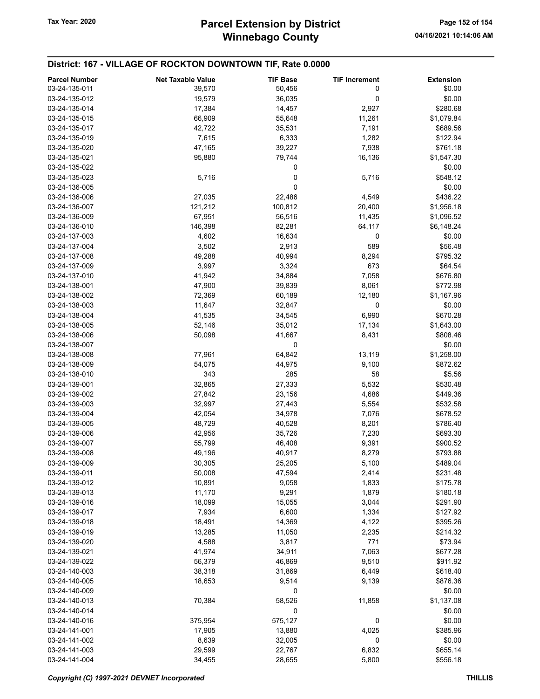### District: 167 - VILLAGE OF ROCKTON DOWNTOWN TIF, Rate 0.0000

| <b>Parcel Number</b> | <b>Net Taxable Value</b> | <b>TIF Base</b> | <b>TIF Increment</b> | <b>Extension</b> |
|----------------------|--------------------------|-----------------|----------------------|------------------|
| 03-24-135-011        | 39,570                   | 50,456          | 0                    | \$0.00           |
| 03-24-135-012        | 19,579                   | 36,035          | 0                    | \$0.00           |
| 03-24-135-014        | 17,384                   | 14,457          | 2,927                | \$280.68         |
| 03-24-135-015        | 66,909                   | 55,648          | 11,261               | \$1,079.84       |
| 03-24-135-017        | 42,722                   | 35,531          | 7,191                | \$689.56         |
| 03-24-135-019        | 7,615                    | 6,333           | 1,282                | \$122.94         |
| 03-24-135-020        | 47,165                   | 39,227          | 7,938                | \$761.18         |
| 03-24-135-021        | 95,880                   | 79,744          | 16,136               | \$1,547.30       |
| 03-24-135-022        |                          | 0               |                      | \$0.00           |
| 03-24-135-023        | 5,716                    | 0               | 5,716                | \$548.12         |
| 03-24-136-005        |                          | 0               |                      | \$0.00           |
| 03-24-136-006        | 27,035                   | 22,486          | 4,549                | \$436.22         |
| 03-24-136-007        | 121,212                  | 100,812         | 20,400               | \$1,956.18       |
| 03-24-136-009        | 67,951                   | 56,516          | 11,435               | \$1,096.52       |
| 03-24-136-010        | 146,398                  | 82,281          | 64,117               | \$6,148.24       |
| 03-24-137-003        | 4,602                    | 16,634          | 0                    | \$0.00           |
| 03-24-137-004        | 3,502                    | 2,913           | 589                  | \$56.48          |
| 03-24-137-008        | 49,288                   | 40,994          | 8,294                | \$795.32         |
| 03-24-137-009        | 3,997                    | 3,324           | 673                  | \$64.54          |
| 03-24-137-010        | 41,942                   | 34,884          | 7,058                | \$676.80         |
| 03-24-138-001        | 47,900                   | 39,839          | 8,061                | \$772.98         |
| 03-24-138-002        | 72,369                   | 60,189          | 12,180               | \$1,167.96       |
| 03-24-138-003        | 11,647                   | 32,847          | 0                    | \$0.00           |
| 03-24-138-004        | 41,535                   | 34,545          | 6,990                | \$670.28         |
| 03-24-138-005        | 52,146                   | 35,012          | 17,134               | \$1,643.00       |
| 03-24-138-006        | 50,098                   | 41,667          | 8,431                | \$808.46         |
| 03-24-138-007        |                          | 0               |                      | \$0.00           |
| 03-24-138-008        | 77,961                   | 64,842          | 13,119               | \$1,258.00       |
| 03-24-138-009        | 54,075                   | 44,975          | 9,100                | \$872.62         |
| 03-24-138-010        | 343                      | 285             | 58                   | \$5.56           |
| 03-24-139-001        | 32,865                   | 27,333          | 5,532                | \$530.48         |
| 03-24-139-002        | 27,842                   | 23,156          | 4,686                | \$449.36         |
| 03-24-139-003        | 32,997                   | 27,443          | 5,554                | \$532.58         |
| 03-24-139-004        | 42,054                   | 34,978          | 7,076                | \$678.52         |
| 03-24-139-005        | 48,729                   | 40,528          | 8,201                | \$786.40         |
| 03-24-139-006        | 42,956                   | 35,726          | 7,230                | \$693.30         |
| 03-24-139-007        | 55,799                   | 46,408          | 9,391                | \$900.52         |
| 03-24-139-008        | 49,196                   | 40,917          | 8,279                | \$793.88         |
| 03-24-139-009        | 30,305                   | 25,205          | 5,100                | \$489.04         |
| 03-24-139-011        | 50,008                   | 47,594          | 2,414                | \$231.48         |
| 03-24-139-012        | 10,891                   | 9,058           | 1,833                | \$175.78         |
| 03-24-139-013        | 11,170                   | 9,291           | 1,879                | \$180.18         |
| 03-24-139-016        | 18,099                   | 15,055          | 3,044                | \$291.90         |
| 03-24-139-017        | 7,934                    | 6,600           | 1,334                | \$127.92         |
| 03-24-139-018        | 18,491                   | 14,369          | 4,122                | \$395.26         |
| 03-24-139-019        | 13,285                   | 11,050          | 2,235                | \$214.32         |
| 03-24-139-020        | 4,588                    | 3,817           | 771                  | \$73.94          |
| 03-24-139-021        |                          |                 |                      | \$677.28         |
|                      | 41,974                   | 34,911          | 7,063                |                  |
| 03-24-139-022        | 56,379                   | 46,869          | 9,510                | \$911.92         |
| 03-24-140-003        | 38,318                   | 31,869          | 6,449                | \$618.40         |
| 03-24-140-005        | 18,653                   | 9,514           | 9,139                | \$876.36         |
| 03-24-140-009        |                          | 0               |                      | \$0.00           |
| 03-24-140-013        | 70,384                   | 58,526          | 11,858               | \$1,137.08       |
| 03-24-140-014        |                          | 0               |                      | \$0.00           |
| 03-24-140-016        | 375,954                  | 575,127         | 0                    | \$0.00           |
| 03-24-141-001        | 17,905                   | 13,880          | 4,025                | \$385.96         |
| 03-24-141-002        | 8,639                    | 32,005          | 0                    | \$0.00           |
| 03-24-141-003        | 29,599                   | 22,767          | 6,832                | \$655.14         |
| 03-24-141-004        | 34,455                   | 28,655          | 5,800                | \$556.18         |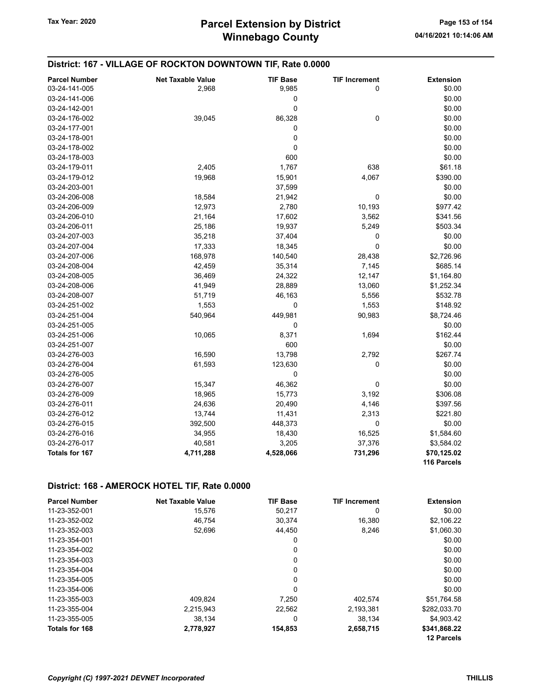| District: 167 - VILLAGE OF ROCKTON DOWNTOWN TIF, Rate 0.0000 |                          |                 |                      |                  |
|--------------------------------------------------------------|--------------------------|-----------------|----------------------|------------------|
| <b>Parcel Number</b>                                         | <b>Net Taxable Value</b> | <b>TIF Base</b> | <b>TIF Increment</b> | <b>Extension</b> |
| 03-24-141-005                                                | 2,968                    | 9,985           | 0                    | \$0.00           |
| 03-24-141-006                                                |                          | 0               |                      | \$0.00           |
| 03-24-142-001                                                |                          | $\mathbf 0$     |                      | \$0.00           |
| 03-24-176-002                                                | 39,045                   | 86,328          | $\pmb{0}$            | \$0.00           |
| 03-24-177-001                                                |                          | 0               |                      | \$0.00           |
| 03-24-178-001                                                |                          | 0               |                      | \$0.00           |
| 03-24-178-002                                                |                          | $\mathbf 0$     |                      | \$0.00           |
| 03-24-178-003                                                |                          | 600             |                      | \$0.00           |
| 03-24-179-011                                                | 2,405                    | 1,767           | 638                  | \$61.18          |
| 03-24-179-012                                                | 19,968                   | 15,901          | 4,067                | \$390.00         |
| 03-24-203-001                                                |                          | 37,599          |                      | \$0.00           |
| 03-24-206-008                                                | 18,584                   | 21,942          | 0                    | \$0.00           |
| 03-24-206-009                                                | 12,973                   | 2,780           | 10,193               | \$977.42         |
| 03-24-206-010                                                | 21,164                   | 17,602          | 3,562                | \$341.56         |
| 03-24-206-011                                                | 25,186                   | 19,937          | 5,249                | \$503.34         |
| 03-24-207-003                                                | 35,218                   | 37,404          | 0                    | \$0.00           |
| 03-24-207-004                                                | 17,333                   | 18,345          | $\mathbf 0$          | \$0.00           |
| 03-24-207-006                                                | 168,978                  | 140,540         | 28,438               | \$2,726.96       |
| 03-24-208-004                                                | 42,459                   | 35,314          | 7,145                | \$685.14         |
| 03-24-208-005                                                | 36,469                   | 24,322          | 12,147               | \$1,164.80       |
| 03-24-208-006                                                | 41,949                   | 28,889          | 13,060               | \$1,252.34       |
| 03-24-208-007                                                | 51,719                   | 46,163          | 5,556                | \$532.78         |
| 03-24-251-002                                                | 1,553                    | 0               | 1,553                | \$148.92         |
| 03-24-251-004                                                | 540,964                  | 449,981         | 90,983               | \$8,724.46       |
| 03-24-251-005                                                |                          | 0               |                      | \$0.00           |
| 03-24-251-006                                                | 10,065                   | 8,371           | 1,694                | \$162.44         |
| 03-24-251-007                                                |                          | 600             |                      | \$0.00           |
| 03-24-276-003                                                | 16,590                   | 13,798          | 2,792                | \$267.74         |
| 03-24-276-004                                                | 61,593                   | 123,630         | 0                    | \$0.00           |
| 03-24-276-005                                                |                          | 0               |                      | \$0.00           |
| 03-24-276-007                                                | 15,347                   | 46,362          | 0                    | \$0.00           |
| 03-24-276-009                                                | 18,965                   | 15,773          | 3,192                | \$306.08         |
| 03-24-276-011                                                | 24,636                   | 20,490          | 4,146                | \$397.56         |
| 03-24-276-012                                                | 13,744                   | 11,431          | 2,313                | \$221.80         |
| 03-24-276-015                                                | 392,500                  | 448,373         | 0                    | \$0.00           |
| 03-24-276-016                                                | 34,955                   | 18,430          | 16,525               | \$1,584.60       |
| 03-24-276-017                                                | 40,581                   | 3,205           | 37,376               | \$3,584.02       |
| Totals for 167                                               | 4,711,288                | 4,528,066       | 731,296              | \$70,125.02      |
|                                                              |                          |                 |                      | 116 Parcels      |

### District: 168 - AMEROCK HOTEL TIF, Rate 0.0000

| <b>Parcel Number</b>  | <b>Net Taxable Value</b> | <b>TIF Base</b> | <b>TIF Increment</b> | <b>Extension</b>  |
|-----------------------|--------------------------|-----------------|----------------------|-------------------|
| 11-23-352-001         | 15,576                   | 50.217          | 0                    | \$0.00            |
| 11-23-352-002         | 46.754                   | 30,374          | 16,380               | \$2,106.22        |
| 11-23-352-003         | 52,696                   | 44.450          | 8.246                | \$1,060.30        |
| 11-23-354-001         |                          | 0               |                      | \$0.00            |
| 11-23-354-002         |                          | 0               |                      | \$0.00            |
| 11-23-354-003         |                          | 0               |                      | \$0.00            |
| 11-23-354-004         |                          | $\Omega$        |                      | \$0.00            |
| 11-23-354-005         |                          | 0               |                      | \$0.00            |
| 11-23-354-006         |                          | 0               |                      | \$0.00            |
| 11-23-355-003         | 409.824                  | 7.250           | 402,574              | \$51,764.58       |
| 11-23-355-004         | 2,215,943                | 22,562          | 2,193,381            | \$282,033.70      |
| 11-23-355-005         | 38,134                   | 0               | 38,134               | \$4.903.42        |
| <b>Totals for 168</b> | 2,778,927                | 154,853         | 2,658,715            | \$341,868.22      |
|                       |                          |                 |                      | <b>12 Parcels</b> |